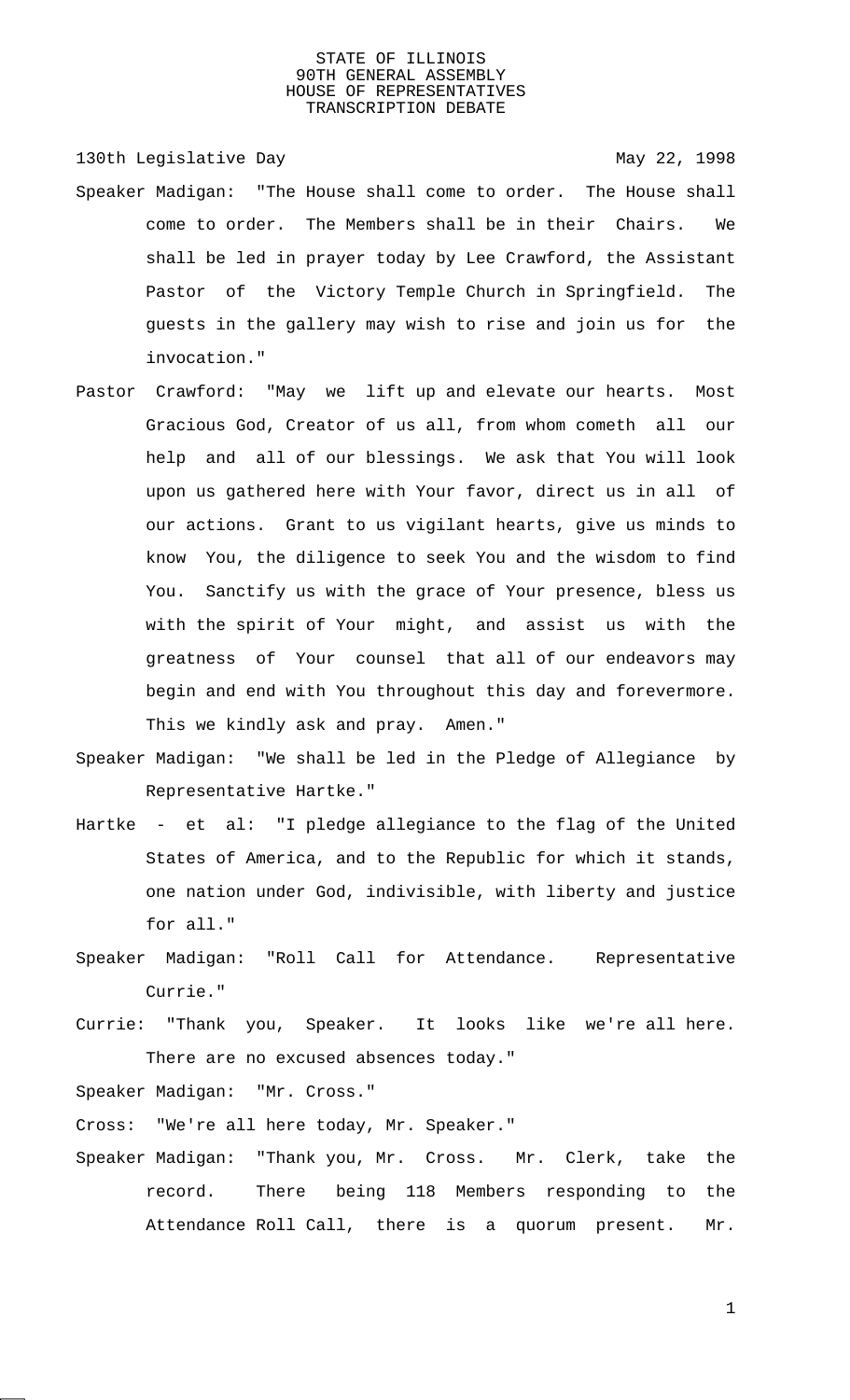130th Legislative Day 130th May 22, 1998

- Speaker Madigan: "The House shall come to order. The House shall come to order. The Members shall be in their Chairs. We shall be led in prayer today by Lee Crawford, the Assistant Pastor of the Victory Temple Church in Springfield. The guests in the gallery may wish to rise and join us for the invocation."
- Pastor Crawford: "May we lift up and elevate our hearts. Most Gracious God, Creator of us all, from whom cometh all our help and all of our blessings. We ask that You will look upon us gathered here with Your favor, direct us in all of our actions. Grant to us vigilant hearts, give us minds to know You, the diligence to seek You and the wisdom to find You. Sanctify us with the grace of Your presence, bless us with the spirit of Your might, and assist us with the greatness of Your counsel that all of our endeavors may begin and end with You throughout this day and forevermore. This we kindly ask and pray. Amen."
- Speaker Madigan: "We shall be led in the Pledge of Allegiance by Representative Hartke."
- Hartke et al: "I pledge allegiance to the flag of the United States of America, and to the Republic for which it stands, one nation under God, indivisible, with liberty and justice for all."
- Speaker Madigan: "Roll Call for Attendance. Representative Currie."
- Currie: "Thank you, Speaker. It looks like we're all here. There are no excused absences today."

Speaker Madigan: "Mr. Cross."

Cross: "We're all here today, Mr. Speaker."

Speaker Madigan: "Thank you, Mr. Cross. Mr. Clerk, take the record. There being 118 Members responding to the Attendance Roll Call, there is a quorum present. Mr.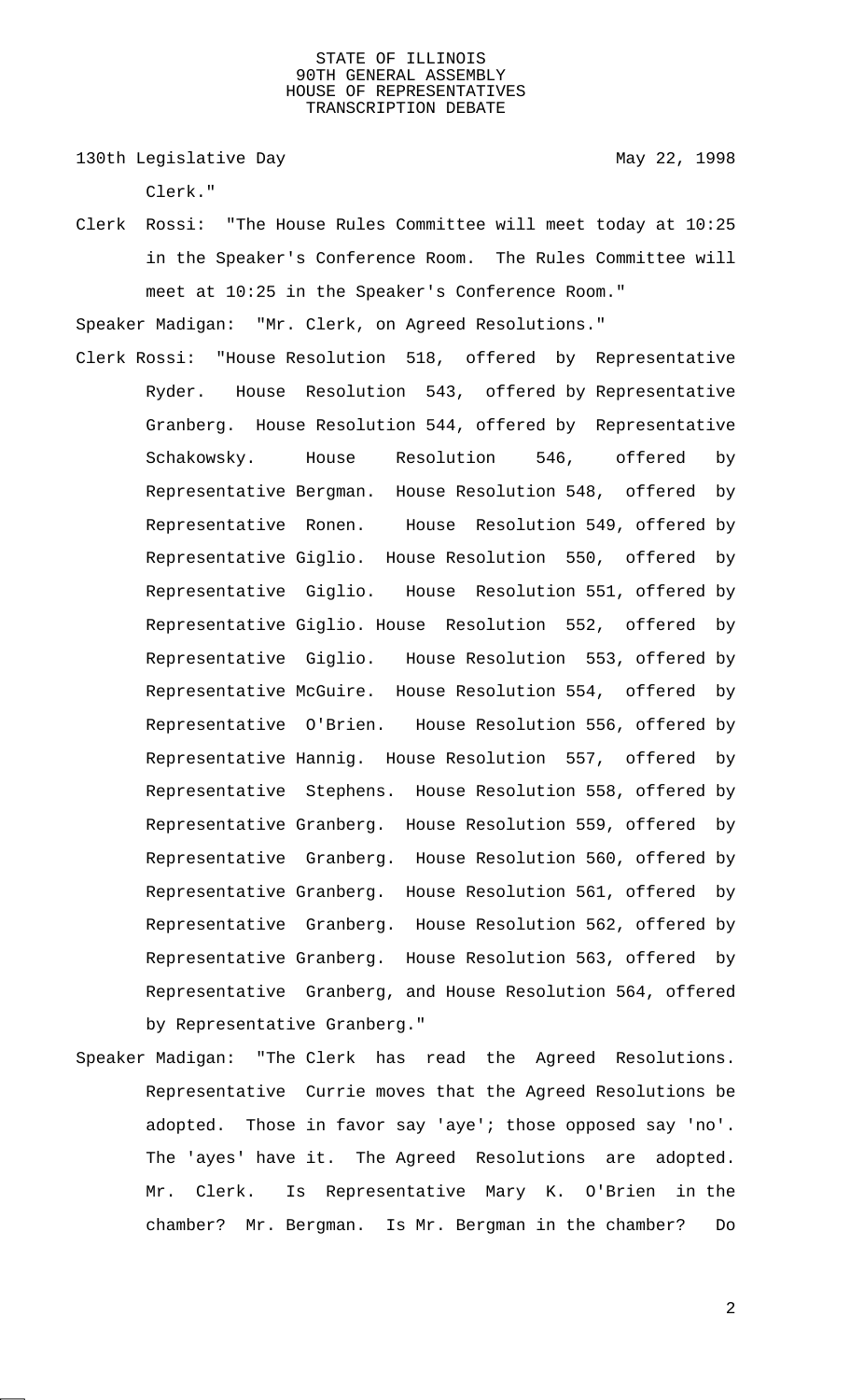130th Legislative Day 130th May 22, 1998

Clerk."

Clerk Rossi: "The House Rules Committee will meet today at 10:25 in the Speaker's Conference Room. The Rules Committee will meet at 10:25 in the Speaker's Conference Room."

Speaker Madigan: "Mr. Clerk, on Agreed Resolutions."

- Clerk Rossi: "House Resolution 518, offered by Representative Ryder. House Resolution 543, offered by Representative Granberg. House Resolution 544, offered by Representative Schakowsky. House Resolution 546, offered by Representative Bergman. House Resolution 548, offered by Representative Ronen. House Resolution 549, offered by Representative Giglio. House Resolution 550, offered by Representative Giglio. House Resolution 551, offered by Representative Giglio. House Resolution 552, offered by Representative Giglio. House Resolution 553, offered by Representative McGuire. House Resolution 554, offered by Representative O'Brien. House Resolution 556, offered by Representative Hannig. House Resolution 557, offered by Representative Stephens. House Resolution 558, offered by Representative Granberg. House Resolution 559, offered by Representative Granberg. House Resolution 560, offered by Representative Granberg. House Resolution 561, offered by Representative Granberg. House Resolution 562, offered by Representative Granberg. House Resolution 563, offered by Representative Granberg, and House Resolution 564, offered by Representative Granberg."
- Speaker Madigan: "The Clerk has read the Agreed Resolutions. Representative Currie moves that the Agreed Resolutions be adopted. Those in favor say 'aye'; those opposed say 'no'. The 'ayes' have it. The Agreed Resolutions are adopted. Mr. Clerk. Is Representative Mary K. O'Brien in the chamber? Mr. Bergman. Is Mr. Bergman in the chamber? Do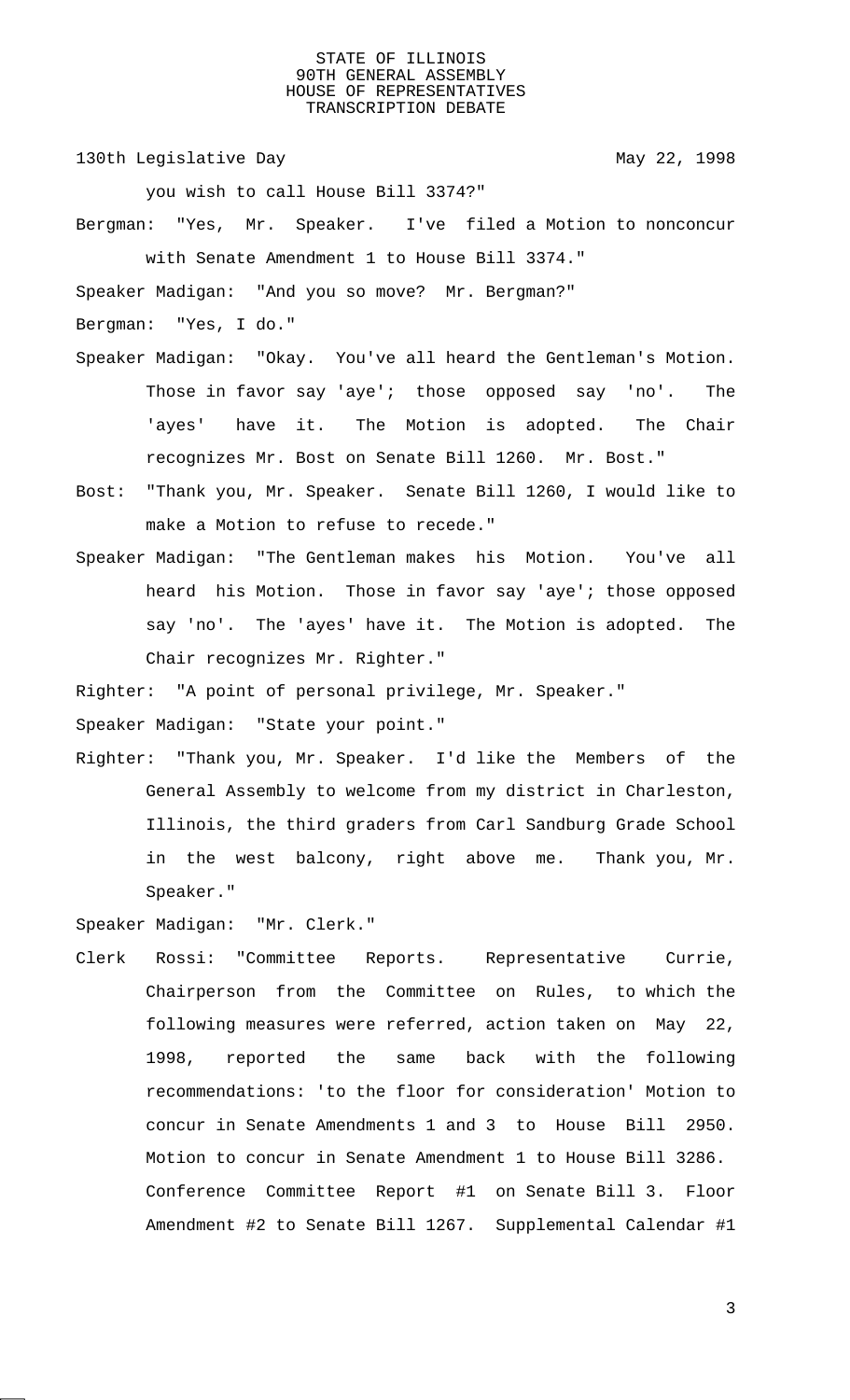130th Legislative Day 130th May 22, 1998

you wish to call House Bill 3374?"

Bergman: "Yes, Mr. Speaker. I've filed a Motion to nonconcur with Senate Amendment 1 to House Bill 3374."

Speaker Madigan: "And you so move? Mr. Bergman?"

Bergman: "Yes, I do."

- Speaker Madigan: "Okay. You've all heard the Gentleman's Motion. Those in favor say 'aye'; those opposed say 'no'. The 'ayes' have it. The Motion is adopted. The Chair recognizes Mr. Bost on Senate Bill 1260. Mr. Bost."
- Bost: "Thank you, Mr. Speaker. Senate Bill 1260, I would like to make a Motion to refuse to recede."
- Speaker Madigan: "The Gentleman makes his Motion. You've all heard his Motion. Those in favor say 'aye'; those opposed say 'no'. The 'ayes' have it. The Motion is adopted. The Chair recognizes Mr. Righter."

Righter: "A point of personal privilege, Mr. Speaker."

Speaker Madigan: "State your point."

Righter: "Thank you, Mr. Speaker. I'd like the Members of the General Assembly to welcome from my district in Charleston, Illinois, the third graders from Carl Sandburg Grade School in the west balcony, right above me. Thank you, Mr. Speaker."

Speaker Madigan: "Mr. Clerk."

Clerk Rossi: "Committee Reports. Representative Currie, Chairperson from the Committee on Rules, to which the following measures were referred, action taken on May 22, 1998, reported the same back with the following recommendations: 'to the floor for consideration' Motion to concur in Senate Amendments 1 and 3 to House Bill 2950. Motion to concur in Senate Amendment 1 to House Bill 3286. Conference Committee Report #1 on Senate Bill 3. Floor Amendment #2 to Senate Bill 1267. Supplemental Calendar #1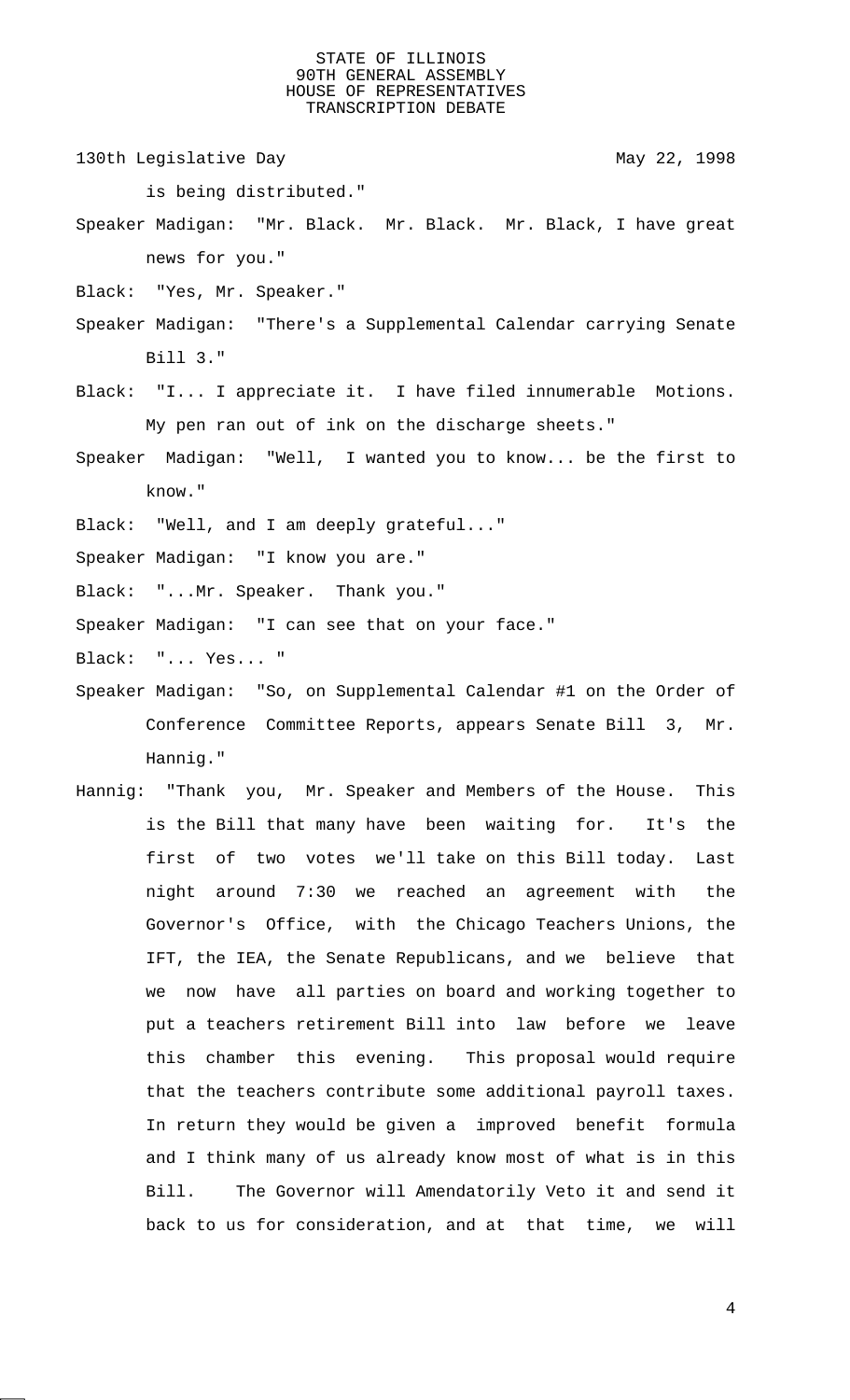130th Legislative Day 130th May 22, 1998

- is being distributed."
- Speaker Madigan: "Mr. Black. Mr. Black. Mr. Black, I have great news for you."
- Black: "Yes, Mr. Speaker."
- Speaker Madigan: "There's a Supplemental Calendar carrying Senate Bill 3."
- Black: "I... I appreciate it. I have filed innumerable Motions. My pen ran out of ink on the discharge sheets."
- Speaker Madigan: "Well, I wanted you to know... be the first to know."
- Black: "Well, and I am deeply grateful..."
- Speaker Madigan: "I know you are."
- Black: "...Mr. Speaker. Thank you."
- Speaker Madigan: "I can see that on your face."
- Black: "... Yes... "
- Speaker Madigan: "So, on Supplemental Calendar #1 on the Order of Conference Committee Reports, appears Senate Bill 3, Mr. Hannig."
- Hannig: "Thank you, Mr. Speaker and Members of the House. This is the Bill that many have been waiting for. It's the first of two votes we'll take on this Bill today. Last night around 7:30 we reached an agreement with the Governor's Office, with the Chicago Teachers Unions, the IFT, the IEA, the Senate Republicans, and we believe that we now have all parties on board and working together to put a teachers retirement Bill into law before we leave this chamber this evening. This proposal would require that the teachers contribute some additional payroll taxes. In return they would be given a improved benefit formula and I think many of us already know most of what is in this Bill. The Governor will Amendatorily Veto it and send it back to us for consideration, and at that time, we will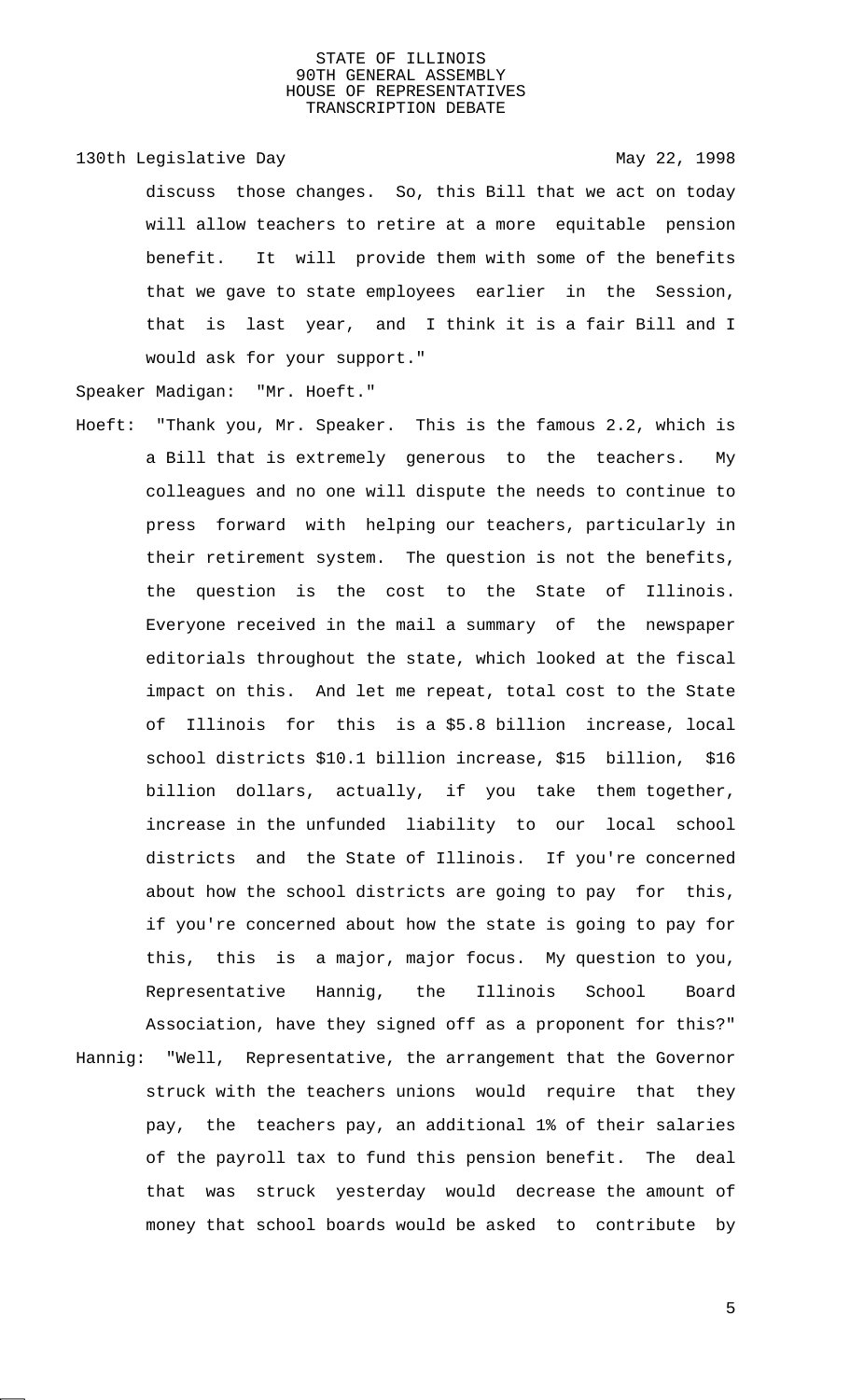## 130th Legislative Day 130th May 22, 1998

discuss those changes. So, this Bill that we act on today will allow teachers to retire at a more equitable pension benefit. It will provide them with some of the benefits that we gave to state employees earlier in the Session, that is last year, and I think it is a fair Bill and I would ask for your support."

Speaker Madigan: "Mr. Hoeft."

- Hoeft: "Thank you, Mr. Speaker. This is the famous 2.2, which is a Bill that is extremely generous to the teachers. My colleagues and no one will dispute the needs to continue to press forward with helping our teachers, particularly in their retirement system. The question is not the benefits, the question is the cost to the State of Illinois. Everyone received in the mail a summary of the newspaper editorials throughout the state, which looked at the fiscal impact on this. And let me repeat, total cost to the State of Illinois for this is a \$5.8 billion increase, local school districts \$10.1 billion increase, \$15 billion, \$16 billion dollars, actually, if you take them together, increase in the unfunded liability to our local school districts and the State of Illinois. If you're concerned about how the school districts are going to pay for this, if you're concerned about how the state is going to pay for this, this is a major, major focus. My question to you, Representative Hannig, the Illinois School Board Association, have they signed off as a proponent for this?"
- Hannig: "Well, Representative, the arrangement that the Governor struck with the teachers unions would require that they pay, the teachers pay, an additional 1% of their salaries of the payroll tax to fund this pension benefit. The deal that was struck yesterday would decrease the amount of money that school boards would be asked to contribute by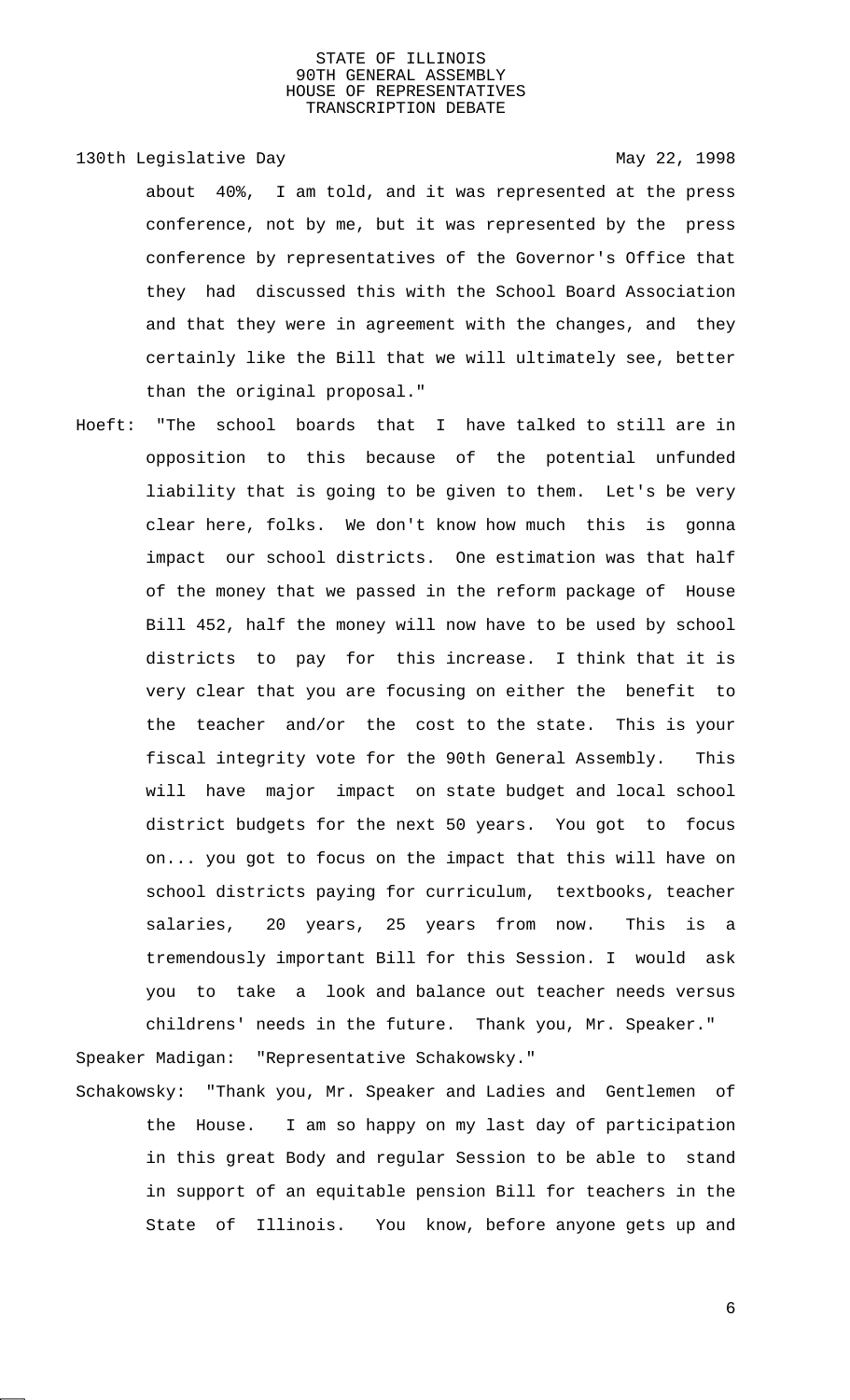## 130th Legislative Day 130th May 22, 1998

about 40%, I am told, and it was represented at the press conference, not by me, but it was represented by the press conference by representatives of the Governor's Office that they had discussed this with the School Board Association and that they were in agreement with the changes, and they certainly like the Bill that we will ultimately see, better than the original proposal."

Hoeft: "The school boards that I have talked to still are in opposition to this because of the potential unfunded liability that is going to be given to them. Let's be very clear here, folks. We don't know how much this is gonna impact our school districts. One estimation was that half of the money that we passed in the reform package of House Bill 452, half the money will now have to be used by school districts to pay for this increase. I think that it is very clear that you are focusing on either the benefit to the teacher and/or the cost to the state. This is your fiscal integrity vote for the 90th General Assembly. This will have major impact on state budget and local school district budgets for the next 50 years. You got to focus on... you got to focus on the impact that this will have on school districts paying for curriculum, textbooks, teacher salaries, 20 years, 25 years from now. This is a tremendously important Bill for this Session. I would ask you to take a look and balance out teacher needs versus childrens' needs in the future. Thank you, Mr. Speaker."

Speaker Madigan: "Representative Schakowsky."

Schakowsky: "Thank you, Mr. Speaker and Ladies and Gentlemen of the House. I am so happy on my last day of participation in this great Body and regular Session to be able to stand in support of an equitable pension Bill for teachers in the State of Illinois. You know, before anyone gets up and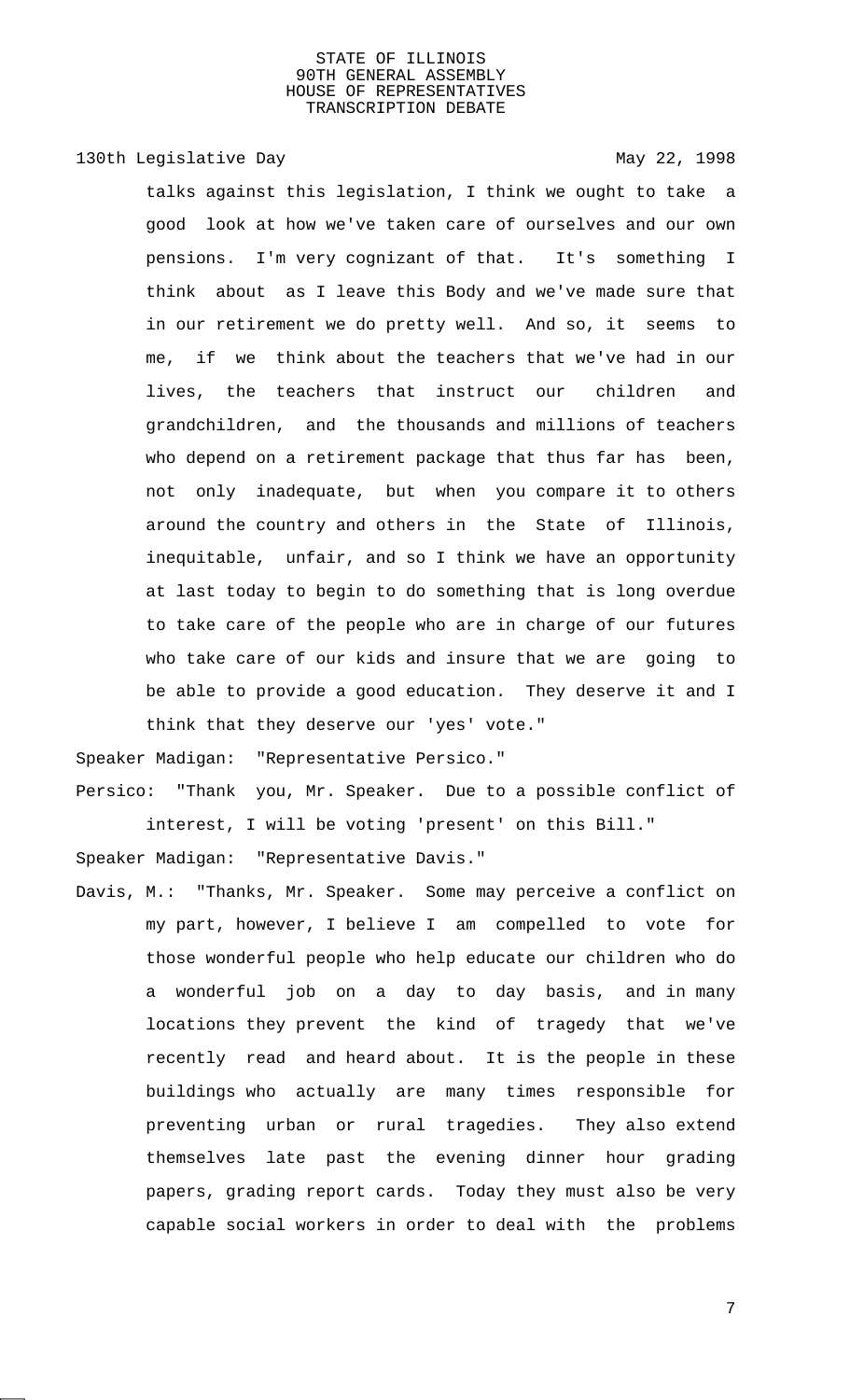130th Legislative Day 130th May 22, 1998

talks against this legislation, I think we ought to take a good look at how we've taken care of ourselves and our own pensions. I'm very cognizant of that. It's something I think about as I leave this Body and we've made sure that in our retirement we do pretty well. And so, it seems to me, if we think about the teachers that we've had in our lives, the teachers that instruct our children and grandchildren, and the thousands and millions of teachers who depend on a retirement package that thus far has been, not only inadequate, but when you compare it to others around the country and others in the State of Illinois, inequitable, unfair, and so I think we have an opportunity at last today to begin to do something that is long overdue to take care of the people who are in charge of our futures who take care of our kids and insure that we are going to be able to provide a good education. They deserve it and I think that they deserve our 'yes' vote."

Speaker Madigan: "Representative Persico."

Persico: "Thank you, Mr. Speaker. Due to a possible conflict of interest, I will be voting 'present' on this Bill."

Speaker Madigan: "Representative Davis."

Davis, M.: "Thanks, Mr. Speaker. Some may perceive a conflict on my part, however, I believe I am compelled to vote for those wonderful people who help educate our children who do a wonderful job on a day to day basis, and in many locations they prevent the kind of tragedy that we've recently read and heard about. It is the people in these buildings who actually are many times responsible for preventing urban or rural tragedies. They also extend themselves late past the evening dinner hour grading papers, grading report cards. Today they must also be very capable social workers in order to deal with the problems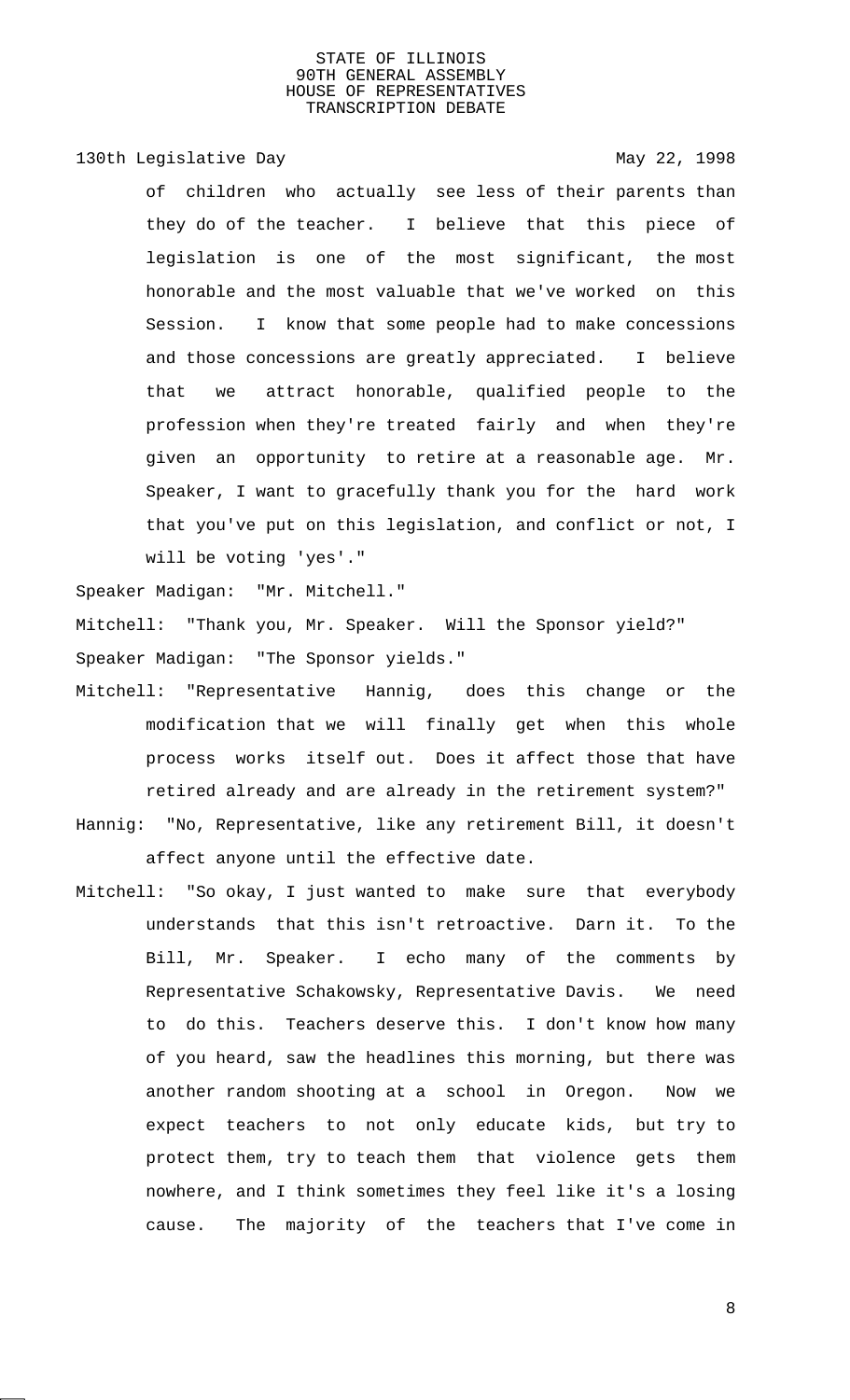130th Legislative Day 130th May 22, 1998

of children who actually see less of their parents than they do of the teacher. I believe that this piece of legislation is one of the most significant, the most honorable and the most valuable that we've worked on this Session. I know that some people had to make concessions and those concessions are greatly appreciated. I believe that we attract honorable, qualified people to the profession when they're treated fairly and when they're given an opportunity to retire at a reasonable age. Mr. Speaker, I want to gracefully thank you for the hard work that you've put on this legislation, and conflict or not, I will be voting 'yes'."

Speaker Madigan: "Mr. Mitchell."

Mitchell: "Thank you, Mr. Speaker. Will the Sponsor yield?" Speaker Madigan: "The Sponsor yields."

- Mitchell: "Representative Hannig, does this change or the modification that we will finally get when this whole process works itself out. Does it affect those that have retired already and are already in the retirement system?"
- Hannig: "No, Representative, like any retirement Bill, it doesn't affect anyone until the effective date.
- Mitchell: "So okay, I just wanted to make sure that everybody understands that this isn't retroactive. Darn it. To the Bill, Mr. Speaker. I echo many of the comments by Representative Schakowsky, Representative Davis. We need to do this. Teachers deserve this. I don't know how many of you heard, saw the headlines this morning, but there was another random shooting at a school in Oregon. Now we expect teachers to not only educate kids, but try to protect them, try to teach them that violence gets them nowhere, and I think sometimes they feel like it's a losing cause. The majority of the teachers that I've come in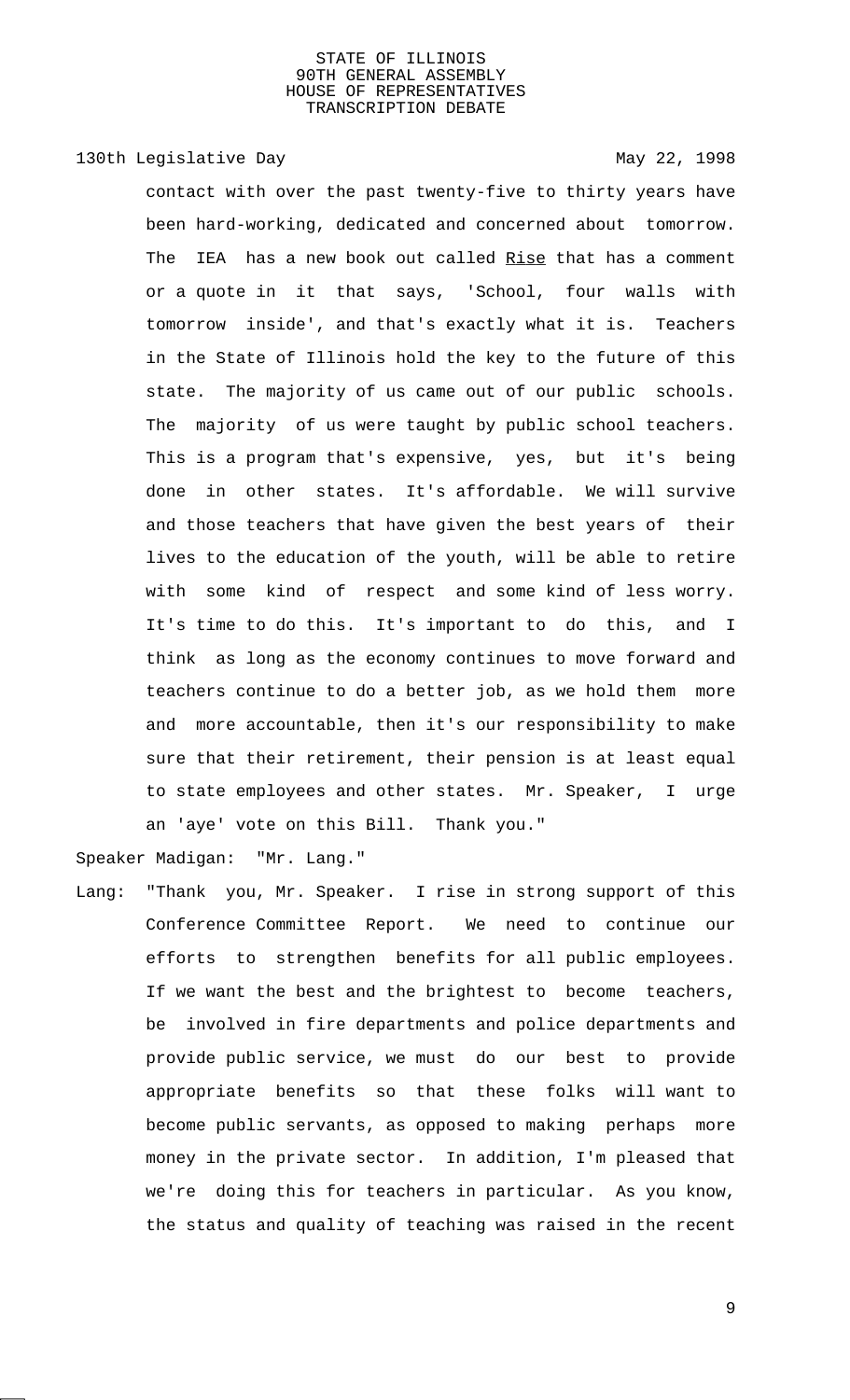# 130th Legislative Day 130th May 22, 1998

contact with over the past twenty-five to thirty years have been hard-working, dedicated and concerned about tomorrow. The IEA has a new book out called Rise that has a comment or a quote in it that says, 'School, four walls with tomorrow inside', and that's exactly what it is. Teachers in the State of Illinois hold the key to the future of this state. The majority of us came out of our public schools. The majority of us were taught by public school teachers. This is a program that's expensive, yes, but it's being done in other states. It's affordable. We will survive and those teachers that have given the best years of their lives to the education of the youth, will be able to retire with some kind of respect and some kind of less worry. It's time to do this. It's important to do this, and I think as long as the economy continues to move forward and teachers continue to do a better job, as we hold them more and more accountable, then it's our responsibility to make sure that their retirement, their pension is at least equal to state employees and other states. Mr. Speaker, I urge an 'aye' vote on this Bill. Thank you."

Speaker Madigan: "Mr. Lang."

Lang: "Thank you, Mr. Speaker. I rise in strong support of this Conference Committee Report. We need to continue our efforts to strengthen benefits for all public employees. If we want the best and the brightest to become teachers, be involved in fire departments and police departments and provide public service, we must do our best to provide appropriate benefits so that these folks will want to become public servants, as opposed to making perhaps more money in the private sector. In addition, I'm pleased that we're doing this for teachers in particular. As you know, the status and quality of teaching was raised in the recent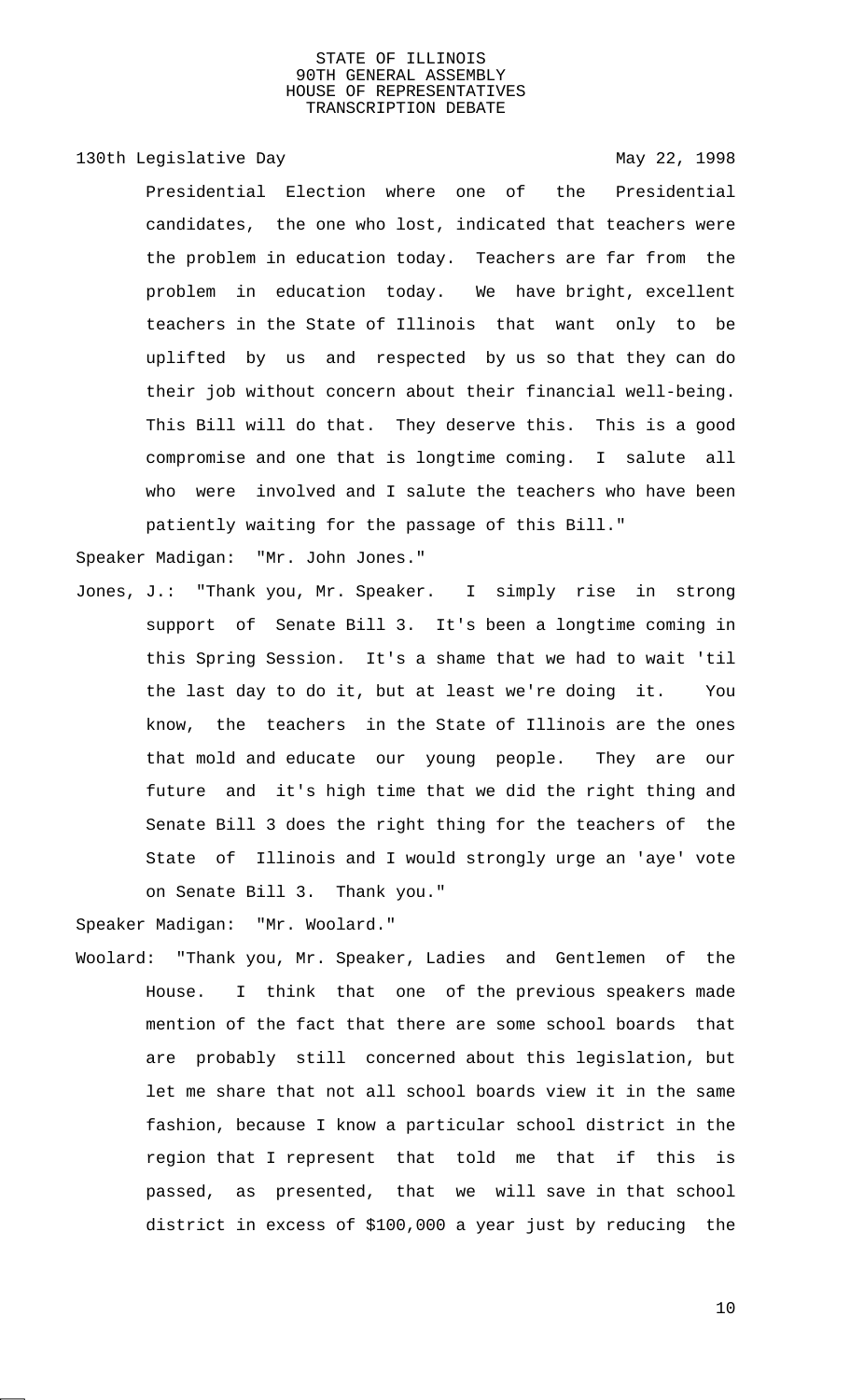130th Legislative Day 130th May 22, 1998

Presidential Election where one of the Presidential candidates, the one who lost, indicated that teachers were the problem in education today. Teachers are far from the problem in education today. We have bright, excellent teachers in the State of Illinois that want only to be uplifted by us and respected by us so that they can do their job without concern about their financial well-being. This Bill will do that. They deserve this. This is a good compromise and one that is longtime coming. I salute all who were involved and I salute the teachers who have been patiently waiting for the passage of this Bill."

Speaker Madigan: "Mr. John Jones."

Jones, J.: "Thank you, Mr. Speaker. I simply rise in strong support of Senate Bill 3. It's been a longtime coming in this Spring Session. It's a shame that we had to wait 'til the last day to do it, but at least we're doing it. You know, the teachers in the State of Illinois are the ones that mold and educate our young people. They are our future and it's high time that we did the right thing and Senate Bill 3 does the right thing for the teachers of the State of Illinois and I would strongly urge an 'aye' vote on Senate Bill 3. Thank you."

Speaker Madigan: "Mr. Woolard."

Woolard: "Thank you, Mr. Speaker, Ladies and Gentlemen of the House. I think that one of the previous speakers made mention of the fact that there are some school boards that are probably still concerned about this legislation, but let me share that not all school boards view it in the same fashion, because I know a particular school district in the region that I represent that told me that if this is passed, as presented, that we will save in that school district in excess of \$100,000 a year just by reducing the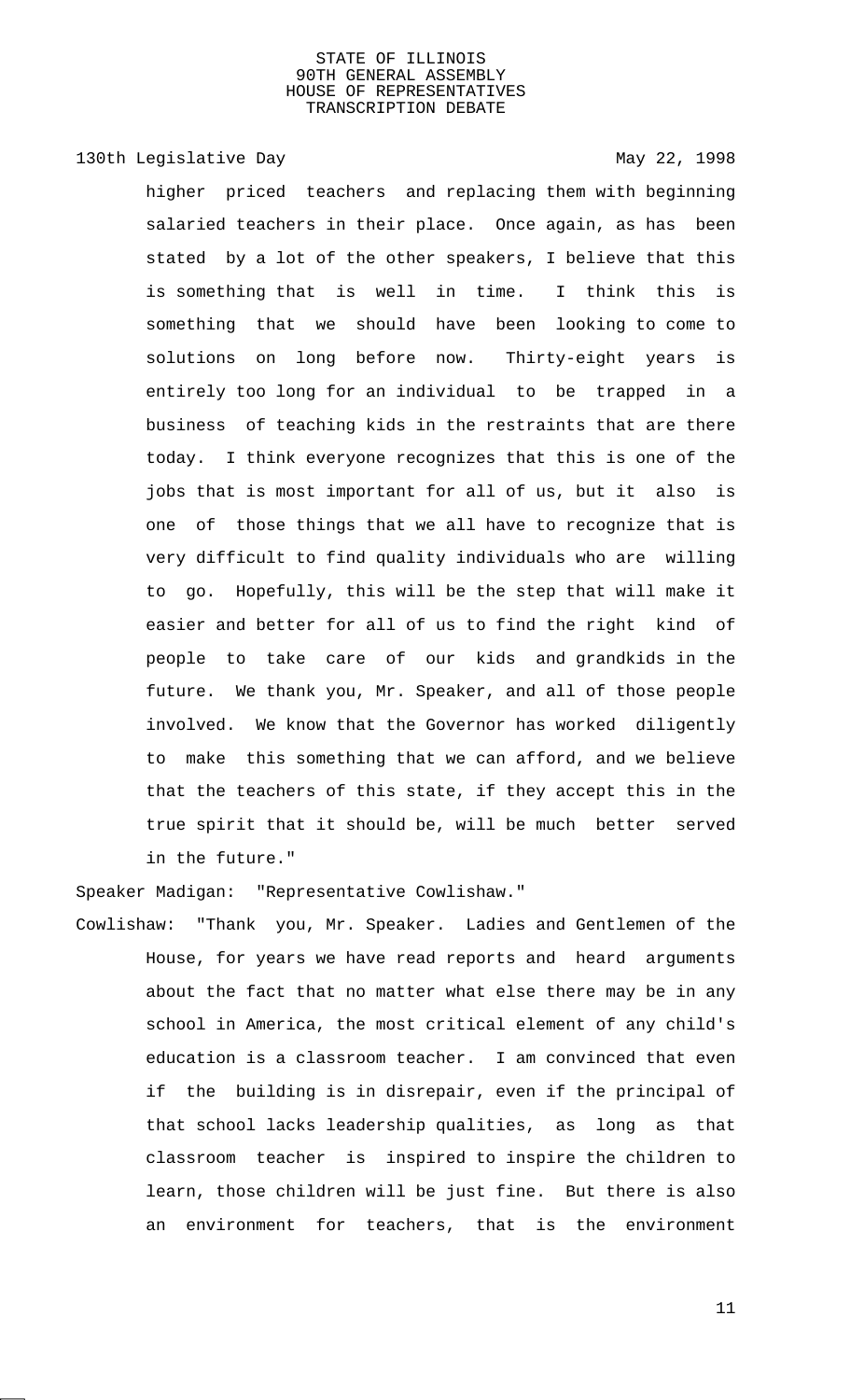# 130th Legislative Day 130th May 22, 1998

higher priced teachers and replacing them with beginning salaried teachers in their place. Once again, as has been stated by a lot of the other speakers, I believe that this is something that is well in time. I think this is something that we should have been looking to come to solutions on long before now. Thirty-eight years is entirely too long for an individual to be trapped in a business of teaching kids in the restraints that are there today. I think everyone recognizes that this is one of the jobs that is most important for all of us, but it also is one of those things that we all have to recognize that is very difficult to find quality individuals who are willing to go. Hopefully, this will be the step that will make it easier and better for all of us to find the right kind of people to take care of our kids and grandkids in the future. We thank you, Mr. Speaker, and all of those people involved. We know that the Governor has worked diligently to make this something that we can afford, and we believe that the teachers of this state, if they accept this in the true spirit that it should be, will be much better served in the future."

Speaker Madigan: "Representative Cowlishaw."

Cowlishaw: "Thank you, Mr. Speaker. Ladies and Gentlemen of the House, for years we have read reports and heard arguments about the fact that no matter what else there may be in any school in America, the most critical element of any child's education is a classroom teacher. I am convinced that even if the building is in disrepair, even if the principal of that school lacks leadership qualities, as long as that classroom teacher is inspired to inspire the children to learn, those children will be just fine. But there is also an environment for teachers, that is the environment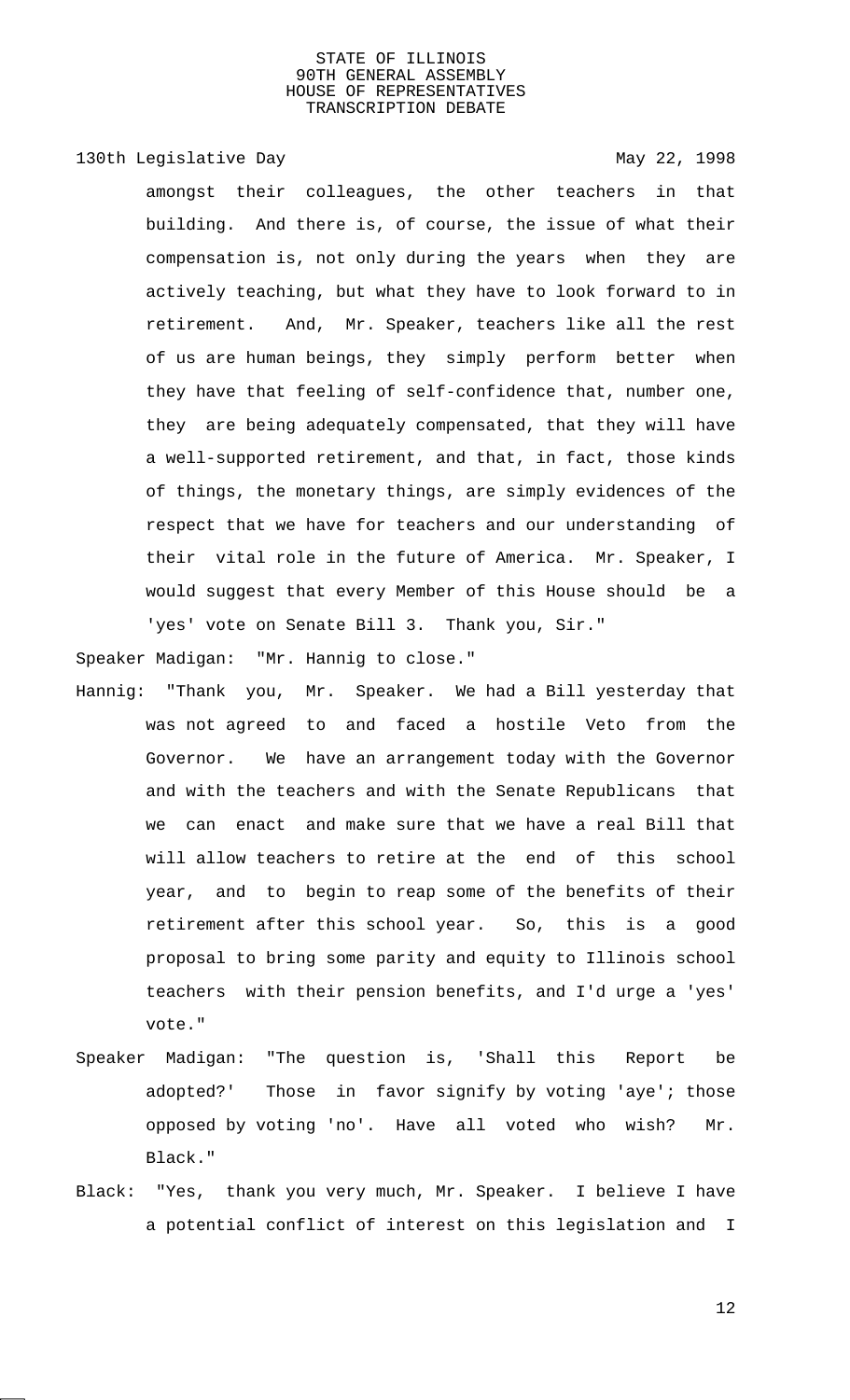130th Legislative Day 130th May 22, 1998

amongst their colleagues, the other teachers in that building. And there is, of course, the issue of what their compensation is, not only during the years when they are actively teaching, but what they have to look forward to in retirement. And, Mr. Speaker, teachers like all the rest of us are human beings, they simply perform better when they have that feeling of self-confidence that, number one, they are being adequately compensated, that they will have a well-supported retirement, and that, in fact, those kinds of things, the monetary things, are simply evidences of the respect that we have for teachers and our understanding of their vital role in the future of America. Mr. Speaker, I would suggest that every Member of this House should be a 'yes' vote on Senate Bill 3. Thank you, Sir."

Speaker Madigan: "Mr. Hannig to close."

- Hannig: "Thank you, Mr. Speaker. We had a Bill yesterday that was not agreed to and faced a hostile Veto from the Governor. We have an arrangement today with the Governor and with the teachers and with the Senate Republicans that we can enact and make sure that we have a real Bill that will allow teachers to retire at the end of this school year, and to begin to reap some of the benefits of their retirement after this school year. So, this is a good proposal to bring some parity and equity to Illinois school teachers with their pension benefits, and I'd urge a 'yes' vote."
- Speaker Madigan: "The question is, 'Shall this Report be adopted?' Those in favor signify by voting 'aye'; those opposed by voting 'no'. Have all voted who wish? Mr. Black."
- Black: "Yes, thank you very much, Mr. Speaker. I believe I have a potential conflict of interest on this legislation and I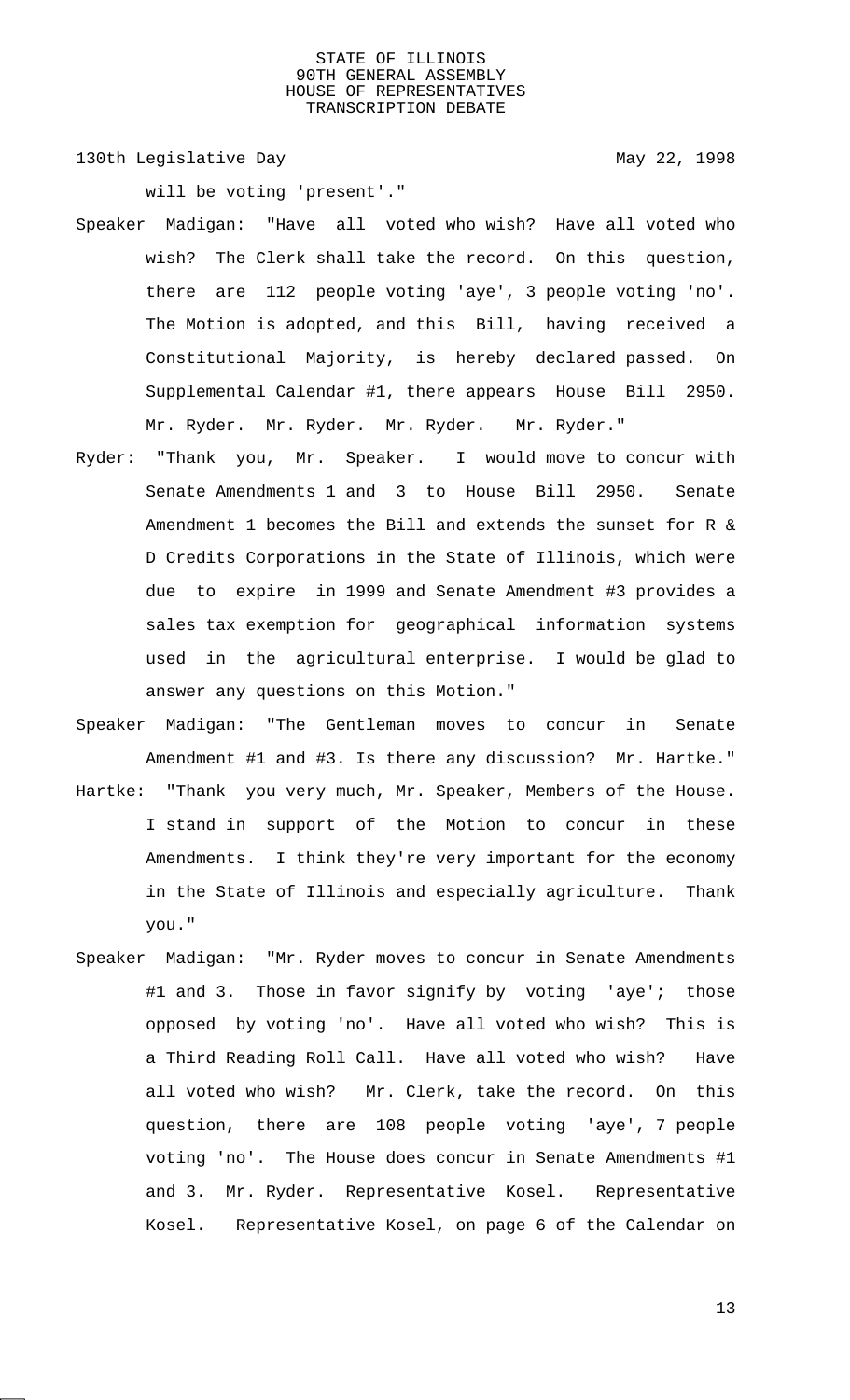130th Legislative Day 130th May 22, 1998

will be voting 'present'."

- Speaker Madigan: "Have all voted who wish? Have all voted who wish? The Clerk shall take the record. On this question, there are 112 people voting 'aye', 3 people voting 'no'. The Motion is adopted, and this Bill, having received a Constitutional Majority, is hereby declared passed. On Supplemental Calendar #1, there appears House Bill 2950. Mr. Ryder. Mr. Ryder. Mr. Ryder. Mr. Ryder."
- Ryder: "Thank you, Mr. Speaker. I would move to concur with Senate Amendments 1 and 3 to House Bill 2950. Senate Amendment 1 becomes the Bill and extends the sunset for R & D Credits Corporations in the State of Illinois, which were due to expire in 1999 and Senate Amendment #3 provides a sales tax exemption for geographical information systems used in the agricultural enterprise. I would be glad to answer any questions on this Motion."
- Speaker Madigan: "The Gentleman moves to concur in Senate Amendment #1 and #3. Is there any discussion? Mr. Hartke." Hartke: "Thank you very much, Mr. Speaker, Members of the House. I stand in support of the Motion to concur in these Amendments. I think they're very important for the economy in the State of Illinois and especially agriculture. Thank you."
- Speaker Madigan: "Mr. Ryder moves to concur in Senate Amendments #1 and 3. Those in favor signify by voting 'aye'; those opposed by voting 'no'. Have all voted who wish? This is a Third Reading Roll Call. Have all voted who wish? Have all voted who wish? Mr. Clerk, take the record. On this question, there are 108 people voting 'aye', 7 people voting 'no'. The House does concur in Senate Amendments #1 and 3. Mr. Ryder. Representative Kosel. Representative Kosel. Representative Kosel, on page 6 of the Calendar on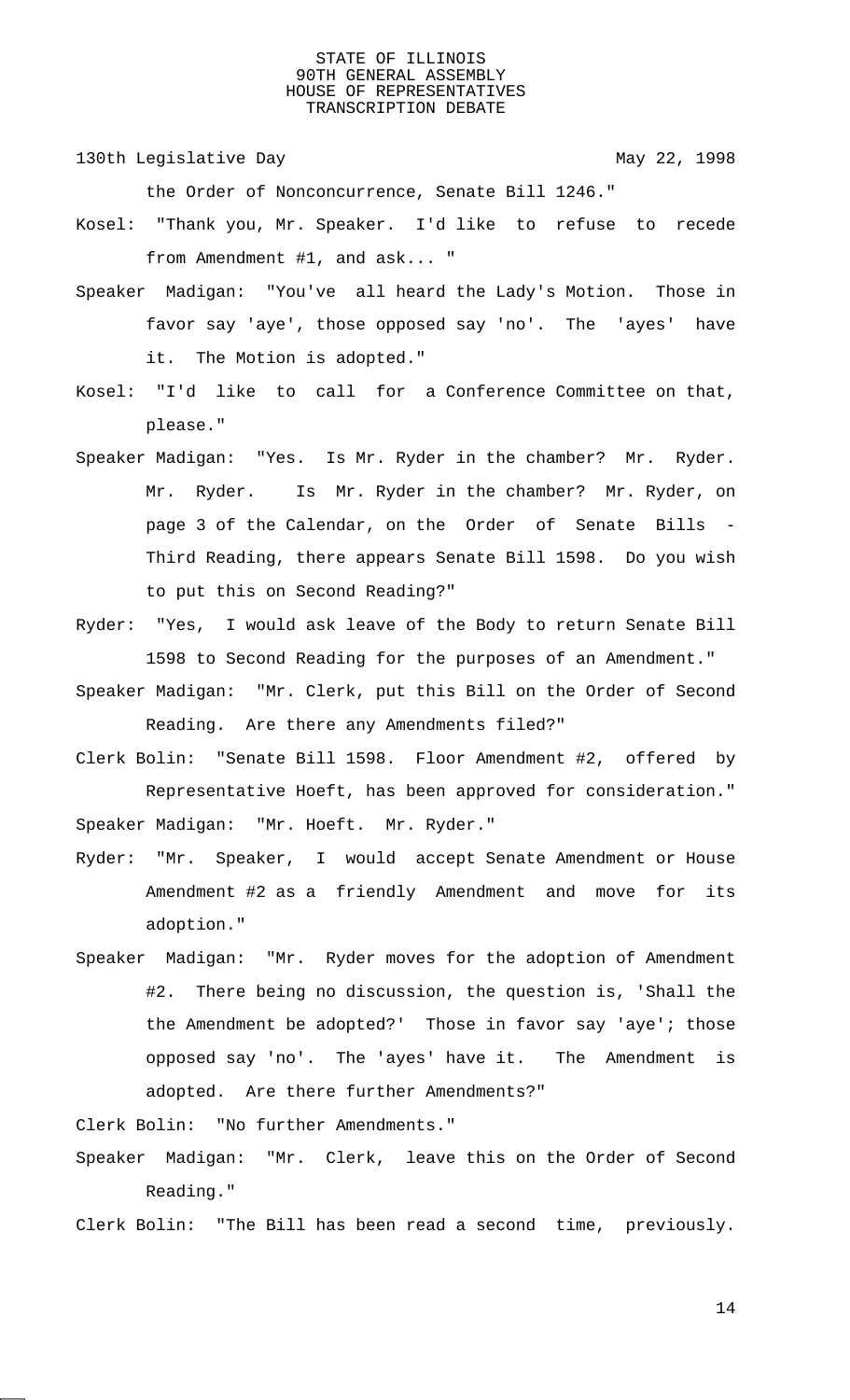130th Legislative Day 130th May 22, 1998

the Order of Nonconcurrence, Senate Bill 1246."

- Kosel: "Thank you, Mr. Speaker. I'd like to refuse to recede from Amendment #1, and ask... "
- Speaker Madigan: "You've all heard the Lady's Motion. Those in favor say 'aye', those opposed say 'no'. The 'ayes' have it. The Motion is adopted."
- Kosel: "I'd like to call for a Conference Committee on that, please."
- Speaker Madigan: "Yes. Is Mr. Ryder in the chamber? Mr. Ryder. Mr. Ryder. Is Mr. Ryder in the chamber? Mr. Ryder, on page 3 of the Calendar, on the Order of Senate Bills - Third Reading, there appears Senate Bill 1598. Do you wish to put this on Second Reading?"
- Ryder: "Yes, I would ask leave of the Body to return Senate Bill 1598 to Second Reading for the purposes of an Amendment."
- Speaker Madigan: "Mr. Clerk, put this Bill on the Order of Second Reading. Are there any Amendments filed?"
- Clerk Bolin: "Senate Bill 1598. Floor Amendment #2, offered by Representative Hoeft, has been approved for consideration." Speaker Madigan: "Mr. Hoeft. Mr. Ryder."
- Ryder: "Mr. Speaker, I would accept Senate Amendment or House Amendment #2 as a friendly Amendment and move for its adoption."
- Speaker Madigan: "Mr. Ryder moves for the adoption of Amendment #2. There being no discussion, the question is, 'Shall the the Amendment be adopted?' Those in favor say 'aye'; those opposed say 'no'. The 'ayes' have it. The Amendment is adopted. Are there further Amendments?"

Clerk Bolin: "No further Amendments."

Speaker Madigan: "Mr. Clerk, leave this on the Order of Second Reading."

Clerk Bolin: "The Bill has been read a second time, previously.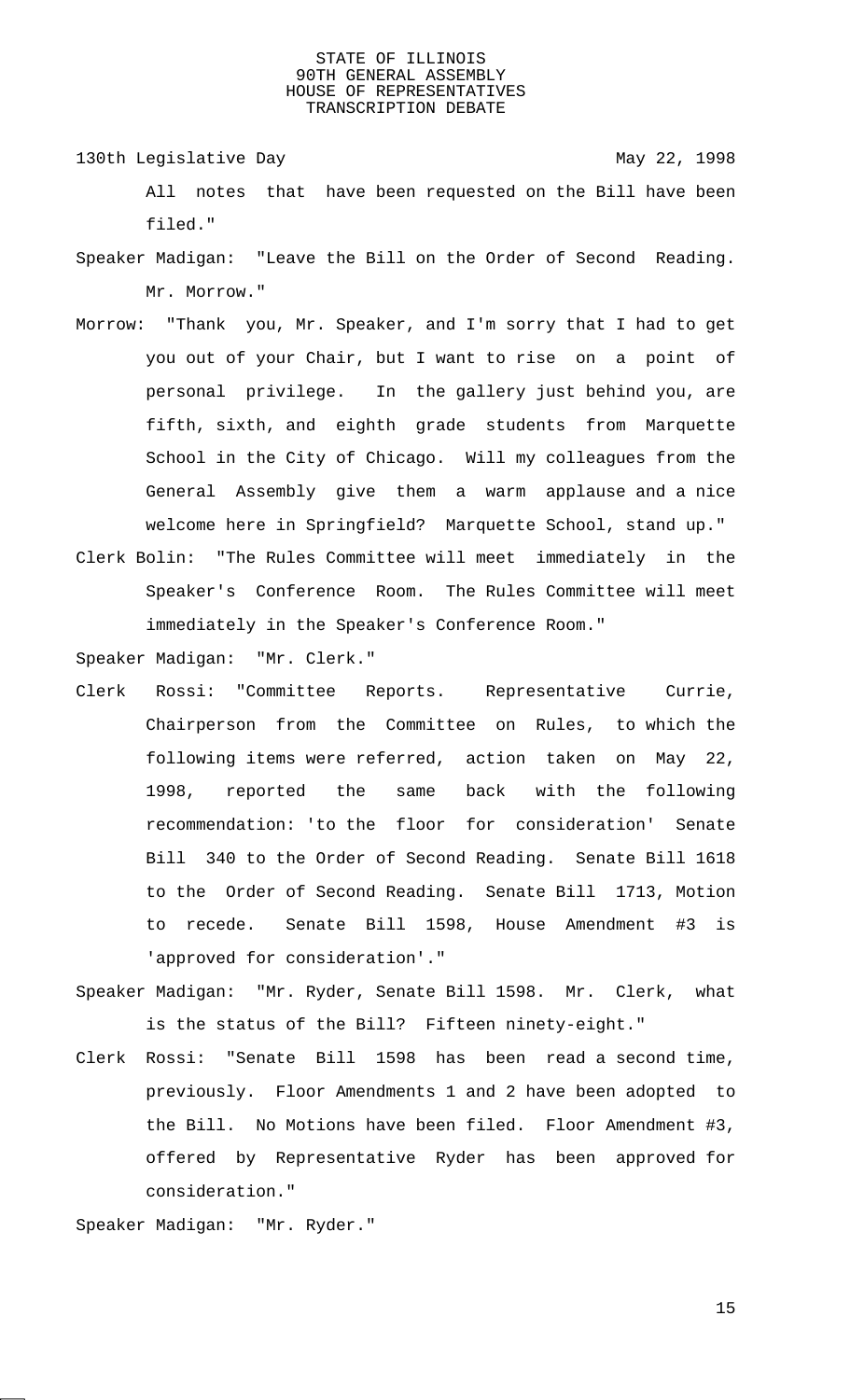130th Legislative Day 130th May 22, 1998 All notes that have been requested on the Bill have been

filed."

- Speaker Madigan: "Leave the Bill on the Order of Second Reading. Mr. Morrow."
- Morrow: "Thank you, Mr. Speaker, and I'm sorry that I had to get you out of your Chair, but I want to rise on a point of personal privilege. In the gallery just behind you, are fifth, sixth, and eighth grade students from Marquette School in the City of Chicago. Will my colleagues from the General Assembly give them a warm applause and a nice welcome here in Springfield? Marquette School, stand up."
- Clerk Bolin: "The Rules Committee will meet immediately in the Speaker's Conference Room. The Rules Committee will meet immediately in the Speaker's Conference Room."

Speaker Madigan: "Mr. Clerk."

- Clerk Rossi: "Committee Reports. Representative Currie, Chairperson from the Committee on Rules, to which the following items were referred, action taken on May 22, 1998, reported the same back with the following recommendation: 'to the floor for consideration' Senate Bill 340 to the Order of Second Reading. Senate Bill 1618 to the Order of Second Reading. Senate Bill 1713, Motion to recede. Senate Bill 1598, House Amendment #3 is 'approved for consideration'."
- Speaker Madigan: "Mr. Ryder, Senate Bill 1598. Mr. Clerk, what is the status of the Bill? Fifteen ninety-eight."
- Clerk Rossi: "Senate Bill 1598 has been read a second time, previously. Floor Amendments 1 and 2 have been adopted to the Bill. No Motions have been filed. Floor Amendment #3, offered by Representative Ryder has been approved for consideration."

Speaker Madigan: "Mr. Ryder."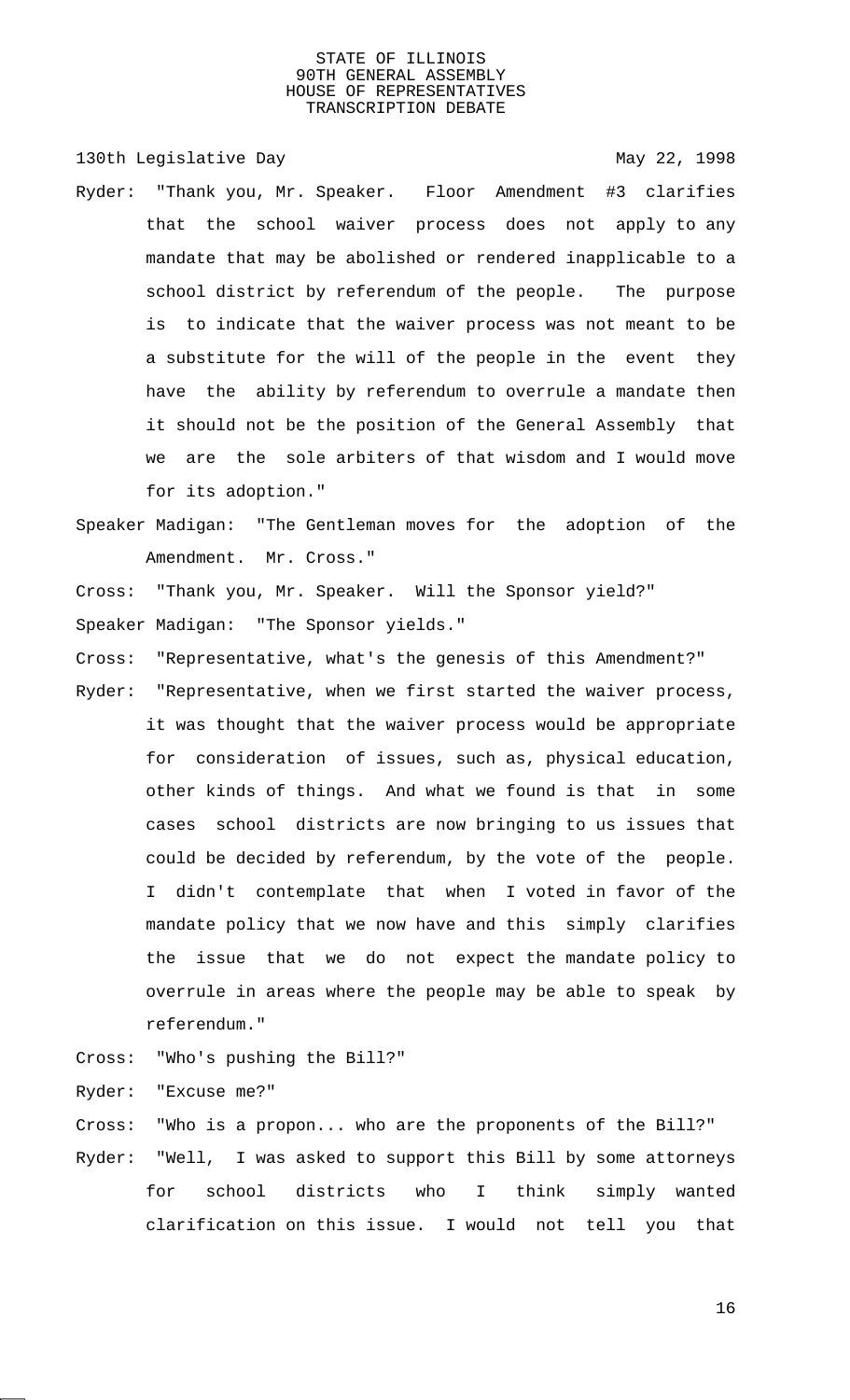130th Legislative Day 130th May 22, 1998 Ryder: "Thank you, Mr. Speaker. Floor Amendment #3 clarifies that the school waiver process does not apply to any mandate that may be abolished or rendered inapplicable to a school district by referendum of the people. The purpose is to indicate that the waiver process was not meant to be a substitute for the will of the people in the event they have the ability by referendum to overrule a mandate then it should not be the position of the General Assembly that we are the sole arbiters of that wisdom and I would move for its adoption."

- Speaker Madigan: "The Gentleman moves for the adoption of the Amendment. Mr. Cross."
- Cross: "Thank you, Mr. Speaker. Will the Sponsor yield?" Speaker Madigan: "The Sponsor yields."
- Cross: "Representative, what's the genesis of this Amendment?"
- Ryder: "Representative, when we first started the waiver process, it was thought that the waiver process would be appropriate for consideration of issues, such as, physical education, other kinds of things. And what we found is that in some cases school districts are now bringing to us issues that could be decided by referendum, by the vote of the people. I didn't contemplate that when I voted in favor of the mandate policy that we now have and this simply clarifies the issue that we do not expect the mandate policy to overrule in areas where the people may be able to speak by referendum."
- Cross: "Who's pushing the Bill?"

Ryder: "Excuse me?"

- Cross: "Who is a propon... who are the proponents of the Bill?"
- Ryder: "Well, I was asked to support this Bill by some attorneys for school districts who I think simply wanted clarification on this issue. I would not tell you that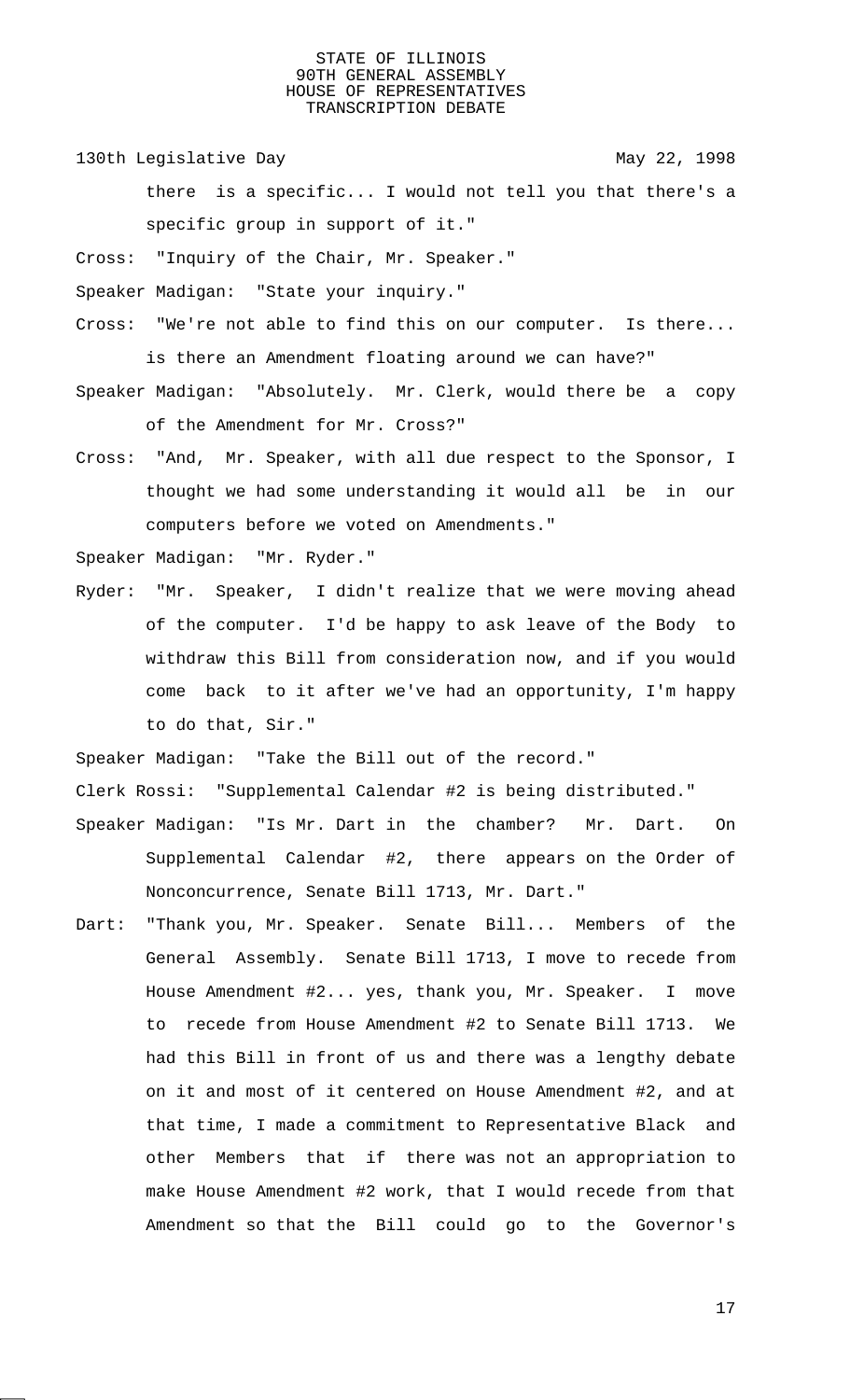130th Legislative Day 130th May 22, 1998

there is a specific... I would not tell you that there's a specific group in support of it."

Cross: "Inquiry of the Chair, Mr. Speaker."

Speaker Madigan: "State your inquiry."

- Cross: "We're not able to find this on our computer. Is there... is there an Amendment floating around we can have?"
- Speaker Madigan: "Absolutely. Mr. Clerk, would there be a copy of the Amendment for Mr. Cross?"
- Cross: "And, Mr. Speaker, with all due respect to the Sponsor, I thought we had some understanding it would all be in our computers before we voted on Amendments."

Speaker Madigan: "Mr. Ryder."

Ryder: "Mr. Speaker, I didn't realize that we were moving ahead of the computer. I'd be happy to ask leave of the Body to withdraw this Bill from consideration now, and if you would come back to it after we've had an opportunity, I'm happy to do that, Sir."

Speaker Madigan: "Take the Bill out of the record."

Clerk Rossi: "Supplemental Calendar #2 is being distributed."

- Speaker Madigan: "Is Mr. Dart in the chamber? Mr. Dart. On Supplemental Calendar #2, there appears on the Order of Nonconcurrence, Senate Bill 1713, Mr. Dart."
- Dart: "Thank you, Mr. Speaker. Senate Bill... Members of the General Assembly. Senate Bill 1713, I move to recede from House Amendment #2... yes, thank you, Mr. Speaker. I move to recede from House Amendment #2 to Senate Bill 1713. We had this Bill in front of us and there was a lengthy debate on it and most of it centered on House Amendment #2, and at that time, I made a commitment to Representative Black and other Members that if there was not an appropriation to make House Amendment #2 work, that I would recede from that Amendment so that the Bill could go to the Governor's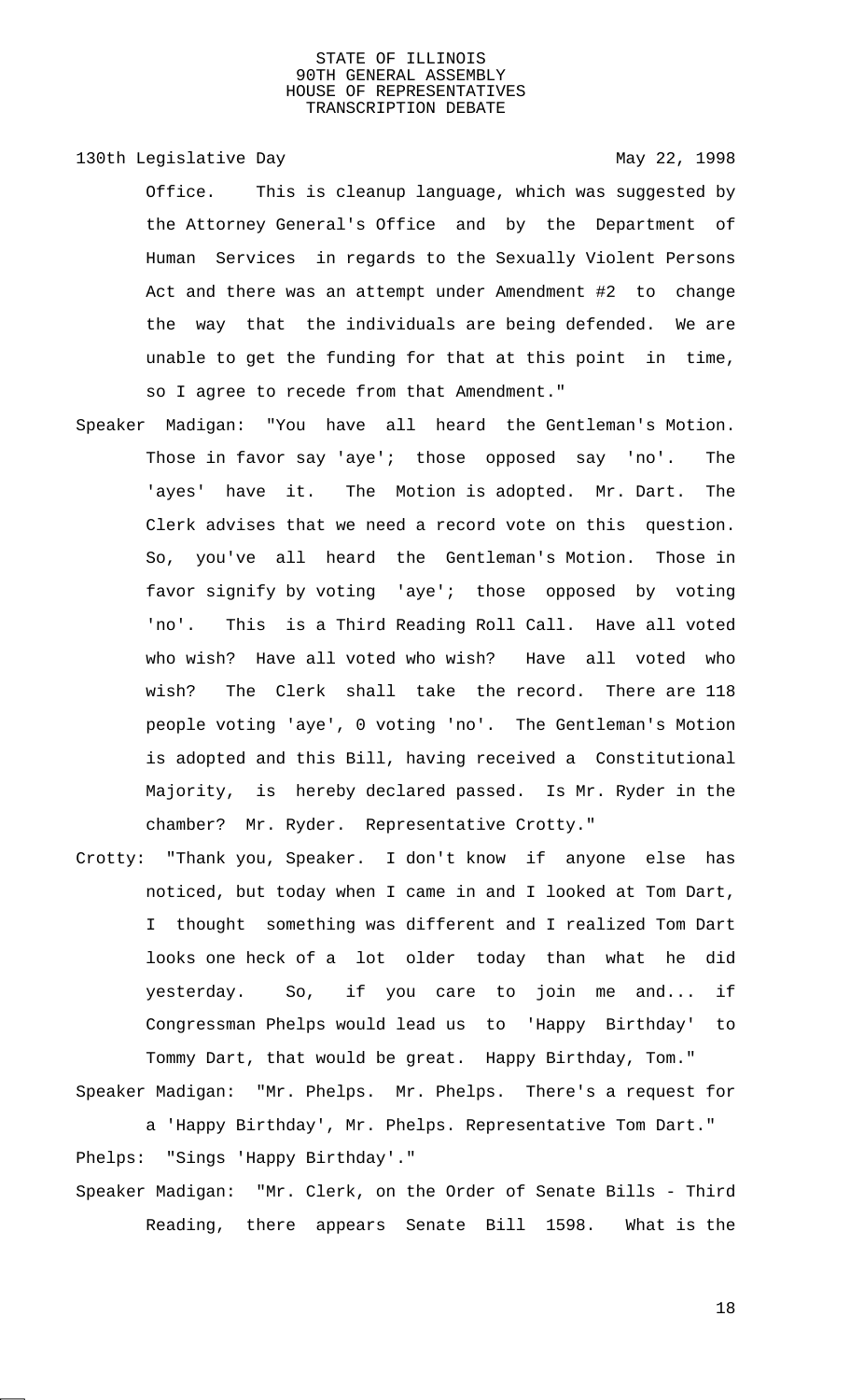130th Legislative Day 130th May 22, 1998

Office. This is cleanup language, which was suggested by the Attorney General's Office and by the Department of Human Services in regards to the Sexually Violent Persons Act and there was an attempt under Amendment #2 to change the way that the individuals are being defended. We are unable to get the funding for that at this point in time, so I agree to recede from that Amendment."

- Speaker Madigan: "You have all heard the Gentleman's Motion. Those in favor say 'aye'; those opposed say 'no'. The 'ayes' have it. The Motion is adopted. Mr. Dart. The Clerk advises that we need a record vote on this question. So, you've all heard the Gentleman's Motion. Those in favor signify by voting 'aye'; those opposed by voting 'no'. This is a Third Reading Roll Call. Have all voted who wish? Have all voted who wish? Have all voted who wish? The Clerk shall take the record. There are 118 people voting 'aye', 0 voting 'no'. The Gentleman's Motion is adopted and this Bill, having received a Constitutional Majority, is hereby declared passed. Is Mr. Ryder in the chamber? Mr. Ryder. Representative Crotty."
- Crotty: "Thank you, Speaker. I don't know if anyone else has noticed, but today when I came in and I looked at Tom Dart, I thought something was different and I realized Tom Dart looks one heck of a lot older today than what he did yesterday. So, if you care to join me and... if Congressman Phelps would lead us to 'Happy Birthday' to Tommy Dart, that would be great. Happy Birthday, Tom."

Speaker Madigan: "Mr. Phelps. Mr. Phelps. There's a request for a 'Happy Birthday', Mr. Phelps. Representative Tom Dart."

Phelps: "Sings 'Happy Birthday'." Speaker Madigan: "Mr. Clerk, on the Order of Senate Bills - Third Reading, there appears Senate Bill 1598. What is the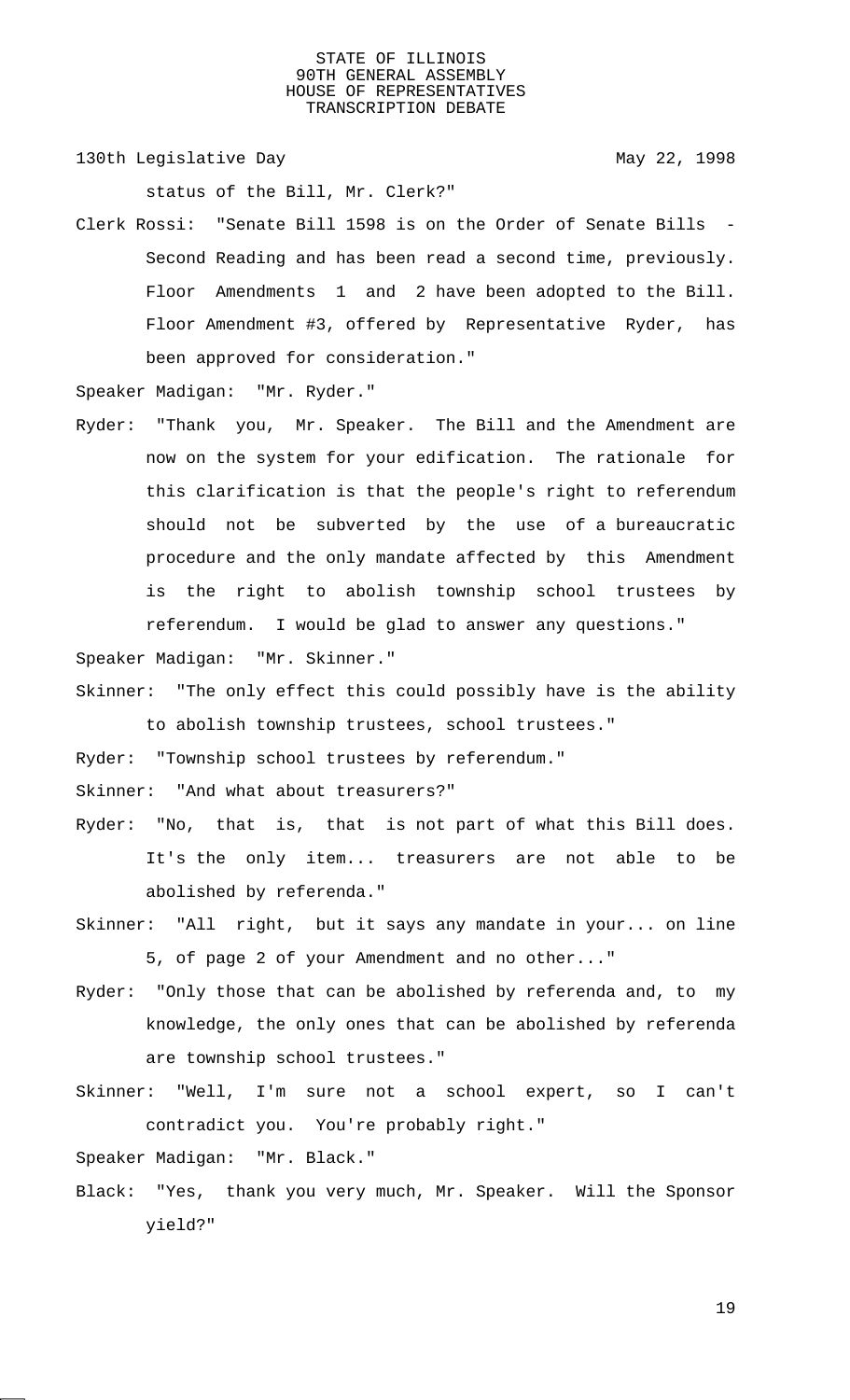130th Legislative Day 130th May 22, 1998

status of the Bill, Mr. Clerk?"

Clerk Rossi: "Senate Bill 1598 is on the Order of Senate Bills - Second Reading and has been read a second time, previously. Floor Amendments 1 and 2 have been adopted to the Bill. Floor Amendment #3, offered by Representative Ryder, has been approved for consideration."

Speaker Madigan: "Mr. Ryder."

Ryder: "Thank you, Mr. Speaker. The Bill and the Amendment are now on the system for your edification. The rationale for this clarification is that the people's right to referendum should not be subverted by the use of a bureaucratic procedure and the only mandate affected by this Amendment is the right to abolish township school trustees by referendum. I would be glad to answer any questions."

Speaker Madigan: "Mr. Skinner."

Skinner: "The only effect this could possibly have is the ability to abolish township trustees, school trustees."

Ryder: "Township school trustees by referendum."

Skinner: "And what about treasurers?"

- Ryder: "No, that is, that is not part of what this Bill does. It's the only item... treasurers are not able to be abolished by referenda."
- Skinner: "All right, but it says any mandate in your... on line 5, of page 2 of your Amendment and no other..."
- Ryder: "Only those that can be abolished by referenda and, to my knowledge, the only ones that can be abolished by referenda are township school trustees."
- Skinner: "Well, I'm sure not a school expert, so I can't contradict you. You're probably right."

Speaker Madigan: "Mr. Black."

Black: "Yes, thank you very much, Mr. Speaker. Will the Sponsor yield?"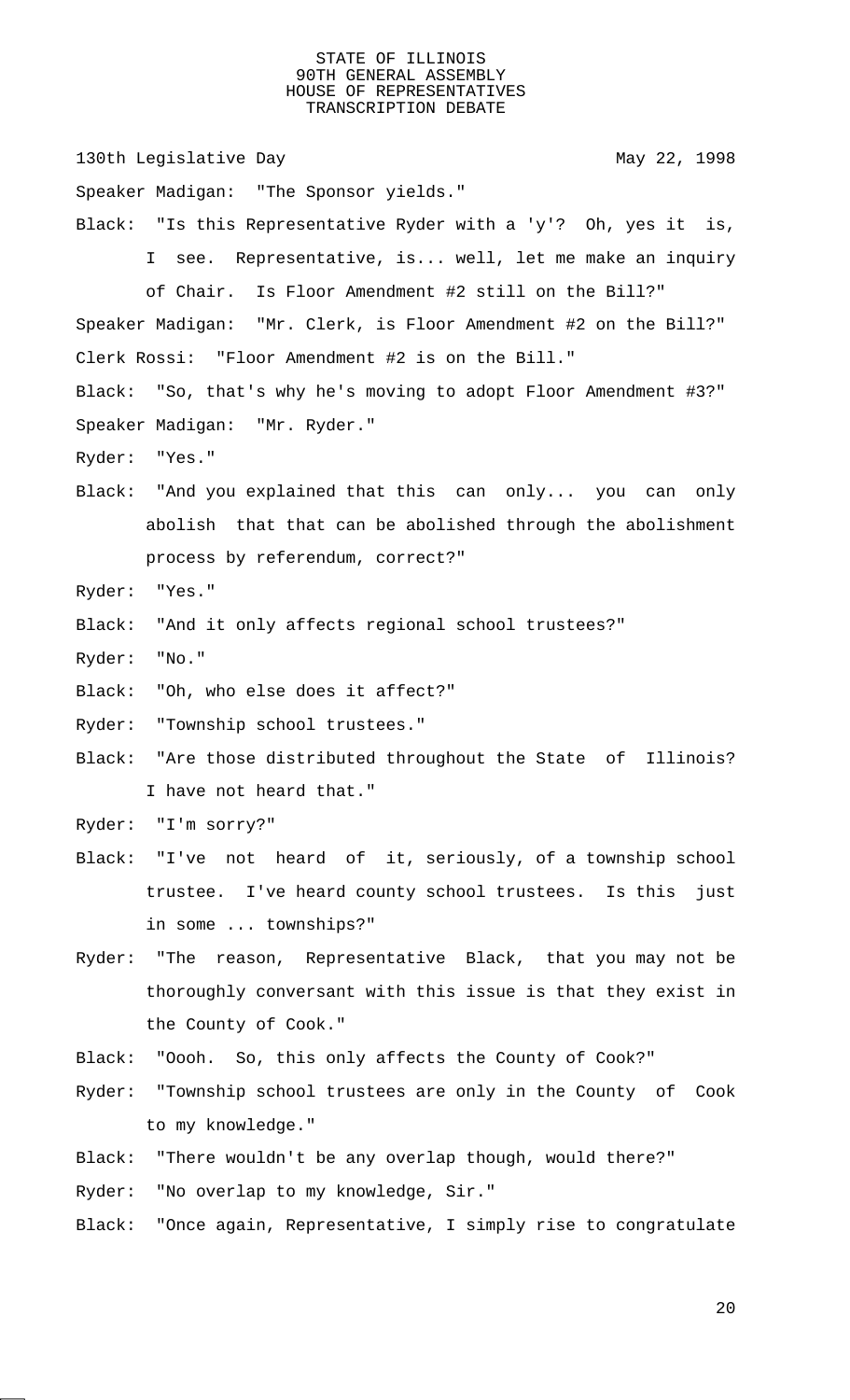130th Legislative Day 130th May 22, 1998 Speaker Madigan: "The Sponsor yields." Black: "Is this Representative Ryder with a 'y'? Oh, yes it is, I see. Representative, is... well, let me make an inquiry of Chair. Is Floor Amendment #2 still on the Bill?" Speaker Madigan: "Mr. Clerk, is Floor Amendment #2 on the Bill?" Clerk Rossi: "Floor Amendment #2 is on the Bill." Black: "So, that's why he's moving to adopt Floor Amendment #3?" Speaker Madigan: "Mr. Ryder." Ryder: "Yes." Black: "And you explained that this can only... you can only abolish that that can be abolished through the abolishment process by referendum, correct?" Ryder: "Yes." Black: "And it only affects regional school trustees?" Ryder: "No." Black: "Oh, who else does it affect?" Ryder: "Township school trustees." Black: "Are those distributed throughout the State of Illinois? I have not heard that." Ryder: "I'm sorry?" Black: "I've not heard of it, seriously, of a township school trustee. I've heard county school trustees. Is this just in some ... townships?" Ryder: "The reason, Representative Black, that you may not be thoroughly conversant with this issue is that they exist in the County of Cook." Black: "Oooh. So, this only affects the County of Cook?" Ryder: "Township school trustees are only in the County of Cook to my knowledge." Black: "There wouldn't be any overlap though, would there?"

Ryder: "No overlap to my knowledge, Sir."

Black: "Once again, Representative, I simply rise to congratulate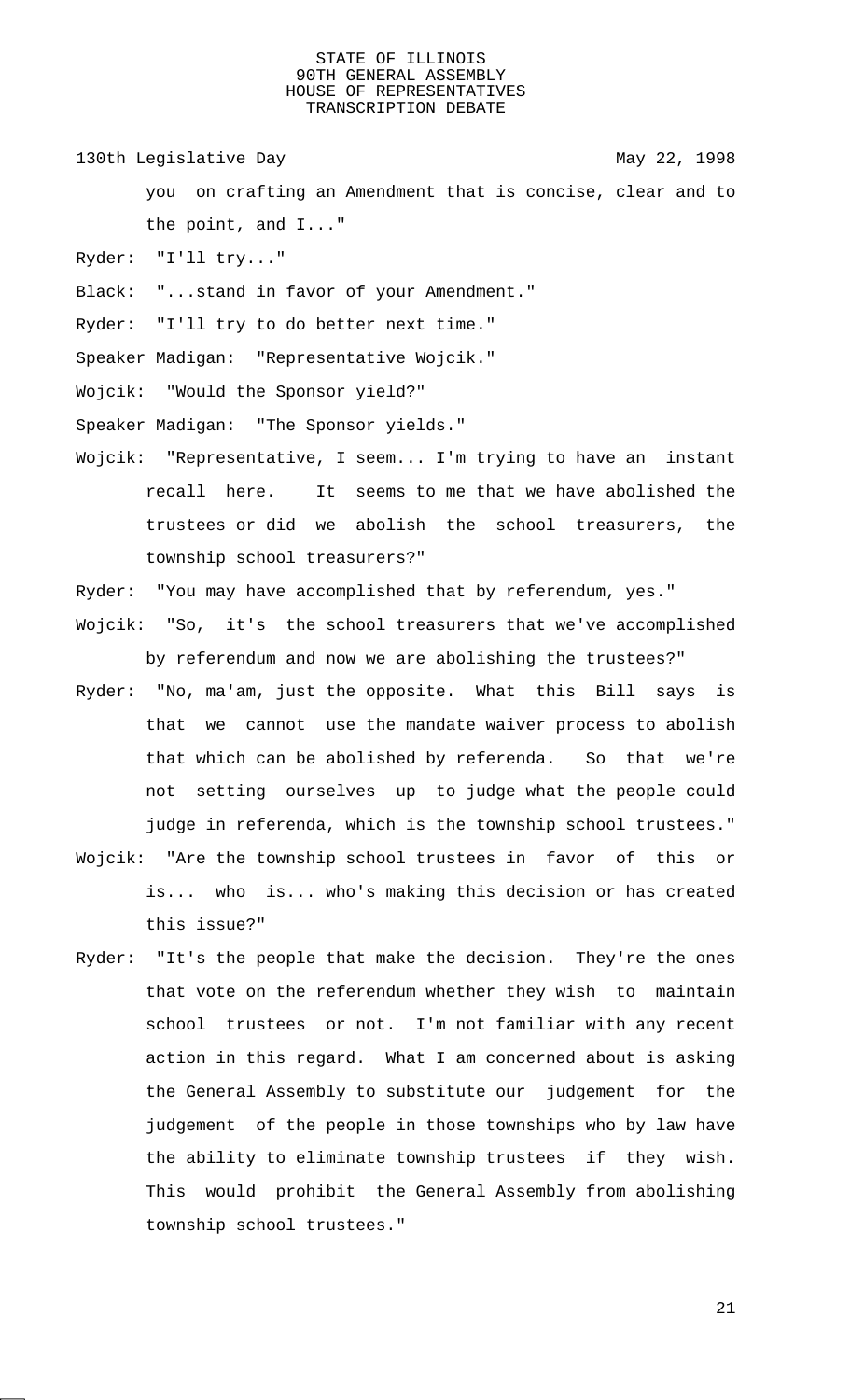130th Legislative Day 130th May 22, 1998

you on crafting an Amendment that is concise, clear and to the point, and I..."

- Ryder: "I'll try..."
- Black: "...stand in favor of your Amendment."
- Ryder: "I'll try to do better next time."

Speaker Madigan: "Representative Wojcik."

- Wojcik: "Would the Sponsor yield?"
- Speaker Madigan: "The Sponsor yields."
- Wojcik: "Representative, I seem... I'm trying to have an instant recall here. It seems to me that we have abolished the trustees or did we abolish the school treasurers, the township school treasurers?"
- Ryder: "You may have accomplished that by referendum, yes."
- Wojcik: "So, it's the school treasurers that we've accomplished by referendum and now we are abolishing the trustees?"
- Ryder: "No, ma'am, just the opposite. What this Bill says is that we cannot use the mandate waiver process to abolish that which can be abolished by referenda. So that we're not setting ourselves up to judge what the people could judge in referenda, which is the township school trustees."
- Wojcik: "Are the township school trustees in favor of this or is... who is... who's making this decision or has created this issue?"
- Ryder: "It's the people that make the decision. They're the ones that vote on the referendum whether they wish to maintain school trustees or not. I'm not familiar with any recent action in this regard. What I am concerned about is asking the General Assembly to substitute our judgement for the judgement of the people in those townships who by law have the ability to eliminate township trustees if they wish. This would prohibit the General Assembly from abolishing township school trustees."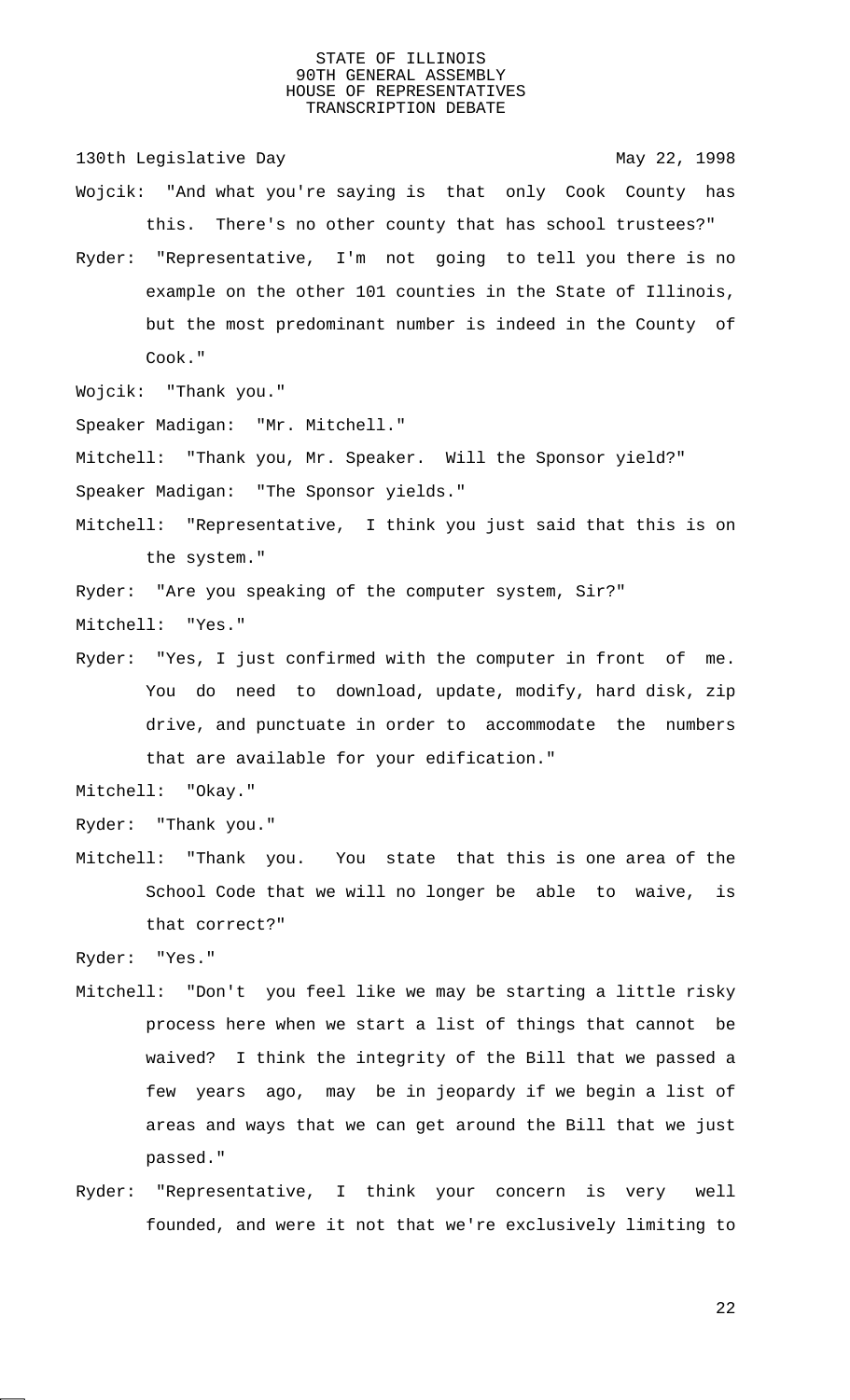130th Legislative Day 130th May 22, 1998

- Wojcik: "And what you're saying is that only Cook County has this. There's no other county that has school trustees?"
- Ryder: "Representative, I'm not going to tell you there is no example on the other 101 counties in the State of Illinois, but the most predominant number is indeed in the County of Cook."

Wojcik: "Thank you."

Speaker Madigan: "Mr. Mitchell."

Mitchell: "Thank you, Mr. Speaker. Will the Sponsor yield?"

Speaker Madigan: "The Sponsor yields."

Mitchell: "Representative, I think you just said that this is on the system."

Ryder: "Are you speaking of the computer system, Sir?"

- Mitchell: "Yes."
- Ryder: "Yes, I just confirmed with the computer in front of me. You do need to download, update, modify, hard disk, zip drive, and punctuate in order to accommodate the numbers that are available for your edification."

Mitchell: "Okay."

Ryder: "Thank you."

Mitchell: "Thank you. You state that this is one area of the School Code that we will no longer be able to waive, is that correct?"

Ryder: "Yes."

- Mitchell: "Don't you feel like we may be starting a little risky process here when we start a list of things that cannot be waived? I think the integrity of the Bill that we passed a few years ago, may be in jeopardy if we begin a list of areas and ways that we can get around the Bill that we just passed."
- Ryder: "Representative, I think your concern is very well founded, and were it not that we're exclusively limiting to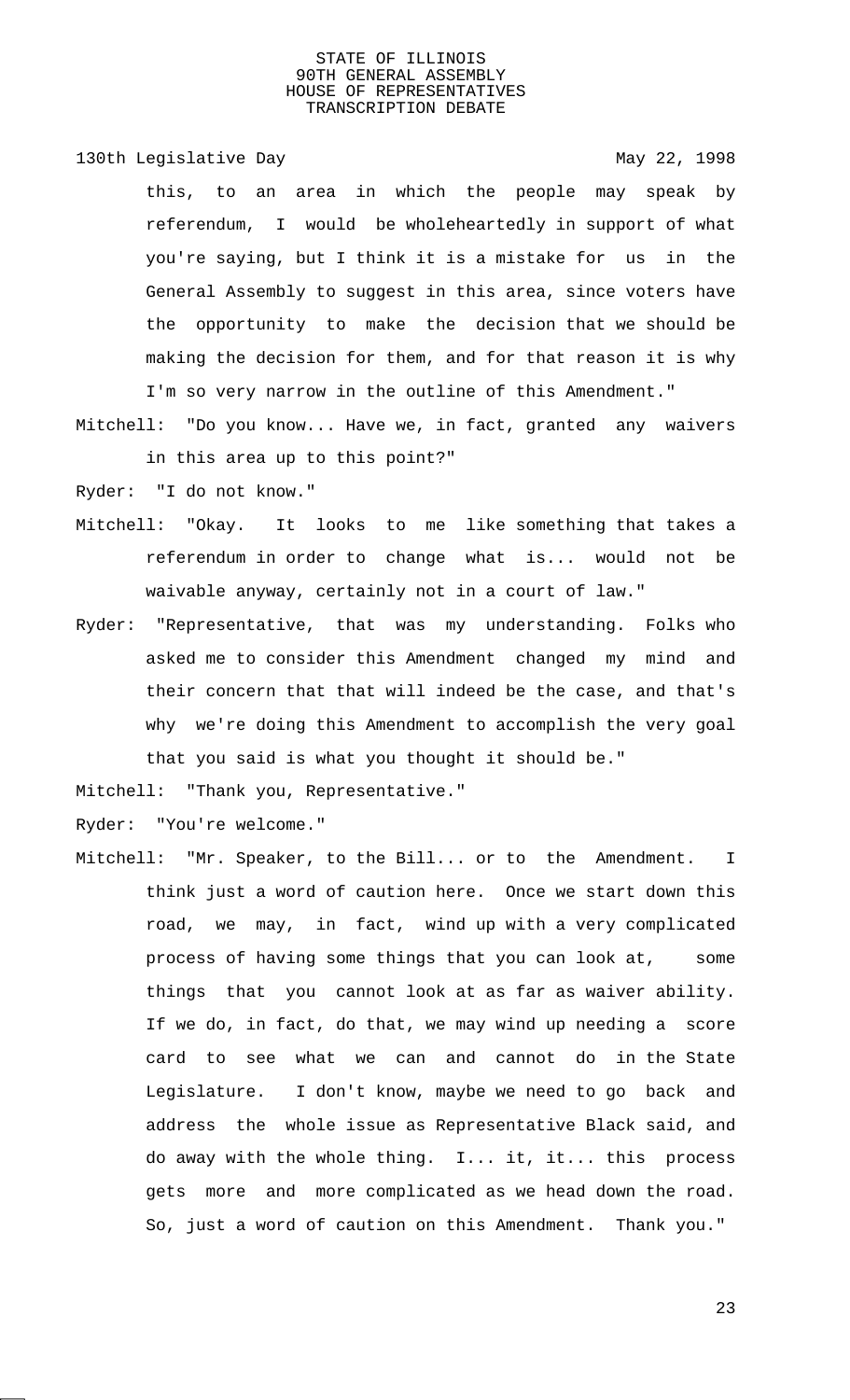130th Legislative Day 130th May 22, 1998

this, to an area in which the people may speak by referendum, I would be wholeheartedly in support of what you're saying, but I think it is a mistake for us in the General Assembly to suggest in this area, since voters have the opportunity to make the decision that we should be making the decision for them, and for that reason it is why I'm so very narrow in the outline of this Amendment."

Mitchell: "Do you know... Have we, in fact, granted any waivers in this area up to this point?"

Ryder: "I do not know."

- Mitchell: "Okay. It looks to me like something that takes a referendum in order to change what is... would not be waivable anyway, certainly not in a court of law."
- Ryder: "Representative, that was my understanding. Folks who asked me to consider this Amendment changed my mind and their concern that that will indeed be the case, and that's why we're doing this Amendment to accomplish the very goal that you said is what you thought it should be."

Mitchell: "Thank you, Representative."

Ryder: "You're welcome."

Mitchell: "Mr. Speaker, to the Bill... or to the Amendment. I think just a word of caution here. Once we start down this road, we may, in fact, wind up with a very complicated process of having some things that you can look at, some things that you cannot look at as far as waiver ability. If we do, in fact, do that, we may wind up needing a score card to see what we can and cannot do in the State Legislature. I don't know, maybe we need to go back and address the whole issue as Representative Black said, and do away with the whole thing. I... it, it... this process gets more and more complicated as we head down the road. So, just a word of caution on this Amendment. Thank you."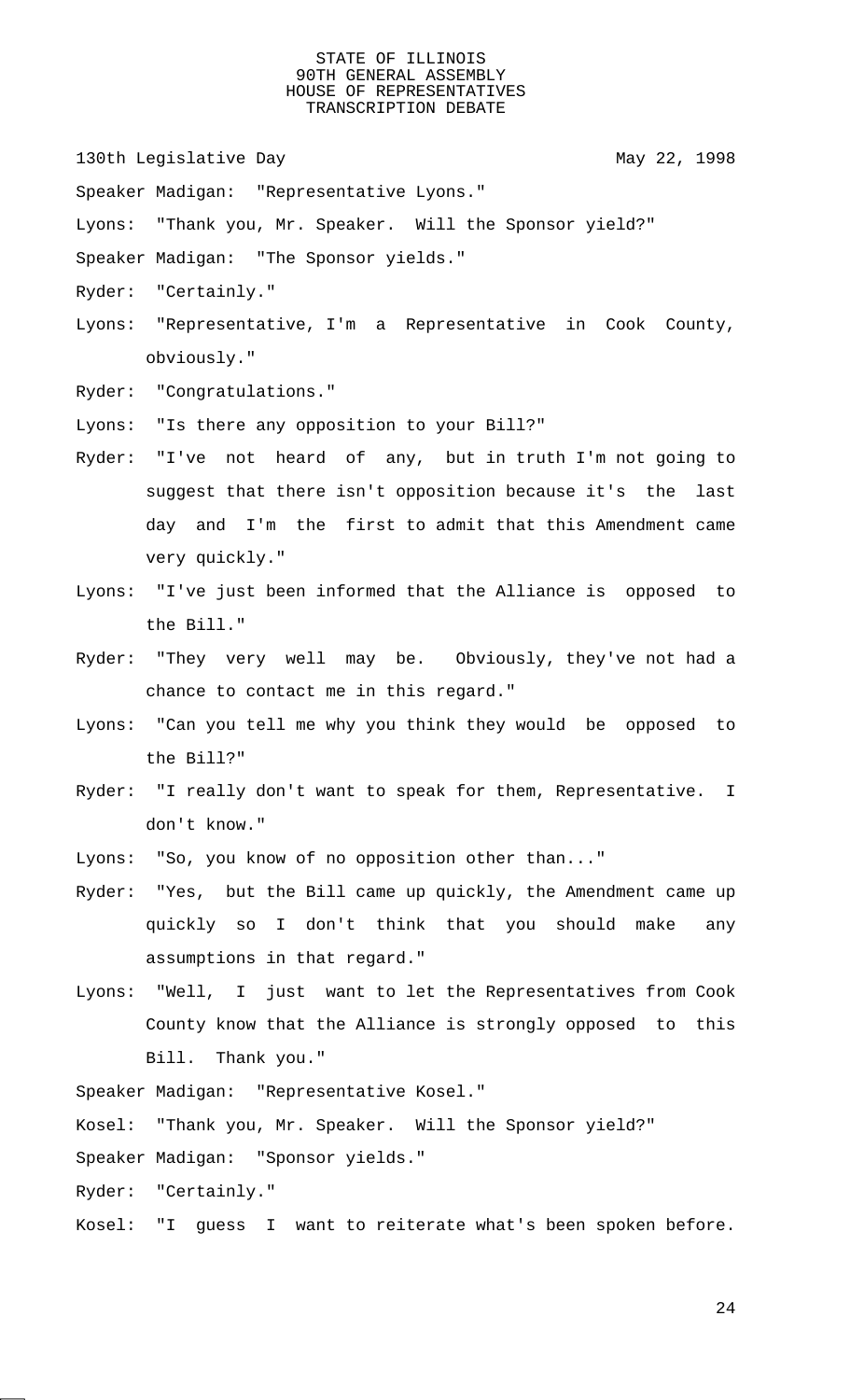130th Legislative Day 130th May 22, 1998

Speaker Madigan: "Representative Lyons."

Lyons: "Thank you, Mr. Speaker. Will the Sponsor yield?"

Speaker Madigan: "The Sponsor yields."

Ryder: "Certainly."

- Lyons: "Representative, I'm a Representative in Cook County, obviously."
- Ryder: "Congratulations."

Lyons: "Is there any opposition to your Bill?"

- Ryder: "I've not heard of any, but in truth I'm not going to suggest that there isn't opposition because it's the last day and I'm the first to admit that this Amendment came very quickly."
- Lyons: "I've just been informed that the Alliance is opposed to the Bill."
- Ryder: "They very well may be. Obviously, they've not had a chance to contact me in this regard."
- Lyons: "Can you tell me why you think they would be opposed to the Bill?"
- Ryder: "I really don't want to speak for them, Representative. I don't know."
- Lyons: "So, you know of no opposition other than..."
- Ryder: "Yes, but the Bill came up quickly, the Amendment came up quickly so I don't think that you should make any assumptions in that regard."
- Lyons: "Well, I just want to let the Representatives from Cook County know that the Alliance is strongly opposed to this Bill. Thank you."

Speaker Madigan: "Representative Kosel."

Kosel: "Thank you, Mr. Speaker. Will the Sponsor yield?"

Speaker Madigan: "Sponsor yields."

Ryder: "Certainly."

Kosel: "I guess I want to reiterate what's been spoken before.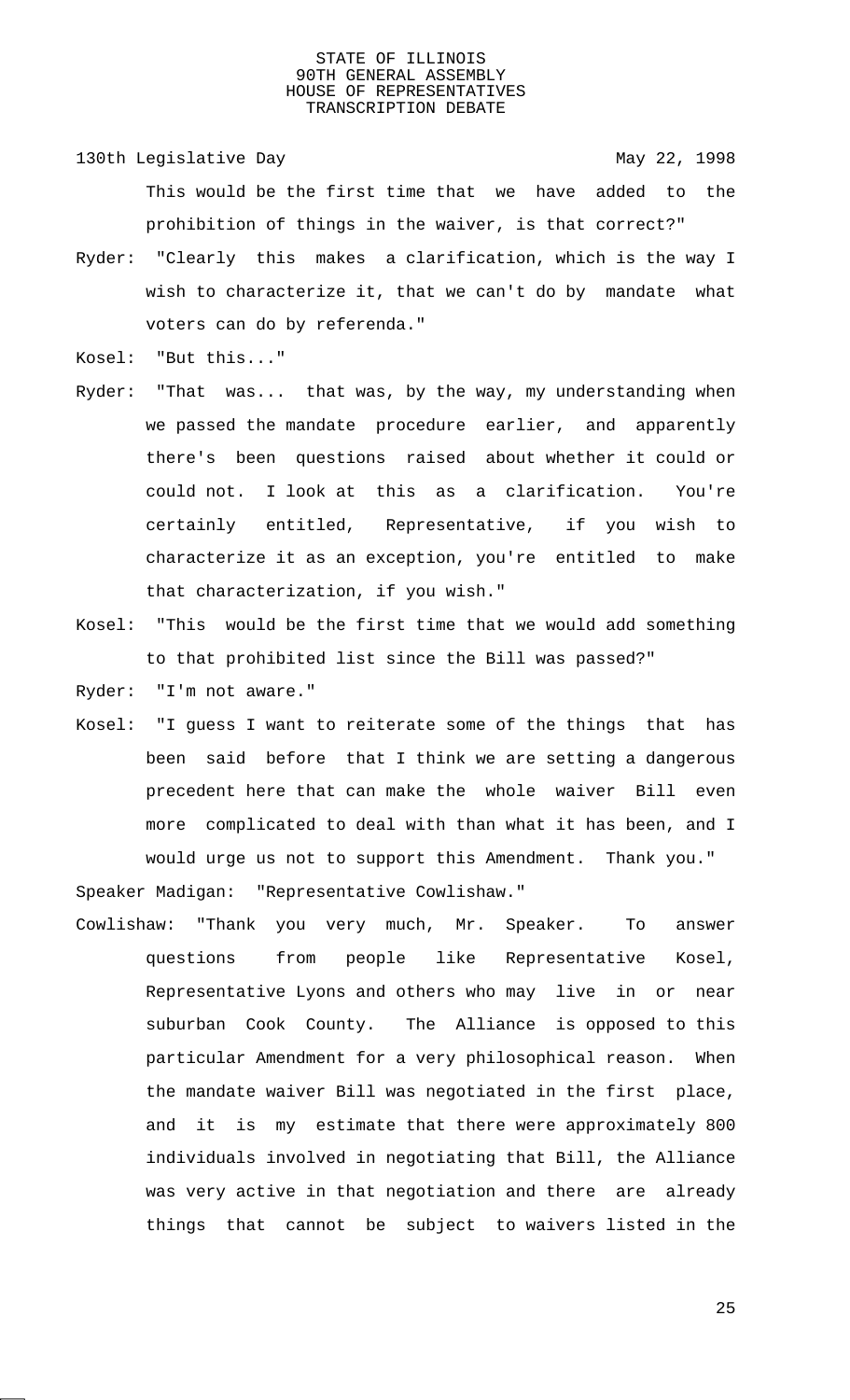130th Legislative Day 130th May 22, 1998 This would be the first time that we have added to the prohibition of things in the waiver, is that correct?"

- Ryder: "Clearly this makes a clarification, which is the way I wish to characterize it, that we can't do by mandate what voters can do by referenda."
- Kosel: "But this..."
- Ryder: "That was... that was, by the way, my understanding when we passed the mandate procedure earlier, and apparently there's been questions raised about whether it could or could not. I look at this as a clarification. You're certainly entitled, Representative, if you wish to characterize it as an exception, you're entitled to make that characterization, if you wish."
- Kosel: "This would be the first time that we would add something to that prohibited list since the Bill was passed?"
- Ryder: "I'm not aware."
- Kosel: "I guess I want to reiterate some of the things that has been said before that I think we are setting a dangerous precedent here that can make the whole waiver Bill even more complicated to deal with than what it has been, and I would urge us not to support this Amendment. Thank you."

Speaker Madigan: "Representative Cowlishaw."

Cowlishaw: "Thank you very much, Mr. Speaker. To answer questions from people like Representative Kosel, Representative Lyons and others who may live in or near suburban Cook County. The Alliance is opposed to this particular Amendment for a very philosophical reason. When the mandate waiver Bill was negotiated in the first place, and it is my estimate that there were approximately 800 individuals involved in negotiating that Bill, the Alliance was very active in that negotiation and there are already things that cannot be subject to waivers listed in the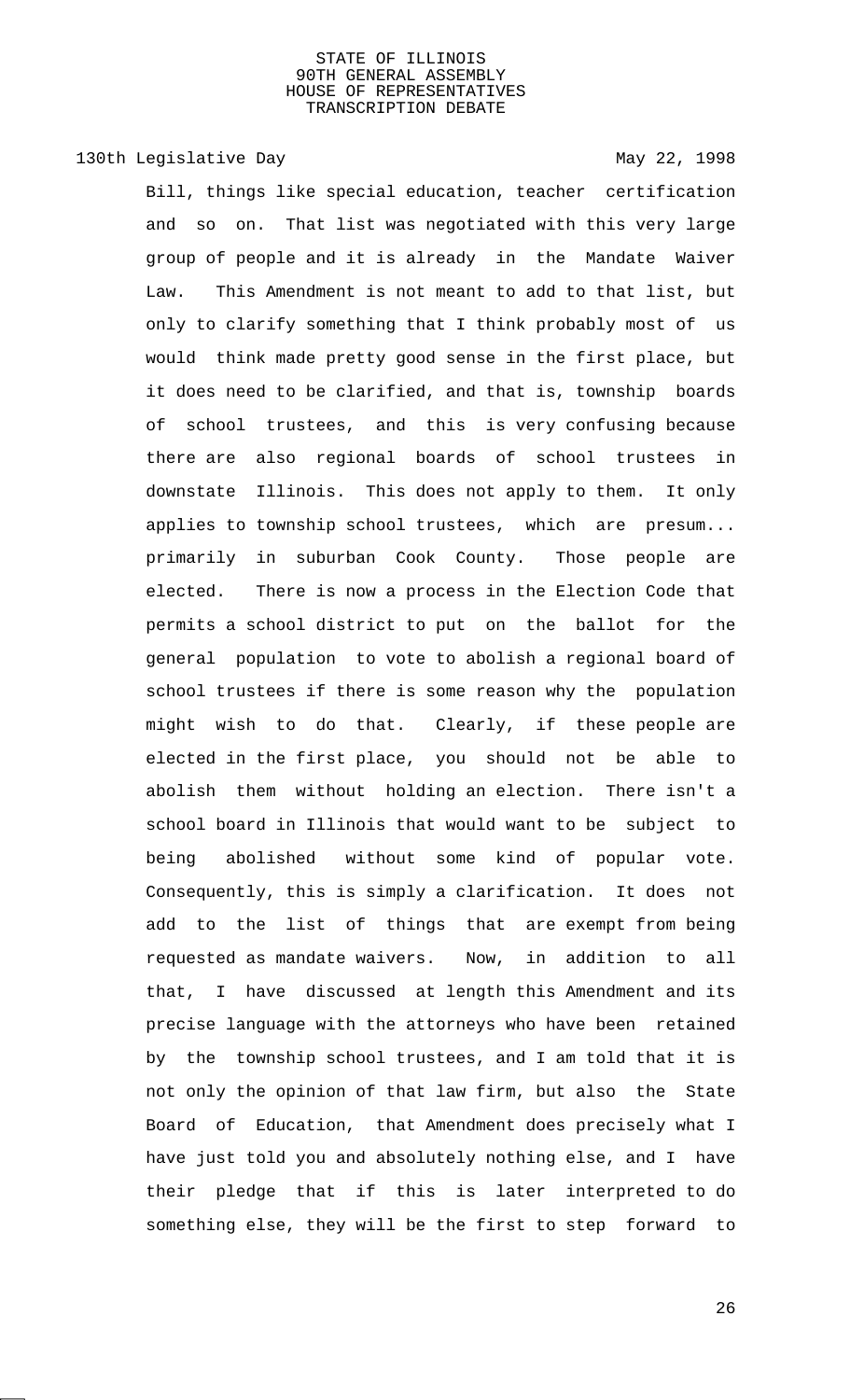# 130th Legislative Day 130th May 22, 1998

Bill, things like special education, teacher certification and so on. That list was negotiated with this very large group of people and it is already in the Mandate Waiver Law. This Amendment is not meant to add to that list, but only to clarify something that I think probably most of us would think made pretty good sense in the first place, but it does need to be clarified, and that is, township boards of school trustees, and this is very confusing because there are also regional boards of school trustees in downstate Illinois. This does not apply to them. It only applies to township school trustees, which are presum... primarily in suburban Cook County. Those people are elected. There is now a process in the Election Code that permits a school district to put on the ballot for the general population to vote to abolish a regional board of school trustees if there is some reason why the population might wish to do that. Clearly, if these people are elected in the first place, you should not be able to abolish them without holding an election. There isn't a school board in Illinois that would want to be subject to being abolished without some kind of popular vote. Consequently, this is simply a clarification. It does not add to the list of things that are exempt from being requested as mandate waivers. Now, in addition to all that, I have discussed at length this Amendment and its precise language with the attorneys who have been retained by the township school trustees, and I am told that it is not only the opinion of that law firm, but also the State Board of Education, that Amendment does precisely what I have just told you and absolutely nothing else, and I have their pledge that if this is later interpreted to do something else, they will be the first to step forward to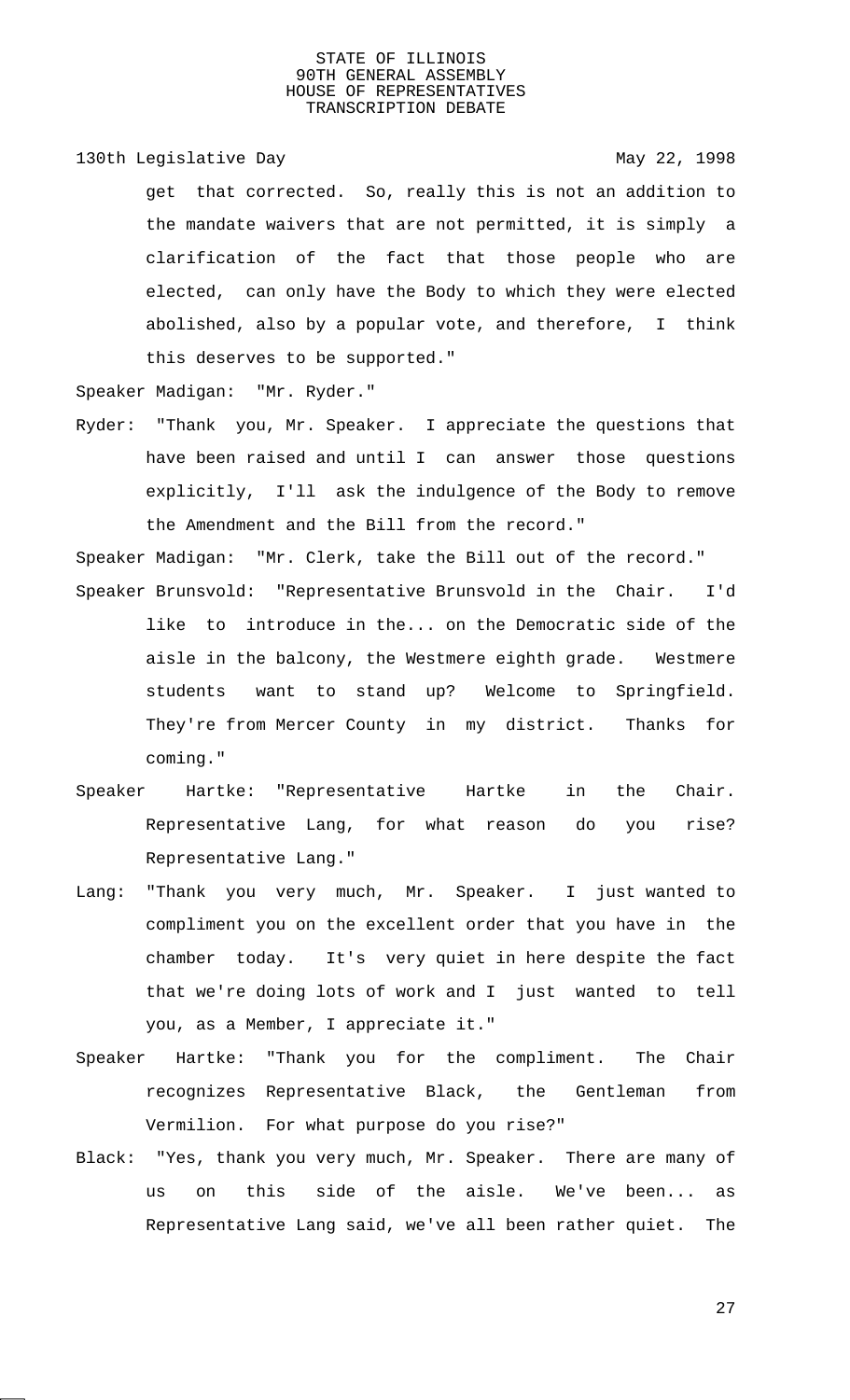130th Legislative Day 130th May 22, 1998

get that corrected. So, really this is not an addition to the mandate waivers that are not permitted, it is simply a clarification of the fact that those people who are elected, can only have the Body to which they were elected abolished, also by a popular vote, and therefore, I think this deserves to be supported."

Speaker Madigan: "Mr. Ryder."

Ryder: "Thank you, Mr. Speaker. I appreciate the questions that have been raised and until I can answer those questions explicitly, I'll ask the indulgence of the Body to remove the Amendment and the Bill from the record."

Speaker Madigan: "Mr. Clerk, take the Bill out of the record." Speaker Brunsvold: "Representative Brunsvold in the Chair. I'd

- like to introduce in the... on the Democratic side of the aisle in the balcony, the Westmere eighth grade. Westmere students want to stand up? Welcome to Springfield. They're from Mercer County in my district. Thanks for coming."
- Speaker Hartke: "Representative Hartke in the Chair. Representative Lang, for what reason do you rise? Representative Lang."
- Lang: "Thank you very much, Mr. Speaker. I just wanted to compliment you on the excellent order that you have in the chamber today. It's very quiet in here despite the fact that we're doing lots of work and I just wanted to tell you, as a Member, I appreciate it."
- Speaker Hartke: "Thank you for the compliment. The Chair recognizes Representative Black, the Gentleman from Vermilion. For what purpose do you rise?"
- Black: "Yes, thank you very much, Mr. Speaker. There are many of us on this side of the aisle. We've been... as Representative Lang said, we've all been rather quiet. The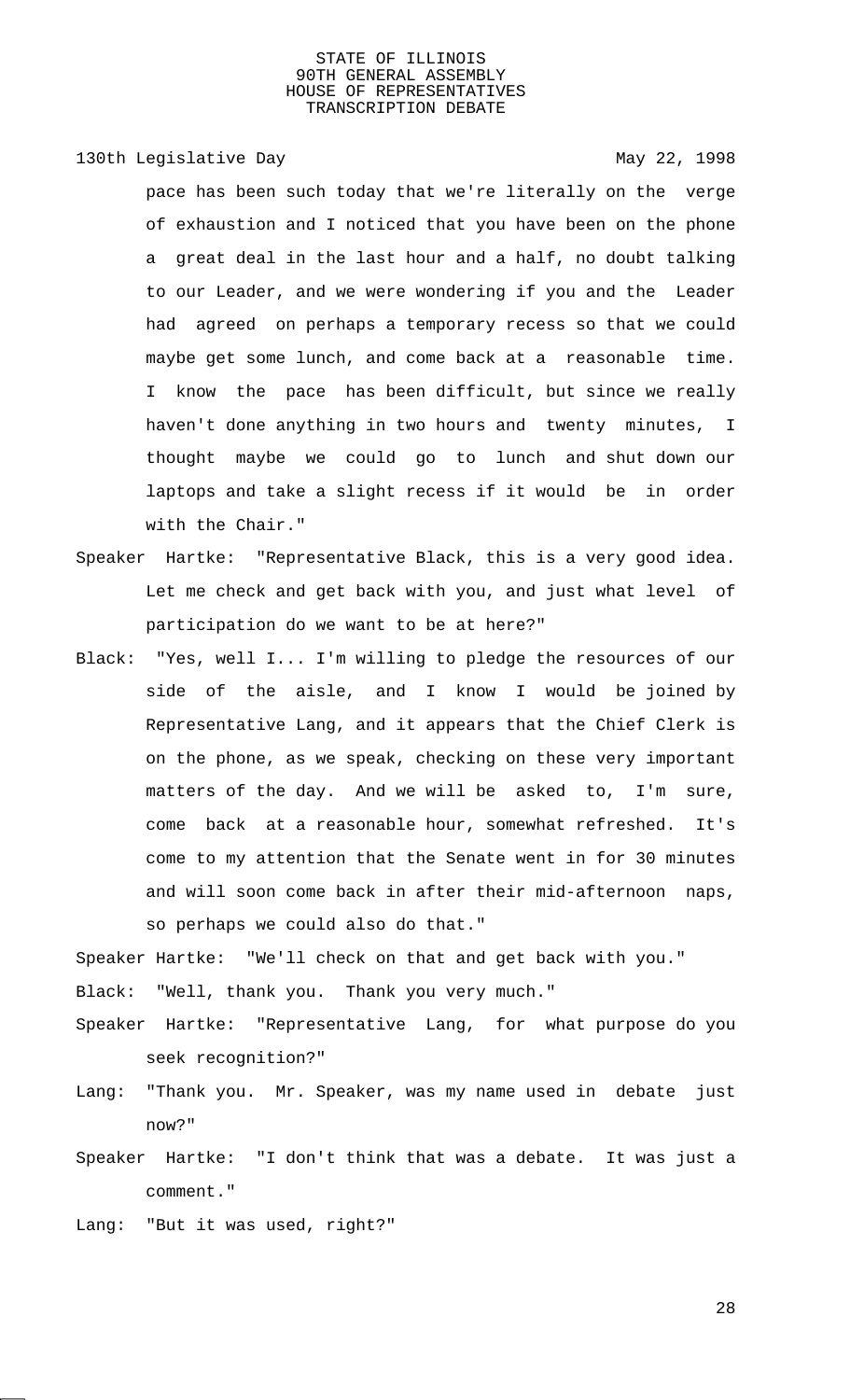130th Legislative Day 130th May 22, 1998

pace has been such today that we're literally on the verge of exhaustion and I noticed that you have been on the phone a great deal in the last hour and a half, no doubt talking to our Leader, and we were wondering if you and the Leader had agreed on perhaps a temporary recess so that we could maybe get some lunch, and come back at a reasonable time. I know the pace has been difficult, but since we really haven't done anything in two hours and twenty minutes, I thought maybe we could go to lunch and shut down our laptops and take a slight recess if it would be in order with the Chair."

- Speaker Hartke: "Representative Black, this is a very good idea. Let me check and get back with you, and just what level of participation do we want to be at here?"
- Black: "Yes, well I... I'm willing to pledge the resources of our side of the aisle, and I know I would be joined by Representative Lang, and it appears that the Chief Clerk is on the phone, as we speak, checking on these very important matters of the day. And we will be asked to, I'm sure, come back at a reasonable hour, somewhat refreshed. It's come to my attention that the Senate went in for 30 minutes and will soon come back in after their mid-afternoon naps, so perhaps we could also do that."

Speaker Hartke: "We'll check on that and get back with you."

Black: "Well, thank you. Thank you very much."

- Speaker Hartke: "Representative Lang, for what purpose do you seek recognition?"
- Lang: "Thank you. Mr. Speaker, was my name used in debate just now?"
- Speaker Hartke: "I don't think that was a debate. It was just a comment."

Lang: "But it was used, right?"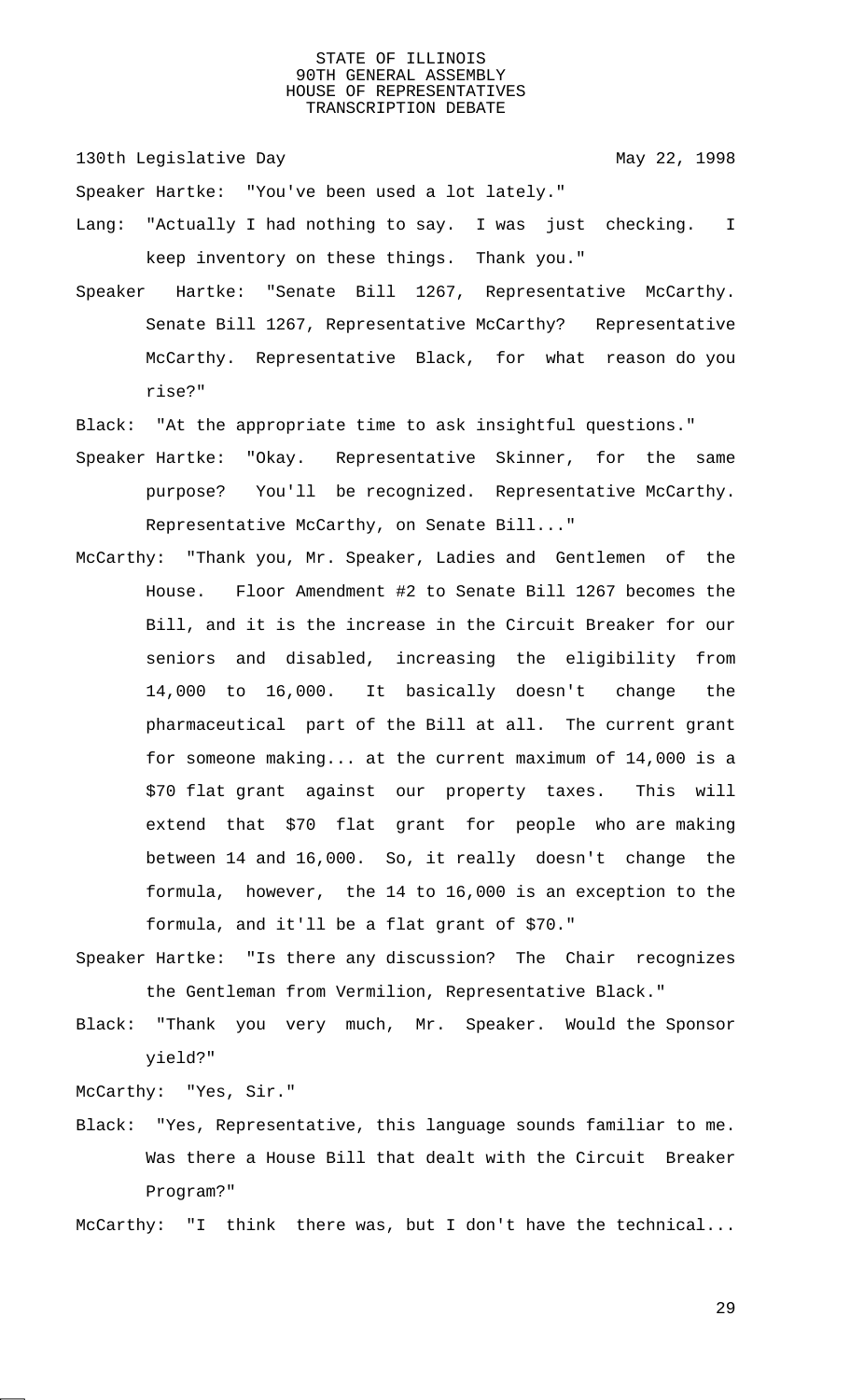130th Legislative Day 130th May 22, 1998

Speaker Hartke: "You've been used a lot lately."

- Lang: "Actually I had nothing to say. I was just checking. I keep inventory on these things. Thank you."
- Speaker Hartke: "Senate Bill 1267, Representative McCarthy. Senate Bill 1267, Representative McCarthy? Representative McCarthy. Representative Black, for what reason do you rise?"
- Black: "At the appropriate time to ask insightful questions."
- Speaker Hartke: "Okay. Representative Skinner, for the same purpose? You'll be recognized. Representative McCarthy. Representative McCarthy, on Senate Bill..."
- McCarthy: "Thank you, Mr. Speaker, Ladies and Gentlemen of the House. Floor Amendment #2 to Senate Bill 1267 becomes the Bill, and it is the increase in the Circuit Breaker for our seniors and disabled, increasing the eligibility from 14,000 to 16,000. It basically doesn't change the pharmaceutical part of the Bill at all. The current grant for someone making... at the current maximum of 14,000 is a \$70 flat grant against our property taxes. This will extend that \$70 flat grant for people who are making between 14 and 16,000. So, it really doesn't change the formula, however, the 14 to 16,000 is an exception to the formula, and it'll be a flat grant of \$70."
- Speaker Hartke: "Is there any discussion? The Chair recognizes the Gentleman from Vermilion, Representative Black."
- Black: "Thank you very much, Mr. Speaker. Would the Sponsor yield?"

McCarthy: "Yes, Sir."

Black: "Yes, Representative, this language sounds familiar to me. Was there a House Bill that dealt with the Circuit Breaker Program?"

McCarthy: "I think there was, but I don't have the technical...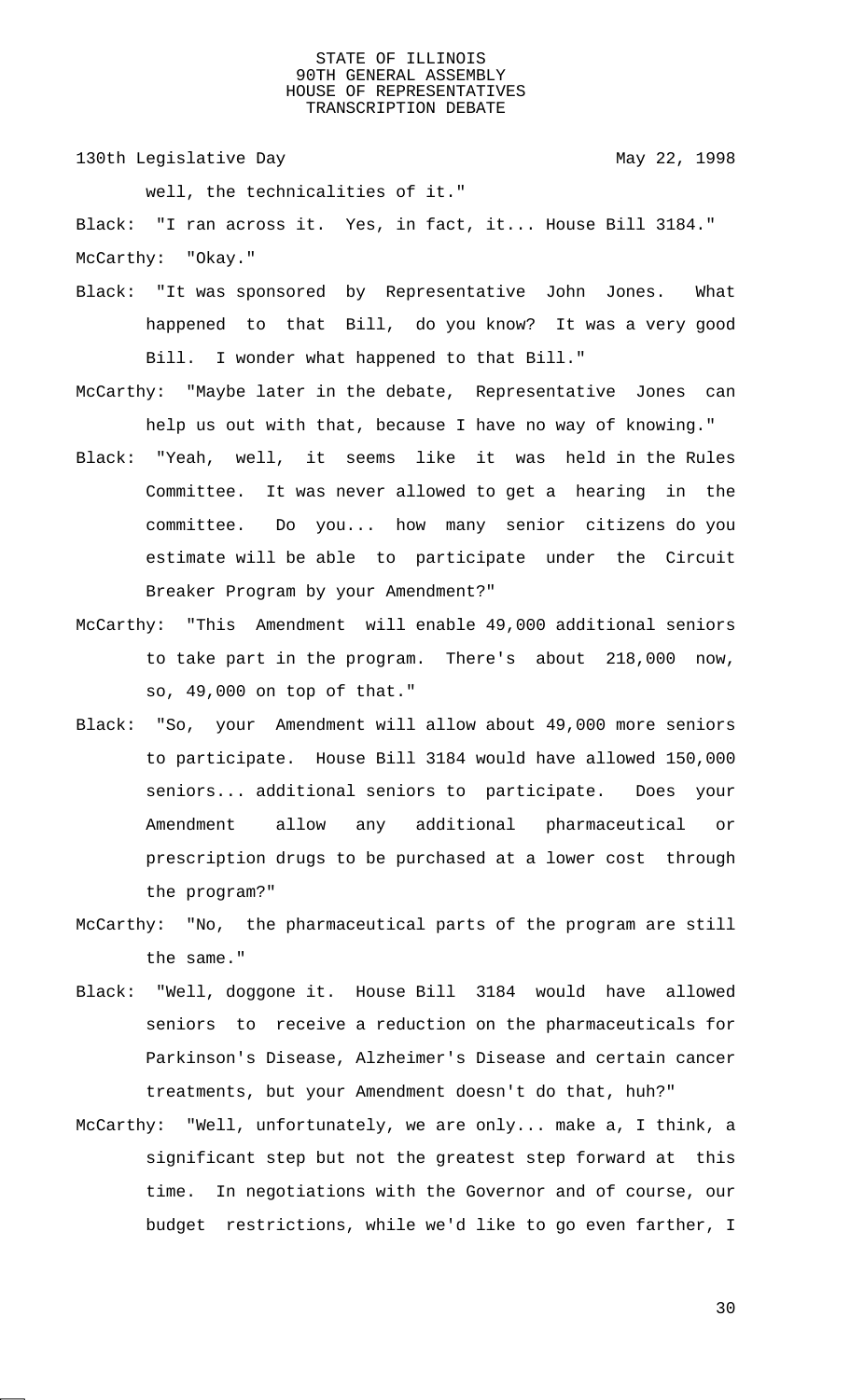130th Legislative Day 130th May 22, 1998

well, the technicalities of it."

Black: "I ran across it. Yes, in fact, it... House Bill 3184." McCarthy: "Okay."

- Black: "It was sponsored by Representative John Jones. What happened to that Bill, do you know? It was a very good Bill. I wonder what happened to that Bill."
- McCarthy: "Maybe later in the debate, Representative Jones can help us out with that, because I have no way of knowing."
- Black: "Yeah, well, it seems like it was held in the Rules Committee. It was never allowed to get a hearing in the committee. Do you... how many senior citizens do you estimate will be able to participate under the Circuit Breaker Program by your Amendment?"
- McCarthy: "This Amendment will enable 49,000 additional seniors to take part in the program. There's about 218,000 now, so, 49,000 on top of that."
- Black: "So, your Amendment will allow about 49,000 more seniors to participate. House Bill 3184 would have allowed 150,000 seniors... additional seniors to participate. Does your Amendment allow any additional pharmaceutical or prescription drugs to be purchased at a lower cost through the program?"
- McCarthy: "No, the pharmaceutical parts of the program are still the same."
- Black: "Well, doggone it. House Bill 3184 would have allowed seniors to receive a reduction on the pharmaceuticals for Parkinson's Disease, Alzheimer's Disease and certain cancer treatments, but your Amendment doesn't do that, huh?"
- McCarthy: "Well, unfortunately, we are only... make a, I think, a significant step but not the greatest step forward at this time. In negotiations with the Governor and of course, our budget restrictions, while we'd like to go even farther, I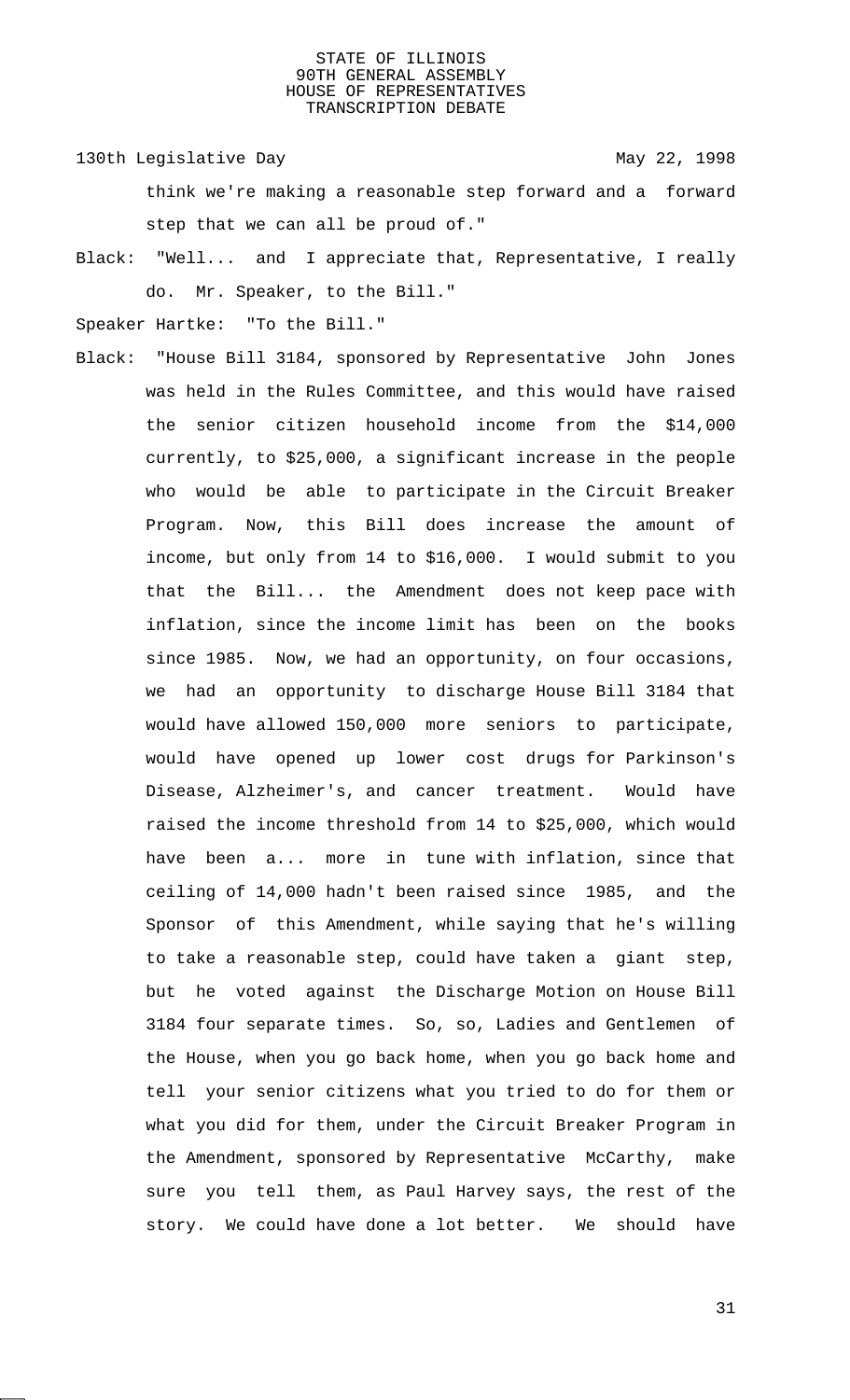130th Legislative Day 130th May 22, 1998

think we're making a reasonable step forward and a forward step that we can all be proud of."

Black: "Well... and I appreciate that, Representative, I really do. Mr. Speaker, to the Bill."

Speaker Hartke: "To the Bill."

Black: "House Bill 3184, sponsored by Representative John Jones was held in the Rules Committee, and this would have raised the senior citizen household income from the \$14,000 currently, to \$25,000, a significant increase in the people who would be able to participate in the Circuit Breaker Program. Now, this Bill does increase the amount of income, but only from 14 to \$16,000. I would submit to you that the Bill... the Amendment does not keep pace with inflation, since the income limit has been on the books since 1985. Now, we had an opportunity, on four occasions, we had an opportunity to discharge House Bill 3184 that would have allowed 150,000 more seniors to participate, would have opened up lower cost drugs for Parkinson's Disease, Alzheimer's, and cancer treatment. Would have raised the income threshold from 14 to \$25,000, which would have been a... more in tune with inflation, since that ceiling of 14,000 hadn't been raised since 1985, and the Sponsor of this Amendment, while saying that he's willing to take a reasonable step, could have taken a giant step, but he voted against the Discharge Motion on House Bill 3184 four separate times. So, so, Ladies and Gentlemen of the House, when you go back home, when you go back home and tell your senior citizens what you tried to do for them or what you did for them, under the Circuit Breaker Program in the Amendment, sponsored by Representative McCarthy, make sure you tell them, as Paul Harvey says, the rest of the story. We could have done a lot better. We should have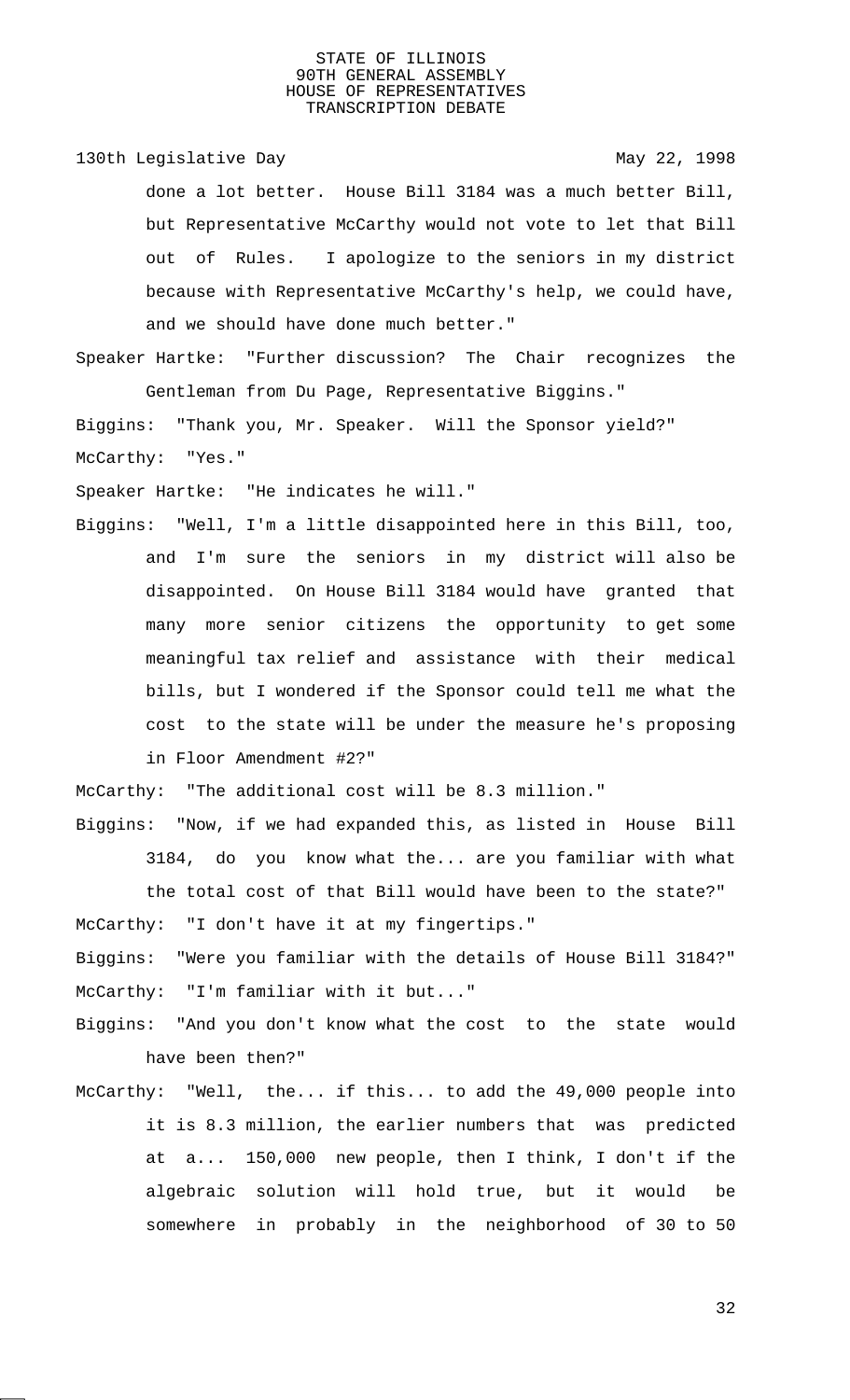130th Legislative Day 130th May 22, 1998

done a lot better. House Bill 3184 was a much better Bill, but Representative McCarthy would not vote to let that Bill out of Rules. I apologize to the seniors in my district because with Representative McCarthy's help, we could have, and we should have done much better."

Speaker Hartke: "Further discussion? The Chair recognizes the Gentleman from Du Page, Representative Biggins."

Biggins: "Thank you, Mr. Speaker. Will the Sponsor yield?" McCarthy: "Yes."

Speaker Hartke: "He indicates he will."

Biggins: "Well, I'm a little disappointed here in this Bill, too, and I'm sure the seniors in my district will also be disappointed. On House Bill 3184 would have granted that many more senior citizens the opportunity to get some meaningful tax relief and assistance with their medical bills, but I wondered if the Sponsor could tell me what the cost to the state will be under the measure he's proposing in Floor Amendment #2?"

McCarthy: "The additional cost will be 8.3 million."

Biggins: "Now, if we had expanded this, as listed in House Bill

3184, do you know what the... are you familiar with what the total cost of that Bill would have been to the state?" McCarthy: "I don't have it at my fingertips."

- Biggins: "Were you familiar with the details of House Bill 3184?" McCarthy: "I'm familiar with it but..."
- Biggins: "And you don't know what the cost to the state would have been then?"
- McCarthy: "Well, the... if this... to add the 49,000 people into it is 8.3 million, the earlier numbers that was predicted at a... 150,000 new people, then I think, I don't if the algebraic solution will hold true, but it would be somewhere in probably in the neighborhood of 30 to 50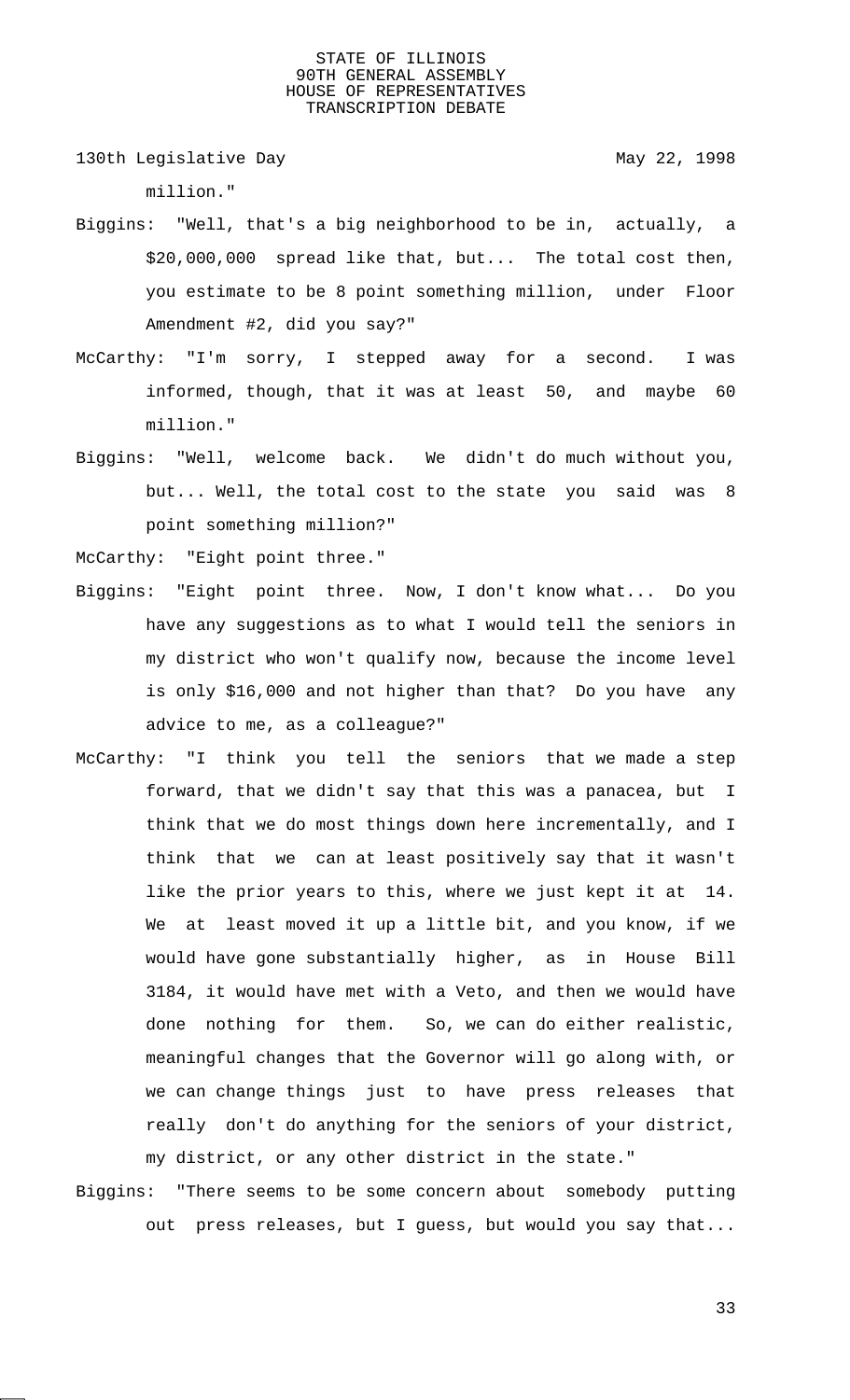130th Legislative Day 130th May 22, 1998

million."

- Biggins: "Well, that's a big neighborhood to be in, actually, a \$20,000,000 spread like that, but... The total cost then, you estimate to be 8 point something million, under Floor Amendment #2, did you say?"
- McCarthy: "I'm sorry, I stepped away for a second. I was informed, though, that it was at least 50, and maybe 60 million."
- Biggins: "Well, welcome back. We didn't do much without you, but... Well, the total cost to the state you said was 8 point something million?"

McCarthy: "Eight point three."

- Biggins: "Eight point three. Now, I don't know what... Do you have any suggestions as to what I would tell the seniors in my district who won't qualify now, because the income level is only \$16,000 and not higher than that? Do you have any advice to me, as a colleague?"
- McCarthy: "I think you tell the seniors that we made a step forward, that we didn't say that this was a panacea, but I think that we do most things down here incrementally, and I think that we can at least positively say that it wasn't like the prior years to this, where we just kept it at 14. We at least moved it up a little bit, and you know, if we would have gone substantially higher, as in House Bill 3184, it would have met with a Veto, and then we would have done nothing for them. So, we can do either realistic, meaningful changes that the Governor will go along with, or we can change things just to have press releases that really don't do anything for the seniors of your district, my district, or any other district in the state."
- Biggins: "There seems to be some concern about somebody putting out press releases, but I guess, but would you say that...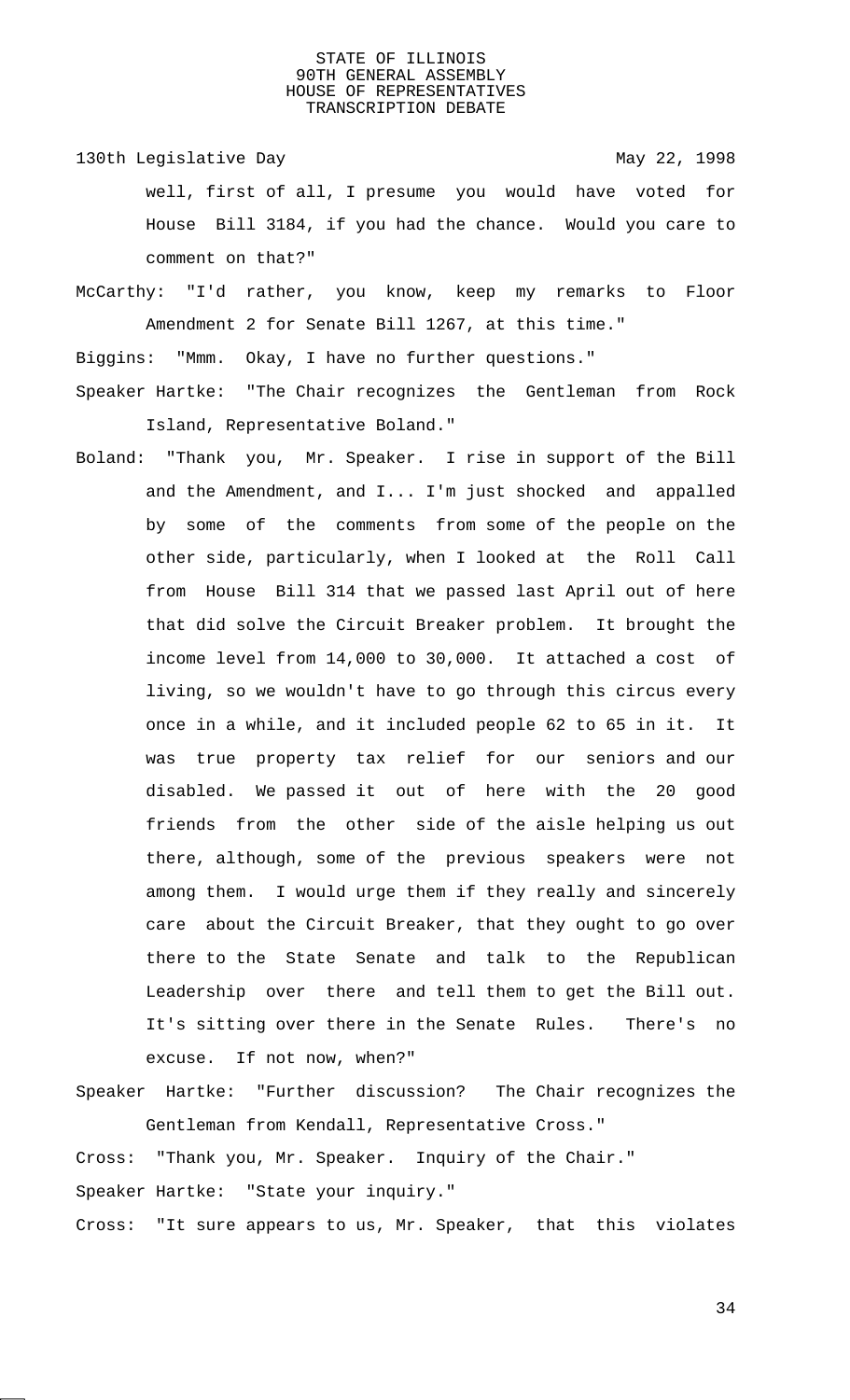- 130th Legislative Day 130th May 22, 1998 well, first of all, I presume you would have voted for House Bill 3184, if you had the chance. Would you care to comment on that?"
- McCarthy: "I'd rather, you know, keep my remarks to Floor Amendment 2 for Senate Bill 1267, at this time."

Biggins: "Mmm. Okay, I have no further questions."

- Speaker Hartke: "The Chair recognizes the Gentleman from Rock Island, Representative Boland."
- Boland: "Thank you, Mr. Speaker. I rise in support of the Bill and the Amendment, and I... I'm just shocked and appalled by some of the comments from some of the people on the other side, particularly, when I looked at the Roll Call from House Bill 314 that we passed last April out of here that did solve the Circuit Breaker problem. It brought the income level from 14,000 to 30,000. It attached a cost of living, so we wouldn't have to go through this circus every once in a while, and it included people 62 to 65 in it. It was true property tax relief for our seniors and our disabled. We passed it out of here with the 20 good friends from the other side of the aisle helping us out there, although, some of the previous speakers were not among them. I would urge them if they really and sincerely care about the Circuit Breaker, that they ought to go over there to the State Senate and talk to the Republican Leadership over there and tell them to get the Bill out. It's sitting over there in the Senate Rules. There's no excuse. If not now, when?"
- Speaker Hartke: "Further discussion? The Chair recognizes the Gentleman from Kendall, Representative Cross."

Cross: "Thank you, Mr. Speaker. Inquiry of the Chair."

Speaker Hartke: "State your inquiry."

Cross: "It sure appears to us, Mr. Speaker, that this violates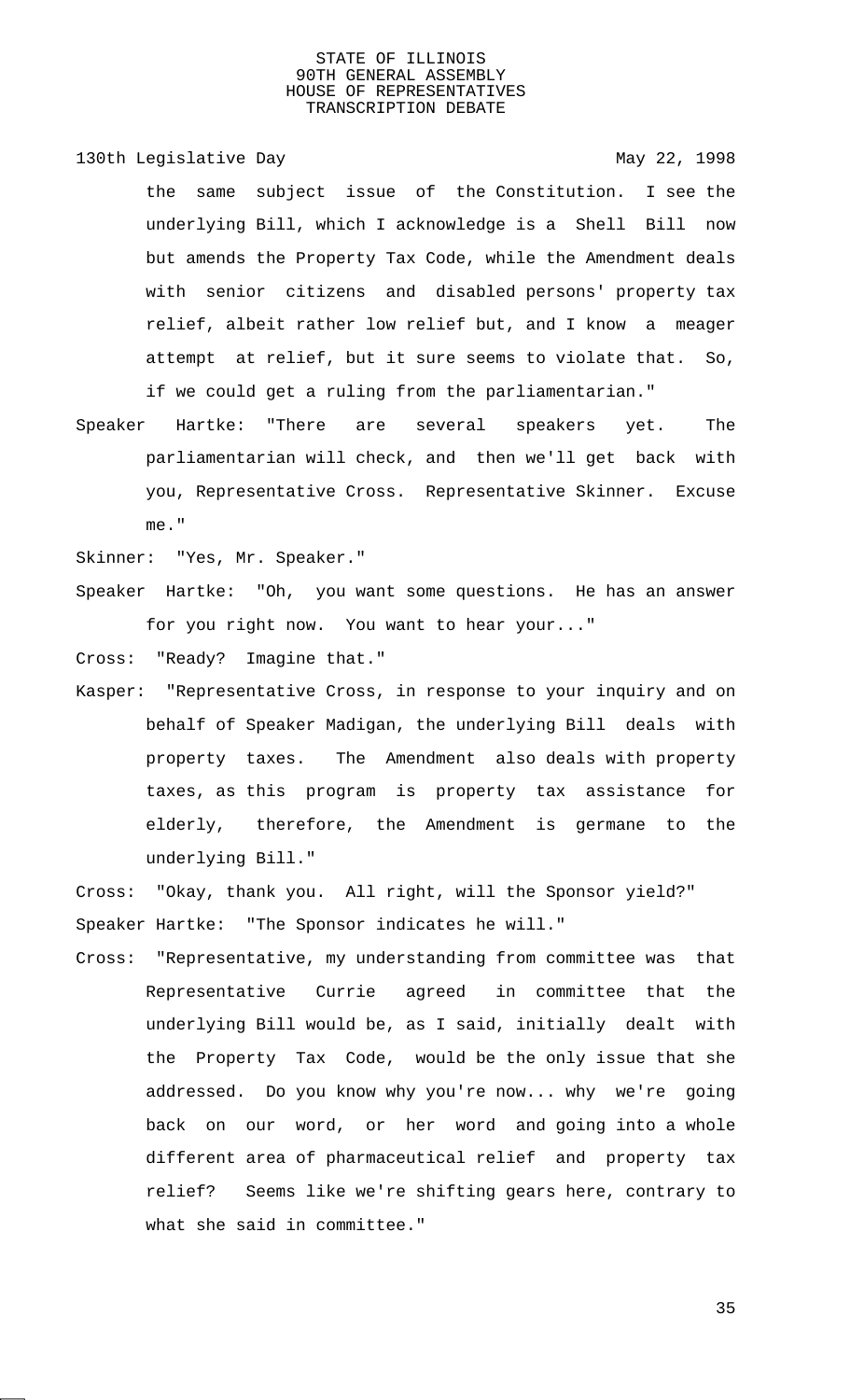130th Legislative Day 130th May 22, 1998

the same subject issue of the Constitution. I see the underlying Bill, which I acknowledge is a Shell Bill now but amends the Property Tax Code, while the Amendment deals with senior citizens and disabled persons' property tax relief, albeit rather low relief but, and I know a meager attempt at relief, but it sure seems to violate that. So, if we could get a ruling from the parliamentarian."

Speaker Hartke: "There are several speakers yet. The parliamentarian will check, and then we'll get back with you, Representative Cross. Representative Skinner. Excuse me."

Skinner: "Yes, Mr. Speaker."

Speaker Hartke: "Oh, you want some questions. He has an answer for you right now. You want to hear your..."

Cross: "Ready? Imagine that."

Kasper: "Representative Cross, in response to your inquiry and on behalf of Speaker Madigan, the underlying Bill deals with property taxes. The Amendment also deals with property taxes, as this program is property tax assistance for elderly, therefore, the Amendment is germane to the underlying Bill."

Cross: "Okay, thank you. All right, will the Sponsor yield?" Speaker Hartke: "The Sponsor indicates he will."

Cross: "Representative, my understanding from committee was that Representative Currie agreed in committee that the underlying Bill would be, as I said, initially dealt with the Property Tax Code, would be the only issue that she addressed. Do you know why you're now... why we're going back on our word, or her word and going into a whole different area of pharmaceutical relief and property tax relief? Seems like we're shifting gears here, contrary to what she said in committee."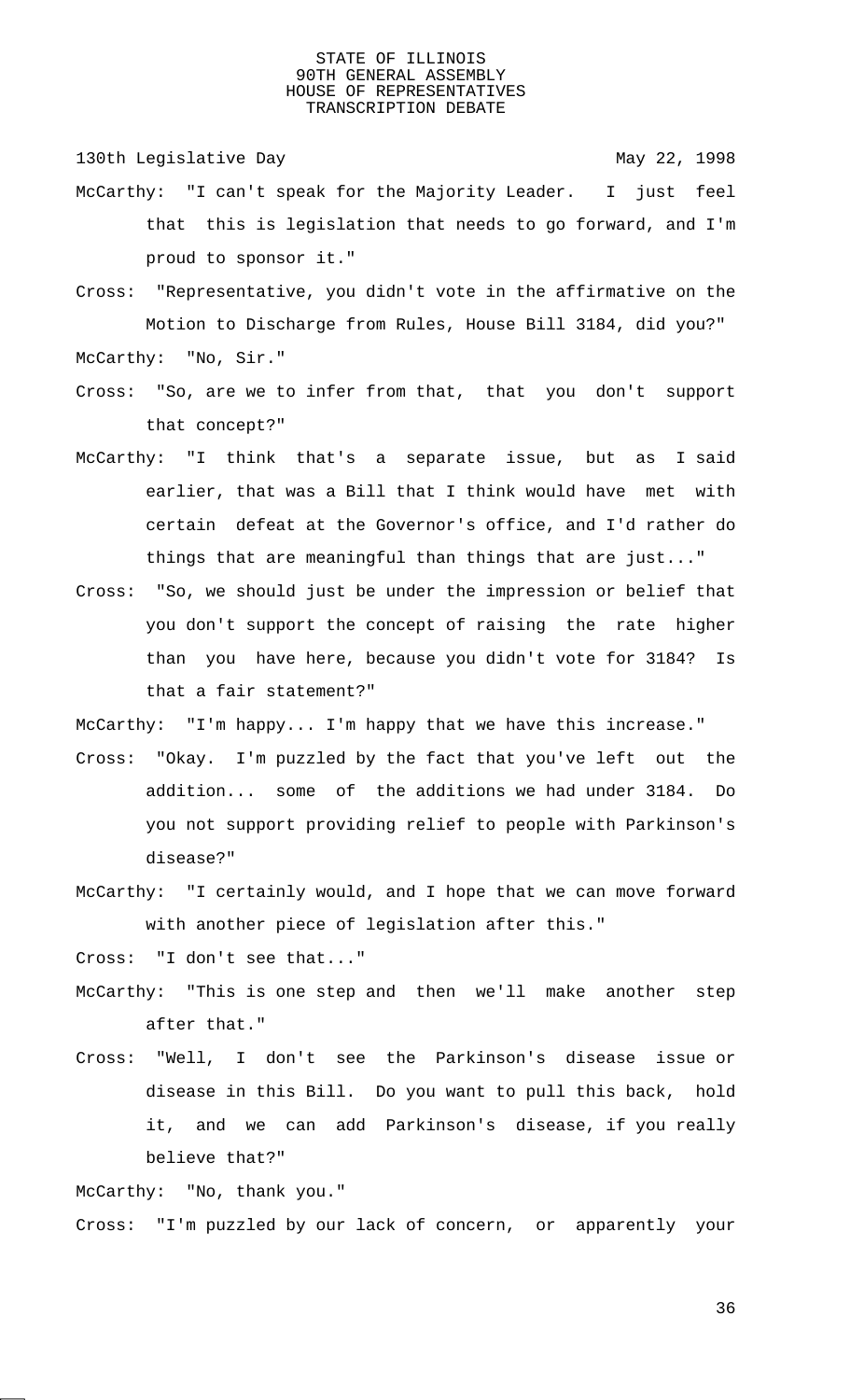130th Legislative Day 130th May 22, 1998

- McCarthy: "I can't speak for the Majority Leader. I just feel that this is legislation that needs to go forward, and I'm proud to sponsor it."
- Cross: "Representative, you didn't vote in the affirmative on the Motion to Discharge from Rules, House Bill 3184, did you?" McCarthy: "No, Sir."
- Cross: "So, are we to infer from that, that you don't support that concept?"
- McCarthy: "I think that's a separate issue, but as I said earlier, that was a Bill that I think would have met with certain defeat at the Governor's office, and I'd rather do things that are meaningful than things that are just..."
- Cross: "So, we should just be under the impression or belief that you don't support the concept of raising the rate higher than you have here, because you didn't vote for 3184? Is that a fair statement?"

McCarthy: "I'm happy... I'm happy that we have this increase."

- Cross: "Okay. I'm puzzled by the fact that you've left out the addition... some of the additions we had under 3184. Do you not support providing relief to people with Parkinson's disease?"
- McCarthy: "I certainly would, and I hope that we can move forward with another piece of legislation after this."

Cross: "I don't see that..."

- McCarthy: "This is one step and then we'll make another step after that."
- Cross: "Well, I don't see the Parkinson's disease issue or disease in this Bill. Do you want to pull this back, hold it, and we can add Parkinson's disease, if you really believe that?"

McCarthy: "No, thank you." Cross: "I'm puzzled by our lack of concern, or apparently your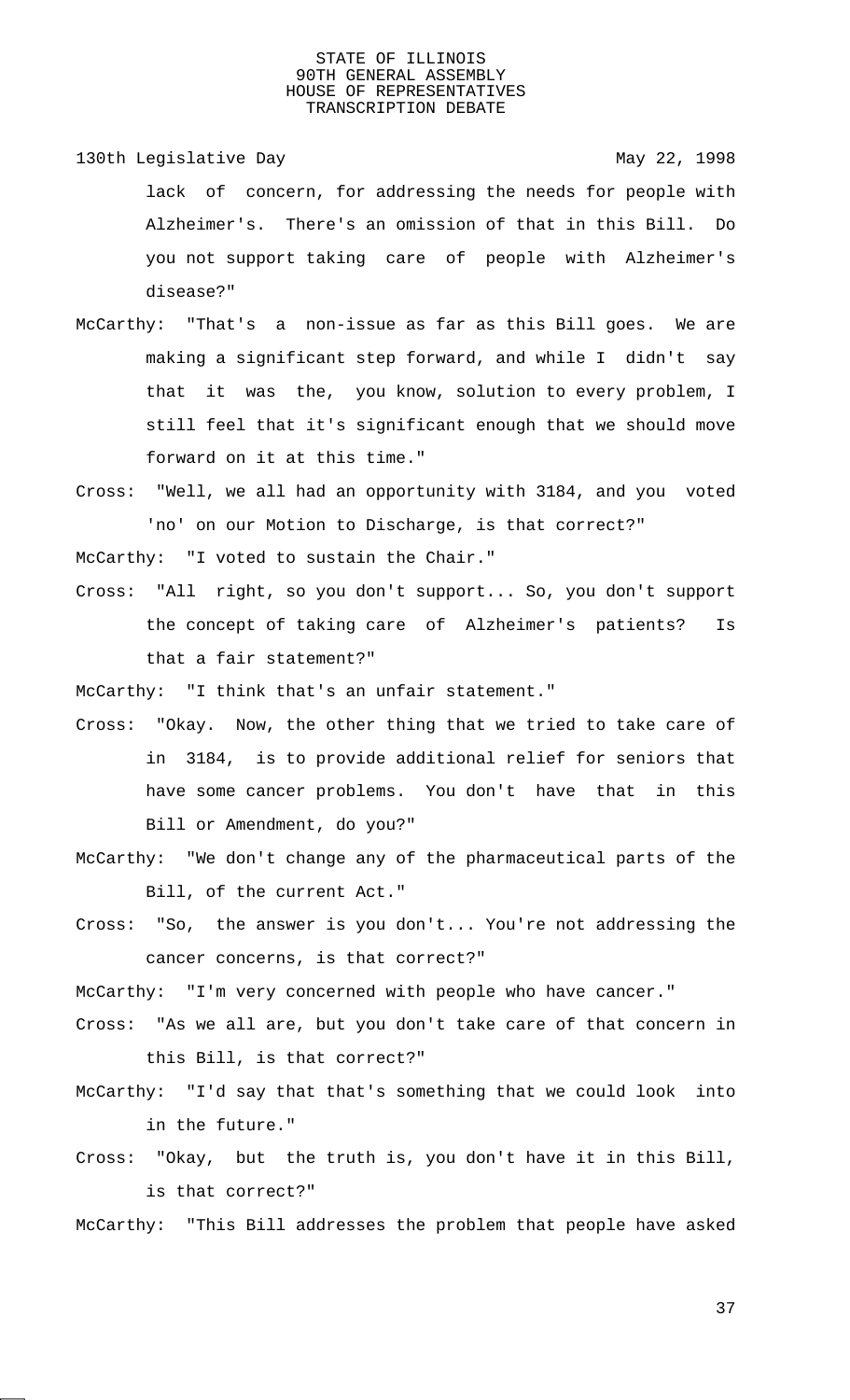- 130th Legislative Day 130th May 22, 1998 lack of concern, for addressing the needs for people with Alzheimer's. There's an omission of that in this Bill. Do you not support taking care of people with Alzheimer's disease?"
- McCarthy: "That's a non-issue as far as this Bill goes. We are making a significant step forward, and while I didn't say that it was the, you know, solution to every problem, I still feel that it's significant enough that we should move forward on it at this time."
- Cross: "Well, we all had an opportunity with 3184, and you voted 'no' on our Motion to Discharge, is that correct?"

McCarthy: "I voted to sustain the Chair."

Cross: "All right, so you don't support... So, you don't support the concept of taking care of Alzheimer's patients? Is that a fair statement?"

McCarthy: "I think that's an unfair statement."

- Cross: "Okay. Now, the other thing that we tried to take care of in 3184, is to provide additional relief for seniors that have some cancer problems. You don't have that in this Bill or Amendment, do you?"
- McCarthy: "We don't change any of the pharmaceutical parts of the Bill, of the current Act."
- Cross: "So, the answer is you don't... You're not addressing the cancer concerns, is that correct?"

McCarthy: "I'm very concerned with people who have cancer."

- Cross: "As we all are, but you don't take care of that concern in this Bill, is that correct?"
- McCarthy: "I'd say that that's something that we could look into in the future."
- Cross: "Okay, but the truth is, you don't have it in this Bill, is that correct?"

McCarthy: "This Bill addresses the problem that people have asked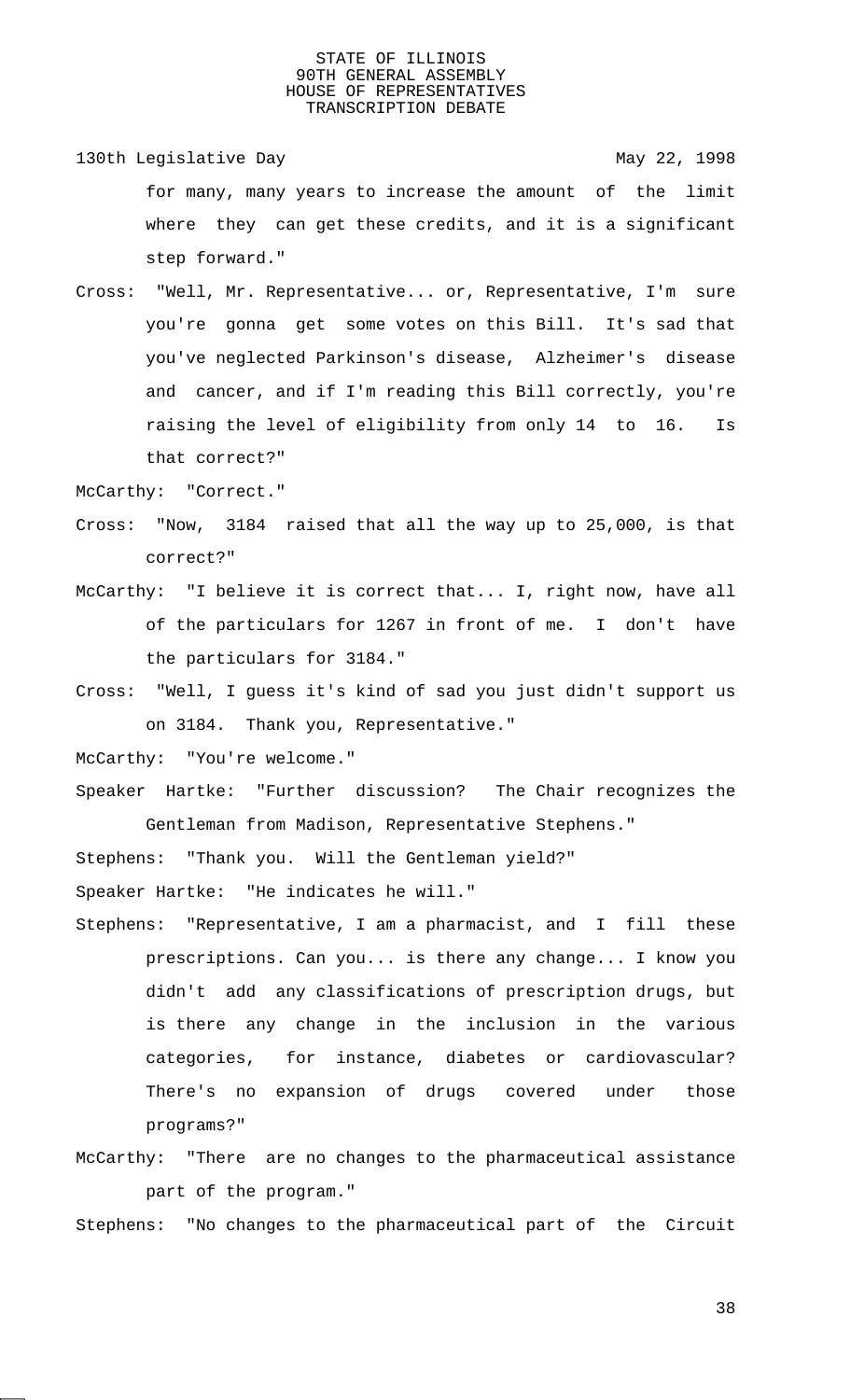- 130th Legislative Day 130th May 22, 1998 for many, many years to increase the amount of the limit where they can get these credits, and it is a significant step forward."
- Cross: "Well, Mr. Representative... or, Representative, I'm sure you're gonna get some votes on this Bill. It's sad that you've neglected Parkinson's disease, Alzheimer's disease and cancer, and if I'm reading this Bill correctly, you're raising the level of eligibility from only 14 to 16. Is that correct?"

McCarthy: "Correct."

- Cross: "Now, 3184 raised that all the way up to 25,000, is that correct?"
- McCarthy: "I believe it is correct that... I, right now, have all of the particulars for 1267 in front of me. I don't have the particulars for 3184."
- Cross: "Well, I guess it's kind of sad you just didn't support us on 3184. Thank you, Representative."
- McCarthy: "You're welcome."
- Speaker Hartke: "Further discussion? The Chair recognizes the Gentleman from Madison, Representative Stephens."

Stephens: "Thank you. Will the Gentleman yield?"

Speaker Hartke: "He indicates he will."

- Stephens: "Representative, I am a pharmacist, and I fill these prescriptions. Can you... is there any change... I know you didn't add any classifications of prescription drugs, but is there any change in the inclusion in the various categories, for instance, diabetes or cardiovascular? There's no expansion of drugs covered under those programs?"
- McCarthy: "There are no changes to the pharmaceutical assistance part of the program."

Stephens: "No changes to the pharmaceutical part of the Circuit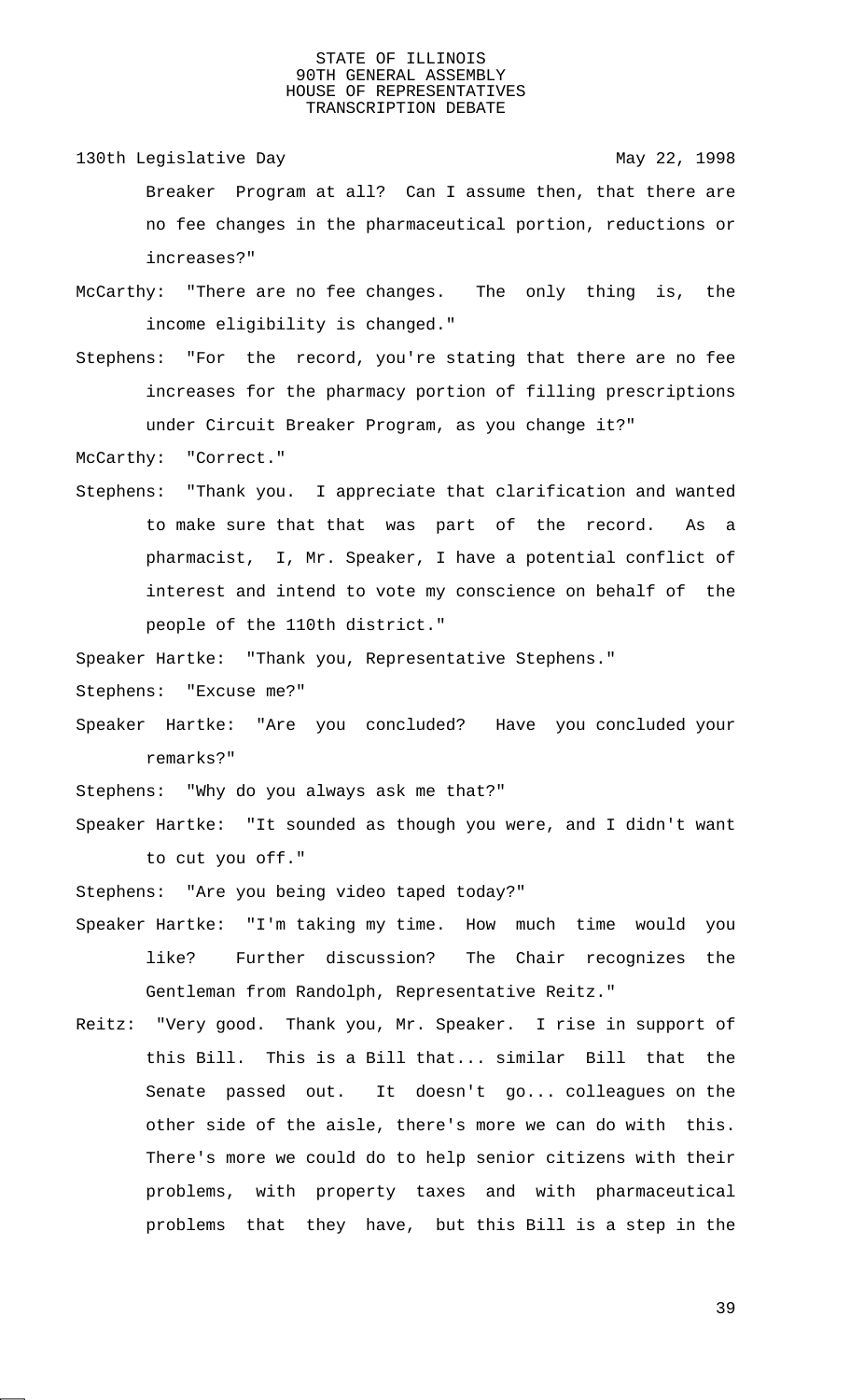- 130th Legislative Day 130th May 22, 1998 Breaker Program at all? Can I assume then, that there are no fee changes in the pharmaceutical portion, reductions or increases?"
- McCarthy: "There are no fee changes. The only thing is, the income eligibility is changed."
- Stephens: "For the record, you're stating that there are no fee increases for the pharmacy portion of filling prescriptions under Circuit Breaker Program, as you change it?"

McCarthy: "Correct."

Stephens: "Thank you. I appreciate that clarification and wanted to make sure that that was part of the record. As a pharmacist, I, Mr. Speaker, I have a potential conflict of interest and intend to vote my conscience on behalf of the people of the 110th district."

Speaker Hartke: "Thank you, Representative Stephens."

Stephens: "Excuse me?"

Speaker Hartke: "Are you concluded? Have you concluded your remarks?"

Stephens: "Why do you always ask me that?"

Speaker Hartke: "It sounded as though you were, and I didn't want to cut you off."

Stephens: "Are you being video taped today?"

- Speaker Hartke: "I'm taking my time. How much time would you like? Further discussion? The Chair recognizes the Gentleman from Randolph, Representative Reitz."
- Reitz: "Very good. Thank you, Mr. Speaker. I rise in support of this Bill. This is a Bill that... similar Bill that the Senate passed out. It doesn't go... colleagues on the other side of the aisle, there's more we can do with this. There's more we could do to help senior citizens with their problems, with property taxes and with pharmaceutical problems that they have, but this Bill is a step in the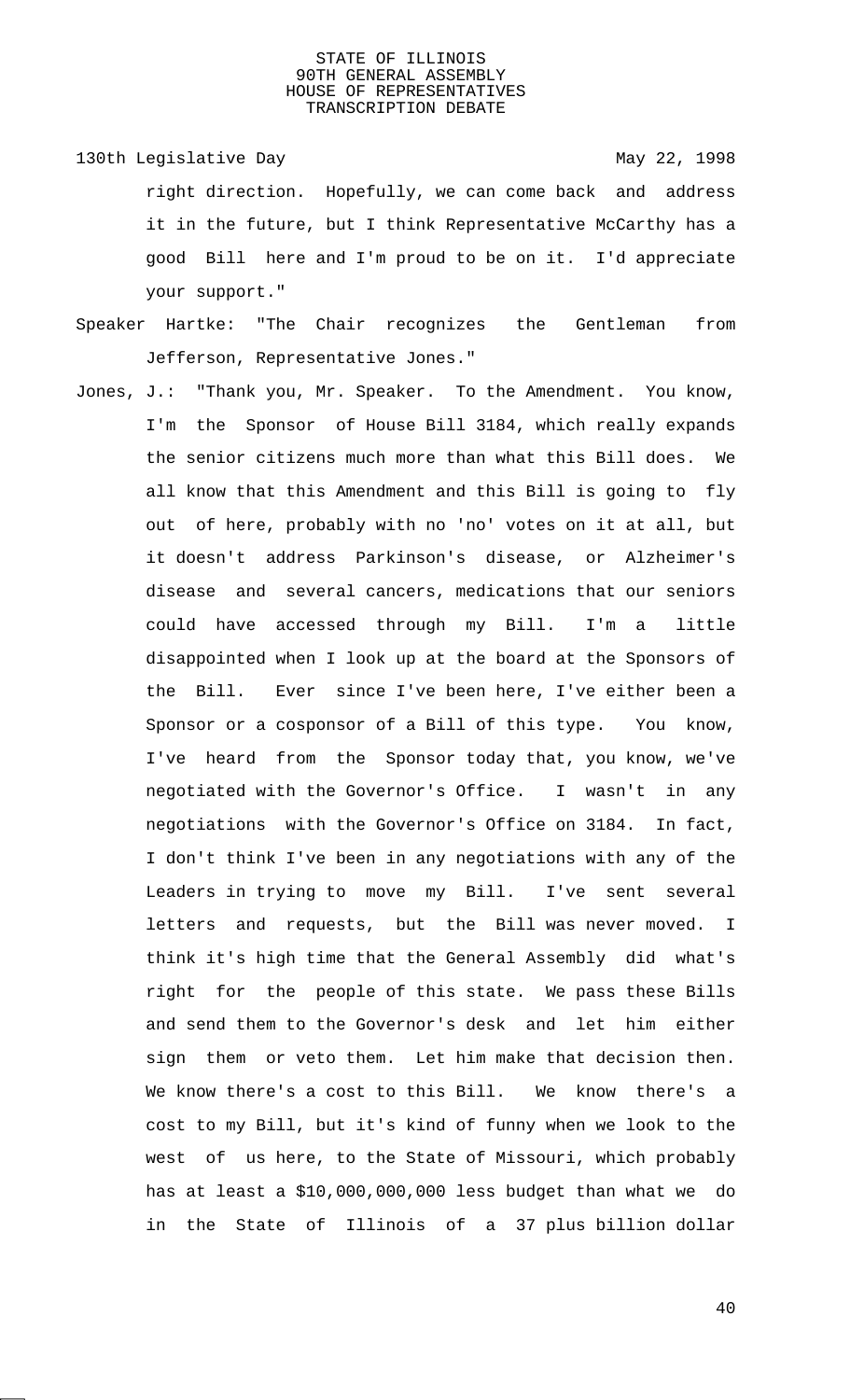- 130th Legislative Day 130th May 22, 1998 right direction. Hopefully, we can come back and address it in the future, but I think Representative McCarthy has a good Bill here and I'm proud to be on it. I'd appreciate your support."
- Speaker Hartke: "The Chair recognizes the Gentleman from Jefferson, Representative Jones."
- Jones, J.: "Thank you, Mr. Speaker. To the Amendment. You know, I'm the Sponsor of House Bill 3184, which really expands the senior citizens much more than what this Bill does. We all know that this Amendment and this Bill is going to fly out of here, probably with no 'no' votes on it at all, but it doesn't address Parkinson's disease, or Alzheimer's disease and several cancers, medications that our seniors could have accessed through my Bill. I'm a little disappointed when I look up at the board at the Sponsors of the Bill. Ever since I've been here, I've either been a Sponsor or a cosponsor of a Bill of this type. You know, I've heard from the Sponsor today that, you know, we've negotiated with the Governor's Office. I wasn't in any negotiations with the Governor's Office on 3184. In fact, I don't think I've been in any negotiations with any of the Leaders in trying to move my Bill. I've sent several letters and requests, but the Bill was never moved. I think it's high time that the General Assembly did what's right for the people of this state. We pass these Bills and send them to the Governor's desk and let him either sign them or veto them. Let him make that decision then. We know there's a cost to this Bill. We know there's a cost to my Bill, but it's kind of funny when we look to the west of us here, to the State of Missouri, which probably has at least a \$10,000,000,000 less budget than what we do in the State of Illinois of a 37 plus billion dollar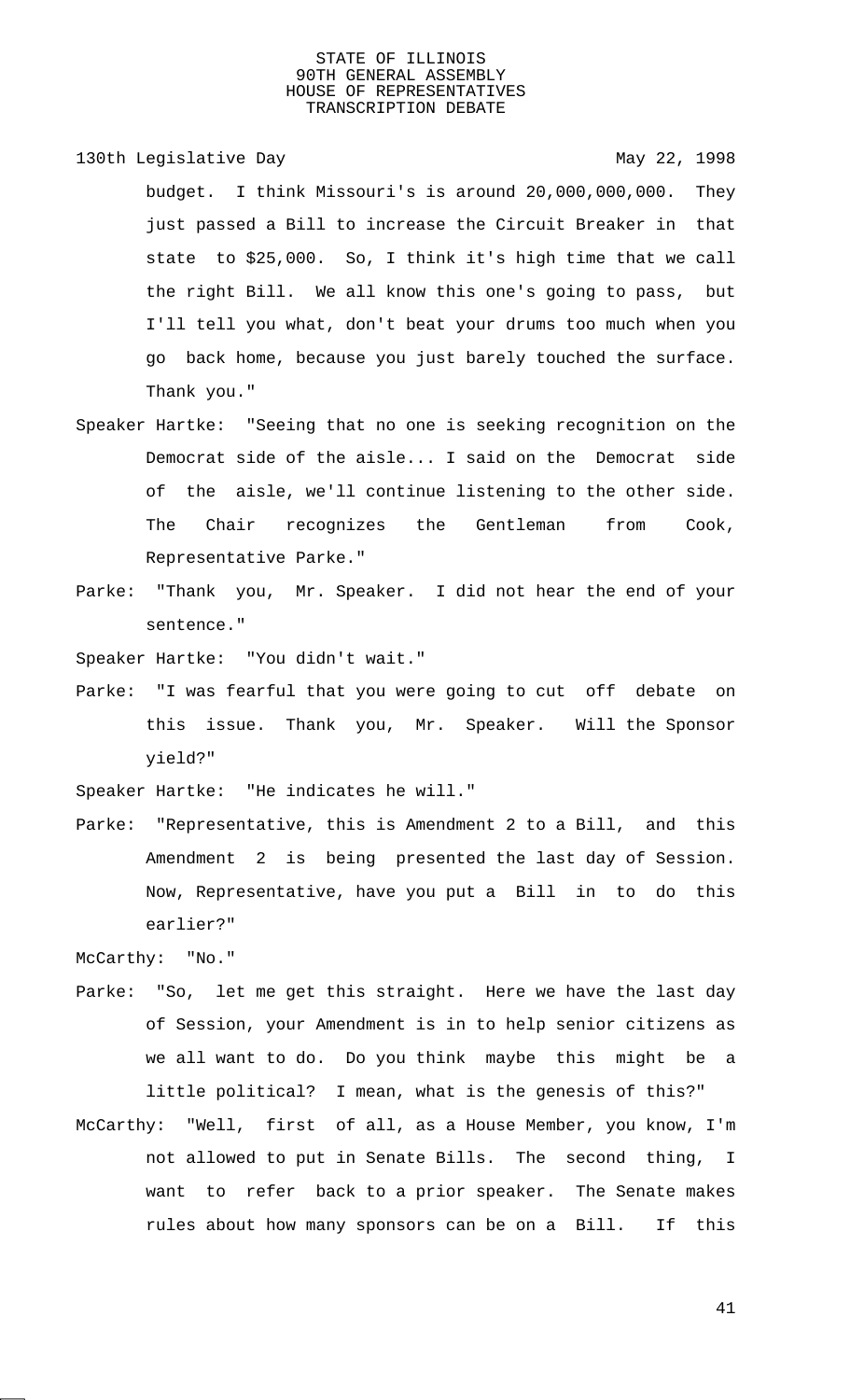130th Legislative Day 130th May 22, 1998

budget. I think Missouri's is around 20,000,000,000. They just passed a Bill to increase the Circuit Breaker in that state to \$25,000. So, I think it's high time that we call the right Bill. We all know this one's going to pass, but I'll tell you what, don't beat your drums too much when you go back home, because you just barely touched the surface. Thank you."

- Speaker Hartke: "Seeing that no one is seeking recognition on the Democrat side of the aisle... I said on the Democrat side of the aisle, we'll continue listening to the other side. The Chair recognizes the Gentleman from Cook, Representative Parke."
- Parke: "Thank you, Mr. Speaker. I did not hear the end of your sentence."

Speaker Hartke: "You didn't wait."

Parke: "I was fearful that you were going to cut off debate on this issue. Thank you, Mr. Speaker. Will the Sponsor yield?"

Speaker Hartke: "He indicates he will."

Parke: "Representative, this is Amendment 2 to a Bill, and this Amendment 2 is being presented the last day of Session. Now, Representative, have you put a Bill in to do this earlier?"

McCarthy: "No."

- Parke: "So, let me get this straight. Here we have the last day of Session, your Amendment is in to help senior citizens as we all want to do. Do you think maybe this might be a little political? I mean, what is the genesis of this?"
- McCarthy: "Well, first of all, as a House Member, you know, I'm not allowed to put in Senate Bills. The second thing, I want to refer back to a prior speaker. The Senate makes rules about how many sponsors can be on a Bill. If this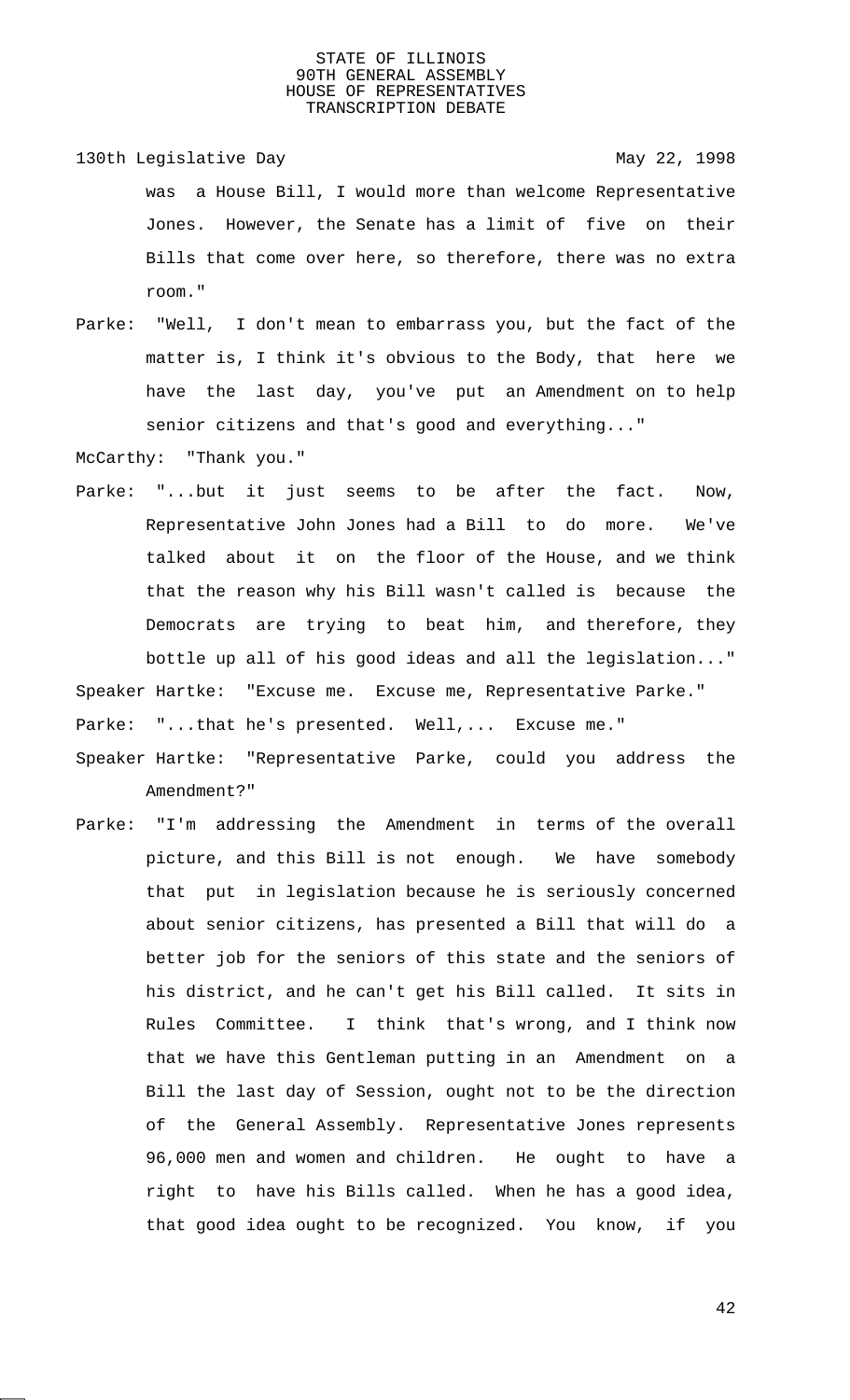- 130th Legislative Day 130th May 22, 1998 was a House Bill, I would more than welcome Representative Jones. However, the Senate has a limit of five on their Bills that come over here, so therefore, there was no extra room."
- Parke: "Well, I don't mean to embarrass you, but the fact of the matter is, I think it's obvious to the Body, that here we have the last day, you've put an Amendment on to help senior citizens and that's good and everything..."

McCarthy: "Thank you."

Parke: "...but it just seems to be after the fact. Now, Representative John Jones had a Bill to do more. We've talked about it on the floor of the House, and we think that the reason why his Bill wasn't called is because the Democrats are trying to beat him, and therefore, they bottle up all of his good ideas and all the legislation..."

Speaker Hartke: "Excuse me. Excuse me, Representative Parke."

Parke: "...that he's presented. Well,... Excuse me."

- Speaker Hartke: "Representative Parke, could you address the Amendment?"
- Parke: "I'm addressing the Amendment in terms of the overall picture, and this Bill is not enough. We have somebody that put in legislation because he is seriously concerned about senior citizens, has presented a Bill that will do a better job for the seniors of this state and the seniors of his district, and he can't get his Bill called. It sits in Rules Committee. I think that's wrong, and I think now that we have this Gentleman putting in an Amendment on a Bill the last day of Session, ought not to be the direction of the General Assembly. Representative Jones represents 96,000 men and women and children. He ought to have a right to have his Bills called. When he has a good idea, that good idea ought to be recognized. You know, if you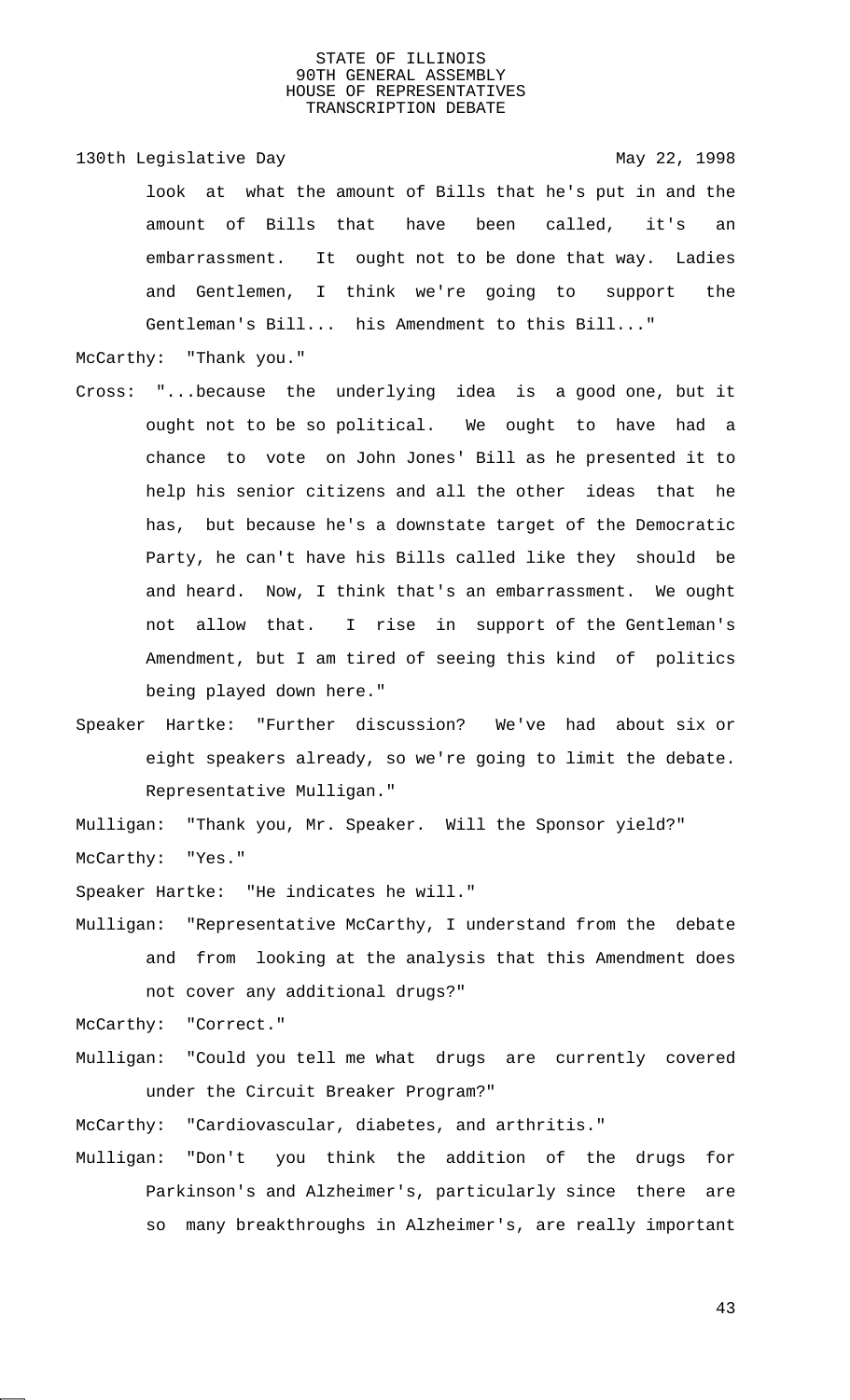130th Legislative Day 130th May 22, 1998 look at what the amount of Bills that he's put in and the amount of Bills that have been called, it's an embarrassment. It ought not to be done that way. Ladies and Gentlemen, I think we're going to support the Gentleman's Bill... his Amendment to this Bill..."

McCarthy: "Thank you."

- Cross: "...because the underlying idea is a good one, but it ought not to be so political. We ought to have had a chance to vote on John Jones' Bill as he presented it to help his senior citizens and all the other ideas that he has, but because he's a downstate target of the Democratic Party, he can't have his Bills called like they should be and heard. Now, I think that's an embarrassment. We ought not allow that. I rise in support of the Gentleman's Amendment, but I am tired of seeing this kind of politics being played down here."
- Speaker Hartke: "Further discussion? We've had about six or eight speakers already, so we're going to limit the debate. Representative Mulligan."

Mulligan: "Thank you, Mr. Speaker. Will the Sponsor yield?" McCarthy: "Yes."

Speaker Hartke: "He indicates he will."

- Mulligan: "Representative McCarthy, I understand from the debate and from looking at the analysis that this Amendment does not cover any additional drugs?"
- McCarthy: "Correct."
- Mulligan: "Could you tell me what drugs are currently covered under the Circuit Breaker Program?"

McCarthy: "Cardiovascular, diabetes, and arthritis."

Mulligan: "Don't you think the addition of the drugs for Parkinson's and Alzheimer's, particularly since there are so many breakthroughs in Alzheimer's, are really important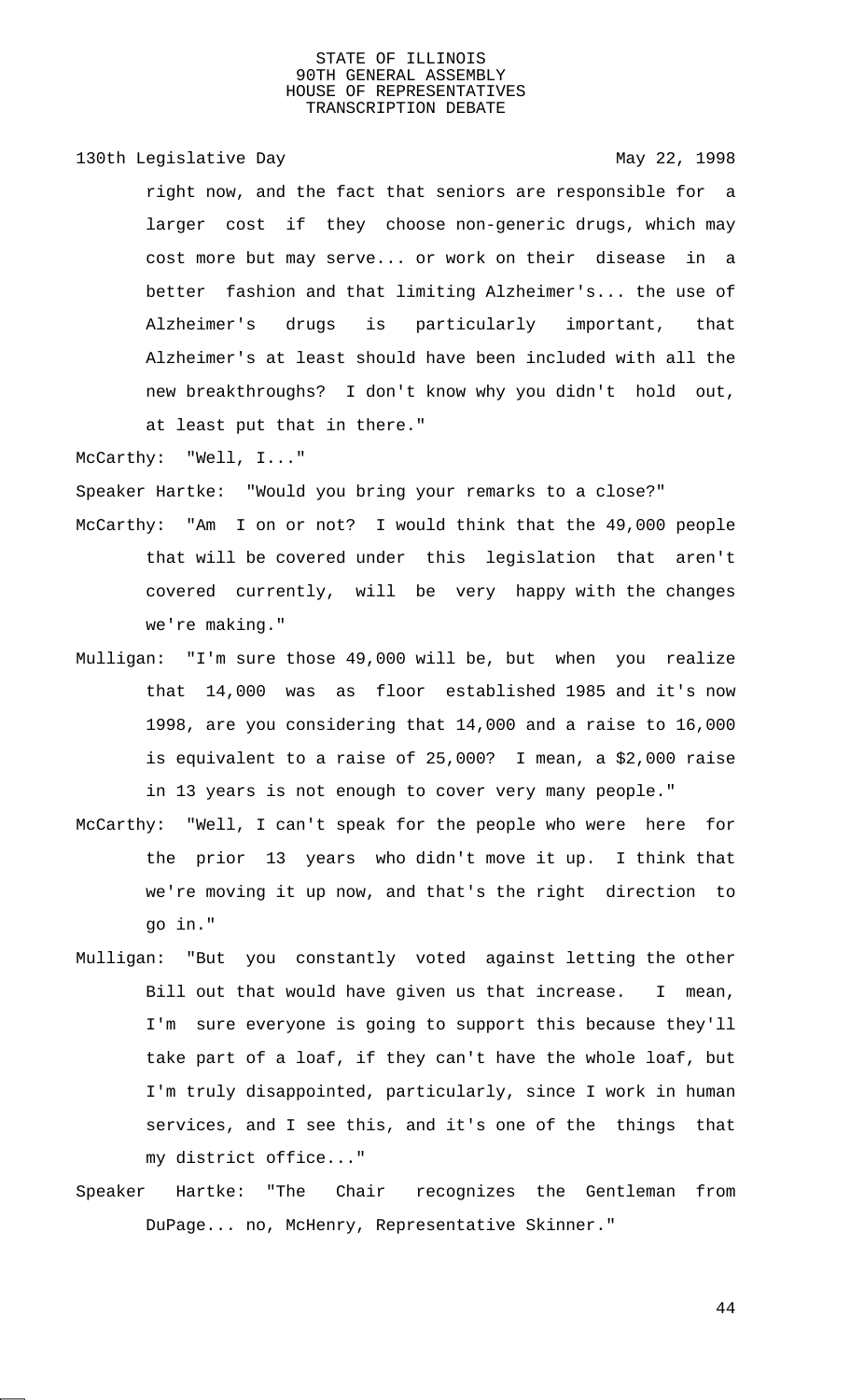130th Legislative Day 130th May 22, 1998

right now, and the fact that seniors are responsible for a larger cost if they choose non-generic drugs, which may cost more but may serve... or work on their disease in a better fashion and that limiting Alzheimer's... the use of Alzheimer's drugs is particularly important, that Alzheimer's at least should have been included with all the new breakthroughs? I don't know why you didn't hold out, at least put that in there."

McCarthy: "Well, I..."

Speaker Hartke: "Would you bring your remarks to a close?"

- McCarthy: "Am I on or not? I would think that the 49,000 people that will be covered under this legislation that aren't covered currently, will be very happy with the changes we're making."
- Mulligan: "I'm sure those 49,000 will be, but when you realize that 14,000 was as floor established 1985 and it's now 1998, are you considering that 14,000 and a raise to 16,000 is equivalent to a raise of 25,000? I mean, a \$2,000 raise in 13 years is not enough to cover very many people."
- McCarthy: "Well, I can't speak for the people who were here for the prior 13 years who didn't move it up. I think that we're moving it up now, and that's the right direction to go in."
- Mulligan: "But you constantly voted against letting the other Bill out that would have given us that increase. I mean, I'm sure everyone is going to support this because they'll take part of a loaf, if they can't have the whole loaf, but I'm truly disappointed, particularly, since I work in human services, and I see this, and it's one of the things that my district office..."
- Speaker Hartke: "The Chair recognizes the Gentleman from DuPage... no, McHenry, Representative Skinner."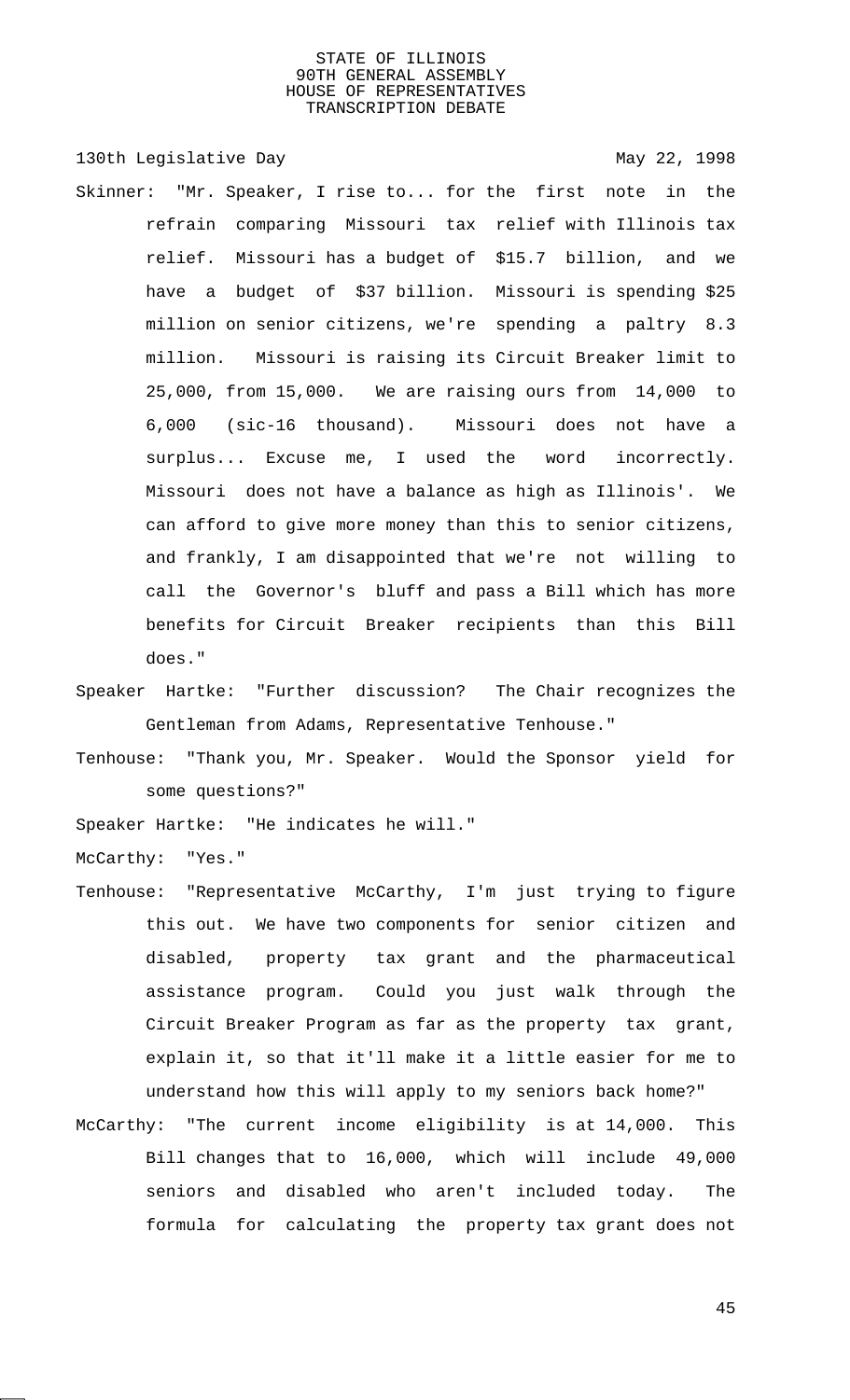130th Legislative Day 130th May 22, 1998 Skinner: "Mr. Speaker, I rise to... for the first note in the refrain comparing Missouri tax relief with Illinois tax relief. Missouri has a budget of \$15.7 billion, and we have a budget of \$37 billion. Missouri is spending \$25 million on senior citizens, we're spending a paltry 8.3 million. Missouri is raising its Circuit Breaker limit to 25,000, from 15,000. We are raising ours from 14,000 to 6,000 (sic-16 thousand). Missouri does not have a surplus... Excuse me, I used the word incorrectly. Missouri does not have a balance as high as Illinois'. We can afford to give more money than this to senior citizens, and frankly, I am disappointed that we're not willing to call the Governor's bluff and pass a Bill which has more benefits for Circuit Breaker recipients than this Bill does."

- Speaker Hartke: "Further discussion? The Chair recognizes the Gentleman from Adams, Representative Tenhouse."
- Tenhouse: "Thank you, Mr. Speaker. Would the Sponsor yield for some questions?"

Speaker Hartke: "He indicates he will."

McCarthy: "Yes."

- Tenhouse: "Representative McCarthy, I'm just trying to figure this out. We have two components for senior citizen and disabled, property tax grant and the pharmaceutical assistance program. Could you just walk through the Circuit Breaker Program as far as the property tax grant, explain it, so that it'll make it a little easier for me to understand how this will apply to my seniors back home?"
- McCarthy: "The current income eligibility is at 14,000. This Bill changes that to 16,000, which will include 49,000 seniors and disabled who aren't included today. The formula for calculating the property tax grant does not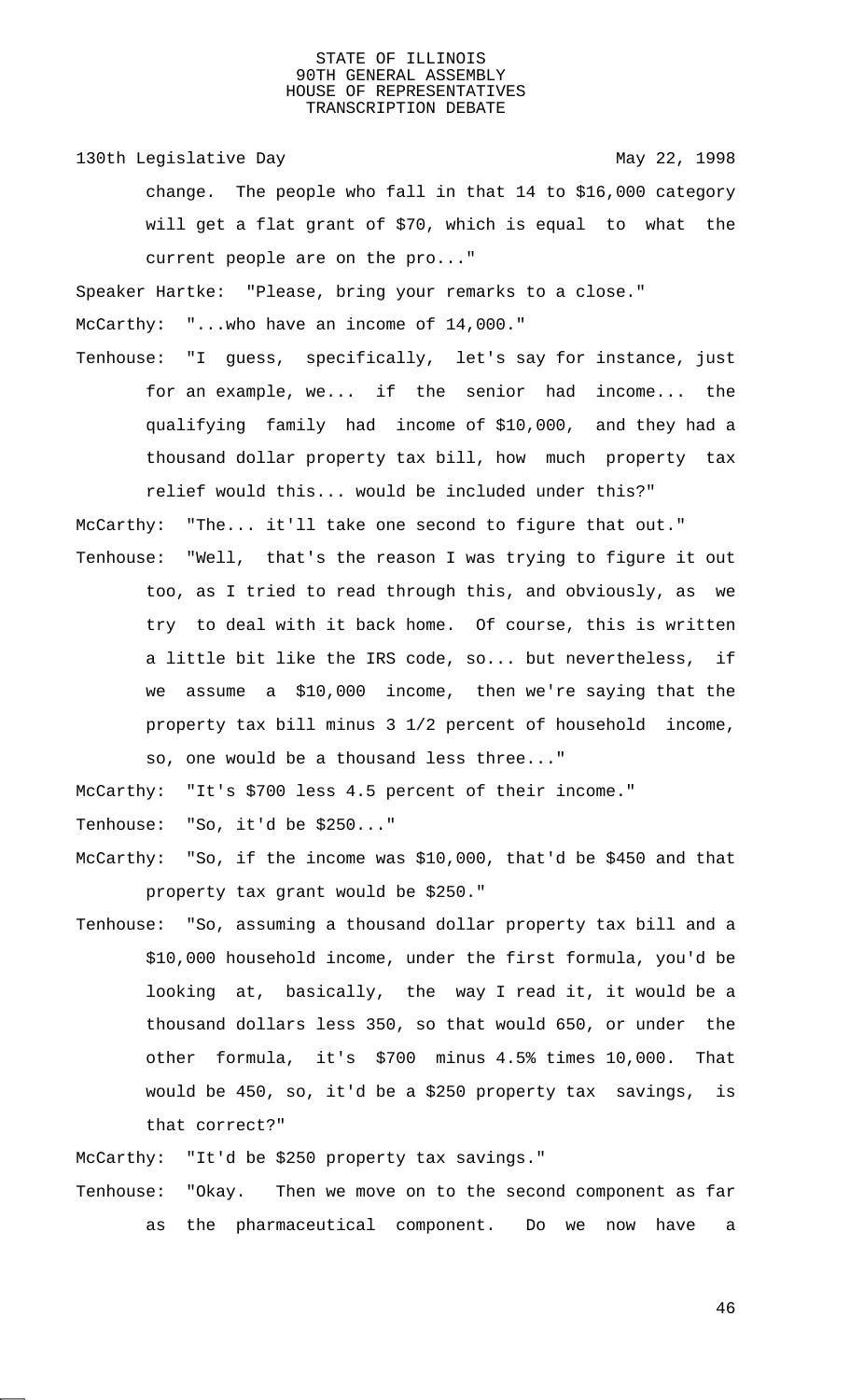130th Legislative Day 130th May 22, 1998

change. The people who fall in that 14 to \$16,000 category will get a flat grant of \$70, which is equal to what the current people are on the pro..."

Speaker Hartke: "Please, bring your remarks to a close."

McCarthy: "...who have an income of 14,000."

Tenhouse: "I guess, specifically, let's say for instance, just for an example, we... if the senior had income... the qualifying family had income of \$10,000, and they had a thousand dollar property tax bill, how much property tax relief would this... would be included under this?"

McCarthy: "The... it'll take one second to figure that out."

Tenhouse: "Well, that's the reason I was trying to figure it out too, as I tried to read through this, and obviously, as we try to deal with it back home. Of course, this is written a little bit like the IRS code, so... but nevertheless, if we assume a \$10,000 income, then we're saying that the property tax bill minus 3 1/2 percent of household income, so, one would be a thousand less three..."

McCarthy: "It's \$700 less 4.5 percent of their income."

Tenhouse: "So, it'd be \$250..."

- McCarthy: "So, if the income was \$10,000, that'd be \$450 and that property tax grant would be \$250."
- Tenhouse: "So, assuming a thousand dollar property tax bill and a \$10,000 household income, under the first formula, you'd be looking at, basically, the way I read it, it would be a thousand dollars less 350, so that would 650, or under the other formula, it's \$700 minus 4.5% times 10,000. That would be 450, so, it'd be a \$250 property tax savings, is that correct?"

McCarthy: "It'd be \$250 property tax savings."

Tenhouse: "Okay. Then we move on to the second component as far as the pharmaceutical component. Do we now have a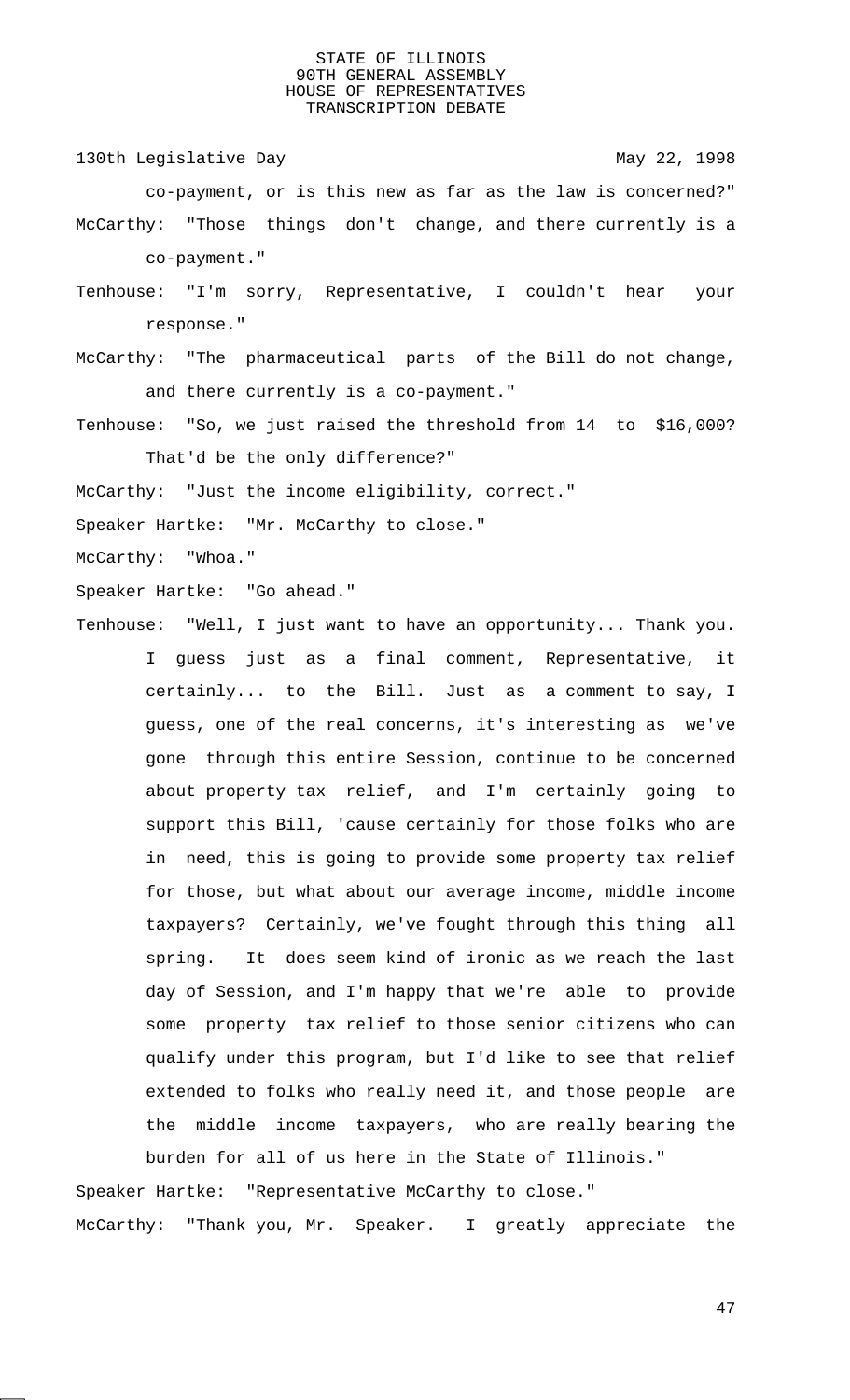130th Legislative Day 130th May 22, 1998 co-payment, or is this new as far as the law is concerned?" McCarthy: "Those things don't change, and there currently is a co-payment."

- Tenhouse: "I'm sorry, Representative, I couldn't hear your response."
- McCarthy: "The pharmaceutical parts of the Bill do not change, and there currently is a co-payment."
- Tenhouse: "So, we just raised the threshold from 14 to \$16,000? That'd be the only difference?"
- McCarthy: "Just the income eligibility, correct."
- Speaker Hartke: "Mr. McCarthy to close."

McCarthy: "Whoa."

- Speaker Hartke: "Go ahead."
- Tenhouse: "Well, I just want to have an opportunity... Thank you. I guess just as a final comment, Representative, it certainly... to the Bill. Just as a comment to say, I guess, one of the real concerns, it's interesting as we've gone through this entire Session, continue to be concerned about property tax relief, and I'm certainly going to support this Bill, 'cause certainly for those folks who are in need, this is going to provide some property tax relief for those, but what about our average income, middle income taxpayers? Certainly, we've fought through this thing all spring. It does seem kind of ironic as we reach the last day of Session, and I'm happy that we're able to provide some property tax relief to those senior citizens who can qualify under this program, but I'd like to see that relief extended to folks who really need it, and those people are the middle income taxpayers, who are really bearing the burden for all of us here in the State of Illinois."

Speaker Hartke: "Representative McCarthy to close." McCarthy: "Thank you, Mr. Speaker. I greatly appreciate the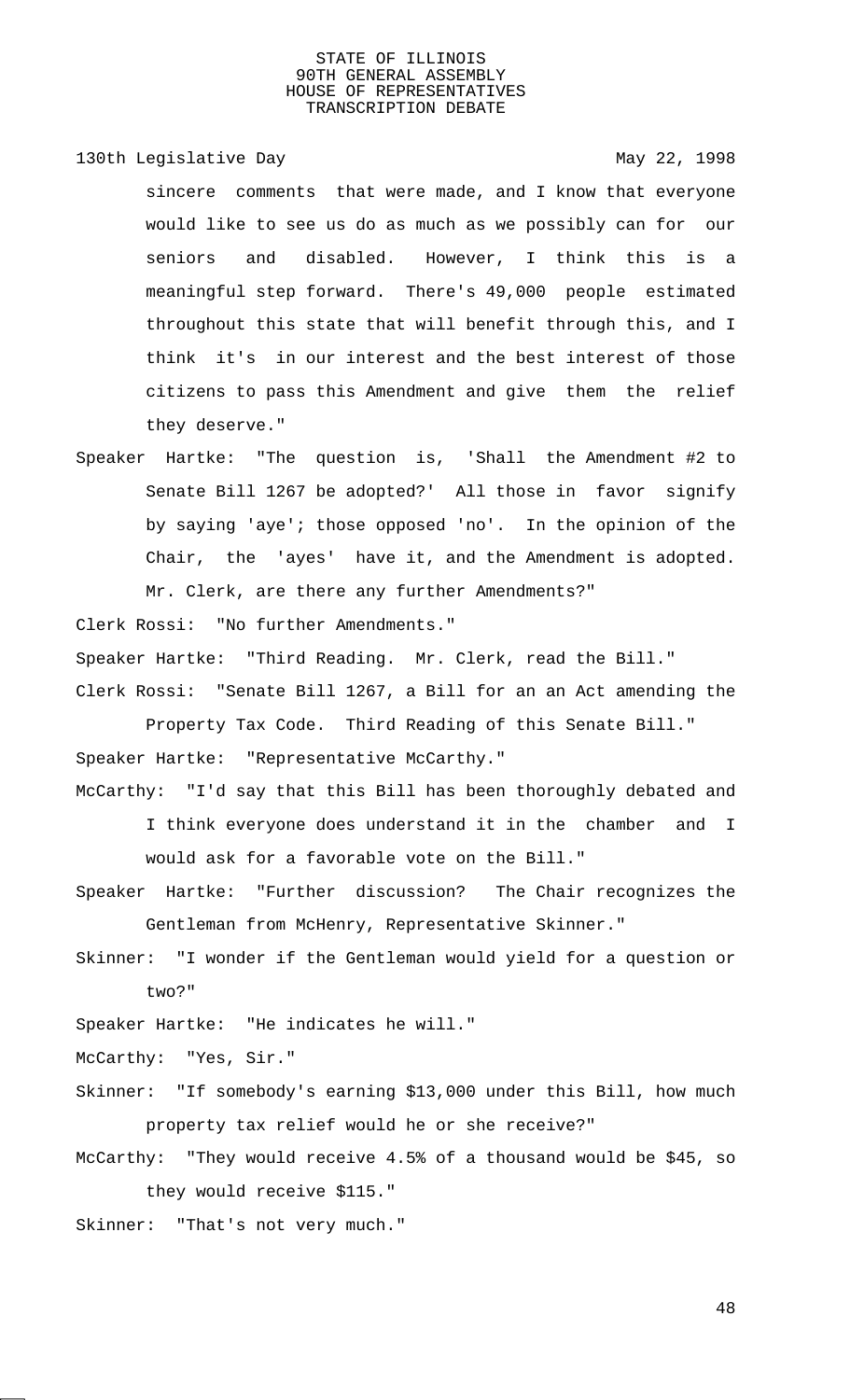130th Legislative Day 130th May 22, 1998

- sincere comments that were made, and I know that everyone would like to see us do as much as we possibly can for our seniors and disabled. However, I think this is a meaningful step forward. There's 49,000 people estimated throughout this state that will benefit through this, and I think it's in our interest and the best interest of those citizens to pass this Amendment and give them the relief they deserve."
- Speaker Hartke: "The question is, 'Shall the Amendment #2 to Senate Bill 1267 be adopted?' All those in favor signify by saying 'aye'; those opposed 'no'. In the opinion of the Chair, the 'ayes' have it, and the Amendment is adopted. Mr. Clerk, are there any further Amendments?"

Clerk Rossi: "No further Amendments."

Speaker Hartke: "Third Reading. Mr. Clerk, read the Bill."

Clerk Rossi: "Senate Bill 1267, a Bill for an an Act amending the Property Tax Code. Third Reading of this Senate Bill."

Speaker Hartke: "Representative McCarthy."

- McCarthy: "I'd say that this Bill has been thoroughly debated and I think everyone does understand it in the chamber and I would ask for a favorable vote on the Bill."
- Speaker Hartke: "Further discussion? The Chair recognizes the Gentleman from McHenry, Representative Skinner."
- Skinner: "I wonder if the Gentleman would yield for a question or two?"

Speaker Hartke: "He indicates he will."

McCarthy: "Yes, Sir."

- Skinner: "If somebody's earning \$13,000 under this Bill, how much property tax relief would he or she receive?"
- McCarthy: "They would receive 4.5% of a thousand would be \$45, so they would receive \$115."
- Skinner: "That's not very much."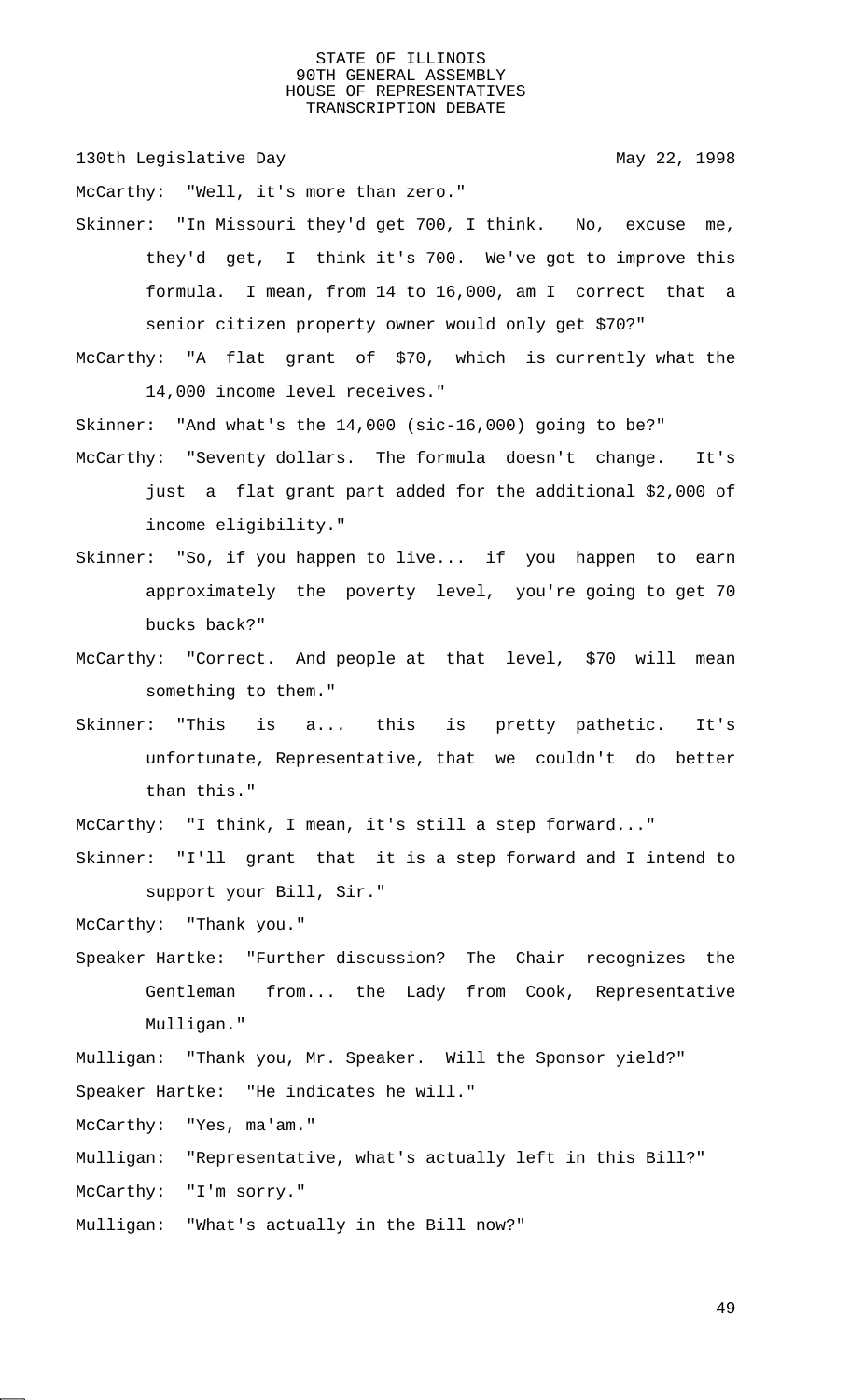130th Legislative Day 130th May 22, 1998

McCarthy: "Well, it's more than zero."

Skinner: "In Missouri they'd get 700, I think. No, excuse me, they'd get, I think it's 700. We've got to improve this formula. I mean, from 14 to 16,000, am I correct that a senior citizen property owner would only get \$70?"

McCarthy: "A flat grant of \$70, which is currently what the 14,000 income level receives."

Skinner: "And what's the 14,000 (sic-16,000) going to be?" McCarthy: "Seventy dollars. The formula doesn't change. It's just a flat grant part added for the additional \$2,000 of income eligibility."

- Skinner: "So, if you happen to live... if you happen to earn approximately the poverty level, you're going to get 70 bucks back?"
- McCarthy: "Correct. And people at that level, \$70 will mean something to them."
- Skinner: "This is a... this is pretty pathetic. It's unfortunate, Representative, that we couldn't do better than this."

McCarthy: "I think, I mean, it's still a step forward..."

Skinner: "I'll grant that it is a step forward and I intend to support your Bill, Sir."

McCarthy: "Thank you."

Speaker Hartke: "Further discussion? The Chair recognizes the Gentleman from... the Lady from Cook, Representative Mulligan."

Mulligan: "Thank you, Mr. Speaker. Will the Sponsor yield?" Speaker Hartke: "He indicates he will."

McCarthy: "Yes, ma'am."

Mulligan: "Representative, what's actually left in this Bill?"

McCarthy: "I'm sorry."

Mulligan: "What's actually in the Bill now?"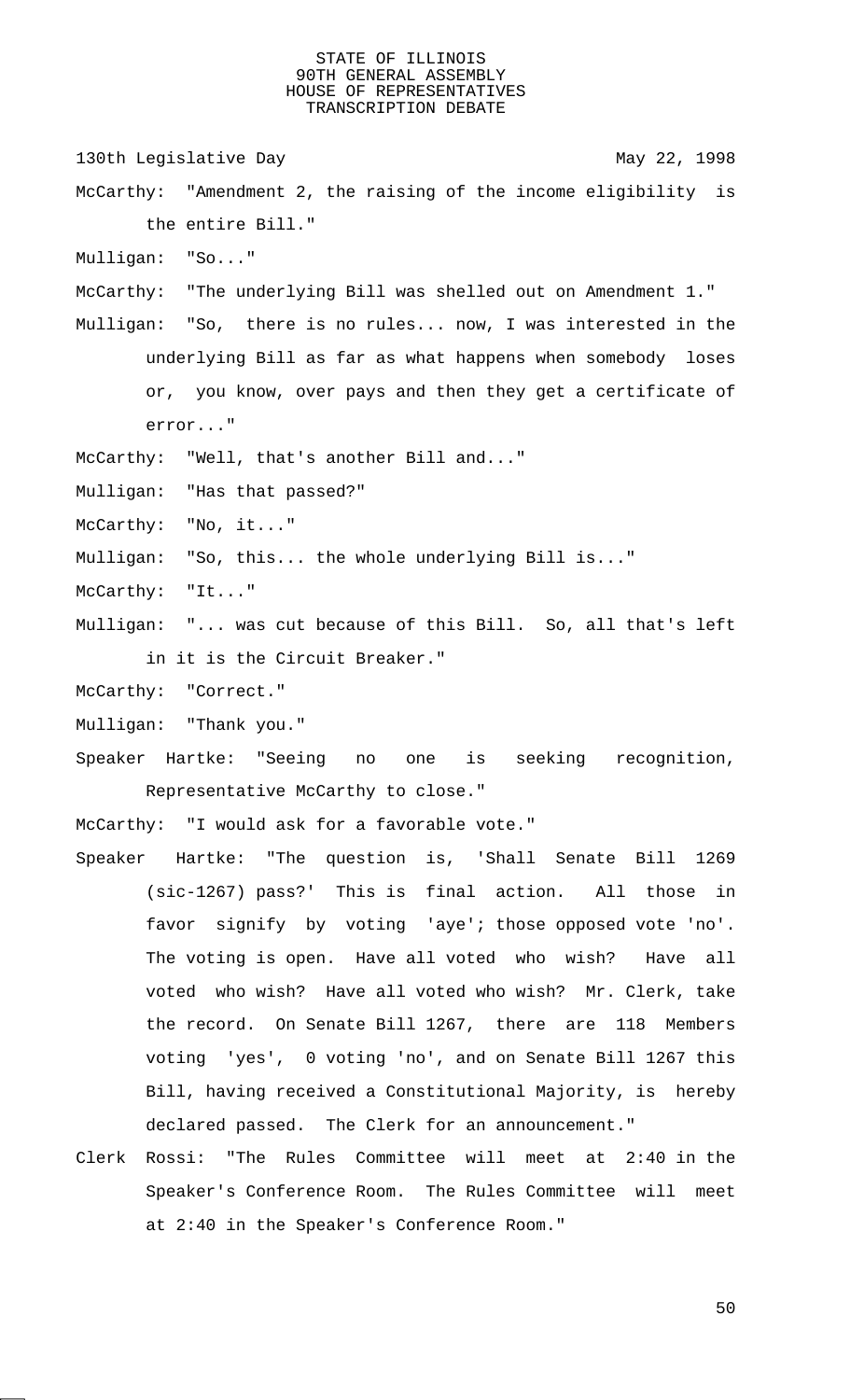- 130th Legislative Day 130th May 22, 1998
- McCarthy: "Amendment 2, the raising of the income eligibility is the entire Bill."
- Mulligan: "So..."
- McCarthy: "The underlying Bill was shelled out on Amendment 1."
- Mulligan: "So, there is no rules... now, I was interested in the underlying Bill as far as what happens when somebody loses or, you know, over pays and then they get a certificate of error..."
- McCarthy: "Well, that's another Bill and..."
- Mulligan: "Has that passed?"
- McCarthy: "No, it..."
- Mulligan: "So, this... the whole underlying Bill is..."
- McCarthy: "It..."
- Mulligan: "... was cut because of this Bill. So, all that's left in it is the Circuit Breaker."
- McCarthy: "Correct."
- Mulligan: "Thank you."
- Speaker Hartke: "Seeing no one is seeking recognition, Representative McCarthy to close."

McCarthy: "I would ask for a favorable vote."

- Speaker Hartke: "The question is, 'Shall Senate Bill 1269 (sic-1267) pass?' This is final action. All those in favor signify by voting 'aye'; those opposed vote 'no'. The voting is open. Have all voted who wish? Have all voted who wish? Have all voted who wish? Mr. Clerk, take the record. On Senate Bill 1267, there are 118 Members voting 'yes', 0 voting 'no', and on Senate Bill 1267 this Bill, having received a Constitutional Majority, is hereby declared passed. The Clerk for an announcement."
- Clerk Rossi: "The Rules Committee will meet at 2:40 in the Speaker's Conference Room. The Rules Committee will meet at 2:40 in the Speaker's Conference Room."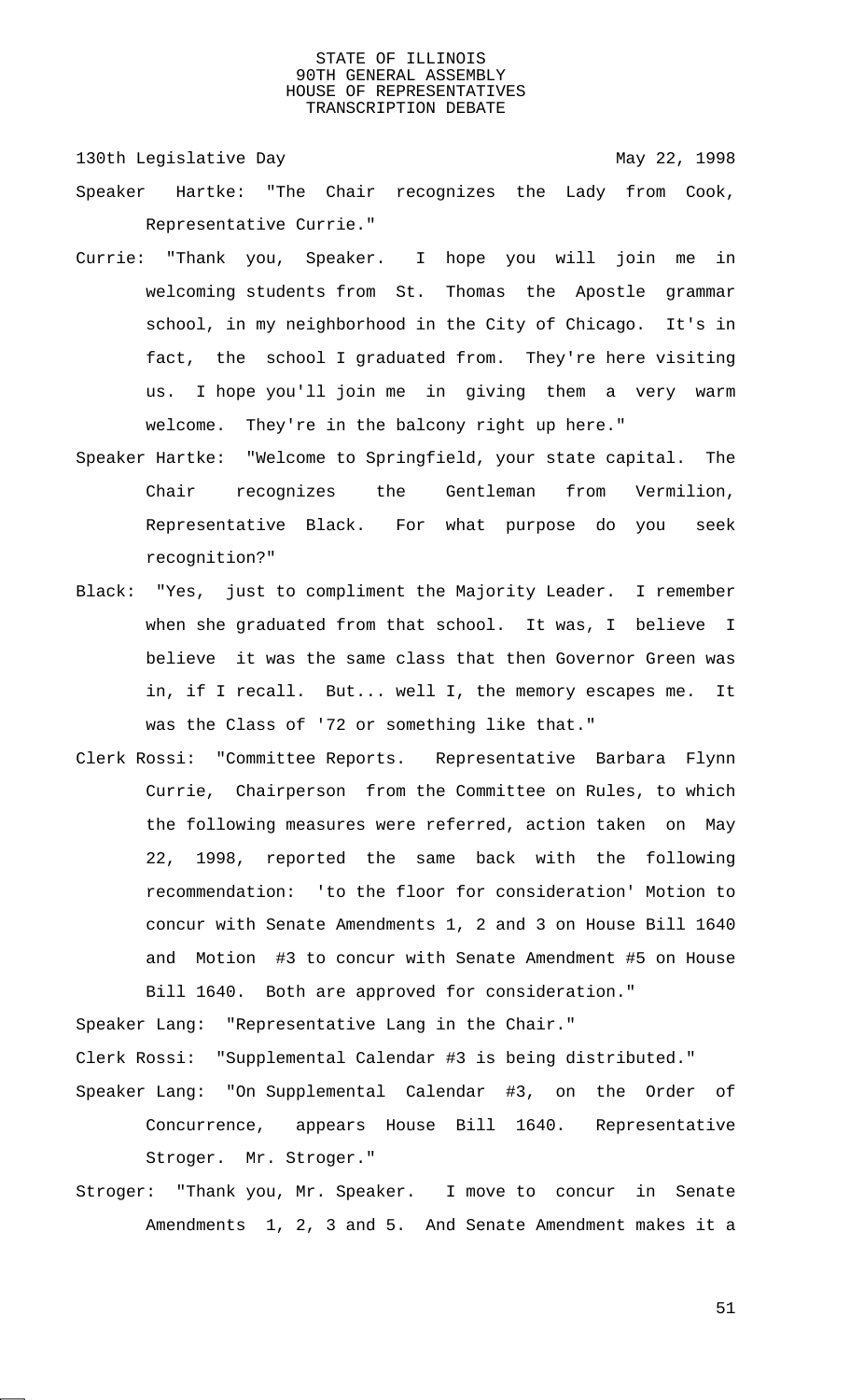130th Legislative Day 130th May 22, 1998

- Speaker Hartke: "The Chair recognizes the Lady from Cook, Representative Currie."
- Currie: "Thank you, Speaker. I hope you will join me in welcoming students from St. Thomas the Apostle grammar school, in my neighborhood in the City of Chicago. It's in fact, the school I graduated from. They're here visiting us. I hope you'll join me in giving them a very warm welcome. They're in the balcony right up here."
- Speaker Hartke: "Welcome to Springfield, your state capital. The Chair recognizes the Gentleman from Vermilion, Representative Black. For what purpose do you seek recognition?"
- Black: "Yes, just to compliment the Majority Leader. I remember when she graduated from that school. It was, I believe I believe it was the same class that then Governor Green was in, if I recall. But... well I, the memory escapes me. It was the Class of '72 or something like that."
- Clerk Rossi: "Committee Reports. Representative Barbara Flynn Currie, Chairperson from the Committee on Rules, to which the following measures were referred, action taken on May 22, 1998, reported the same back with the following recommendation: 'to the floor for consideration' Motion to concur with Senate Amendments 1, 2 and 3 on House Bill 1640 and Motion #3 to concur with Senate Amendment #5 on House Bill 1640. Both are approved for consideration."

Speaker Lang: "Representative Lang in the Chair." Clerk Rossi: "Supplemental Calendar #3 is being distributed."

- Speaker Lang: "On Supplemental Calendar #3, on the Order of Concurrence, appears House Bill 1640. Representative Stroger. Mr. Stroger."
- Stroger: "Thank you, Mr. Speaker. I move to concur in Senate Amendments 1, 2, 3 and 5. And Senate Amendment makes it a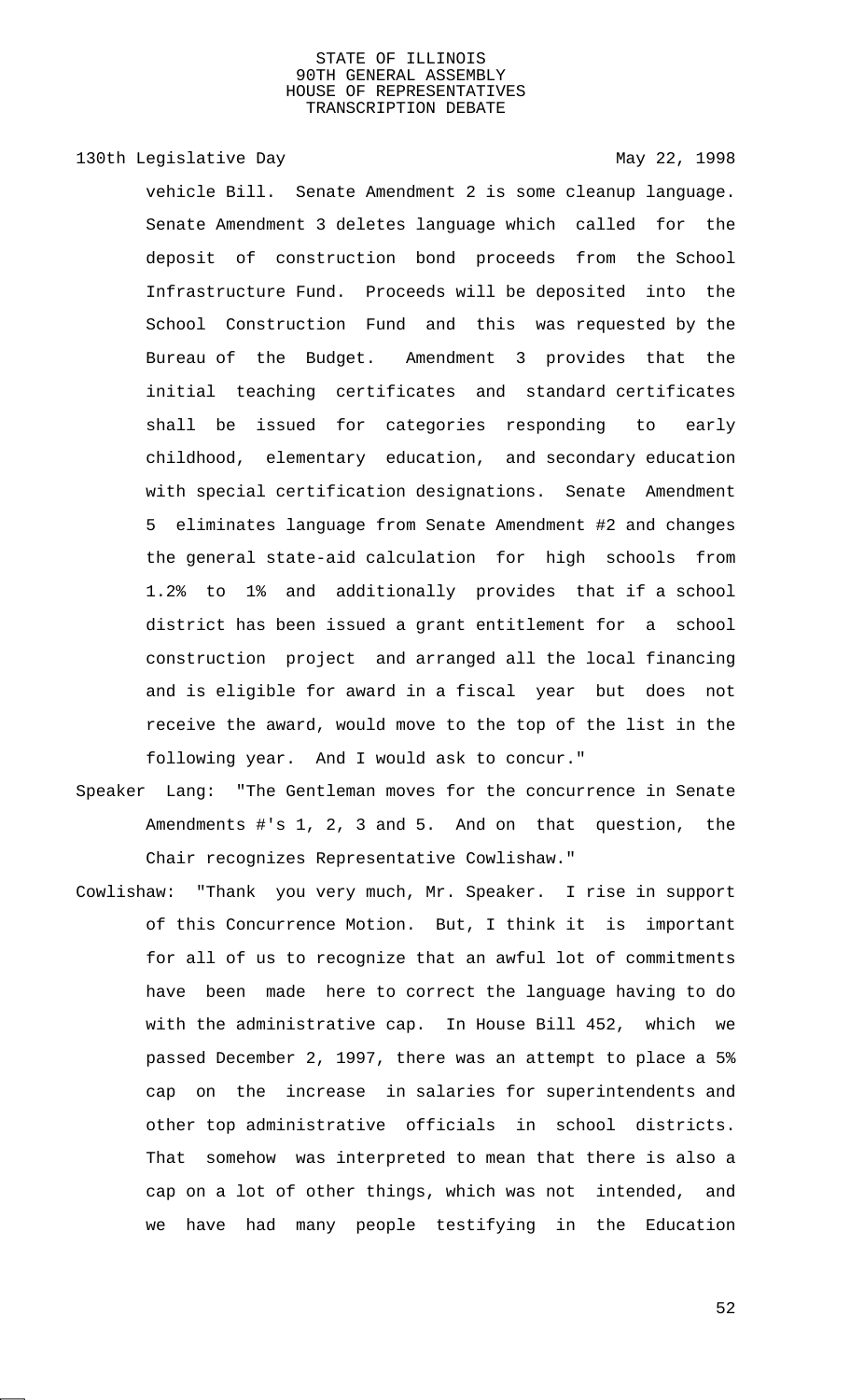130th Legislative Day 130th May 22, 1998

vehicle Bill. Senate Amendment 2 is some cleanup language. Senate Amendment 3 deletes language which called for the deposit of construction bond proceeds from the School Infrastructure Fund. Proceeds will be deposited into the School Construction Fund and this was requested by the Bureau of the Budget. Amendment 3 provides that the initial teaching certificates and standard certificates shall be issued for categories responding to early childhood, elementary education, and secondary education with special certification designations. Senate Amendment 5 eliminates language from Senate Amendment #2 and changes the general state-aid calculation for high schools from 1.2% to 1% and additionally provides that if a school district has been issued a grant entitlement for a school construction project and arranged all the local financing and is eligible for award in a fiscal year but does not receive the award, would move to the top of the list in the following year. And I would ask to concur."

- Speaker Lang: "The Gentleman moves for the concurrence in Senate Amendments #'s 1, 2, 3 and 5. And on that question, the Chair recognizes Representative Cowlishaw."
- Cowlishaw: "Thank you very much, Mr. Speaker. I rise in support of this Concurrence Motion. But, I think it is important for all of us to recognize that an awful lot of commitments have been made here to correct the language having to do with the administrative cap. In House Bill 452, which we passed December 2, 1997, there was an attempt to place a 5% cap on the increase in salaries for superintendents and other top administrative officials in school districts. That somehow was interpreted to mean that there is also a cap on a lot of other things, which was not intended, and we have had many people testifying in the Education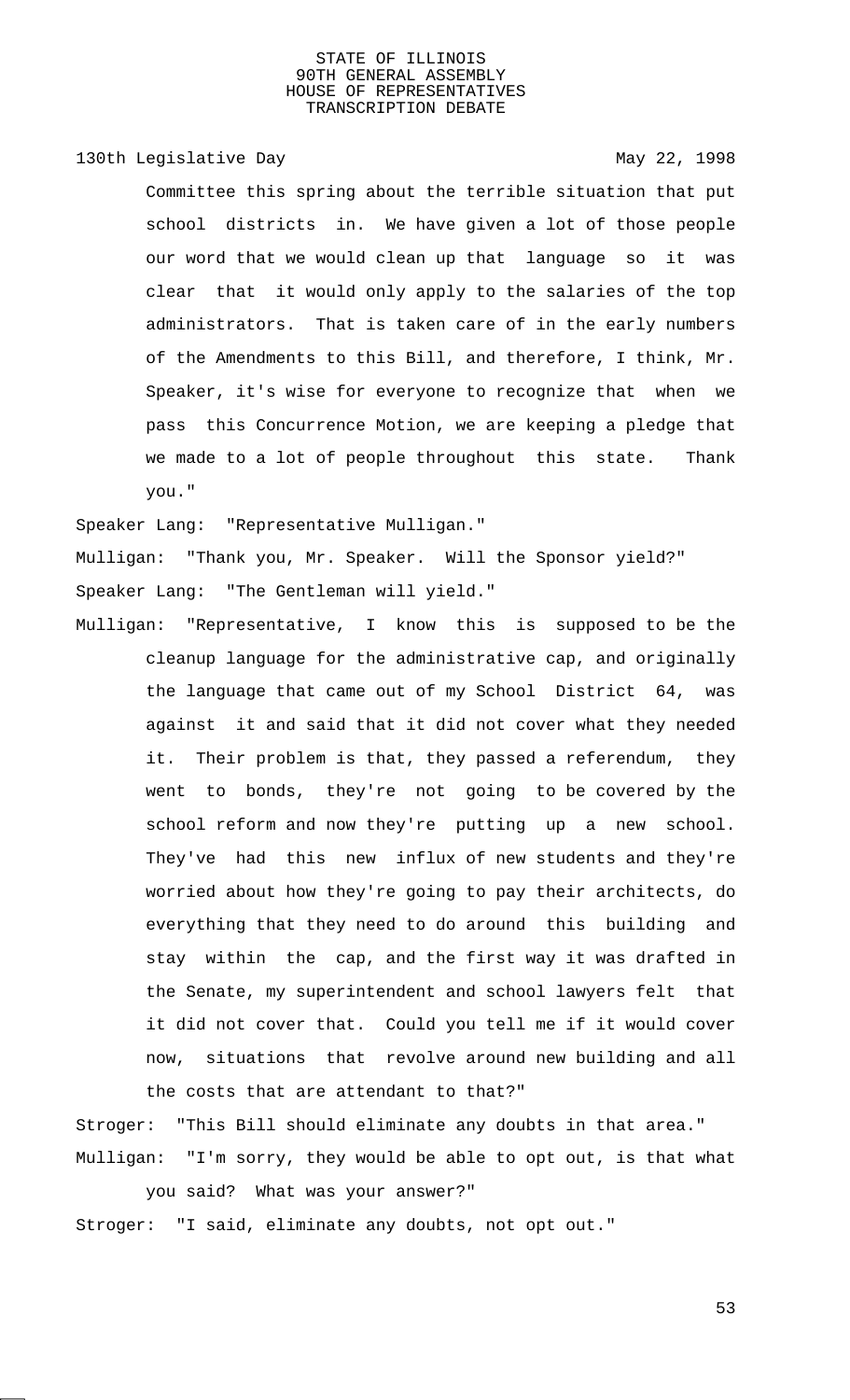# 130th Legislative Day 130th May 22, 1998

Committee this spring about the terrible situation that put school districts in. We have given a lot of those people our word that we would clean up that language so it was clear that it would only apply to the salaries of the top administrators. That is taken care of in the early numbers of the Amendments to this Bill, and therefore, I think, Mr. Speaker, it's wise for everyone to recognize that when we pass this Concurrence Motion, we are keeping a pledge that we made to a lot of people throughout this state. Thank you."

Speaker Lang: "Representative Mulligan." Mulligan: "Thank you, Mr. Speaker. Will the Sponsor yield?" Speaker Lang: "The Gentleman will yield."

Mulligan: "Representative, I know this is supposed to be the cleanup language for the administrative cap, and originally the language that came out of my School District 64, was against it and said that it did not cover what they needed it. Their problem is that, they passed a referendum, they went to bonds, they're not going to be covered by the school reform and now they're putting up a new school. They've had this new influx of new students and they're worried about how they're going to pay their architects, do everything that they need to do around this building and stay within the cap, and the first way it was drafted in the Senate, my superintendent and school lawyers felt that it did not cover that. Could you tell me if it would cover now, situations that revolve around new building and all the costs that are attendant to that?"

Stroger: "This Bill should eliminate any doubts in that area." Mulligan: "I'm sorry, they would be able to opt out, is that what

you said? What was your answer?" Stroger: "I said, eliminate any doubts, not opt out."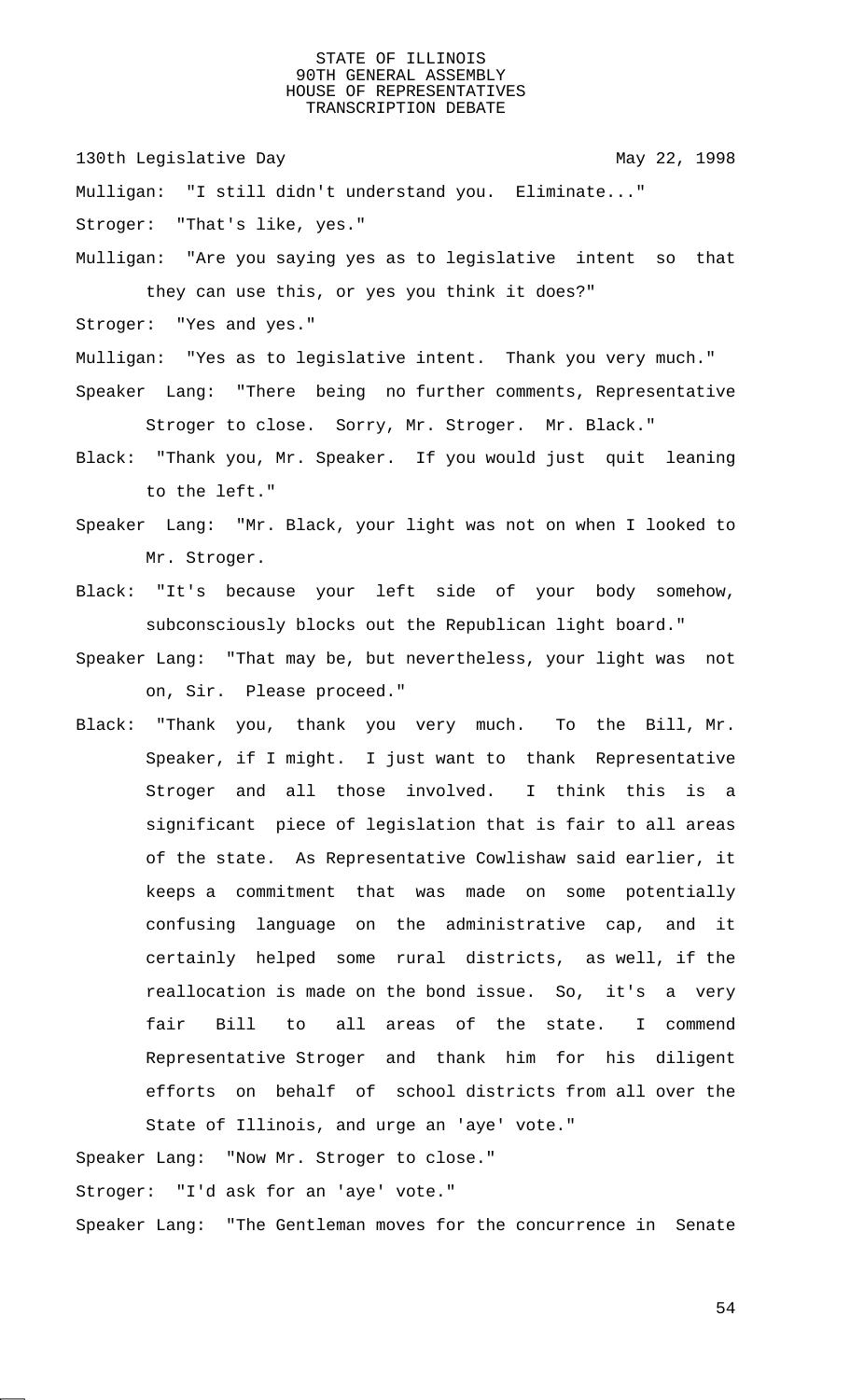130th Legislative Day 130th May 22, 1998

Mulligan: "I still didn't understand you. Eliminate..." Stroger: "That's like, yes."

Mulligan: "Are you saying yes as to legislative intent so that they can use this, or yes you think it does?"

Stroger: "Yes and yes."

Mulligan: "Yes as to legislative intent. Thank you very much." Speaker Lang: "There being no further comments, Representative Stroger to close. Sorry, Mr. Stroger. Mr. Black."

- Black: "Thank you, Mr. Speaker. If you would just quit leaning to the left."
- Speaker Lang: "Mr. Black, your light was not on when I looked to Mr. Stroger.
- Black: "It's because your left side of your body somehow, subconsciously blocks out the Republican light board."
- Speaker Lang: "That may be, but nevertheless, your light was not on, Sir. Please proceed."
- Black: "Thank you, thank you very much. To the Bill, Mr. Speaker, if I might. I just want to thank Representative Stroger and all those involved. I think this is a significant piece of legislation that is fair to all areas of the state. As Representative Cowlishaw said earlier, it keeps a commitment that was made on some potentially confusing language on the administrative cap, and it certainly helped some rural districts, as well, if the reallocation is made on the bond issue. So, it's a very fair Bill to all areas of the state. I commend Representative Stroger and thank him for his diligent efforts on behalf of school districts from all over the State of Illinois, and urge an 'aye' vote."

Speaker Lang: "Now Mr. Stroger to close."

Stroger: "I'd ask for an 'aye' vote."

Speaker Lang: "The Gentleman moves for the concurrence in Senate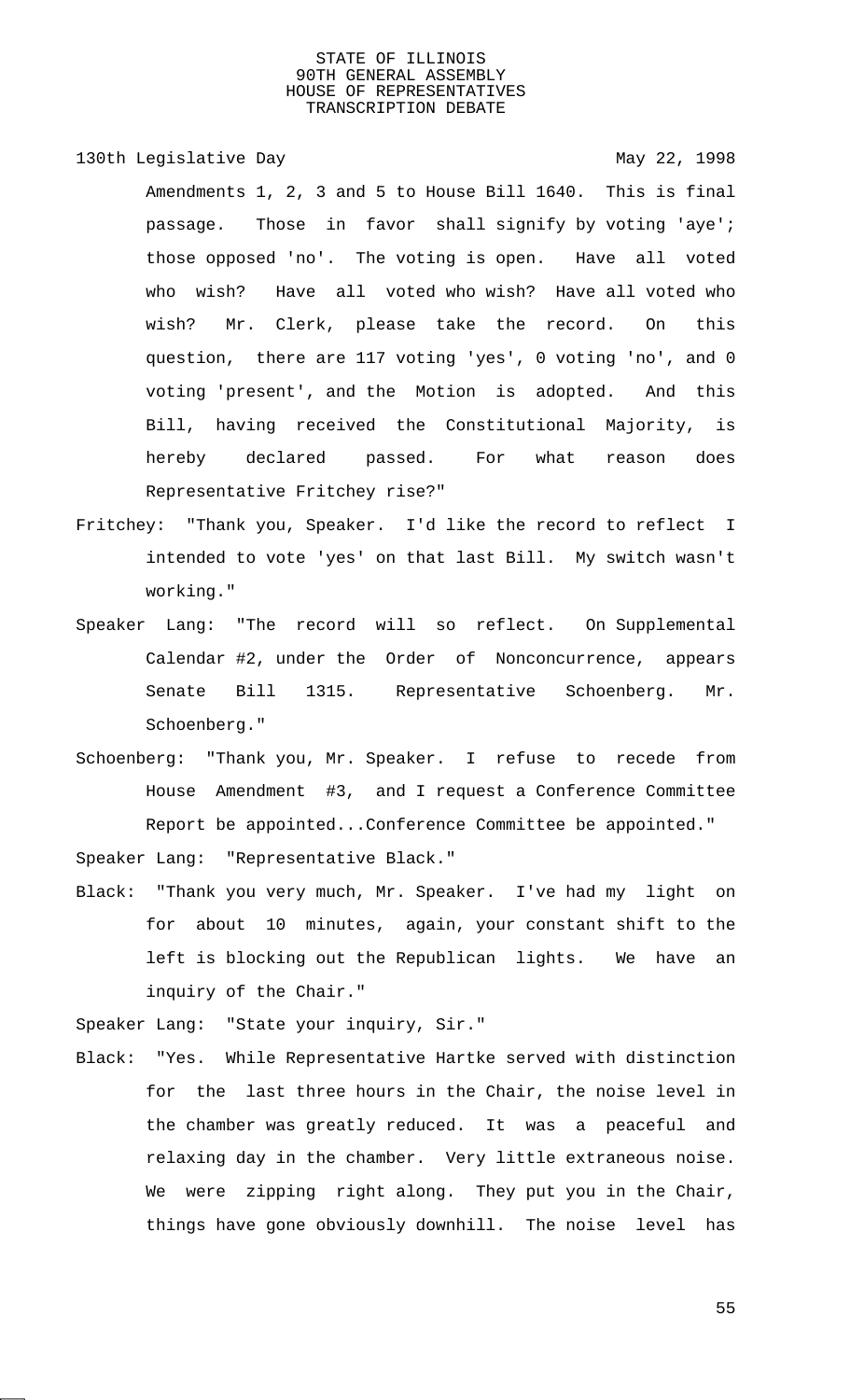130th Legislative Day 130th May 22, 1998

Amendments 1, 2, 3 and 5 to House Bill 1640. This is final passage. Those in favor shall signify by voting 'aye'; those opposed 'no'. The voting is open. Have all voted who wish? Have all voted who wish? Have all voted who wish? Mr. Clerk, please take the record. On this question, there are 117 voting 'yes', 0 voting 'no', and 0 voting 'present', and the Motion is adopted. And this Bill, having received the Constitutional Majority, is hereby declared passed. For what reason does Representative Fritchey rise?"

- Fritchey: "Thank you, Speaker. I'd like the record to reflect I intended to vote 'yes' on that last Bill. My switch wasn't working."
- Speaker Lang: "The record will so reflect. On Supplemental Calendar #2, under the Order of Nonconcurrence, appears Senate Bill 1315. Representative Schoenberg. Mr. Schoenberg."
- Schoenberg: "Thank you, Mr. Speaker. I refuse to recede from House Amendment #3, and I request a Conference Committee Report be appointed...Conference Committee be appointed."

Speaker Lang: "Representative Black."

Black: "Thank you very much, Mr. Speaker. I've had my light on for about 10 minutes, again, your constant shift to the left is blocking out the Republican lights. We have an inquiry of the Chair."

Speaker Lang: "State your inquiry, Sir."

Black: "Yes. While Representative Hartke served with distinction for the last three hours in the Chair, the noise level in the chamber was greatly reduced. It was a peaceful and relaxing day in the chamber. Very little extraneous noise. We were zipping right along. They put you in the Chair, things have gone obviously downhill. The noise level has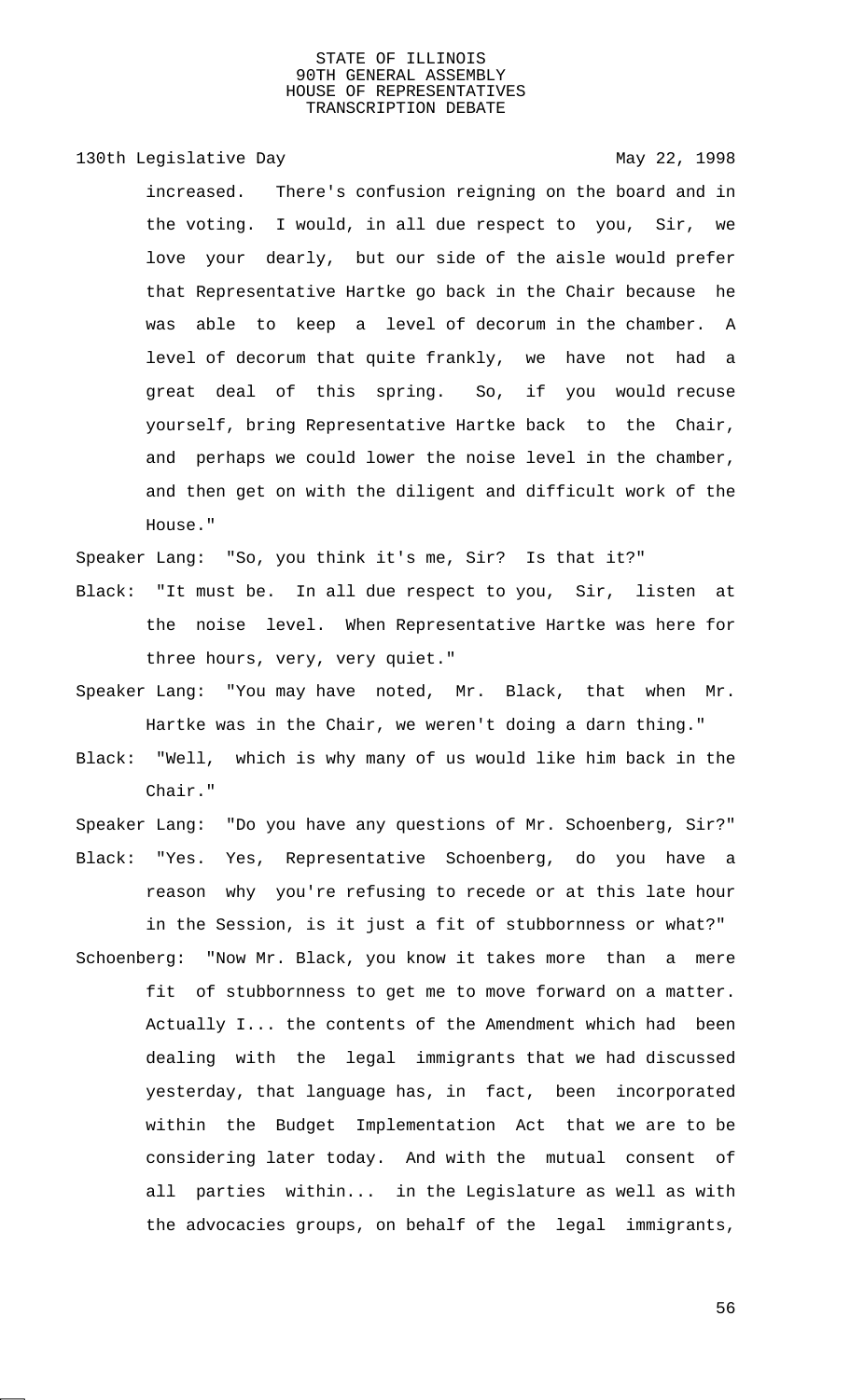130th Legislative Day 130th May 22, 1998

increased. There's confusion reigning on the board and in the voting. I would, in all due respect to you, Sir, we love your dearly, but our side of the aisle would prefer that Representative Hartke go back in the Chair because he was able to keep a level of decorum in the chamber. A level of decorum that quite frankly, we have not had a great deal of this spring. So, if you would recuse yourself, bring Representative Hartke back to the Chair, and perhaps we could lower the noise level in the chamber, and then get on with the diligent and difficult work of the House."

Speaker Lang: "So, you think it's me, Sir? Is that it?"

- Black: "It must be. In all due respect to you, Sir, listen at the noise level. When Representative Hartke was here for three hours, very, very quiet."
- Speaker Lang: "You may have noted, Mr. Black, that when Mr. Hartke was in the Chair, we weren't doing a darn thing."
- Black: "Well, which is why many of us would like him back in the Chair."
- Speaker Lang: "Do you have any questions of Mr. Schoenberg, Sir?" Black: "Yes. Yes, Representative Schoenberg, do you have a reason why you're refusing to recede or at this late hour in the Session, is it just a fit of stubbornness or what?"
- Schoenberg: "Now Mr. Black, you know it takes more than a mere fit of stubbornness to get me to move forward on a matter. Actually I... the contents of the Amendment which had been dealing with the legal immigrants that we had discussed yesterday, that language has, in fact, been incorporated within the Budget Implementation Act that we are to be considering later today. And with the mutual consent of all parties within... in the Legislature as well as with the advocacies groups, on behalf of the legal immigrants,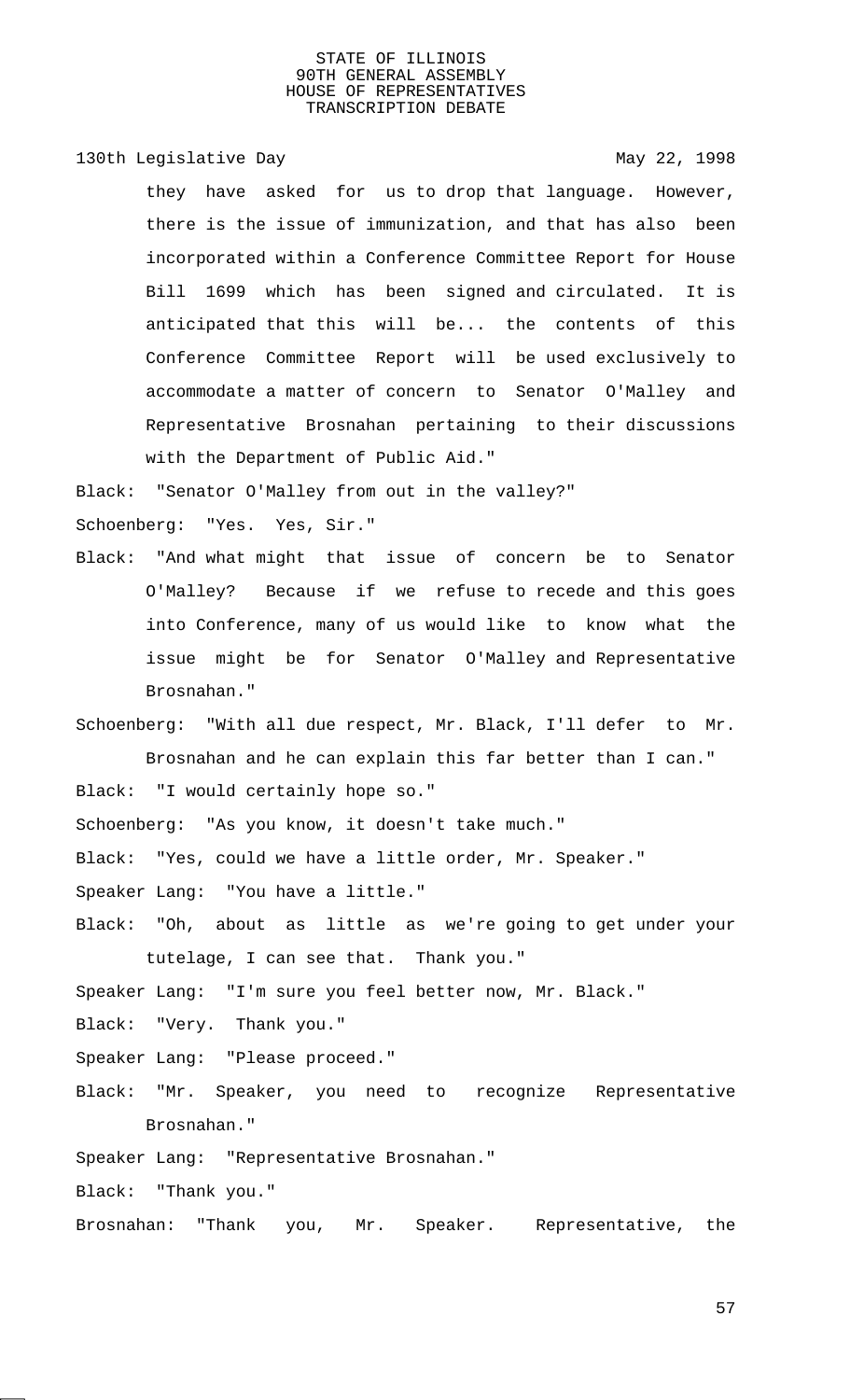130th Legislative Day 130th May 22, 1998

they have asked for us to drop that language. However, there is the issue of immunization, and that has also been incorporated within a Conference Committee Report for House Bill 1699 which has been signed and circulated. It is anticipated that this will be... the contents of this Conference Committee Report will be used exclusively to accommodate a matter of concern to Senator O'Malley and Representative Brosnahan pertaining to their discussions with the Department of Public Aid."

Black: "Senator O'Malley from out in the valley?"

Schoenberg: "Yes. Yes, Sir."

Black: "And what might that issue of concern be to Senator O'Malley? Because if we refuse to recede and this goes into Conference, many of us would like to know what the issue might be for Senator O'Malley and Representative Brosnahan."

Schoenberg: "With all due respect, Mr. Black, I'll defer to Mr. Brosnahan and he can explain this far better than I can." Black: "I would certainly hope so."

Schoenberg: "As you know, it doesn't take much."

Black: "Yes, could we have a little order, Mr. Speaker."

- Speaker Lang: "You have a little."
- Black: "Oh, about as little as we're going to get under your tutelage, I can see that. Thank you."

Speaker Lang: "I'm sure you feel better now, Mr. Black."

Black: "Very. Thank you."

- Speaker Lang: "Please proceed."
- Black: "Mr. Speaker, you need to recognize Representative Brosnahan."

Speaker Lang: "Representative Brosnahan."

Black: "Thank you."

Brosnahan: "Thank you, Mr. Speaker. Representative, the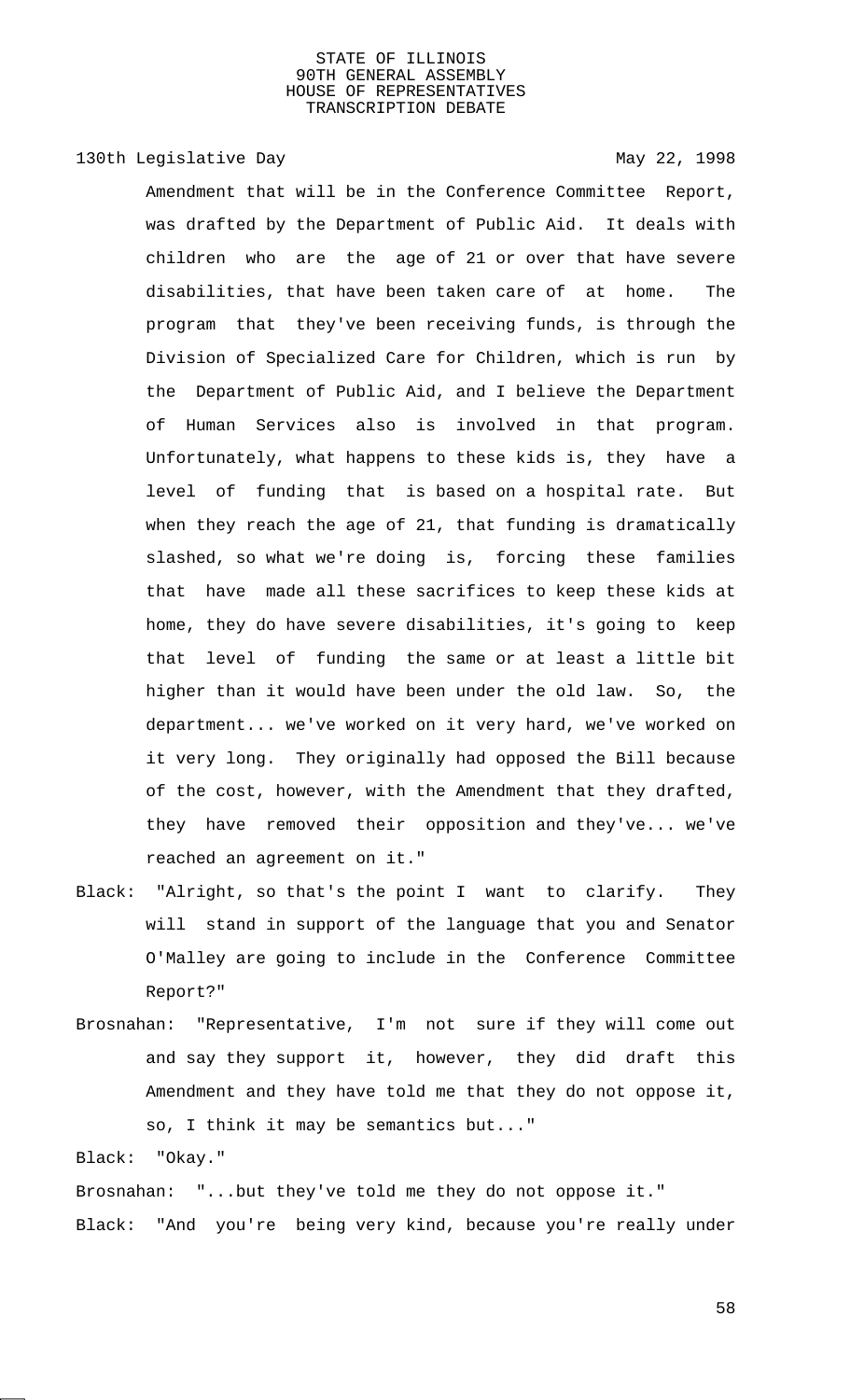# 130th Legislative Day 130th May 22, 1998

Amendment that will be in the Conference Committee Report, was drafted by the Department of Public Aid. It deals with children who are the age of 21 or over that have severe disabilities, that have been taken care of at home. The program that they've been receiving funds, is through the Division of Specialized Care for Children, which is run by the Department of Public Aid, and I believe the Department of Human Services also is involved in that program. Unfortunately, what happens to these kids is, they have a level of funding that is based on a hospital rate. But when they reach the age of 21, that funding is dramatically slashed, so what we're doing is, forcing these families that have made all these sacrifices to keep these kids at home, they do have severe disabilities, it's going to keep that level of funding the same or at least a little bit higher than it would have been under the old law. So, the department... we've worked on it very hard, we've worked on it very long. They originally had opposed the Bill because of the cost, however, with the Amendment that they drafted, they have removed their opposition and they've... we've reached an agreement on it."

- Black: "Alright, so that's the point I want to clarify. They will stand in support of the language that you and Senator O'Malley are going to include in the Conference Committee Report?"
- Brosnahan: "Representative, I'm not sure if they will come out and say they support it, however, they did draft this Amendment and they have told me that they do not oppose it, so, I think it may be semantics but..."

Black: "Okay."

Brosnahan: "...but they've told me they do not oppose it." Black: "And you're being very kind, because you're really under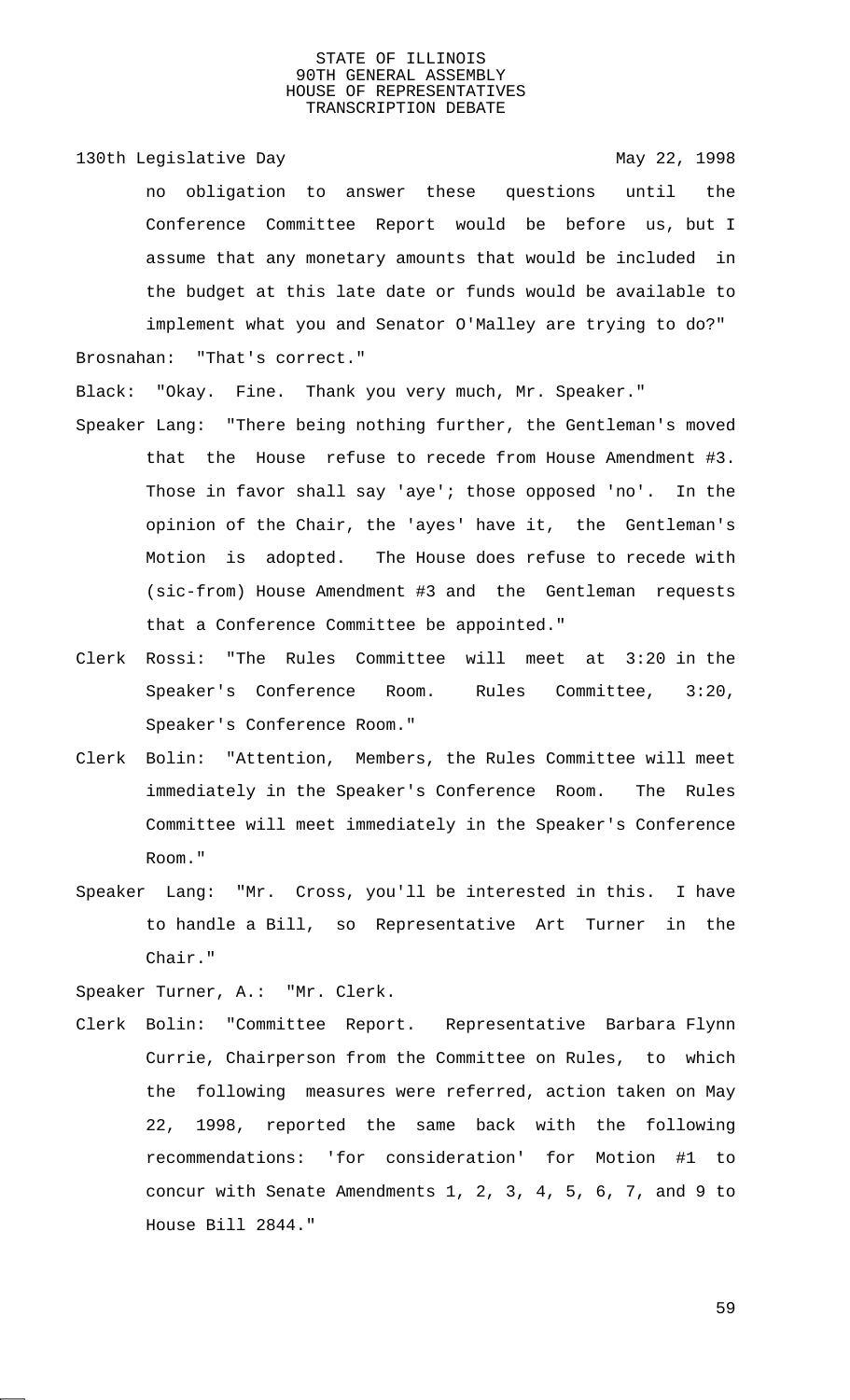130th Legislative Day 130th May 22, 1998 no obligation to answer these questions until the Conference Committee Report would be before us, but I assume that any monetary amounts that would be included in the budget at this late date or funds would be available to implement what you and Senator O'Malley are trying to do?" Brosnahan: "That's correct."

Black: "Okay. Fine. Thank you very much, Mr. Speaker."

- Speaker Lang: "There being nothing further, the Gentleman's moved that the House refuse to recede from House Amendment #3. Those in favor shall say 'aye'; those opposed 'no'. In the opinion of the Chair, the 'ayes' have it, the Gentleman's Motion is adopted. The House does refuse to recede with (sic-from) House Amendment #3 and the Gentleman requests that a Conference Committee be appointed."
- Clerk Rossi: "The Rules Committee will meet at 3:20 in the Speaker's Conference Room. Rules Committee, 3:20, Speaker's Conference Room."
- Clerk Bolin: "Attention, Members, the Rules Committee will meet immediately in the Speaker's Conference Room. The Rules Committee will meet immediately in the Speaker's Conference Room."
- Speaker Lang: "Mr. Cross, you'll be interested in this. I have to handle a Bill, so Representative Art Turner in the Chair."

Speaker Turner, A.: "Mr. Clerk.

Clerk Bolin: "Committee Report. Representative Barbara Flynn Currie, Chairperson from the Committee on Rules, to which the following measures were referred, action taken on May 22, 1998, reported the same back with the following recommendations: 'for consideration' for Motion #1 to concur with Senate Amendments 1, 2, 3, 4, 5, 6, 7, and 9 to House Bill 2844."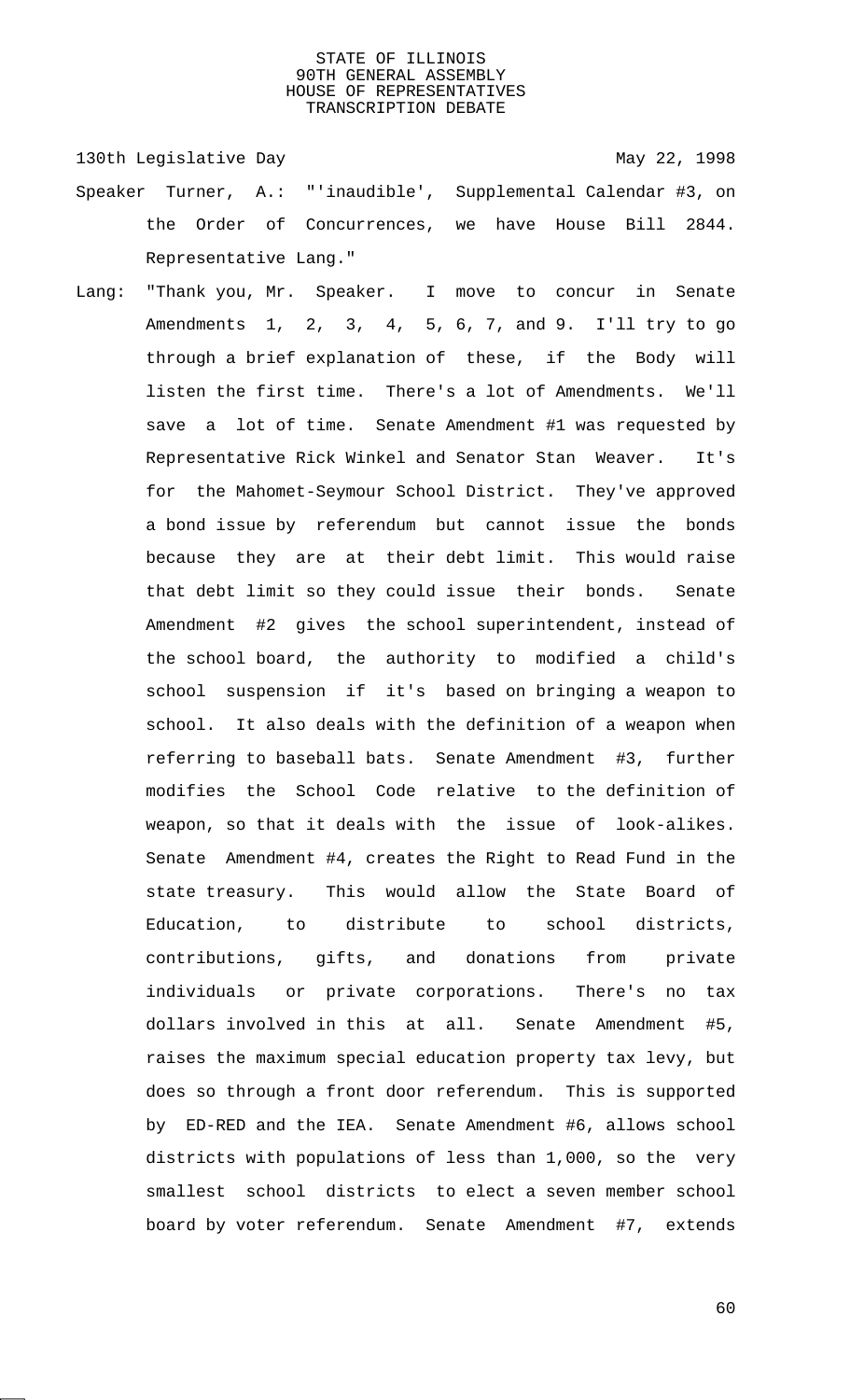130th Legislative Day 130th May 22, 1998

- Speaker Turner, A.: "'inaudible', Supplemental Calendar #3, on the Order of Concurrences, we have House Bill 2844. Representative Lang."
- Lang: "Thank you, Mr. Speaker. I move to concur in Senate Amendments 1, 2, 3, 4, 5, 6, 7, and 9. I'll try to go through a brief explanation of these, if the Body will listen the first time. There's a lot of Amendments. We'll save a lot of time. Senate Amendment #1 was requested by Representative Rick Winkel and Senator Stan Weaver. It's for the Mahomet-Seymour School District. They've approved a bond issue by referendum but cannot issue the bonds because they are at their debt limit. This would raise that debt limit so they could issue their bonds. Senate Amendment #2 gives the school superintendent, instead of the school board, the authority to modified a child's school suspension if it's based on bringing a weapon to school. It also deals with the definition of a weapon when referring to baseball bats. Senate Amendment #3, further modifies the School Code relative to the definition of weapon, so that it deals with the issue of look-alikes. Senate Amendment #4, creates the Right to Read Fund in the state treasury. This would allow the State Board of Education, to distribute to school districts, contributions, gifts, and donations from private individuals or private corporations. There's no tax dollars involved in this at all. Senate Amendment #5, raises the maximum special education property tax levy, but does so through a front door referendum. This is supported by ED-RED and the IEA. Senate Amendment #6, allows school districts with populations of less than 1,000, so the very smallest school districts to elect a seven member school board by voter referendum. Senate Amendment #7, extends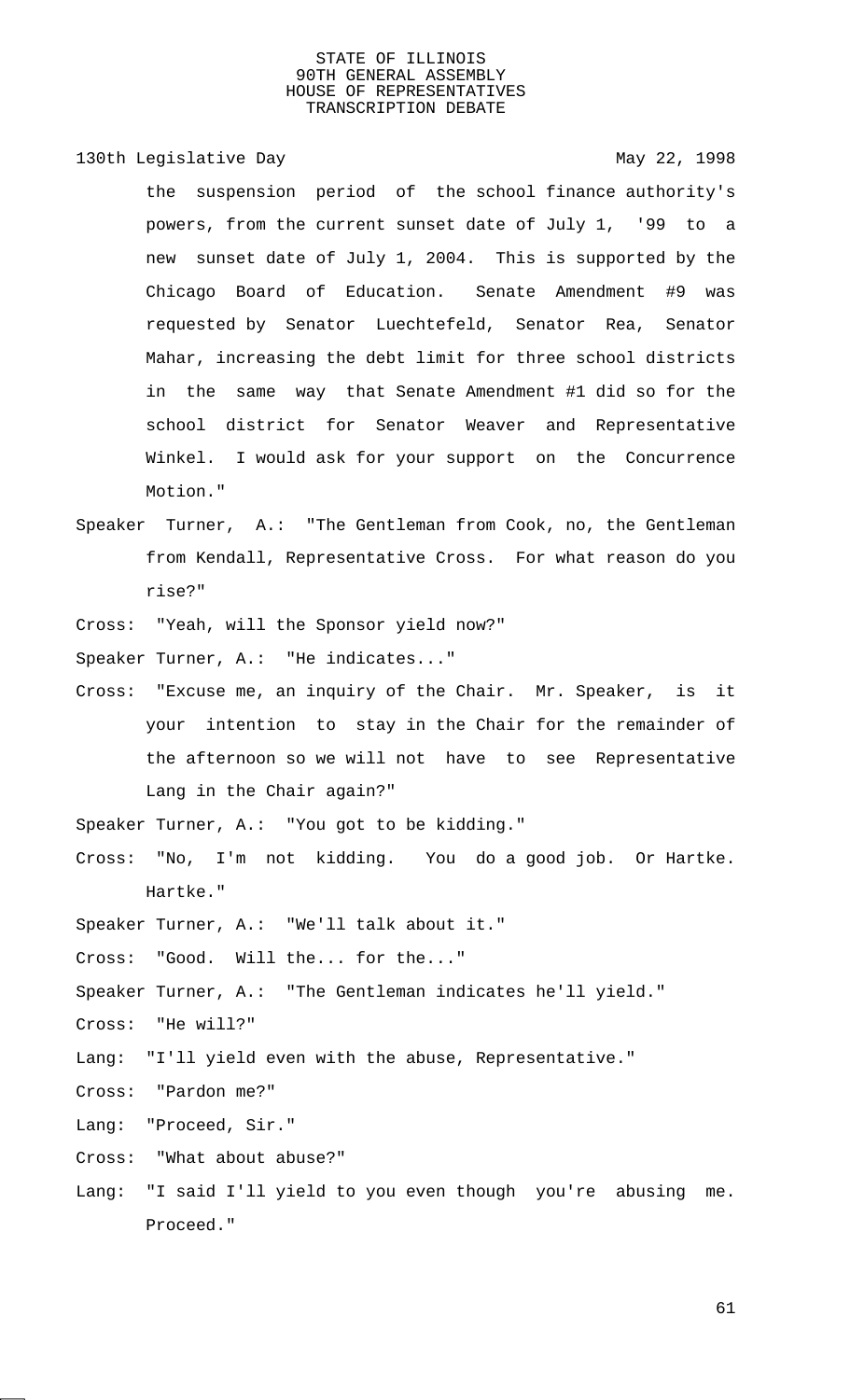130th Legislative Day 130th May 22, 1998

the suspension period of the school finance authority's powers, from the current sunset date of July 1, '99 to a new sunset date of July 1, 2004. This is supported by the Chicago Board of Education. Senate Amendment #9 was requested by Senator Luechtefeld, Senator Rea, Senator Mahar, increasing the debt limit for three school districts in the same way that Senate Amendment #1 did so for the school district for Senator Weaver and Representative Winkel. I would ask for your support on the Concurrence Motion."

- Speaker Turner, A.: "The Gentleman from Cook, no, the Gentleman from Kendall, Representative Cross. For what reason do you rise?"
- Cross: "Yeah, will the Sponsor yield now?"

Speaker Turner, A.: "He indicates..."

- Cross: "Excuse me, an inquiry of the Chair. Mr. Speaker, is it your intention to stay in the Chair for the remainder of the afternoon so we will not have to see Representative Lang in the Chair again?"
- Speaker Turner, A.: "You got to be kidding."
- Cross: "No, I'm not kidding. You do a good job. Or Hartke. Hartke."
- Speaker Turner, A.: "We'll talk about it."
- Cross: "Good. Will the... for the..."

Speaker Turner, A.: "The Gentleman indicates he'll yield."

- Cross: "He will?"
- Lang: "I'll yield even with the abuse, Representative."
- Cross: "Pardon me?"
- Lang: "Proceed, Sir."
- Cross: "What about abuse?"
- Lang: "I said I'll yield to you even though you're abusing me. Proceed."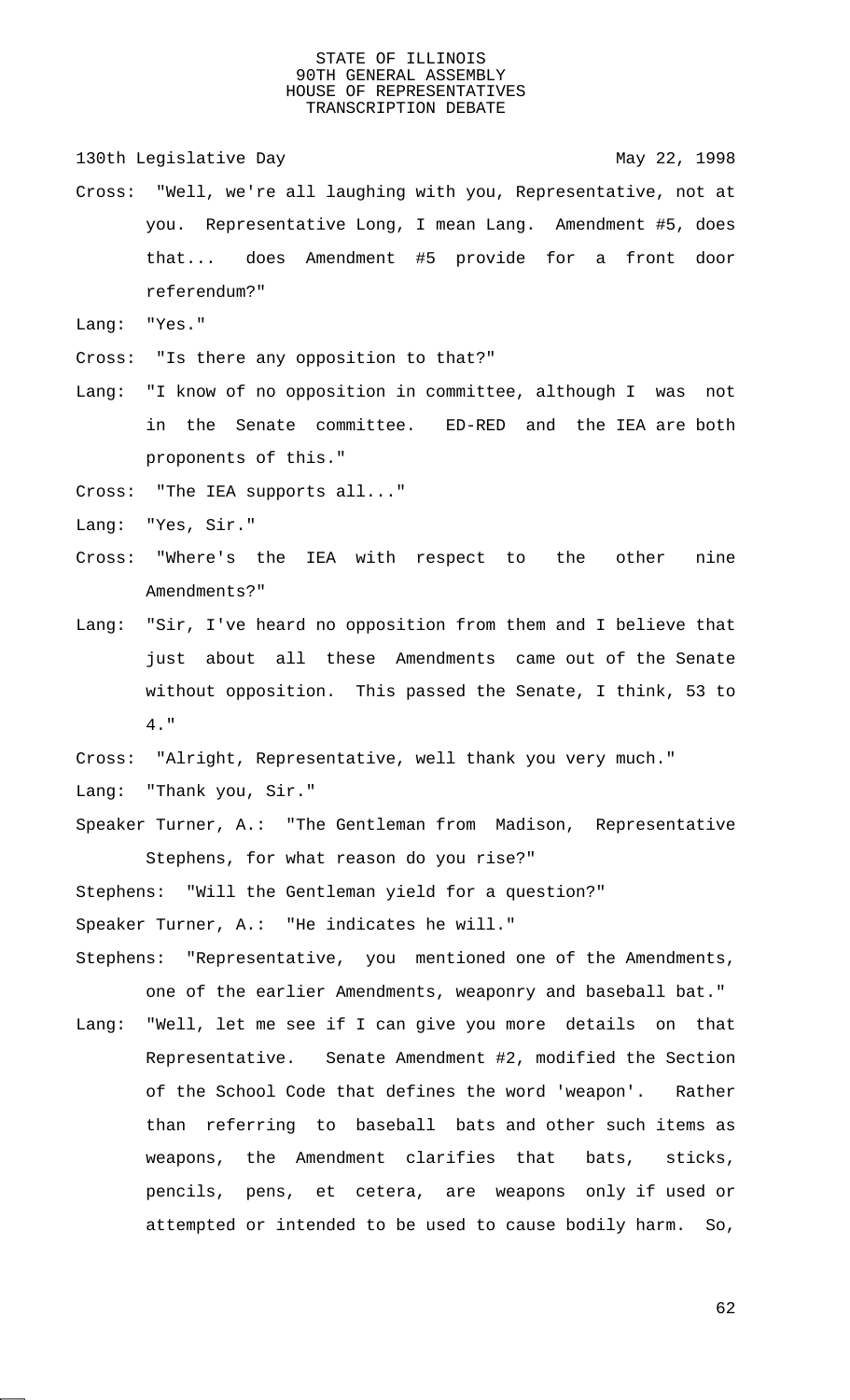130th Legislative Day 130th May 22, 1998

- Cross: "Well, we're all laughing with you, Representative, not at you. Representative Long, I mean Lang. Amendment #5, does that... does Amendment #5 provide for a front door referendum?"
- Lang: "Yes."

Cross: "Is there any opposition to that?"

- Lang: "I know of no opposition in committee, although I was not in the Senate committee. ED-RED and the IEA are both proponents of this."
- Cross: "The IEA supports all..."
- Lang: "Yes, Sir."
- Cross: "Where's the IEA with respect to the other nine Amendments?"
- Lang: "Sir, I've heard no opposition from them and I believe that just about all these Amendments came out of the Senate without opposition. This passed the Senate, I think, 53 to 4."
- Cross: "Alright, Representative, well thank you very much."
- Lang: "Thank you, Sir."
- Speaker Turner, A.: "The Gentleman from Madison, Representative Stephens, for what reason do you rise?"

Stephens: "Will the Gentleman yield for a question?"

Speaker Turner, A.: "He indicates he will."

- Stephens: "Representative, you mentioned one of the Amendments, one of the earlier Amendments, weaponry and baseball bat."
- Lang: "Well, let me see if I can give you more details on that Representative. Senate Amendment #2, modified the Section of the School Code that defines the word 'weapon'. Rather than referring to baseball bats and other such items as weapons, the Amendment clarifies that bats, sticks, pencils, pens, et cetera, are weapons only if used or attempted or intended to be used to cause bodily harm. So,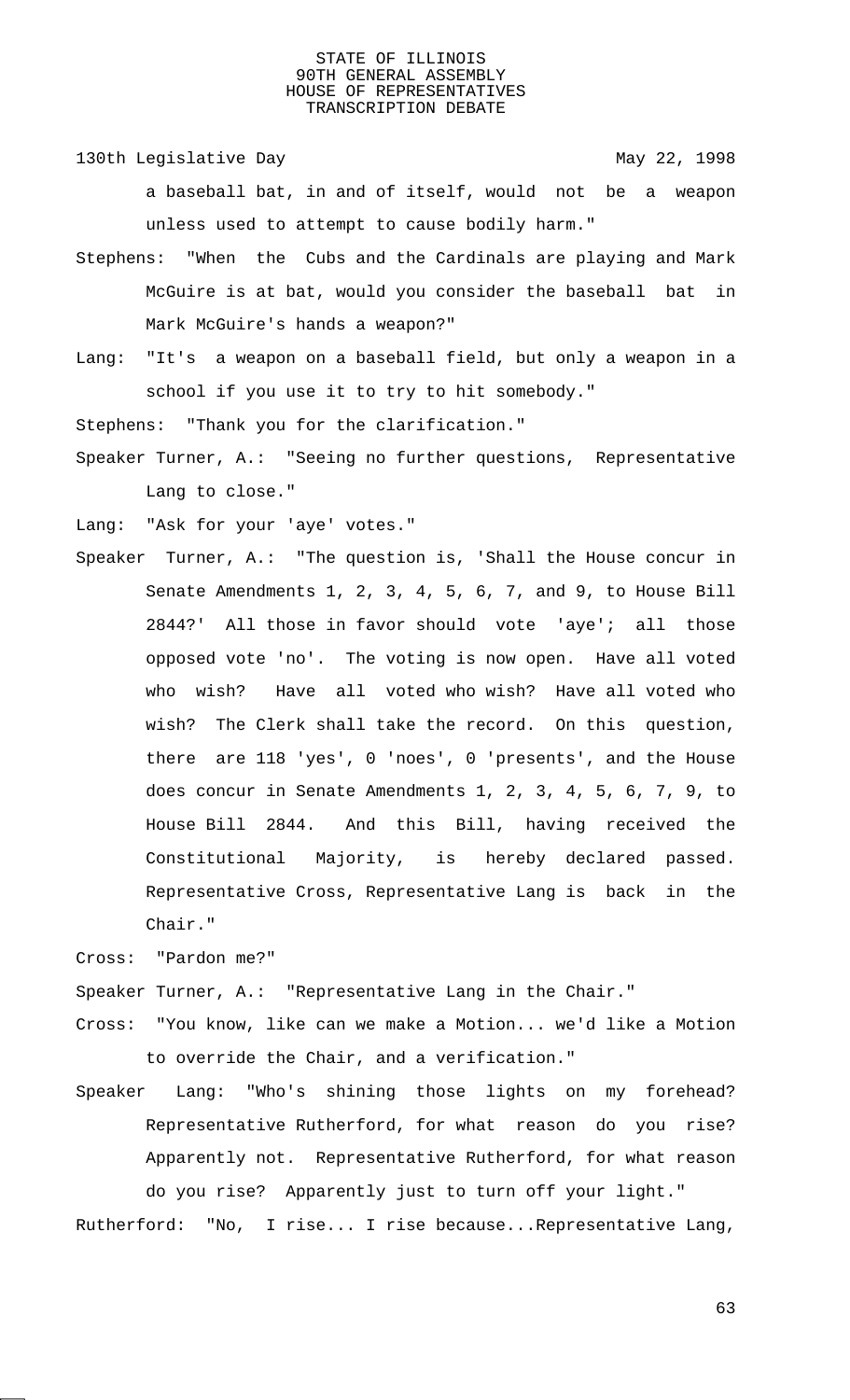130th Legislative Day 130th May 22, 1998

a baseball bat, in and of itself, would not be a weapon unless used to attempt to cause bodily harm."

- Stephens: "When the Cubs and the Cardinals are playing and Mark McGuire is at bat, would you consider the baseball bat in Mark McGuire's hands a weapon?"
- Lang: "It's a weapon on a baseball field, but only a weapon in a school if you use it to try to hit somebody."

Stephens: "Thank you for the clarification."

Speaker Turner, A.: "Seeing no further questions, Representative Lang to close."

Lang: "Ask for your 'aye' votes."

Speaker Turner, A.: "The question is, 'Shall the House concur in Senate Amendments 1, 2, 3, 4, 5, 6, 7, and 9, to House Bill 2844?' All those in favor should vote 'aye'; all those opposed vote 'no'. The voting is now open. Have all voted who wish? Have all voted who wish? Have all voted who wish? The Clerk shall take the record. On this question, there are 118 'yes', 0 'noes', 0 'presents', and the House does concur in Senate Amendments 1, 2, 3, 4, 5, 6, 7, 9, to House Bill 2844. And this Bill, having received the Constitutional Majority, is hereby declared passed. Representative Cross, Representative Lang is back in the Chair."

Cross: "Pardon me?"

Speaker Turner, A.: "Representative Lang in the Chair."

- Cross: "You know, like can we make a Motion... we'd like a Motion to override the Chair, and a verification."
- Speaker Lang: "Who's shining those lights on my forehead? Representative Rutherford, for what reason do you rise? Apparently not. Representative Rutherford, for what reason do you rise? Apparently just to turn off your light."

Rutherford: "No, I rise... I rise because...Representative Lang,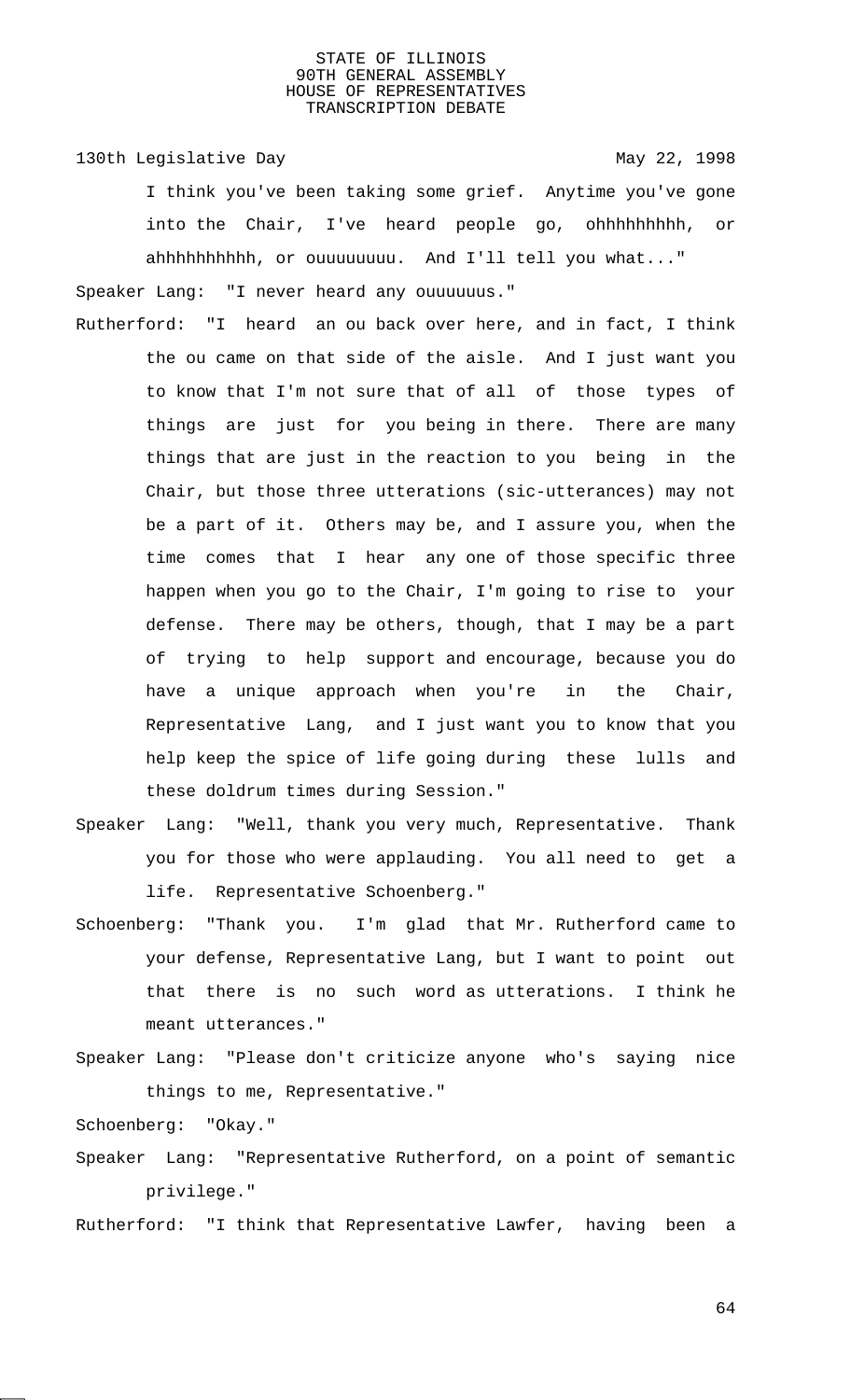130th Legislative Day 130th May 22, 1998

I think you've been taking some grief. Anytime you've gone into the Chair, I've heard people go, ohhhhhhhhh, or ahhhhhhhhhh, or ouuuuuuuu. And I'll tell you what..."

Speaker Lang: "I never heard any ouuuuuus."

- Rutherford: "I heard an ou back over here, and in fact, I think the ou came on that side of the aisle. And I just want you to know that I'm not sure that of all of those types of things are just for you being in there. There are many things that are just in the reaction to you being in the Chair, but those three utterations (sic-utterances) may not be a part of it. Others may be, and I assure you, when the time comes that I hear any one of those specific three happen when you go to the Chair, I'm going to rise to your defense. There may be others, though, that I may be a part of trying to help support and encourage, because you do have a unique approach when you're in the Chair, Representative Lang, and I just want you to know that you help keep the spice of life going during these lulls and these doldrum times during Session."
- Speaker Lang: "Well, thank you very much, Representative. Thank you for those who were applauding. You all need to get a life. Representative Schoenberg."
- Schoenberg: "Thank you. I'm glad that Mr. Rutherford came to your defense, Representative Lang, but I want to point out that there is no such word as utterations. I think he meant utterances."
- Speaker Lang: "Please don't criticize anyone who's saying nice things to me, Representative."

Schoenberg: "Okay."

Speaker Lang: "Representative Rutherford, on a point of semantic privilege."

Rutherford: "I think that Representative Lawfer, having been a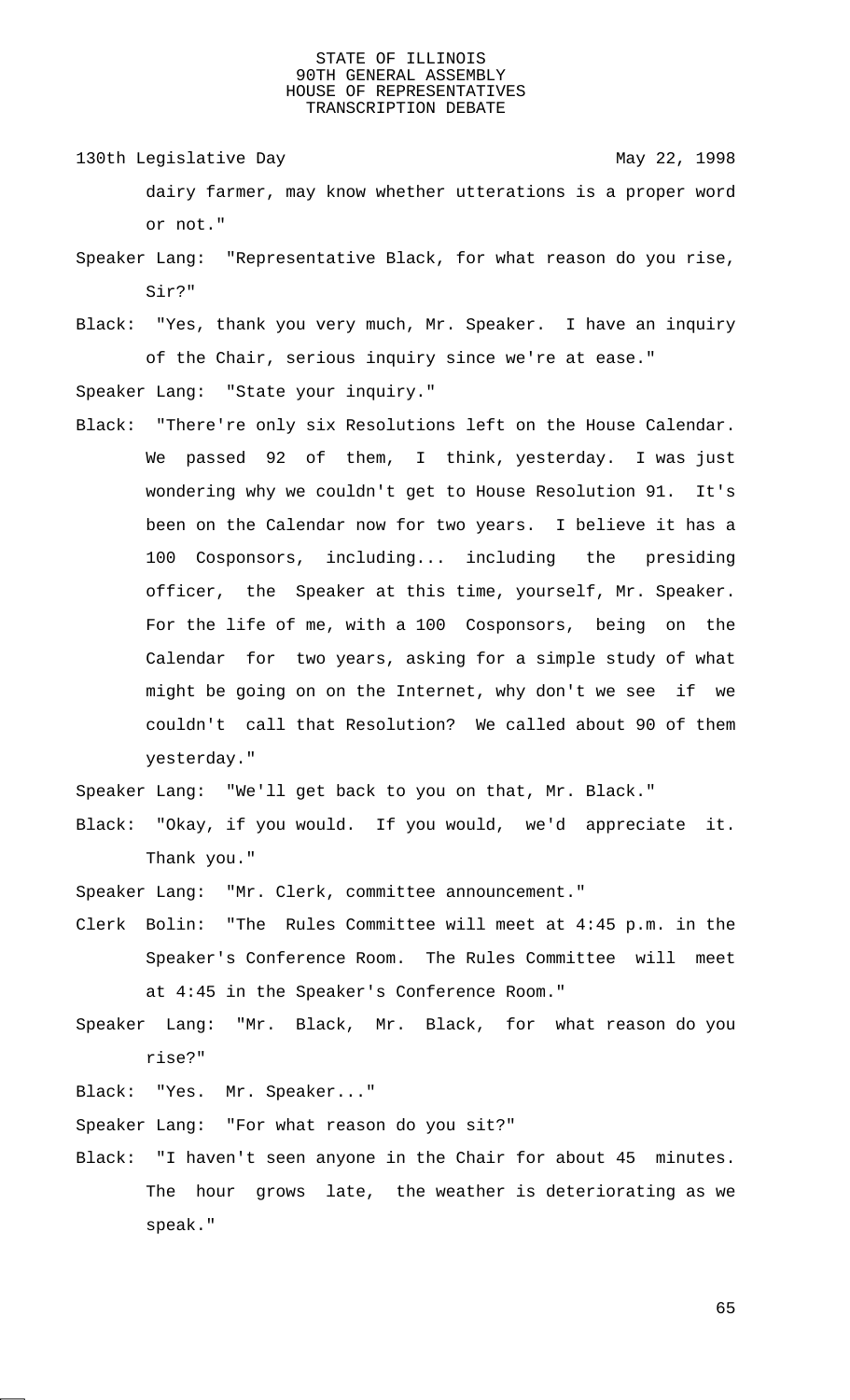130th Legislative Day 130th May 22, 1998 dairy farmer, may know whether utterations is a proper word

Speaker Lang: "Representative Black, for what reason do you rise, Sir?"

Black: "Yes, thank you very much, Mr. Speaker. I have an inquiry of the Chair, serious inquiry since we're at ease."

Speaker Lang: "State your inquiry."

or not."

Black: "There're only six Resolutions left on the House Calendar. We passed 92 of them, I think, yesterday. I was just wondering why we couldn't get to House Resolution 91. It's been on the Calendar now for two years. I believe it has a 100 Cosponsors, including... including the presiding officer, the Speaker at this time, yourself, Mr. Speaker. For the life of me, with a 100 Cosponsors, being on the Calendar for two years, asking for a simple study of what might be going on on the Internet, why don't we see if we couldn't call that Resolution? We called about 90 of them yesterday."

Speaker Lang: "We'll get back to you on that, Mr. Black."

- Black: "Okay, if you would. If you would, we'd appreciate it. Thank you."
- Speaker Lang: "Mr. Clerk, committee announcement."
- Clerk Bolin: "The Rules Committee will meet at 4:45 p.m. in the Speaker's Conference Room. The Rules Committee will meet at 4:45 in the Speaker's Conference Room."
- Speaker Lang: "Mr. Black, Mr. Black, for what reason do you rise?"
- Black: "Yes. Mr. Speaker..."

Speaker Lang: "For what reason do you sit?"

Black: "I haven't seen anyone in the Chair for about 45 minutes. The hour grows late, the weather is deteriorating as we speak."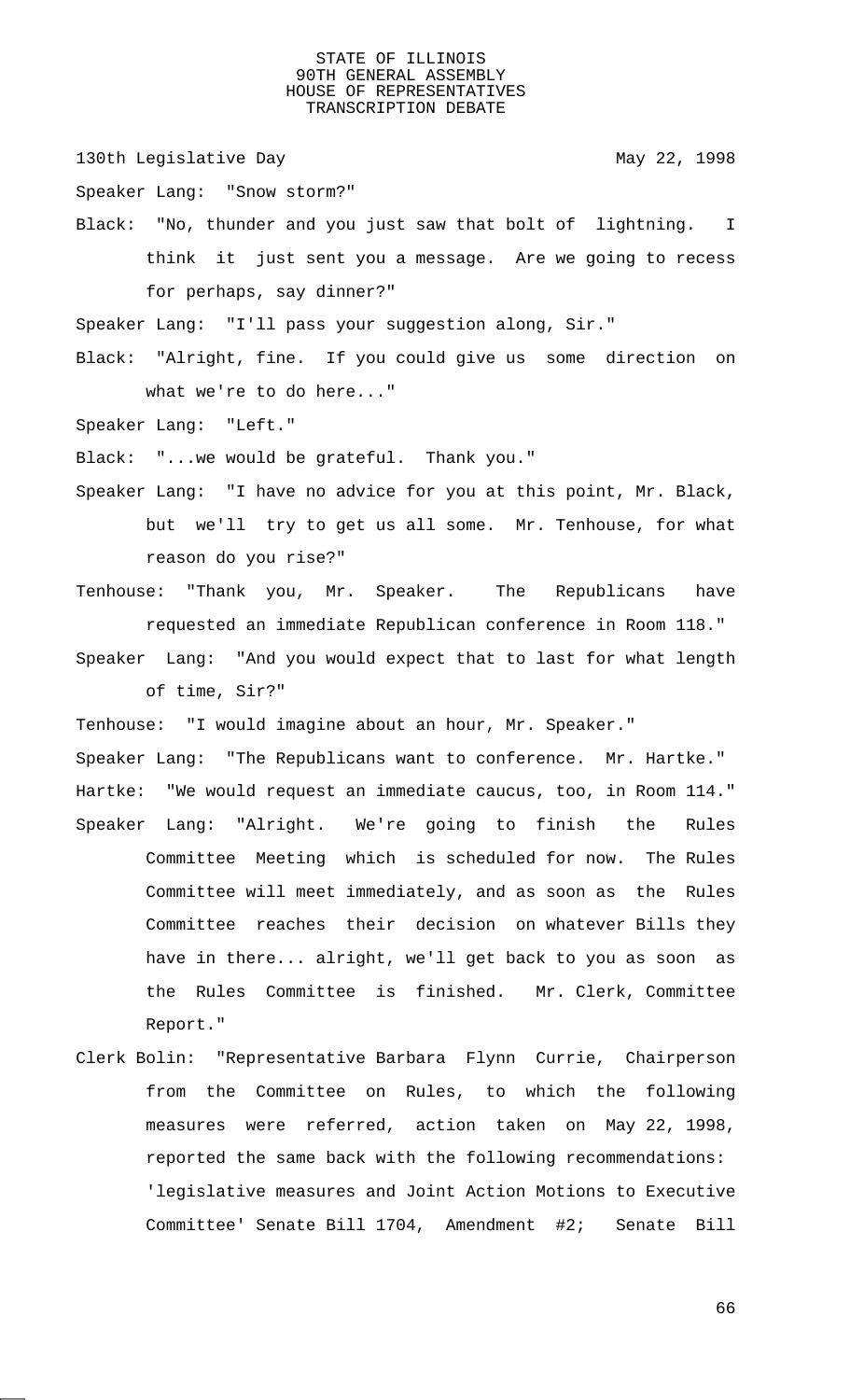130th Legislative Day 130th May 22, 1998

Speaker Lang: "Snow storm?"

Black: "No, thunder and you just saw that bolt of lightning. I think it just sent you a message. Are we going to recess for perhaps, say dinner?"

Speaker Lang: "I'll pass your suggestion along, Sir."

Black: "Alright, fine. If you could give us some direction on what we're to do here..."

Speaker Lang: "Left."

Black: "...we would be grateful. Thank you."

- Speaker Lang: "I have no advice for you at this point, Mr. Black, but we'll try to get us all some. Mr. Tenhouse, for what reason do you rise?"
- Tenhouse: "Thank you, Mr. Speaker. The Republicans have requested an immediate Republican conference in Room 118."
- Speaker Lang: "And you would expect that to last for what length of time, Sir?"

Tenhouse: "I would imagine about an hour, Mr. Speaker."

Speaker Lang: "The Republicans want to conference. Mr. Hartke." Hartke: "We would request an immediate caucus, too, in Room 114." Speaker Lang: "Alright. We're going to finish the Rules

- Committee Meeting which is scheduled for now. The Rules Committee will meet immediately, and as soon as the Rules Committee reaches their decision on whatever Bills they have in there... alright, we'll get back to you as soon as the Rules Committee is finished. Mr. Clerk, Committee Report."
- Clerk Bolin: "Representative Barbara Flynn Currie, Chairperson from the Committee on Rules, to which the following measures were referred, action taken on May 22, 1998, reported the same back with the following recommendations: 'legislative measures and Joint Action Motions to Executive Committee' Senate Bill 1704, Amendment #2; Senate Bill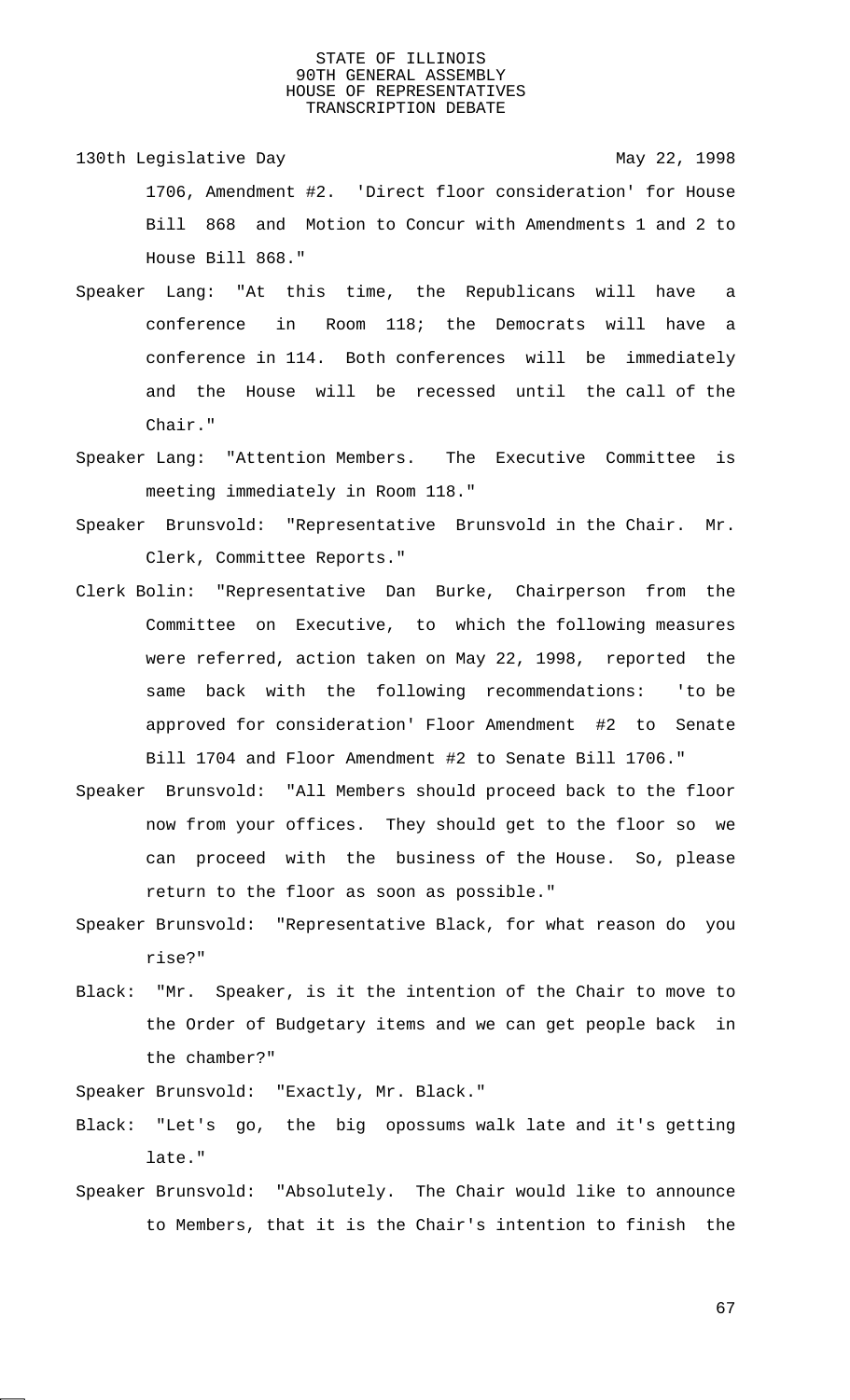- 130th Legislative Day 130th May 22, 1998 1706, Amendment #2. 'Direct floor consideration' for House Bill 868 and Motion to Concur with Amendments 1 and 2 to House Bill 868."
- Speaker Lang: "At this time, the Republicans will have a conference in Room 118; the Democrats will have a conference in 114. Both conferences will be immediately and the House will be recessed until the call of the Chair."
- Speaker Lang: "Attention Members. The Executive Committee is meeting immediately in Room 118."
- Speaker Brunsvold: "Representative Brunsvold in the Chair. Mr. Clerk, Committee Reports."
- Clerk Bolin: "Representative Dan Burke, Chairperson from the Committee on Executive, to which the following measures were referred, action taken on May 22, 1998, reported the same back with the following recommendations: 'to be approved for consideration' Floor Amendment #2 to Senate Bill 1704 and Floor Amendment #2 to Senate Bill 1706."
- Speaker Brunsvold: "All Members should proceed back to the floor now from your offices. They should get to the floor so we can proceed with the business of the House. So, please return to the floor as soon as possible."
- Speaker Brunsvold: "Representative Black, for what reason do you rise?"
- Black: "Mr. Speaker, is it the intention of the Chair to move to the Order of Budgetary items and we can get people back in the chamber?"
- Speaker Brunsvold: "Exactly, Mr. Black."
- Black: "Let's go, the big opossums walk late and it's getting late."
- Speaker Brunsvold: "Absolutely. The Chair would like to announce to Members, that it is the Chair's intention to finish the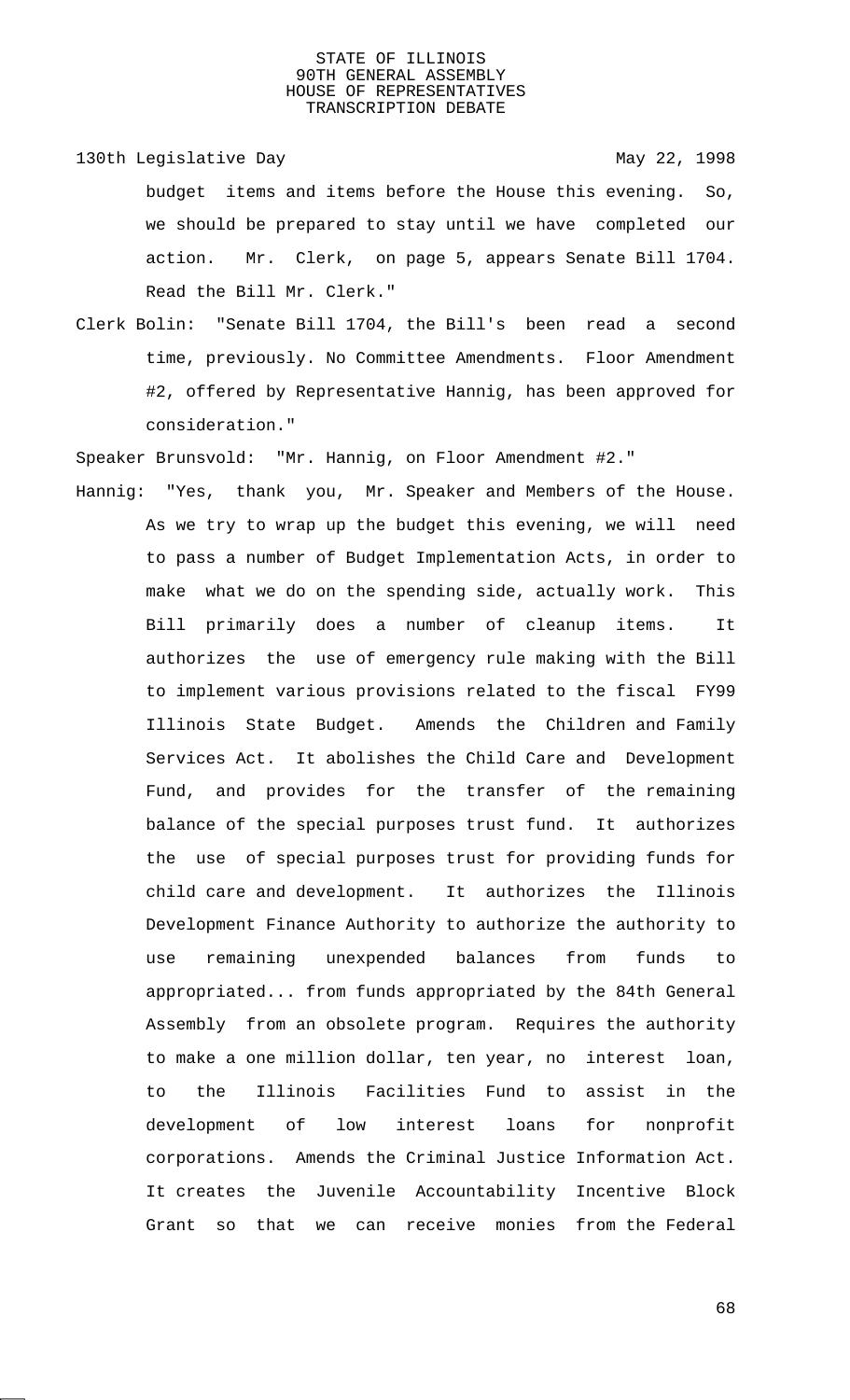130th Legislative Day 130th May 22, 1998

budget items and items before the House this evening. So, we should be prepared to stay until we have completed our action. Mr. Clerk, on page 5, appears Senate Bill 1704. Read the Bill Mr. Clerk."

Clerk Bolin: "Senate Bill 1704, the Bill's been read a second time, previously. No Committee Amendments. Floor Amendment #2, offered by Representative Hannig, has been approved for consideration."

Speaker Brunsvold: "Mr. Hannig, on Floor Amendment #2."

Hannig: "Yes, thank you, Mr. Speaker and Members of the House. As we try to wrap up the budget this evening, we will need to pass a number of Budget Implementation Acts, in order to make what we do on the spending side, actually work. This Bill primarily does a number of cleanup items. It authorizes the use of emergency rule making with the Bill to implement various provisions related to the fiscal FY99 Illinois State Budget. Amends the Children and Family Services Act. It abolishes the Child Care and Development Fund, and provides for the transfer of the remaining balance of the special purposes trust fund. It authorizes the use of special purposes trust for providing funds for child care and development. It authorizes the Illinois Development Finance Authority to authorize the authority to use remaining unexpended balances from funds to appropriated... from funds appropriated by the 84th General Assembly from an obsolete program. Requires the authority to make a one million dollar, ten year, no interest loan, to the Illinois Facilities Fund to assist in the development of low interest loans for nonprofit corporations. Amends the Criminal Justice Information Act. It creates the Juvenile Accountability Incentive Block Grant so that we can receive monies from the Federal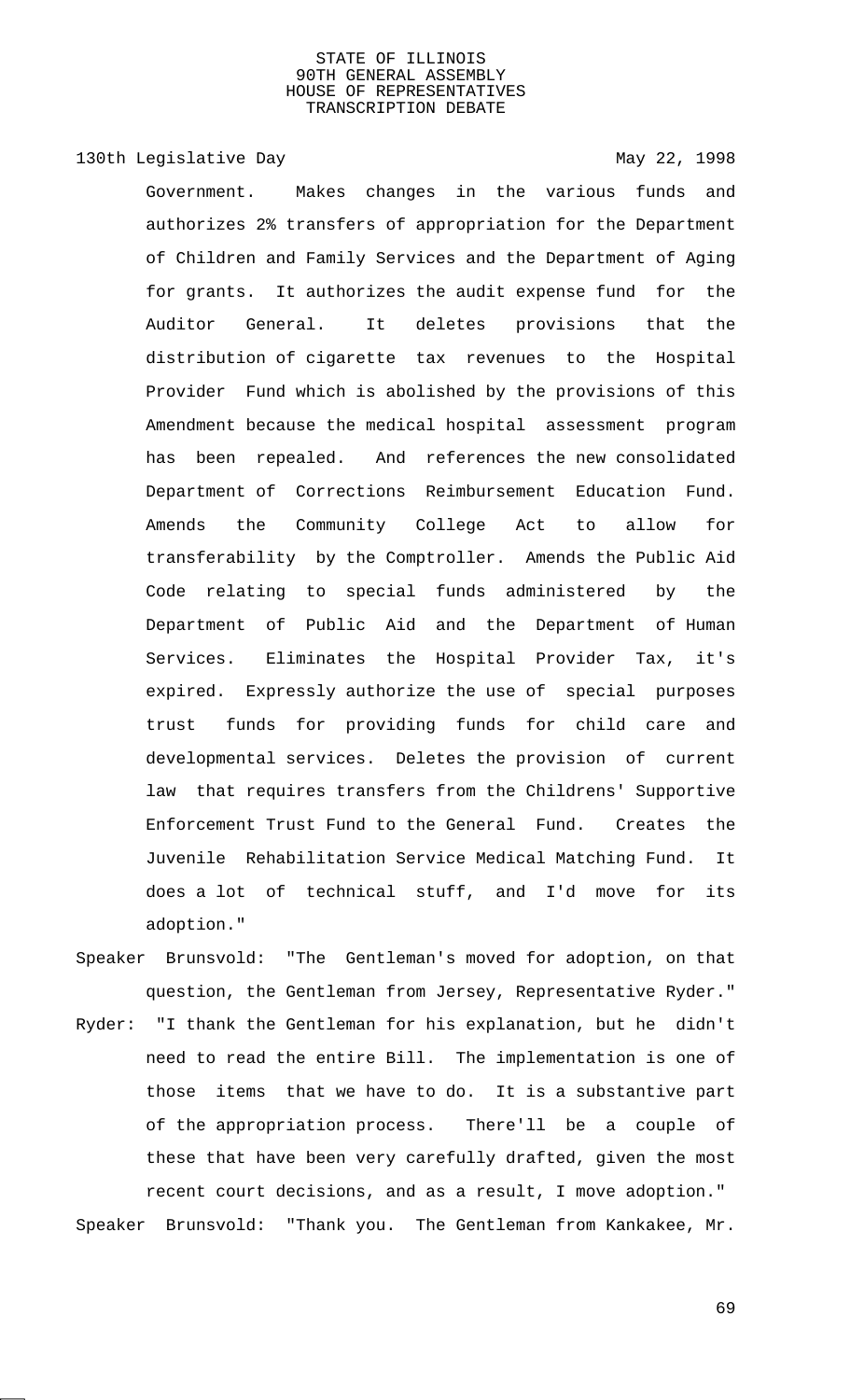130th Legislative Day 130th May 22, 1998

Government. Makes changes in the various funds and authorizes 2% transfers of appropriation for the Department of Children and Family Services and the Department of Aging for grants. It authorizes the audit expense fund for the Auditor General. It deletes provisions that the distribution of cigarette tax revenues to the Hospital Provider Fund which is abolished by the provisions of this Amendment because the medical hospital assessment program has been repealed. And references the new consolidated Department of Corrections Reimbursement Education Fund. Amends the Community College Act to allow for transferability by the Comptroller. Amends the Public Aid Code relating to special funds administered by the Department of Public Aid and the Department of Human Services. Eliminates the Hospital Provider Tax, it's expired. Expressly authorize the use of special purposes trust funds for providing funds for child care and developmental services. Deletes the provision of current law that requires transfers from the Childrens' Supportive Enforcement Trust Fund to the General Fund. Creates the Juvenile Rehabilitation Service Medical Matching Fund. It does a lot of technical stuff, and I'd move for its adoption."

Speaker Brunsvold: "The Gentleman's moved for adoption, on that question, the Gentleman from Jersey, Representative Ryder." Ryder: "I thank the Gentleman for his explanation, but he didn't need to read the entire Bill. The implementation is one of those items that we have to do. It is a substantive part of the appropriation process. There'll be a couple of these that have been very carefully drafted, given the most recent court decisions, and as a result, I move adoption." Speaker Brunsvold: "Thank you. The Gentleman from Kankakee, Mr.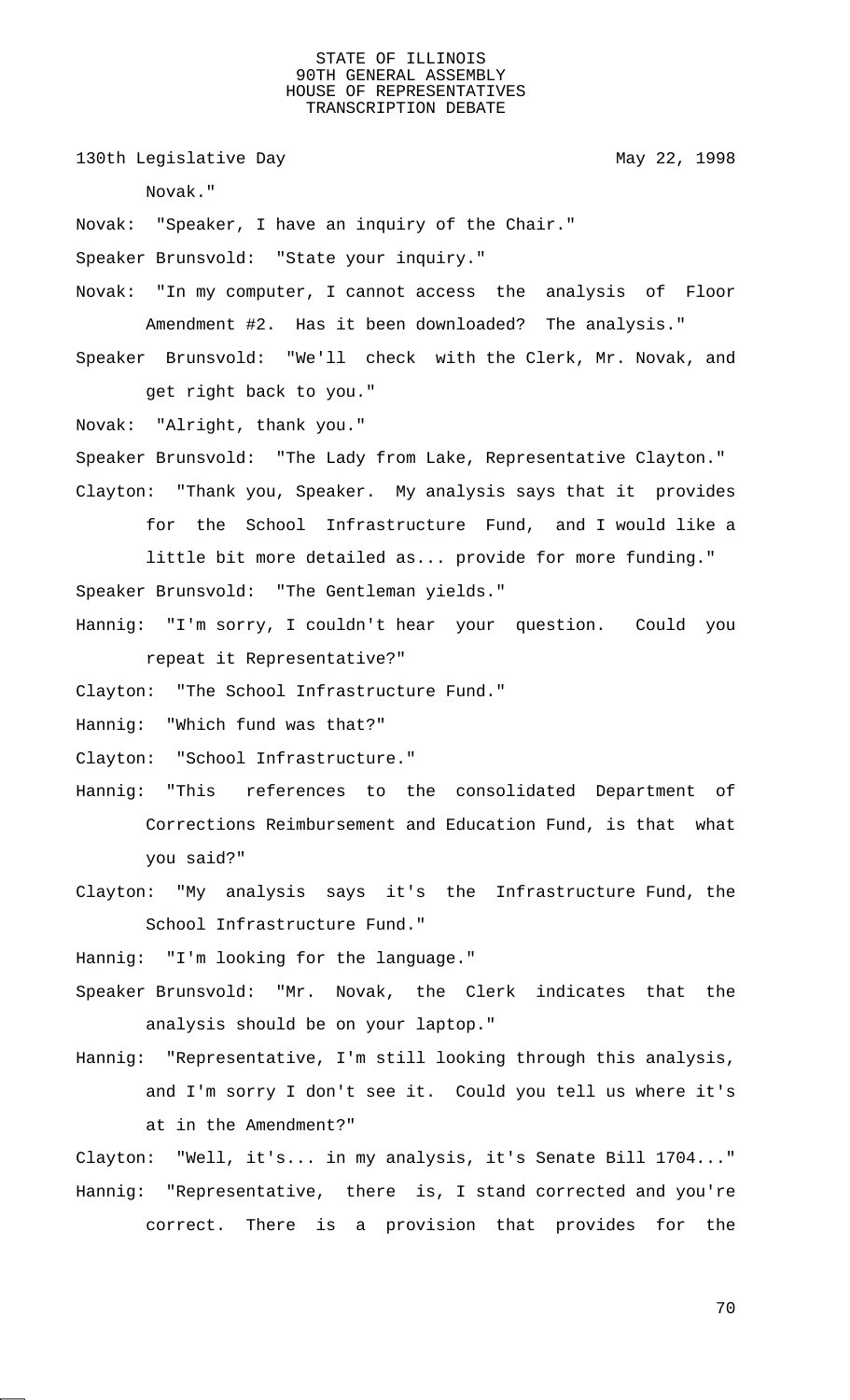130th Legislative Day 130th May 22, 1998

Novak."

Novak: "Speaker, I have an inquiry of the Chair."

Speaker Brunsvold: "State your inquiry."

Novak: "In my computer, I cannot access the analysis of Floor Amendment #2. Has it been downloaded? The analysis."

Speaker Brunsvold: "We'll check with the Clerk, Mr. Novak, and get right back to you."

Novak: "Alright, thank you."

Speaker Brunsvold: "The Lady from Lake, Representative Clayton." Clayton: "Thank you, Speaker. My analysis says that it provides

for the School Infrastructure Fund, and I would like a little bit more detailed as... provide for more funding."

Speaker Brunsvold: "The Gentleman yields."

Hannig: "I'm sorry, I couldn't hear your question. Could you repeat it Representative?"

Clayton: "The School Infrastructure Fund."

Hannig: "Which fund was that?"

Clayton: "School Infrastructure."

- Hannig: "This references to the consolidated Department of Corrections Reimbursement and Education Fund, is that what you said?"
- Clayton: "My analysis says it's the Infrastructure Fund, the School Infrastructure Fund."

Hannig: "I'm looking for the language."

Speaker Brunsvold: "Mr. Novak, the Clerk indicates that the analysis should be on your laptop."

Hannig: "Representative, I'm still looking through this analysis, and I'm sorry I don't see it. Could you tell us where it's at in the Amendment?"

Clayton: "Well, it's... in my analysis, it's Senate Bill 1704..." Hannig: "Representative, there is, I stand corrected and you're correct. There is a provision that provides for the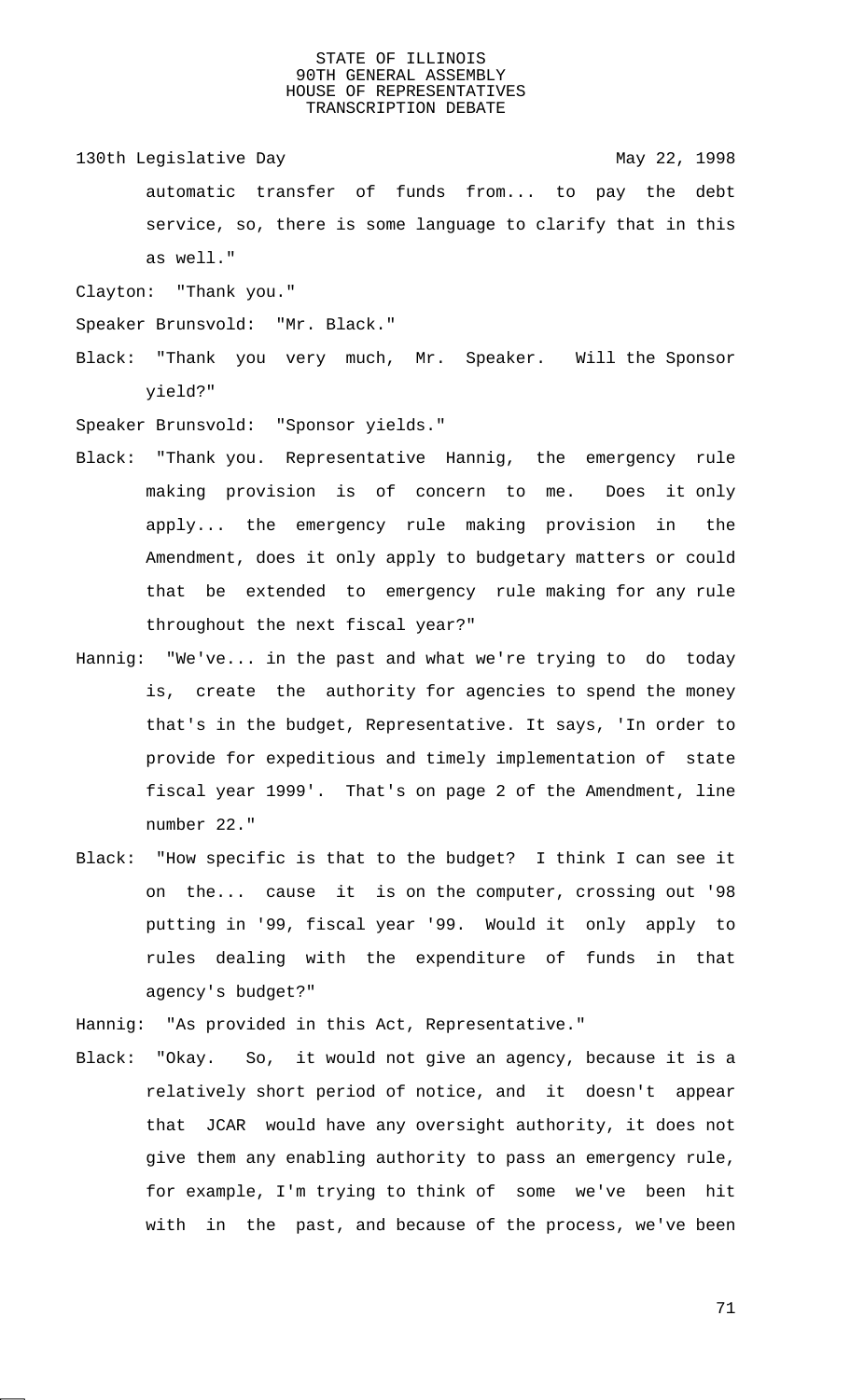130th Legislative Day 130th May 22, 1998

automatic transfer of funds from... to pay the debt service, so, there is some language to clarify that in this as well."

Clayton: "Thank you."

- Speaker Brunsvold: "Mr. Black."
- Black: "Thank you very much, Mr. Speaker. Will the Sponsor yield?"

Speaker Brunsvold: "Sponsor yields."

- Black: "Thank you. Representative Hannig, the emergency rule making provision is of concern to me. Does it only apply... the emergency rule making provision in the Amendment, does it only apply to budgetary matters or could that be extended to emergency rule making for any rule throughout the next fiscal year?"
- Hannig: "We've... in the past and what we're trying to do today is, create the authority for agencies to spend the money that's in the budget, Representative. It says, 'In order to provide for expeditious and timely implementation of state fiscal year 1999'. That's on page 2 of the Amendment, line number 22."
- Black: "How specific is that to the budget? I think I can see it on the... cause it is on the computer, crossing out '98 putting in '99, fiscal year '99. Would it only apply to rules dealing with the expenditure of funds in that agency's budget?"

Hannig: "As provided in this Act, Representative."

Black: "Okay. So, it would not give an agency, because it is a relatively short period of notice, and it doesn't appear that JCAR would have any oversight authority, it does not give them any enabling authority to pass an emergency rule, for example, I'm trying to think of some we've been hit with in the past, and because of the process, we've been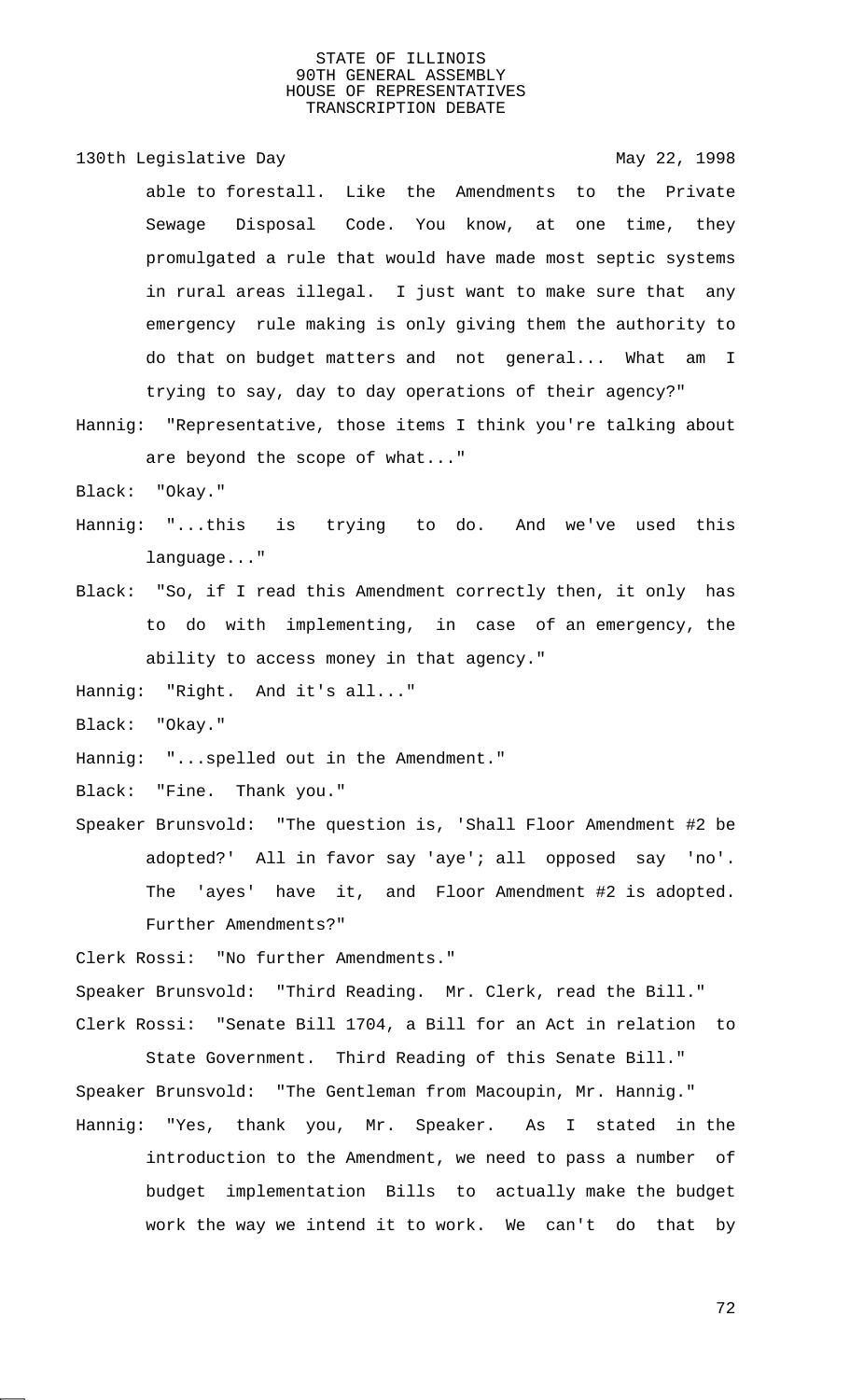130th Legislative Day 130th May 22, 1998 able to forestall. Like the Amendments to the Private Sewage Disposal Code. You know, at one time, they promulgated a rule that would have made most septic systems in rural areas illegal. I just want to make sure that any emergency rule making is only giving them the authority to do that on budget matters and not general... What am I trying to say, day to day operations of their agency?"

Hannig: "Representative, those items I think you're talking about are beyond the scope of what..."

Black: "Okay."

- Hannig: "...this is trying to do. And we've used this language..."
- Black: "So, if I read this Amendment correctly then, it only has to do with implementing, in case of an emergency, the ability to access money in that agency."

Hannig: "Right. And it's all..."

Black: "Okay."

Hannig: "...spelled out in the Amendment."

Black: "Fine. Thank you."

Speaker Brunsvold: "The question is, 'Shall Floor Amendment #2 be adopted?' All in favor say 'aye'; all opposed say 'no'. The 'ayes' have it, and Floor Amendment #2 is adopted. Further Amendments?"

Clerk Rossi: "No further Amendments."

Speaker Brunsvold: "Third Reading. Mr. Clerk, read the Bill." Clerk Rossi: "Senate Bill 1704, a Bill for an Act in relation to

State Government. Third Reading of this Senate Bill." Speaker Brunsvold: "The Gentleman from Macoupin, Mr. Hannig." Hannig: "Yes, thank you, Mr. Speaker. As I stated in the

introduction to the Amendment, we need to pass a number of budget implementation Bills to actually make the budget work the way we intend it to work. We can't do that by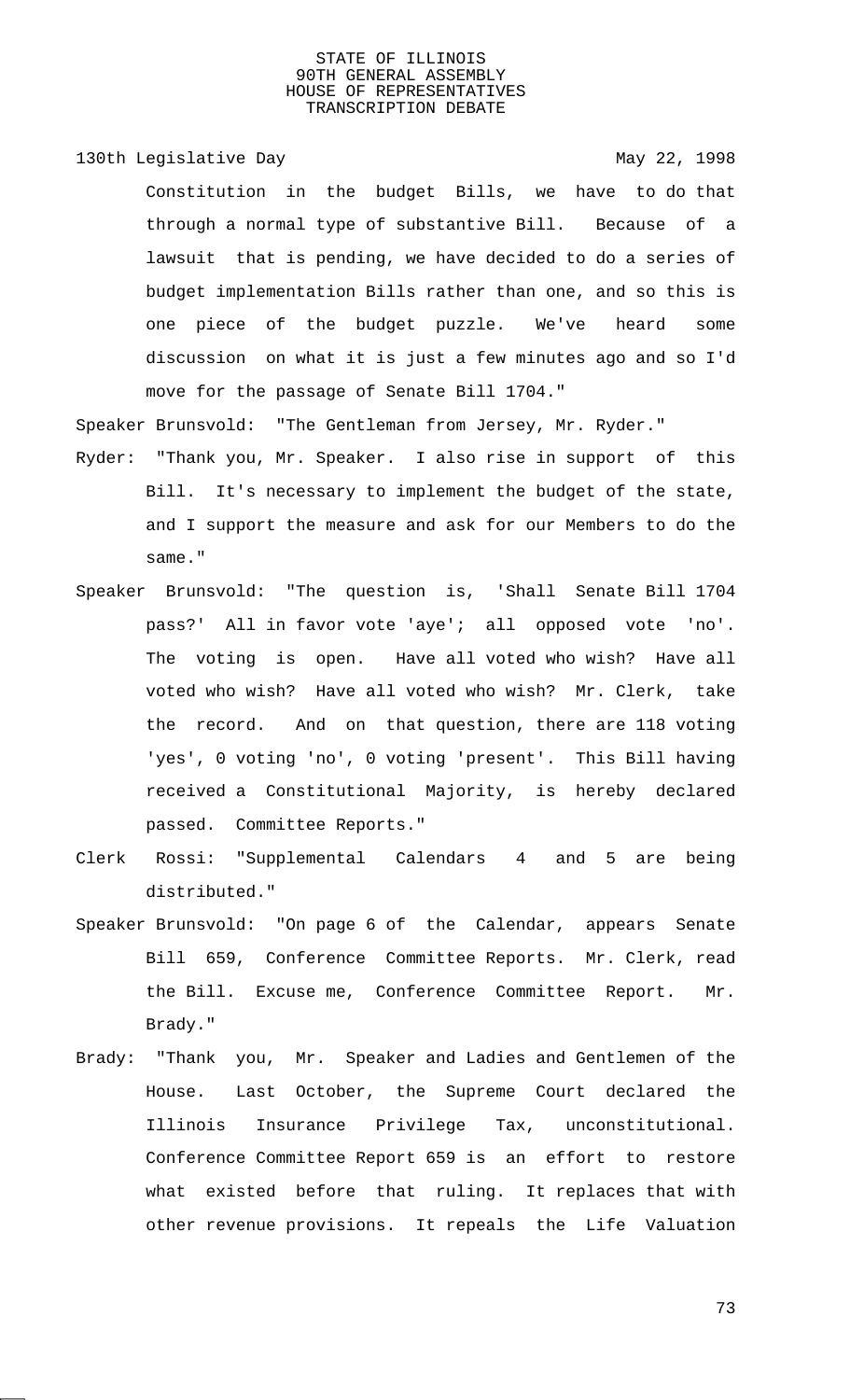130th Legislative Day 130th May 22, 1998

Constitution in the budget Bills, we have to do that through a normal type of substantive Bill. Because of a lawsuit that is pending, we have decided to do a series of budget implementation Bills rather than one, and so this is one piece of the budget puzzle. We've heard some discussion on what it is just a few minutes ago and so I'd move for the passage of Senate Bill 1704."

Speaker Brunsvold: "The Gentleman from Jersey, Mr. Ryder."

- Ryder: "Thank you, Mr. Speaker. I also rise in support of this Bill. It's necessary to implement the budget of the state, and I support the measure and ask for our Members to do the same."
- Speaker Brunsvold: "The question is, 'Shall Senate Bill 1704 pass?' All in favor vote 'aye'; all opposed vote 'no'. The voting is open. Have all voted who wish? Have all voted who wish? Have all voted who wish? Mr. Clerk, take the record. And on that question, there are 118 voting 'yes', 0 voting 'no', 0 voting 'present'. This Bill having received a Constitutional Majority, is hereby declared passed. Committee Reports."
- Clerk Rossi: "Supplemental Calendars 4 and 5 are being distributed."
- Speaker Brunsvold: "On page 6 of the Calendar, appears Senate Bill 659, Conference Committee Reports. Mr. Clerk, read the Bill. Excuse me, Conference Committee Report. Mr. Brady."
- Brady: "Thank you, Mr. Speaker and Ladies and Gentlemen of the House. Last October, the Supreme Court declared the Illinois Insurance Privilege Tax, unconstitutional. Conference Committee Report 659 is an effort to restore what existed before that ruling. It replaces that with other revenue provisions. It repeals the Life Valuation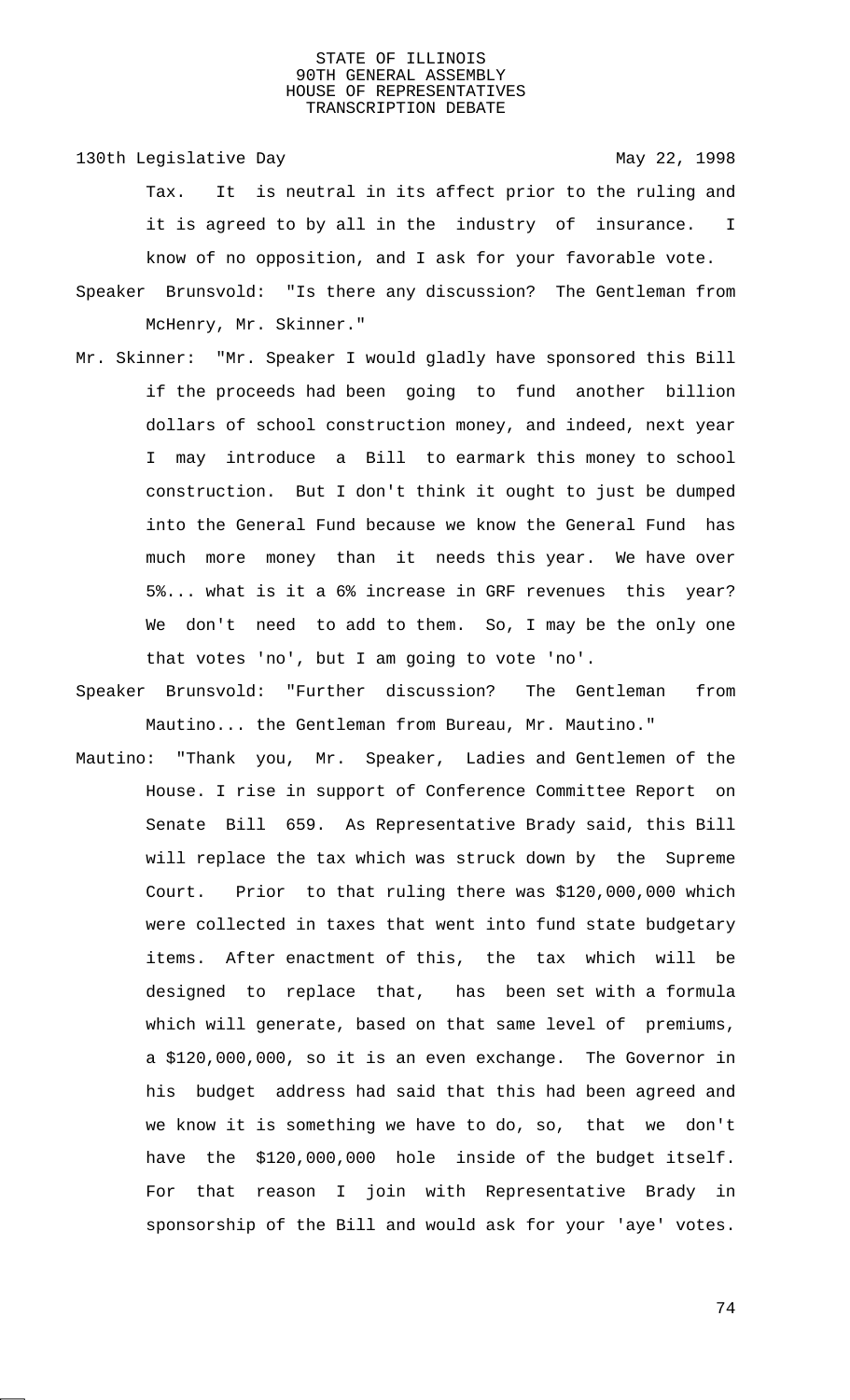130th Legislative Day 130th May 22, 1998

- Tax. It is neutral in its affect prior to the ruling and it is agreed to by all in the industry of insurance. I know of no opposition, and I ask for your favorable vote.
- Speaker Brunsvold: "Is there any discussion? The Gentleman from McHenry, Mr. Skinner."
- Mr. Skinner: "Mr. Speaker I would gladly have sponsored this Bill if the proceeds had been going to fund another billion dollars of school construction money, and indeed, next year I may introduce a Bill to earmark this money to school construction. But I don't think it ought to just be dumped into the General Fund because we know the General Fund has much more money than it needs this year. We have over 5%... what is it a 6% increase in GRF revenues this year? We don't need to add to them. So, I may be the only one that votes 'no', but I am going to vote 'no'.
- Speaker Brunsvold: "Further discussion? The Gentleman from Mautino... the Gentleman from Bureau, Mr. Mautino."
- Mautino: "Thank you, Mr. Speaker, Ladies and Gentlemen of the House. I rise in support of Conference Committee Report on Senate Bill 659. As Representative Brady said, this Bill will replace the tax which was struck down by the Supreme Court. Prior to that ruling there was \$120,000,000 which were collected in taxes that went into fund state budgetary items. After enactment of this, the tax which will be designed to replace that, has been set with a formula which will generate, based on that same level of premiums, a \$120,000,000, so it is an even exchange. The Governor in his budget address had said that this had been agreed and we know it is something we have to do, so, that we don't have the \$120,000,000 hole inside of the budget itself. For that reason I join with Representative Brady in sponsorship of the Bill and would ask for your 'aye' votes.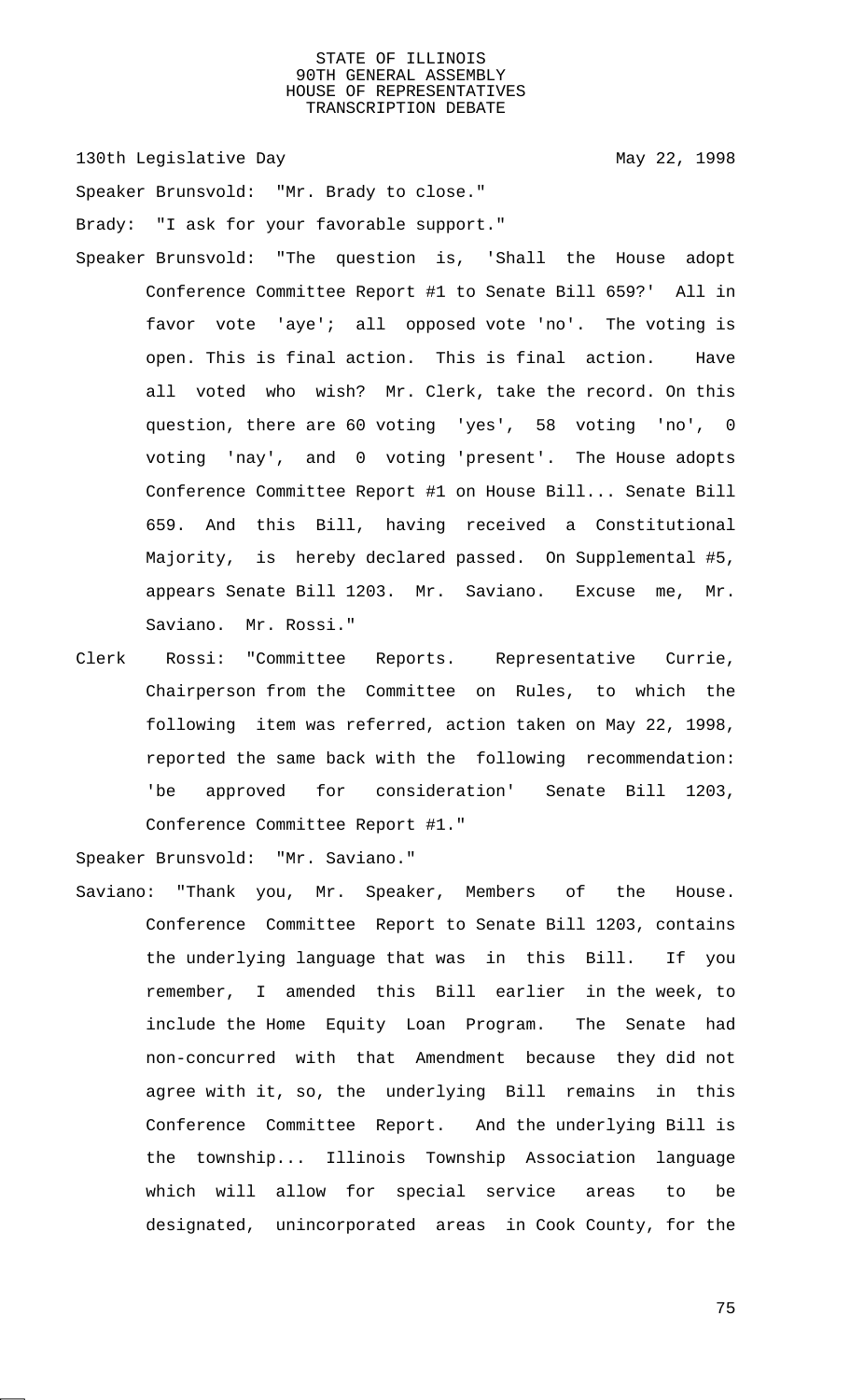130th Legislative Day 130th May 22, 1998

Speaker Brunsvold: "Mr. Brady to close." Brady: "I ask for your favorable support."

- Speaker Brunsvold: "The question is, 'Shall the House adopt Conference Committee Report #1 to Senate Bill 659?' All in favor vote 'aye'; all opposed vote 'no'. The voting is open. This is final action. This is final action. Have all voted who wish? Mr. Clerk, take the record. On this question, there are 60 voting 'yes', 58 voting 'no', 0 voting 'nay', and 0 voting 'present'. The House adopts Conference Committee Report #1 on House Bill... Senate Bill 659. And this Bill, having received a Constitutional Majority, is hereby declared passed. On Supplemental #5, appears Senate Bill 1203. Mr. Saviano. Excuse me, Mr. Saviano. Mr. Rossi."
- Clerk Rossi: "Committee Reports. Representative Currie, Chairperson from the Committee on Rules, to which the following item was referred, action taken on May 22, 1998, reported the same back with the following recommendation: 'be approved for consideration' Senate Bill 1203, Conference Committee Report #1."

Speaker Brunsvold: "Mr. Saviano."

Saviano: "Thank you, Mr. Speaker, Members of the House. Conference Committee Report to Senate Bill 1203, contains the underlying language that was in this Bill. If you remember, I amended this Bill earlier in the week, to include the Home Equity Loan Program. The Senate had non-concurred with that Amendment because they did not agree with it, so, the underlying Bill remains in this Conference Committee Report. And the underlying Bill is the township... Illinois Township Association language which will allow for special service areas to be designated, unincorporated areas in Cook County, for the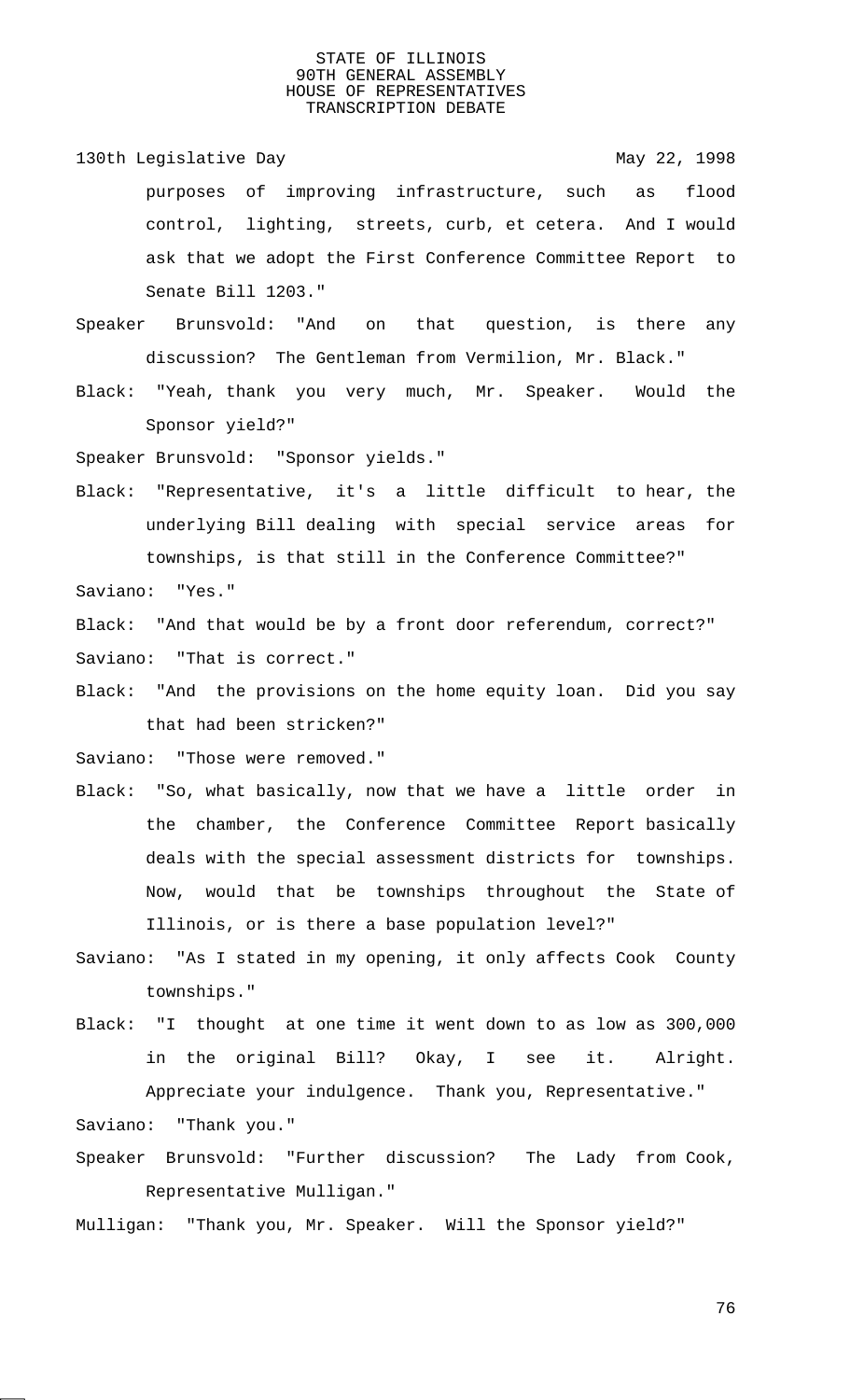130th Legislative Day 130th May 22, 1998 purposes of improving infrastructure, such as flood control, lighting, streets, curb, et cetera. And I would ask that we adopt the First Conference Committee Report to Senate Bill 1203."

Speaker Brunsvold: "And on that question, is there any discussion? The Gentleman from Vermilion, Mr. Black."

Black: "Yeah, thank you very much, Mr. Speaker. Would the Sponsor yield?"

Speaker Brunsvold: "Sponsor yields."

Black: "Representative, it's a little difficult to hear, the underlying Bill dealing with special service areas for townships, is that still in the Conference Committee?" Saviano: "Yes."

Black: "And that would be by a front door referendum, correct?" Saviano: "That is correct."

Black: "And the provisions on the home equity loan. Did you say that had been stricken?"

Saviano: "Those were removed."

- Black: "So, what basically, now that we have a little order in the chamber, the Conference Committee Report basically deals with the special assessment districts for townships. Now, would that be townships throughout the State of Illinois, or is there a base population level?"
- Saviano: "As I stated in my opening, it only affects Cook County townships."
- Black: "I thought at one time it went down to as low as 300,000 in the original Bill? Okay, I see it. Alright. Appreciate your indulgence. Thank you, Representative." Saviano: "Thank you."
- Speaker Brunsvold: "Further discussion? The Lady from Cook, Representative Mulligan."

Mulligan: "Thank you, Mr. Speaker. Will the Sponsor yield?"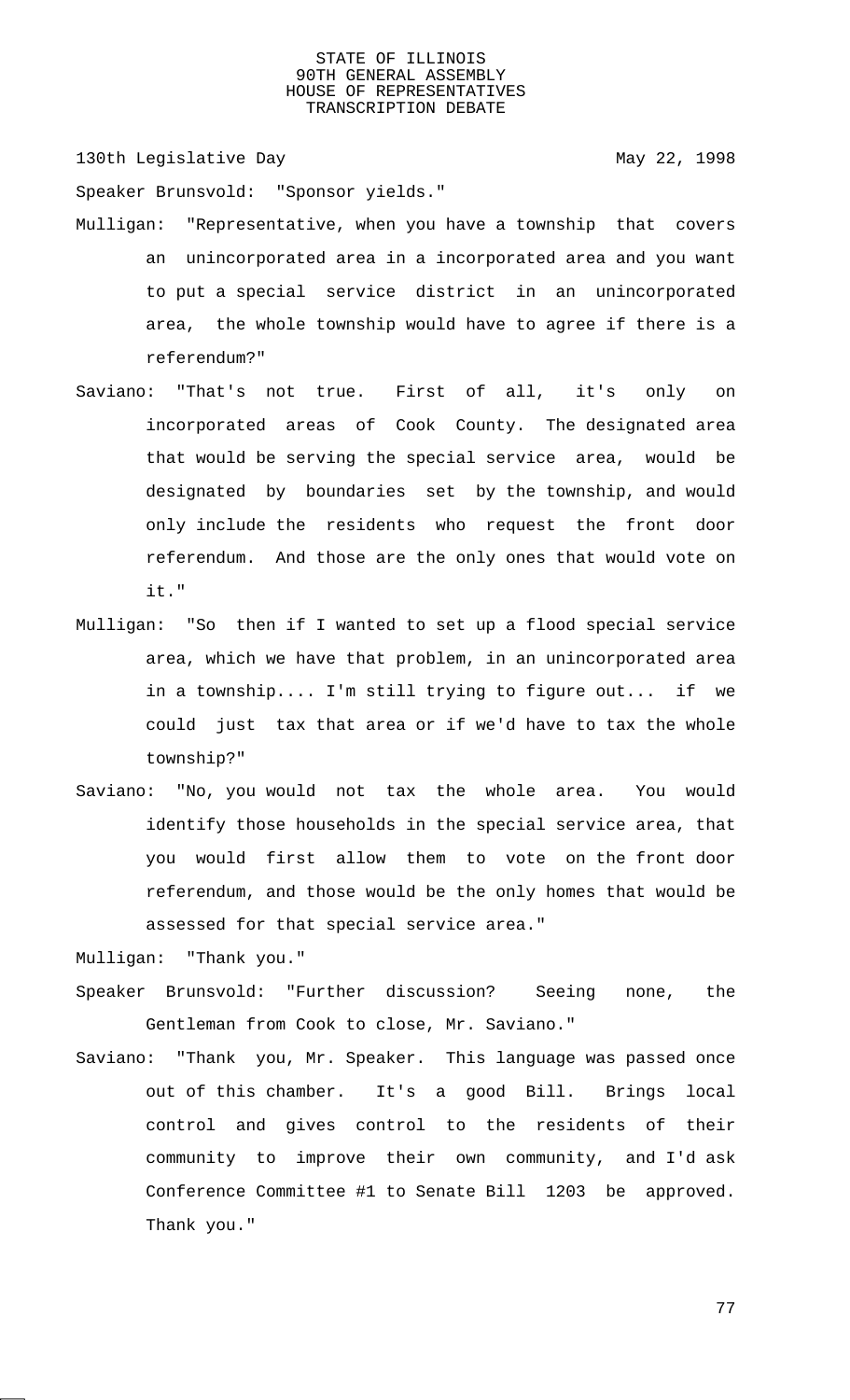130th Legislative Day 130th May 22, 1998

Speaker Brunsvold: "Sponsor yields."

- Mulligan: "Representative, when you have a township that covers an unincorporated area in a incorporated area and you want to put a special service district in an unincorporated area, the whole township would have to agree if there is a referendum?"
- Saviano: "That's not true. First of all, it's only on incorporated areas of Cook County. The designated area that would be serving the special service area, would be designated by boundaries set by the township, and would only include the residents who request the front door referendum. And those are the only ones that would vote on it."
- Mulligan: "So then if I wanted to set up a flood special service area, which we have that problem, in an unincorporated area in a township.... I'm still trying to figure out... if we could just tax that area or if we'd have to tax the whole township?"
- Saviano: "No, you would not tax the whole area. You would identify those households in the special service area, that you would first allow them to vote on the front door referendum, and those would be the only homes that would be assessed for that special service area."

Mulligan: "Thank you."

- Speaker Brunsvold: "Further discussion? Seeing none, the Gentleman from Cook to close, Mr. Saviano."
- Saviano: "Thank you, Mr. Speaker. This language was passed once out of this chamber. It's a good Bill. Brings local control and gives control to the residents of their community to improve their own community, and I'd ask Conference Committee #1 to Senate Bill 1203 be approved. Thank you."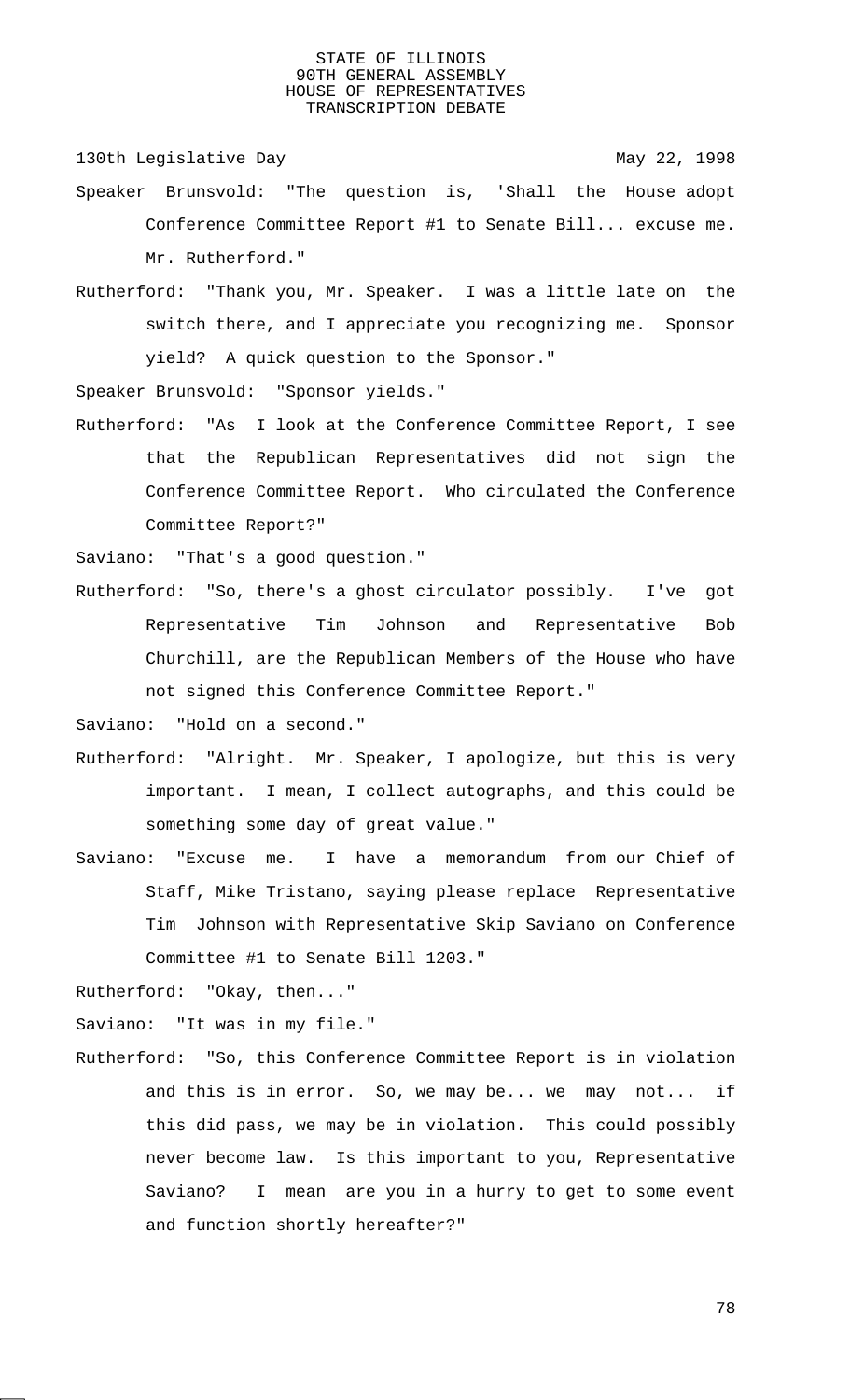130th Legislative Day 130th May 22, 1998

- Speaker Brunsvold: "The question is, 'Shall the House adopt Conference Committee Report #1 to Senate Bill... excuse me. Mr. Rutherford."
- Rutherford: "Thank you, Mr. Speaker. I was a little late on the switch there, and I appreciate you recognizing me. Sponsor yield? A quick question to the Sponsor."

Speaker Brunsvold: "Sponsor yields."

Rutherford: "As I look at the Conference Committee Report, I see that the Republican Representatives did not sign the Conference Committee Report. Who circulated the Conference Committee Report?"

Saviano: "That's a good question."

Rutherford: "So, there's a ghost circulator possibly. I've got Representative Tim Johnson and Representative Bob Churchill, are the Republican Members of the House who have not signed this Conference Committee Report."

Saviano: "Hold on a second."

- Rutherford: "Alright. Mr. Speaker, I apologize, but this is very important. I mean, I collect autographs, and this could be something some day of great value."
- Saviano: "Excuse me. I have a memorandum from our Chief of Staff, Mike Tristano, saying please replace Representative Tim Johnson with Representative Skip Saviano on Conference Committee #1 to Senate Bill 1203."

Rutherford: "Okay, then..."

Saviano: "It was in my file."

Rutherford: "So, this Conference Committee Report is in violation and this is in error. So, we may be... we may not... if this did pass, we may be in violation. This could possibly never become law. Is this important to you, Representative Saviano? I mean are you in a hurry to get to some event and function shortly hereafter?"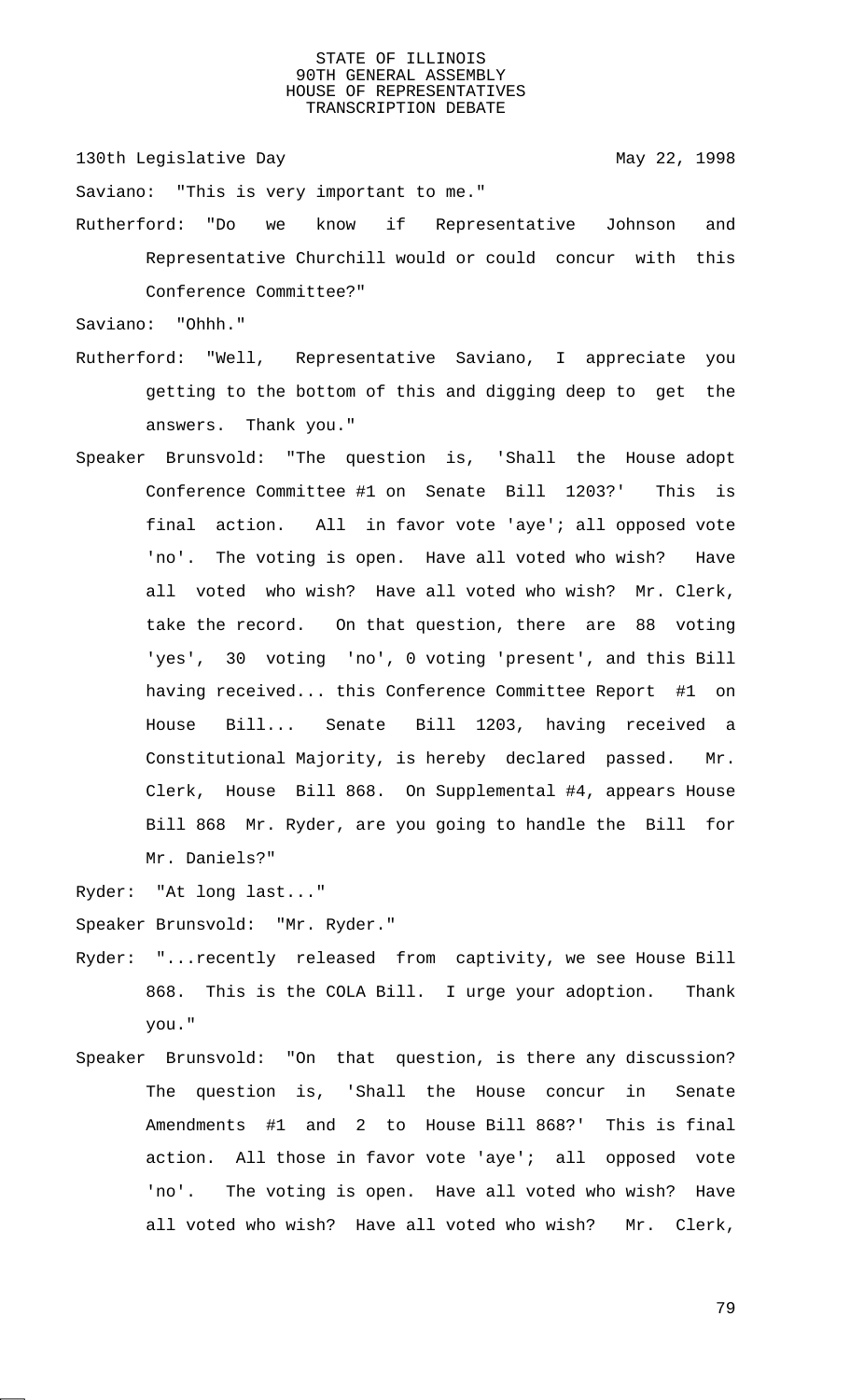130th Legislative Day 130th May 22, 1998

Saviano: "This is very important to me."

Rutherford: "Do we know if Representative Johnson and Representative Churchill would or could concur with this Conference Committee?"

Saviano: "Ohhh."

- Rutherford: "Well, Representative Saviano, I appreciate you getting to the bottom of this and digging deep to get the answers. Thank you."
- Speaker Brunsvold: "The question is, 'Shall the House adopt Conference Committee #1 on Senate Bill 1203?' This is final action. All in favor vote 'aye'; all opposed vote 'no'. The voting is open. Have all voted who wish? Have all voted who wish? Have all voted who wish? Mr. Clerk, take the record. On that question, there are 88 voting 'yes', 30 voting 'no', 0 voting 'present', and this Bill having received... this Conference Committee Report #1 on House Bill... Senate Bill 1203, having received a Constitutional Majority, is hereby declared passed. Mr. Clerk, House Bill 868. On Supplemental #4, appears House Bill 868 Mr. Ryder, are you going to handle the Bill for Mr. Daniels?"

Ryder: "At long last..."

Speaker Brunsvold: "Mr. Ryder."

- Ryder: "...recently released from captivity, we see House Bill 868. This is the COLA Bill. I urge your adoption. Thank you."
- Speaker Brunsvold: "On that question, is there any discussion? The question is, 'Shall the House concur in Senate Amendments #1 and 2 to House Bill 868?' This is final action. All those in favor vote 'aye'; all opposed vote 'no'. The voting is open. Have all voted who wish? Have all voted who wish? Have all voted who wish? Mr. Clerk,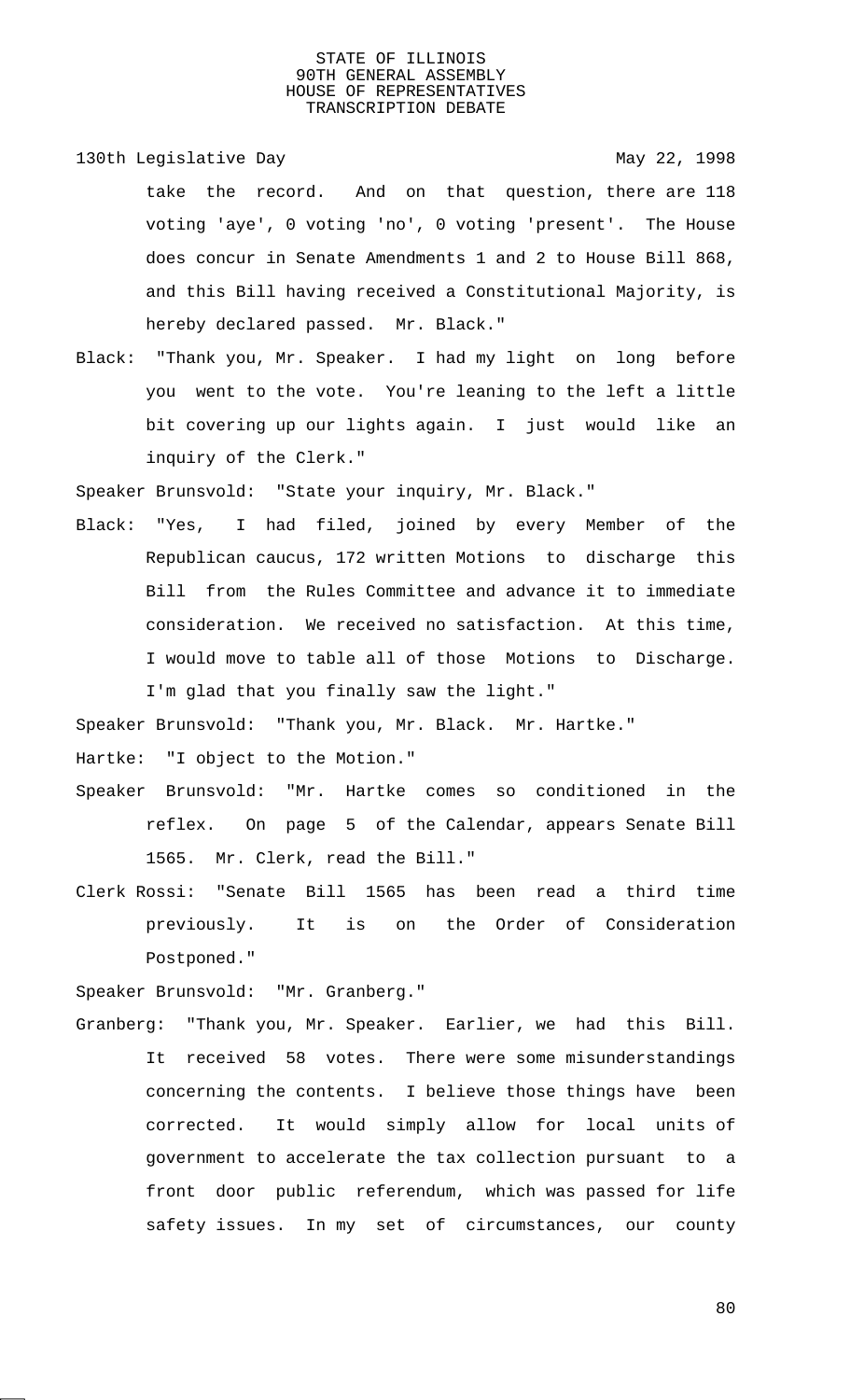130th Legislative Day 130th May 22, 1998 take the record. And on that question, there are 118 voting 'aye', 0 voting 'no', 0 voting 'present'. The House does concur in Senate Amendments 1 and 2 to House Bill 868, and this Bill having received a Constitutional Majority, is hereby declared passed. Mr. Black."

Black: "Thank you, Mr. Speaker. I had my light on long before you went to the vote. You're leaning to the left a little bit covering up our lights again. I just would like an inquiry of the Clerk."

Speaker Brunsvold: "State your inquiry, Mr. Black."

Black: "Yes, I had filed, joined by every Member of the Republican caucus, 172 written Motions to discharge this Bill from the Rules Committee and advance it to immediate consideration. We received no satisfaction. At this time, I would move to table all of those Motions to Discharge. I'm glad that you finally saw the light."

Speaker Brunsvold: "Thank you, Mr. Black. Mr. Hartke."

Hartke: "I object to the Motion."

- Speaker Brunsvold: "Mr. Hartke comes so conditioned in the reflex. On page 5 of the Calendar, appears Senate Bill 1565. Mr. Clerk, read the Bill."
- Clerk Rossi: "Senate Bill 1565 has been read a third time previously. It is on the Order of Consideration Postponed."

Speaker Brunsvold: "Mr. Granberg."

Granberg: "Thank you, Mr. Speaker. Earlier, we had this Bill. It received 58 votes. There were some misunderstandings concerning the contents. I believe those things have been corrected. It would simply allow for local units of government to accelerate the tax collection pursuant to a front door public referendum, which was passed for life safety issues. In my set of circumstances, our county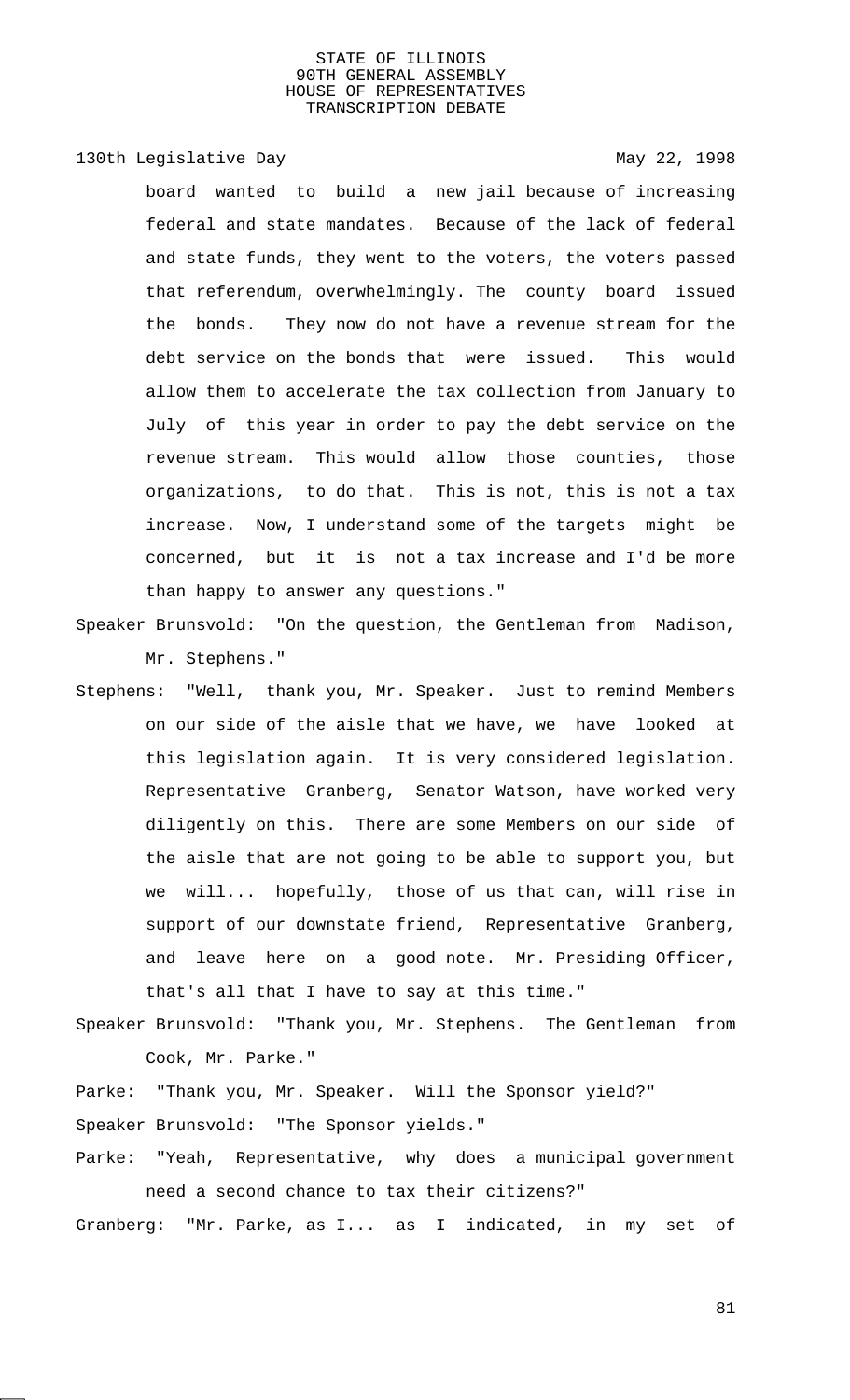# 130th Legislative Day 130th May 22, 1998

board wanted to build a new jail because of increasing federal and state mandates. Because of the lack of federal and state funds, they went to the voters, the voters passed that referendum, overwhelmingly. The county board issued the bonds. They now do not have a revenue stream for the debt service on the bonds that were issued. This would allow them to accelerate the tax collection from January to July of this year in order to pay the debt service on the revenue stream. This would allow those counties, those organizations, to do that. This is not, this is not a tax increase. Now, I understand some of the targets might be concerned, but it is not a tax increase and I'd be more than happy to answer any questions."

- Speaker Brunsvold: "On the question, the Gentleman from Madison, Mr. Stephens."
- Stephens: "Well, thank you, Mr. Speaker. Just to remind Members on our side of the aisle that we have, we have looked at this legislation again. It is very considered legislation. Representative Granberg, Senator Watson, have worked very diligently on this. There are some Members on our side of the aisle that are not going to be able to support you, but we will... hopefully, those of us that can, will rise in support of our downstate friend, Representative Granberg, and leave here on a good note. Mr. Presiding Officer, that's all that I have to say at this time."
- Speaker Brunsvold: "Thank you, Mr. Stephens. The Gentleman from Cook, Mr. Parke."

Parke: "Thank you, Mr. Speaker. Will the Sponsor yield?" Speaker Brunsvold: "The Sponsor yields."

Parke: "Yeah, Representative, why does a municipal government need a second chance to tax their citizens?"

Granberg: "Mr. Parke, as I... as I indicated, in my set of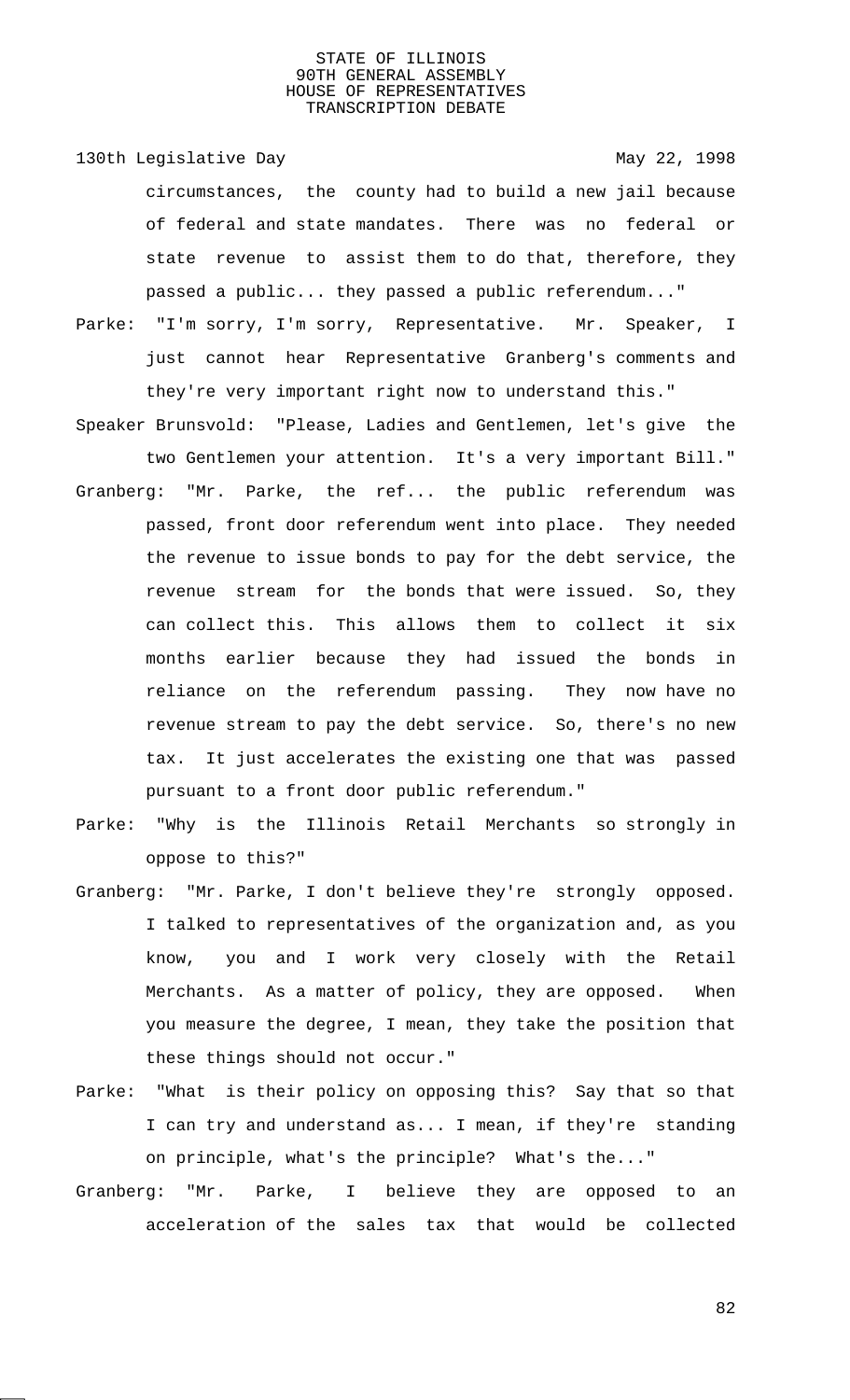- 130th Legislative Day 130th May 22, 1998 circumstances, the county had to build a new jail because of federal and state mandates. There was no federal or state revenue to assist them to do that, therefore, they passed a public... they passed a public referendum..."
- Parke: "I'm sorry, I'm sorry, Representative. Mr. Speaker, I just cannot hear Representative Granberg's comments and they're very important right now to understand this."
- Speaker Brunsvold: "Please, Ladies and Gentlemen, let's give the two Gentlemen your attention. It's a very important Bill."
- Granberg: "Mr. Parke, the ref... the public referendum was passed, front door referendum went into place. They needed the revenue to issue bonds to pay for the debt service, the revenue stream for the bonds that were issued. So, they can collect this. This allows them to collect it six months earlier because they had issued the bonds in reliance on the referendum passing. They now have no revenue stream to pay the debt service. So, there's no new tax. It just accelerates the existing one that was passed pursuant to a front door public referendum."
- Parke: "Why is the Illinois Retail Merchants so strongly in oppose to this?"
- Granberg: "Mr. Parke, I don't believe they're strongly opposed. I talked to representatives of the organization and, as you know, you and I work very closely with the Retail Merchants. As a matter of policy, they are opposed. When you measure the degree, I mean, they take the position that these things should not occur."
- Parke: "What is their policy on opposing this? Say that so that I can try and understand as... I mean, if they're standing on principle, what's the principle? What's the..."
- Granberg: "Mr. Parke, I believe they are opposed to an acceleration of the sales tax that would be collected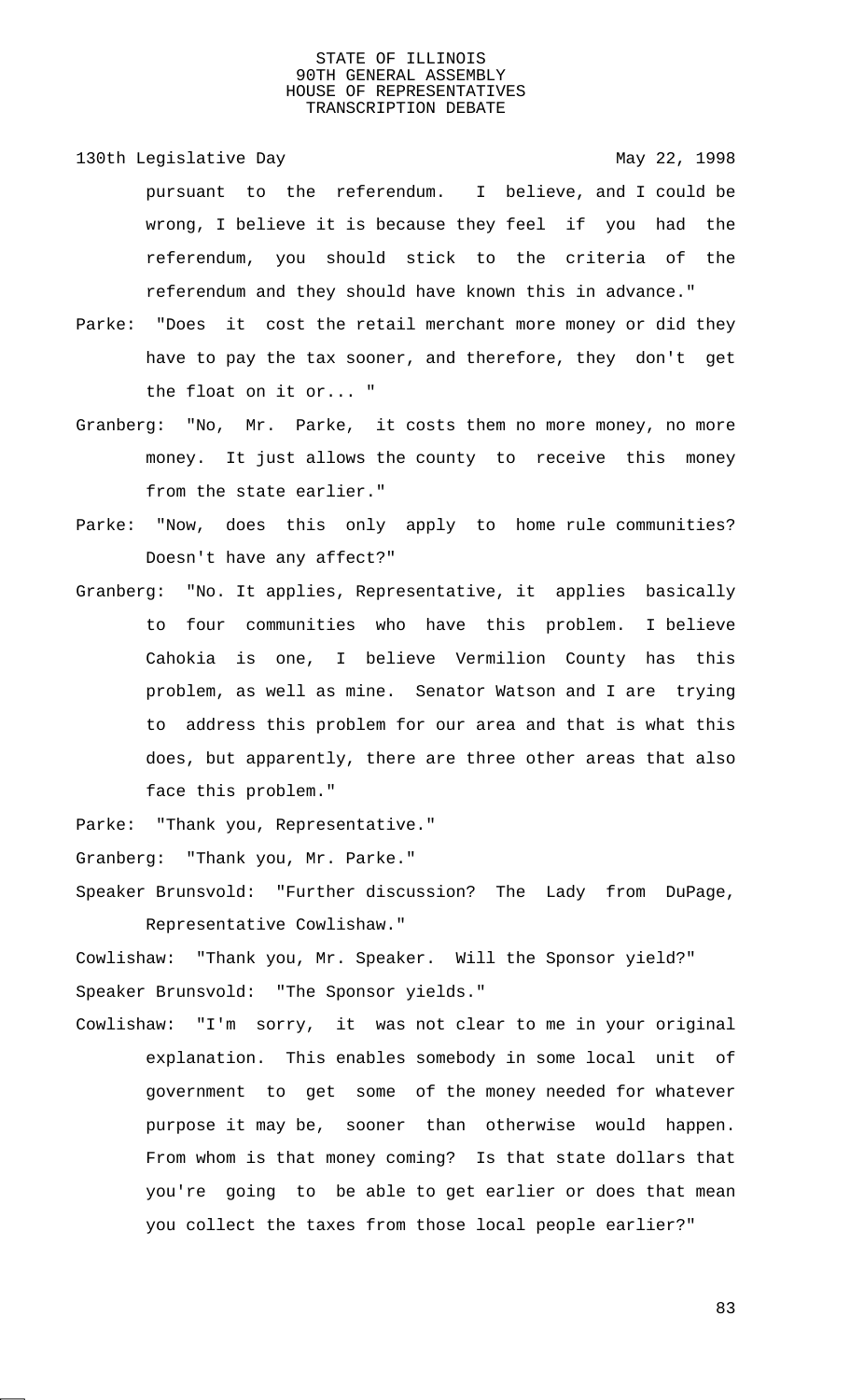130th Legislative Day 130th May 22, 1998 pursuant to the referendum. I believe, and I could be wrong, I believe it is because they feel if you had the referendum, you should stick to the criteria of the referendum and they should have known this in advance."

- Parke: "Does it cost the retail merchant more money or did they have to pay the tax sooner, and therefore, they don't get the float on it or... "
- Granberg: "No, Mr. Parke, it costs them no more money, no more money. It just allows the county to receive this money from the state earlier."
- Parke: "Now, does this only apply to home rule communities? Doesn't have any affect?"
- Granberg: "No. It applies, Representative, it applies basically to four communities who have this problem. I believe Cahokia is one, I believe Vermilion County has this problem, as well as mine. Senator Watson and I are trying to address this problem for our area and that is what this does, but apparently, there are three other areas that also face this problem."

Parke: "Thank you, Representative."

Granberg: "Thank you, Mr. Parke."

Speaker Brunsvold: "Further discussion? The Lady from DuPage, Representative Cowlishaw."

Cowlishaw: "Thank you, Mr. Speaker. Will the Sponsor yield?" Speaker Brunsvold: "The Sponsor yields."

Cowlishaw: "I'm sorry, it was not clear to me in your original explanation. This enables somebody in some local unit of government to get some of the money needed for whatever purpose it may be, sooner than otherwise would happen. From whom is that money coming? Is that state dollars that you're going to be able to get earlier or does that mean you collect the taxes from those local people earlier?"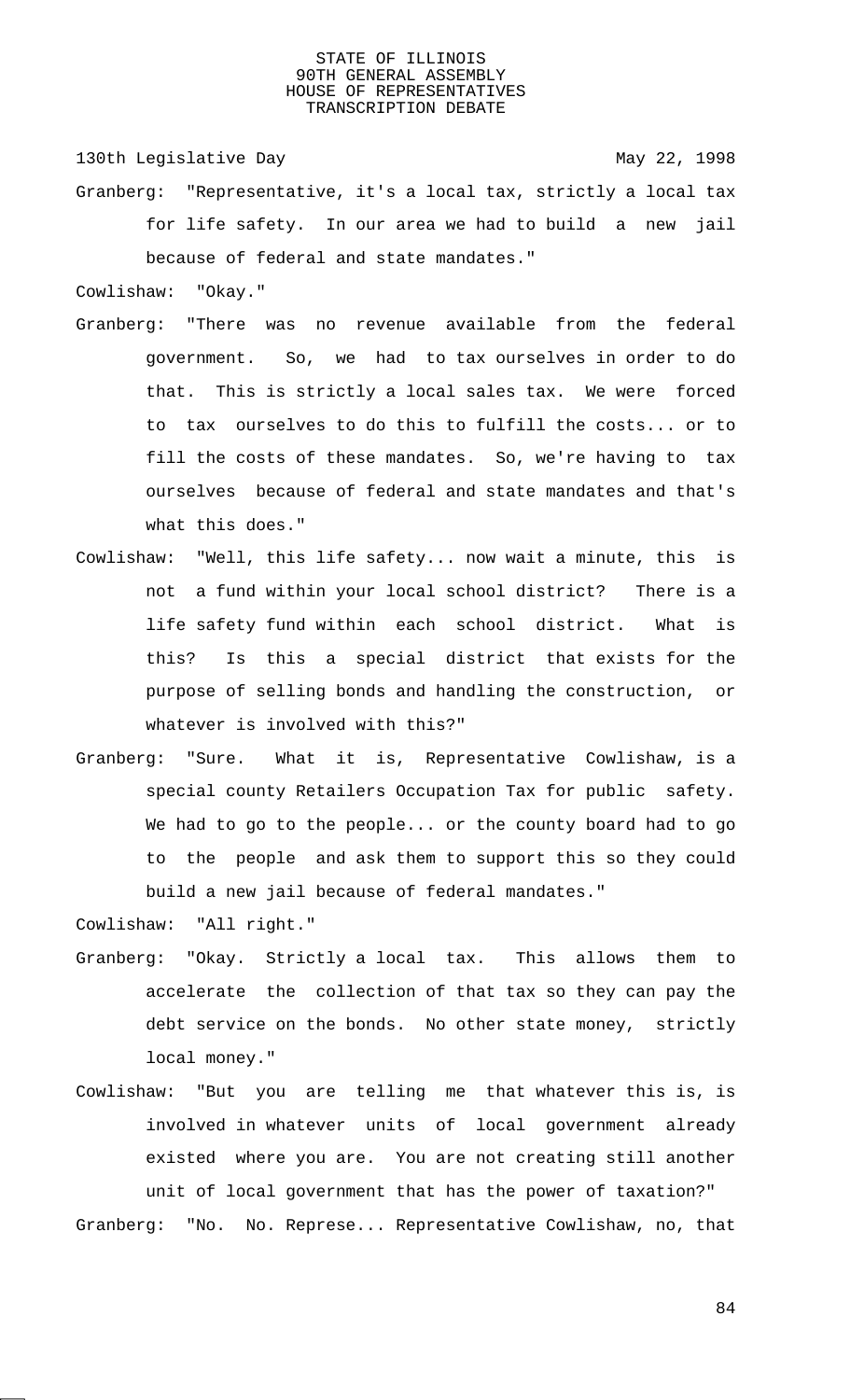130th Legislative Day 130th May 22, 1998

Granberg: "Representative, it's a local tax, strictly a local tax for life safety. In our area we had to build a new jail because of federal and state mandates."

Cowlishaw: "Okay."

- Granberg: "There was no revenue available from the federal government. So, we had to tax ourselves in order to do that. This is strictly a local sales tax. We were forced to tax ourselves to do this to fulfill the costs... or to fill the costs of these mandates. So, we're having to tax ourselves because of federal and state mandates and that's what this does."
- Cowlishaw: "Well, this life safety... now wait a minute, this is not a fund within your local school district? There is a life safety fund within each school district. What is this? Is this a special district that exists for the purpose of selling bonds and handling the construction, or whatever is involved with this?"
- Granberg: "Sure. What it is, Representative Cowlishaw, is a special county Retailers Occupation Tax for public safety. We had to go to the people... or the county board had to go to the people and ask them to support this so they could build a new jail because of federal mandates."

Cowlishaw: "All right."

- Granberg: "Okay. Strictly a local tax. This allows them to accelerate the collection of that tax so they can pay the debt service on the bonds. No other state money, strictly local money."
- Cowlishaw: "But you are telling me that whatever this is, is involved in whatever units of local government already existed where you are. You are not creating still another unit of local government that has the power of taxation?" Granberg: "No. No. Represe... Representative Cowlishaw, no, that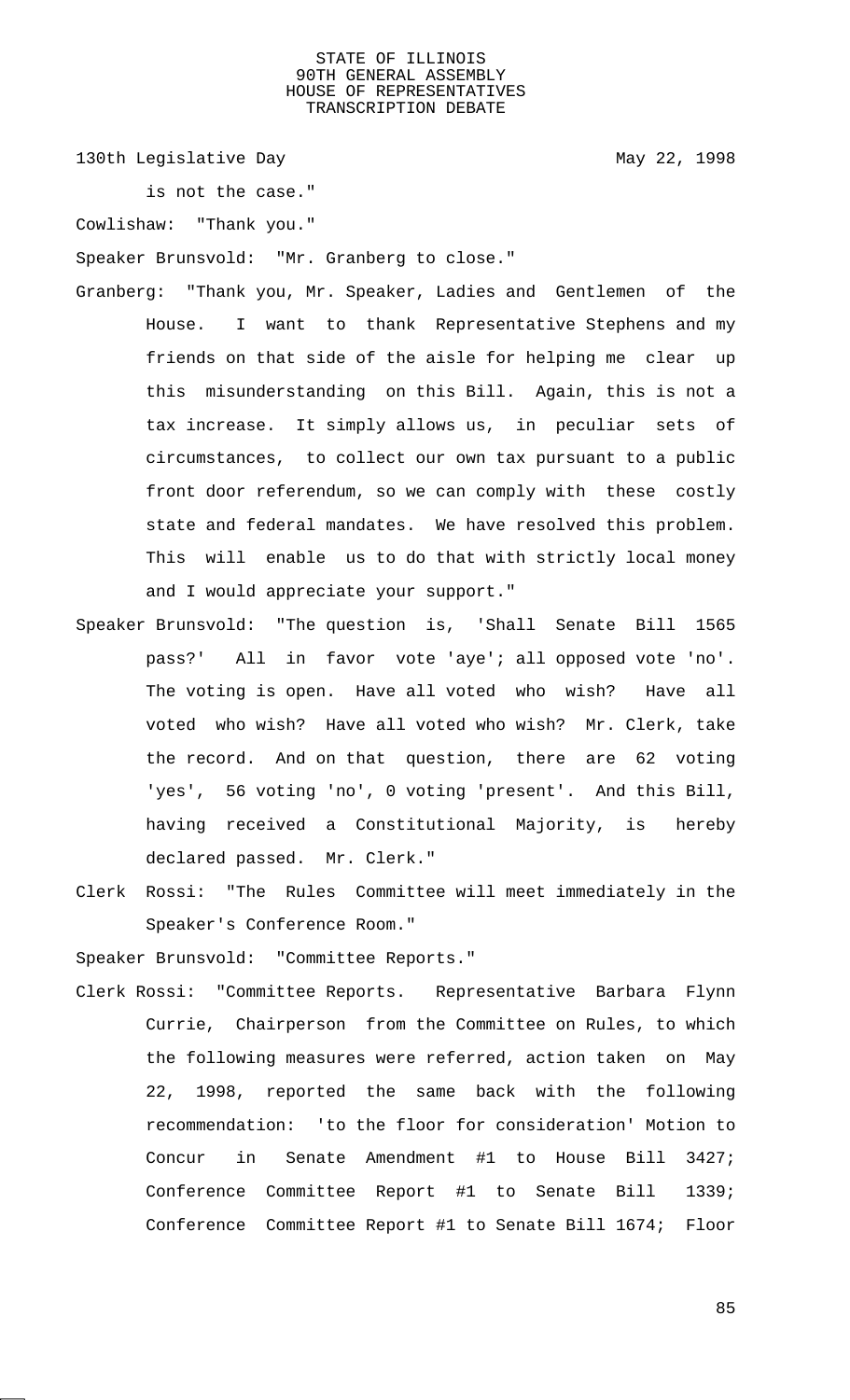130th Legislative Day 130th May 22, 1998

is not the case."

Cowlishaw: "Thank you."

Speaker Brunsvold: "Mr. Granberg to close."

- Granberg: "Thank you, Mr. Speaker, Ladies and Gentlemen of the House. I want to thank Representative Stephens and my friends on that side of the aisle for helping me clear up this misunderstanding on this Bill. Again, this is not a tax increase. It simply allows us, in peculiar sets of circumstances, to collect our own tax pursuant to a public front door referendum, so we can comply with these costly state and federal mandates. We have resolved this problem. This will enable us to do that with strictly local money and I would appreciate your support."
- Speaker Brunsvold: "The question is, 'Shall Senate Bill 1565 pass?' All in favor vote 'aye'; all opposed vote 'no'. The voting is open. Have all voted who wish? Have all voted who wish? Have all voted who wish? Mr. Clerk, take the record. And on that question, there are 62 voting 'yes', 56 voting 'no', 0 voting 'present'. And this Bill, having received a Constitutional Majority, is hereby declared passed. Mr. Clerk."
- Clerk Rossi: "The Rules Committee will meet immediately in the Speaker's Conference Room."

Speaker Brunsvold: "Committee Reports."

Clerk Rossi: "Committee Reports. Representative Barbara Flynn Currie, Chairperson from the Committee on Rules, to which the following measures were referred, action taken on May 22, 1998, reported the same back with the following recommendation: 'to the floor for consideration' Motion to Concur in Senate Amendment #1 to House Bill 3427; Conference Committee Report #1 to Senate Bill 1339; Conference Committee Report #1 to Senate Bill 1674; Floor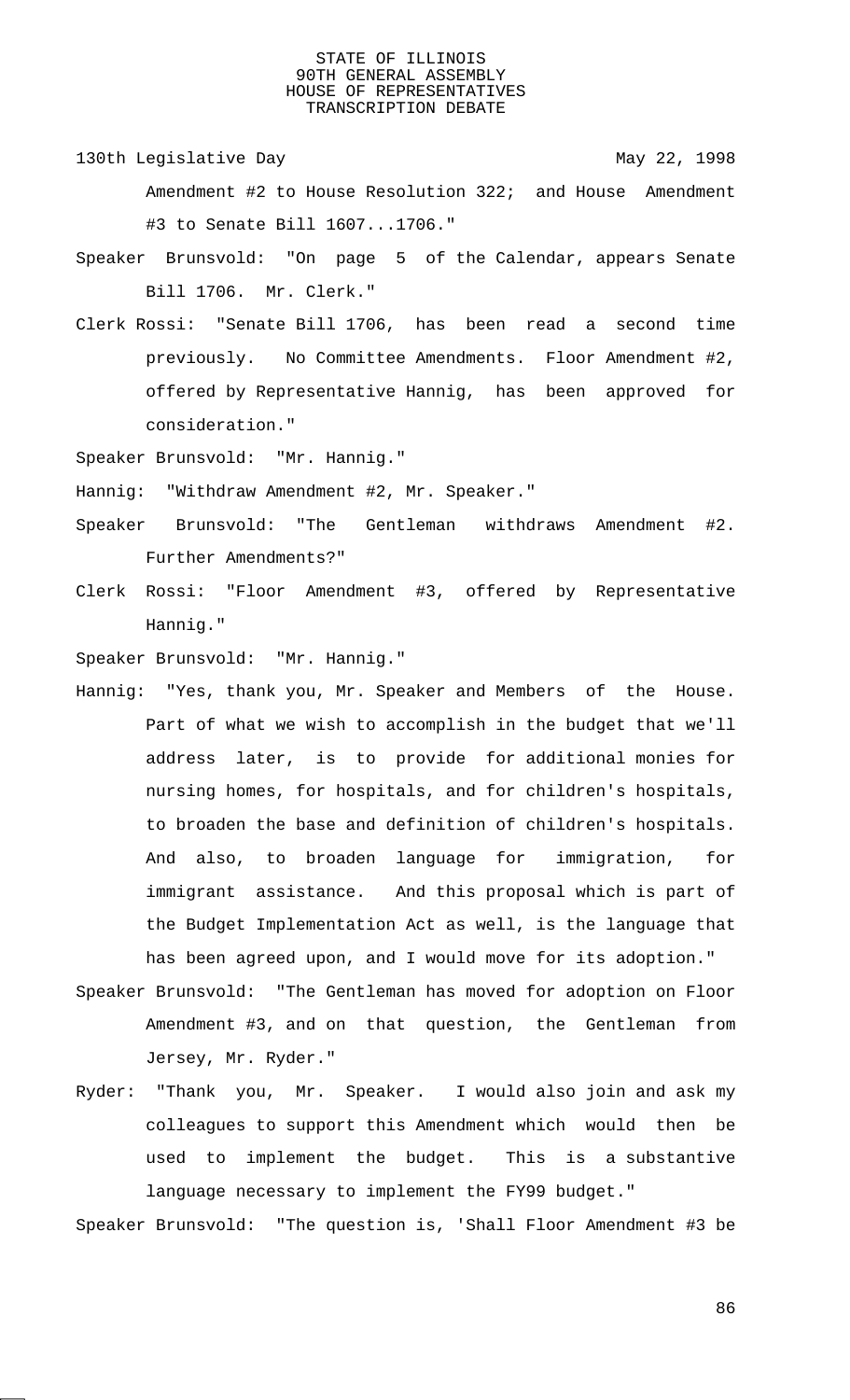- 130th Legislative Day 130th May 22, 1998 Amendment #2 to House Resolution 322; and House Amendment #3 to Senate Bill 1607...1706."
- Speaker Brunsvold: "On page 5 of the Calendar, appears Senate Bill 1706. Mr. Clerk."
- Clerk Rossi: "Senate Bill 1706, has been read a second time previously. No Committee Amendments. Floor Amendment #2, offered by Representative Hannig, has been approved for consideration."
- Speaker Brunsvold: "Mr. Hannig."
- Hannig: "Withdraw Amendment #2, Mr. Speaker."
- Speaker Brunsvold: "The Gentleman withdraws Amendment #2. Further Amendments?"
- Clerk Rossi: "Floor Amendment #3, offered by Representative Hannig."
- Speaker Brunsvold: "Mr. Hannig."
- Hannig: "Yes, thank you, Mr. Speaker and Members of the House. Part of what we wish to accomplish in the budget that we'll address later, is to provide for additional monies for nursing homes, for hospitals, and for children's hospitals, to broaden the base and definition of children's hospitals. And also, to broaden language for immigration, for immigrant assistance. And this proposal which is part of the Budget Implementation Act as well, is the language that has been agreed upon, and I would move for its adoption."
- Speaker Brunsvold: "The Gentleman has moved for adoption on Floor Amendment #3, and on that question, the Gentleman from Jersey, Mr. Ryder."
- Ryder: "Thank you, Mr. Speaker. I would also join and ask my colleagues to support this Amendment which would then be used to implement the budget. This is a substantive language necessary to implement the FY99 budget."

Speaker Brunsvold: "The question is, 'Shall Floor Amendment #3 be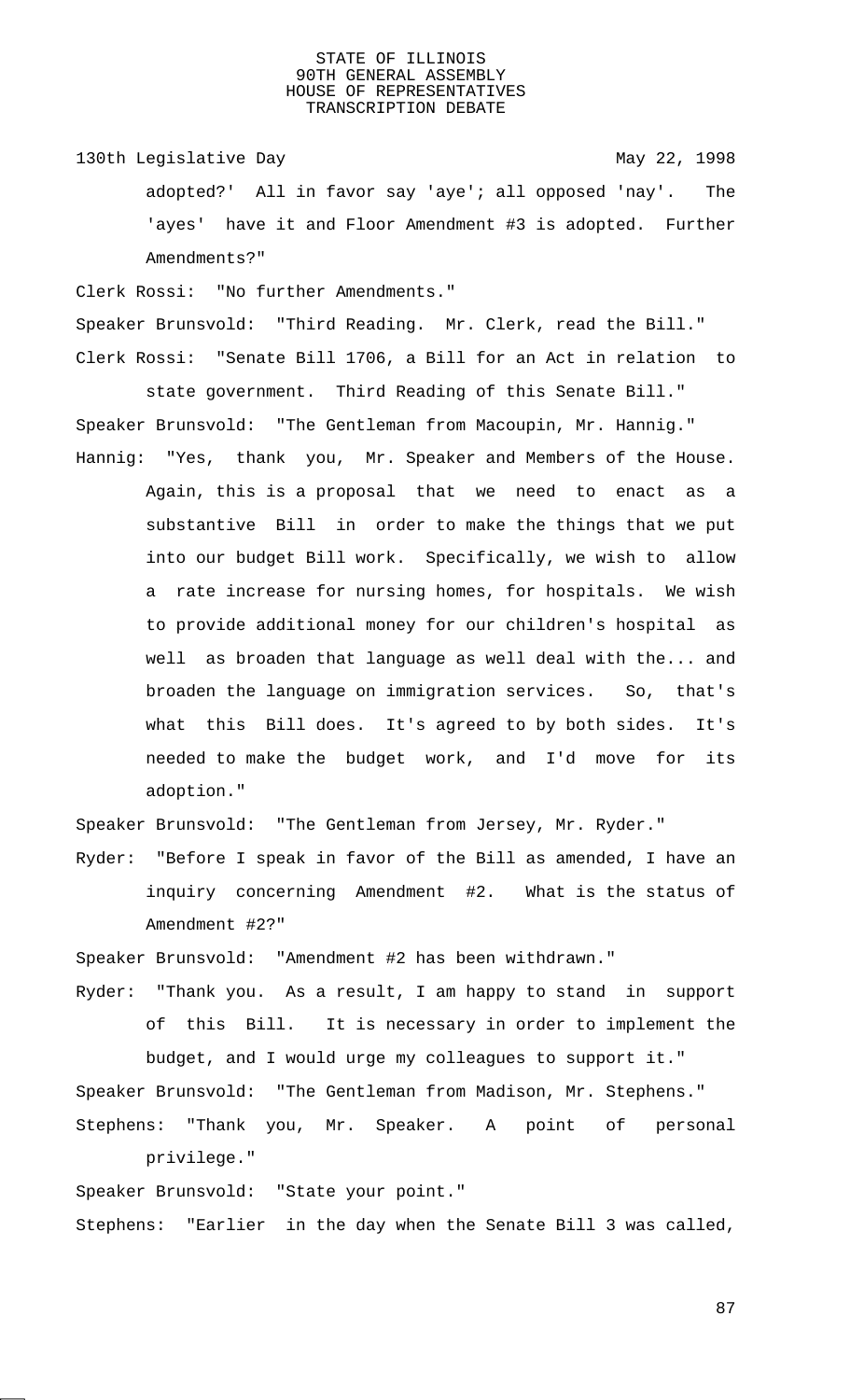130th Legislative Day 130th May 22, 1998 adopted?' All in favor say 'aye'; all opposed 'nay'. The

'ayes' have it and Floor Amendment #3 is adopted. Further Amendments?"

Clerk Rossi: "No further Amendments."

Speaker Brunsvold: "Third Reading. Mr. Clerk, read the Bill." Clerk Rossi: "Senate Bill 1706, a Bill for an Act in relation to

state government. Third Reading of this Senate Bill." Speaker Brunsvold: "The Gentleman from Macoupin, Mr. Hannig."

Hannig: "Yes, thank you, Mr. Speaker and Members of the House. Again, this is a proposal that we need to enact as a substantive Bill in order to make the things that we put into our budget Bill work. Specifically, we wish to allow a rate increase for nursing homes, for hospitals. We wish to provide additional money for our children's hospital as well as broaden that language as well deal with the... and broaden the language on immigration services. So, that's what this Bill does. It's agreed to by both sides. It's needed to make the budget work, and I'd move for its adoption."

Speaker Brunsvold: "The Gentleman from Jersey, Mr. Ryder."

Ryder: "Before I speak in favor of the Bill as amended, I have an inquiry concerning Amendment #2. What is the status of Amendment #2?"

Speaker Brunsvold: "Amendment #2 has been withdrawn."

Ryder: "Thank you. As a result, I am happy to stand in support of this Bill. It is necessary in order to implement the budget, and I would urge my colleagues to support it."

Speaker Brunsvold: "The Gentleman from Madison, Mr. Stephens." Stephens: "Thank you, Mr. Speaker. A point of personal

privilege."

Speaker Brunsvold: "State your point." Stephens: "Earlier in the day when the Senate Bill 3 was called,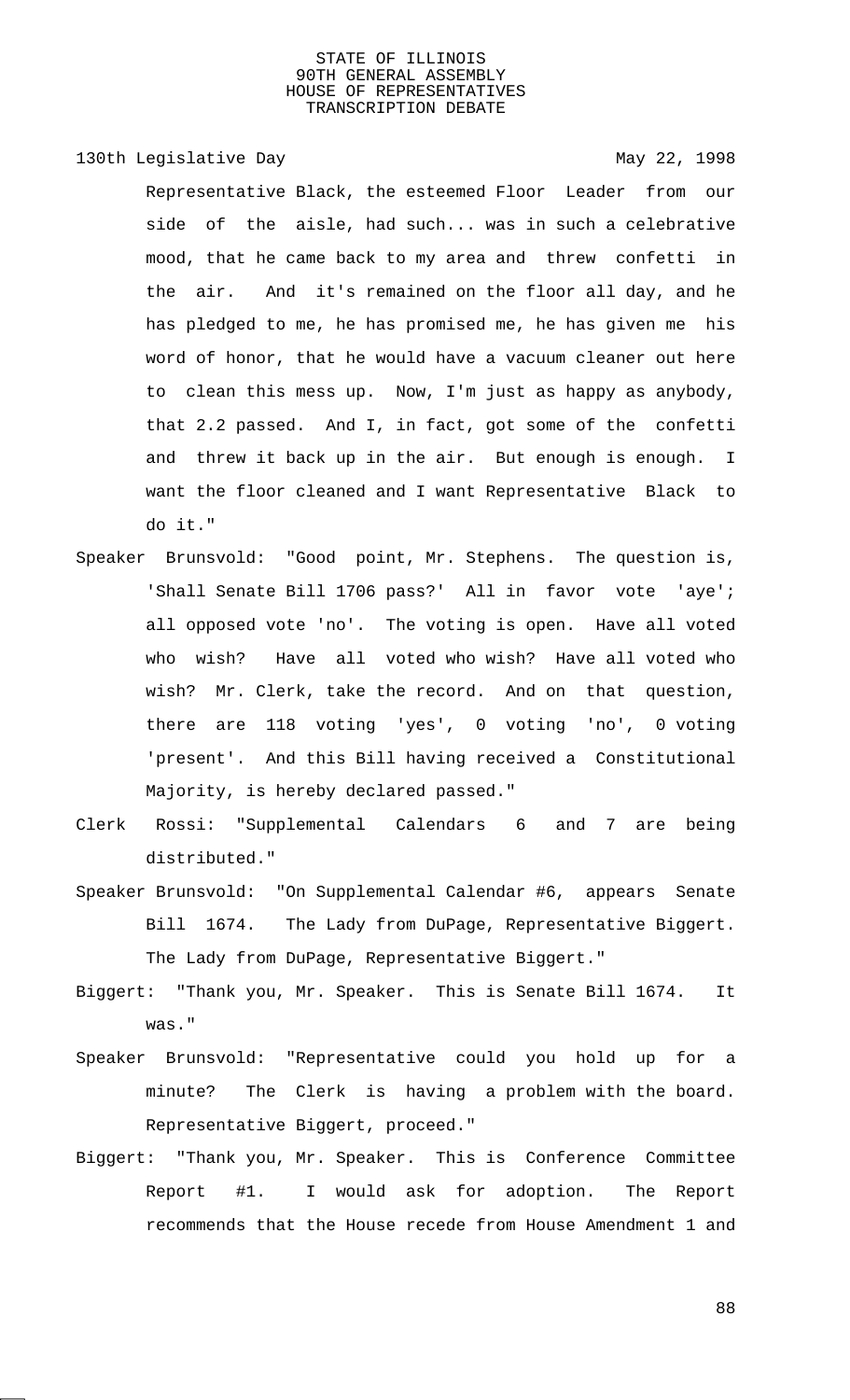# 130th Legislative Day 130th May 22, 1998

Representative Black, the esteemed Floor Leader from our side of the aisle, had such... was in such a celebrative mood, that he came back to my area and threw confetti in the air. And it's remained on the floor all day, and he has pledged to me, he has promised me, he has given me his word of honor, that he would have a vacuum cleaner out here to clean this mess up. Now, I'm just as happy as anybody, that 2.2 passed. And I, in fact, got some of the confetti and threw it back up in the air. But enough is enough. I want the floor cleaned and I want Representative Black to do it."

- Speaker Brunsvold: "Good point, Mr. Stephens. The question is, 'Shall Senate Bill 1706 pass?' All in favor vote 'aye'; all opposed vote 'no'. The voting is open. Have all voted who wish? Have all voted who wish? Have all voted who wish? Mr. Clerk, take the record. And on that question, there are 118 voting 'yes', 0 voting 'no', 0 voting 'present'. And this Bill having received a Constitutional Majority, is hereby declared passed."
- Clerk Rossi: "Supplemental Calendars 6 and 7 are being distributed."
- Speaker Brunsvold: "On Supplemental Calendar #6, appears Senate Bill 1674. The Lady from DuPage, Representative Biggert. The Lady from DuPage, Representative Biggert."
- Biggert: "Thank you, Mr. Speaker. This is Senate Bill 1674. It was."
- Speaker Brunsvold: "Representative could you hold up for a minute? The Clerk is having a problem with the board. Representative Biggert, proceed."
- Biggert: "Thank you, Mr. Speaker. This is Conference Committee Report #1. I would ask for adoption. The Report recommends that the House recede from House Amendment 1 and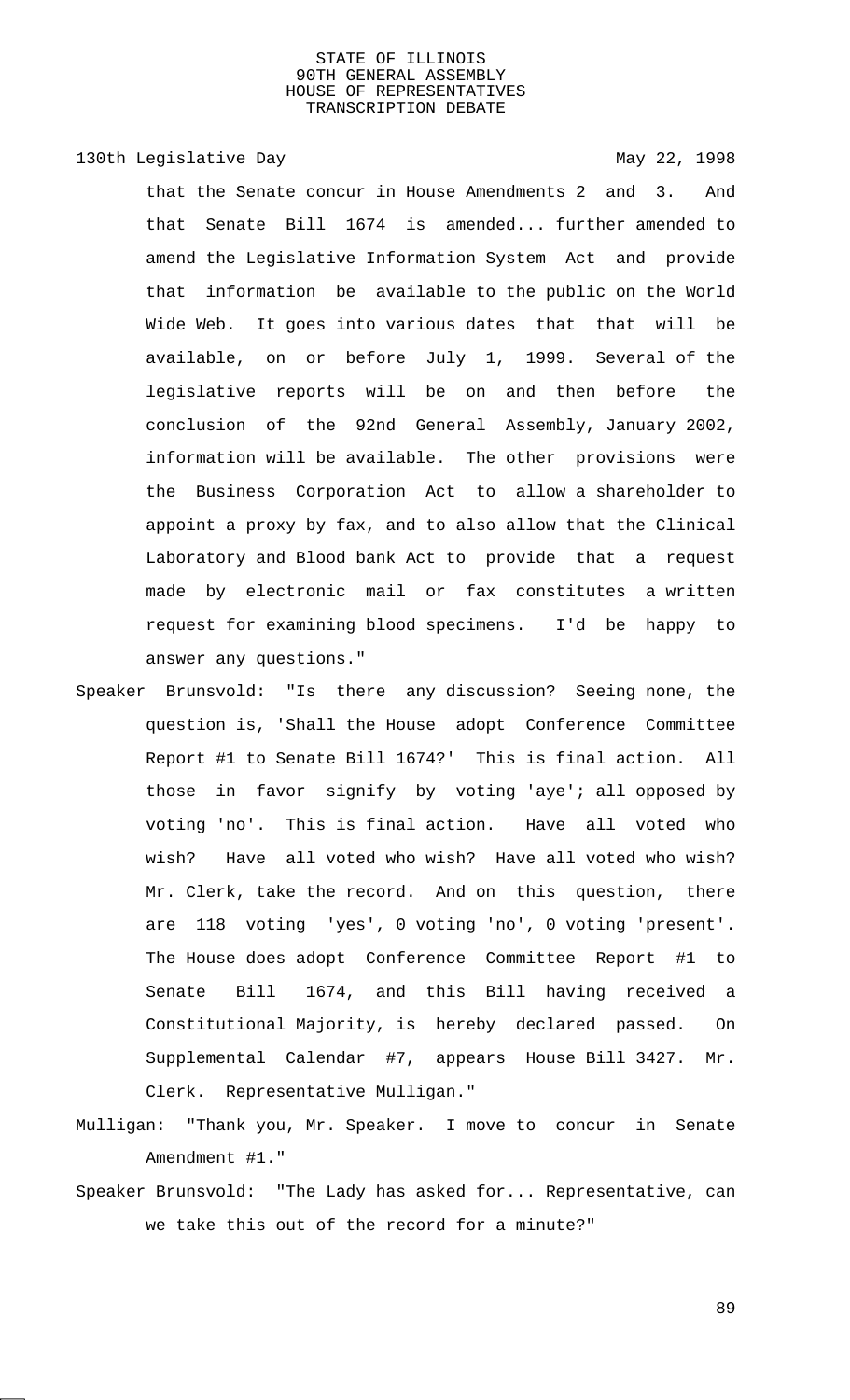# 130th Legislative Day 130th May 22, 1998

that the Senate concur in House Amendments 2 and 3. And that Senate Bill 1674 is amended... further amended to amend the Legislative Information System Act and provide that information be available to the public on the World Wide Web. It goes into various dates that that will be available, on or before July 1, 1999. Several of the legislative reports will be on and then before the conclusion of the 92nd General Assembly, January 2002, information will be available. The other provisions were the Business Corporation Act to allow a shareholder to appoint a proxy by fax, and to also allow that the Clinical Laboratory and Blood bank Act to provide that a request made by electronic mail or fax constitutes a written request for examining blood specimens. I'd be happy to answer any questions."

- Speaker Brunsvold: "Is there any discussion? Seeing none, the question is, 'Shall the House adopt Conference Committee Report #1 to Senate Bill 1674?' This is final action. All those in favor signify by voting 'aye'; all opposed by voting 'no'. This is final action. Have all voted who wish? Have all voted who wish? Have all voted who wish? Mr. Clerk, take the record. And on this question, there are 118 voting 'yes', 0 voting 'no', 0 voting 'present'. The House does adopt Conference Committee Report #1 to Senate Bill 1674, and this Bill having received a Constitutional Majority, is hereby declared passed. On Supplemental Calendar #7, appears House Bill 3427. Mr. Clerk. Representative Mulligan."
- Mulligan: "Thank you, Mr. Speaker. I move to concur in Senate Amendment #1."
- Speaker Brunsvold: "The Lady has asked for... Representative, can we take this out of the record for a minute?"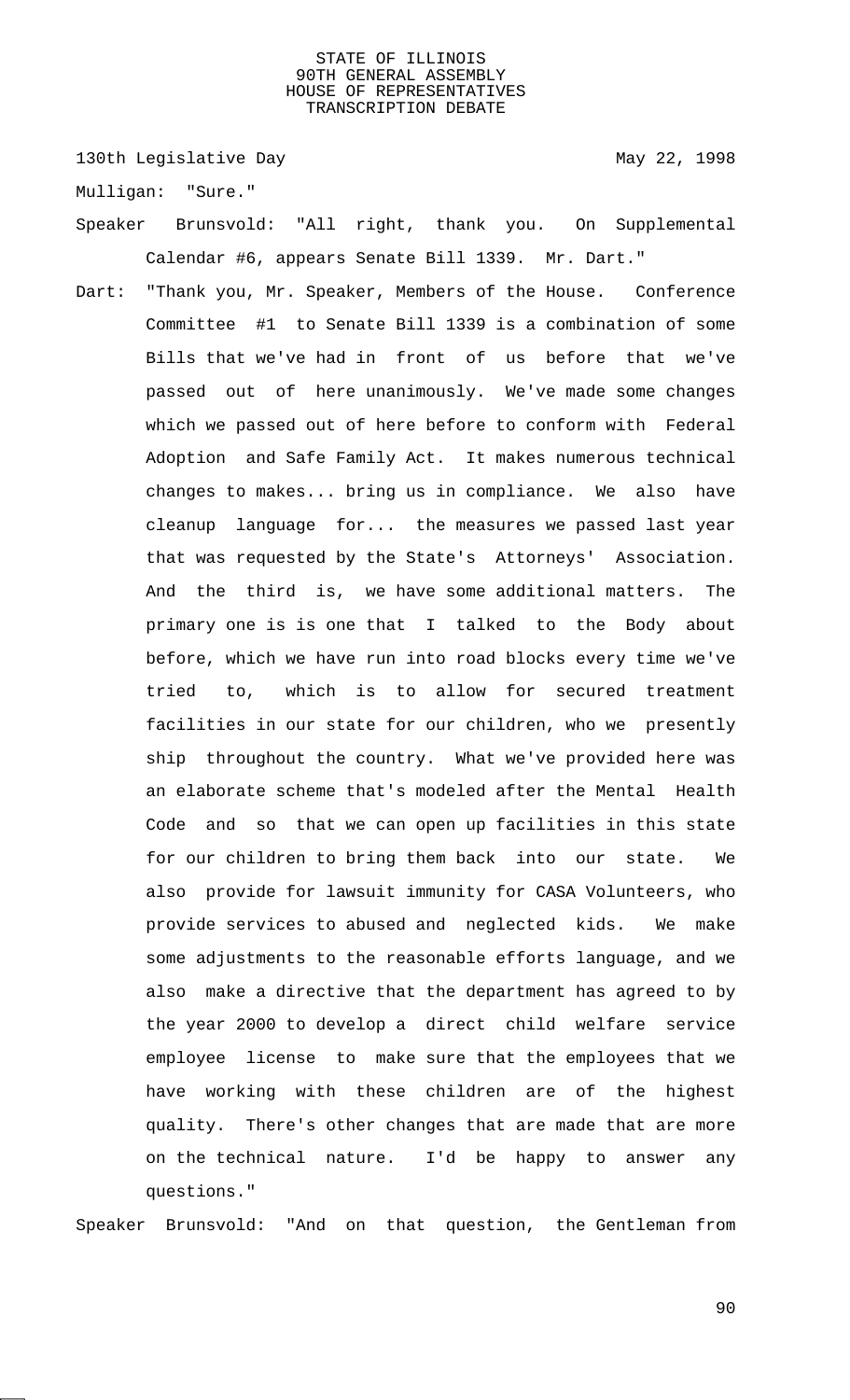130th Legislative Day 130th May 22, 1998

Mulligan: "Sure."

- Speaker Brunsvold: "All right, thank you. On Supplemental Calendar #6, appears Senate Bill 1339. Mr. Dart."
- Dart: "Thank you, Mr. Speaker, Members of the House. Conference Committee #1 to Senate Bill 1339 is a combination of some Bills that we've had in front of us before that we've passed out of here unanimously. We've made some changes which we passed out of here before to conform with Federal Adoption and Safe Family Act. It makes numerous technical changes to makes... bring us in compliance. We also have cleanup language for... the measures we passed last year that was requested by the State's Attorneys' Association. And the third is, we have some additional matters. The primary one is is one that I talked to the Body about before, which we have run into road blocks every time we've tried to, which is to allow for secured treatment facilities in our state for our children, who we presently ship throughout the country. What we've provided here was an elaborate scheme that's modeled after the Mental Health Code and so that we can open up facilities in this state for our children to bring them back into our state. We also provide for lawsuit immunity for CASA Volunteers, who provide services to abused and neglected kids. We make some adjustments to the reasonable efforts language, and we also make a directive that the department has agreed to by the year 2000 to develop a direct child welfare service employee license to make sure that the employees that we have working with these children are of the highest quality. There's other changes that are made that are more on the technical nature. I'd be happy to answer any questions."

Speaker Brunsvold: "And on that question, the Gentleman from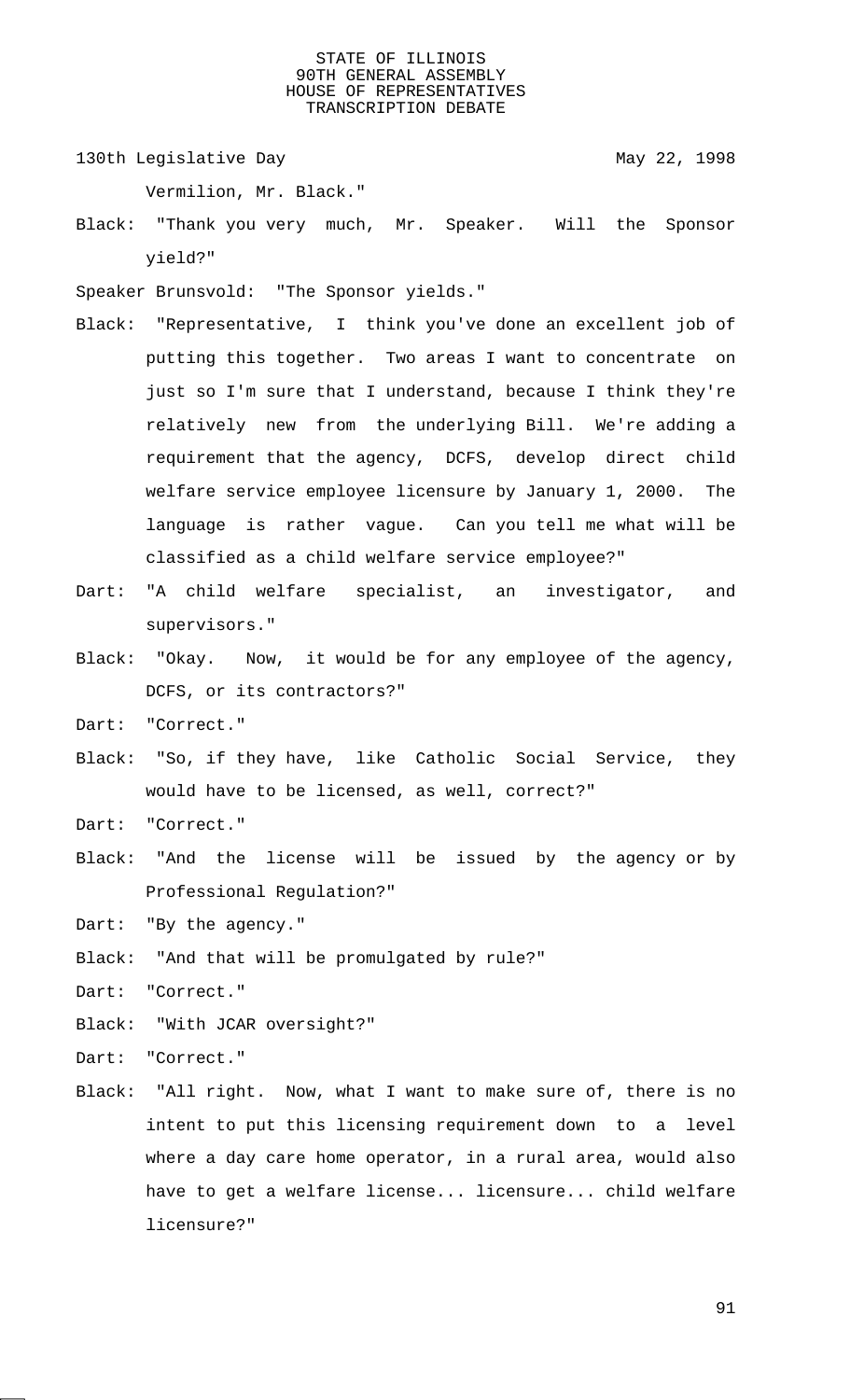130th Legislative Day 130th May 22, 1998

Vermilion, Mr. Black."

- Black: "Thank you very much, Mr. Speaker. Will the Sponsor yield?"
- Speaker Brunsvold: "The Sponsor yields."
- Black: "Representative, I think you've done an excellent job of putting this together. Two areas I want to concentrate on just so I'm sure that I understand, because I think they're relatively new from the underlying Bill. We're adding a requirement that the agency, DCFS, develop direct child welfare service employee licensure by January 1, 2000. The language is rather vague. Can you tell me what will be classified as a child welfare service employee?"
- Dart: "A child welfare specialist, an investigator, and supervisors."
- Black: "Okay. Now, it would be for any employee of the agency, DCFS, or its contractors?"
- Dart: "Correct."
- Black: "So, if they have, like Catholic Social Service, they would have to be licensed, as well, correct?"

Dart: "Correct."

Black: "And the license will be issued by the agency or by Professional Regulation?"

Dart: "By the agency."

Black: "And that will be promulgated by rule?"

Dart: "Correct."

Black: "With JCAR oversight?"

Dart: "Correct."

Black: "All right. Now, what I want to make sure of, there is no intent to put this licensing requirement down to a level where a day care home operator, in a rural area, would also have to get a welfare license... licensure... child welfare licensure?"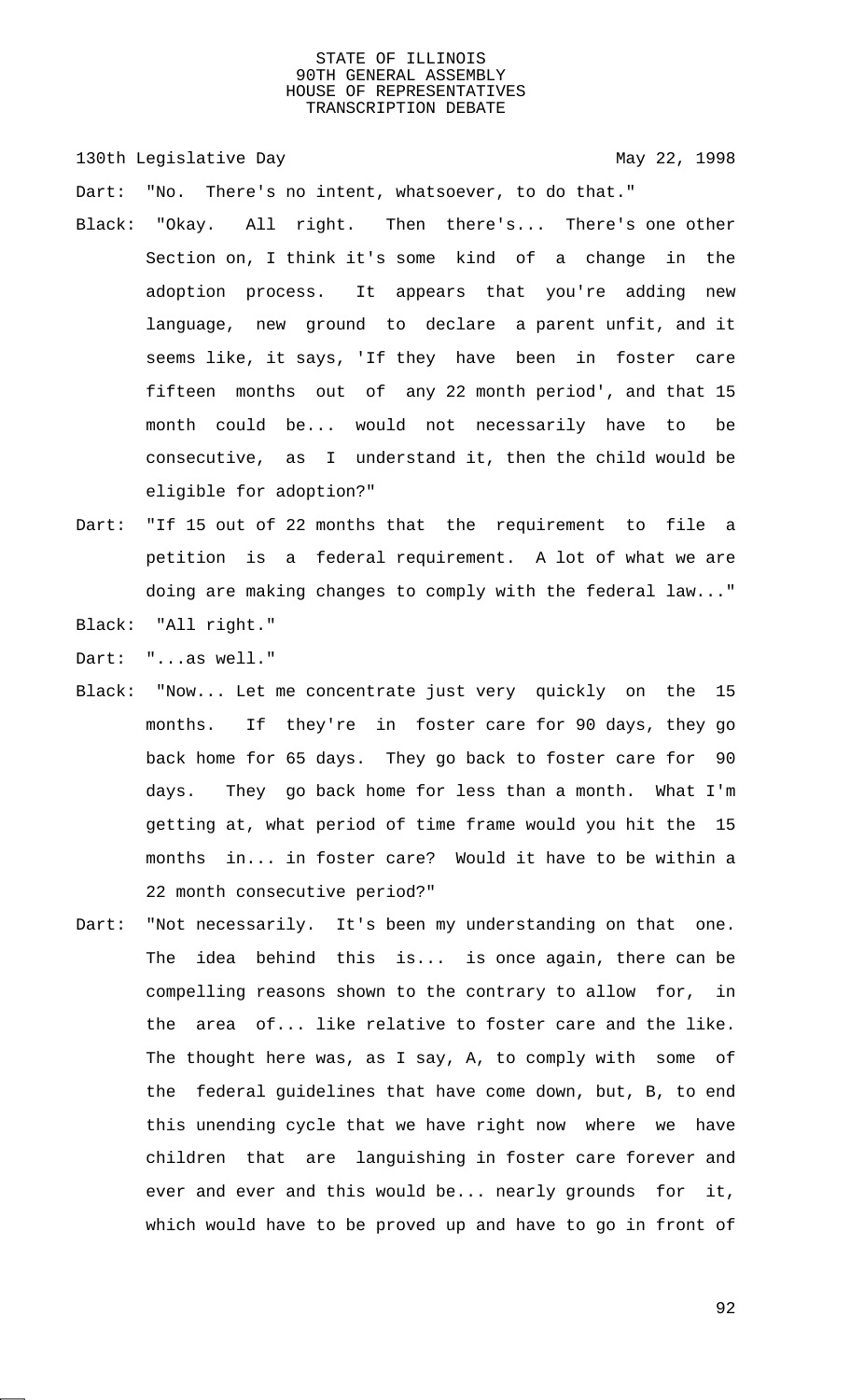130th Legislative Day 130th May 22, 1998

Dart: "No. There's no intent, whatsoever, to do that."

- Black: "Okay. All right. Then there's... There's one other Section on, I think it's some kind of a change in the adoption process. It appears that you're adding new language, new ground to declare a parent unfit, and it seems like, it says, 'If they have been in foster care fifteen months out of any 22 month period', and that 15 month could be... would not necessarily have to be consecutive, as I understand it, then the child would be eligible for adoption?"
- Dart: "If 15 out of 22 months that the requirement to file a petition is a federal requirement. A lot of what we are doing are making changes to comply with the federal law..."
- Black: "All right."

Dart: "...as well."

- Black: "Now... Let me concentrate just very quickly on the 15 months. If they're in foster care for 90 days, they go back home for 65 days. They go back to foster care for 90 days. They go back home for less than a month. What I'm getting at, what period of time frame would you hit the 15 months in... in foster care? Would it have to be within a 22 month consecutive period?"
- Dart: "Not necessarily. It's been my understanding on that one. The idea behind this is... is once again, there can be compelling reasons shown to the contrary to allow for, in the area of... like relative to foster care and the like. The thought here was, as I say, A, to comply with some of the federal guidelines that have come down, but, B, to end this unending cycle that we have right now where we have children that are languishing in foster care forever and ever and ever and this would be... nearly grounds for it, which would have to be proved up and have to go in front of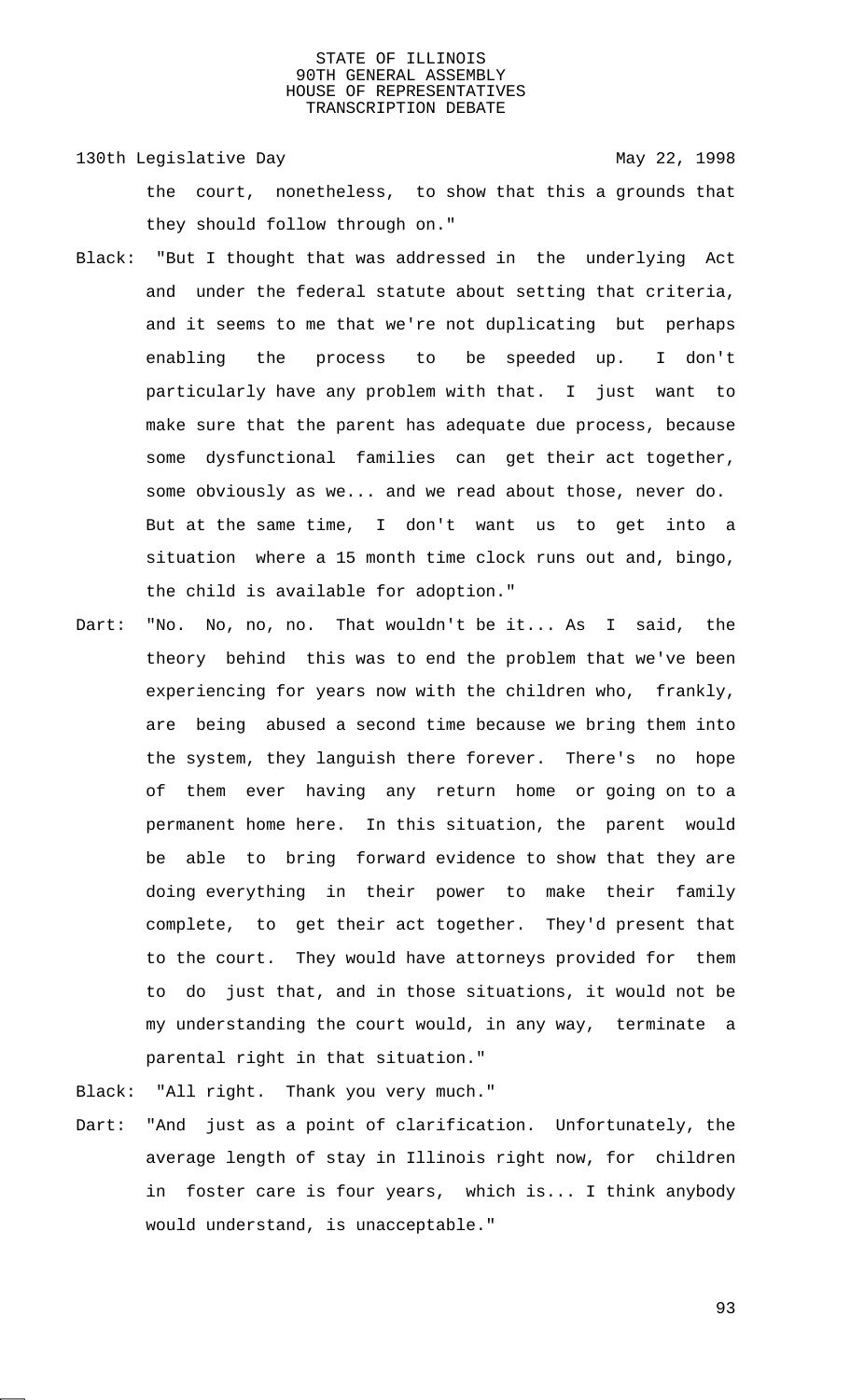130th Legislative Day 130th May 22, 1998 the court, nonetheless, to show that this a grounds that they should follow through on."

- Black: "But I thought that was addressed in the underlying Act and under the federal statute about setting that criteria, and it seems to me that we're not duplicating but perhaps enabling the process to be speeded up. I don't particularly have any problem with that. I just want to make sure that the parent has adequate due process, because some dysfunctional families can get their act together, some obviously as we... and we read about those, never do. But at the same time, I don't want us to get into a situation where a 15 month time clock runs out and, bingo, the child is available for adoption."
- Dart: "No. No, no, no. That wouldn't be it... As I said, the theory behind this was to end the problem that we've been experiencing for years now with the children who, frankly, are being abused a second time because we bring them into the system, they languish there forever. There's no hope of them ever having any return home or going on to a permanent home here. In this situation, the parent would be able to bring forward evidence to show that they are doing everything in their power to make their family complete, to get their act together. They'd present that to the court. They would have attorneys provided for them to do just that, and in those situations, it would not be my understanding the court would, in any way, terminate a parental right in that situation."

Black: "All right. Thank you very much."

Dart: "And just as a point of clarification. Unfortunately, the average length of stay in Illinois right now, for children in foster care is four years, which is... I think anybody would understand, is unacceptable."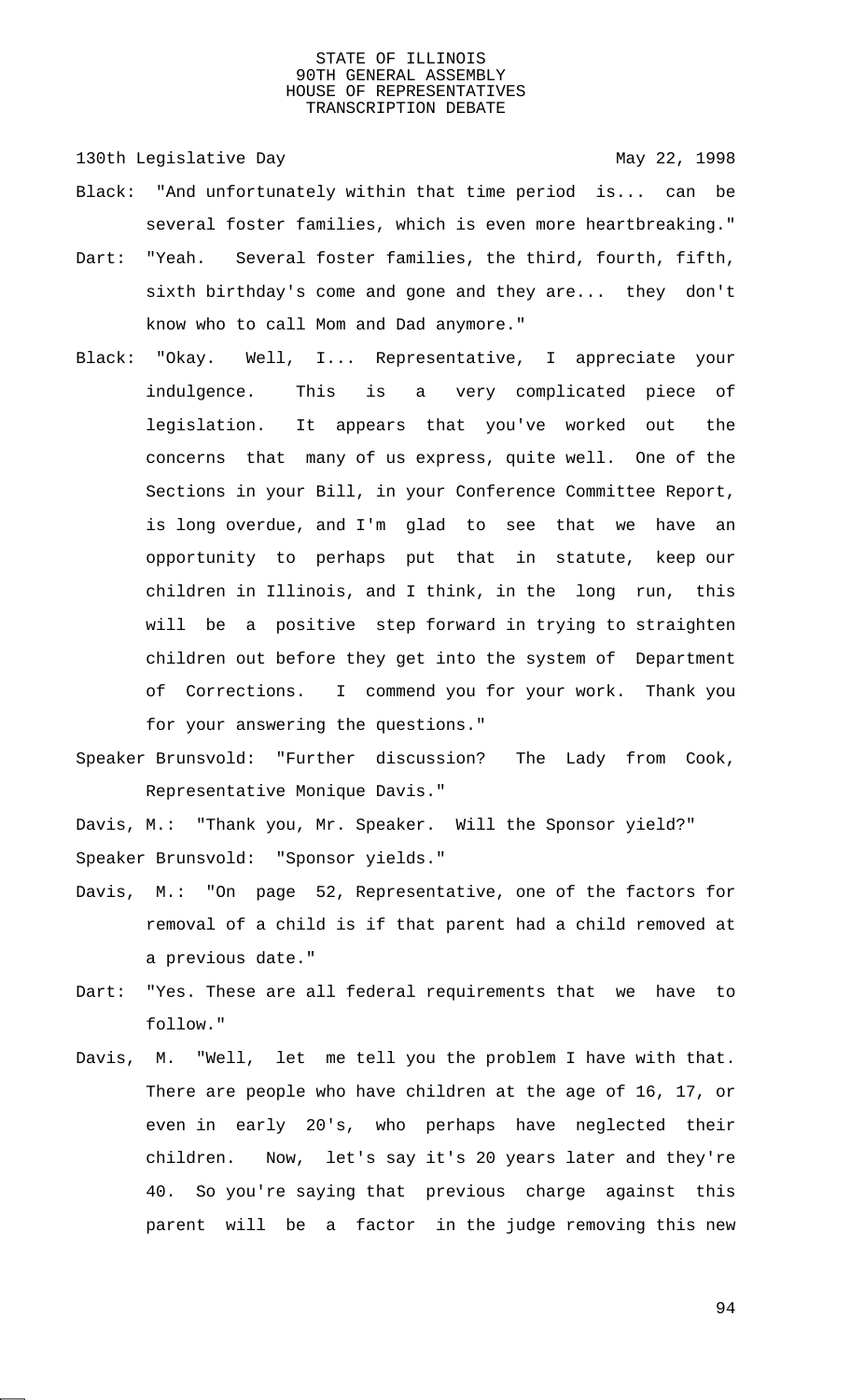130th Legislative Day 130th May 22, 1998

- Black: "And unfortunately within that time period is... can be several foster families, which is even more heartbreaking."
- Dart: "Yeah. Several foster families, the third, fourth, fifth, sixth birthday's come and gone and they are... they don't know who to call Mom and Dad anymore."
- Black: "Okay. Well, I... Representative, I appreciate your indulgence. This is a very complicated piece of legislation. It appears that you've worked out the concerns that many of us express, quite well. One of the Sections in your Bill, in your Conference Committee Report, is long overdue, and I'm glad to see that we have an opportunity to perhaps put that in statute, keep our children in Illinois, and I think, in the long run, this will be a positive step forward in trying to straighten children out before they get into the system of Department of Corrections. I commend you for your work. Thank you for your answering the questions."
- Speaker Brunsvold: "Further discussion? The Lady from Cook, Representative Monique Davis."

Davis, M.: "Thank you, Mr. Speaker. Will the Sponsor yield?" Speaker Brunsvold: "Sponsor yields."

- Davis, M.: "On page 52, Representative, one of the factors for removal of a child is if that parent had a child removed at a previous date."
- Dart: "Yes. These are all federal requirements that we have to follow."
- Davis, M. "Well, let me tell you the problem I have with that. There are people who have children at the age of 16, 17, or even in early 20's, who perhaps have neglected their children. Now, let's say it's 20 years later and they're 40. So you're saying that previous charge against this parent will be a factor in the judge removing this new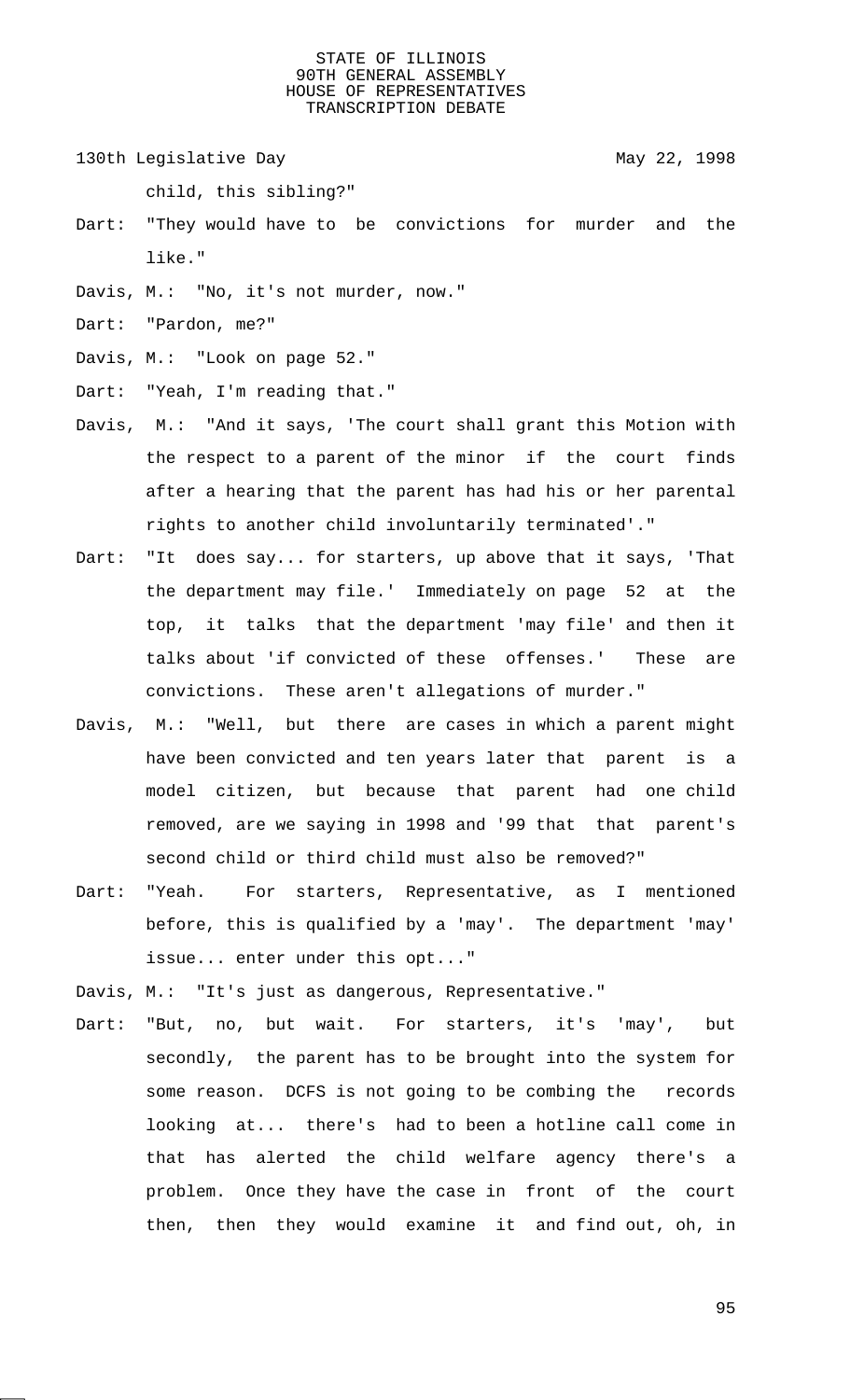130th Legislative Day 130th May 22, 1998

child, this sibling?"

- Dart: "They would have to be convictions for murder and the like."
- Davis, M.: "No, it's not murder, now."
- Dart: "Pardon, me?"

- Dart: "Yeah, I'm reading that."
- Davis, M.: "And it says, 'The court shall grant this Motion with the respect to a parent of the minor if the court finds after a hearing that the parent has had his or her parental rights to another child involuntarily terminated'."
- Dart: "It does say... for starters, up above that it says, 'That the department may file.' Immediately on page 52 at the top, it talks that the department 'may file' and then it talks about 'if convicted of these offenses.' These are convictions. These aren't allegations of murder."
- Davis, M.: "Well, but there are cases in which a parent might have been convicted and ten years later that parent is a model citizen, but because that parent had one child removed, are we saying in 1998 and '99 that that parent's second child or third child must also be removed?"
- Dart: "Yeah. For starters, Representative, as I mentioned before, this is qualified by a 'may'. The department 'may' issue... enter under this opt..."
- Davis, M.: "It's just as dangerous, Representative."
- Dart: "But, no, but wait. For starters, it's 'may', but secondly, the parent has to be brought into the system for some reason. DCFS is not going to be combing the records looking at... there's had to been a hotline call come in that has alerted the child welfare agency there's a problem. Once they have the case in front of the court then, then they would examine it and find out, oh, in

Davis, M.: "Look on page 52."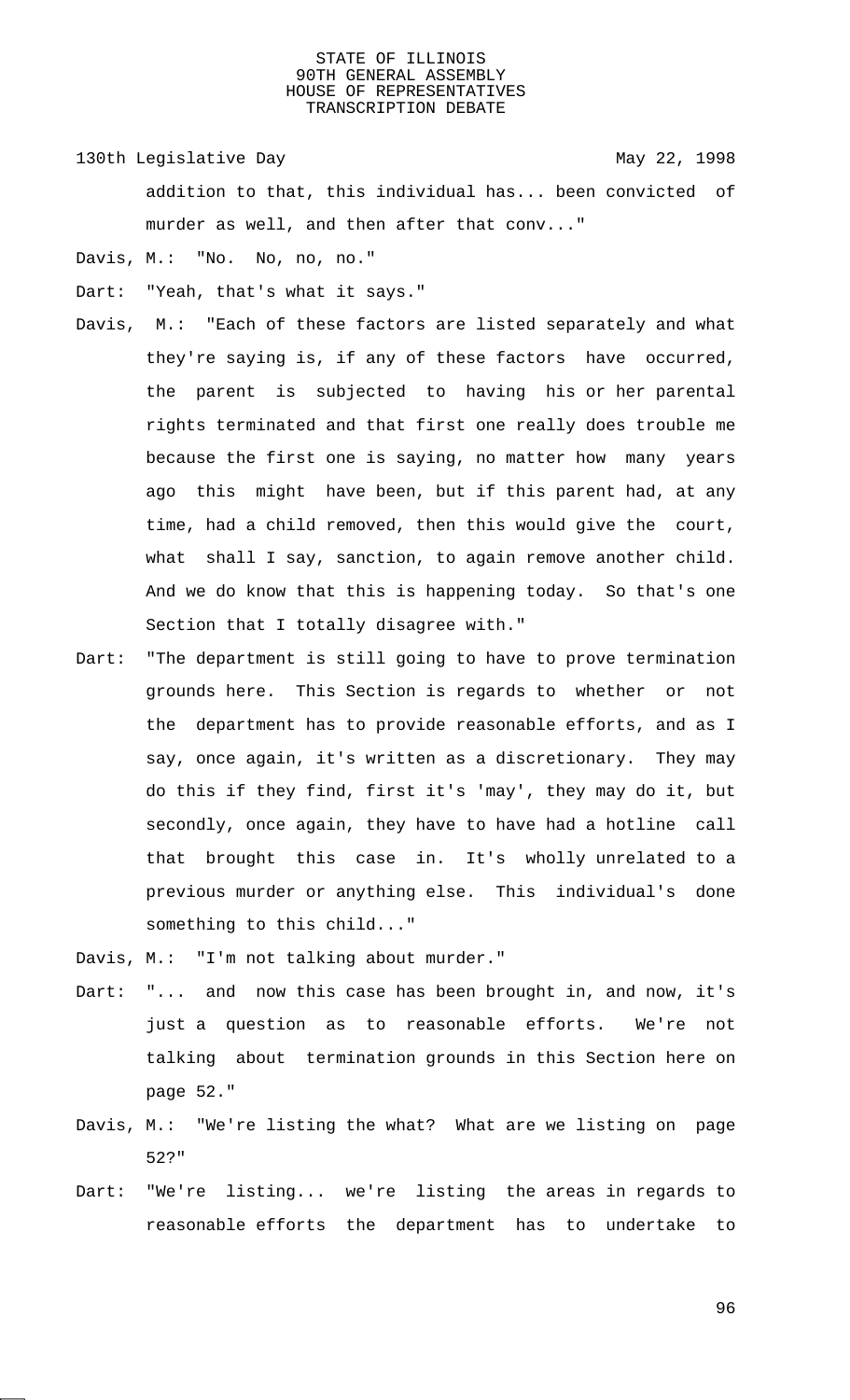130th Legislative Day 130th May 22, 1998

addition to that, this individual has... been convicted of murder as well, and then after that conv..."

Davis, M.: "No. No, no, no."

Dart: "Yeah, that's what it says."

- Davis, M.: "Each of these factors are listed separately and what they're saying is, if any of these factors have occurred, the parent is subjected to having his or her parental rights terminated and that first one really does trouble me because the first one is saying, no matter how many years ago this might have been, but if this parent had, at any time, had a child removed, then this would give the court, what shall I say, sanction, to again remove another child. And we do know that this is happening today. So that's one Section that I totally disagree with."
- Dart: "The department is still going to have to prove termination grounds here. This Section is regards to whether or not the department has to provide reasonable efforts, and as I say, once again, it's written as a discretionary. They may do this if they find, first it's 'may', they may do it, but secondly, once again, they have to have had a hotline call that brought this case in. It's wholly unrelated to a previous murder or anything else. This individual's done something to this child..."
- Davis, M.: "I'm not talking about murder."
- Dart: "... and now this case has been brought in, and now, it's just a question as to reasonable efforts. We're not talking about termination grounds in this Section here on page 52."
- Davis, M.: "We're listing the what? What are we listing on page 52?"
- Dart: "We're listing... we're listing the areas in regards to reasonable efforts the department has to undertake to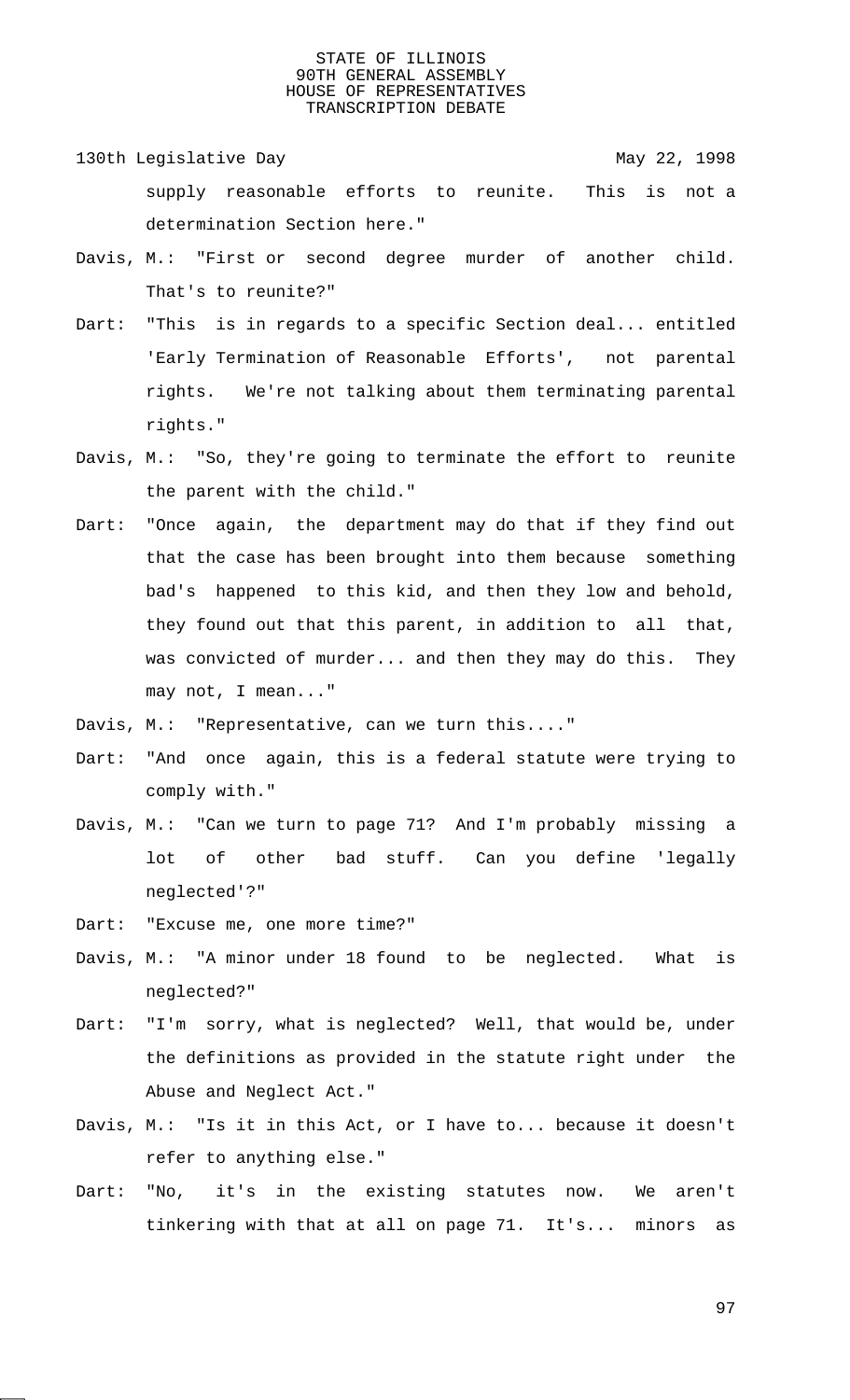- 130th Legislative Day 130th May 22, 1998 supply reasonable efforts to reunite. This is not a determination Section here."
- Davis, M.: "First or second degree murder of another child. That's to reunite?"
- Dart: "This is in regards to a specific Section deal... entitled 'Early Termination of Reasonable Efforts', not parental rights. We're not talking about them terminating parental rights."
- Davis, M.: "So, they're going to terminate the effort to reunite the parent with the child."
- Dart: "Once again, the department may do that if they find out that the case has been brought into them because something bad's happened to this kid, and then they low and behold, they found out that this parent, in addition to all that, was convicted of murder... and then they may do this. They may not, I mean..."
- Davis, M.: "Representative, can we turn this...."
- Dart: "And once again, this is a federal statute were trying to comply with."
- Davis, M.: "Can we turn to page 71? And I'm probably missing a lot of other bad stuff. Can you define 'legally neglected'?"
- Dart: "Excuse me, one more time?"
- Davis, M.: "A minor under 18 found to be neglected. What is neglected?"
- Dart: "I'm sorry, what is neglected? Well, that would be, under the definitions as provided in the statute right under the Abuse and Neglect Act."
- Davis, M.: "Is it in this Act, or I have to... because it doesn't refer to anything else."
- Dart: "No, it's in the existing statutes now. We aren't tinkering with that at all on page 71. It's... minors as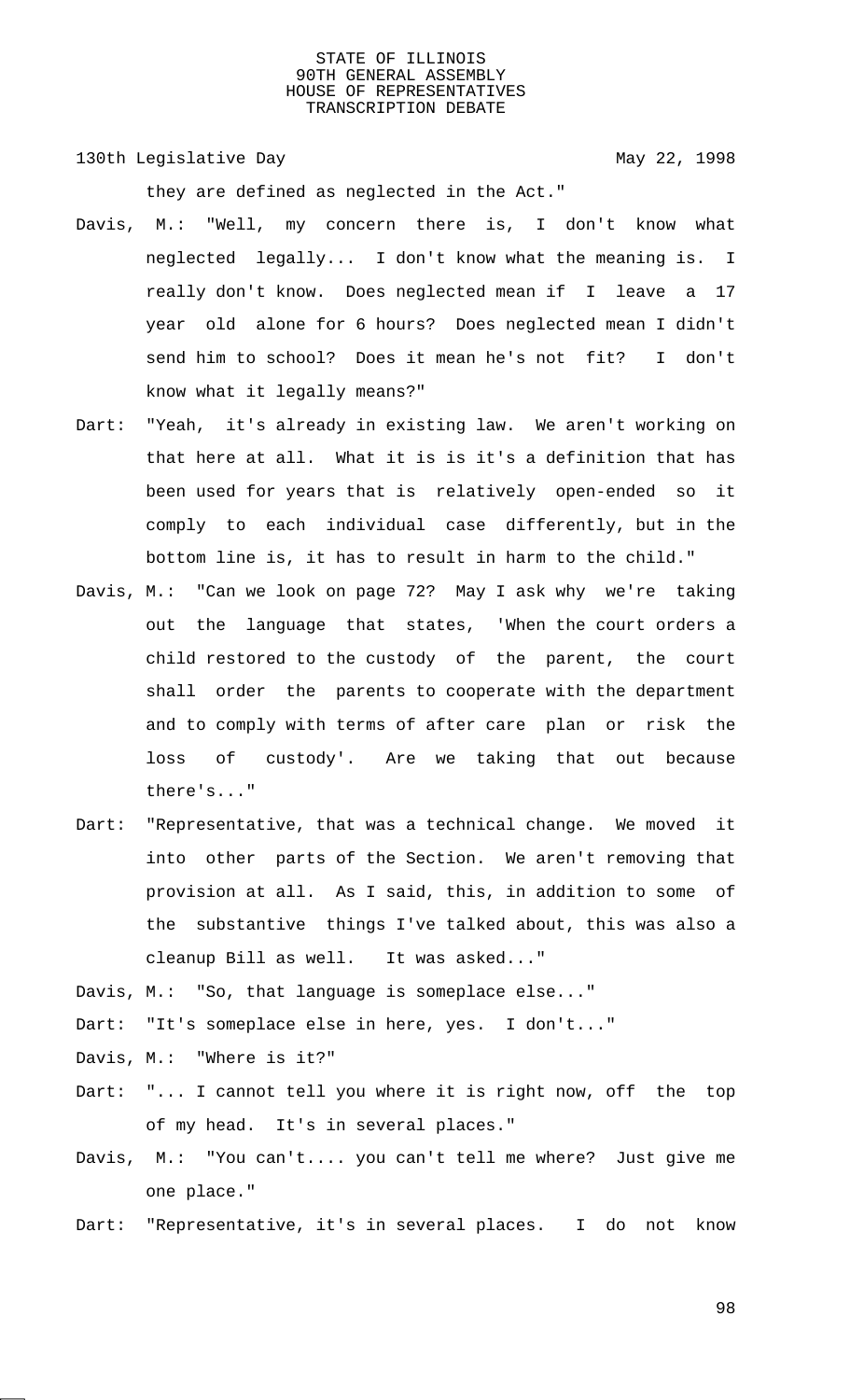130th Legislative Day 130th May 22, 1998

they are defined as neglected in the Act."

- Davis, M.: "Well, my concern there is, I don't know what neglected legally... I don't know what the meaning is. I really don't know. Does neglected mean if I leave a 17 year old alone for 6 hours? Does neglected mean I didn't send him to school? Does it mean he's not fit? I don't know what it legally means?"
- Dart: "Yeah, it's already in existing law. We aren't working on that here at all. What it is is it's a definition that has been used for years that is relatively open-ended so it comply to each individual case differently, but in the bottom line is, it has to result in harm to the child."
- Davis, M.: "Can we look on page 72? May I ask why we're taking out the language that states, 'When the court orders a child restored to the custody of the parent, the court shall order the parents to cooperate with the department and to comply with terms of after care plan or risk the loss of custody'. Are we taking that out because there's..."
- Dart: "Representative, that was a technical change. We moved it into other parts of the Section. We aren't removing that provision at all. As I said, this, in addition to some of the substantive things I've talked about, this was also a cleanup Bill as well. It was asked..."

Davis, M.: "So, that language is someplace else..."

Dart: "It's someplace else in here, yes. I don't..."

Davis, M.: "Where is it?"

- Dart: "... I cannot tell you where it is right now, off the top of my head. It's in several places."
- Davis, M.: "You can't.... you can't tell me where? Just give me one place."
- Dart: "Representative, it's in several places. I do not know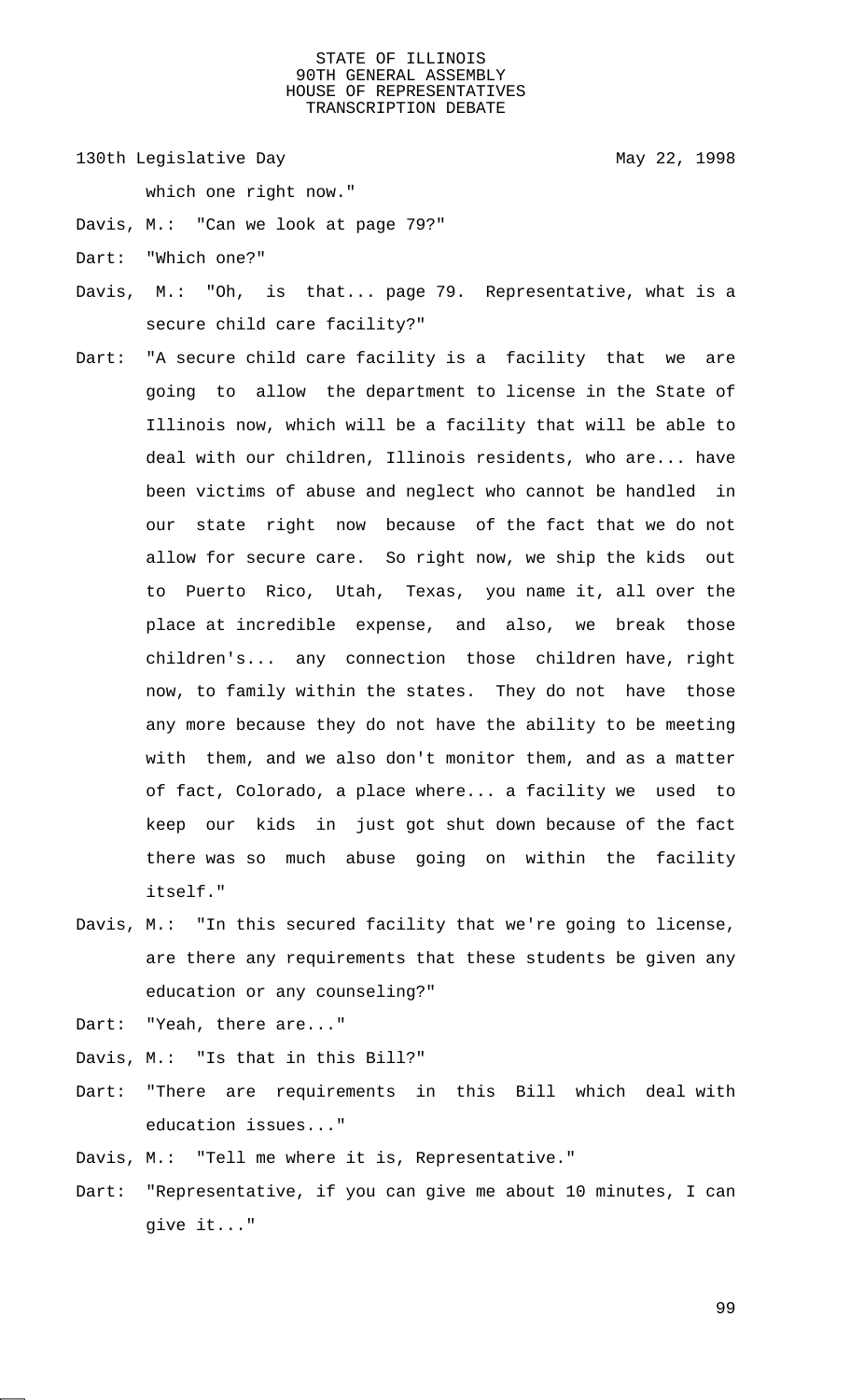130th Legislative Day 130th May 22, 1998

which one right now."

- Davis, M.: "Can we look at page 79?"
- Dart: "Which one?"
- Davis, M.: "Oh, is that... page 79. Representative, what is a secure child care facility?"
- Dart: "A secure child care facility is a facility that we are going to allow the department to license in the State of Illinois now, which will be a facility that will be able to deal with our children, Illinois residents, who are... have been victims of abuse and neglect who cannot be handled in our state right now because of the fact that we do not allow for secure care. So right now, we ship the kids out to Puerto Rico, Utah, Texas, you name it, all over the place at incredible expense, and also, we break those children's... any connection those children have, right now, to family within the states. They do not have those any more because they do not have the ability to be meeting with them, and we also don't monitor them, and as a matter of fact, Colorado, a place where... a facility we used to keep our kids in just got shut down because of the fact there was so much abuse going on within the facility itself."
- Davis, M.: "In this secured facility that we're going to license, are there any requirements that these students be given any education or any counseling?"

Dart: "Yeah, there are..."

Davis, M.: "Is that in this Bill?"

- Dart: "There are requirements in this Bill which deal with education issues..."
- Davis, M.: "Tell me where it is, Representative."
- Dart: "Representative, if you can give me about 10 minutes, I can give it..."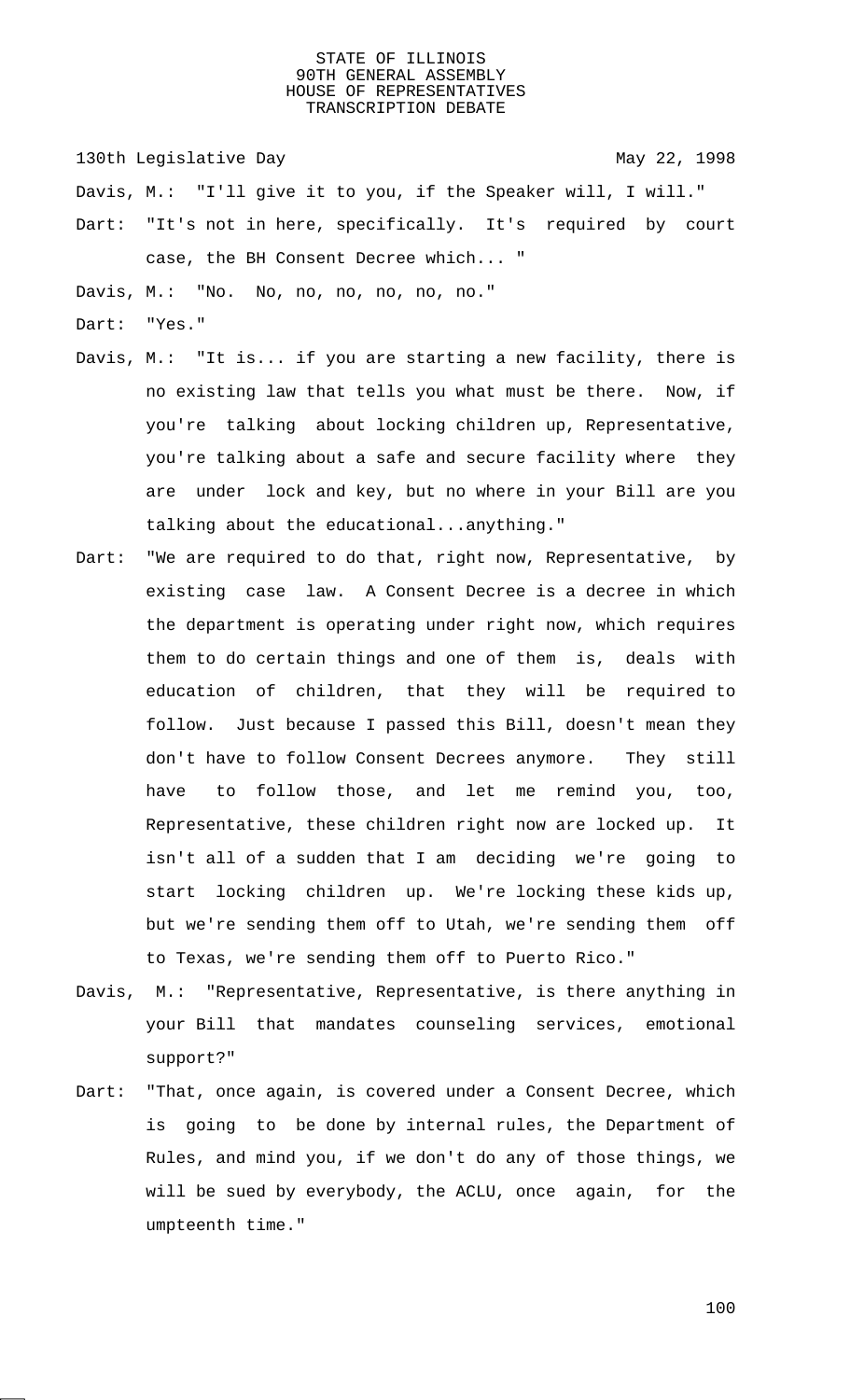130th Legislative Day 130th May 22, 1998

Davis, M.: "I'll give it to you, if the Speaker will, I will."

Dart: "It's not in here, specifically. It's required by court case, the BH Consent Decree which... "

Davis, M.: "No. No, no, no, no, no, no."

- Dart: "Yes."
- Davis, M.: "It is... if you are starting a new facility, there is no existing law that tells you what must be there. Now, if you're talking about locking children up, Representative, you're talking about a safe and secure facility where they are under lock and key, but no where in your Bill are you talking about the educational...anything."
- Dart: "We are required to do that, right now, Representative, by existing case law. A Consent Decree is a decree in which the department is operating under right now, which requires them to do certain things and one of them is, deals with education of children, that they will be required to follow. Just because I passed this Bill, doesn't mean they don't have to follow Consent Decrees anymore. They still have to follow those, and let me remind you, too, Representative, these children right now are locked up. It isn't all of a sudden that I am deciding we're going to start locking children up. We're locking these kids up, but we're sending them off to Utah, we're sending them off to Texas, we're sending them off to Puerto Rico."
- Davis, M.: "Representative, Representative, is there anything in your Bill that mandates counseling services, emotional support?"
- Dart: "That, once again, is covered under a Consent Decree, which is going to be done by internal rules, the Department of Rules, and mind you, if we don't do any of those things, we will be sued by everybody, the ACLU, once again, for the umpteenth time."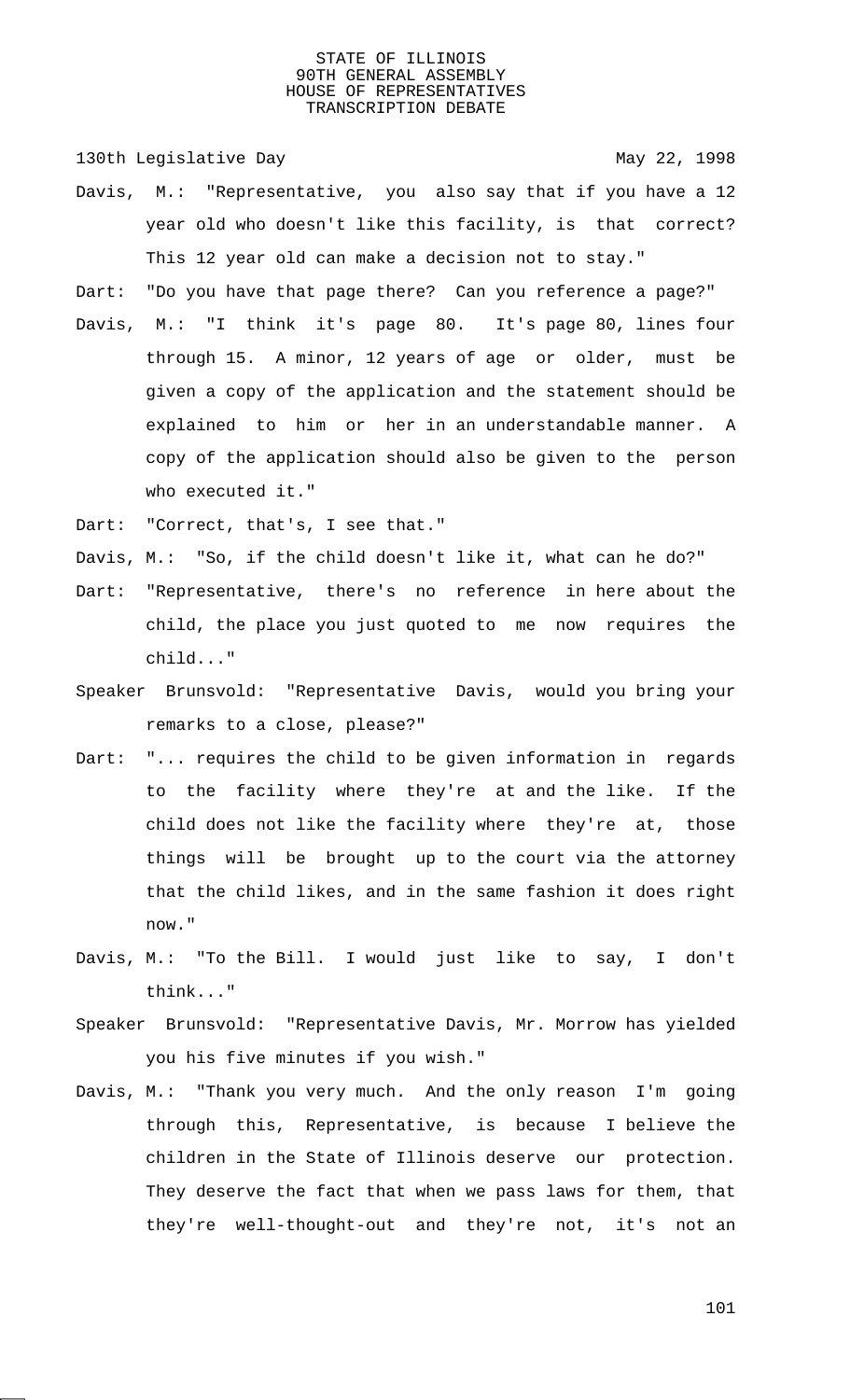130th Legislative Day 130th May 22, 1998

- Davis, M.: "Representative, you also say that if you have a 12 year old who doesn't like this facility, is that correct? This 12 year old can make a decision not to stay."
- Dart: "Do you have that page there? Can you reference a page?"
- Davis, M.: "I think it's page 80. It's page 80, lines four through 15. A minor, 12 years of age or older, must be given a copy of the application and the statement should be explained to him or her in an understandable manner. A copy of the application should also be given to the person who executed it."

Dart: "Correct, that's, I see that."

Davis, M.: "So, if the child doesn't like it, what can he do?"

- Dart: "Representative, there's no reference in here about the child, the place you just quoted to me now requires the child..."
- Speaker Brunsvold: "Representative Davis, would you bring your remarks to a close, please?"
- Dart: "... requires the child to be given information in regards to the facility where they're at and the like. If the child does not like the facility where they're at, those things will be brought up to the court via the attorney that the child likes, and in the same fashion it does right now."
- Davis, M.: "To the Bill. I would just like to say, I don't think..."
- Speaker Brunsvold: "Representative Davis, Mr. Morrow has yielded you his five minutes if you wish."
- Davis, M.: "Thank you very much. And the only reason I'm going through this, Representative, is because I believe the children in the State of Illinois deserve our protection. They deserve the fact that when we pass laws for them, that they're well-thought-out and they're not, it's not an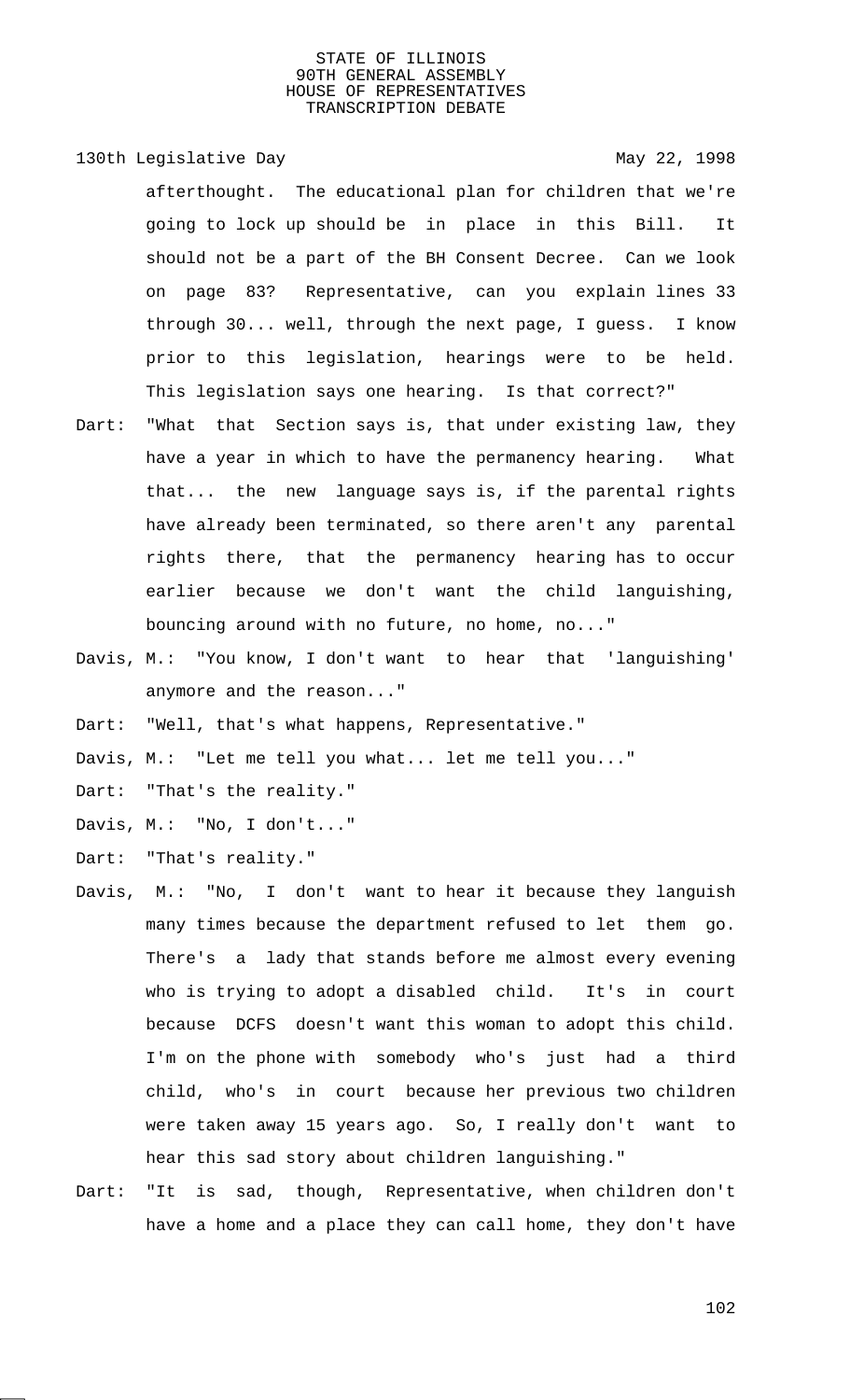130th Legislative Day 130th May 22, 1998

afterthought. The educational plan for children that we're going to lock up should be in place in this Bill. It should not be a part of the BH Consent Decree. Can we look on page 83? Representative, can you explain lines 33 through 30... well, through the next page, I guess. I know prior to this legislation, hearings were to be held. This legislation says one hearing. Is that correct?"

- Dart: "What that Section says is, that under existing law, they have a year in which to have the permanency hearing. What that... the new language says is, if the parental rights have already been terminated, so there aren't any parental rights there, that the permanency hearing has to occur earlier because we don't want the child languishing, bouncing around with no future, no home, no..."
- Davis, M.: "You know, I don't want to hear that 'languishing' anymore and the reason..."

Dart: "Well, that's what happens, Representative."

Davis, M.: "Let me tell you what... let me tell you..."

Dart: "That's the reality."

Davis, M.: "No, I don't..."

Dart: "That's reality."

- Davis, M.: "No, I don't want to hear it because they languish many times because the department refused to let them go. There's a lady that stands before me almost every evening who is trying to adopt a disabled child. It's in court because DCFS doesn't want this woman to adopt this child. I'm on the phone with somebody who's just had a third child, who's in court because her previous two children were taken away 15 years ago. So, I really don't want to hear this sad story about children languishing."
- Dart: "It is sad, though, Representative, when children don't have a home and a place they can call home, they don't have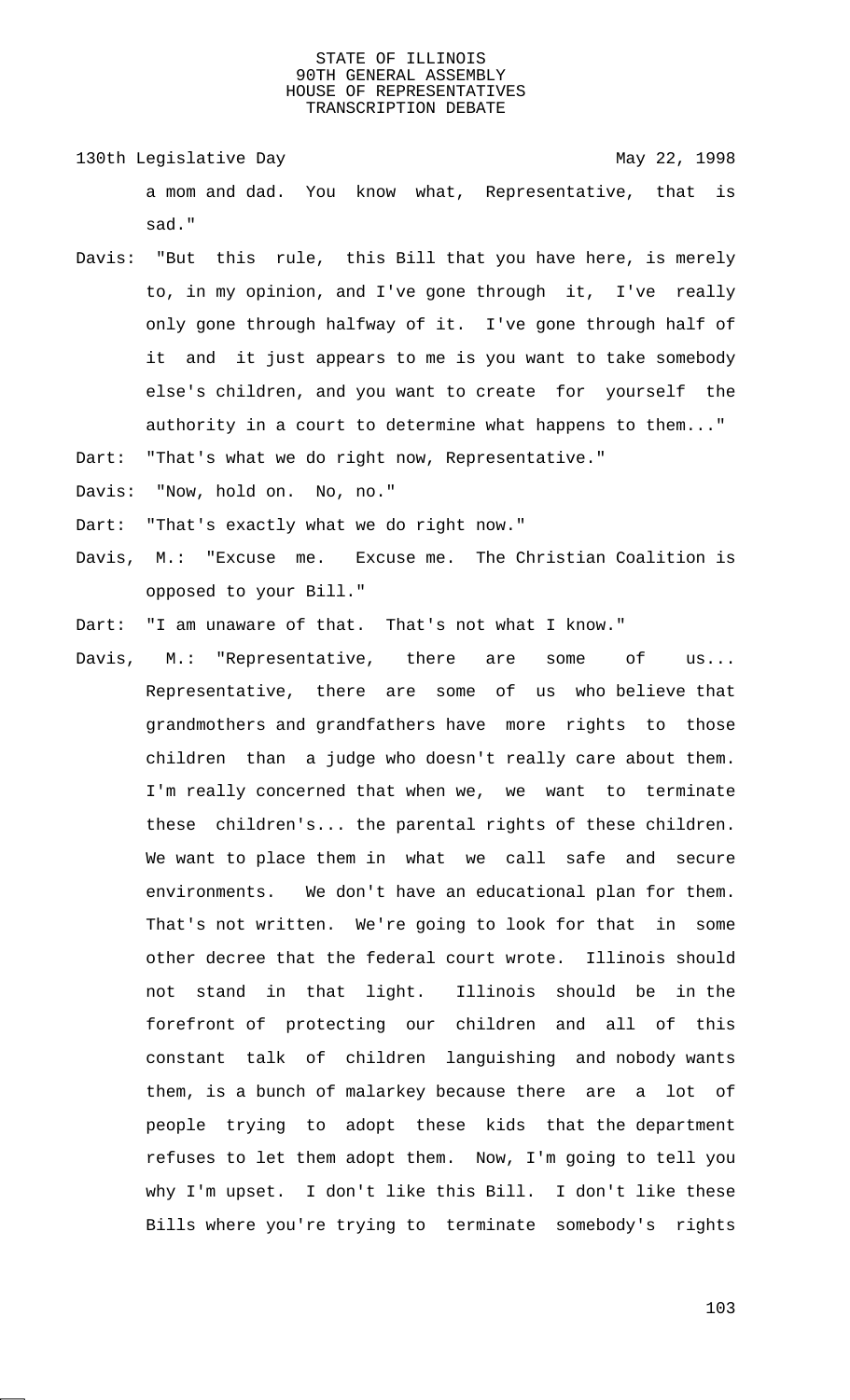130th Legislative Day 130th May 22, 1998 a mom and dad. You know what, Representative, that is sad."

Davis: "But this rule, this Bill that you have here, is merely to, in my opinion, and I've gone through it, I've really only gone through halfway of it. I've gone through half of it and it just appears to me is you want to take somebody else's children, and you want to create for yourself the authority in a court to determine what happens to them..."

Dart: "That's what we do right now, Representative."

Davis: "Now, hold on. No, no."

Dart: "That's exactly what we do right now."

Davis, M.: "Excuse me. Excuse me. The Christian Coalition is opposed to your Bill."

Dart: "I am unaware of that. That's not what I know."

Davis, M.: "Representative, there are some of us... Representative, there are some of us who believe that grandmothers and grandfathers have more rights to those children than a judge who doesn't really care about them. I'm really concerned that when we, we want to terminate these children's... the parental rights of these children. We want to place them in what we call safe and secure environments. We don't have an educational plan for them. That's not written. We're going to look for that in some other decree that the federal court wrote. Illinois should not stand in that light. Illinois should be in the forefront of protecting our children and all of this constant talk of children languishing and nobody wants them, is a bunch of malarkey because there are a lot of people trying to adopt these kids that the department refuses to let them adopt them. Now, I'm going to tell you why I'm upset. I don't like this Bill. I don't like these Bills where you're trying to terminate somebody's rights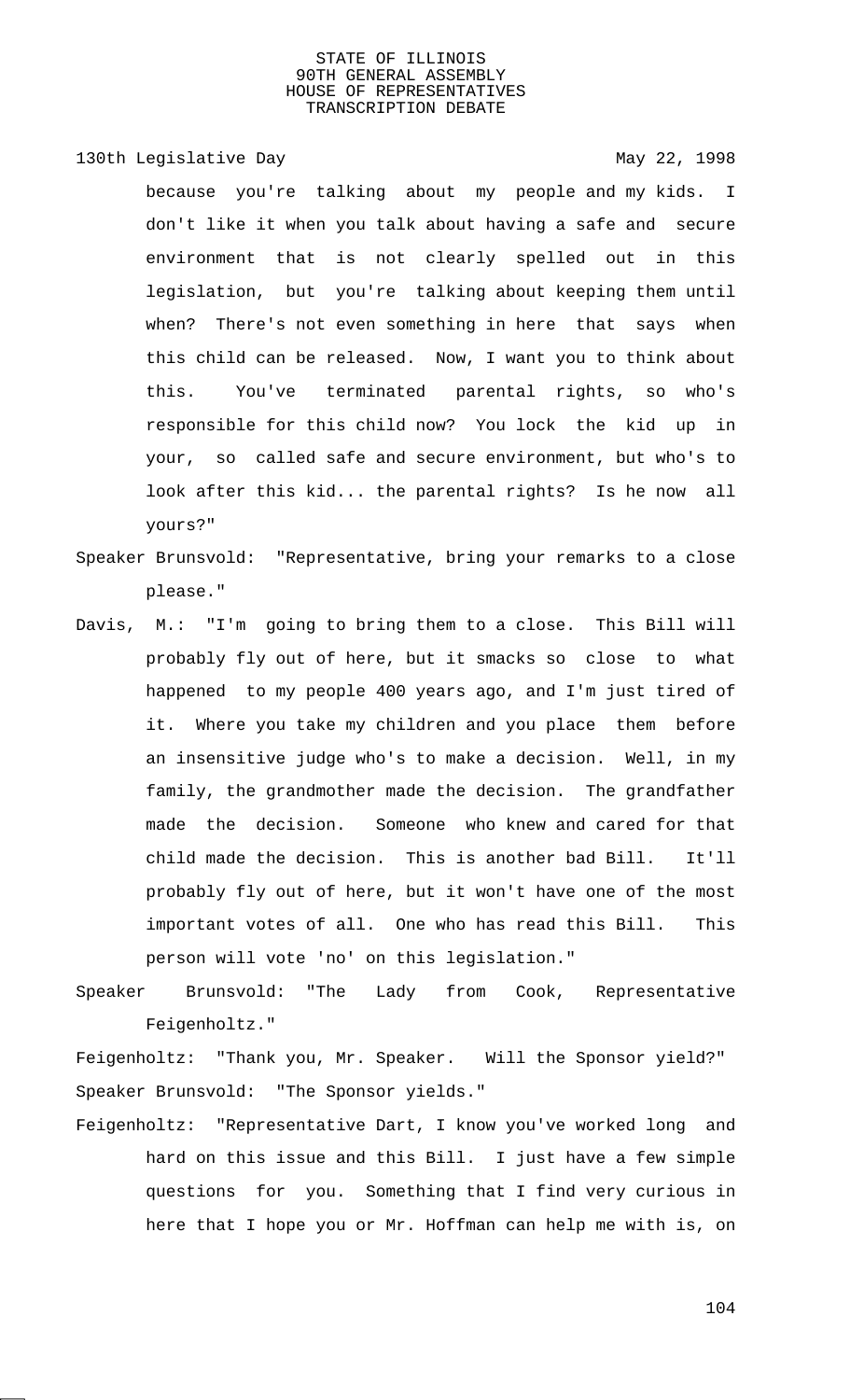130th Legislative Day 130th May 22, 1998

because you're talking about my people and my kids. I don't like it when you talk about having a safe and secure environment that is not clearly spelled out in this legislation, but you're talking about keeping them until when? There's not even something in here that says when this child can be released. Now, I want you to think about this. You've terminated parental rights, so who's responsible for this child now? You lock the kid up in your, so called safe and secure environment, but who's to look after this kid... the parental rights? Is he now all yours?"

- Speaker Brunsvold: "Representative, bring your remarks to a close please."
- Davis, M.: "I'm going to bring them to a close. This Bill will probably fly out of here, but it smacks so close to what happened to my people 400 years ago, and I'm just tired of it. Where you take my children and you place them before an insensitive judge who's to make a decision. Well, in my family, the grandmother made the decision. The grandfather made the decision. Someone who knew and cared for that child made the decision. This is another bad Bill. It'll probably fly out of here, but it won't have one of the most important votes of all. One who has read this Bill. This person will vote 'no' on this legislation."
- Speaker Brunsvold: "The Lady from Cook, Representative Feigenholtz."

Feigenholtz: "Thank you, Mr. Speaker. Will the Sponsor yield?" Speaker Brunsvold: "The Sponsor yields."

Feigenholtz: "Representative Dart, I know you've worked long and hard on this issue and this Bill. I just have a few simple questions for you. Something that I find very curious in here that I hope you or Mr. Hoffman can help me with is, on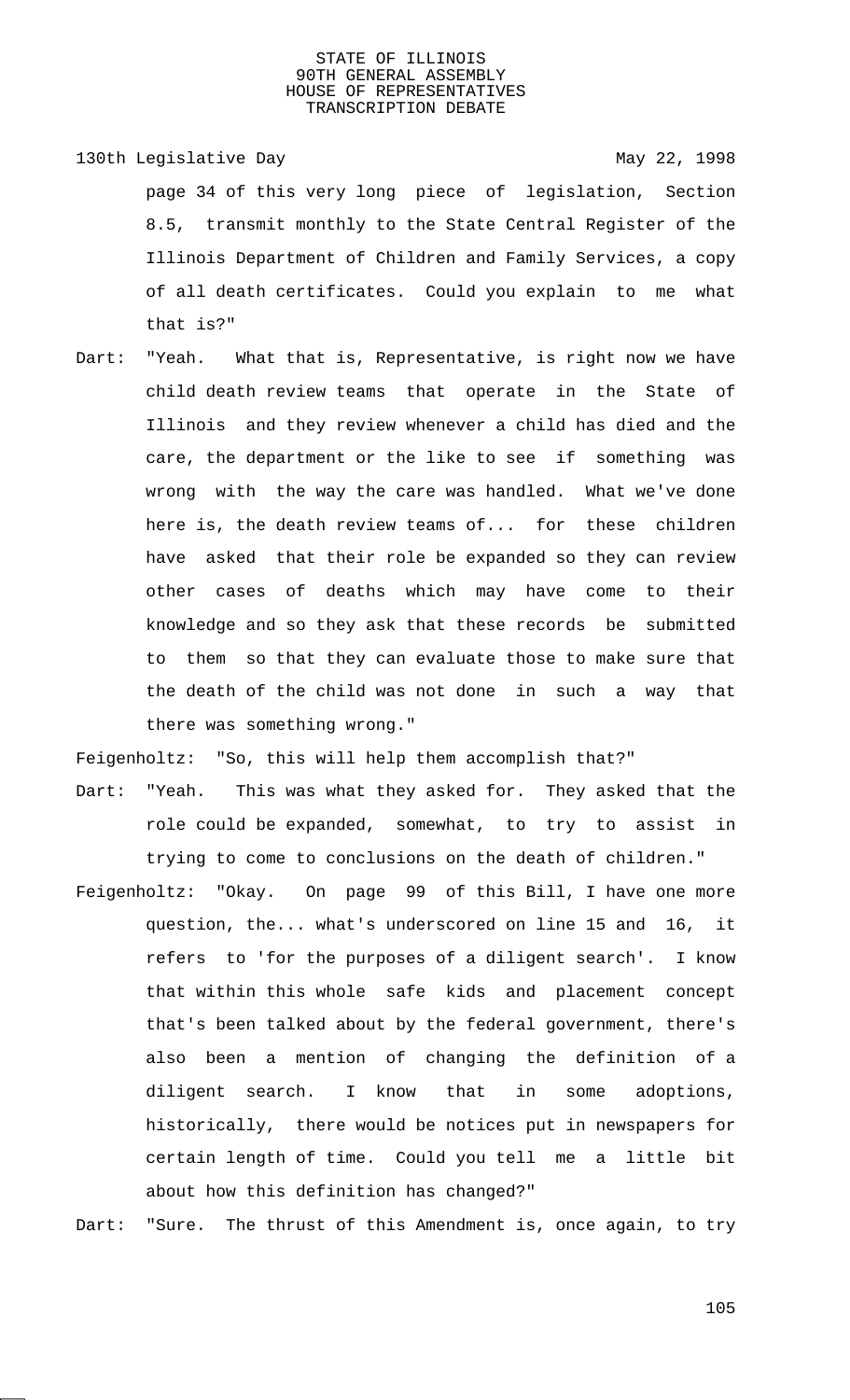- 130th Legislative Day 130th May 22, 1998 page 34 of this very long piece of legislation, Section 8.5, transmit monthly to the State Central Register of the Illinois Department of Children and Family Services, a copy of all death certificates. Could you explain to me what that is?"
- Dart: "Yeah. What that is, Representative, is right now we have child death review teams that operate in the State of Illinois and they review whenever a child has died and the care, the department or the like to see if something was wrong with the way the care was handled. What we've done here is, the death review teams of... for these children have asked that their role be expanded so they can review other cases of deaths which may have come to their knowledge and so they ask that these records be submitted to them so that they can evaluate those to make sure that the death of the child was not done in such a way that there was something wrong."

Feigenholtz: "So, this will help them accomplish that?"

- Dart: "Yeah. This was what they asked for. They asked that the role could be expanded, somewhat, to try to assist in trying to come to conclusions on the death of children."
- Feigenholtz: "Okay. On page 99 of this Bill, I have one more question, the... what's underscored on line 15 and 16, it refers to 'for the purposes of a diligent search'. I know that within this whole safe kids and placement concept that's been talked about by the federal government, there's also been a mention of changing the definition of a diligent search. I know that in some adoptions, historically, there would be notices put in newspapers for certain length of time. Could you tell me a little bit about how this definition has changed?"

Dart: "Sure. The thrust of this Amendment is, once again, to try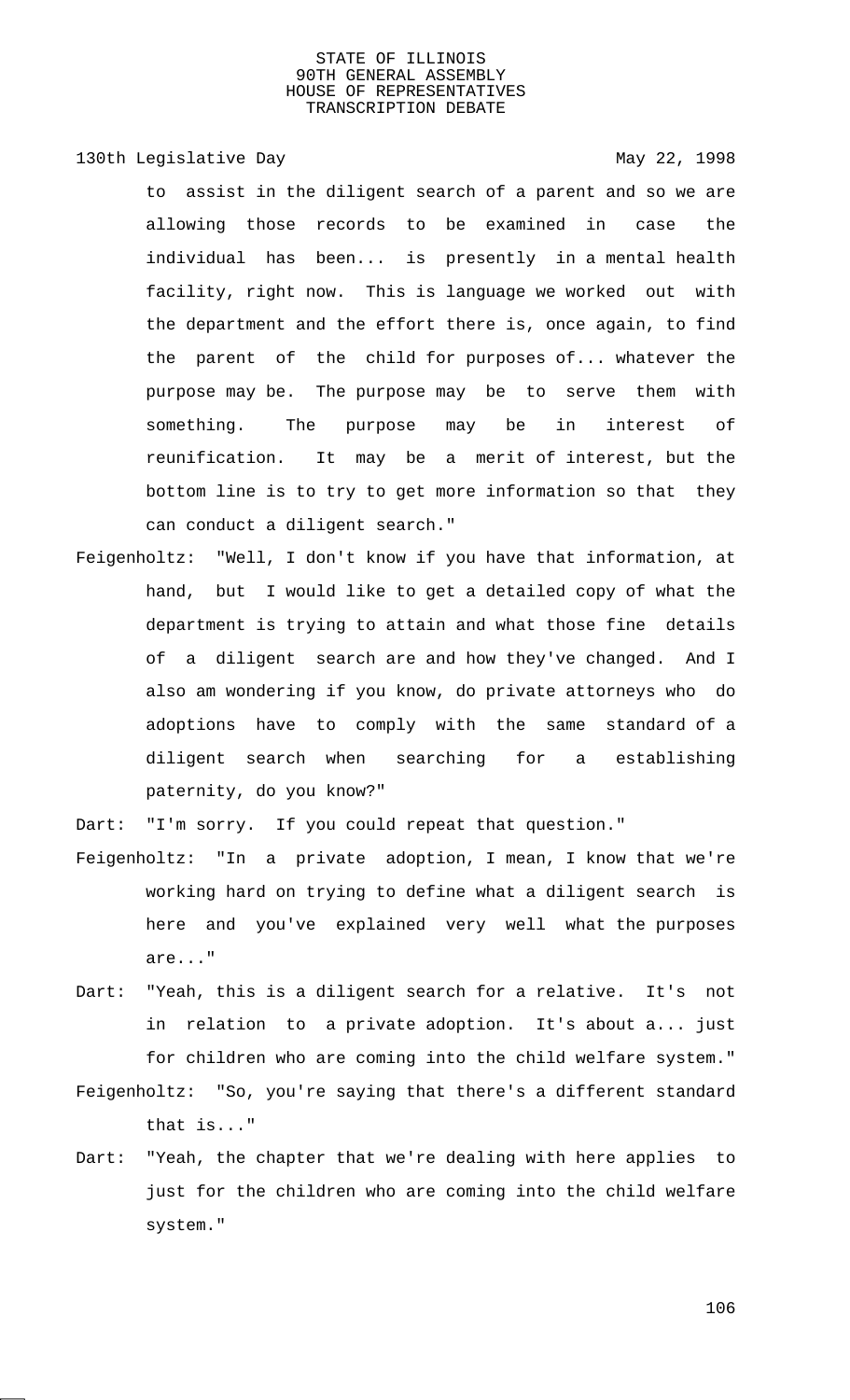130th Legislative Day 130th May 22, 1998

to assist in the diligent search of a parent and so we are allowing those records to be examined in case the individual has been... is presently in a mental health facility, right now. This is language we worked out with the department and the effort there is, once again, to find the parent of the child for purposes of... whatever the purpose may be. The purpose may be to serve them with something. The purpose may be in interest of reunification. It may be a merit of interest, but the bottom line is to try to get more information so that they can conduct a diligent search."

Feigenholtz: "Well, I don't know if you have that information, at hand, but I would like to get a detailed copy of what the department is trying to attain and what those fine details of a diligent search are and how they've changed. And I also am wondering if you know, do private attorneys who do adoptions have to comply with the same standard of a diligent search when searching for a establishing paternity, do you know?"

Dart: "I'm sorry. If you could repeat that question."

- Feigenholtz: "In a private adoption, I mean, I know that we're working hard on trying to define what a diligent search is here and you've explained very well what the purposes are..."
- Dart: "Yeah, this is a diligent search for a relative. It's not in relation to a private adoption. It's about a... just for children who are coming into the child welfare system."
- Feigenholtz: "So, you're saying that there's a different standard that is..."
- Dart: "Yeah, the chapter that we're dealing with here applies to just for the children who are coming into the child welfare system."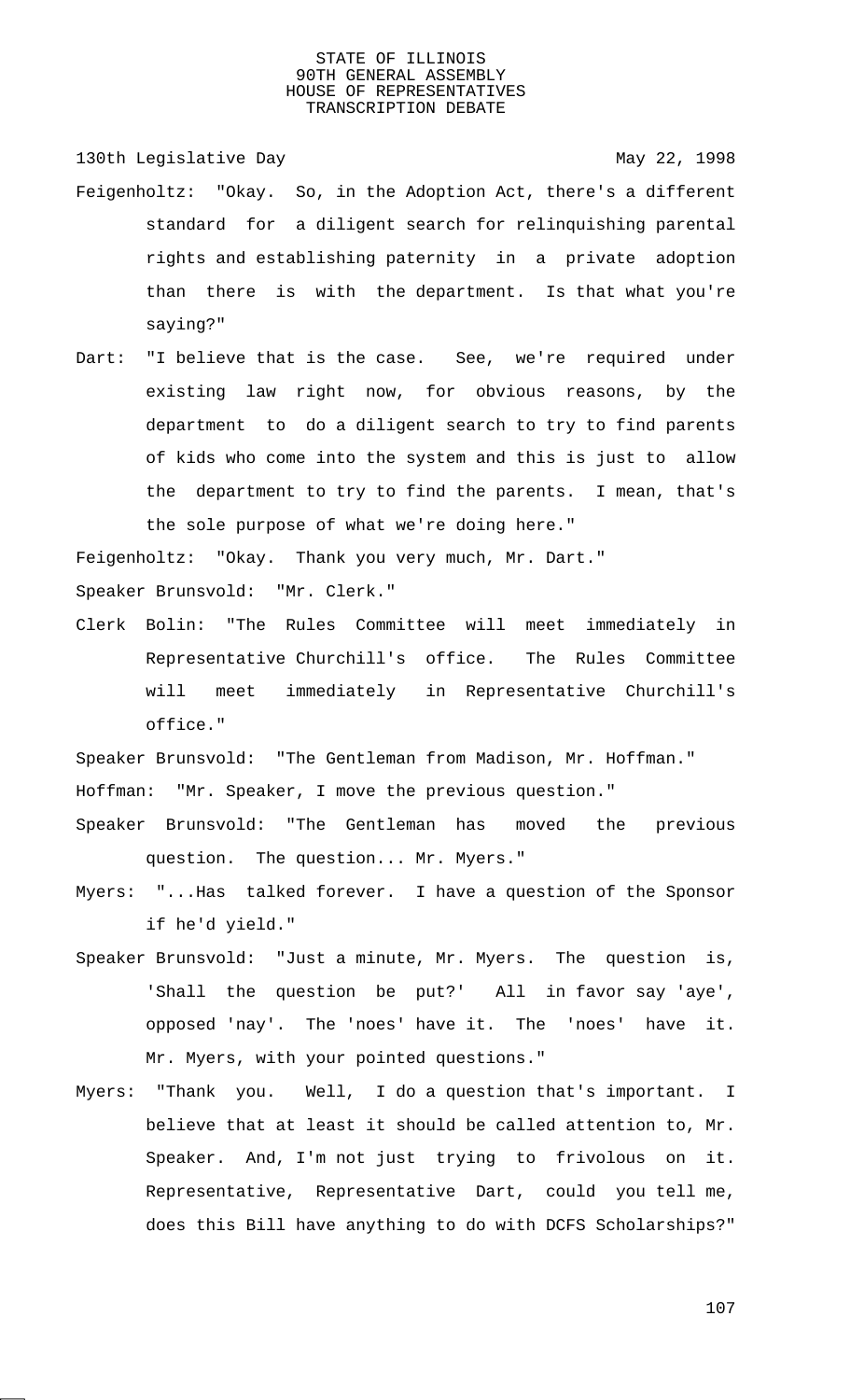130th Legislative Day 130th May 22, 1998 Feigenholtz: "Okay. So, in the Adoption Act, there's a different standard for a diligent search for relinquishing parental rights and establishing paternity in a private adoption than there is with the department. Is that what you're saying?"

Dart: "I believe that is the case. See, we're required under existing law right now, for obvious reasons, by the department to do a diligent search to try to find parents of kids who come into the system and this is just to allow the department to try to find the parents. I mean, that's the sole purpose of what we're doing here."

Feigenholtz: "Okay. Thank you very much, Mr. Dart."

Speaker Brunsvold: "Mr. Clerk."

Clerk Bolin: "The Rules Committee will meet immediately in Representative Churchill's office. The Rules Committee will meet immediately in Representative Churchill's office."

Speaker Brunsvold: "The Gentleman from Madison, Mr. Hoffman." Hoffman: "Mr. Speaker, I move the previous question."

- Speaker Brunsvold: "The Gentleman has moved the previous question. The question... Mr. Myers."
- Myers: "...Has talked forever. I have a question of the Sponsor if he'd yield."
- Speaker Brunsvold: "Just a minute, Mr. Myers. The question is, 'Shall the question be put?' All in favor say 'aye', opposed 'nay'. The 'noes' have it. The 'noes' have it. Mr. Myers, with your pointed questions."
- Myers: "Thank you. Well, I do a question that's important. I believe that at least it should be called attention to, Mr. Speaker. And, I'm not just trying to frivolous on it. Representative, Representative Dart, could you tell me, does this Bill have anything to do with DCFS Scholarships?"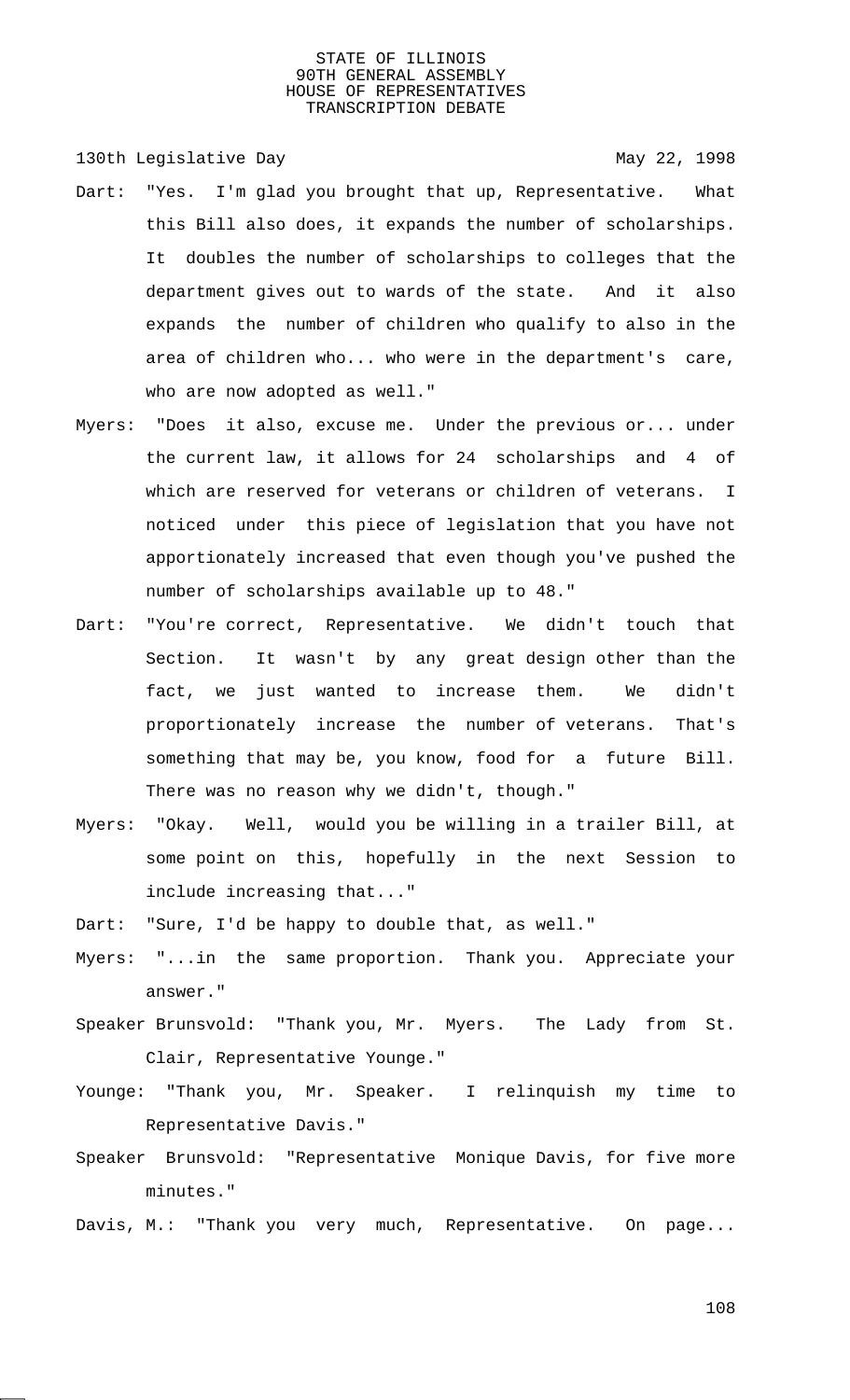130th Legislative Day 130th May 22, 1998

- Dart: "Yes. I'm glad you brought that up, Representative. What this Bill also does, it expands the number of scholarships. It doubles the number of scholarships to colleges that the department gives out to wards of the state. And it also expands the number of children who qualify to also in the area of children who... who were in the department's care, who are now adopted as well."
- Myers: "Does it also, excuse me. Under the previous or... under the current law, it allows for 24 scholarships and 4 of which are reserved for veterans or children of veterans. I noticed under this piece of legislation that you have not apportionately increased that even though you've pushed the number of scholarships available up to 48."
- Dart: "You're correct, Representative. We didn't touch that Section. It wasn't by any great design other than the fact, we just wanted to increase them. We didn't proportionately increase the number of veterans. That's something that may be, you know, food for a future Bill. There was no reason why we didn't, though."
- Myers: "Okay. Well, would you be willing in a trailer Bill, at some point on this, hopefully in the next Session to include increasing that..."

Dart: "Sure, I'd be happy to double that, as well."

- Myers: "...in the same proportion. Thank you. Appreciate your answer."
- Speaker Brunsvold: "Thank you, Mr. Myers. The Lady from St. Clair, Representative Younge."
- Younge: "Thank you, Mr. Speaker. I relinquish my time to Representative Davis."
- Speaker Brunsvold: "Representative Monique Davis, for five more minutes."
- Davis, M.: "Thank you very much, Representative. On page...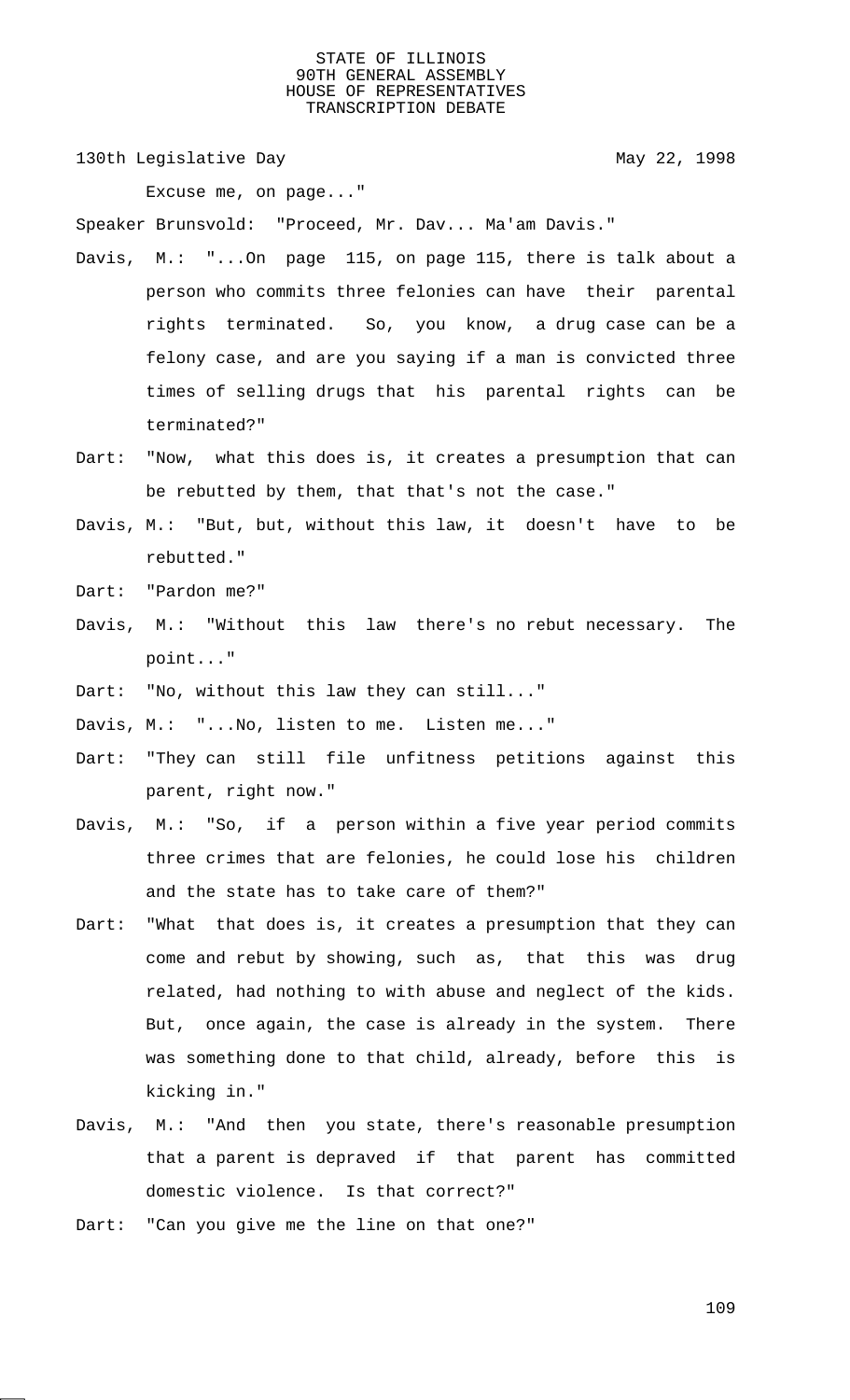130th Legislative Day 130th May 22, 1998

Excuse me, on page..."

Speaker Brunsvold: "Proceed, Mr. Dav... Ma'am Davis."

- Davis, M.: "...On page 115, on page 115, there is talk about a person who commits three felonies can have their parental rights terminated. So, you know, a drug case can be a felony case, and are you saying if a man is convicted three times of selling drugs that his parental rights can be terminated?"
- Dart: "Now, what this does is, it creates a presumption that can be rebutted by them, that that's not the case."
- Davis, M.: "But, but, without this law, it doesn't have to be rebutted."
- Dart: "Pardon me?"
- Davis, M.: "Without this law there's no rebut necessary. The point..."
- Dart: "No, without this law they can still..."
- Davis, M.: "...No, listen to me. Listen me..."
- Dart: "They can still file unfitness petitions against this parent, right now."
- Davis, M.: "So, if a person within a five year period commits three crimes that are felonies, he could lose his children and the state has to take care of them?"
- Dart: "What that does is, it creates a presumption that they can come and rebut by showing, such as, that this was drug related, had nothing to with abuse and neglect of the kids. But, once again, the case is already in the system. There was something done to that child, already, before this is kicking in."
- Davis, M.: "And then you state, there's reasonable presumption that a parent is depraved if that parent has committed domestic violence. Is that correct?"
- Dart: "Can you give me the line on that one?"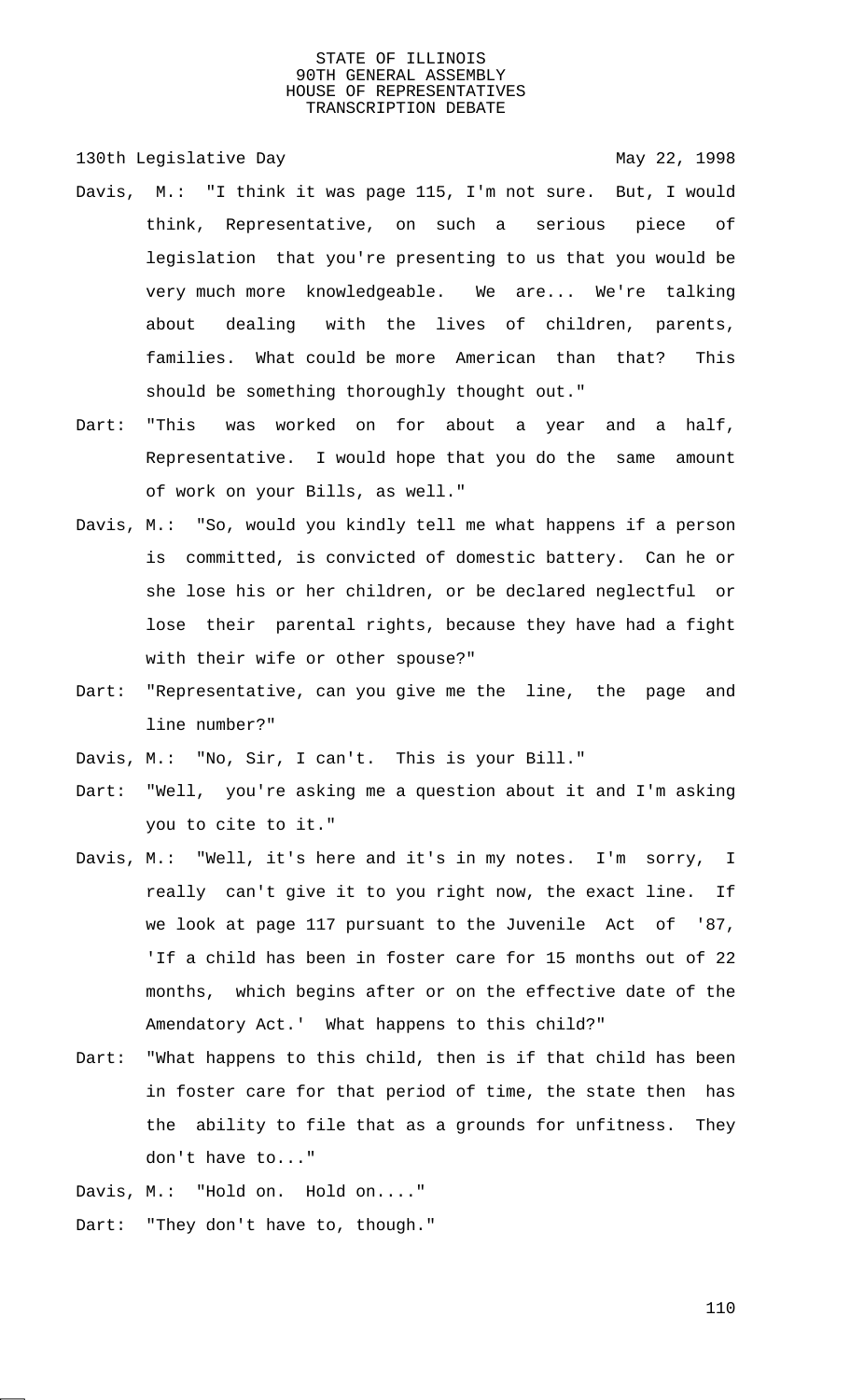130th Legislative Day 130th May 22, 1998

- Davis, M.: "I think it was page 115, I'm not sure. But, I would think, Representative, on such a serious piece of legislation that you're presenting to us that you would be very much more knowledgeable. We are... We're talking about dealing with the lives of children, parents, families. What could be more American than that? This should be something thoroughly thought out."
- Dart: "This was worked on for about a year and a half, Representative. I would hope that you do the same amount of work on your Bills, as well."
- Davis, M.: "So, would you kindly tell me what happens if a person is committed, is convicted of domestic battery. Can he or she lose his or her children, or be declared neglectful or lose their parental rights, because they have had a fight with their wife or other spouse?"
- Dart: "Representative, can you give me the line, the page and line number?"
- Davis, M.: "No, Sir, I can't. This is your Bill."
- Dart: "Well, you're asking me a question about it and I'm asking you to cite to it."
- Davis, M.: "Well, it's here and it's in my notes. I'm sorry, I really can't give it to you right now, the exact line. If we look at page 117 pursuant to the Juvenile Act of '87, 'If a child has been in foster care for 15 months out of 22 months, which begins after or on the effective date of the Amendatory Act.' What happens to this child?"
- Dart: "What happens to this child, then is if that child has been in foster care for that period of time, the state then has the ability to file that as a grounds for unfitness. They don't have to..."
- Davis, M.: "Hold on. Hold on...."
- Dart: "They don't have to, though."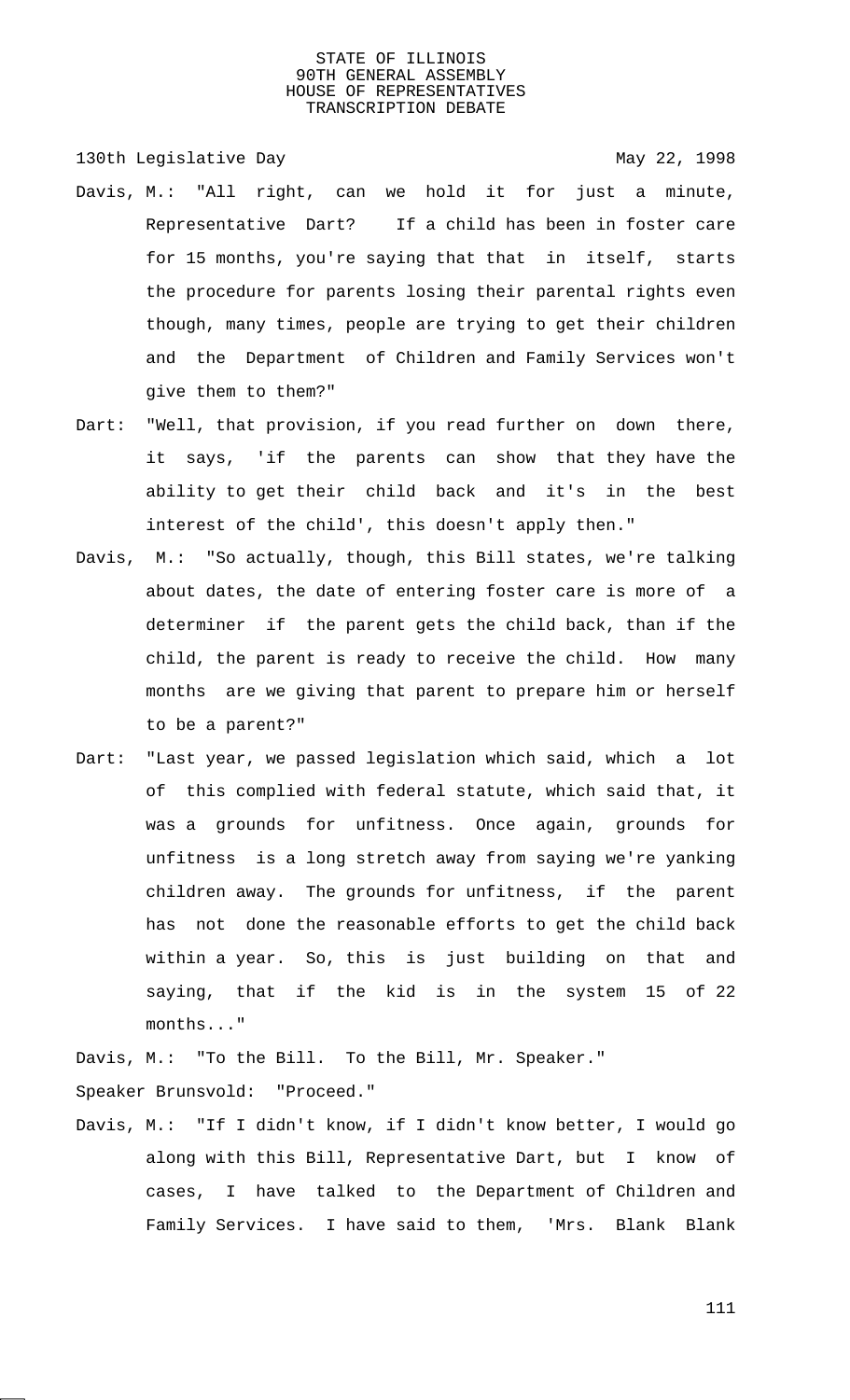130th Legislative Day 130th May 22, 1998

- Davis, M.: "All right, can we hold it for just a minute, Representative Dart? If a child has been in foster care for 15 months, you're saying that that in itself, starts the procedure for parents losing their parental rights even though, many times, people are trying to get their children and the Department of Children and Family Services won't give them to them?"
- Dart: "Well, that provision, if you read further on down there, it says, 'if the parents can show that they have the ability to get their child back and it's in the best interest of the child', this doesn't apply then."
- Davis, M.: "So actually, though, this Bill states, we're talking about dates, the date of entering foster care is more of a determiner if the parent gets the child back, than if the child, the parent is ready to receive the child. How many months are we giving that parent to prepare him or herself to be a parent?"
- Dart: "Last year, we passed legislation which said, which a lot of this complied with federal statute, which said that, it was a grounds for unfitness. Once again, grounds for unfitness is a long stretch away from saying we're yanking children away. The grounds for unfitness, if the parent has not done the reasonable efforts to get the child back within a year. So, this is just building on that and saying, that if the kid is in the system 15 of 22 months..."

Davis, M.: "To the Bill. To the Bill, Mr. Speaker." Speaker Brunsvold: "Proceed."

Davis, M.: "If I didn't know, if I didn't know better, I would go along with this Bill, Representative Dart, but I know of cases, I have talked to the Department of Children and Family Services. I have said to them, 'Mrs. Blank Blank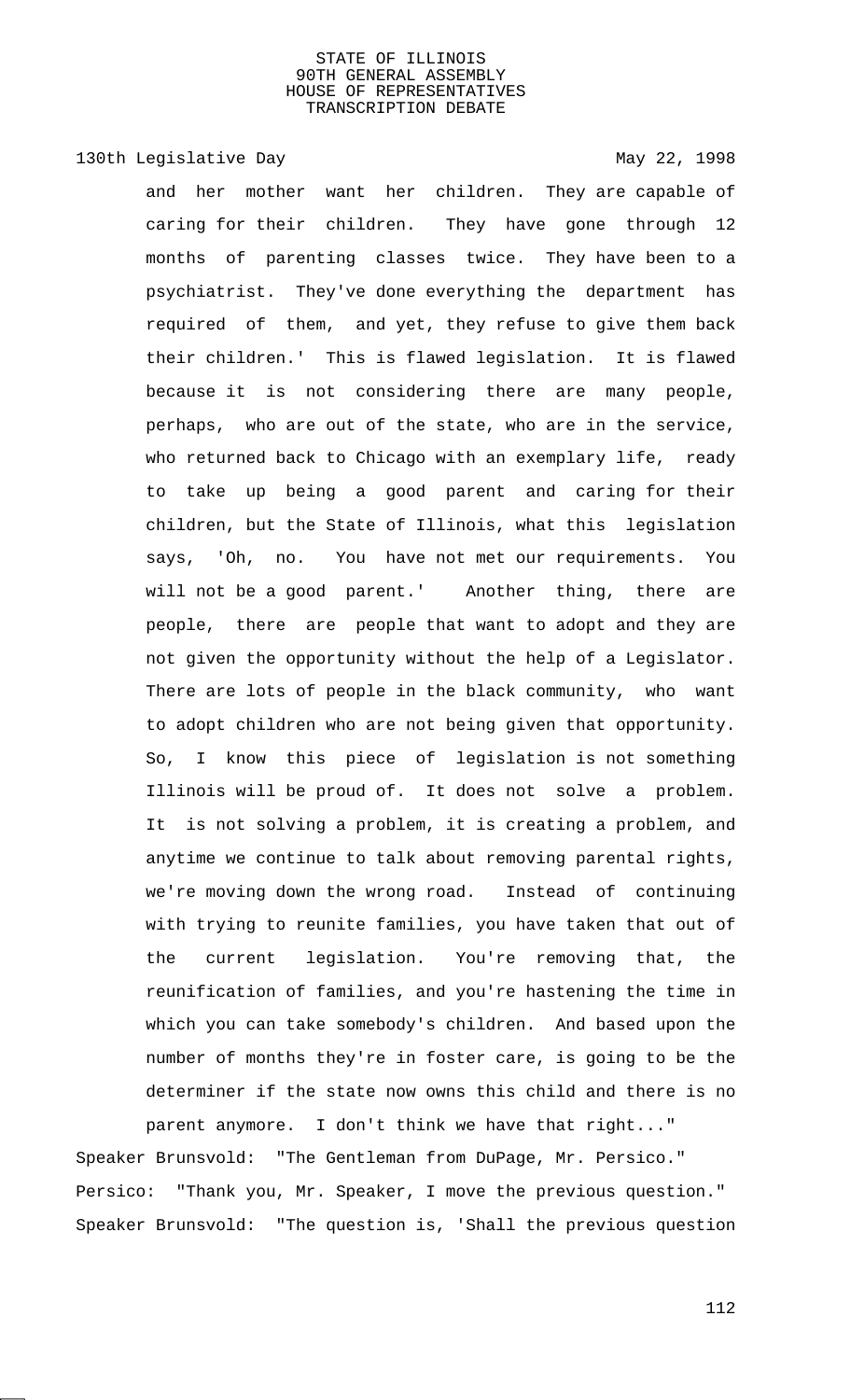130th Legislative Day 130th May 22, 1998

and her mother want her children. They are capable of caring for their children. They have gone through 12 months of parenting classes twice. They have been to a psychiatrist. They've done everything the department has required of them, and yet, they refuse to give them back their children.' This is flawed legislation. It is flawed because it is not considering there are many people, perhaps, who are out of the state, who are in the service, who returned back to Chicago with an exemplary life, ready to take up being a good parent and caring for their children, but the State of Illinois, what this legislation says, 'Oh, no. You have not met our requirements. You will not be a good parent.' Another thing, there are people, there are people that want to adopt and they are not given the opportunity without the help of a Legislator. There are lots of people in the black community, who want to adopt children who are not being given that opportunity. So, I know this piece of legislation is not something Illinois will be proud of. It does not solve a problem. It is not solving a problem, it is creating a problem, and anytime we continue to talk about removing parental rights, we're moving down the wrong road. Instead of continuing with trying to reunite families, you have taken that out of the current legislation. You're removing that, the reunification of families, and you're hastening the time in which you can take somebody's children. And based upon the number of months they're in foster care, is going to be the determiner if the state now owns this child and there is no parent anymore. I don't think we have that right..."

Speaker Brunsvold: "The Gentleman from DuPage, Mr. Persico." Persico: "Thank you, Mr. Speaker, I move the previous question." Speaker Brunsvold: "The question is, 'Shall the previous question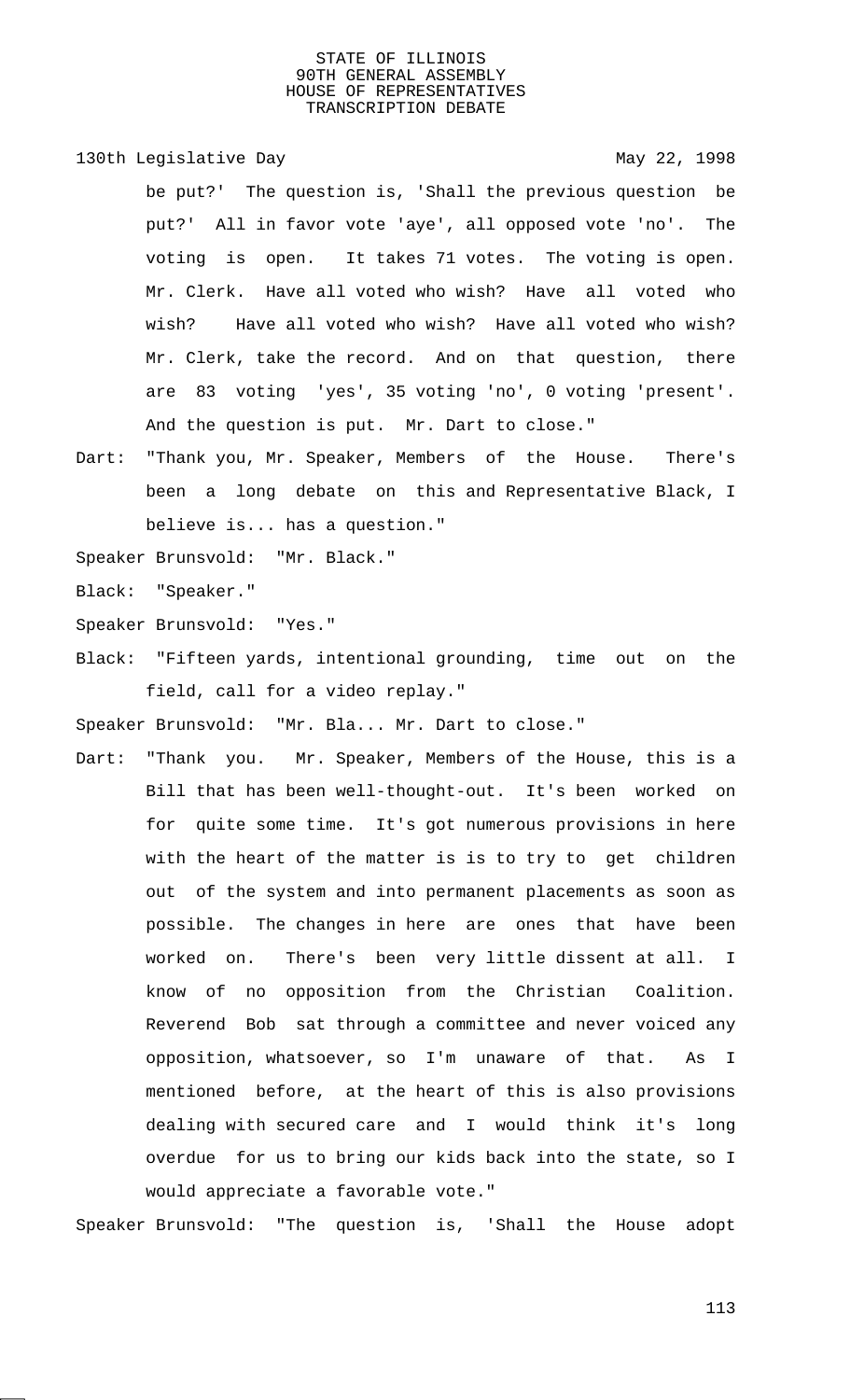# 130th Legislative Day 130th May 22, 1998

be put?' The question is, 'Shall the previous question be put?' All in favor vote 'aye', all opposed vote 'no'. The voting is open. It takes 71 votes. The voting is open. Mr. Clerk. Have all voted who wish? Have all voted who wish? Have all voted who wish? Have all voted who wish? Mr. Clerk, take the record. And on that question, there are 83 voting 'yes', 35 voting 'no', 0 voting 'present'. And the question is put. Mr. Dart to close."

Dart: "Thank you, Mr. Speaker, Members of the House. There's been a long debate on this and Representative Black, I believe is... has a question."

Speaker Brunsvold: "Mr. Black."

Black: "Speaker."

- Speaker Brunsvold: "Yes."
- Black: "Fifteen yards, intentional grounding, time out on the field, call for a video replay."

Speaker Brunsvold: "Mr. Bla... Mr. Dart to close."

Dart: "Thank you. Mr. Speaker, Members of the House, this is a Bill that has been well-thought-out. It's been worked on for quite some time. It's got numerous provisions in here with the heart of the matter is is to try to get children out of the system and into permanent placements as soon as possible. The changes in here are ones that have been worked on. There's been very little dissent at all. I know of no opposition from the Christian Coalition. Reverend Bob sat through a committee and never voiced any opposition, whatsoever, so I'm unaware of that. As I mentioned before, at the heart of this is also provisions dealing with secured care and I would think it's long overdue for us to bring our kids back into the state, so I would appreciate a favorable vote."

Speaker Brunsvold: "The question is, 'Shall the House adopt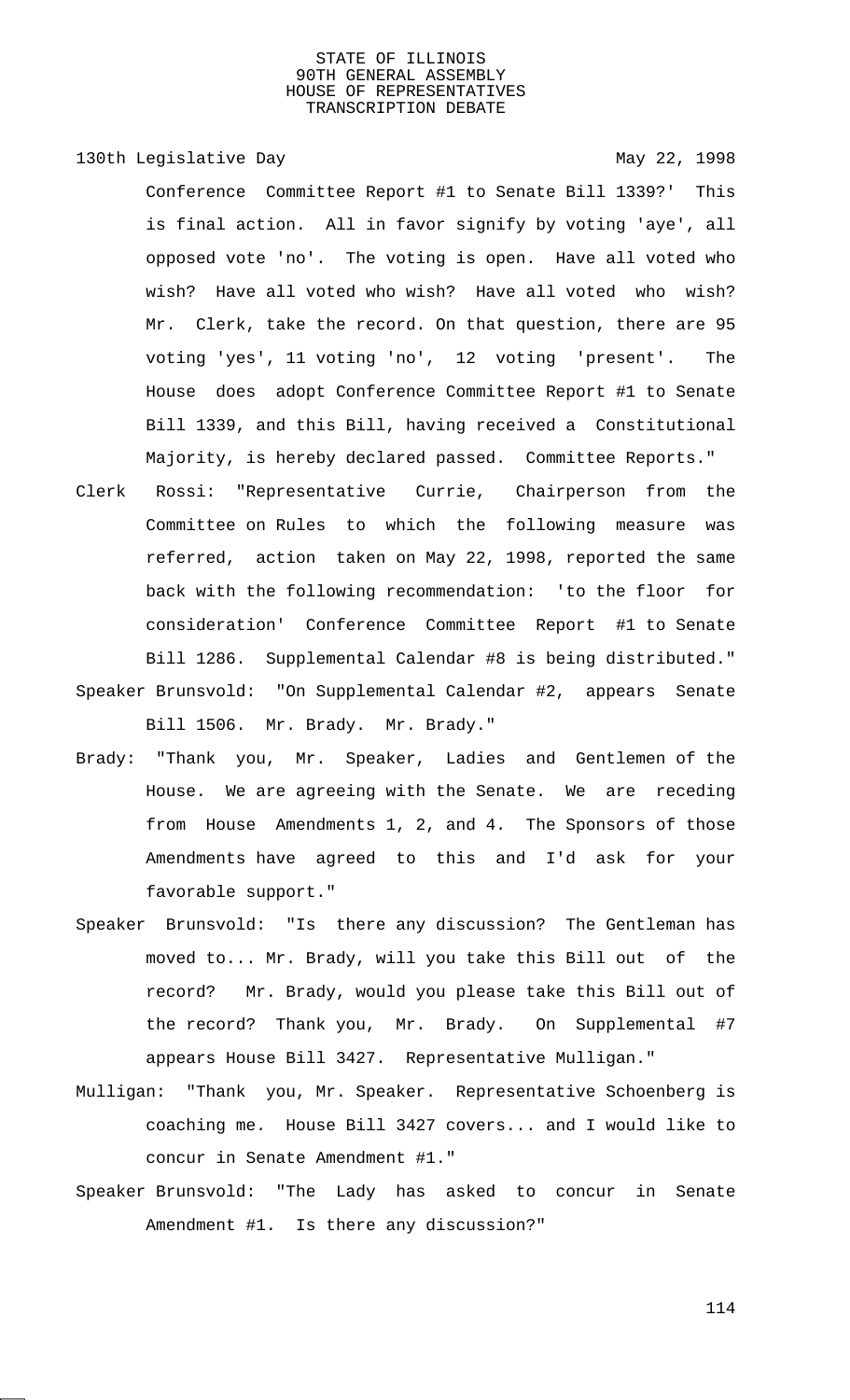130th Legislative Day 130th May 22, 1998 Conference Committee Report #1 to Senate Bill 1339?' This is final action. All in favor signify by voting 'aye', all opposed vote 'no'. The voting is open. Have all voted who wish? Have all voted who wish? Have all voted who wish? Mr. Clerk, take the record. On that question, there are 95 voting 'yes', 11 voting 'no', 12 voting 'present'. The House does adopt Conference Committee Report #1 to Senate Bill 1339, and this Bill, having received a Constitutional Majority, is hereby declared passed. Committee Reports."

- Clerk Rossi: "Representative Currie, Chairperson from the Committee on Rules to which the following measure was referred, action taken on May 22, 1998, reported the same back with the following recommendation: 'to the floor for consideration' Conference Committee Report #1 to Senate Bill 1286. Supplemental Calendar #8 is being distributed." Speaker Brunsvold: "On Supplemental Calendar #2, appears Senate
- Bill 1506. Mr. Brady. Mr. Brady."
- Brady: "Thank you, Mr. Speaker, Ladies and Gentlemen of the House. We are agreeing with the Senate. We are receding from House Amendments 1, 2, and 4. The Sponsors of those Amendments have agreed to this and I'd ask for your favorable support."
- Speaker Brunsvold: "Is there any discussion? The Gentleman has moved to... Mr. Brady, will you take this Bill out of the record? Mr. Brady, would you please take this Bill out of the record? Thank you, Mr. Brady. On Supplemental #7 appears House Bill 3427. Representative Mulligan."
- Mulligan: "Thank you, Mr. Speaker. Representative Schoenberg is coaching me. House Bill 3427 covers... and I would like to concur in Senate Amendment #1."
- Speaker Brunsvold: "The Lady has asked to concur in Senate Amendment #1. Is there any discussion?"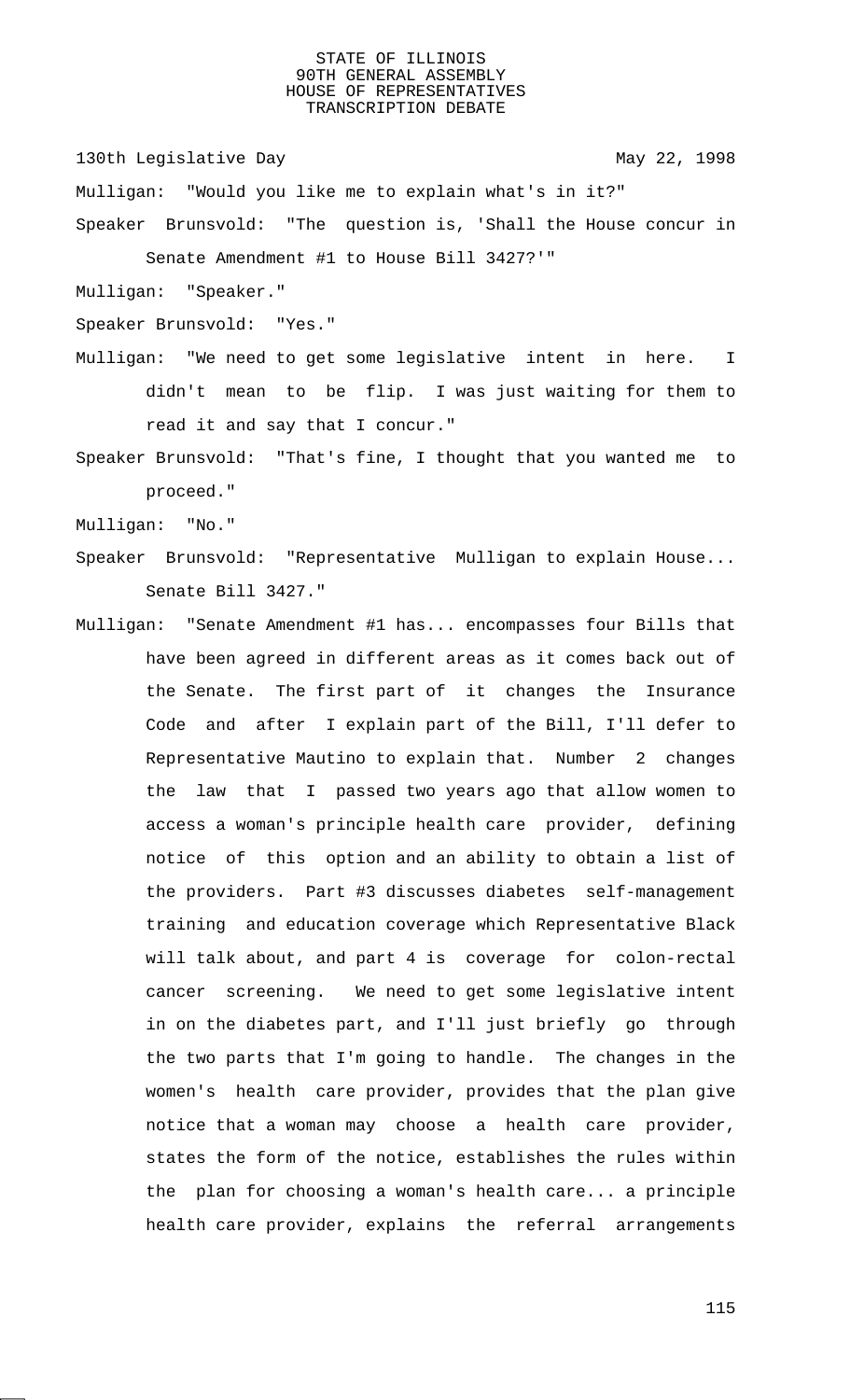130th Legislative Day 130th May 22, 1998

Mulligan: "Would you like me to explain what's in it?"

Speaker Brunsvold: "The question is, 'Shall the House concur in Senate Amendment #1 to House Bill 3427?'"

Mulligan: "Speaker."

Speaker Brunsvold: "Yes."

Mulligan: "We need to get some legislative intent in here. I didn't mean to be flip. I was just waiting for them to read it and say that I concur."

Speaker Brunsvold: "That's fine, I thought that you wanted me to proceed."

Mulligan: "No."

- Speaker Brunsvold: "Representative Mulligan to explain House... Senate Bill 3427."
- Mulligan: "Senate Amendment #1 has... encompasses four Bills that have been agreed in different areas as it comes back out of the Senate. The first part of it changes the Insurance Code and after I explain part of the Bill, I'll defer to Representative Mautino to explain that. Number 2 changes the law that I passed two years ago that allow women to access a woman's principle health care provider, defining notice of this option and an ability to obtain a list of the providers. Part #3 discusses diabetes self-management training and education coverage which Representative Black will talk about, and part 4 is coverage for colon-rectal cancer screening. We need to get some legislative intent in on the diabetes part, and I'll just briefly go through the two parts that I'm going to handle. The changes in the women's health care provider, provides that the plan give notice that a woman may choose a health care provider, states the form of the notice, establishes the rules within the plan for choosing a woman's health care... a principle health care provider, explains the referral arrangements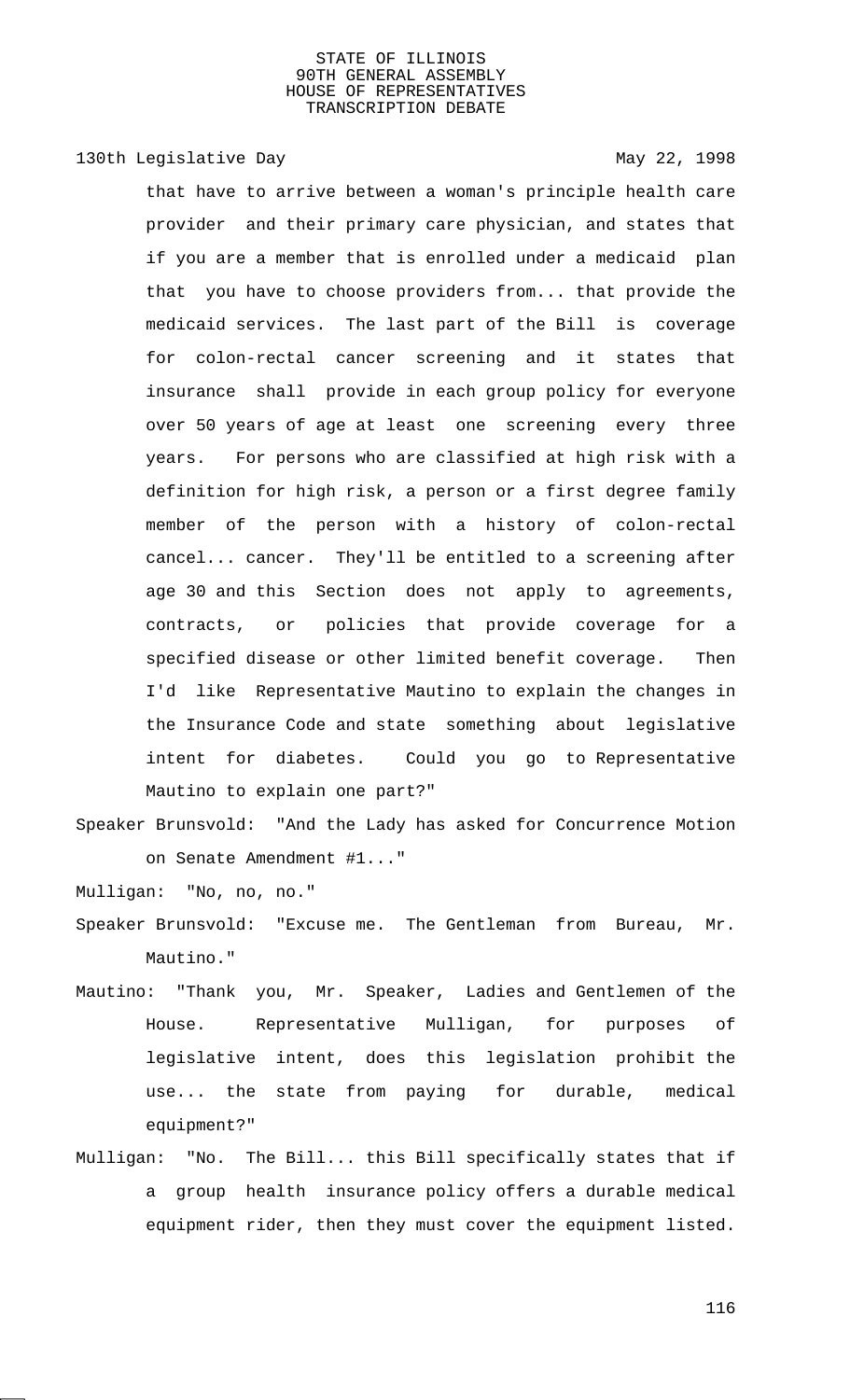# 130th Legislative Day 130th May 22, 1998

that have to arrive between a woman's principle health care provider and their primary care physician, and states that if you are a member that is enrolled under a medicaid plan that you have to choose providers from... that provide the medicaid services. The last part of the Bill is coverage for colon-rectal cancer screening and it states that insurance shall provide in each group policy for everyone over 50 years of age at least one screening every three years. For persons who are classified at high risk with a definition for high risk, a person or a first degree family member of the person with a history of colon-rectal cancel... cancer. They'll be entitled to a screening after age 30 and this Section does not apply to agreements, contracts, or policies that provide coverage for a specified disease or other limited benefit coverage. Then I'd like Representative Mautino to explain the changes in the Insurance Code and state something about legislative intent for diabetes. Could you go to Representative Mautino to explain one part?"

Speaker Brunsvold: "And the Lady has asked for Concurrence Motion on Senate Amendment #1..."

Mulligan: "No, no, no."

- Speaker Brunsvold: "Excuse me. The Gentleman from Bureau, Mr. Mautino."
- Mautino: "Thank you, Mr. Speaker, Ladies and Gentlemen of the House. Representative Mulligan, for purposes of legislative intent, does this legislation prohibit the use... the state from paying for durable, medical equipment?"
- Mulligan: "No. The Bill... this Bill specifically states that if a group health insurance policy offers a durable medical equipment rider, then they must cover the equipment listed.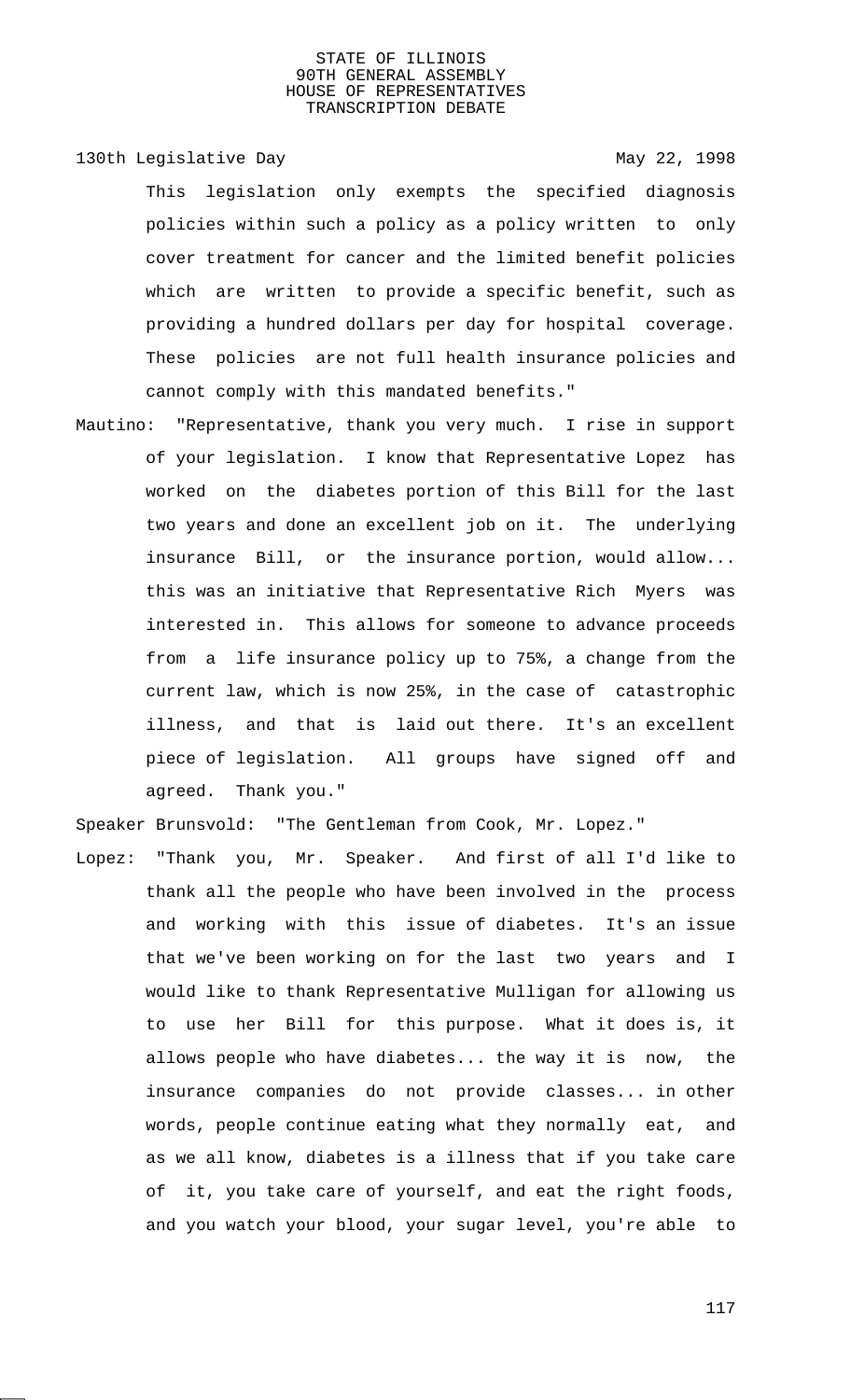130th Legislative Day 130th May 22, 1998

This legislation only exempts the specified diagnosis policies within such a policy as a policy written to only cover treatment for cancer and the limited benefit policies which are written to provide a specific benefit, such as providing a hundred dollars per day for hospital coverage. These policies are not full health insurance policies and cannot comply with this mandated benefits."

Mautino: "Representative, thank you very much. I rise in support of your legislation. I know that Representative Lopez has worked on the diabetes portion of this Bill for the last two years and done an excellent job on it. The underlying insurance Bill, or the insurance portion, would allow... this was an initiative that Representative Rich Myers was interested in. This allows for someone to advance proceeds from a life insurance policy up to 75%, a change from the current law, which is now 25%, in the case of catastrophic illness, and that is laid out there. It's an excellent piece of legislation. All groups have signed off and agreed. Thank you."

Speaker Brunsvold: "The Gentleman from Cook, Mr. Lopez."

Lopez: "Thank you, Mr. Speaker. And first of all I'd like to thank all the people who have been involved in the process and working with this issue of diabetes. It's an issue that we've been working on for the last two years and I would like to thank Representative Mulligan for allowing us to use her Bill for this purpose. What it does is, it allows people who have diabetes... the way it is now, the insurance companies do not provide classes... in other words, people continue eating what they normally eat, and as we all know, diabetes is a illness that if you take care of it, you take care of yourself, and eat the right foods, and you watch your blood, your sugar level, you're able to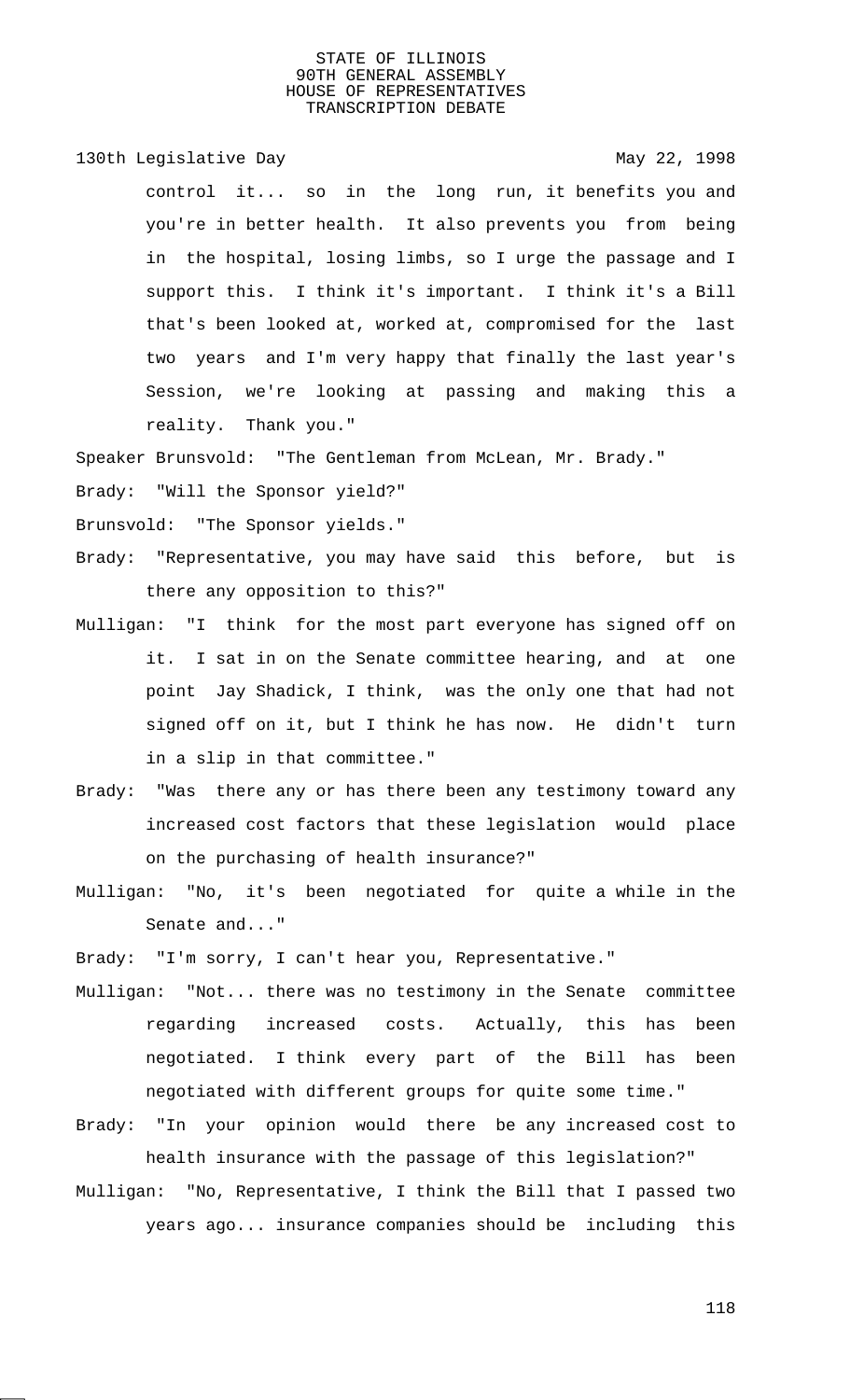130th Legislative Day 130th May 22, 1998

control it... so in the long run, it benefits you and you're in better health. It also prevents you from being in the hospital, losing limbs, so I urge the passage and I support this. I think it's important. I think it's a Bill that's been looked at, worked at, compromised for the last two years and I'm very happy that finally the last year's Session, we're looking at passing and making this a reality. Thank you."

Speaker Brunsvold: "The Gentleman from McLean, Mr. Brady."

Brady: "Will the Sponsor yield?"

Brunsvold: "The Sponsor yields."

- Brady: "Representative, you may have said this before, but is there any opposition to this?"
- Mulligan: "I think for the most part everyone has signed off on it. I sat in on the Senate committee hearing, and at one point Jay Shadick, I think, was the only one that had not signed off on it, but I think he has now. He didn't turn in a slip in that committee."
- Brady: "Was there any or has there been any testimony toward any increased cost factors that these legislation would place on the purchasing of health insurance?"
- Mulligan: "No, it's been negotiated for quite a while in the Senate and..."

Brady: "I'm sorry, I can't hear you, Representative."

- Mulligan: "Not... there was no testimony in the Senate committee regarding increased costs. Actually, this has been negotiated. I think every part of the Bill has been negotiated with different groups for quite some time."
- Brady: "In your opinion would there be any increased cost to health insurance with the passage of this legislation?"
- Mulligan: "No, Representative, I think the Bill that I passed two years ago... insurance companies should be including this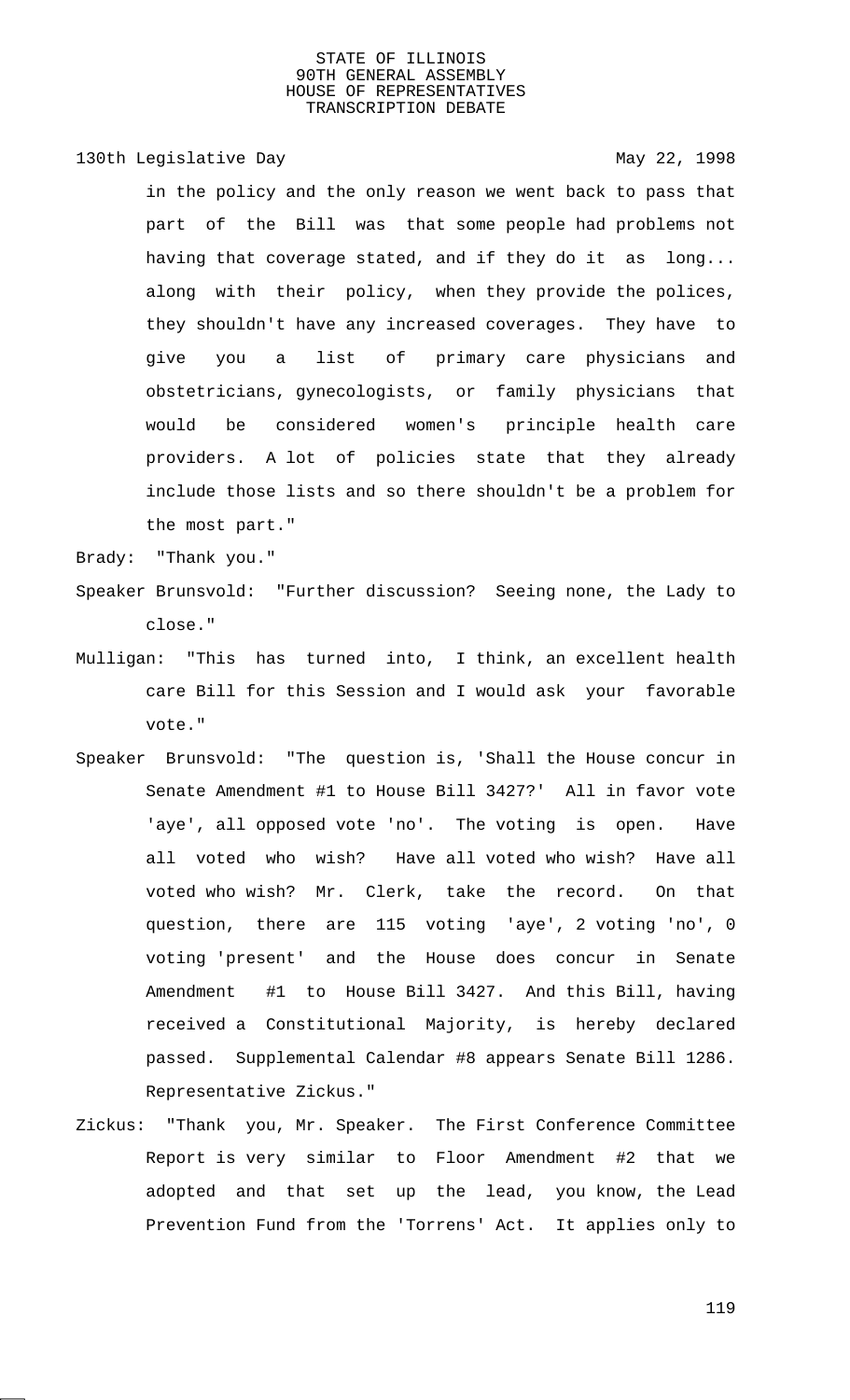# 130th Legislative Day 130th May 22, 1998

in the policy and the only reason we went back to pass that part of the Bill was that some people had problems not having that coverage stated, and if they do it as long... along with their policy, when they provide the polices, they shouldn't have any increased coverages. They have to give you a list of primary care physicians and obstetricians, gynecologists, or family physicians that would be considered women's principle health care providers. A lot of policies state that they already include those lists and so there shouldn't be a problem for the most part."

Brady: "Thank you."

- Speaker Brunsvold: "Further discussion? Seeing none, the Lady to close."
- Mulligan: "This has turned into, I think, an excellent health care Bill for this Session and I would ask your favorable vote."
- Speaker Brunsvold: "The question is, 'Shall the House concur in Senate Amendment #1 to House Bill 3427?' All in favor vote 'aye', all opposed vote 'no'. The voting is open. Have all voted who wish? Have all voted who wish? Have all voted who wish? Mr. Clerk, take the record. On that question, there are 115 voting 'aye', 2 voting 'no', 0 voting 'present' and the House does concur in Senate Amendment #1 to House Bill 3427. And this Bill, having received a Constitutional Majority, is hereby declared passed. Supplemental Calendar #8 appears Senate Bill 1286. Representative Zickus."
- Zickus: "Thank you, Mr. Speaker. The First Conference Committee Report is very similar to Floor Amendment #2 that we adopted and that set up the lead, you know, the Lead Prevention Fund from the 'Torrens' Act. It applies only to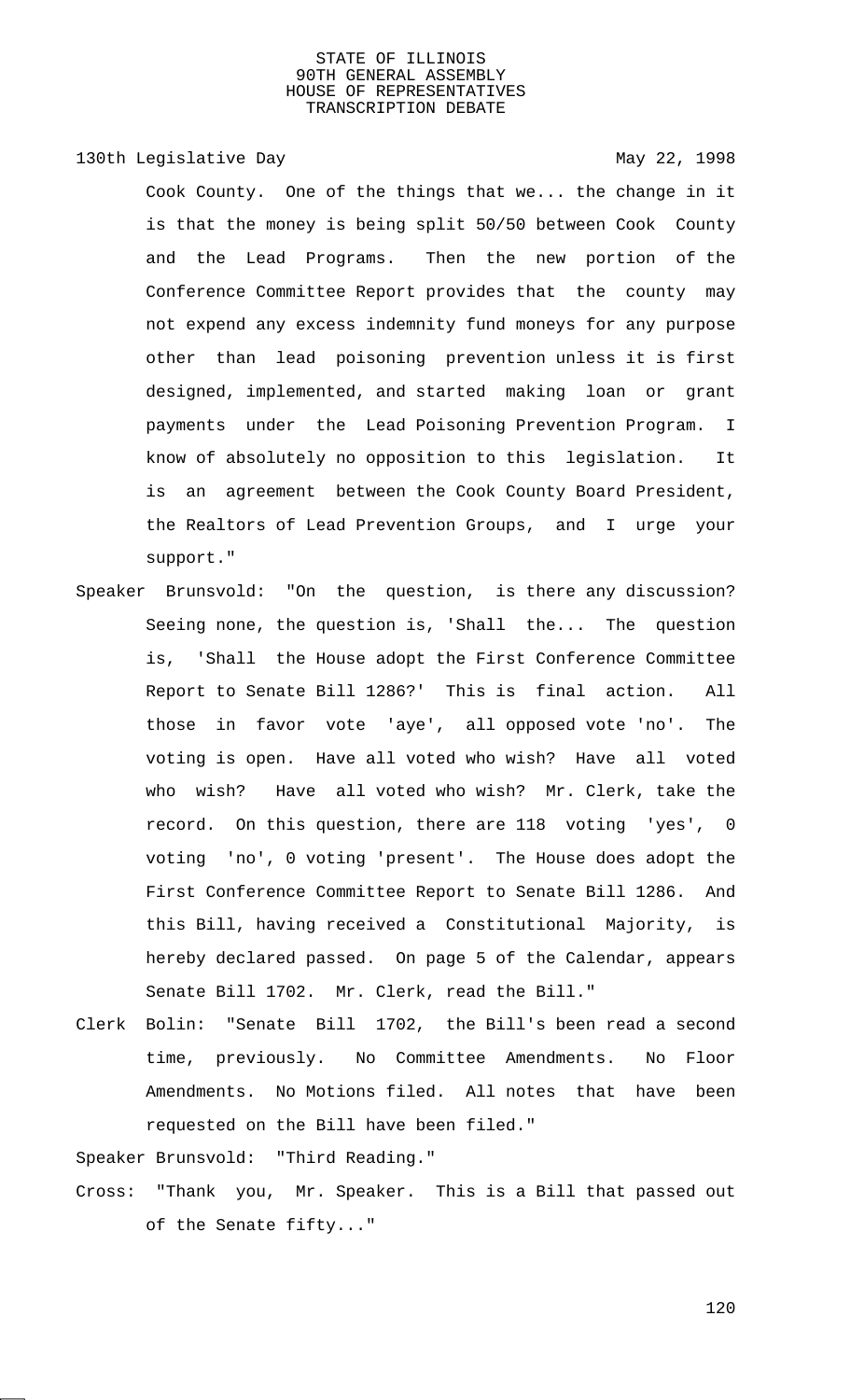130th Legislative Day 130th May 22, 1998

Cook County. One of the things that we... the change in it is that the money is being split 50/50 between Cook County and the Lead Programs. Then the new portion of the Conference Committee Report provides that the county may not expend any excess indemnity fund moneys for any purpose other than lead poisoning prevention unless it is first designed, implemented, and started making loan or grant payments under the Lead Poisoning Prevention Program. I know of absolutely no opposition to this legislation. It is an agreement between the Cook County Board President, the Realtors of Lead Prevention Groups, and I urge your support."

- Speaker Brunsvold: "On the question, is there any discussion? Seeing none, the question is, 'Shall the... The question is, 'Shall the House adopt the First Conference Committee Report to Senate Bill 1286?' This is final action. All those in favor vote 'aye', all opposed vote 'no'. The voting is open. Have all voted who wish? Have all voted who wish? Have all voted who wish? Mr. Clerk, take the record. On this question, there are 118 voting 'yes', 0 voting 'no', 0 voting 'present'. The House does adopt the First Conference Committee Report to Senate Bill 1286. And this Bill, having received a Constitutional Majority, is hereby declared passed. On page 5 of the Calendar, appears Senate Bill 1702. Mr. Clerk, read the Bill."
- Clerk Bolin: "Senate Bill 1702, the Bill's been read a second time, previously. No Committee Amendments. No Floor Amendments. No Motions filed. All notes that have been requested on the Bill have been filed."

Speaker Brunsvold: "Third Reading."

Cross: "Thank you, Mr. Speaker. This is a Bill that passed out of the Senate fifty..."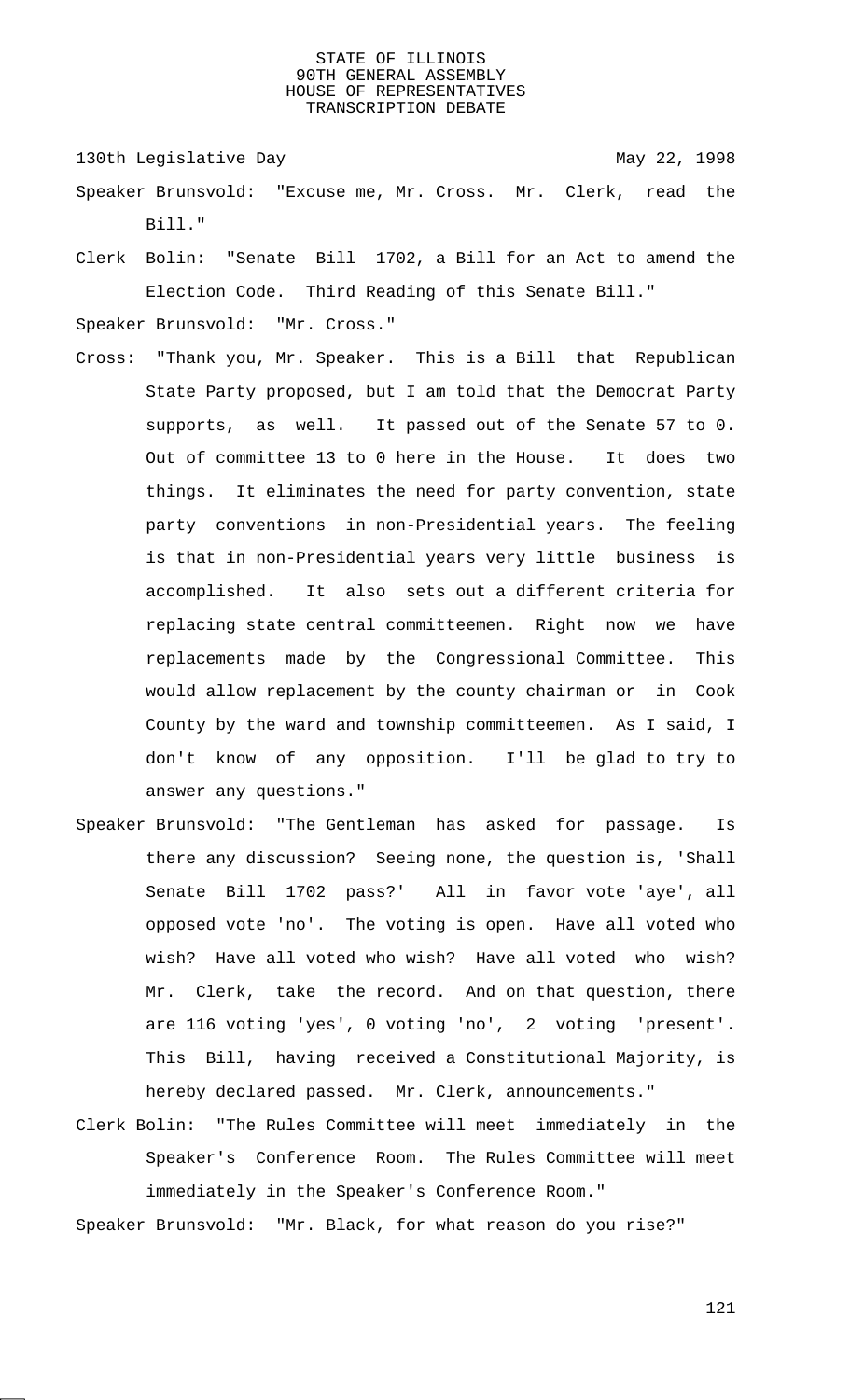130th Legislative Day 130th May 22, 1998

- Speaker Brunsvold: "Excuse me, Mr. Cross. Mr. Clerk, read the Bill."
- Clerk Bolin: "Senate Bill 1702, a Bill for an Act to amend the Election Code. Third Reading of this Senate Bill."

Speaker Brunsvold: "Mr. Cross."

- Cross: "Thank you, Mr. Speaker. This is a Bill that Republican State Party proposed, but I am told that the Democrat Party supports, as well. It passed out of the Senate 57 to 0. Out of committee 13 to 0 here in the House. It does two things. It eliminates the need for party convention, state party conventions in non-Presidential years. The feeling is that in non-Presidential years very little business is accomplished. It also sets out a different criteria for replacing state central committeemen. Right now we have replacements made by the Congressional Committee. This would allow replacement by the county chairman or in Cook County by the ward and township committeemen. As I said, I don't know of any opposition. I'll be glad to try to answer any questions."
- Speaker Brunsvold: "The Gentleman has asked for passage. Is there any discussion? Seeing none, the question is, 'Shall Senate Bill 1702 pass?' All in favor vote 'aye', all opposed vote 'no'. The voting is open. Have all voted who wish? Have all voted who wish? Have all voted who wish? Mr. Clerk, take the record. And on that question, there are 116 voting 'yes', 0 voting 'no', 2 voting 'present'. This Bill, having received a Constitutional Majority, is hereby declared passed. Mr. Clerk, announcements."
- Clerk Bolin: "The Rules Committee will meet immediately in the Speaker's Conference Room. The Rules Committee will meet immediately in the Speaker's Conference Room."

Speaker Brunsvold: "Mr. Black, for what reason do you rise?"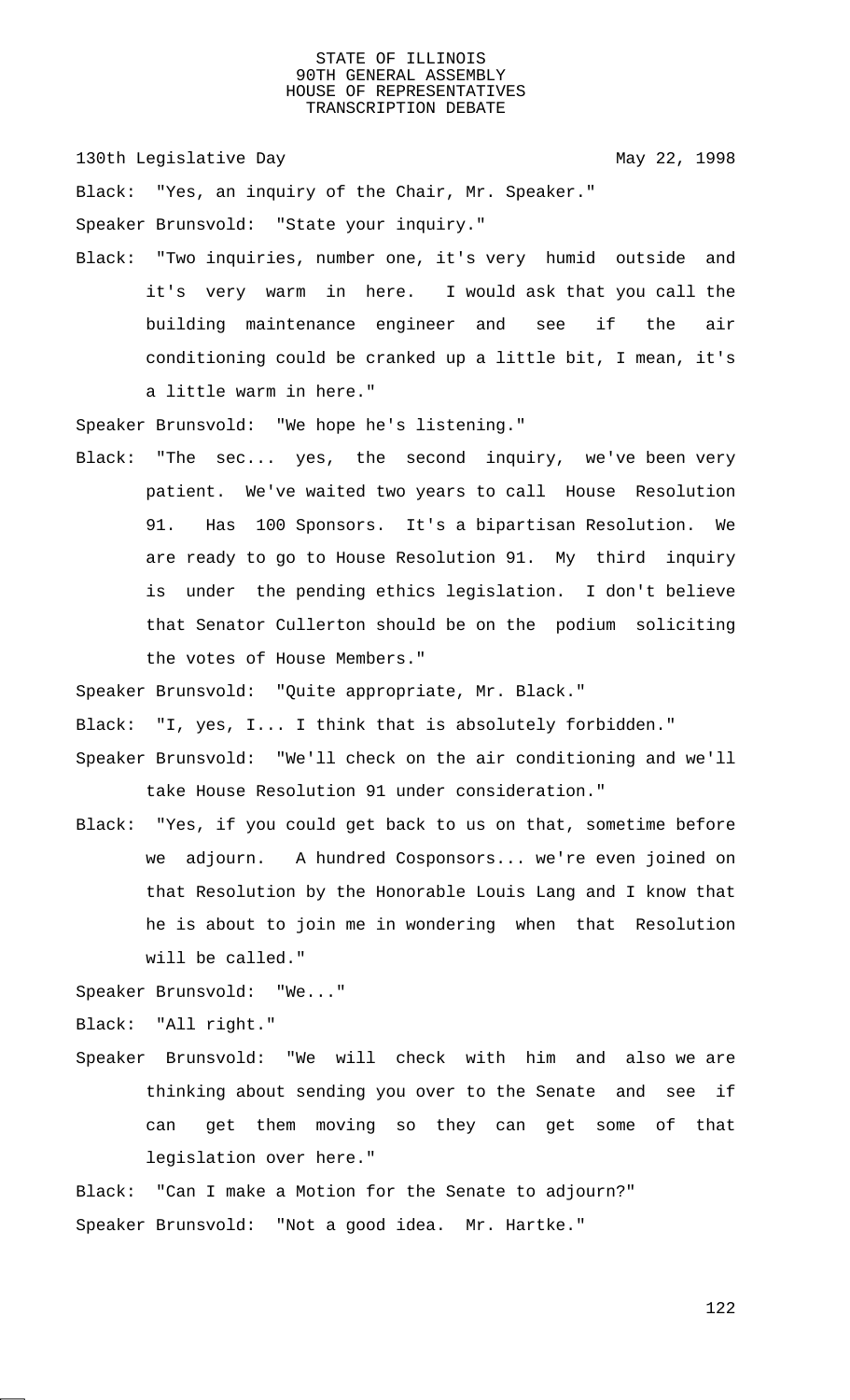130th Legislative Day 130th May 22, 1998

Black: "Yes, an inquiry of the Chair, Mr. Speaker."

Speaker Brunsvold: "State your inquiry."

Black: "Two inquiries, number one, it's very humid outside and it's very warm in here. I would ask that you call the building maintenance engineer and see if the air conditioning could be cranked up a little bit, I mean, it's a little warm in here."

Speaker Brunsvold: "We hope he's listening."

Black: "The sec... yes, the second inquiry, we've been very patient. We've waited two years to call House Resolution 91. Has 100 Sponsors. It's a bipartisan Resolution. We are ready to go to House Resolution 91. My third inquiry is under the pending ethics legislation. I don't believe that Senator Cullerton should be on the podium soliciting the votes of House Members."

Speaker Brunsvold: "Quite appropriate, Mr. Black."

Black: "I, yes, I... I think that is absolutely forbidden."

- Speaker Brunsvold: "We'll check on the air conditioning and we'll take House Resolution 91 under consideration."
- Black: "Yes, if you could get back to us on that, sometime before we adjourn. A hundred Cosponsors... we're even joined on that Resolution by the Honorable Louis Lang and I know that he is about to join me in wondering when that Resolution will be called."

Speaker Brunsvold: "We..."

Black: "All right."

- Speaker Brunsvold: "We will check with him and also we are thinking about sending you over to the Senate and see if can get them moving so they can get some of that legislation over here."
- Black: "Can I make a Motion for the Senate to adjourn?" Speaker Brunsvold: "Not a good idea. Mr. Hartke."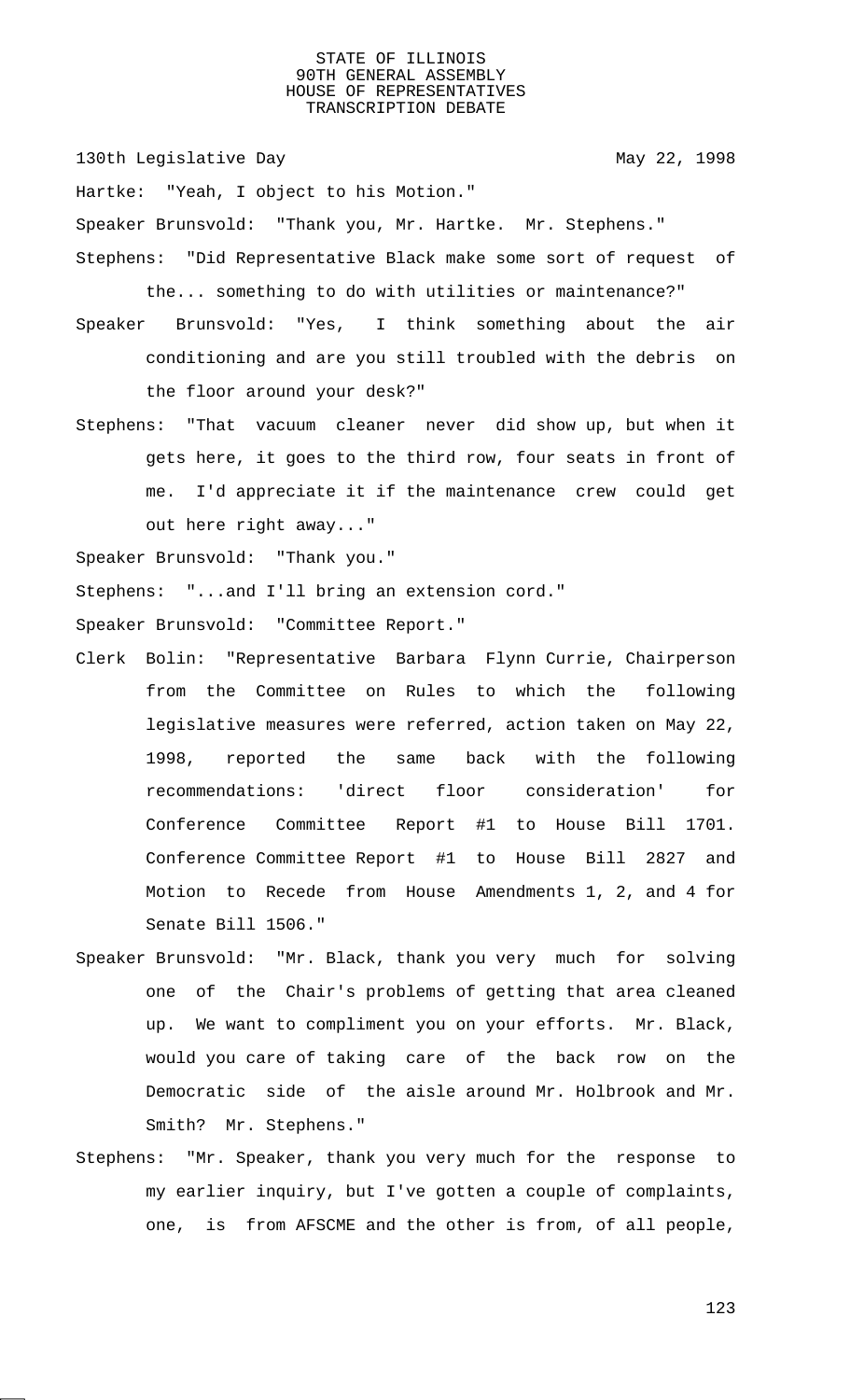130th Legislative Day 130th May 22, 1998

Hartke: "Yeah, I object to his Motion." Speaker Brunsvold: "Thank you, Mr. Hartke. Mr. Stephens." Stephens: "Did Representative Black make some sort of request of

- the... something to do with utilities or maintenance?" Speaker Brunsvold: "Yes, I think something about the air
- conditioning and are you still troubled with the debris on the floor around your desk?"
- Stephens: "That vacuum cleaner never did show up, but when it gets here, it goes to the third row, four seats in front of me. I'd appreciate it if the maintenance crew could get out here right away..."

Speaker Brunsvold: "Thank you."

Stephens: "...and I'll bring an extension cord."

Speaker Brunsvold: "Committee Report."

- Clerk Bolin: "Representative Barbara Flynn Currie, Chairperson from the Committee on Rules to which the following legislative measures were referred, action taken on May 22, 1998, reported the same back with the following recommendations: 'direct floor consideration' for Conference Committee Report #1 to House Bill 1701. Conference Committee Report #1 to House Bill 2827 and Motion to Recede from House Amendments 1, 2, and 4 for Senate Bill 1506."
- Speaker Brunsvold: "Mr. Black, thank you very much for solving one of the Chair's problems of getting that area cleaned up. We want to compliment you on your efforts. Mr. Black, would you care of taking care of the back row on the Democratic side of the aisle around Mr. Holbrook and Mr. Smith? Mr. Stephens."
- Stephens: "Mr. Speaker, thank you very much for the response to my earlier inquiry, but I've gotten a couple of complaints, one, is from AFSCME and the other is from, of all people,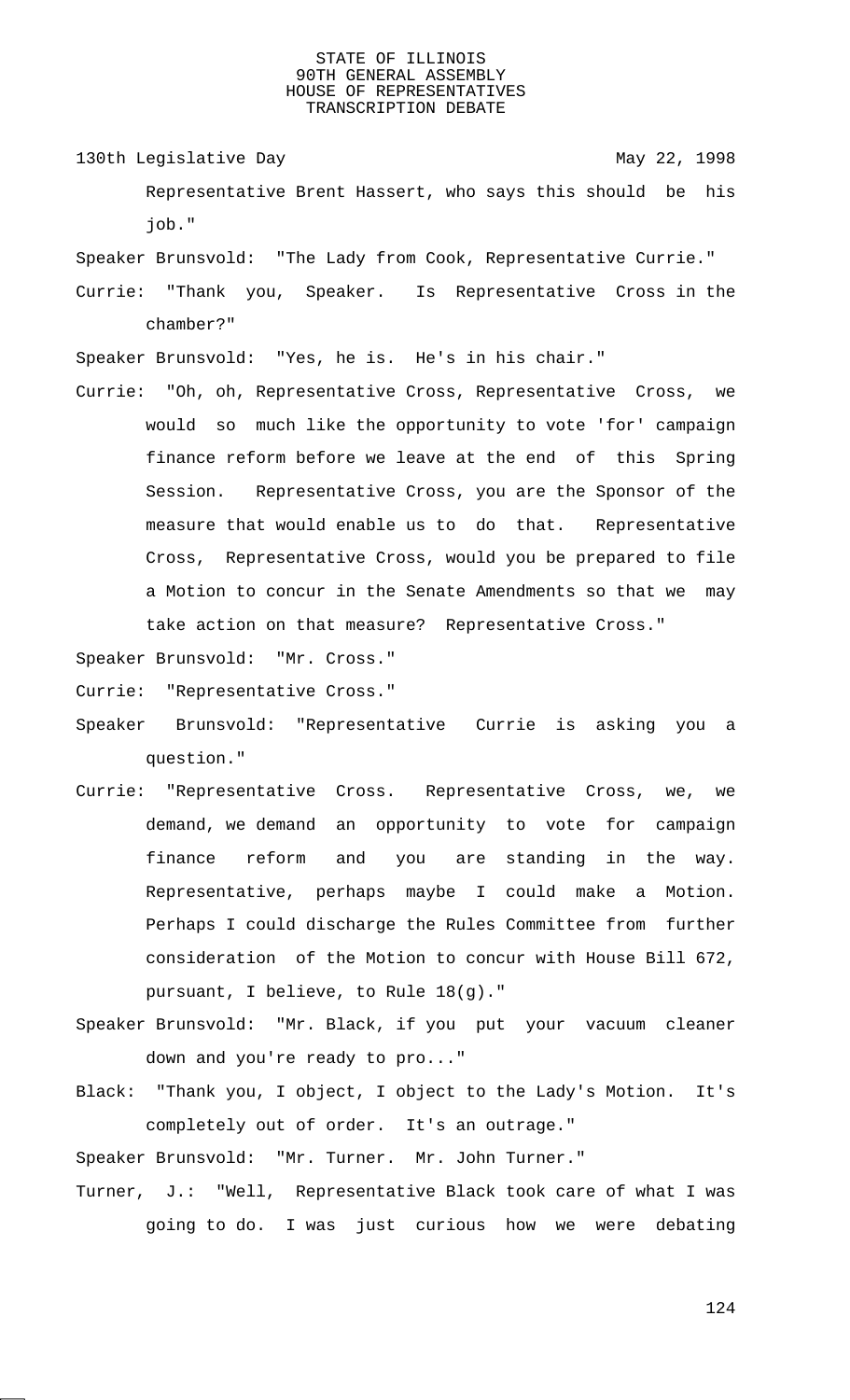- 130th Legislative Day 130th May 22, 1998 Representative Brent Hassert, who says this should be his job."
- Speaker Brunsvold: "The Lady from Cook, Representative Currie."
- Currie: "Thank you, Speaker. Is Representative Cross in the chamber?"
- Speaker Brunsvold: "Yes, he is. He's in his chair."
- Currie: "Oh, oh, Representative Cross, Representative Cross, we would so much like the opportunity to vote 'for' campaign finance reform before we leave at the end of this Spring Session. Representative Cross, you are the Sponsor of the measure that would enable us to do that. Representative Cross, Representative Cross, would you be prepared to file a Motion to concur in the Senate Amendments so that we may take action on that measure? Representative Cross."

Speaker Brunsvold: "Mr. Cross."

Currie: "Representative Cross."

- Speaker Brunsvold: "Representative Currie is asking you a question."
- Currie: "Representative Cross. Representative Cross, we, we demand, we demand an opportunity to vote for campaign finance reform and you are standing in the way. Representative, perhaps maybe I could make a Motion. Perhaps I could discharge the Rules Committee from further consideration of the Motion to concur with House Bill 672, pursuant, I believe, to Rule 18(g)."
- Speaker Brunsvold: "Mr. Black, if you put your vacuum cleaner down and you're ready to pro..."
- Black: "Thank you, I object, I object to the Lady's Motion. It's completely out of order. It's an outrage."

Speaker Brunsvold: "Mr. Turner. Mr. John Turner."

Turner, J.: "Well, Representative Black took care of what I was going to do. I was just curious how we were debating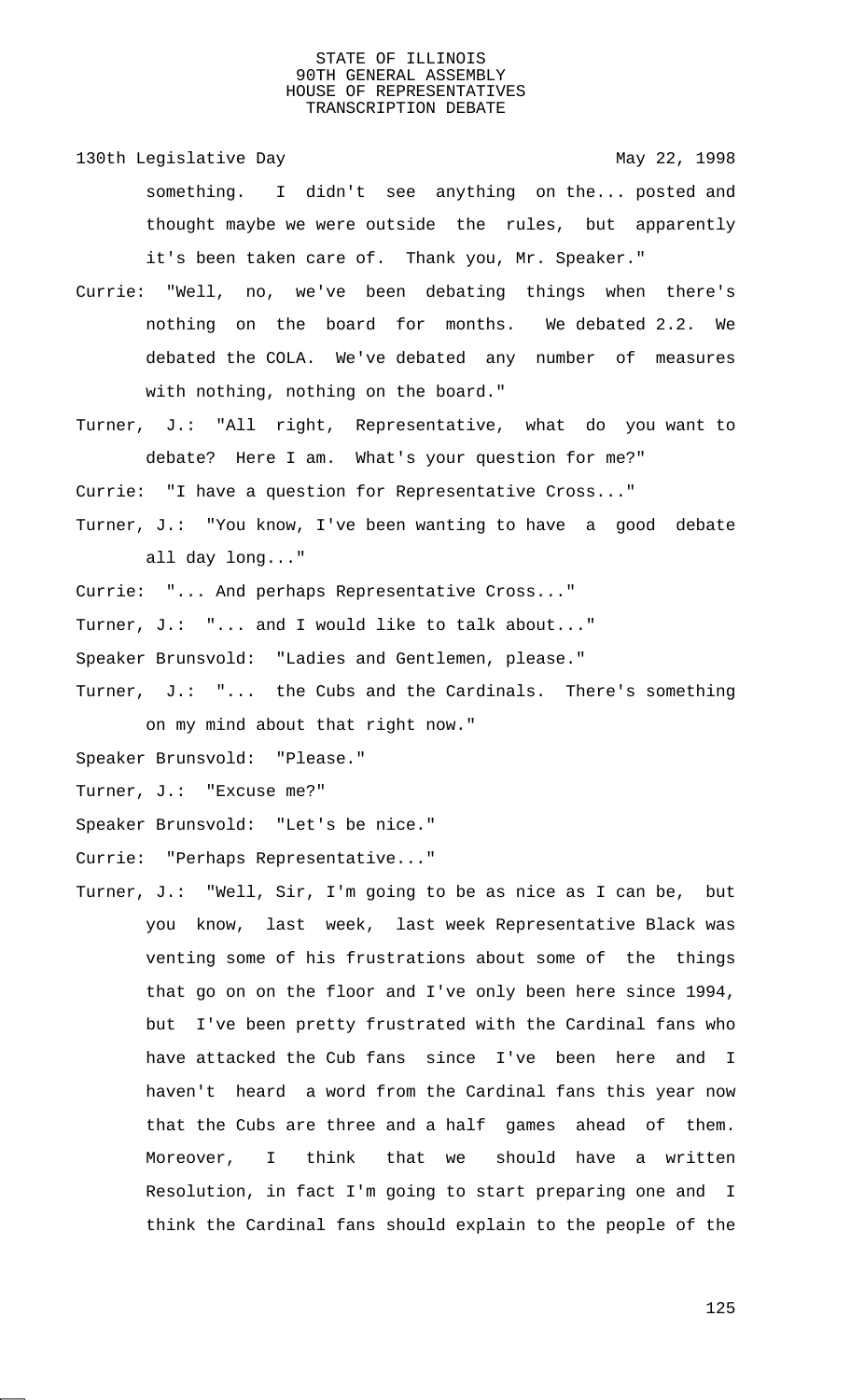- 130th Legislative Day 130th May 22, 1998 something. I didn't see anything on the... posted and thought maybe we were outside the rules, but apparently it's been taken care of. Thank you, Mr. Speaker."
- Currie: "Well, no, we've been debating things when there's nothing on the board for months. We debated 2.2. We debated the COLA. We've debated any number of measures with nothing, nothing on the board."
- Turner, J.: "All right, Representative, what do you want to debate? Here I am. What's your question for me?"
- Currie: "I have a question for Representative Cross..."
- Turner, J.: "You know, I've been wanting to have a good debate all day long..."
- Currie: "... And perhaps Representative Cross..."
- Turner, J.: "... and I would like to talk about..."
- Speaker Brunsvold: "Ladies and Gentlemen, please."
- Turner, J.: "... the Cubs and the Cardinals. There's something on my mind about that right now."
- Speaker Brunsvold: "Please."
- Turner, J.: "Excuse me?"
- Speaker Brunsvold: "Let's be nice."
- Currie: "Perhaps Representative..."
- Turner, J.: "Well, Sir, I'm going to be as nice as I can be, but you know, last week, last week Representative Black was venting some of his frustrations about some of the things that go on on the floor and I've only been here since 1994, but I've been pretty frustrated with the Cardinal fans who have attacked the Cub fans since I've been here and I haven't heard a word from the Cardinal fans this year now that the Cubs are three and a half games ahead of them. Moreover, I think that we should have a written Resolution, in fact I'm going to start preparing one and I think the Cardinal fans should explain to the people of the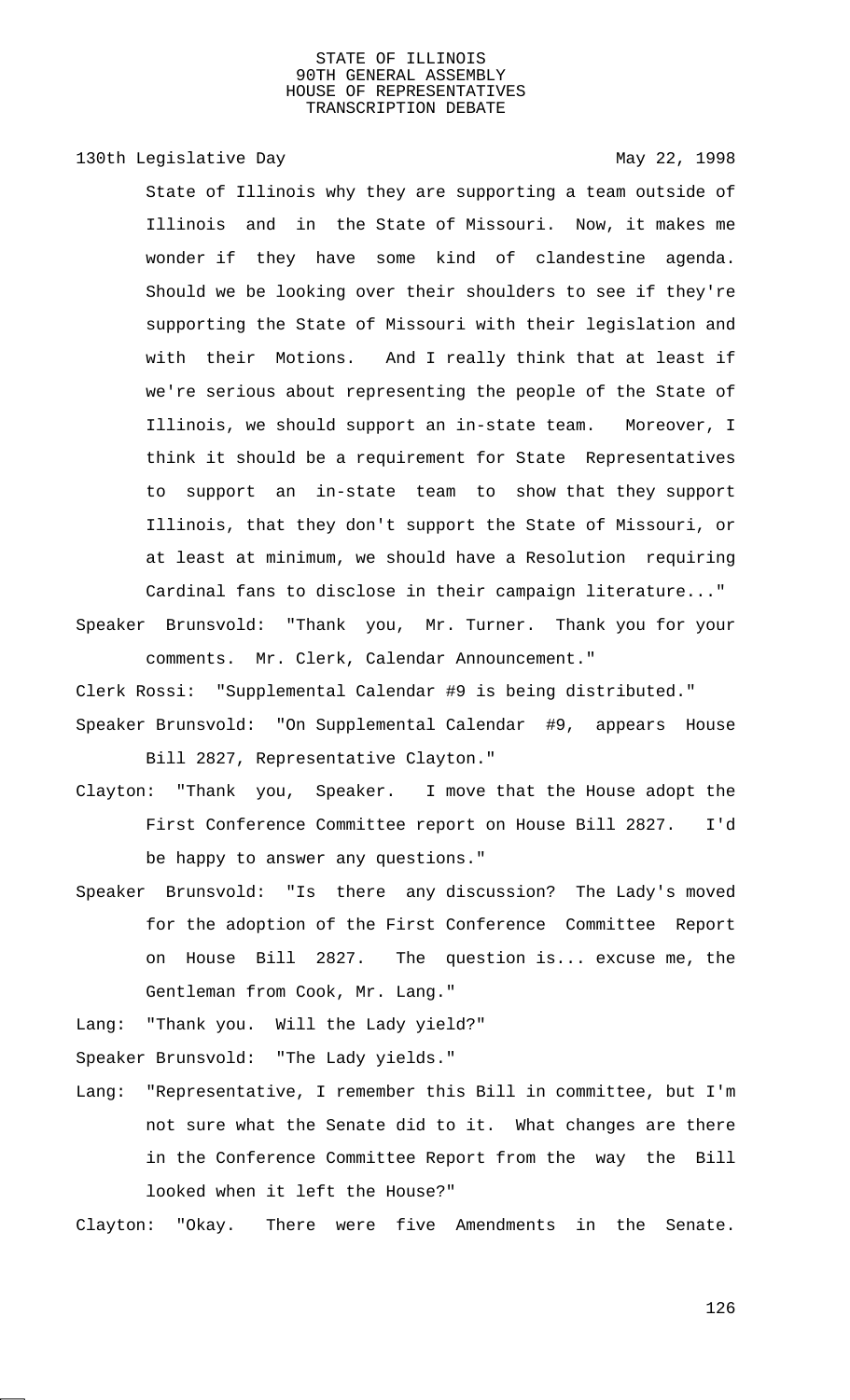130th Legislative Day 130th May 22, 1998

State of Illinois why they are supporting a team outside of Illinois and in the State of Missouri. Now, it makes me wonder if they have some kind of clandestine agenda. Should we be looking over their shoulders to see if they're supporting the State of Missouri with their legislation and with their Motions. And I really think that at least if we're serious about representing the people of the State of Illinois, we should support an in-state team. Moreover, I think it should be a requirement for State Representatives to support an in-state team to show that they support Illinois, that they don't support the State of Missouri, or at least at minimum, we should have a Resolution requiring Cardinal fans to disclose in their campaign literature..."

Speaker Brunsvold: "Thank you, Mr. Turner. Thank you for your comments. Mr. Clerk, Calendar Announcement."

Clerk Rossi: "Supplemental Calendar #9 is being distributed."

- Speaker Brunsvold: "On Supplemental Calendar #9, appears House Bill 2827, Representative Clayton."
- Clayton: "Thank you, Speaker. I move that the House adopt the First Conference Committee report on House Bill 2827. I'd be happy to answer any questions."
- Speaker Brunsvold: "Is there any discussion? The Lady's moved for the adoption of the First Conference Committee Report on House Bill 2827. The question is... excuse me, the Gentleman from Cook, Mr. Lang."

Lang: "Thank you. Will the Lady yield?"

Speaker Brunsvold: "The Lady yields."

Lang: "Representative, I remember this Bill in committee, but I'm not sure what the Senate did to it. What changes are there in the Conference Committee Report from the way the Bill looked when it left the House?"

Clayton: "Okay. There were five Amendments in the Senate.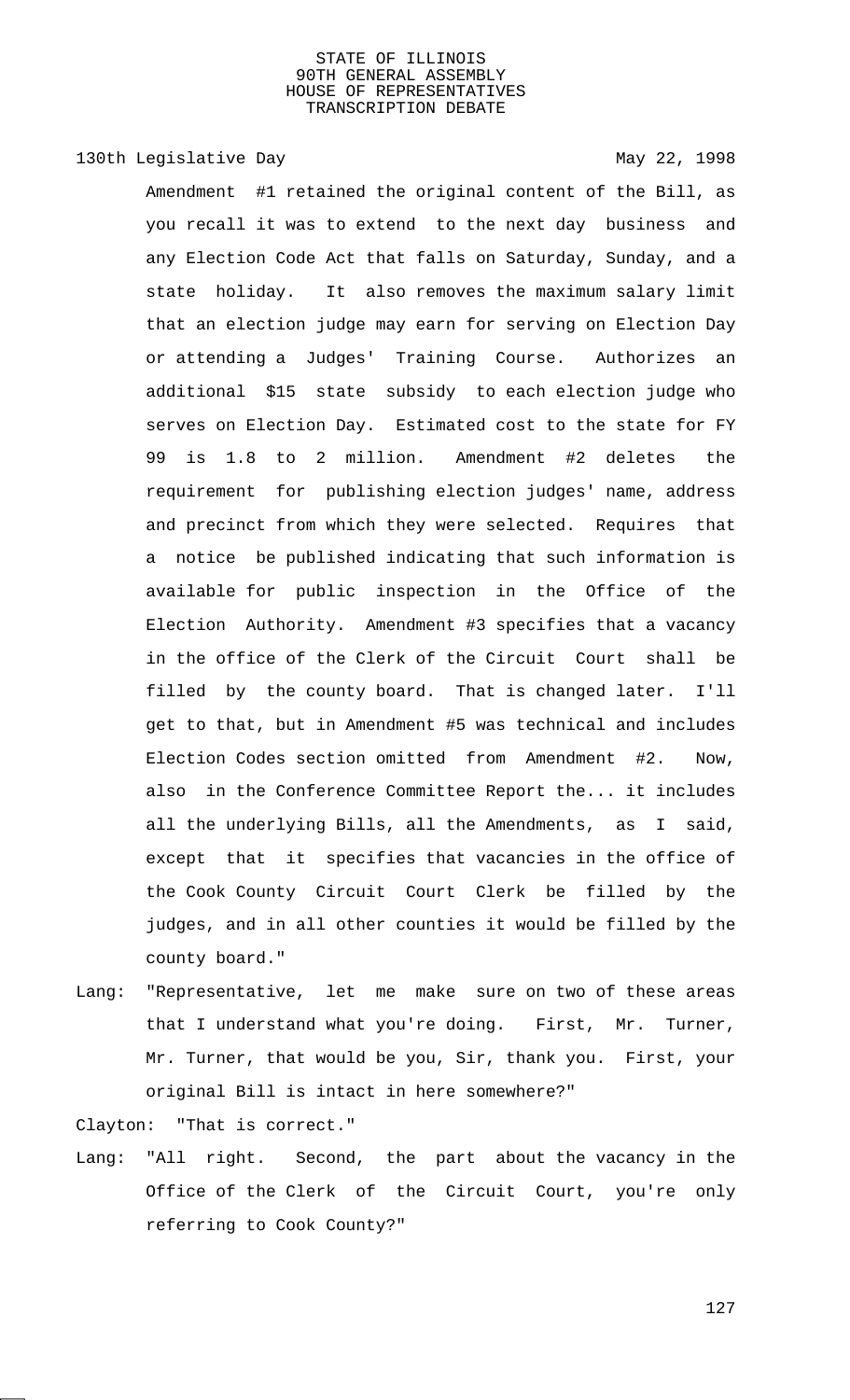130th Legislative Day 130th May 22, 1998

Amendment #1 retained the original content of the Bill, as you recall it was to extend to the next day business and any Election Code Act that falls on Saturday, Sunday, and a state holiday. It also removes the maximum salary limit that an election judge may earn for serving on Election Day or attending a Judges' Training Course. Authorizes an additional \$15 state subsidy to each election judge who serves on Election Day. Estimated cost to the state for FY 99 is 1.8 to 2 million. Amendment #2 deletes the requirement for publishing election judges' name, address and precinct from which they were selected. Requires that a notice be published indicating that such information is available for public inspection in the Office of the Election Authority. Amendment #3 specifies that a vacancy in the office of the Clerk of the Circuit Court shall be filled by the county board. That is changed later. I'll get to that, but in Amendment #5 was technical and includes Election Codes section omitted from Amendment #2. Now, also in the Conference Committee Report the... it includes all the underlying Bills, all the Amendments, as I said, except that it specifies that vacancies in the office of the Cook County Circuit Court Clerk be filled by the judges, and in all other counties it would be filled by the county board."

Lang: "Representative, let me make sure on two of these areas that I understand what you're doing. First, Mr. Turner, Mr. Turner, that would be you, Sir, thank you. First, your original Bill is intact in here somewhere?"

Clayton: "That is correct."

Lang: "All right. Second, the part about the vacancy in the Office of the Clerk of the Circuit Court, you're only referring to Cook County?"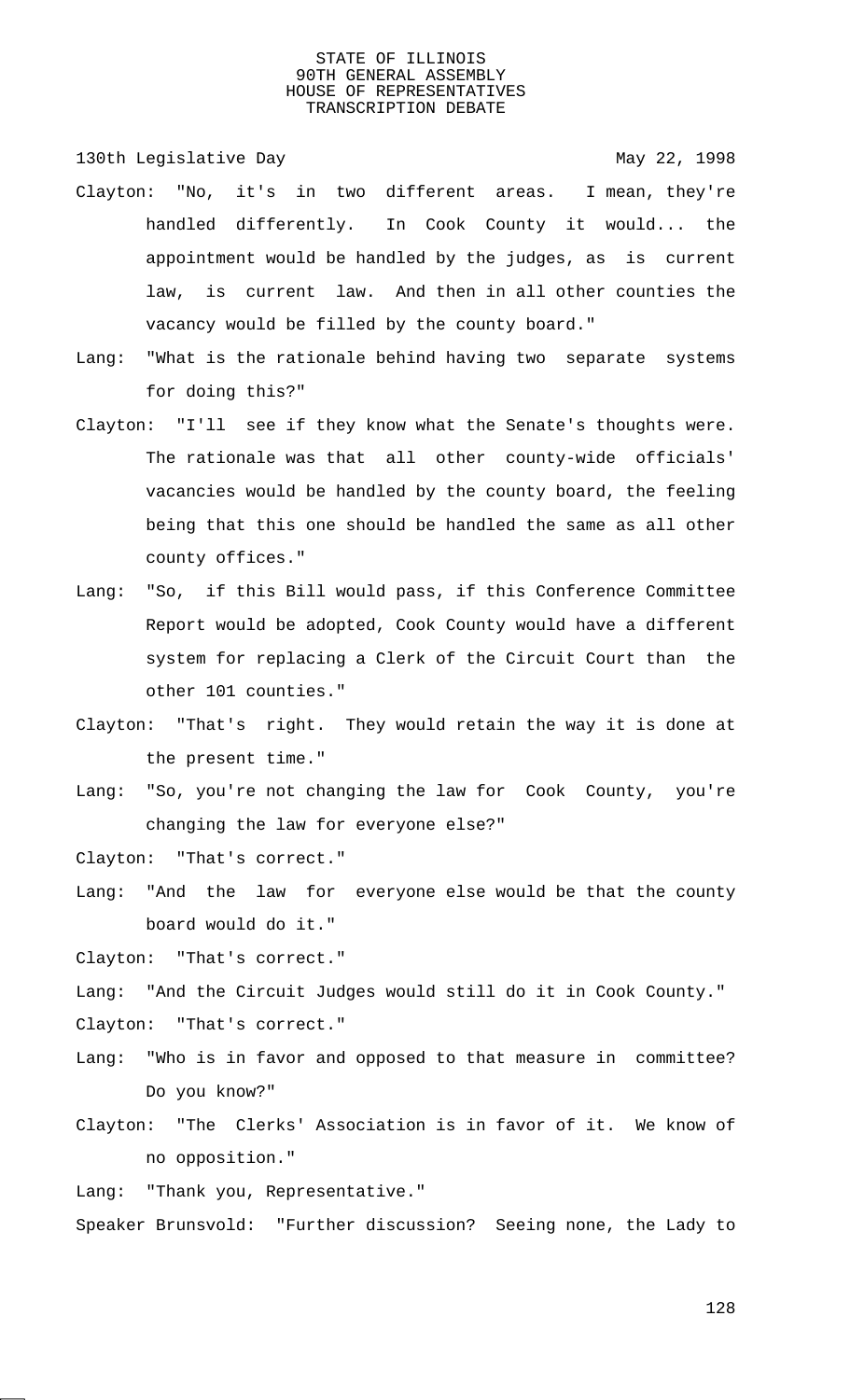130th Legislative Day 130th May 22, 1998

- Clayton: "No, it's in two different areas. I mean, they're handled differently. In Cook County it would... the appointment would be handled by the judges, as is current law, is current law. And then in all other counties the vacancy would be filled by the county board."
- Lang: "What is the rationale behind having two separate systems for doing this?"
- Clayton: "I'll see if they know what the Senate's thoughts were. The rationale was that all other county-wide officials' vacancies would be handled by the county board, the feeling being that this one should be handled the same as all other county offices."
- Lang: "So, if this Bill would pass, if this Conference Committee Report would be adopted, Cook County would have a different system for replacing a Clerk of the Circuit Court than the other 101 counties."
- Clayton: "That's right. They would retain the way it is done at the present time."
- Lang: "So, you're not changing the law for Cook County, you're changing the law for everyone else?"

Clayton: "That's correct."

Lang: "And the law for everyone else would be that the county board would do it."

Clayton: "That's correct."

Lang: "And the Circuit Judges would still do it in Cook County." Clayton: "That's correct."

- Lang: "Who is in favor and opposed to that measure in committee? Do you know?"
- Clayton: "The Clerks' Association is in favor of it. We know of no opposition."

Lang: "Thank you, Representative."

Speaker Brunsvold: "Further discussion? Seeing none, the Lady to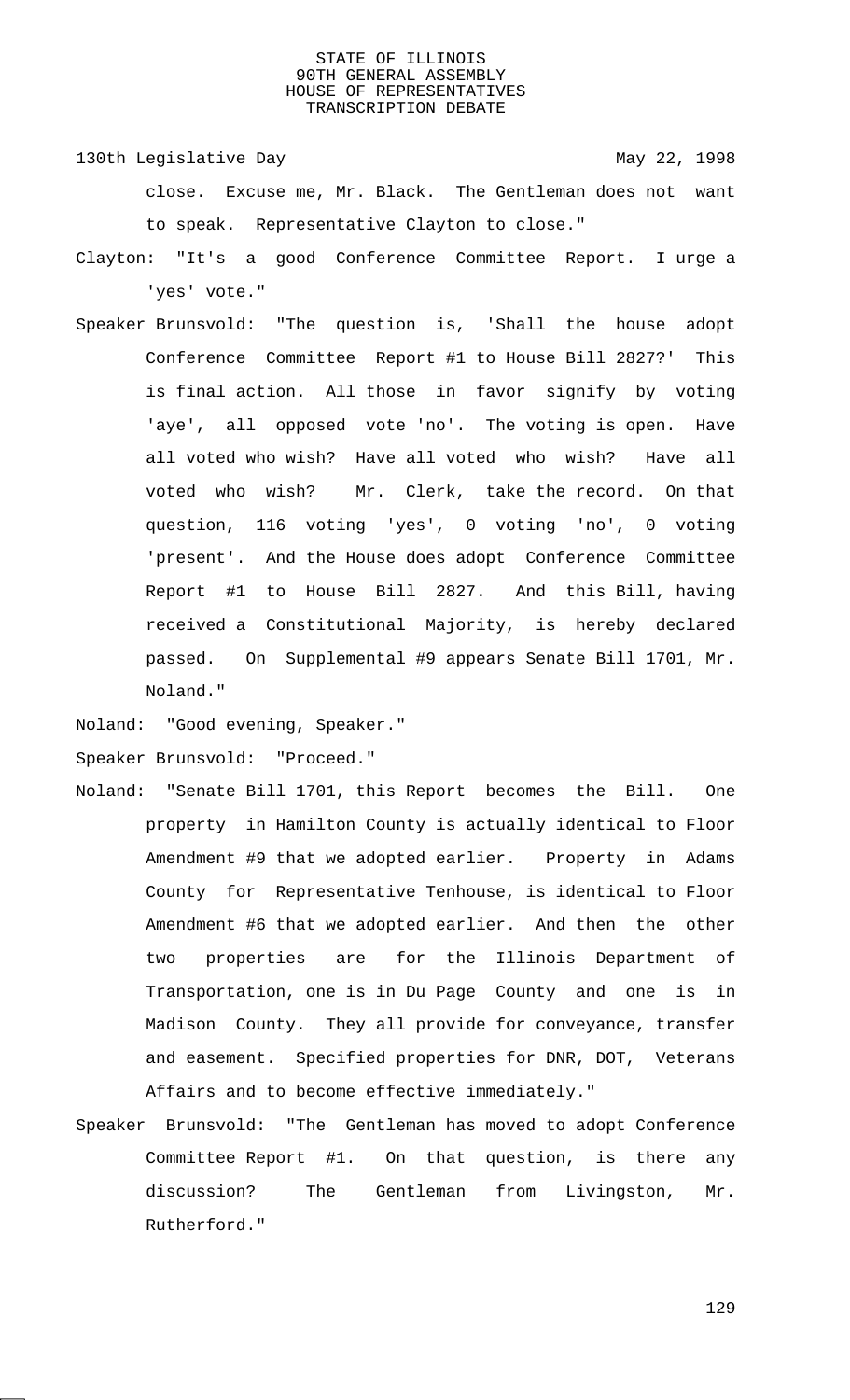130th Legislative Day 130th May 22, 1998 close. Excuse me, Mr. Black. The Gentleman does not want to speak. Representative Clayton to close."

- Clayton: "It's a good Conference Committee Report. I urge a 'yes' vote."
- Speaker Brunsvold: "The question is, 'Shall the house adopt Conference Committee Report #1 to House Bill 2827?' This is final action. All those in favor signify by voting 'aye', all opposed vote 'no'. The voting is open. Have all voted who wish? Have all voted who wish? Have all voted who wish? Mr. Clerk, take the record. On that question, 116 voting 'yes', 0 voting 'no', 0 voting 'present'. And the House does adopt Conference Committee Report #1 to House Bill 2827. And this Bill, having received a Constitutional Majority, is hereby declared passed. On Supplemental #9 appears Senate Bill 1701, Mr. Noland."

Noland: "Good evening, Speaker."

Speaker Brunsvold: "Proceed."

- Noland: "Senate Bill 1701, this Report becomes the Bill. One property in Hamilton County is actually identical to Floor Amendment #9 that we adopted earlier. Property in Adams County for Representative Tenhouse, is identical to Floor Amendment #6 that we adopted earlier. And then the other two properties are for the Illinois Department of Transportation, one is in Du Page County and one is in Madison County. They all provide for conveyance, transfer and easement. Specified properties for DNR, DOT, Veterans Affairs and to become effective immediately."
- Speaker Brunsvold: "The Gentleman has moved to adopt Conference Committee Report #1. On that question, is there any discussion? The Gentleman from Livingston, Mr. Rutherford."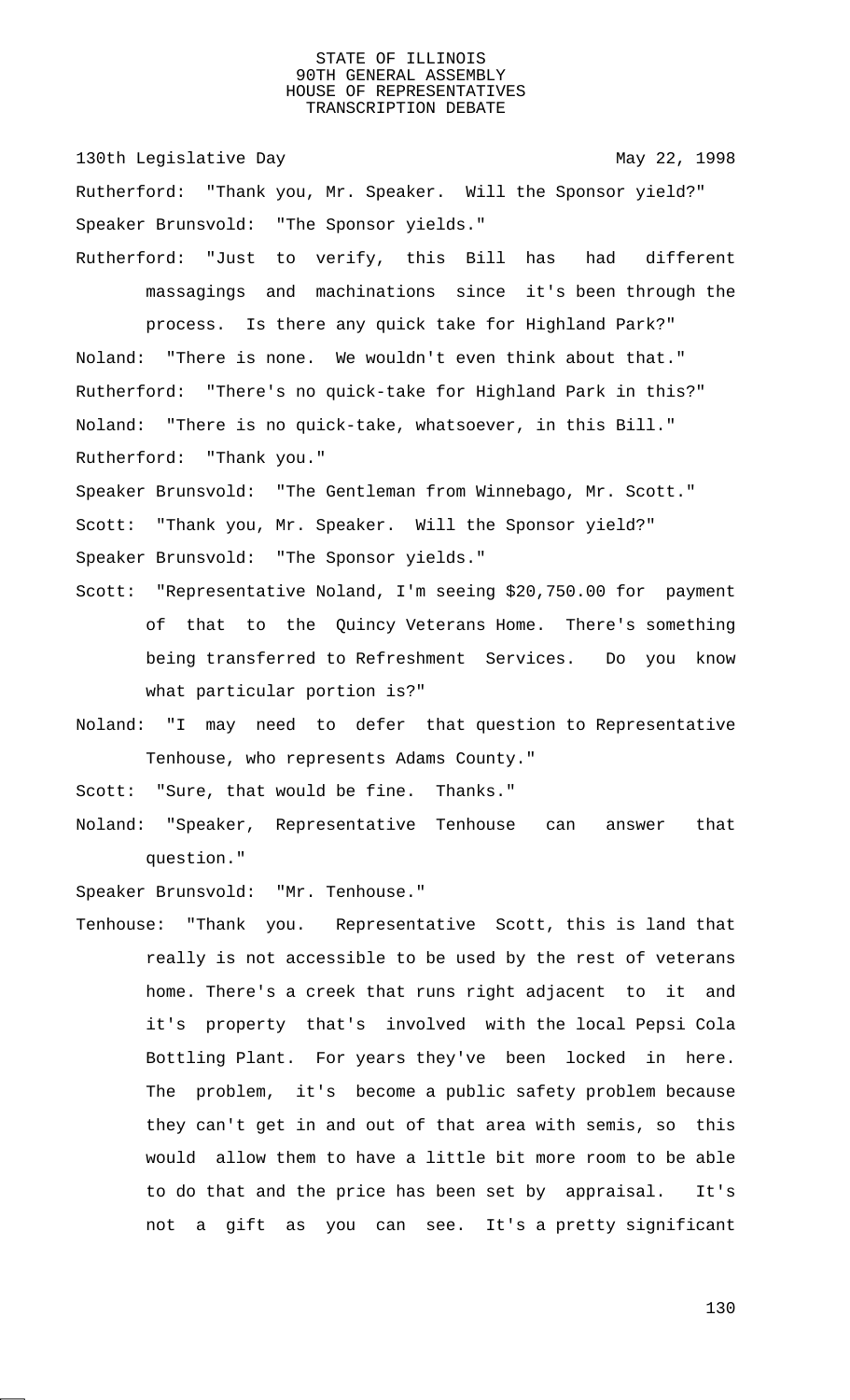130th Legislative Day 130th May 22, 1998 Rutherford: "Thank you, Mr. Speaker. Will the Sponsor yield?" Speaker Brunsvold: "The Sponsor yields." Rutherford: "Just to verify, this Bill has had different

massagings and machinations since it's been through the process. Is there any quick take for Highland Park?" Noland: "There is none. We wouldn't even think about that." Rutherford: "There's no quick-take for Highland Park in this?" Noland: "There is no quick-take, whatsoever, in this Bill." Rutherford: "Thank you."

Speaker Brunsvold: "The Gentleman from Winnebago, Mr. Scott." Scott: "Thank you, Mr. Speaker. Will the Sponsor yield?" Speaker Brunsvold: "The Sponsor yields."

- Scott: "Representative Noland, I'm seeing \$20,750.00 for payment of that to the Quincy Veterans Home. There's something being transferred to Refreshment Services. Do you know what particular portion is?"
- Noland: "I may need to defer that question to Representative Tenhouse, who represents Adams County."

Scott: "Sure, that would be fine. Thanks."

Noland: "Speaker, Representative Tenhouse can answer that question."

Speaker Brunsvold: "Mr. Tenhouse."

Tenhouse: "Thank you. Representative Scott, this is land that really is not accessible to be used by the rest of veterans home. There's a creek that runs right adjacent to it and it's property that's involved with the local Pepsi Cola Bottling Plant. For years they've been locked in here. The problem, it's become a public safety problem because they can't get in and out of that area with semis, so this would allow them to have a little bit more room to be able to do that and the price has been set by appraisal. It's not a gift as you can see. It's a pretty significant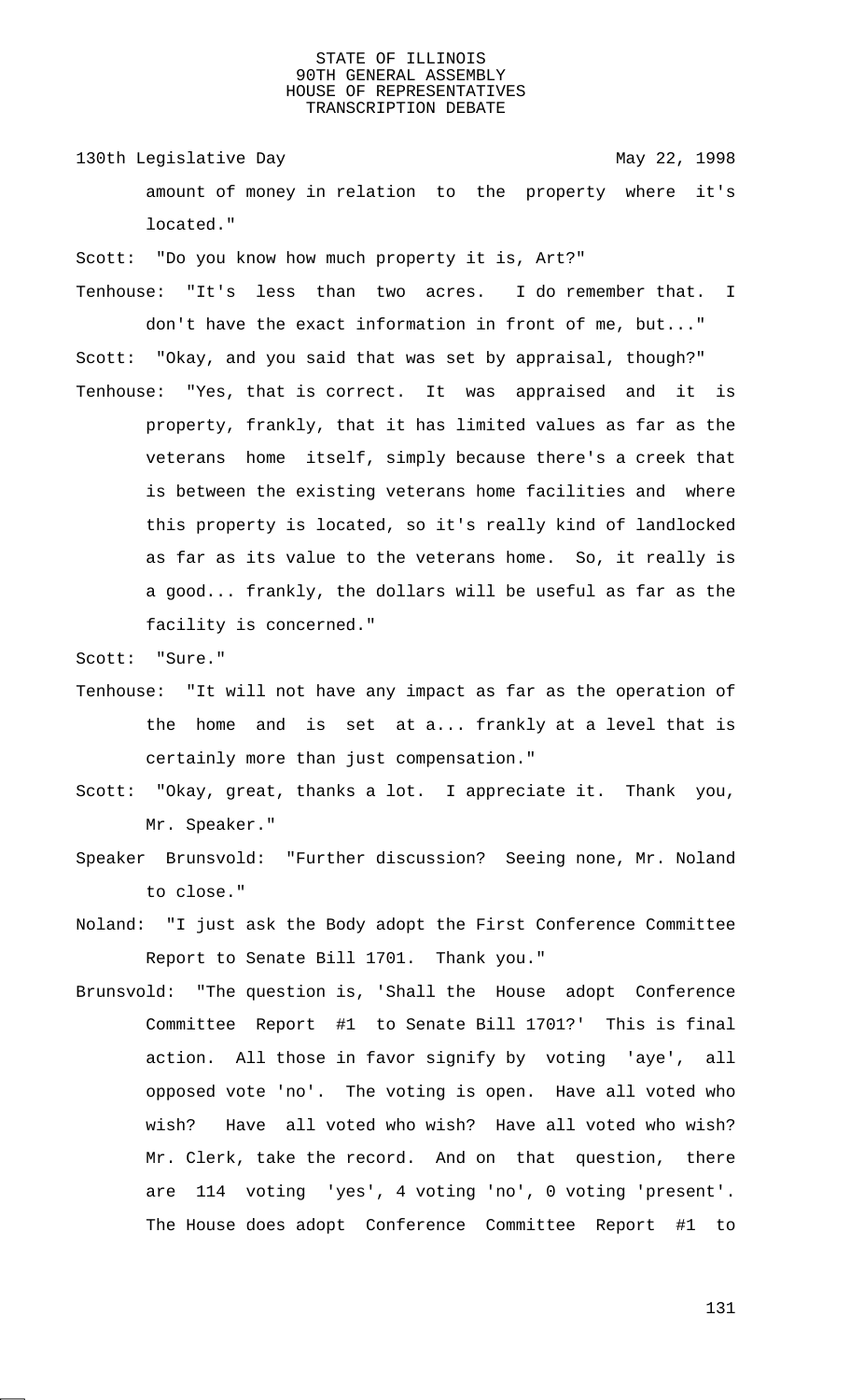130th Legislative Day 130th May 22, 1998 amount of money in relation to the property where it's located."

Scott: "Do you know how much property it is, Art?"

- Tenhouse: "It's less than two acres. I do remember that. I don't have the exact information in front of me, but..." Scott: "Okay, and you said that was set by appraisal, though?"
- Tenhouse: "Yes, that is correct. It was appraised and it is property, frankly, that it has limited values as far as the veterans home itself, simply because there's a creek that is between the existing veterans home facilities and where this property is located, so it's really kind of landlocked as far as its value to the veterans home. So, it really is a good... frankly, the dollars will be useful as far as the facility is concerned."

Scott: "Sure."

- Tenhouse: "It will not have any impact as far as the operation of the home and is set at a... frankly at a level that is certainly more than just compensation."
- Scott: "Okay, great, thanks a lot. I appreciate it. Thank you, Mr. Speaker."
- Speaker Brunsvold: "Further discussion? Seeing none, Mr. Noland to close."
- Noland: "I just ask the Body adopt the First Conference Committee Report to Senate Bill 1701. Thank you."
- Brunsvold: "The question is, 'Shall the House adopt Conference Committee Report #1 to Senate Bill 1701?' This is final action. All those in favor signify by voting 'aye', all opposed vote 'no'. The voting is open. Have all voted who wish? Have all voted who wish? Have all voted who wish? Mr. Clerk, take the record. And on that question, there are 114 voting 'yes', 4 voting 'no', 0 voting 'present'. The House does adopt Conference Committee Report #1 to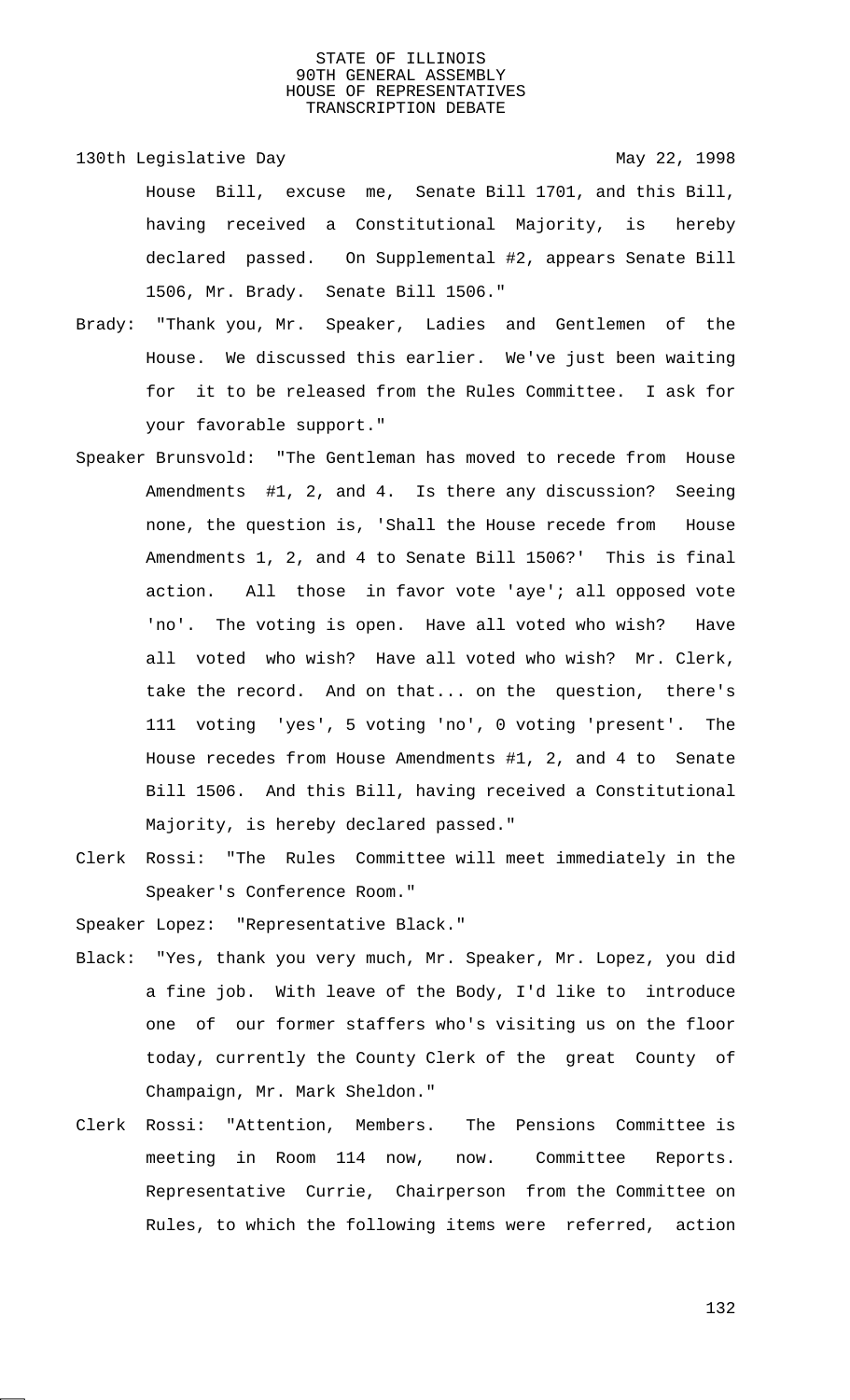- 130th Legislative Day 130th May 22, 1998 House Bill, excuse me, Senate Bill 1701, and this Bill, having received a Constitutional Majority, is hereby declared passed. On Supplemental #2, appears Senate Bill 1506, Mr. Brady. Senate Bill 1506."
- Brady: "Thank you, Mr. Speaker, Ladies and Gentlemen of the House. We discussed this earlier. We've just been waiting for it to be released from the Rules Committee. I ask for your favorable support."
- Speaker Brunsvold: "The Gentleman has moved to recede from House Amendments #1, 2, and 4. Is there any discussion? Seeing none, the question is, 'Shall the House recede from House Amendments 1, 2, and 4 to Senate Bill 1506?' This is final action. All those in favor vote 'aye'; all opposed vote 'no'. The voting is open. Have all voted who wish? Have all voted who wish? Have all voted who wish? Mr. Clerk, take the record. And on that... on the question, there's 111 voting 'yes', 5 voting 'no', 0 voting 'present'. The House recedes from House Amendments #1, 2, and 4 to Senate Bill 1506. And this Bill, having received a Constitutional Majority, is hereby declared passed."
- Clerk Rossi: "The Rules Committee will meet immediately in the Speaker's Conference Room."

Speaker Lopez: "Representative Black."

- Black: "Yes, thank you very much, Mr. Speaker, Mr. Lopez, you did a fine job. With leave of the Body, I'd like to introduce one of our former staffers who's visiting us on the floor today, currently the County Clerk of the great County of Champaign, Mr. Mark Sheldon."
- Clerk Rossi: "Attention, Members. The Pensions Committee is meeting in Room 114 now, now. Committee Reports. Representative Currie, Chairperson from the Committee on Rules, to which the following items were referred, action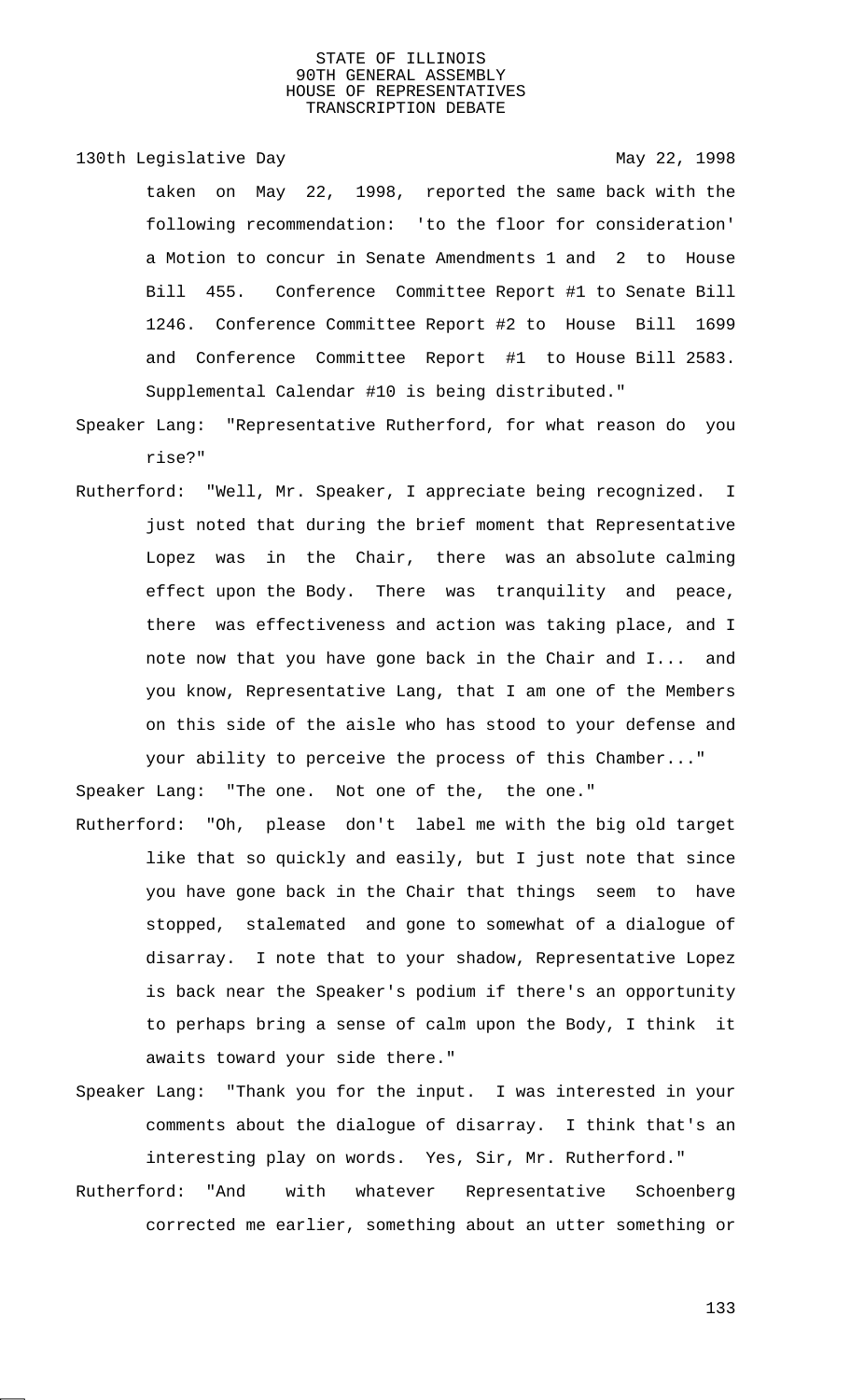130th Legislative Day 130th May 22, 1998

taken on May 22, 1998, reported the same back with the following recommendation: 'to the floor for consideration' a Motion to concur in Senate Amendments 1 and 2 to House Bill 455. Conference Committee Report #1 to Senate Bill 1246. Conference Committee Report #2 to House Bill 1699 and Conference Committee Report #1 to House Bill 2583. Supplemental Calendar #10 is being distributed."

- Speaker Lang: "Representative Rutherford, for what reason do you rise?"
- Rutherford: "Well, Mr. Speaker, I appreciate being recognized. I just noted that during the brief moment that Representative Lopez was in the Chair, there was an absolute calming effect upon the Body. There was tranquility and peace, there was effectiveness and action was taking place, and I note now that you have gone back in the Chair and I... and you know, Representative Lang, that I am one of the Members on this side of the aisle who has stood to your defense and your ability to perceive the process of this Chamber..."

Speaker Lang: "The one. Not one of the, the one."

- Rutherford: "Oh, please don't label me with the big old target like that so quickly and easily, but I just note that since you have gone back in the Chair that things seem to have stopped, stalemated and gone to somewhat of a dialogue of disarray. I note that to your shadow, Representative Lopez is back near the Speaker's podium if there's an opportunity to perhaps bring a sense of calm upon the Body, I think it awaits toward your side there."
- Speaker Lang: "Thank you for the input. I was interested in your comments about the dialogue of disarray. I think that's an interesting play on words. Yes, Sir, Mr. Rutherford."
- Rutherford: "And with whatever Representative Schoenberg corrected me earlier, something about an utter something or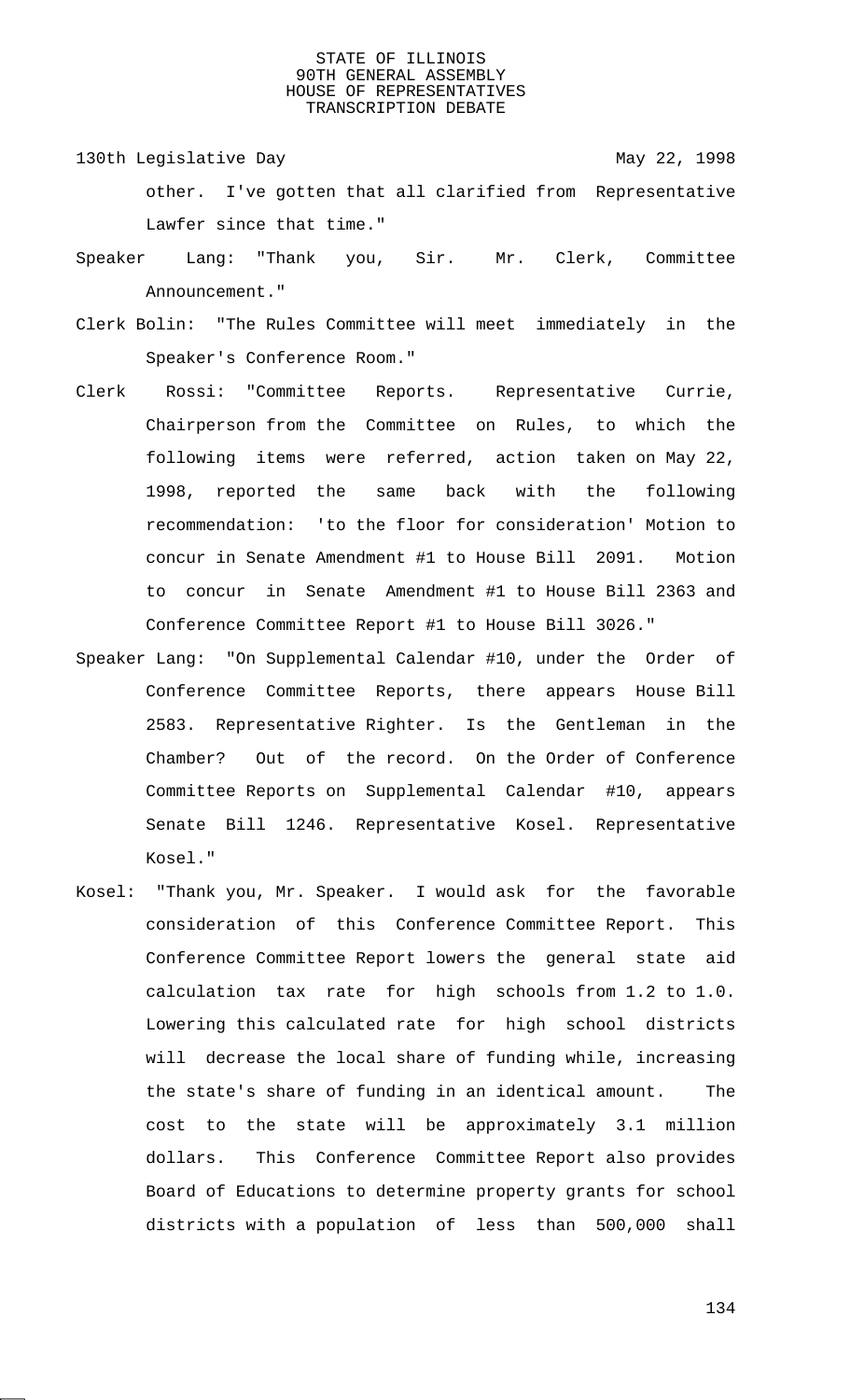- 130th Legislative Day 130th May 22, 1998 other. I've gotten that all clarified from Representative Lawfer since that time."
- Speaker Lang: "Thank you, Sir. Mr. Clerk, Committee Announcement."
- Clerk Bolin: "The Rules Committee will meet immediately in the Speaker's Conference Room."
- Clerk Rossi: "Committee Reports. Representative Currie, Chairperson from the Committee on Rules, to which the following items were referred, action taken on May 22, 1998, reported the same back with the following recommendation: 'to the floor for consideration' Motion to concur in Senate Amendment #1 to House Bill 2091. Motion to concur in Senate Amendment #1 to House Bill 2363 and Conference Committee Report #1 to House Bill 3026."
- Speaker Lang: "On Supplemental Calendar #10, under the Order of Conference Committee Reports, there appears House Bill 2583. Representative Righter. Is the Gentleman in the Chamber? Out of the record. On the Order of Conference Committee Reports on Supplemental Calendar #10, appears Senate Bill 1246. Representative Kosel. Representative Kosel."
- Kosel: "Thank you, Mr. Speaker. I would ask for the favorable consideration of this Conference Committee Report. This Conference Committee Report lowers the general state aid calculation tax rate for high schools from 1.2 to 1.0. Lowering this calculated rate for high school districts will decrease the local share of funding while, increasing the state's share of funding in an identical amount. The cost to the state will be approximately 3.1 million dollars. This Conference Committee Report also provides Board of Educations to determine property grants for school districts with a population of less than 500,000 shall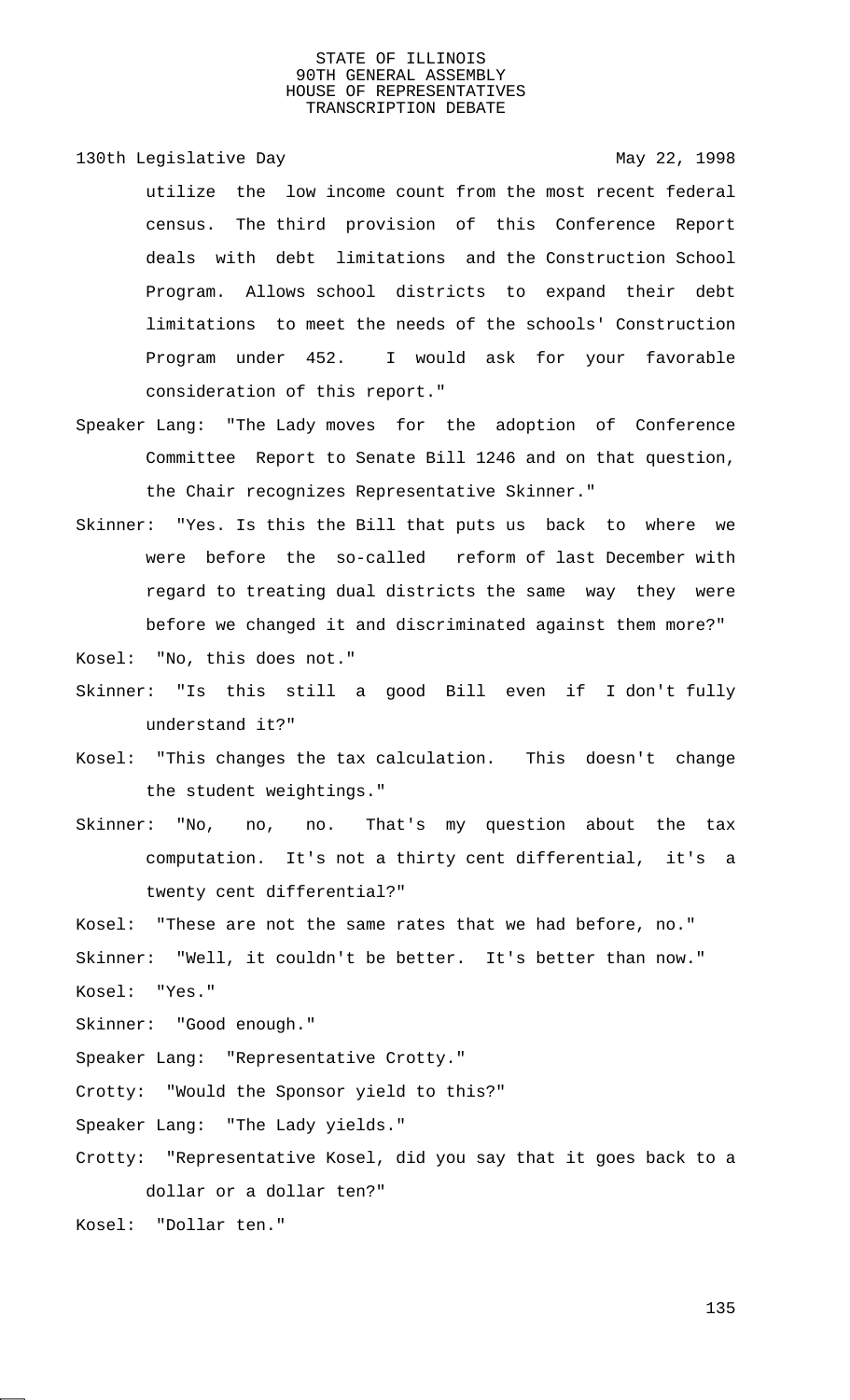130th Legislative Day 130th May 22, 1998

utilize the low income count from the most recent federal census. The third provision of this Conference Report deals with debt limitations and the Construction School Program. Allows school districts to expand their debt limitations to meet the needs of the schools' Construction Program under 452. I would ask for your favorable consideration of this report."

- Speaker Lang: "The Lady moves for the adoption of Conference Committee Report to Senate Bill 1246 and on that question, the Chair recognizes Representative Skinner."
- Skinner: "Yes. Is this the Bill that puts us back to where we were before the so-called reform of last December with regard to treating dual districts the same way they were before we changed it and discriminated against them more?"

Kosel: "No, this does not."

- Skinner: "Is this still a good Bill even if I don't fully understand it?"
- Kosel: "This changes the tax calculation. This doesn't change the student weightings."
- Skinner: "No, no, no. That's my question about the tax computation. It's not a thirty cent differential, it's a twenty cent differential?"

Kosel: "These are not the same rates that we had before, no." Skinner: "Well, it couldn't be better. It's better than now." Kosel: "Yes."

Skinner: "Good enough."

Speaker Lang: "Representative Crotty."

Crotty: "Would the Sponsor yield to this?"

Speaker Lang: "The Lady yields."

Crotty: "Representative Kosel, did you say that it goes back to a dollar or a dollar ten?"

Kosel: "Dollar ten."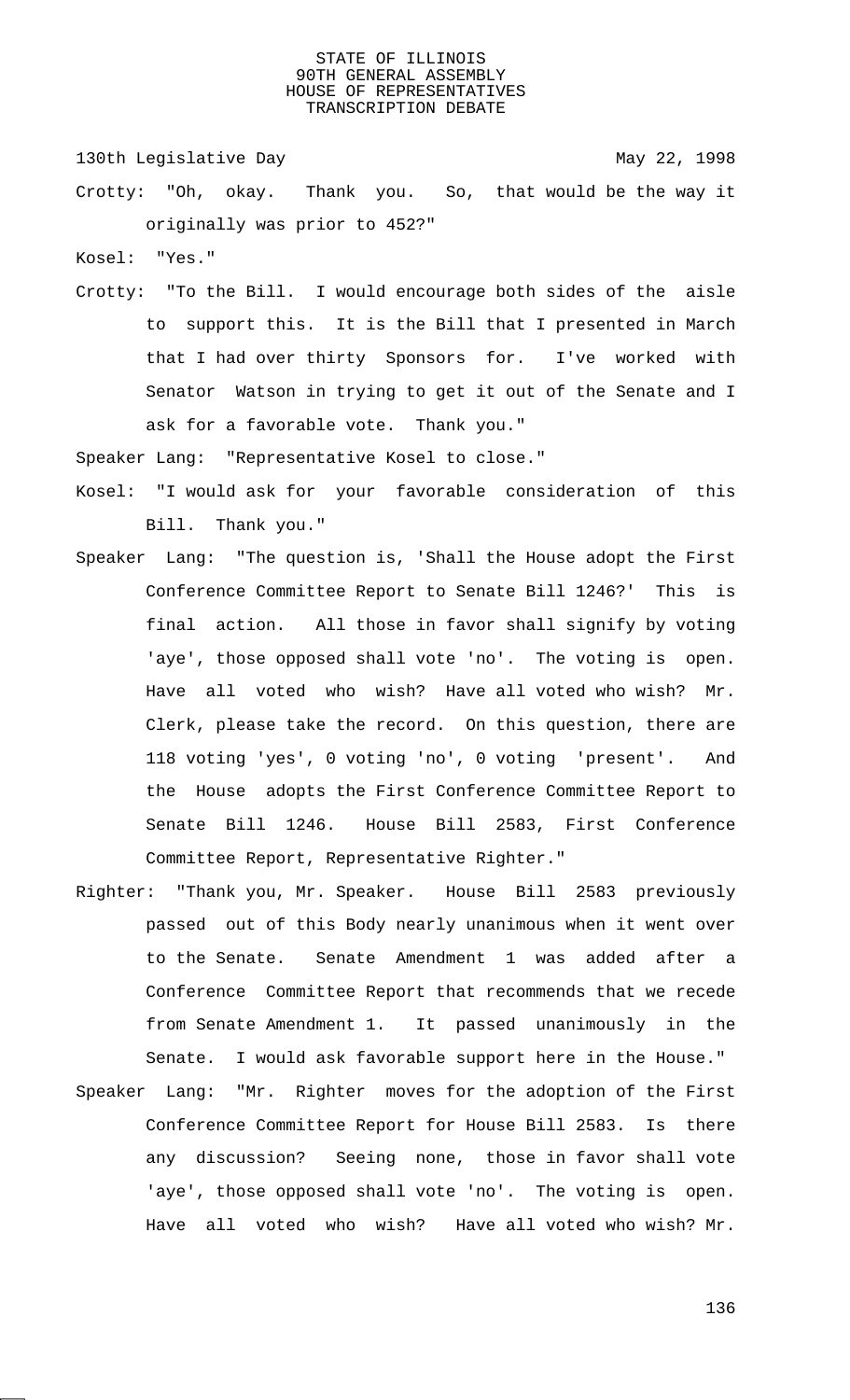130th Legislative Day 130th May 22, 1998

Crotty: "Oh, okay. Thank you. So, that would be the way it originally was prior to 452?"

Kosel: "Yes."

Crotty: "To the Bill. I would encourage both sides of the aisle to support this. It is the Bill that I presented in March that I had over thirty Sponsors for. I've worked with Senator Watson in trying to get it out of the Senate and I ask for a favorable vote. Thank you."

Speaker Lang: "Representative Kosel to close."

- Kosel: "I would ask for your favorable consideration of this Bill. Thank you."
- Speaker Lang: "The question is, 'Shall the House adopt the First Conference Committee Report to Senate Bill 1246?' This is final action. All those in favor shall signify by voting 'aye', those opposed shall vote 'no'. The voting is open. Have all voted who wish? Have all voted who wish? Mr. Clerk, please take the record. On this question, there are 118 voting 'yes', 0 voting 'no', 0 voting 'present'. And the House adopts the First Conference Committee Report to Senate Bill 1246. House Bill 2583, First Conference Committee Report, Representative Righter."
- Righter: "Thank you, Mr. Speaker. House Bill 2583 previously passed out of this Body nearly unanimous when it went over to the Senate. Senate Amendment 1 was added after a Conference Committee Report that recommends that we recede from Senate Amendment 1. It passed unanimously in the Senate. I would ask favorable support here in the House."
- Speaker Lang: "Mr. Righter moves for the adoption of the First Conference Committee Report for House Bill 2583. Is there any discussion? Seeing none, those in favor shall vote 'aye', those opposed shall vote 'no'. The voting is open. Have all voted who wish? Have all voted who wish? Mr.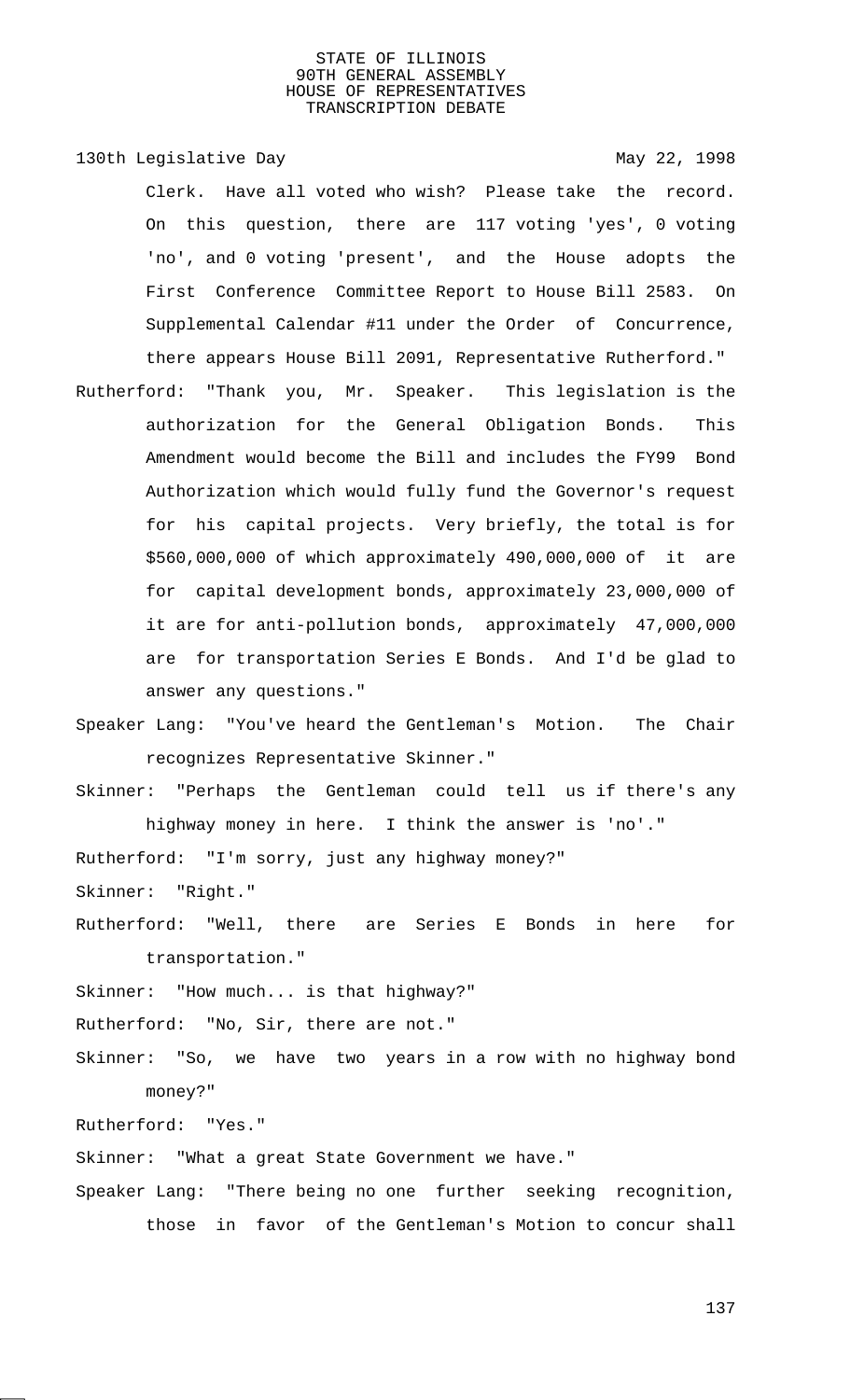130th Legislative Day 130th May 22, 1998 Clerk. Have all voted who wish? Please take the record. On this question, there are 117 voting 'yes', 0 voting 'no', and 0 voting 'present', and the House adopts the First Conference Committee Report to House Bill 2583. On Supplemental Calendar #11 under the Order of Concurrence, there appears House Bill 2091, Representative Rutherford." Rutherford: "Thank you, Mr. Speaker. This legislation is the

authorization for the General Obligation Bonds. This Amendment would become the Bill and includes the FY99 Bond Authorization which would fully fund the Governor's request for his capital projects. Very briefly, the total is for \$560,000,000 of which approximately 490,000,000 of it are for capital development bonds, approximately 23,000,000 of it are for anti-pollution bonds, approximately 47,000,000 are for transportation Series E Bonds. And I'd be glad to answer any questions."

Speaker Lang: "You've heard the Gentleman's Motion. The Chair recognizes Representative Skinner."

Skinner: "Perhaps the Gentleman could tell us if there's any

highway money in here. I think the answer is 'no'." Rutherford: "I'm sorry, just any highway money?" Skinner: "Right."

Rutherford: "Well, there are Series E Bonds in here for transportation."

Skinner: "How much... is that highway?"

Rutherford: "No, Sir, there are not."

Skinner: "So, we have two years in a row with no highway bond money?"

Rutherford: "Yes."

Skinner: "What a great State Government we have."

Speaker Lang: "There being no one further seeking recognition, those in favor of the Gentleman's Motion to concur shall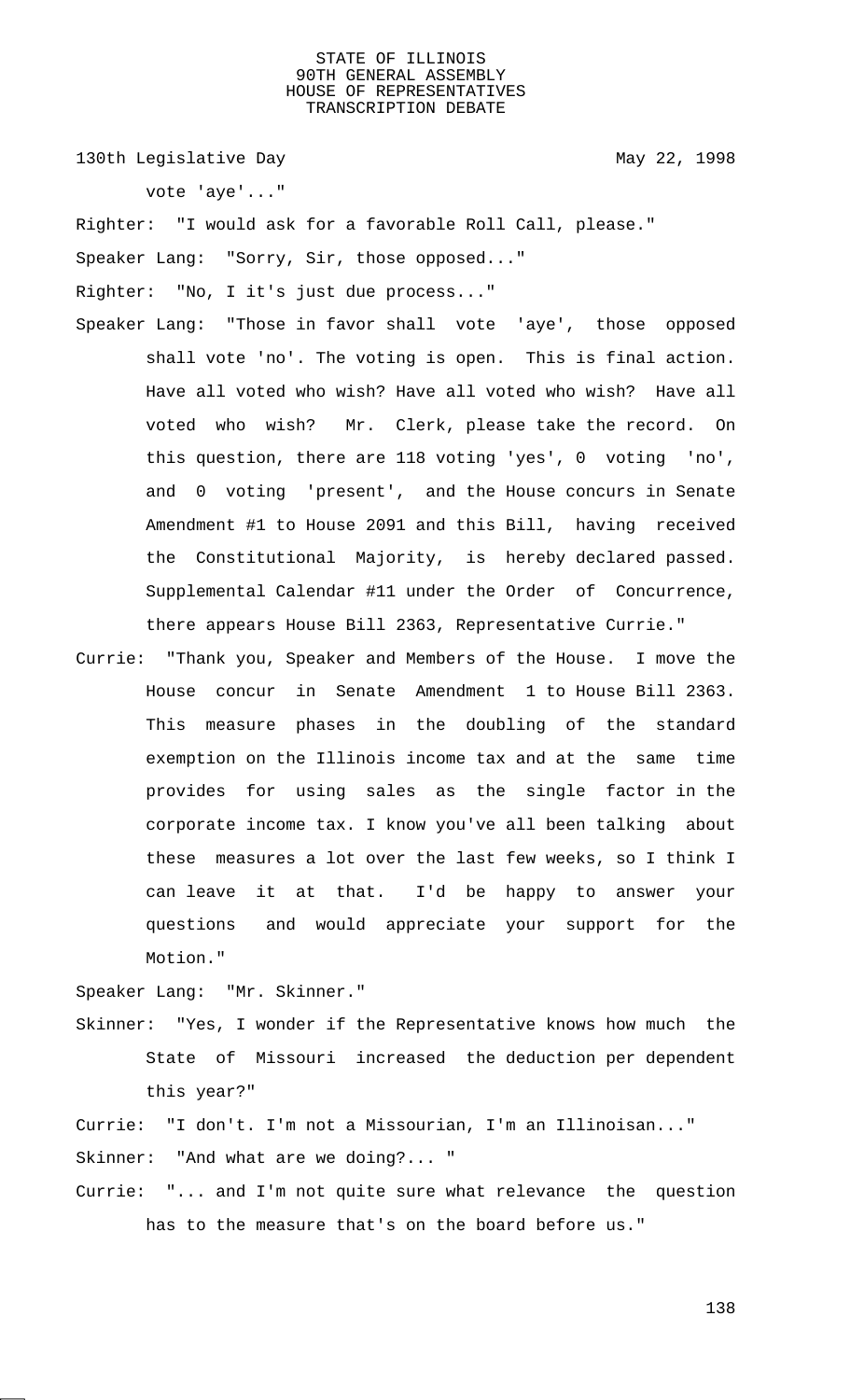130th Legislative Day 130th May 22, 1998

vote 'aye'..."

Righter: "I would ask for a favorable Roll Call, please."

Speaker Lang: "Sorry, Sir, those opposed..."

Righter: "No, I it's just due process..."

- Speaker Lang: "Those in favor shall vote 'aye', those opposed shall vote 'no'. The voting is open. This is final action. Have all voted who wish? Have all voted who wish? Have all voted who wish? Mr. Clerk, please take the record. On this question, there are 118 voting 'yes', 0 voting 'no', and 0 voting 'present', and the House concurs in Senate Amendment #1 to House 2091 and this Bill, having received the Constitutional Majority, is hereby declared passed. Supplemental Calendar #11 under the Order of Concurrence, there appears House Bill 2363, Representative Currie."
- Currie: "Thank you, Speaker and Members of the House. I move the House concur in Senate Amendment 1 to House Bill 2363. This measure phases in the doubling of the standard exemption on the Illinois income tax and at the same time provides for using sales as the single factor in the corporate income tax. I know you've all been talking about these measures a lot over the last few weeks, so I think I can leave it at that. I'd be happy to answer your questions and would appreciate your support for the Motion."

Speaker Lang: "Mr. Skinner."

Skinner: "Yes, I wonder if the Representative knows how much the State of Missouri increased the deduction per dependent this year?"

Currie: "I don't. I'm not a Missourian, I'm an Illinoisan..." Skinner: "And what are we doing?... "

Currie: "... and I'm not quite sure what relevance the question has to the measure that's on the board before us."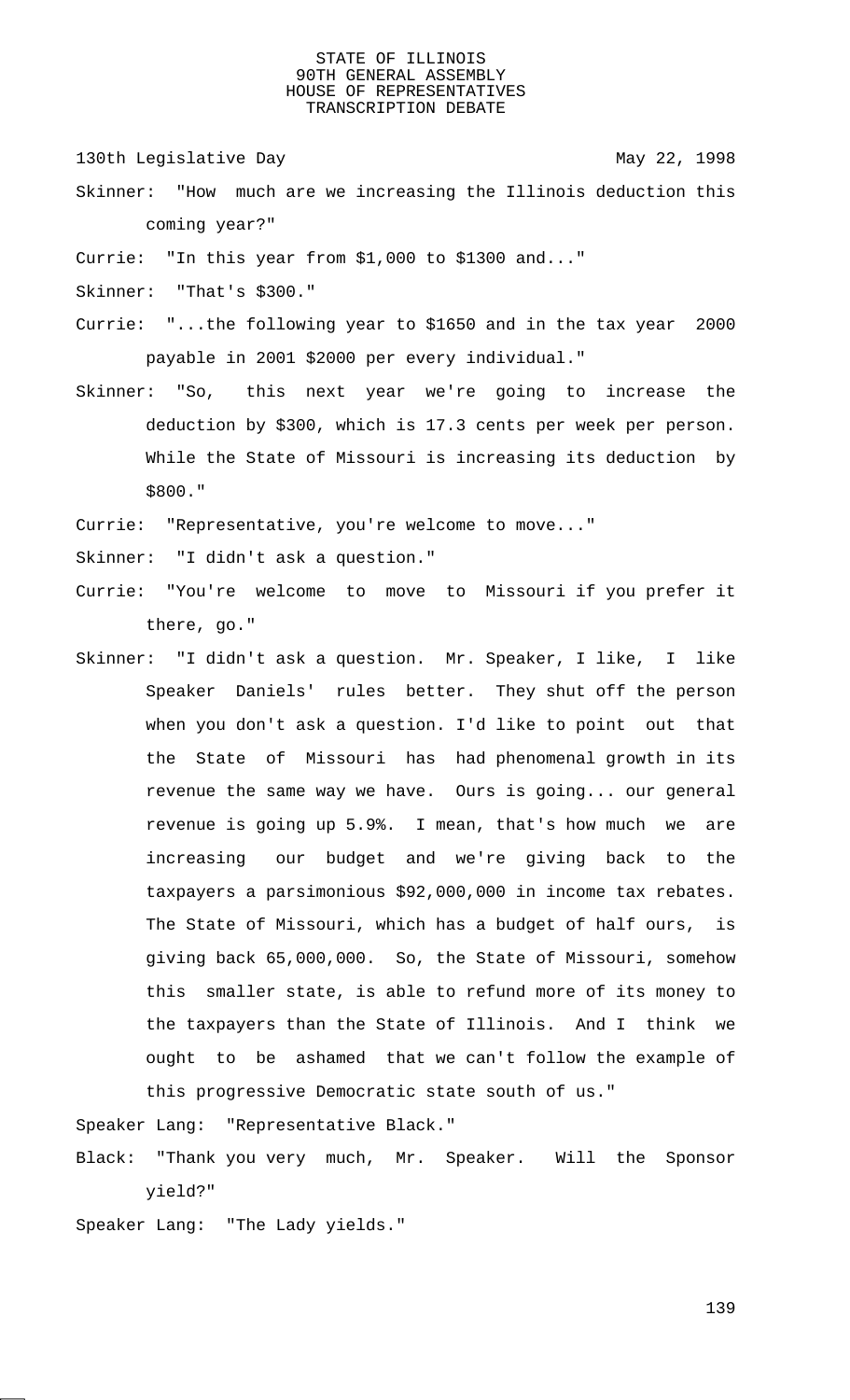130th Legislative Day 130th May 22, 1998

- Skinner: "How much are we increasing the Illinois deduction this coming year?"
- Currie: "In this year from \$1,000 to \$1300 and..."
- Skinner: "That's \$300."
- Currie: "...the following year to \$1650 and in the tax year 2000 payable in 2001 \$2000 per every individual."
- Skinner: "So, this next year we're going to increase the deduction by \$300, which is 17.3 cents per week per person. While the State of Missouri is increasing its deduction by \$800."
- Currie: "Representative, you're welcome to move..."
- Skinner: "I didn't ask a question."
- Currie: "You're welcome to move to Missouri if you prefer it there, go."
- Skinner: "I didn't ask a question. Mr. Speaker, I like, I like Speaker Daniels' rules better. They shut off the person when you don't ask a question. I'd like to point out that the State of Missouri has had phenomenal growth in its revenue the same way we have. Ours is going... our general revenue is going up 5.9%. I mean, that's how much we are increasing our budget and we're giving back to the taxpayers a parsimonious \$92,000,000 in income tax rebates. The State of Missouri, which has a budget of half ours, is giving back 65,000,000. So, the State of Missouri, somehow this smaller state, is able to refund more of its money to the taxpayers than the State of Illinois. And I think we ought to be ashamed that we can't follow the example of this progressive Democratic state south of us."

Speaker Lang: "Representative Black."

- Black: "Thank you very much, Mr. Speaker. Will the Sponsor yield?"
- Speaker Lang: "The Lady yields."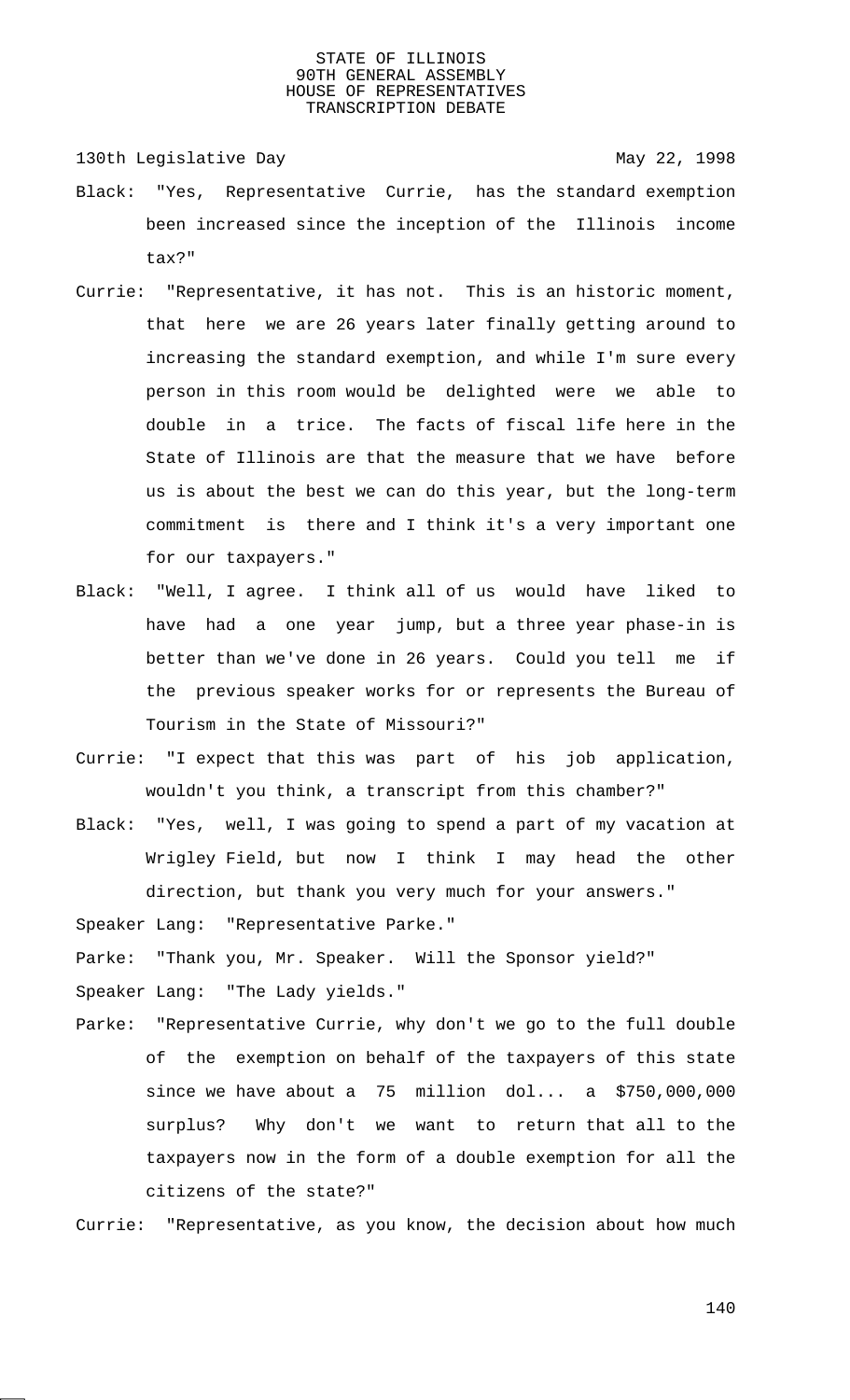130th Legislative Day 130th May 22, 1998

- Black: "Yes, Representative Currie, has the standard exemption been increased since the inception of the Illinois income tax?"
- Currie: "Representative, it has not. This is an historic moment, that here we are 26 years later finally getting around to increasing the standard exemption, and while I'm sure every person in this room would be delighted were we able to double in a trice. The facts of fiscal life here in the State of Illinois are that the measure that we have before us is about the best we can do this year, but the long-term commitment is there and I think it's a very important one for our taxpayers."
- Black: "Well, I agree. I think all of us would have liked to have had a one year jump, but a three year phase-in is better than we've done in 26 years. Could you tell me if the previous speaker works for or represents the Bureau of Tourism in the State of Missouri?"
- Currie: "I expect that this was part of his job application, wouldn't you think, a transcript from this chamber?"
- Black: "Yes, well, I was going to spend a part of my vacation at Wrigley Field, but now I think I may head the other direction, but thank you very much for your answers."

Speaker Lang: "Representative Parke."

Parke: "Thank you, Mr. Speaker. Will the Sponsor yield?"

Speaker Lang: "The Lady yields."

Parke: "Representative Currie, why don't we go to the full double of the exemption on behalf of the taxpayers of this state since we have about a 75 million dol... a \$750,000,000 surplus? Why don't we want to return that all to the taxpayers now in the form of a double exemption for all the citizens of the state?"

Currie: "Representative, as you know, the decision about how much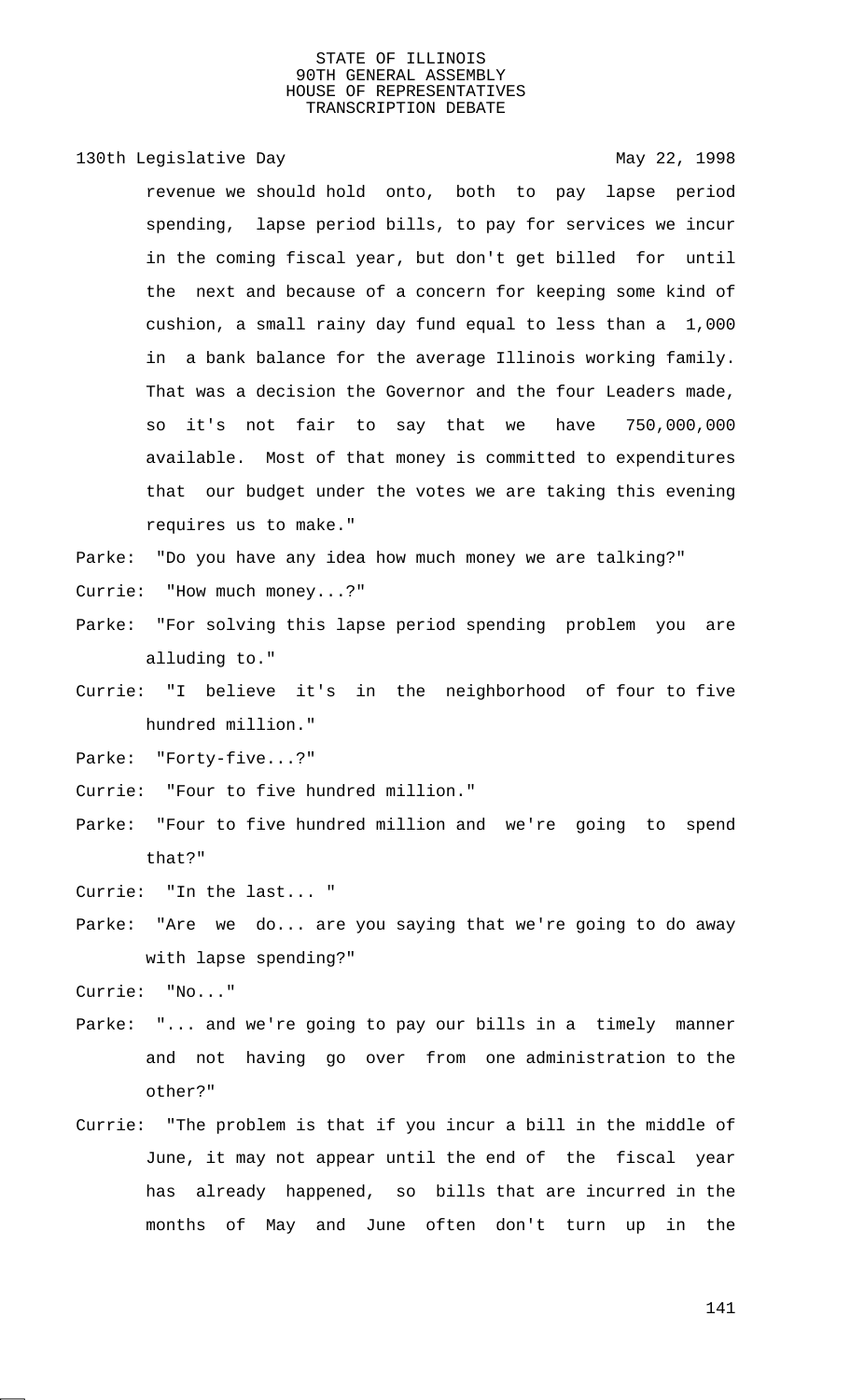### 130th Legislative Day 130th May 22, 1998

revenue we should hold onto, both to pay lapse period spending, lapse period bills, to pay for services we incur in the coming fiscal year, but don't get billed for until the next and because of a concern for keeping some kind of cushion, a small rainy day fund equal to less than a 1,000 in a bank balance for the average Illinois working family. That was a decision the Governor and the four Leaders made, so it's not fair to say that we have 750,000,000 available. Most of that money is committed to expenditures that our budget under the votes we are taking this evening requires us to make."

Parke: "Do you have any idea how much money we are talking?"

- Currie: "How much money...?"
- Parke: "For solving this lapse period spending problem you are alluding to."
- Currie: "I believe it's in the neighborhood of four to five hundred million."

Parke: "Forty-five...?"

Currie: "Four to five hundred million."

Parke: "Four to five hundred million and we're going to spend that?"

Currie: "In the last... "

Parke: "Are we do... are you saying that we're going to do away with lapse spending?"

Currie: "No..."

- Parke: "... and we're going to pay our bills in a timely manner and not having go over from one administration to the other?"
- Currie: "The problem is that if you incur a bill in the middle of June, it may not appear until the end of the fiscal year has already happened, so bills that are incurred in the months of May and June often don't turn up in the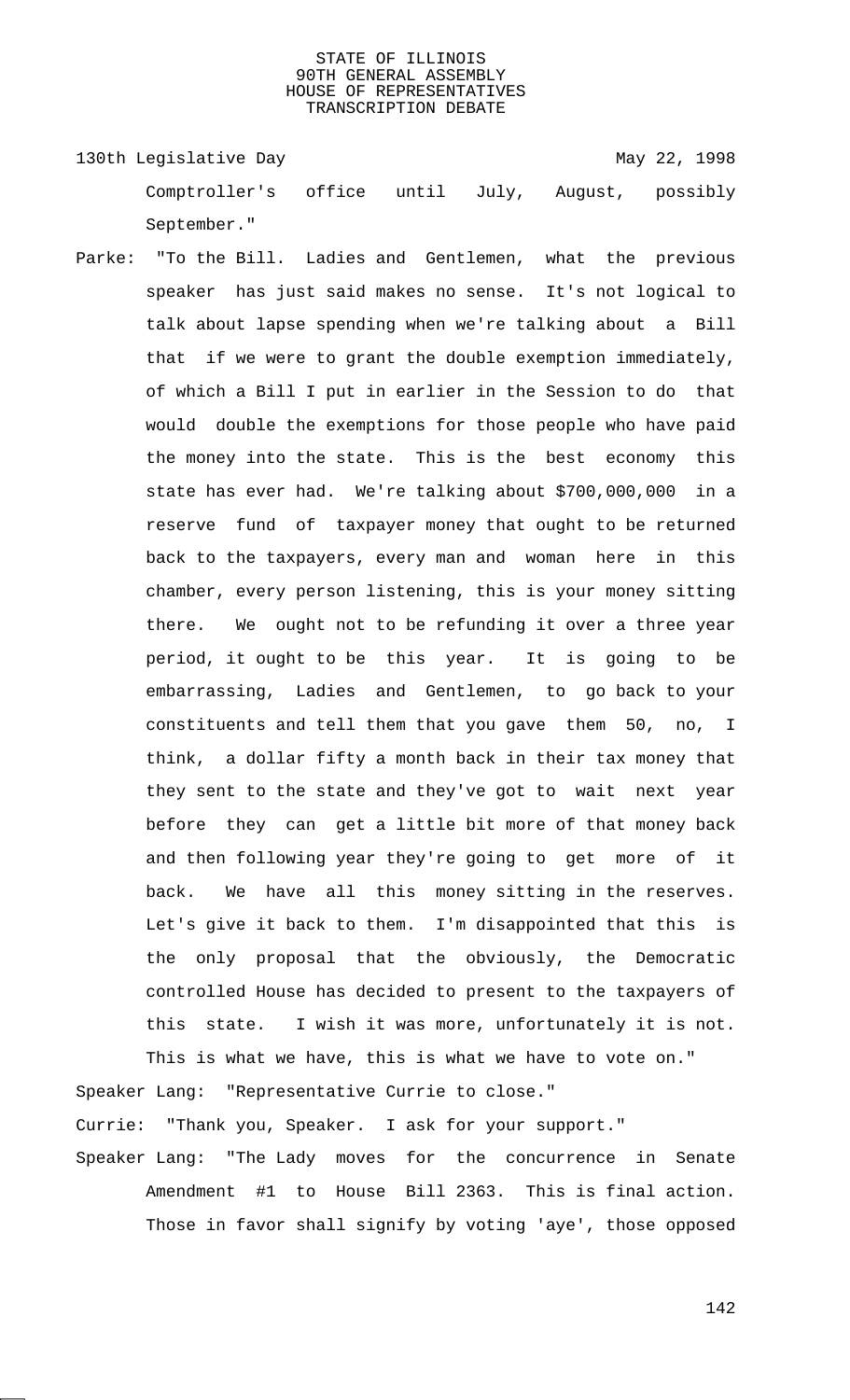130th Legislative Day 130th May 22, 1998 Comptroller's office until July, August, possibly September."

Parke: "To the Bill. Ladies and Gentlemen, what the previous speaker has just said makes no sense. It's not logical to talk about lapse spending when we're talking about a Bill that if we were to grant the double exemption immediately, of which a Bill I put in earlier in the Session to do that would double the exemptions for those people who have paid the money into the state. This is the best economy this state has ever had. We're talking about \$700,000,000 in a reserve fund of taxpayer money that ought to be returned back to the taxpayers, every man and woman here in this chamber, every person listening, this is your money sitting there. We ought not to be refunding it over a three year period, it ought to be this year. It is going to be embarrassing, Ladies and Gentlemen, to go back to your constituents and tell them that you gave them 50, no, I think, a dollar fifty a month back in their tax money that they sent to the state and they've got to wait next year before they can get a little bit more of that money back and then following year they're going to get more of it back. We have all this money sitting in the reserves. Let's give it back to them. I'm disappointed that this is the only proposal that the obviously, the Democratic controlled House has decided to present to the taxpayers of this state. I wish it was more, unfortunately it is not.

This is what we have, this is what we have to vote on." Speaker Lang: "Representative Currie to close." Currie: "Thank you, Speaker. I ask for your support."

Speaker Lang: "The Lady moves for the concurrence in Senate Amendment #1 to House Bill 2363. This is final action. Those in favor shall signify by voting 'aye', those opposed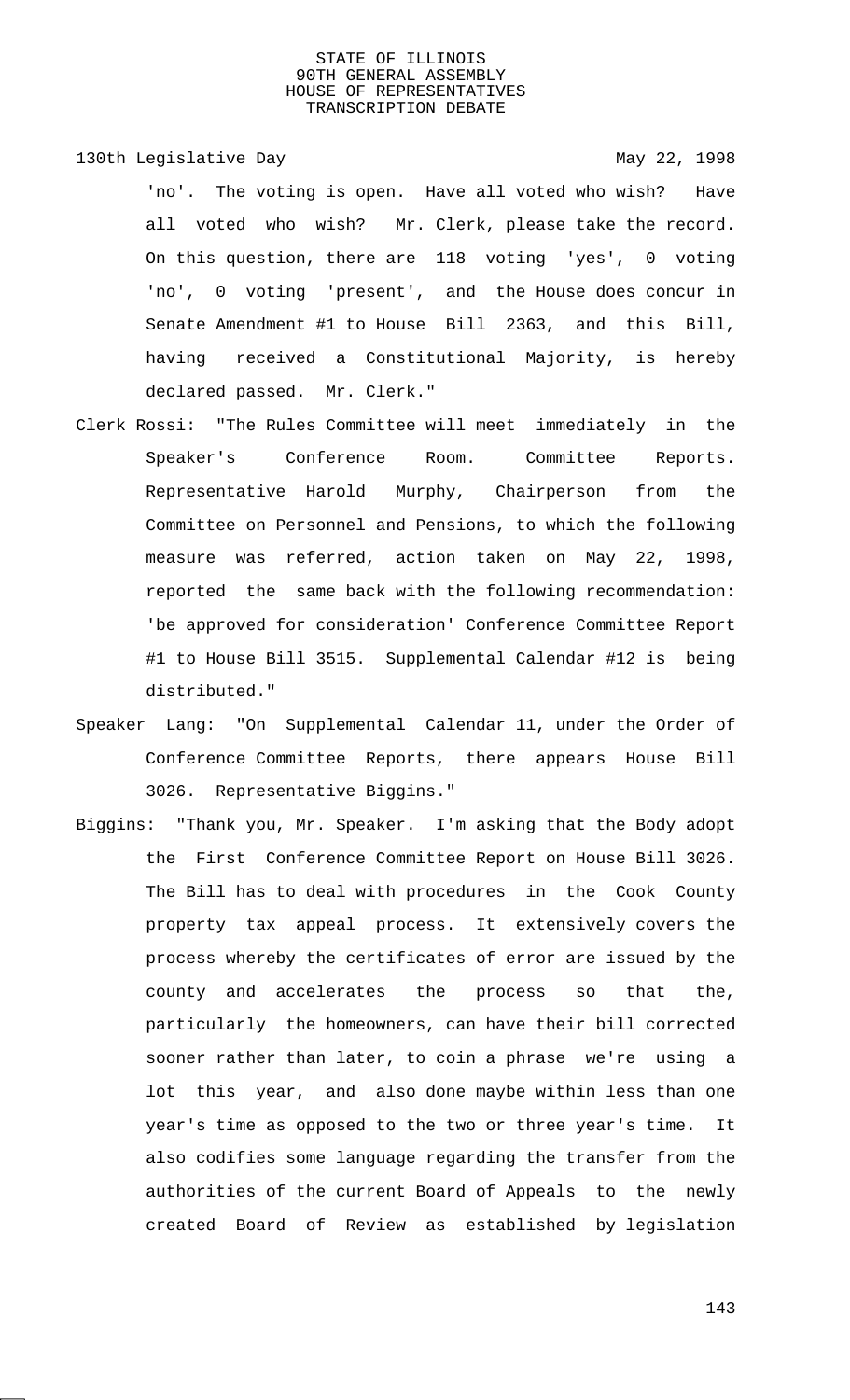- 130th Legislative Day 130th May 22, 1998 'no'. The voting is open. Have all voted who wish? Have all voted who wish? Mr. Clerk, please take the record. On this question, there are 118 voting 'yes', 0 voting 'no', 0 voting 'present', and the House does concur in Senate Amendment #1 to House Bill 2363, and this Bill, having received a Constitutional Majority, is hereby declared passed. Mr. Clerk."
- Clerk Rossi: "The Rules Committee will meet immediately in the Speaker's Conference Room. Committee Reports. Representative Harold Murphy, Chairperson from the Committee on Personnel and Pensions, to which the following measure was referred, action taken on May 22, 1998, reported the same back with the following recommendation: 'be approved for consideration' Conference Committee Report #1 to House Bill 3515. Supplemental Calendar #12 is being distributed."
- Speaker Lang: "On Supplemental Calendar 11, under the Order of Conference Committee Reports, there appears House Bill 3026. Representative Biggins."
- Biggins: "Thank you, Mr. Speaker. I'm asking that the Body adopt the First Conference Committee Report on House Bill 3026. The Bill has to deal with procedures in the Cook County property tax appeal process. It extensively covers the process whereby the certificates of error are issued by the county and accelerates the process so that the, particularly the homeowners, can have their bill corrected sooner rather than later, to coin a phrase we're using a lot this year, and also done maybe within less than one year's time as opposed to the two or three year's time. It also codifies some language regarding the transfer from the authorities of the current Board of Appeals to the newly created Board of Review as established by legislation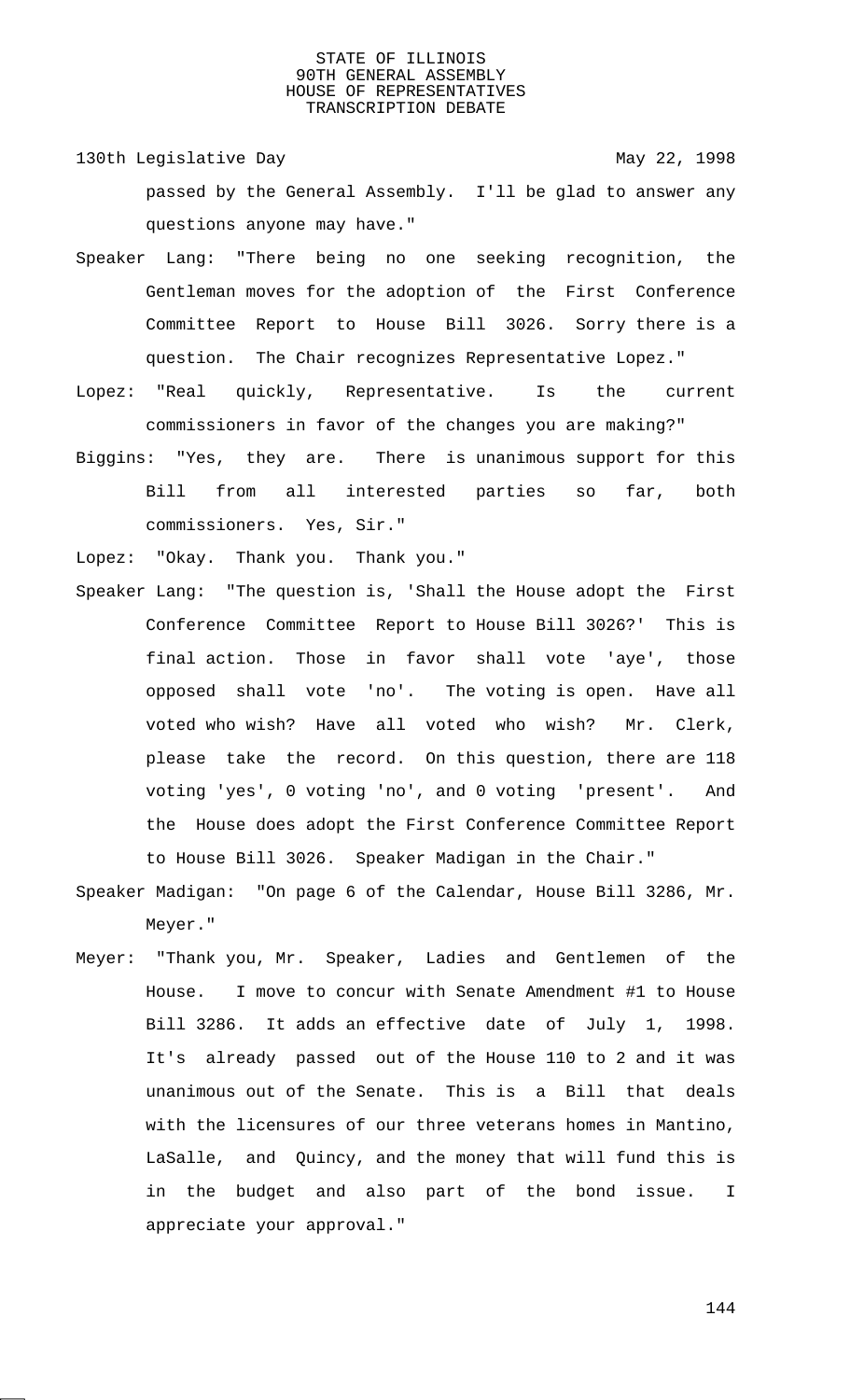- 130th Legislative Day 130th May 22, 1998 passed by the General Assembly. I'll be glad to answer any questions anyone may have."
- Speaker Lang: "There being no one seeking recognition, the Gentleman moves for the adoption of the First Conference Committee Report to House Bill 3026. Sorry there is a question. The Chair recognizes Representative Lopez."
- Lopez: "Real quickly, Representative. Is the current commissioners in favor of the changes you are making?"
- Biggins: "Yes, they are. There is unanimous support for this Bill from all interested parties so far, both commissioners. Yes, Sir."
- Lopez: "Okay. Thank you. Thank you."
- Speaker Lang: "The question is, 'Shall the House adopt the First Conference Committee Report to House Bill 3026?' This is final action. Those in favor shall vote 'aye', those opposed shall vote 'no'. The voting is open. Have all voted who wish? Have all voted who wish? Mr. Clerk, please take the record. On this question, there are 118 voting 'yes', 0 voting 'no', and 0 voting 'present'. And the House does adopt the First Conference Committee Report to House Bill 3026. Speaker Madigan in the Chair."
- Speaker Madigan: "On page 6 of the Calendar, House Bill 3286, Mr. Meyer."
- Meyer: "Thank you, Mr. Speaker, Ladies and Gentlemen of the House. I move to concur with Senate Amendment #1 to House Bill 3286. It adds an effective date of July 1, 1998. It's already passed out of the House 110 to 2 and it was unanimous out of the Senate. This is a Bill that deals with the licensures of our three veterans homes in Mantino, LaSalle, and Quincy, and the money that will fund this is in the budget and also part of the bond issue. I appreciate your approval."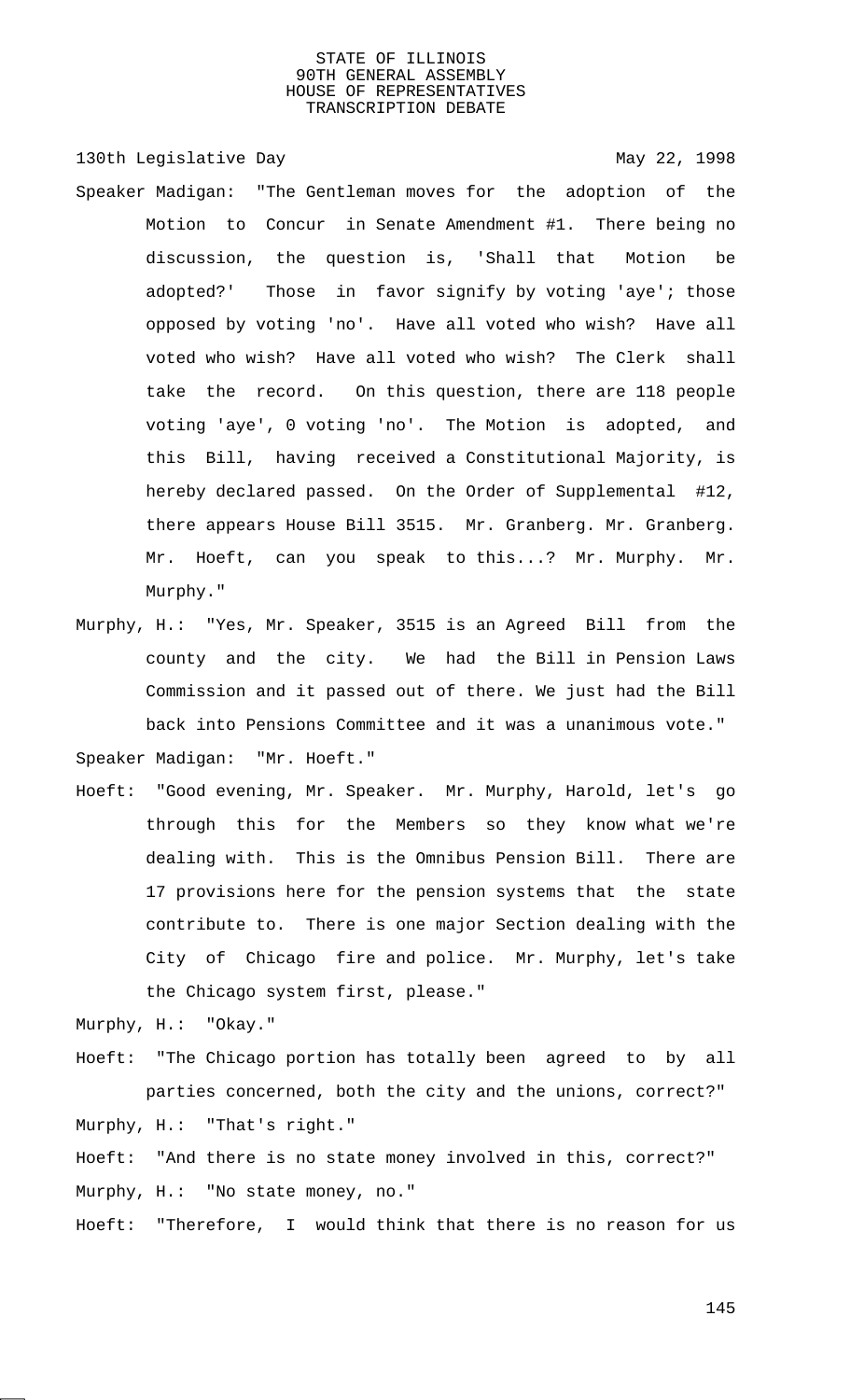130th Legislative Day 130th May 22, 1998 Speaker Madigan: "The Gentleman moves for the adoption of the Motion to Concur in Senate Amendment #1. There being no discussion, the question is, 'Shall that Motion be adopted?' Those in favor signify by voting 'aye'; those opposed by voting 'no'. Have all voted who wish? Have all voted who wish? Have all voted who wish? The Clerk shall take the record. On this question, there are 118 people voting 'aye', 0 voting 'no'. The Motion is adopted, and this Bill, having received a Constitutional Majority, is hereby declared passed. On the Order of Supplemental #12, there appears House Bill 3515. Mr. Granberg. Mr. Granberg. Mr. Hoeft, can you speak to this...? Mr. Murphy. Mr. Murphy."

- Murphy, H.: "Yes, Mr. Speaker, 3515 is an Agreed Bill from the county and the city. We had the Bill in Pension Laws Commission and it passed out of there. We just had the Bill back into Pensions Committee and it was a unanimous vote." Speaker Madigan: "Mr. Hoeft."
- Hoeft: "Good evening, Mr. Speaker. Mr. Murphy, Harold, let's go through this for the Members so they know what we're dealing with. This is the Omnibus Pension Bill. There are 17 provisions here for the pension systems that the state contribute to. There is one major Section dealing with the City of Chicago fire and police. Mr. Murphy, let's take the Chicago system first, please."

Murphy, H.: "Okay."

Hoeft: "The Chicago portion has totally been agreed to by all parties concerned, both the city and the unions, correct?" Murphy, H.: "That's right."

Hoeft: "And there is no state money involved in this, correct?" Murphy, H.: "No state money, no."

Hoeft: "Therefore, I would think that there is no reason for us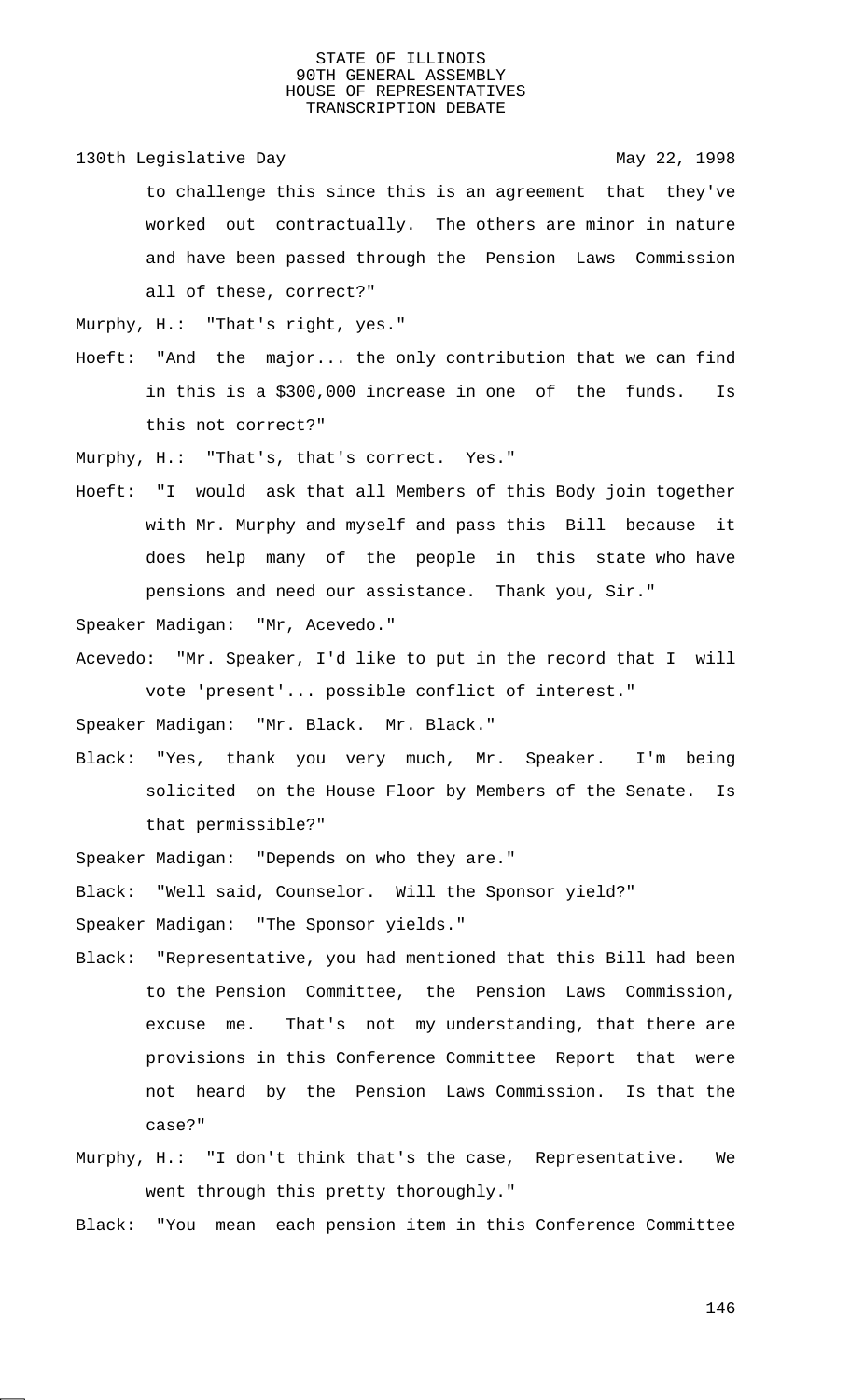130th Legislative Day 130th May 22, 1998

to challenge this since this is an agreement that they've worked out contractually. The others are minor in nature and have been passed through the Pension Laws Commission all of these, correct?"

Murphy, H.: "That's right, yes."

Hoeft: "And the major... the only contribution that we can find in this is a \$300,000 increase in one of the funds. Is this not correct?"

Murphy, H.: "That's, that's correct. Yes."

Hoeft: "I would ask that all Members of this Body join together with Mr. Murphy and myself and pass this Bill because it does help many of the people in this state who have pensions and need our assistance. Thank you, Sir."

Speaker Madigan: "Mr, Acevedo."

Acevedo: "Mr. Speaker, I'd like to put in the record that I will vote 'present'... possible conflict of interest."

Speaker Madigan: "Mr. Black. Mr. Black."

Black: "Yes, thank you very much, Mr. Speaker. I'm being solicited on the House Floor by Members of the Senate. Is that permissible?"

Speaker Madigan: "Depends on who they are."

Black: "Well said, Counselor. Will the Sponsor yield?"

Speaker Madigan: "The Sponsor yields."

- Black: "Representative, you had mentioned that this Bill had been to the Pension Committee, the Pension Laws Commission, excuse me. That's not my understanding, that there are provisions in this Conference Committee Report that were not heard by the Pension Laws Commission. Is that the case?"
- Murphy, H.: "I don't think that's the case, Representative. We went through this pretty thoroughly."

Black: "You mean each pension item in this Conference Committee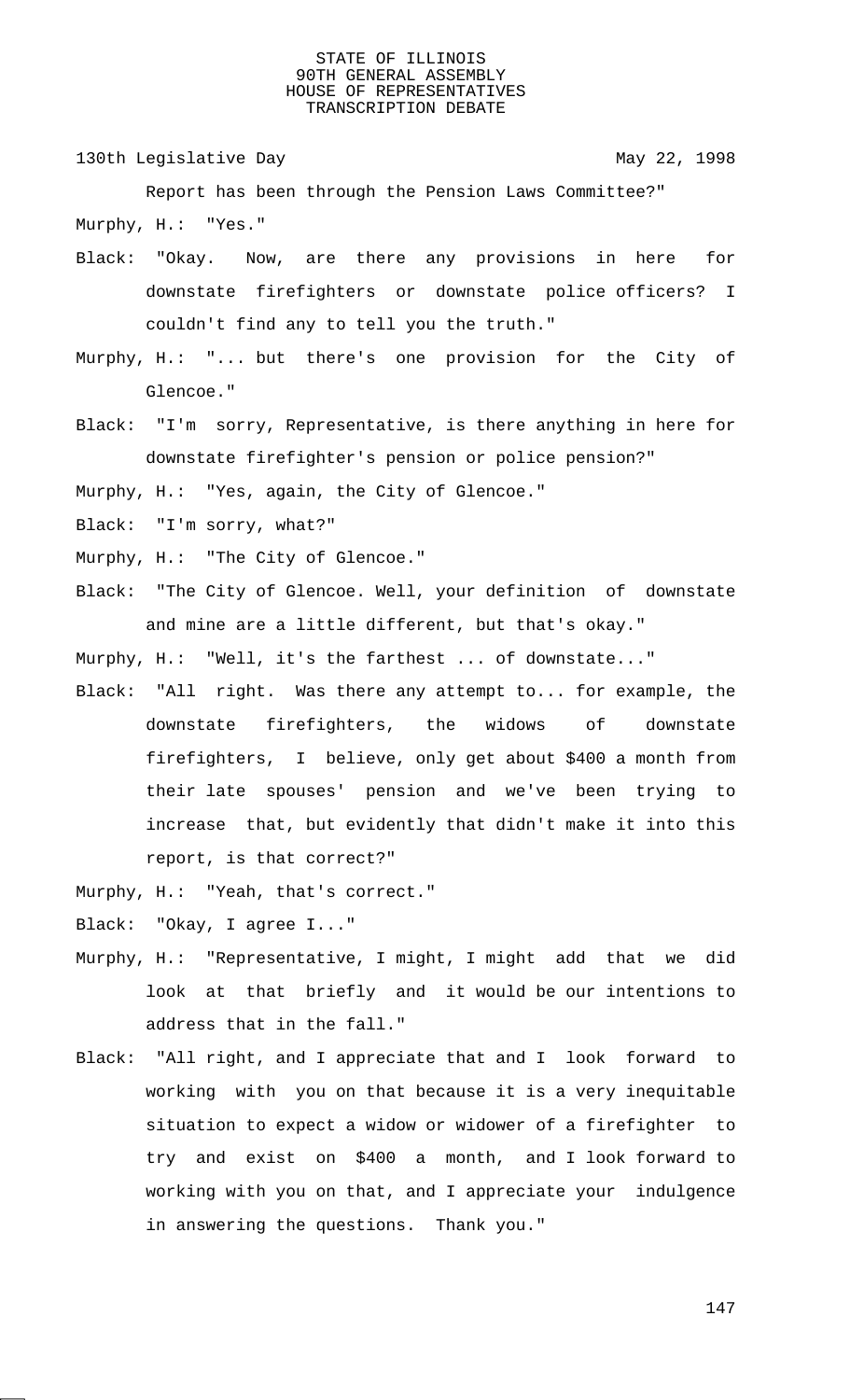130th Legislative Day 130th May 22, 1998

Report has been through the Pension Laws Committee?" Murphy, H.: "Yes."

- Black: "Okay. Now, are there any provisions in here for downstate firefighters or downstate police officers? I couldn't find any to tell you the truth."
- Murphy, H.: "... but there's one provision for the City of Glencoe."
- Black: "I'm sorry, Representative, is there anything in here for downstate firefighter's pension or police pension?"

Murphy, H.: "Yes, again, the City of Glencoe."

- Black: "I'm sorry, what?"
- Murphy, H.: "The City of Glencoe."
- Black: "The City of Glencoe. Well, your definition of downstate and mine are a little different, but that's okay."

Murphy, H.: "Well, it's the farthest ... of downstate..."

- Black: "All right. Was there any attempt to... for example, the downstate firefighters, the widows of downstate firefighters, I believe, only get about \$400 a month from their late spouses' pension and we've been trying to increase that, but evidently that didn't make it into this report, is that correct?"
- Murphy, H.: "Yeah, that's correct."

Black: "Okay, I agree I..."

- Murphy, H.: "Representative, I might, I might add that we did look at that briefly and it would be our intentions to address that in the fall."
- Black: "All right, and I appreciate that and I look forward to working with you on that because it is a very inequitable situation to expect a widow or widower of a firefighter to try and exist on \$400 a month, and I look forward to working with you on that, and I appreciate your indulgence in answering the questions. Thank you."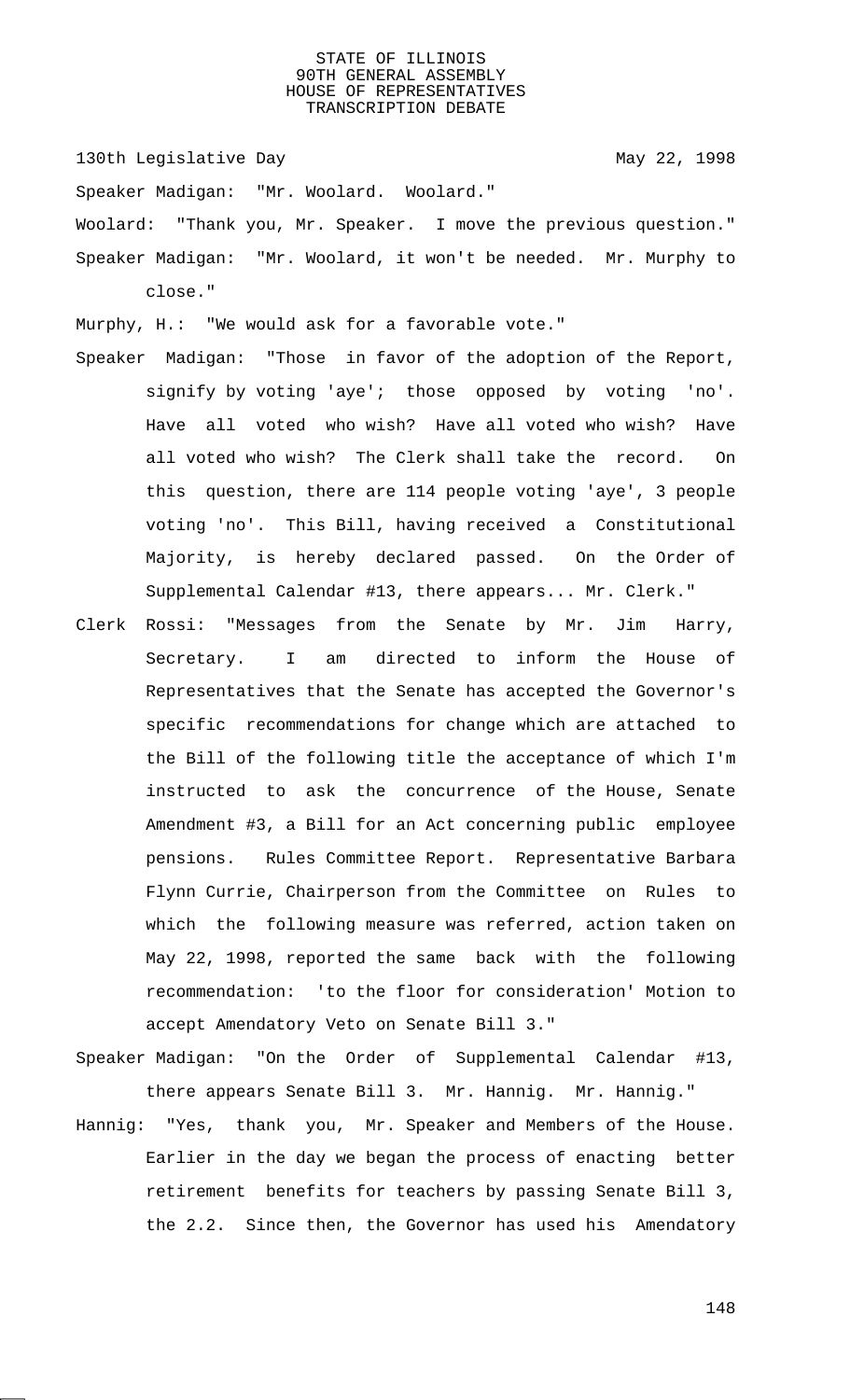130th Legislative Day 130th May 22, 1998

Speaker Madigan: "Mr. Woolard. Woolard."

Woolard: "Thank you, Mr. Speaker. I move the previous question." Speaker Madigan: "Mr. Woolard, it won't be needed. Mr. Murphy to close."

Murphy, H.: "We would ask for a favorable vote."

- Speaker Madigan: "Those in favor of the adoption of the Report, signify by voting 'aye'; those opposed by voting 'no'. Have all voted who wish? Have all voted who wish? Have all voted who wish? The Clerk shall take the record. On this question, there are 114 people voting 'aye', 3 people voting 'no'. This Bill, having received a Constitutional Majority, is hereby declared passed. On the Order of Supplemental Calendar #13, there appears... Mr. Clerk."
- Clerk Rossi: "Messages from the Senate by Mr. Jim Harry, Secretary. I am directed to inform the House of Representatives that the Senate has accepted the Governor's specific recommendations for change which are attached to the Bill of the following title the acceptance of which I'm instructed to ask the concurrence of the House, Senate Amendment #3, a Bill for an Act concerning public employee pensions. Rules Committee Report. Representative Barbara Flynn Currie, Chairperson from the Committee on Rules to which the following measure was referred, action taken on May 22, 1998, reported the same back with the following recommendation: 'to the floor for consideration' Motion to accept Amendatory Veto on Senate Bill 3."
- Speaker Madigan: "On the Order of Supplemental Calendar #13, there appears Senate Bill 3. Mr. Hannig. Mr. Hannig."
- Hannig: "Yes, thank you, Mr. Speaker and Members of the House. Earlier in the day we began the process of enacting better retirement benefits for teachers by passing Senate Bill 3, the 2.2. Since then, the Governor has used his Amendatory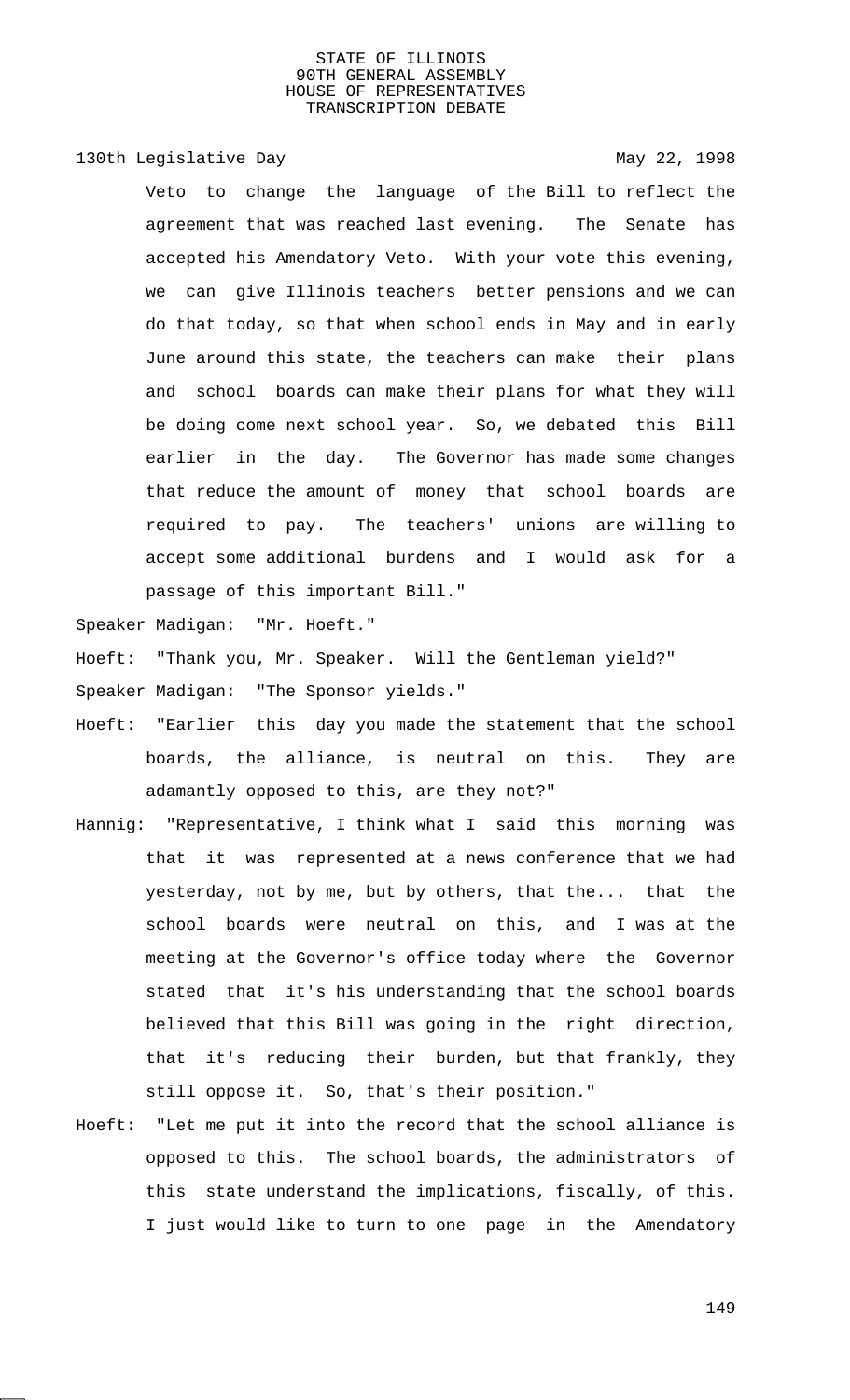130th Legislative Day 130th May 22, 1998

Veto to change the language of the Bill to reflect the agreement that was reached last evening. The Senate has accepted his Amendatory Veto. With your vote this evening, we can give Illinois teachers better pensions and we can do that today, so that when school ends in May and in early June around this state, the teachers can make their plans and school boards can make their plans for what they will be doing come next school year. So, we debated this Bill earlier in the day. The Governor has made some changes that reduce the amount of money that school boards are required to pay. The teachers' unions are willing to accept some additional burdens and I would ask for a passage of this important Bill."

Speaker Madigan: "Mr. Hoeft."

Hoeft: "Thank you, Mr. Speaker. Will the Gentleman yield?"

Speaker Madigan: "The Sponsor yields."

- Hoeft: "Earlier this day you made the statement that the school boards, the alliance, is neutral on this. They are adamantly opposed to this, are they not?"
- Hannig: "Representative, I think what I said this morning was that it was represented at a news conference that we had yesterday, not by me, but by others, that the... that the school boards were neutral on this, and I was at the meeting at the Governor's office today where the Governor stated that it's his understanding that the school boards believed that this Bill was going in the right direction, that it's reducing their burden, but that frankly, they still oppose it. So, that's their position."
- Hoeft: "Let me put it into the record that the school alliance is opposed to this. The school boards, the administrators of this state understand the implications, fiscally, of this. I just would like to turn to one page in the Amendatory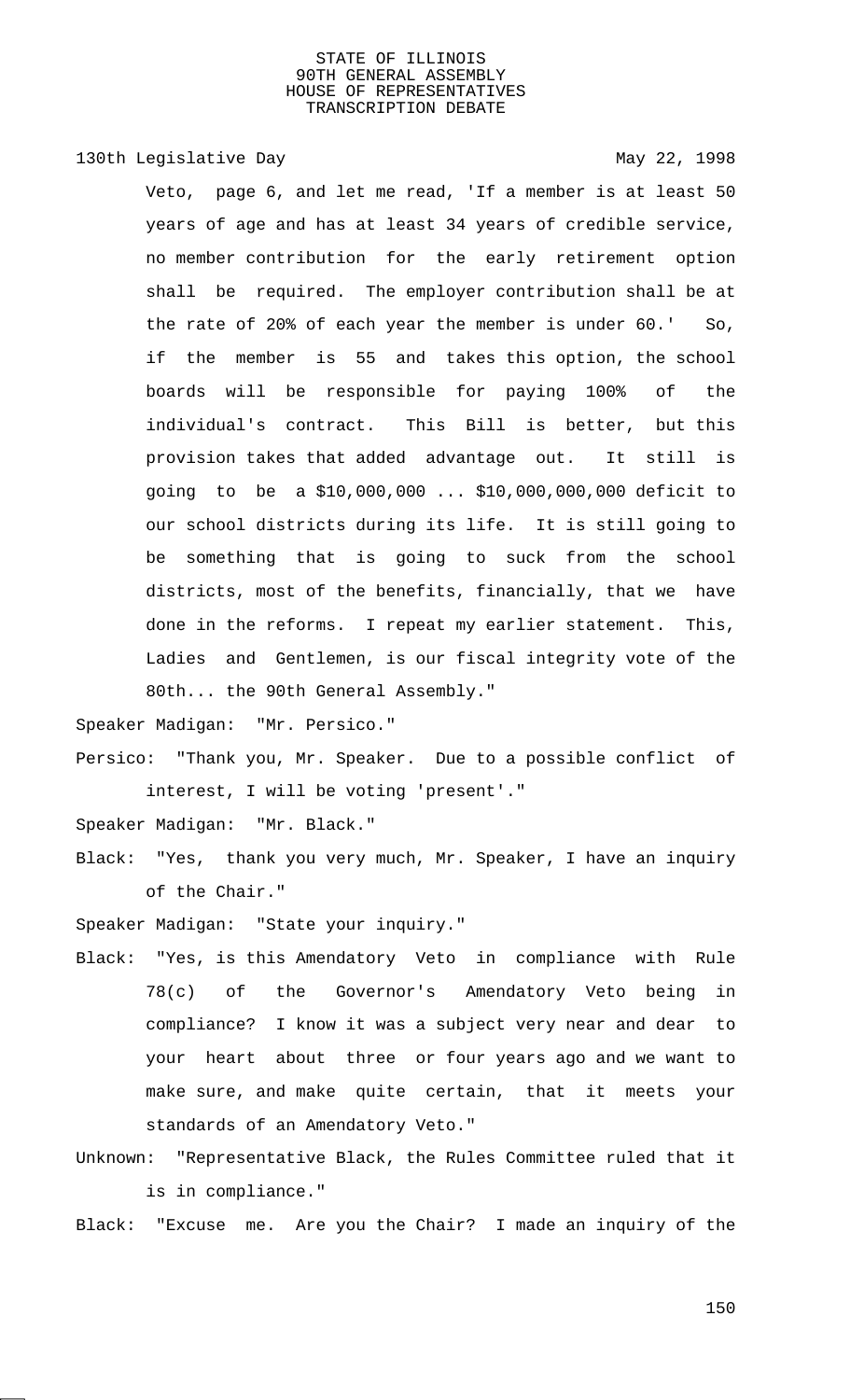130th Legislative Day 130th May 22, 1998

Veto, page 6, and let me read, 'If a member is at least 50 years of age and has at least 34 years of credible service, no member contribution for the early retirement option shall be required. The employer contribution shall be at the rate of 20% of each year the member is under 60.' So, if the member is 55 and takes this option, the school boards will be responsible for paying 100% of the individual's contract. This Bill is better, but this provision takes that added advantage out. It still is going to be a \$10,000,000 ... \$10,000,000,000 deficit to our school districts during its life. It is still going to be something that is going to suck from the school districts, most of the benefits, financially, that we have done in the reforms. I repeat my earlier statement. This, Ladies and Gentlemen, is our fiscal integrity vote of the 80th... the 90th General Assembly."

Speaker Madigan: "Mr. Persico."

Persico: "Thank you, Mr. Speaker. Due to a possible conflict of interest, I will be voting 'present'."

Speaker Madigan: "Mr. Black."

Black: "Yes, thank you very much, Mr. Speaker, I have an inquiry of the Chair."

Speaker Madigan: "State your inquiry."

- Black: "Yes, is this Amendatory Veto in compliance with Rule 78(c) of the Governor's Amendatory Veto being in compliance? I know it was a subject very near and dear to your heart about three or four years ago and we want to make sure, and make quite certain, that it meets your standards of an Amendatory Veto."
- Unknown: "Representative Black, the Rules Committee ruled that it is in compliance."

Black: "Excuse me. Are you the Chair? I made an inquiry of the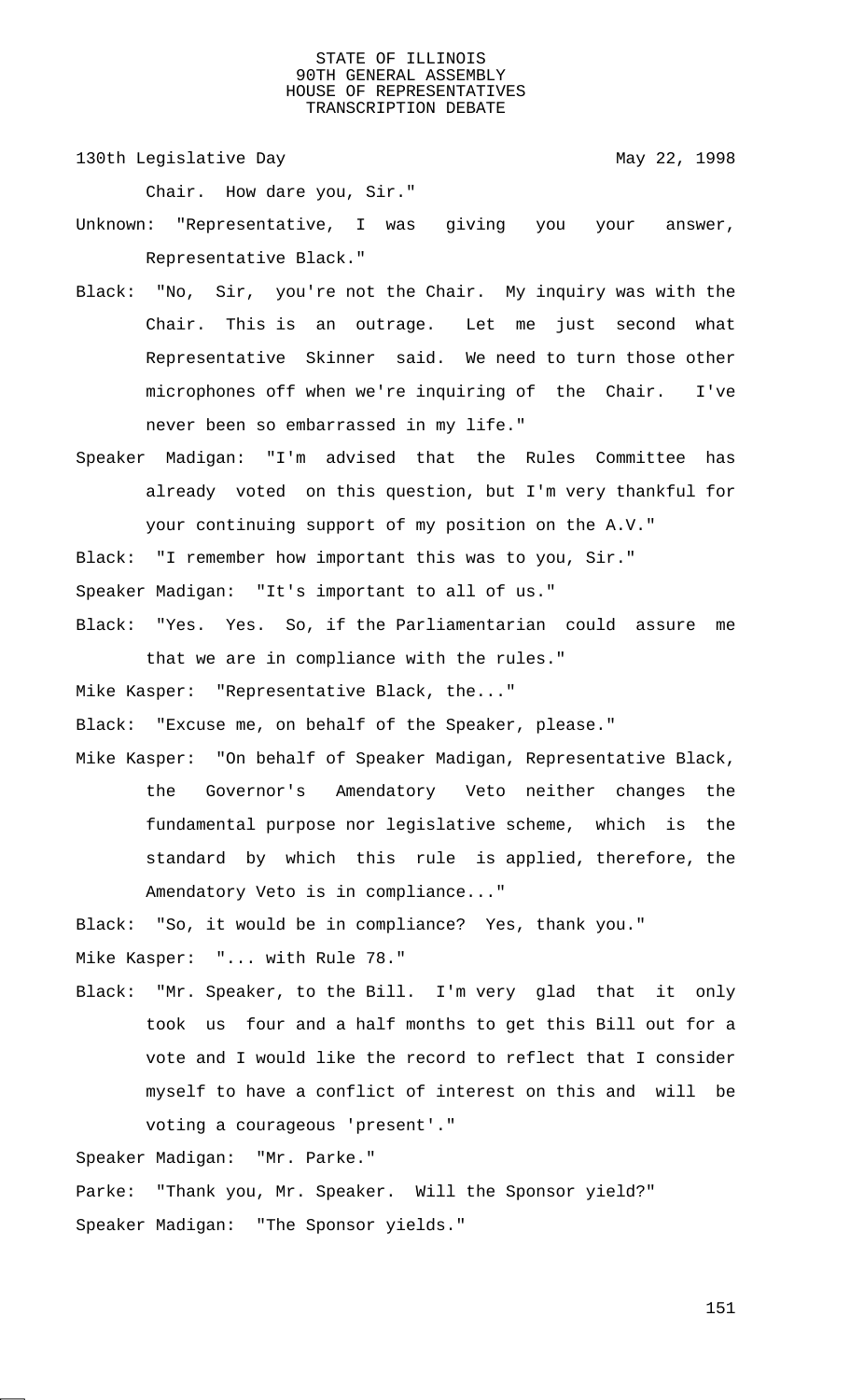130th Legislative Day 130th May 22, 1998

Chair. How dare you, Sir."

Unknown: "Representative, I was giving you your answer, Representative Black."

- Black: "No, Sir, you're not the Chair. My inquiry was with the Chair. This is an outrage. Let me just second what Representative Skinner said. We need to turn those other microphones off when we're inquiring of the Chair. I've never been so embarrassed in my life."
- Speaker Madigan: "I'm advised that the Rules Committee has already voted on this question, but I'm very thankful for your continuing support of my position on the A.V."

Black: "I remember how important this was to you, Sir."

Speaker Madigan: "It's important to all of us."

Black: "Yes. Yes. So, if the Parliamentarian could assure me that we are in compliance with the rules."

Mike Kasper: "Representative Black, the..."

Black: "Excuse me, on behalf of the Speaker, please."

Mike Kasper: "On behalf of Speaker Madigan, Representative Black, the Governor's Amendatory Veto neither changes the fundamental purpose nor legislative scheme, which is the standard by which this rule is applied, therefore, the Amendatory Veto is in compliance..."

Black: "So, it would be in compliance? Yes, thank you."

Mike Kasper: "... with Rule 78."

Black: "Mr. Speaker, to the Bill. I'm very glad that it only took us four and a half months to get this Bill out for a vote and I would like the record to reflect that I consider myself to have a conflict of interest on this and will be voting a courageous 'present'."

Speaker Madigan: "Mr. Parke."

Parke: "Thank you, Mr. Speaker. Will the Sponsor yield?" Speaker Madigan: "The Sponsor yields."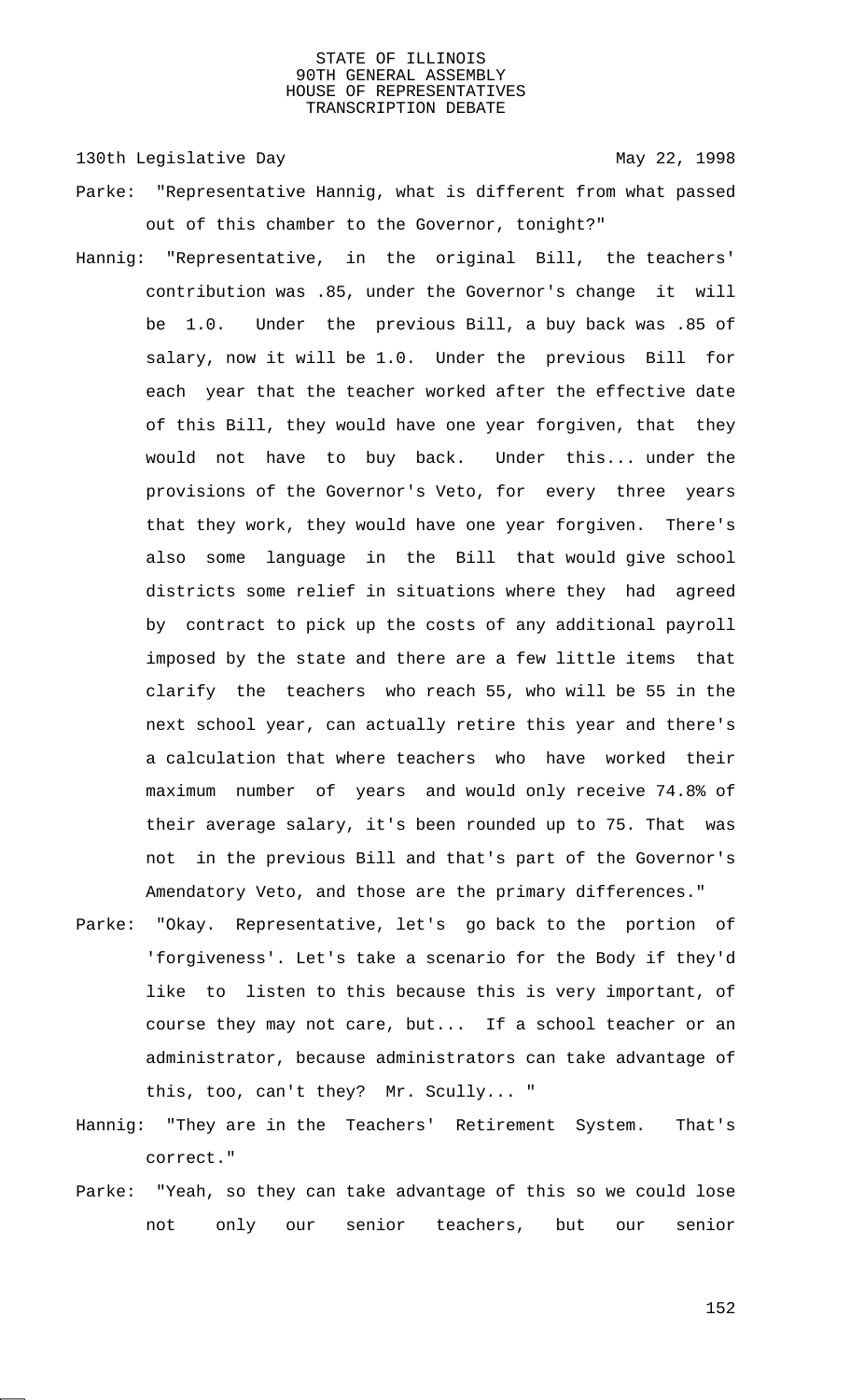130th Legislative Day 130th May 22, 1998

- Parke: "Representative Hannig, what is different from what passed out of this chamber to the Governor, tonight?"
- Hannig: "Representative, in the original Bill, the teachers' contribution was .85, under the Governor's change it will be 1.0. Under the previous Bill, a buy back was .85 of salary, now it will be 1.0. Under the previous Bill for each year that the teacher worked after the effective date of this Bill, they would have one year forgiven, that they would not have to buy back. Under this... under the provisions of the Governor's Veto, for every three years that they work, they would have one year forgiven. There's also some language in the Bill that would give school districts some relief in situations where they had agreed by contract to pick up the costs of any additional payroll imposed by the state and there are a few little items that clarify the teachers who reach 55, who will be 55 in the next school year, can actually retire this year and there's a calculation that where teachers who have worked their maximum number of years and would only receive 74.8% of their average salary, it's been rounded up to 75. That was not in the previous Bill and that's part of the Governor's Amendatory Veto, and those are the primary differences."
- Parke: "Okay. Representative, let's go back to the portion of 'forgiveness'. Let's take a scenario for the Body if they'd like to listen to this because this is very important, of course they may not care, but... If a school teacher or an administrator, because administrators can take advantage of this, too, can't they? Mr. Scully... "
- Hannig: "They are in the Teachers' Retirement System. That's correct."
- Parke: "Yeah, so they can take advantage of this so we could lose not only our senior teachers, but our senior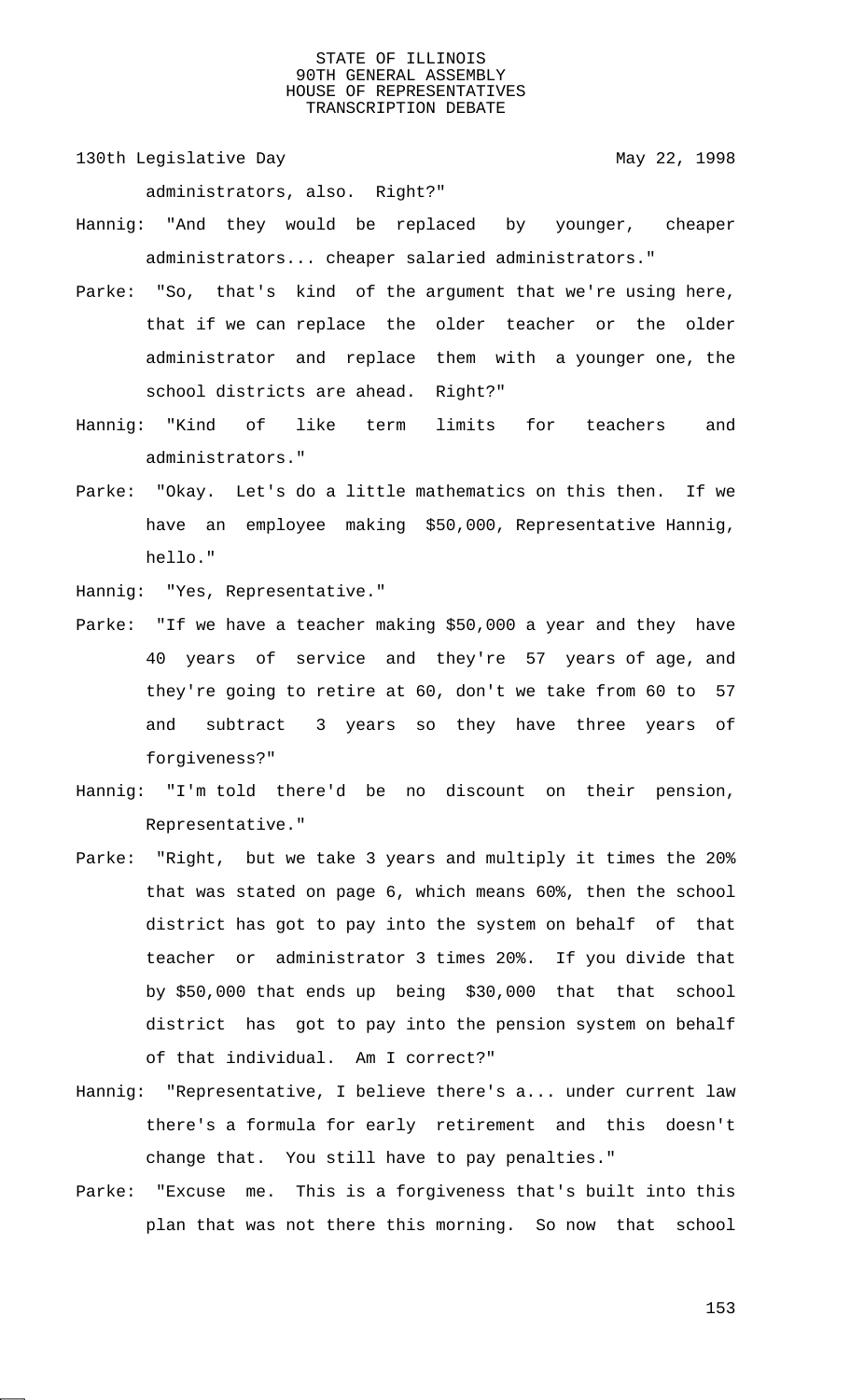130th Legislative Day 130th May 22, 1998

administrators, also. Right?"

- Hannig: "And they would be replaced by younger, cheaper administrators... cheaper salaried administrators."
- Parke: "So, that's kind of the argument that we're using here, that if we can replace the older teacher or the older administrator and replace them with a younger one, the school districts are ahead. Right?"
- Hannig: "Kind of like term limits for teachers and administrators."
- Parke: "Okay. Let's do a little mathematics on this then. If we have an employee making \$50,000, Representative Hannig, hello."

Hannig: "Yes, Representative."

- Parke: "If we have a teacher making \$50,000 a year and they have 40 years of service and they're 57 years of age, and they're going to retire at 60, don't we take from 60 to 57 and subtract 3 years so they have three years of forgiveness?"
- Hannig: "I'm told there'd be no discount on their pension, Representative."
- Parke: "Right, but we take 3 years and multiply it times the 20% that was stated on page 6, which means 60%, then the school district has got to pay into the system on behalf of that teacher or administrator 3 times 20%. If you divide that by \$50,000 that ends up being \$30,000 that that school district has got to pay into the pension system on behalf of that individual. Am I correct?"
- Hannig: "Representative, I believe there's a... under current law there's a formula for early retirement and this doesn't change that. You still have to pay penalties."
- Parke: "Excuse me. This is a forgiveness that's built into this plan that was not there this morning. So now that school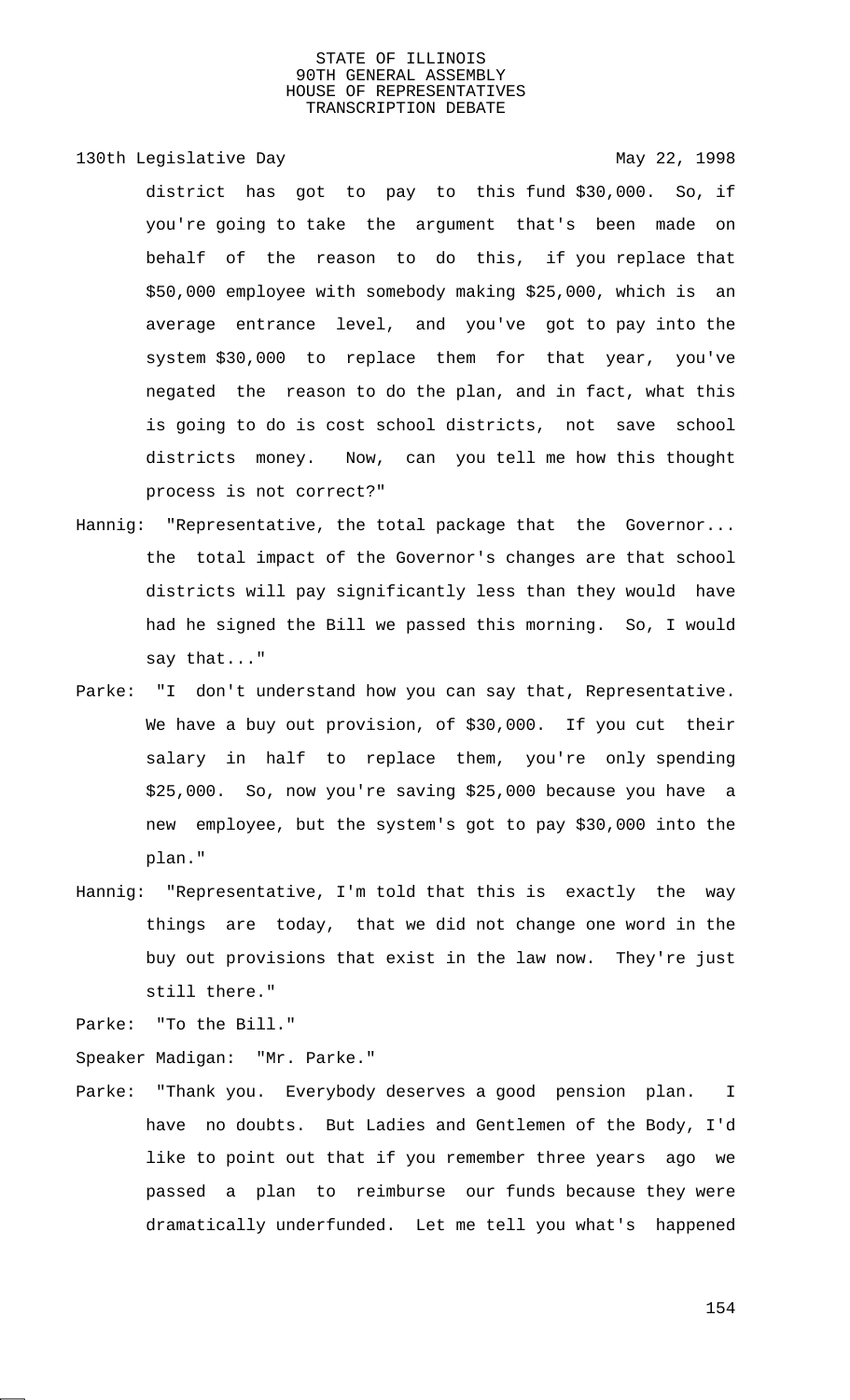130th Legislative Day 130th May 22, 1998

district has got to pay to this fund \$30,000. So, if you're going to take the argument that's been made on behalf of the reason to do this, if you replace that \$50,000 employee with somebody making \$25,000, which is an average entrance level, and you've got to pay into the system \$30,000 to replace them for that year, you've negated the reason to do the plan, and in fact, what this is going to do is cost school districts, not save school districts money. Now, can you tell me how this thought process is not correct?"

- Hannig: "Representative, the total package that the Governor... the total impact of the Governor's changes are that school districts will pay significantly less than they would have had he signed the Bill we passed this morning. So, I would say that..."
- Parke: "I don't understand how you can say that, Representative. We have a buy out provision, of \$30,000. If you cut their salary in half to replace them, you're only spending \$25,000. So, now you're saving \$25,000 because you have a new employee, but the system's got to pay \$30,000 into the plan."
- Hannig: "Representative, I'm told that this is exactly the way things are today, that we did not change one word in the buy out provisions that exist in the law now. They're just still there."

Parke: "To the Bill."

Speaker Madigan: "Mr. Parke."

Parke: "Thank you. Everybody deserves a good pension plan. I have no doubts. But Ladies and Gentlemen of the Body, I'd like to point out that if you remember three years ago we passed a plan to reimburse our funds because they were dramatically underfunded. Let me tell you what's happened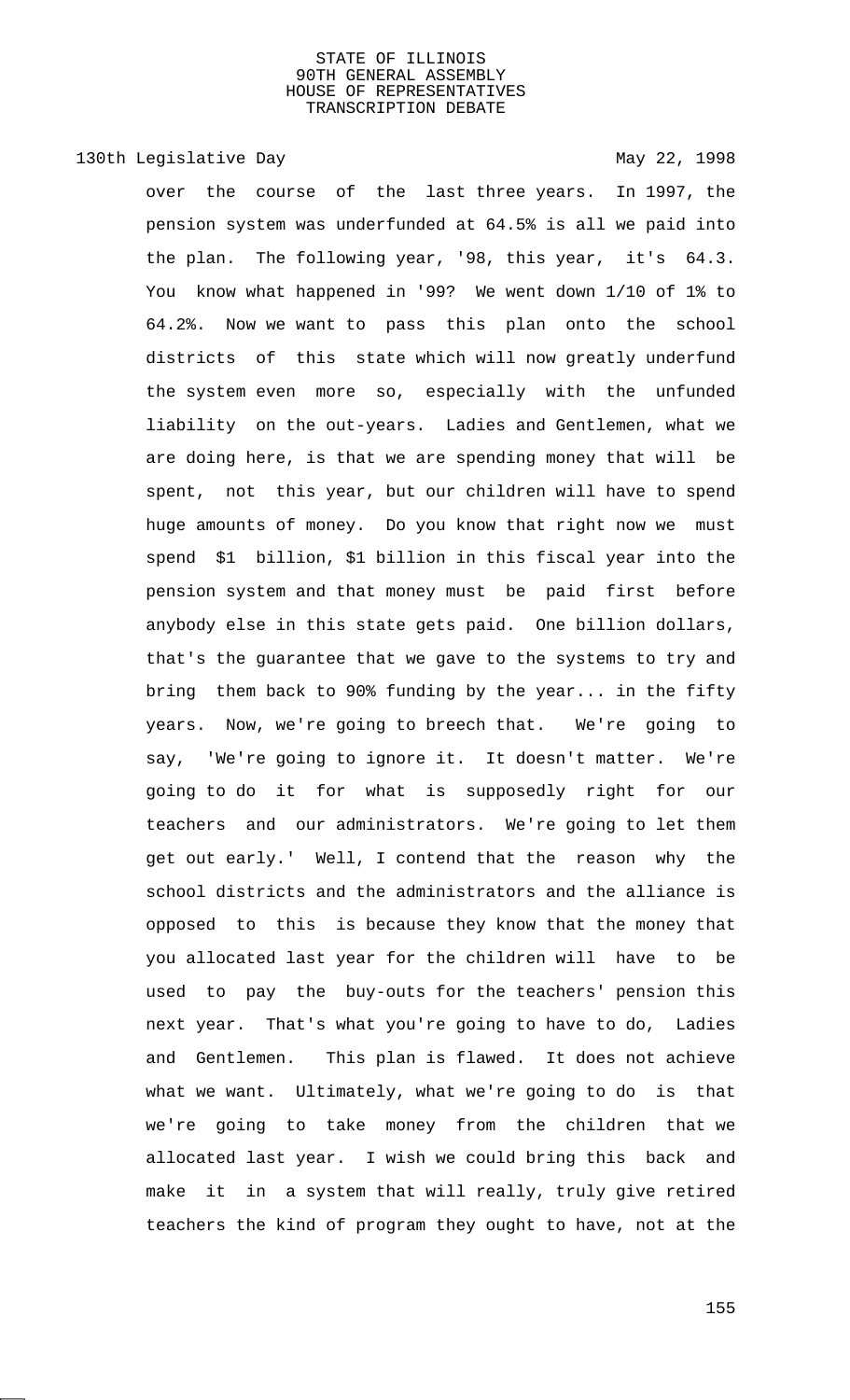# 130th Legislative Day 130th May 22, 1998

over the course of the last three years. In 1997, the pension system was underfunded at 64.5% is all we paid into the plan. The following year, '98, this year, it's 64.3. You know what happened in '99? We went down 1/10 of 1% to 64.2%. Now we want to pass this plan onto the school districts of this state which will now greatly underfund the system even more so, especially with the unfunded liability on the out-years. Ladies and Gentlemen, what we are doing here, is that we are spending money that will be spent, not this year, but our children will have to spend huge amounts of money. Do you know that right now we must spend \$1 billion, \$1 billion in this fiscal year into the pension system and that money must be paid first before anybody else in this state gets paid. One billion dollars, that's the guarantee that we gave to the systems to try and bring them back to 90% funding by the year... in the fifty years. Now, we're going to breech that. We're going to say, 'We're going to ignore it. It doesn't matter. We're going to do it for what is supposedly right for our teachers and our administrators. We're going to let them get out early.' Well, I contend that the reason why the school districts and the administrators and the alliance is opposed to this is because they know that the money that you allocated last year for the children will have to be used to pay the buy-outs for the teachers' pension this next year. That's what you're going to have to do, Ladies and Gentlemen. This plan is flawed. It does not achieve what we want. Ultimately, what we're going to do is that we're going to take money from the children that we allocated last year. I wish we could bring this back and make it in a system that will really, truly give retired teachers the kind of program they ought to have, not at the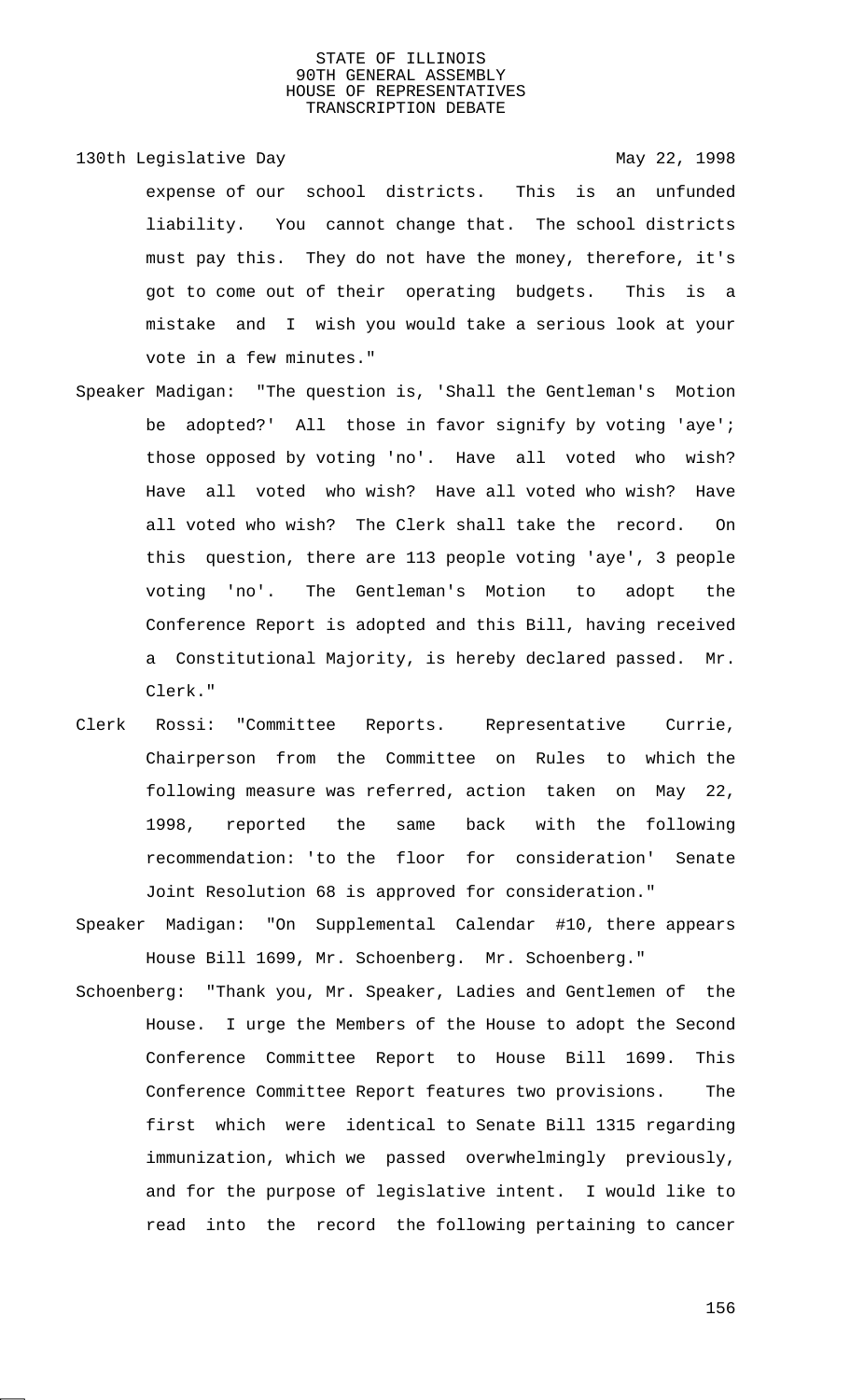130th Legislative Day 130th May 22, 1998 expense of our school districts. This is an unfunded liability. You cannot change that. The school districts must pay this. They do not have the money, therefore, it's got to come out of their operating budgets. This is a mistake and I wish you would take a serious look at your vote in a few minutes."

- Speaker Madigan: "The question is, 'Shall the Gentleman's Motion be adopted?' All those in favor signify by voting 'aye'; those opposed by voting 'no'. Have all voted who wish? Have all voted who wish? Have all voted who wish? Have all voted who wish? The Clerk shall take the record. On this question, there are 113 people voting 'aye', 3 people voting 'no'. The Gentleman's Motion to adopt the Conference Report is adopted and this Bill, having received a Constitutional Majority, is hereby declared passed. Mr. Clerk."
- Clerk Rossi: "Committee Reports. Representative Currie, Chairperson from the Committee on Rules to which the following measure was referred, action taken on May 22, 1998, reported the same back with the following recommendation: 'to the floor for consideration' Senate Joint Resolution 68 is approved for consideration."
- Speaker Madigan: "On Supplemental Calendar #10, there appears House Bill 1699, Mr. Schoenberg. Mr. Schoenberg."
- Schoenberg: "Thank you, Mr. Speaker, Ladies and Gentlemen of the House. I urge the Members of the House to adopt the Second Conference Committee Report to House Bill 1699. This Conference Committee Report features two provisions. The first which were identical to Senate Bill 1315 regarding immunization, which we passed overwhelmingly previously, and for the purpose of legislative intent. I would like to read into the record the following pertaining to cancer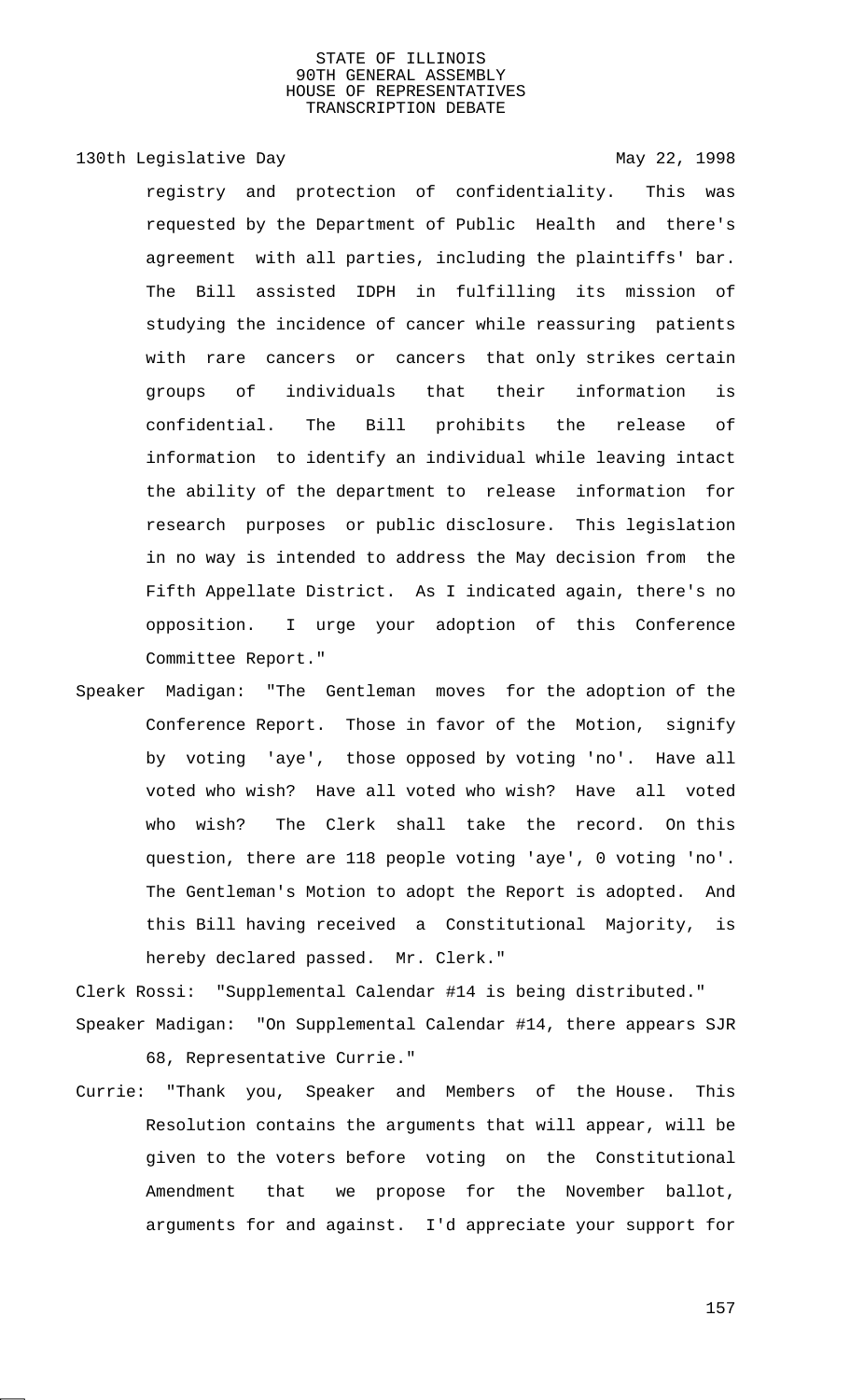130th Legislative Day 130th May 22, 1998 registry and protection of confidentiality. This was requested by the Department of Public Health and there's agreement with all parties, including the plaintiffs' bar. The Bill assisted IDPH in fulfilling its mission of studying the incidence of cancer while reassuring patients with rare cancers or cancers that only strikes certain groups of individuals that their information is confidential. The Bill prohibits the release of information to identify an individual while leaving intact the ability of the department to release information for research purposes or public disclosure. This legislation in no way is intended to address the May decision from the Fifth Appellate District. As I indicated again, there's no opposition. I urge your adoption of this Conference Committee Report."

Speaker Madigan: "The Gentleman moves for the adoption of the Conference Report. Those in favor of the Motion, signify by voting 'aye', those opposed by voting 'no'. Have all voted who wish? Have all voted who wish? Have all voted who wish? The Clerk shall take the record. On this question, there are 118 people voting 'aye', 0 voting 'no'. The Gentleman's Motion to adopt the Report is adopted. And this Bill having received a Constitutional Majority, is hereby declared passed. Mr. Clerk."

Clerk Rossi: "Supplemental Calendar #14 is being distributed." Speaker Madigan: "On Supplemental Calendar #14, there appears SJR 68, Representative Currie."

Currie: "Thank you, Speaker and Members of the House. This Resolution contains the arguments that will appear, will be given to the voters before voting on the Constitutional Amendment that we propose for the November ballot, arguments for and against. I'd appreciate your support for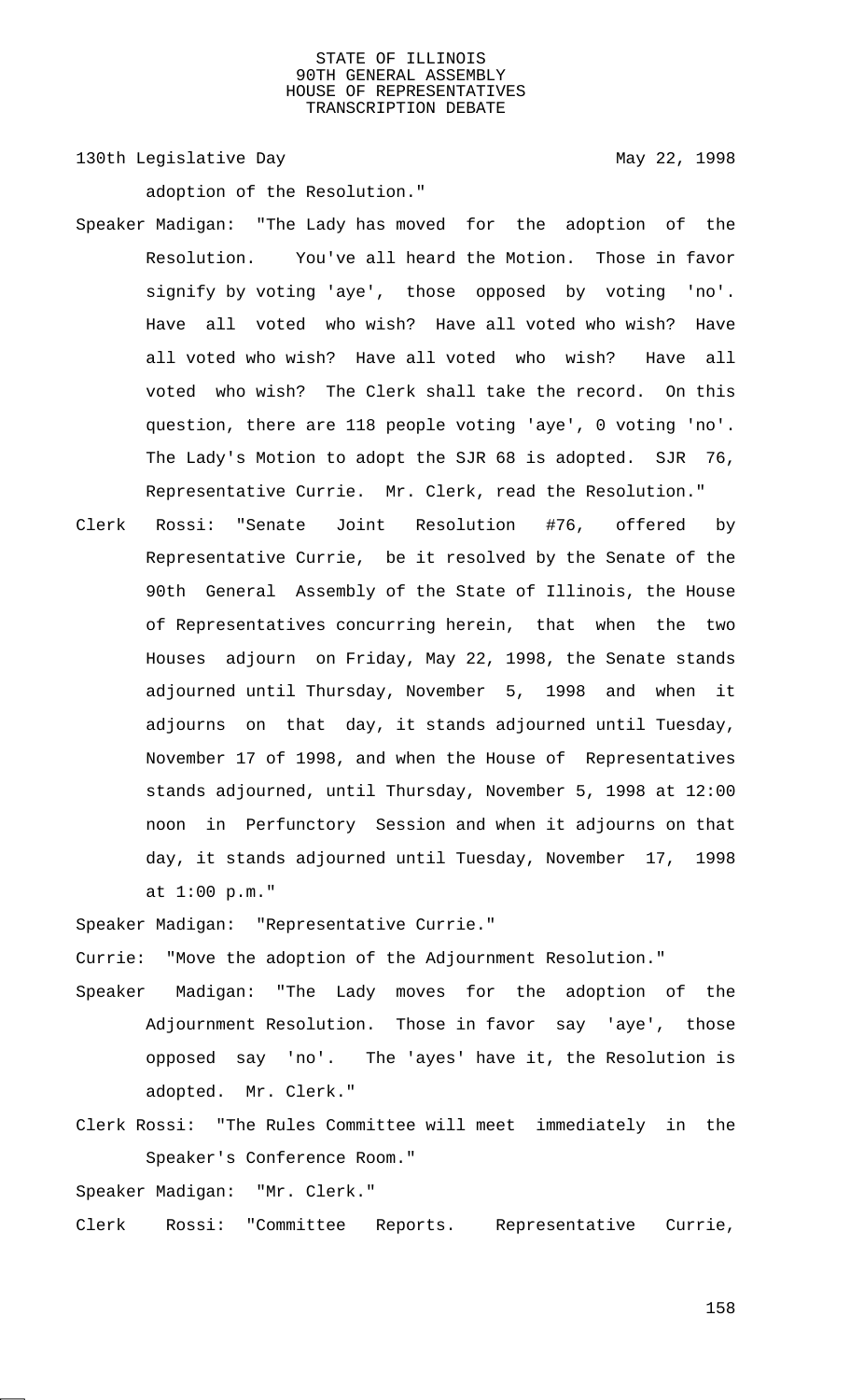130th Legislative Day 130th May 22, 1998

adoption of the Resolution."

- Speaker Madigan: "The Lady has moved for the adoption of the Resolution. You've all heard the Motion. Those in favor signify by voting 'aye', those opposed by voting 'no'. Have all voted who wish? Have all voted who wish? Have all voted who wish? Have all voted who wish? Have all voted who wish? The Clerk shall take the record. On this question, there are 118 people voting 'aye', 0 voting 'no'. The Lady's Motion to adopt the SJR 68 is adopted. SJR 76, Representative Currie. Mr. Clerk, read the Resolution."
- Clerk Rossi: "Senate Joint Resolution #76, offered by Representative Currie, be it resolved by the Senate of the 90th General Assembly of the State of Illinois, the House of Representatives concurring herein, that when the two Houses adjourn on Friday, May 22, 1998, the Senate stands adjourned until Thursday, November 5, 1998 and when it adjourns on that day, it stands adjourned until Tuesday, November 17 of 1998, and when the House of Representatives stands adjourned, until Thursday, November 5, 1998 at 12:00 noon in Perfunctory Session and when it adjourns on that day, it stands adjourned until Tuesday, November 17, 1998 at 1:00 p.m."

Speaker Madigan: "Representative Currie."

Currie: "Move the adoption of the Adjournment Resolution."

- Speaker Madigan: "The Lady moves for the adoption of the Adjournment Resolution. Those in favor say 'aye', those opposed say 'no'. The 'ayes' have it, the Resolution is adopted. Mr. Clerk."
- Clerk Rossi: "The Rules Committee will meet immediately in the Speaker's Conference Room."

Speaker Madigan: "Mr. Clerk."

Clerk Rossi: "Committee Reports. Representative Currie,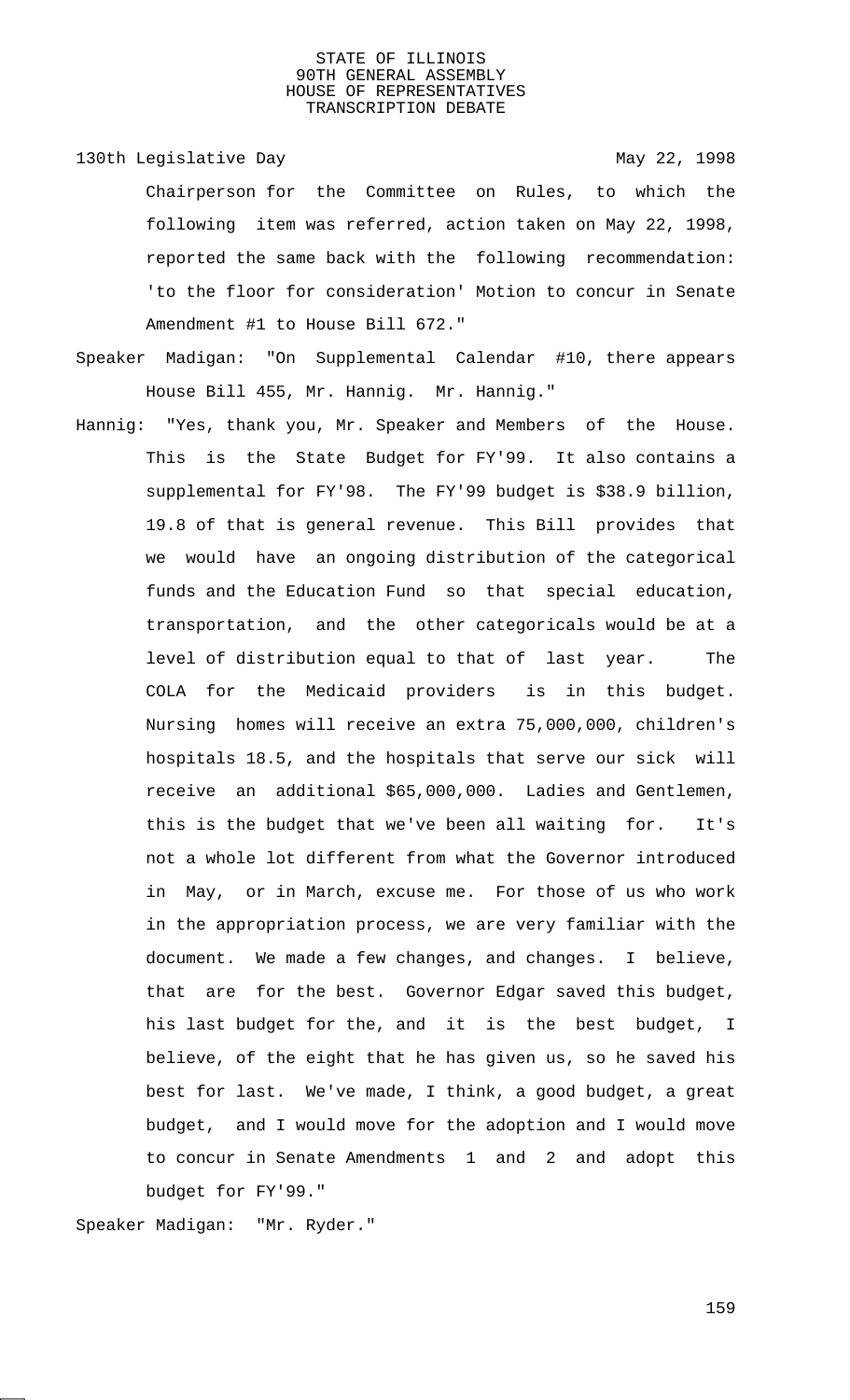130th Legislative Day 130th May 22, 1998 Chairperson for the Committee on Rules, to which the following item was referred, action taken on May 22, 1998, reported the same back with the following recommendation: 'to the floor for consideration' Motion to concur in Senate Amendment #1 to House Bill 672."

- Speaker Madigan: "On Supplemental Calendar #10, there appears House Bill 455, Mr. Hannig. Mr. Hannig."
- Hannig: "Yes, thank you, Mr. Speaker and Members of the House. This is the State Budget for FY'99. It also contains a supplemental for FY'98. The FY'99 budget is \$38.9 billion, 19.8 of that is general revenue. This Bill provides that we would have an ongoing distribution of the categorical funds and the Education Fund so that special education, transportation, and the other categoricals would be at a level of distribution equal to that of last year. The COLA for the Medicaid providers is in this budget. Nursing homes will receive an extra 75,000,000, children's hospitals 18.5, and the hospitals that serve our sick will receive an additional \$65,000,000. Ladies and Gentlemen, this is the budget that we've been all waiting for. It's not a whole lot different from what the Governor introduced in May, or in March, excuse me. For those of us who work in the appropriation process, we are very familiar with the document. We made a few changes, and changes. I believe, that are for the best. Governor Edgar saved this budget, his last budget for the, and it is the best budget, I believe, of the eight that he has given us, so he saved his best for last. We've made, I think, a good budget, a great budget, and I would move for the adoption and I would move to concur in Senate Amendments 1 and 2 and adopt this budget for FY'99."

Speaker Madigan: "Mr. Ryder."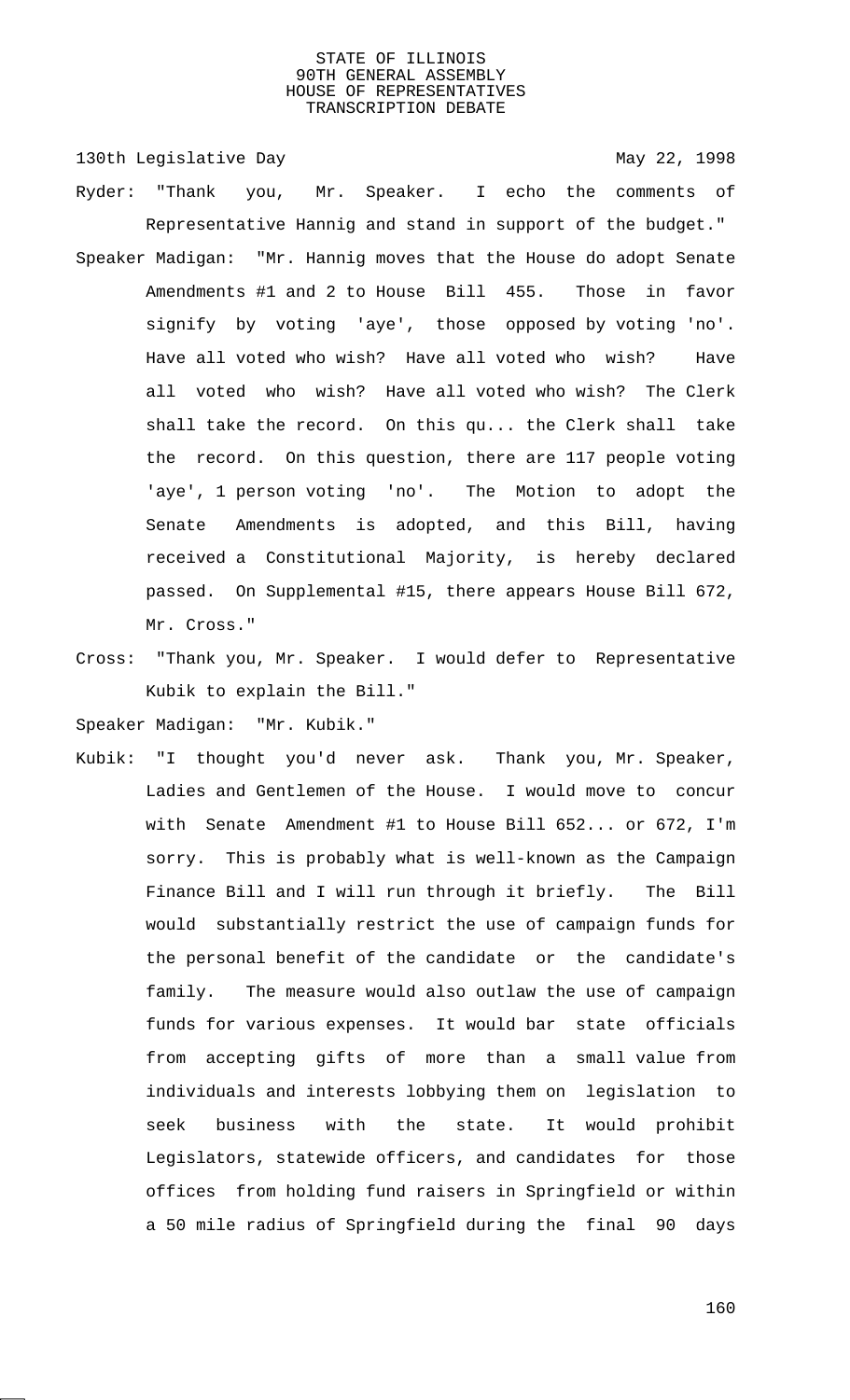130th Legislative Day 130th May 22, 1998 Ryder: "Thank you, Mr. Speaker. I echo the comments of Representative Hannig and stand in support of the budget." Speaker Madigan: "Mr. Hannig moves that the House do adopt Senate Amendments #1 and 2 to House Bill 455. Those in favor signify by voting 'aye', those opposed by voting 'no'. Have all voted who wish? Have all voted who wish? Have all voted who wish? Have all voted who wish? The Clerk shall take the record. On this qu... the Clerk shall take the record. On this question, there are 117 people voting 'aye', 1 person voting 'no'. The Motion to adopt the Senate Amendments is adopted, and this Bill, having received a Constitutional Majority, is hereby declared passed. On Supplemental #15, there appears House Bill 672, Mr. Cross."

Cross: "Thank you, Mr. Speaker. I would defer to Representative Kubik to explain the Bill."

Speaker Madigan: "Mr. Kubik."

Kubik: "I thought you'd never ask. Thank you, Mr. Speaker, Ladies and Gentlemen of the House. I would move to concur with Senate Amendment #1 to House Bill 652... or 672, I'm sorry. This is probably what is well-known as the Campaign Finance Bill and I will run through it briefly. The Bill would substantially restrict the use of campaign funds for the personal benefit of the candidate or the candidate's family. The measure would also outlaw the use of campaign funds for various expenses. It would bar state officials from accepting gifts of more than a small value from individuals and interests lobbying them on legislation to seek business with the state. It would prohibit Legislators, statewide officers, and candidates for those offices from holding fund raisers in Springfield or within a 50 mile radius of Springfield during the final 90 days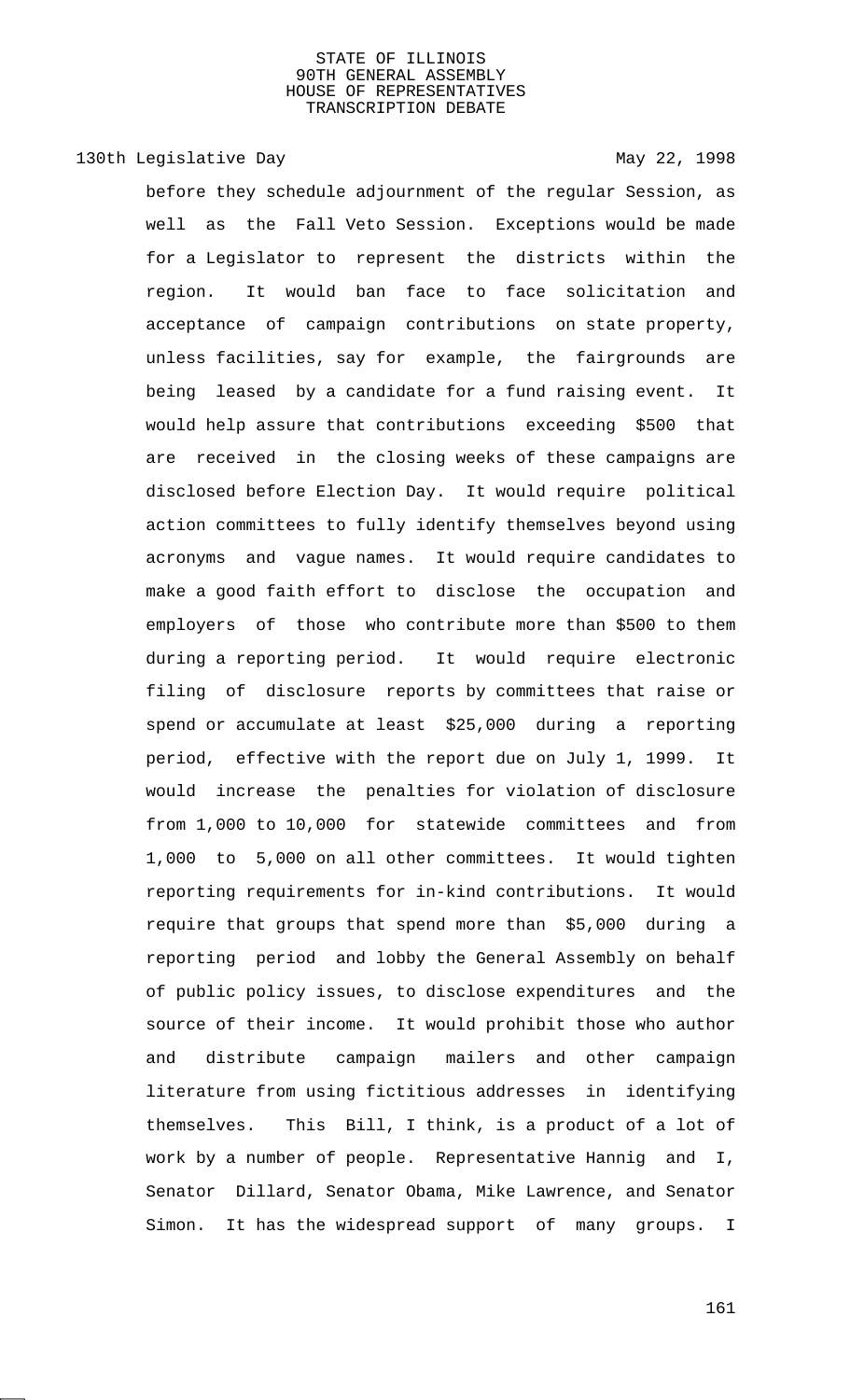# 130th Legislative Day 130th May 22, 1998

before they schedule adjournment of the regular Session, as well as the Fall Veto Session. Exceptions would be made for a Legislator to represent the districts within the region. It would ban face to face solicitation and acceptance of campaign contributions on state property, unless facilities, say for example, the fairgrounds are being leased by a candidate for a fund raising event. It would help assure that contributions exceeding \$500 that are received in the closing weeks of these campaigns are disclosed before Election Day. It would require political action committees to fully identify themselves beyond using acronyms and vague names. It would require candidates to make a good faith effort to disclose the occupation and employers of those who contribute more than \$500 to them during a reporting period. It would require electronic filing of disclosure reports by committees that raise or spend or accumulate at least \$25,000 during a reporting period, effective with the report due on July 1, 1999. It would increase the penalties for violation of disclosure from 1,000 to 10,000 for statewide committees and from 1,000 to 5,000 on all other committees. It would tighten reporting requirements for in-kind contributions. It would require that groups that spend more than \$5,000 during a reporting period and lobby the General Assembly on behalf of public policy issues, to disclose expenditures and the source of their income. It would prohibit those who author and distribute campaign mailers and other campaign literature from using fictitious addresses in identifying themselves. This Bill, I think, is a product of a lot of work by a number of people. Representative Hannig and I, Senator Dillard, Senator Obama, Mike Lawrence, and Senator Simon. It has the widespread support of many groups. I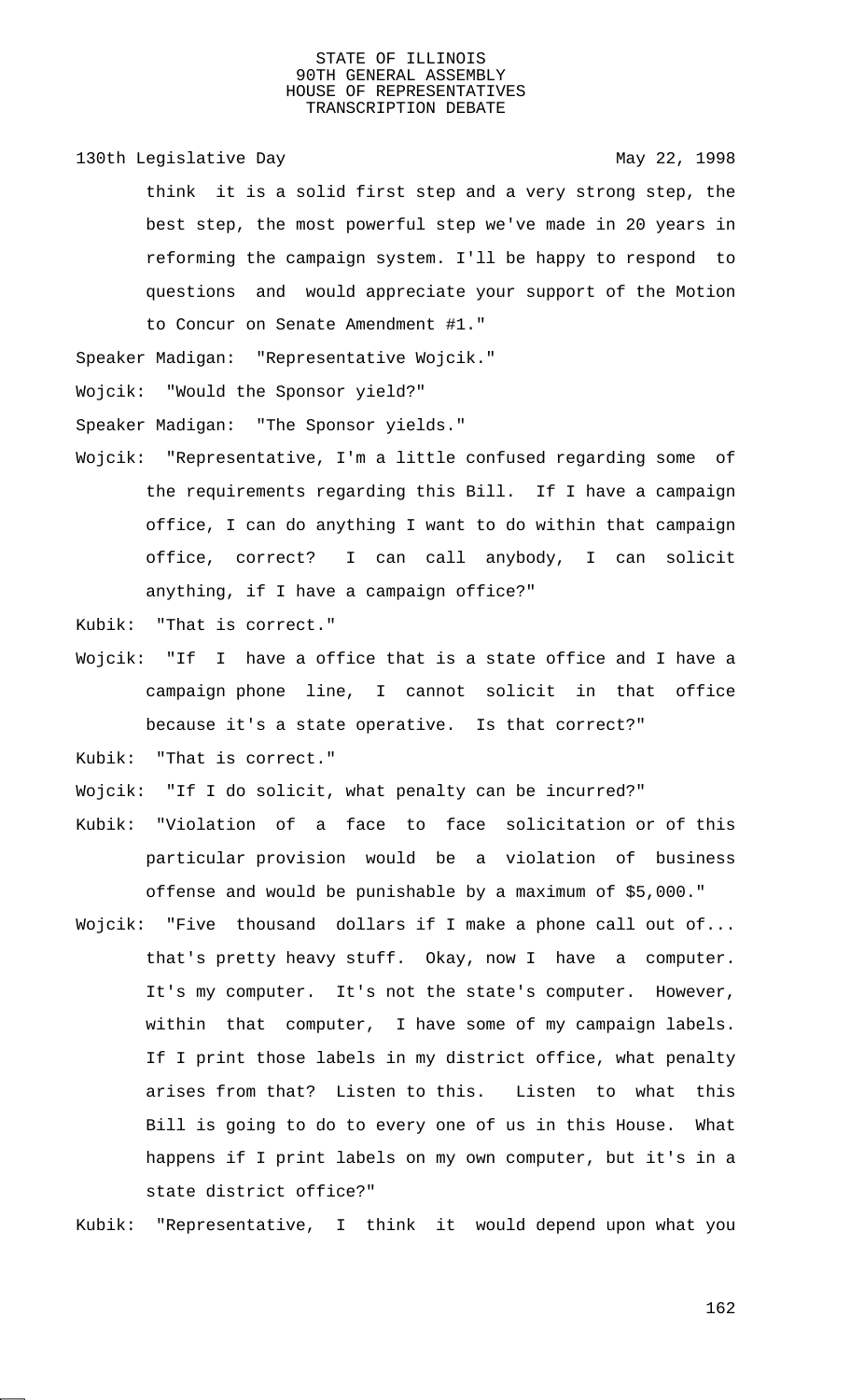130th Legislative Day 130th May 22, 1998

think it is a solid first step and a very strong step, the best step, the most powerful step we've made in 20 years in reforming the campaign system. I'll be happy to respond to questions and would appreciate your support of the Motion to Concur on Senate Amendment #1."

Speaker Madigan: "Representative Wojcik."

Wojcik: "Would the Sponsor yield?"

Speaker Madigan: "The Sponsor yields."

Wojcik: "Representative, I'm a little confused regarding some of the requirements regarding this Bill. If I have a campaign office, I can do anything I want to do within that campaign office, correct? I can call anybody, I can solicit anything, if I have a campaign office?"

Kubik: "That is correct."

Wojcik: "If I have a office that is a state office and I have a campaign phone line, I cannot solicit in that office because it's a state operative. Is that correct?"

Kubik: "That is correct."

Wojcik: "If I do solicit, what penalty can be incurred?"

- Kubik: "Violation of a face to face solicitation or of this particular provision would be a violation of business offense and would be punishable by a maximum of \$5,000."
- Wojcik: "Five thousand dollars if I make a phone call out of... that's pretty heavy stuff. Okay, now I have a computer. It's my computer. It's not the state's computer. However, within that computer, I have some of my campaign labels. If I print those labels in my district office, what penalty arises from that? Listen to this. Listen to what this Bill is going to do to every one of us in this House. What happens if I print labels on my own computer, but it's in a state district office?"

Kubik: "Representative, I think it would depend upon what you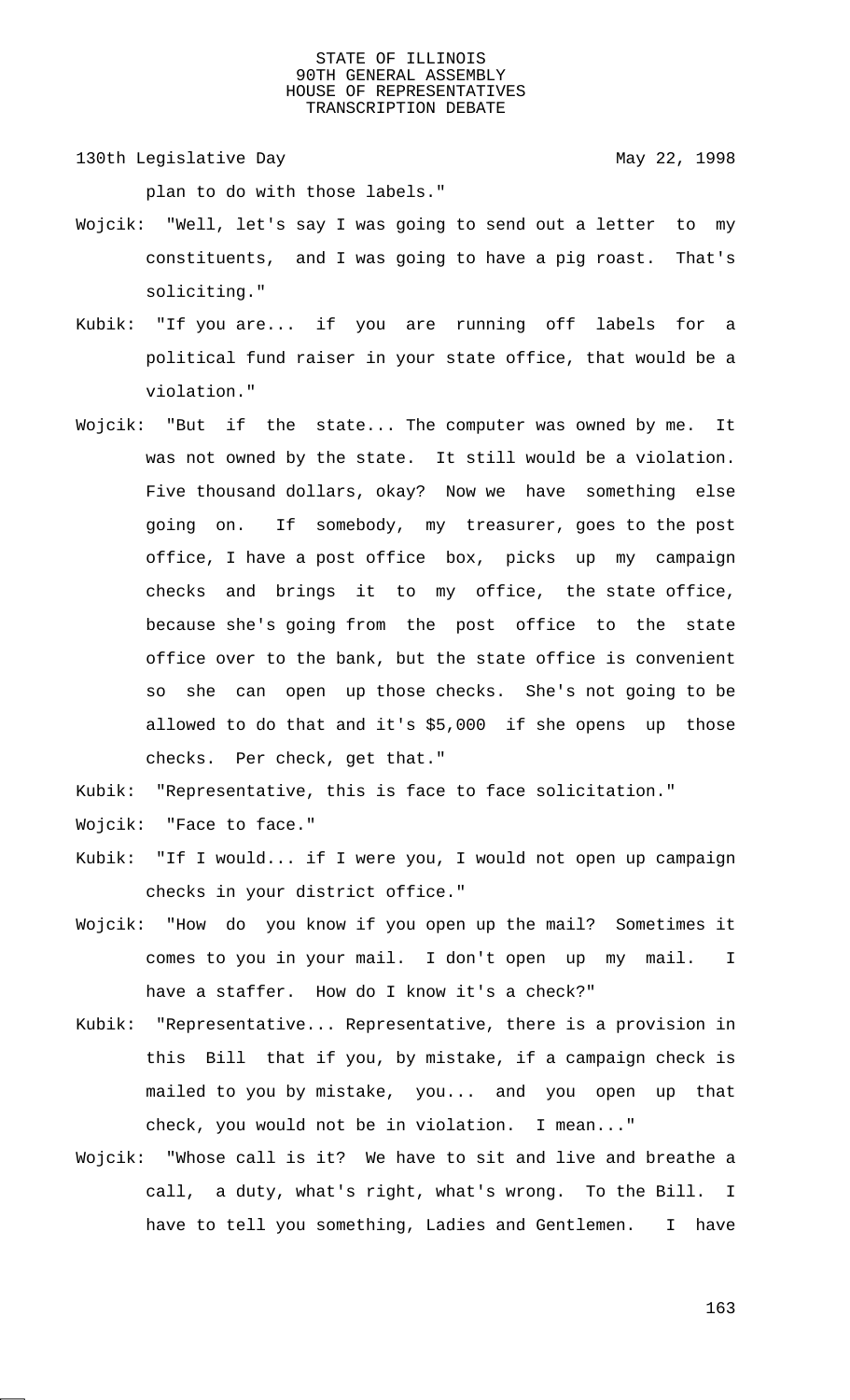130th Legislative Day 130th May 22, 1998

plan to do with those labels."

- Wojcik: "Well, let's say I was going to send out a letter to my constituents, and I was going to have a pig roast. That's soliciting."
- Kubik: "If you are... if you are running off labels for a political fund raiser in your state office, that would be a violation."
- Wojcik: "But if the state... The computer was owned by me. It was not owned by the state. It still would be a violation. Five thousand dollars, okay? Now we have something else going on. If somebody, my treasurer, goes to the post office, I have a post office box, picks up my campaign checks and brings it to my office, the state office, because she's going from the post office to the state office over to the bank, but the state office is convenient so she can open up those checks. She's not going to be allowed to do that and it's \$5,000 if she opens up those checks. Per check, get that."

Kubik: "Representative, this is face to face solicitation."

- Wojcik: "Face to face."
- Kubik: "If I would... if I were you, I would not open up campaign checks in your district office."
- Wojcik: "How do you know if you open up the mail? Sometimes it comes to you in your mail. I don't open up my mail. I have a staffer. How do I know it's a check?"
- Kubik: "Representative... Representative, there is a provision in this Bill that if you, by mistake, if a campaign check is mailed to you by mistake, you... and you open up that check, you would not be in violation. I mean..."
- Wojcik: "Whose call is it? We have to sit and live and breathe a call, a duty, what's right, what's wrong. To the Bill. I have to tell you something, Ladies and Gentlemen. I have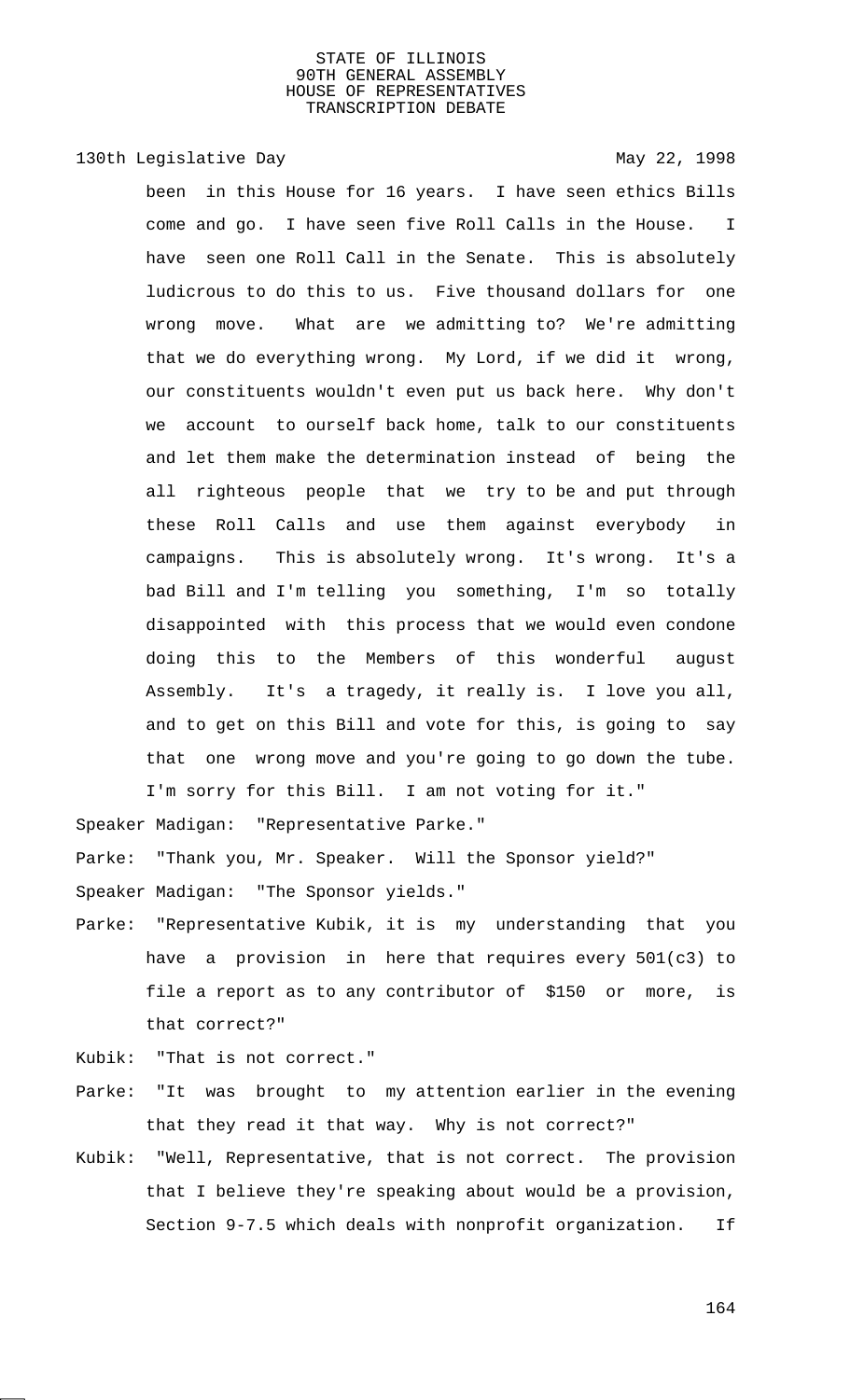# 130th Legislative Day 130th May 22, 1998

been in this House for 16 years. I have seen ethics Bills come and go. I have seen five Roll Calls in the House. I have seen one Roll Call in the Senate. This is absolutely ludicrous to do this to us. Five thousand dollars for one wrong move. What are we admitting to? We're admitting that we do everything wrong. My Lord, if we did it wrong, our constituents wouldn't even put us back here. Why don't we account to ourself back home, talk to our constituents and let them make the determination instead of being the all righteous people that we try to be and put through these Roll Calls and use them against everybody in campaigns. This is absolutely wrong. It's wrong. It's a bad Bill and I'm telling you something, I'm so totally disappointed with this process that we would even condone doing this to the Members of this wonderful august Assembly. It's a tragedy, it really is. I love you all, and to get on this Bill and vote for this, is going to say that one wrong move and you're going to go down the tube. I'm sorry for this Bill. I am not voting for it."

Speaker Madigan: "Representative Parke."

Parke: "Thank you, Mr. Speaker. Will the Sponsor yield?"

Speaker Madigan: "The Sponsor yields."

Parke: "Representative Kubik, it is my understanding that you have a provision in here that requires every 501(c3) to file a report as to any contributor of \$150 or more, is that correct?"

Kubik: "That is not correct."

- Parke: "It was brought to my attention earlier in the evening that they read it that way. Why is not correct?"
- Kubik: "Well, Representative, that is not correct. The provision that I believe they're speaking about would be a provision, Section 9-7.5 which deals with nonprofit organization. If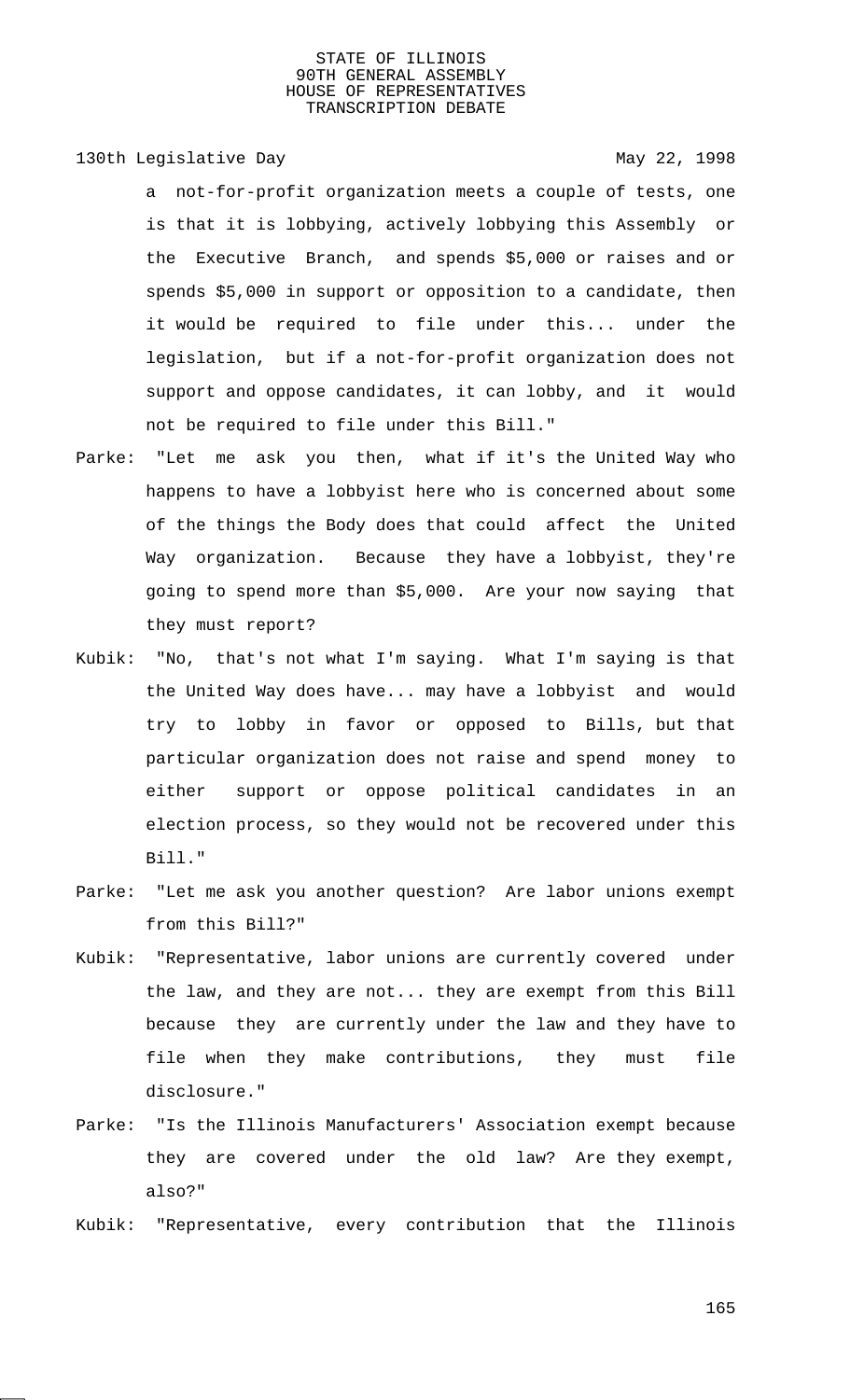130th Legislative Day 130th May 22, 1998

- a not-for-profit organization meets a couple of tests, one is that it is lobbying, actively lobbying this Assembly or the Executive Branch, and spends \$5,000 or raises and or spends \$5,000 in support or opposition to a candidate, then it would be required to file under this... under the legislation, but if a not-for-profit organization does not support and oppose candidates, it can lobby, and it would not be required to file under this Bill."
- Parke: "Let me ask you then, what if it's the United Way who happens to have a lobbyist here who is concerned about some of the things the Body does that could affect the United Way organization. Because they have a lobbyist, they're going to spend more than \$5,000. Are your now saying that they must report?
- Kubik: "No, that's not what I'm saying. What I'm saying is that the United Way does have... may have a lobbyist and would try to lobby in favor or opposed to Bills, but that particular organization does not raise and spend money to either support or oppose political candidates in an election process, so they would not be recovered under this Bill."
- Parke: "Let me ask you another question? Are labor unions exempt from this Bill?"
- Kubik: "Representative, labor unions are currently covered under the law, and they are not... they are exempt from this Bill because they are currently under the law and they have to file when they make contributions, they must file disclosure."
- Parke: "Is the Illinois Manufacturers' Association exempt because they are covered under the old law? Are they exempt, also?"
- Kubik: "Representative, every contribution that the Illinois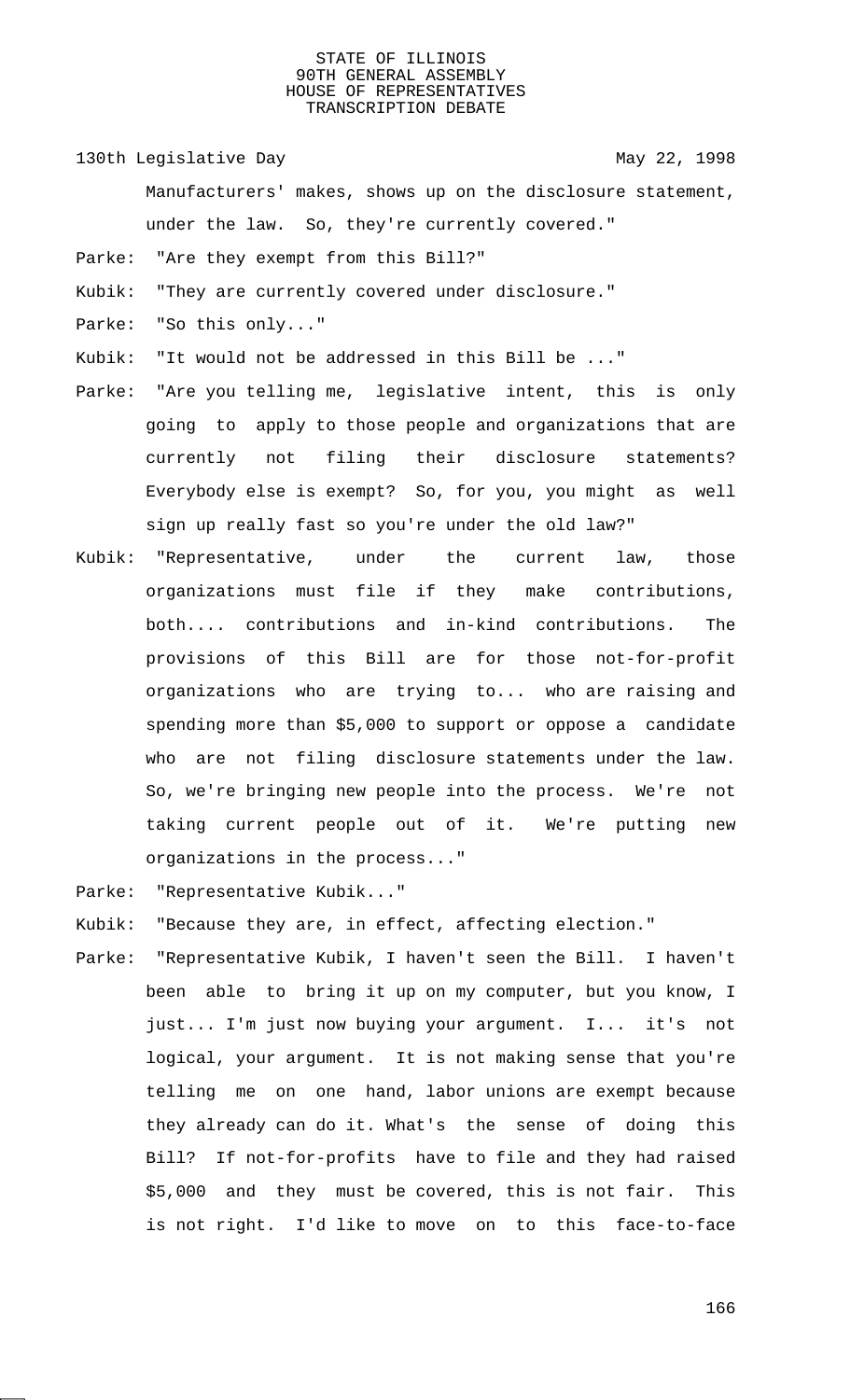130th Legislative Day 130th May 22, 1998

- Manufacturers' makes, shows up on the disclosure statement, under the law. So, they're currently covered."
- Parke: "Are they exempt from this Bill?"
- Kubik: "They are currently covered under disclosure."
- Parke: "So this only..."
- Kubik: "It would not be addressed in this Bill be ..."
- Parke: "Are you telling me, legislative intent, this is only going to apply to those people and organizations that are currently not filing their disclosure statements? Everybody else is exempt? So, for you, you might as well sign up really fast so you're under the old law?"
- Kubik: "Representative, under the current law, those organizations must file if they make contributions, both.... contributions and in-kind contributions. The provisions of this Bill are for those not-for-profit organizations who are trying to... who are raising and spending more than \$5,000 to support or oppose a candidate who are not filing disclosure statements under the law. So, we're bringing new people into the process. We're not taking current people out of it. We're putting new organizations in the process..."

Parke: "Representative Kubik..."

- Kubik: "Because they are, in effect, affecting election."
- Parke: "Representative Kubik, I haven't seen the Bill. I haven't been able to bring it up on my computer, but you know, I just... I'm just now buying your argument. I... it's not logical, your argument. It is not making sense that you're telling me on one hand, labor unions are exempt because they already can do it. What's the sense of doing this Bill? If not-for-profits have to file and they had raised \$5,000 and they must be covered, this is not fair. This is not right. I'd like to move on to this face-to-face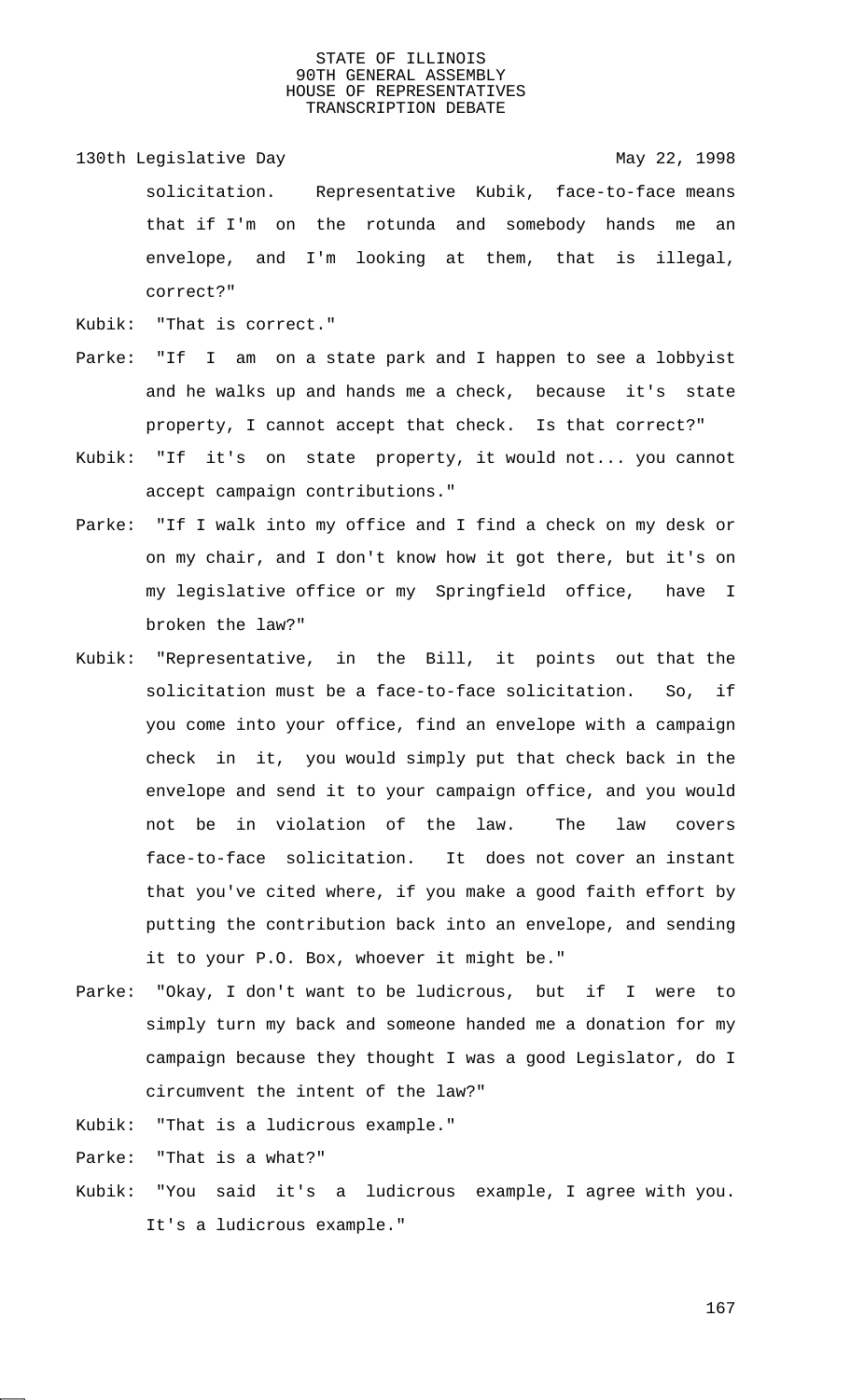- 130th Legislative Day 130th May 22, 1998 solicitation. Representative Kubik, face-to-face means that if I'm on the rotunda and somebody hands me an envelope, and I'm looking at them, that is illegal, correct?"
- Kubik: "That is correct."
- Parke: "If I am on a state park and I happen to see a lobbyist and he walks up and hands me a check, because it's state property, I cannot accept that check. Is that correct?"
- Kubik: "If it's on state property, it would not... you cannot accept campaign contributions."
- Parke: "If I walk into my office and I find a check on my desk or on my chair, and I don't know how it got there, but it's on my legislative office or my Springfield office, have I broken the law?"
- Kubik: "Representative, in the Bill, it points out that the solicitation must be a face-to-face solicitation. So, if you come into your office, find an envelope with a campaign check in it, you would simply put that check back in the envelope and send it to your campaign office, and you would not be in violation of the law. The law covers face-to-face solicitation. It does not cover an instant that you've cited where, if you make a good faith effort by putting the contribution back into an envelope, and sending it to your P.O. Box, whoever it might be."
- Parke: "Okay, I don't want to be ludicrous, but if I were to simply turn my back and someone handed me a donation for my campaign because they thought I was a good Legislator, do I circumvent the intent of the law?"
- Kubik: "That is a ludicrous example."

Parke: "That is a what?"

Kubik: "You said it's a ludicrous example, I agree with you. It's a ludicrous example."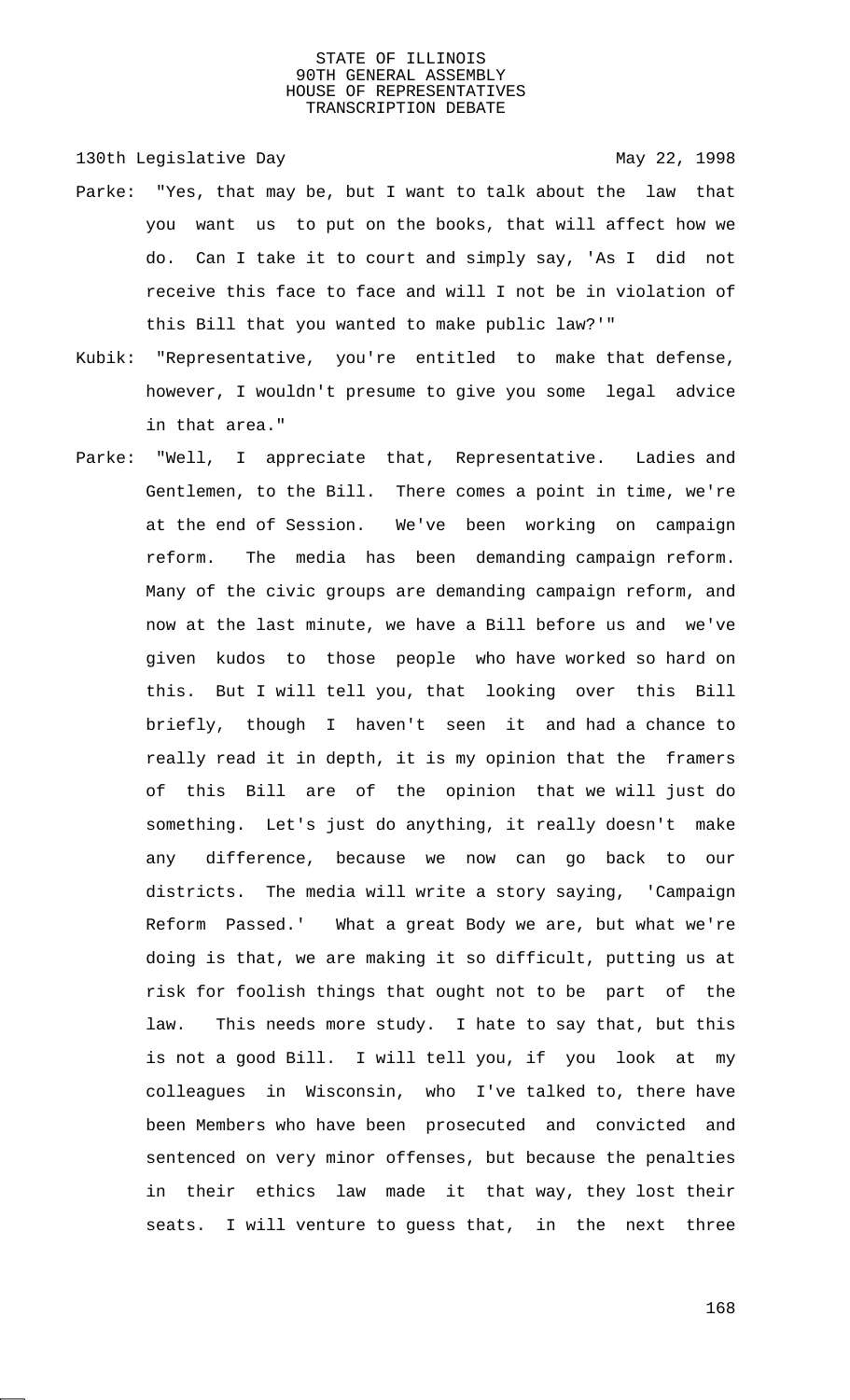130th Legislative Day 130th May 22, 1998

- Parke: "Yes, that may be, but I want to talk about the law that you want us to put on the books, that will affect how we do. Can I take it to court and simply say, 'As I did not receive this face to face and will I not be in violation of this Bill that you wanted to make public law?'"
- Kubik: "Representative, you're entitled to make that defense, however, I wouldn't presume to give you some legal advice in that area."
- Parke: "Well, I appreciate that, Representative. Ladies and Gentlemen, to the Bill. There comes a point in time, we're at the end of Session. We've been working on campaign reform. The media has been demanding campaign reform. Many of the civic groups are demanding campaign reform, and now at the last minute, we have a Bill before us and we've given kudos to those people who have worked so hard on this. But I will tell you, that looking over this Bill briefly, though I haven't seen it and had a chance to really read it in depth, it is my opinion that the framers of this Bill are of the opinion that we will just do something. Let's just do anything, it really doesn't make any difference, because we now can go back to our districts. The media will write a story saying, 'Campaign Reform Passed.' What a great Body we are, but what we're doing is that, we are making it so difficult, putting us at risk for foolish things that ought not to be part of the law. This needs more study. I hate to say that, but this is not a good Bill. I will tell you, if you look at my colleagues in Wisconsin, who I've talked to, there have been Members who have been prosecuted and convicted and sentenced on very minor offenses, but because the penalties in their ethics law made it that way, they lost their seats. I will venture to guess that, in the next three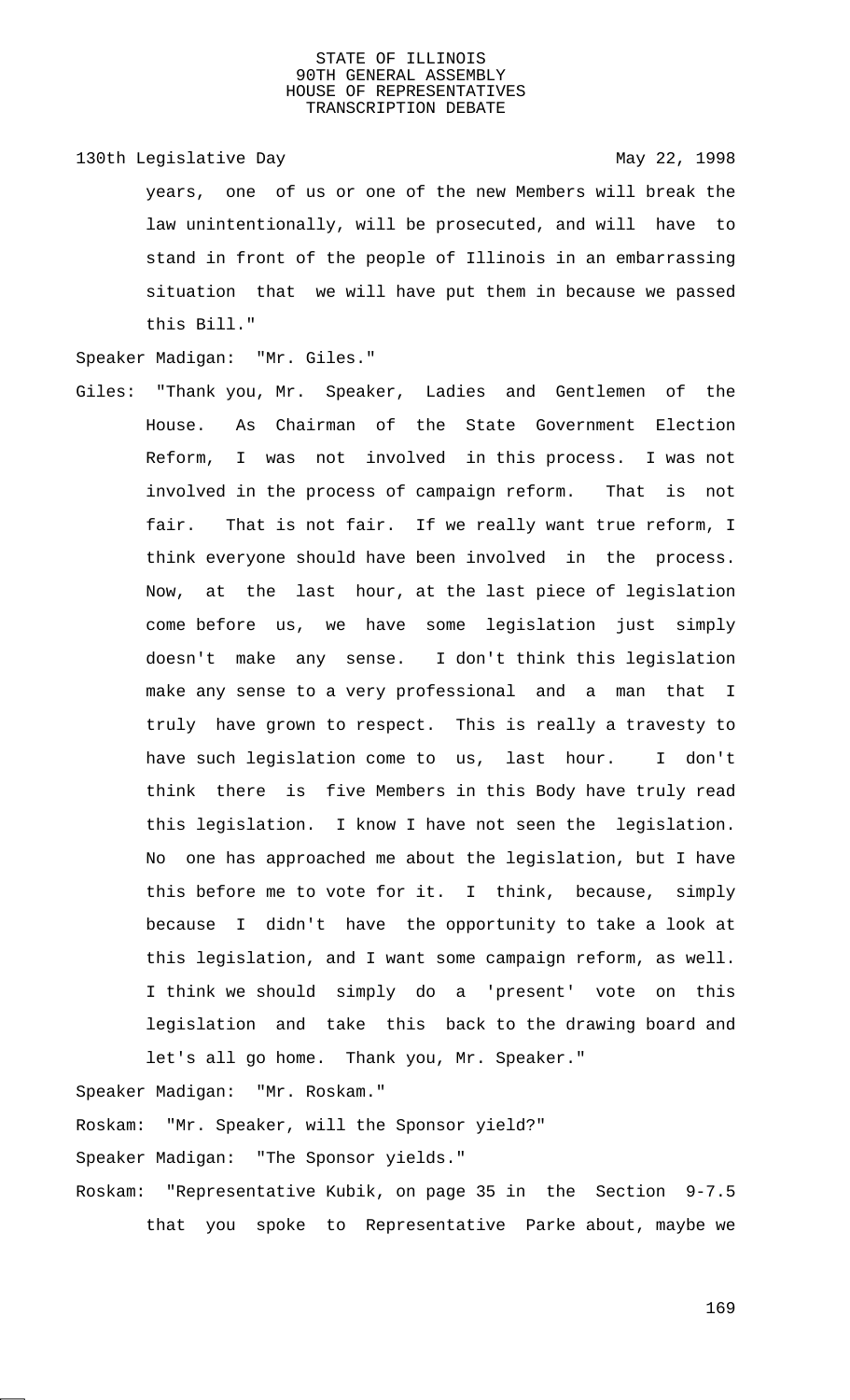130th Legislative Day 130th May 22, 1998 years, one of us or one of the new Members will break the law unintentionally, will be prosecuted, and will have to stand in front of the people of Illinois in an embarrassing situation that we will have put them in because we passed this Bill."

Speaker Madigan: "Mr. Giles."

Giles: "Thank you, Mr. Speaker, Ladies and Gentlemen of the House. As Chairman of the State Government Election Reform, I was not involved in this process. I was not involved in the process of campaign reform. That is not fair. That is not fair. If we really want true reform, I think everyone should have been involved in the process. Now, at the last hour, at the last piece of legislation come before us, we have some legislation just simply doesn't make any sense. I don't think this legislation make any sense to a very professional and a man that I truly have grown to respect. This is really a travesty to have such legislation come to us, last hour. I don't think there is five Members in this Body have truly read this legislation. I know I have not seen the legislation. No one has approached me about the legislation, but I have this before me to vote for it. I think, because, simply because I didn't have the opportunity to take a look at this legislation, and I want some campaign reform, as well. I think we should simply do a 'present' vote on this legislation and take this back to the drawing board and let's all go home. Thank you, Mr. Speaker."

Speaker Madigan: "Mr. Roskam." Roskam: "Mr. Speaker, will the Sponsor yield?" Speaker Madigan: "The Sponsor yields." Roskam: "Representative Kubik, on page 35 in the Section 9-7.5 that you spoke to Representative Parke about, maybe we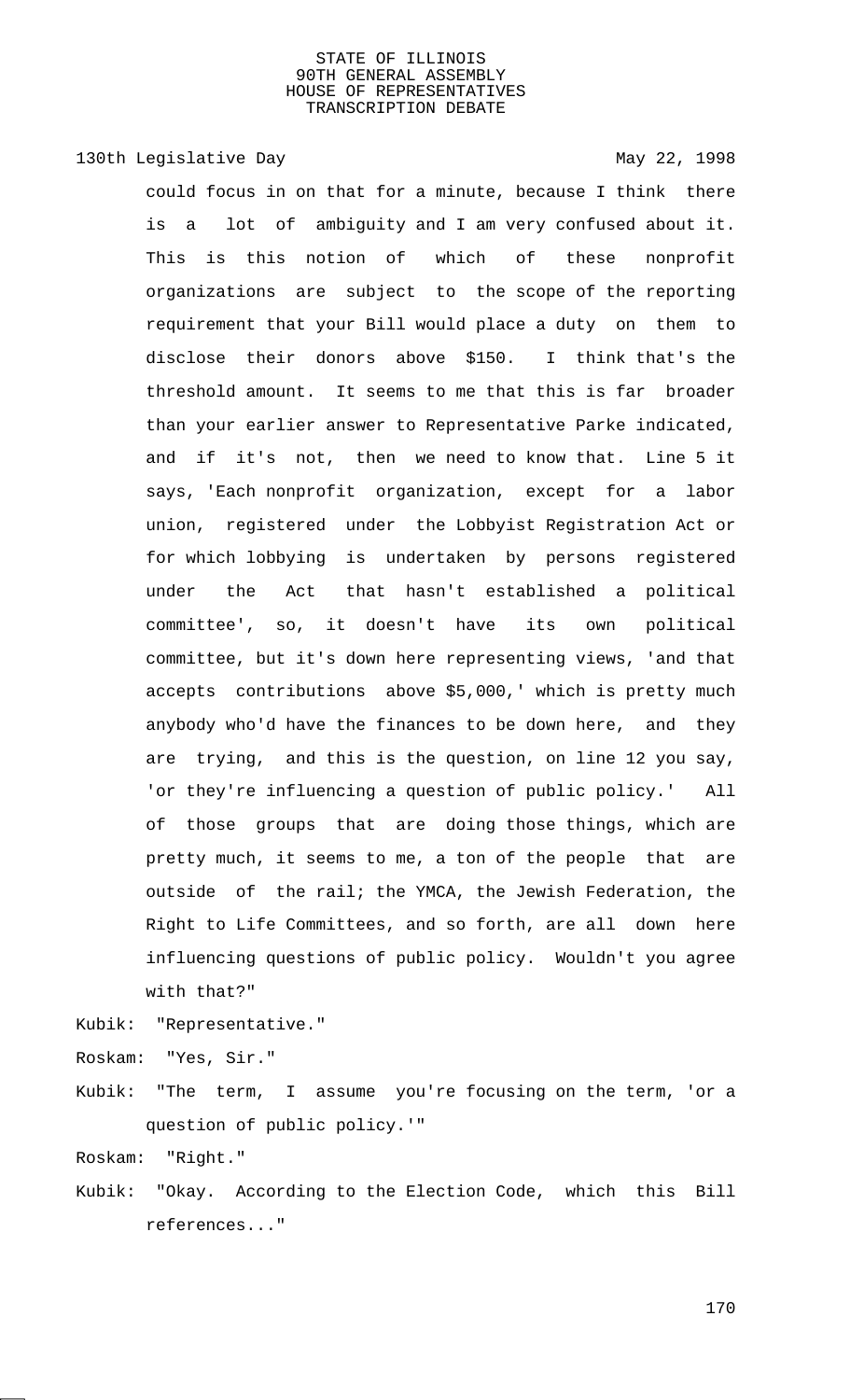# 130th Legislative Day 130th May 22, 1998

could focus in on that for a minute, because I think there is a lot of ambiguity and I am very confused about it. This is this notion of which of these nonprofit organizations are subject to the scope of the reporting requirement that your Bill would place a duty on them to disclose their donors above \$150. I think that's the threshold amount. It seems to me that this is far broader than your earlier answer to Representative Parke indicated, and if it's not, then we need to know that. Line 5 it says, 'Each nonprofit organization, except for a labor union, registered under the Lobbyist Registration Act or for which lobbying is undertaken by persons registered under the Act that hasn't established a political committee', so, it doesn't have its own political committee, but it's down here representing views, 'and that accepts contributions above \$5,000,' which is pretty much anybody who'd have the finances to be down here, and they are trying, and this is the question, on line 12 you say, 'or they're influencing a question of public policy.' All of those groups that are doing those things, which are pretty much, it seems to me, a ton of the people that are outside of the rail; the YMCA, the Jewish Federation, the Right to Life Committees, and so forth, are all down here influencing questions of public policy. Wouldn't you agree with that?"

Kubik: "Representative."

Roskam: "Yes, Sir."

Kubik: "The term, I assume you're focusing on the term, 'or a question of public policy.'"

Roskam: "Right."

Kubik: "Okay. According to the Election Code, which this Bill references..."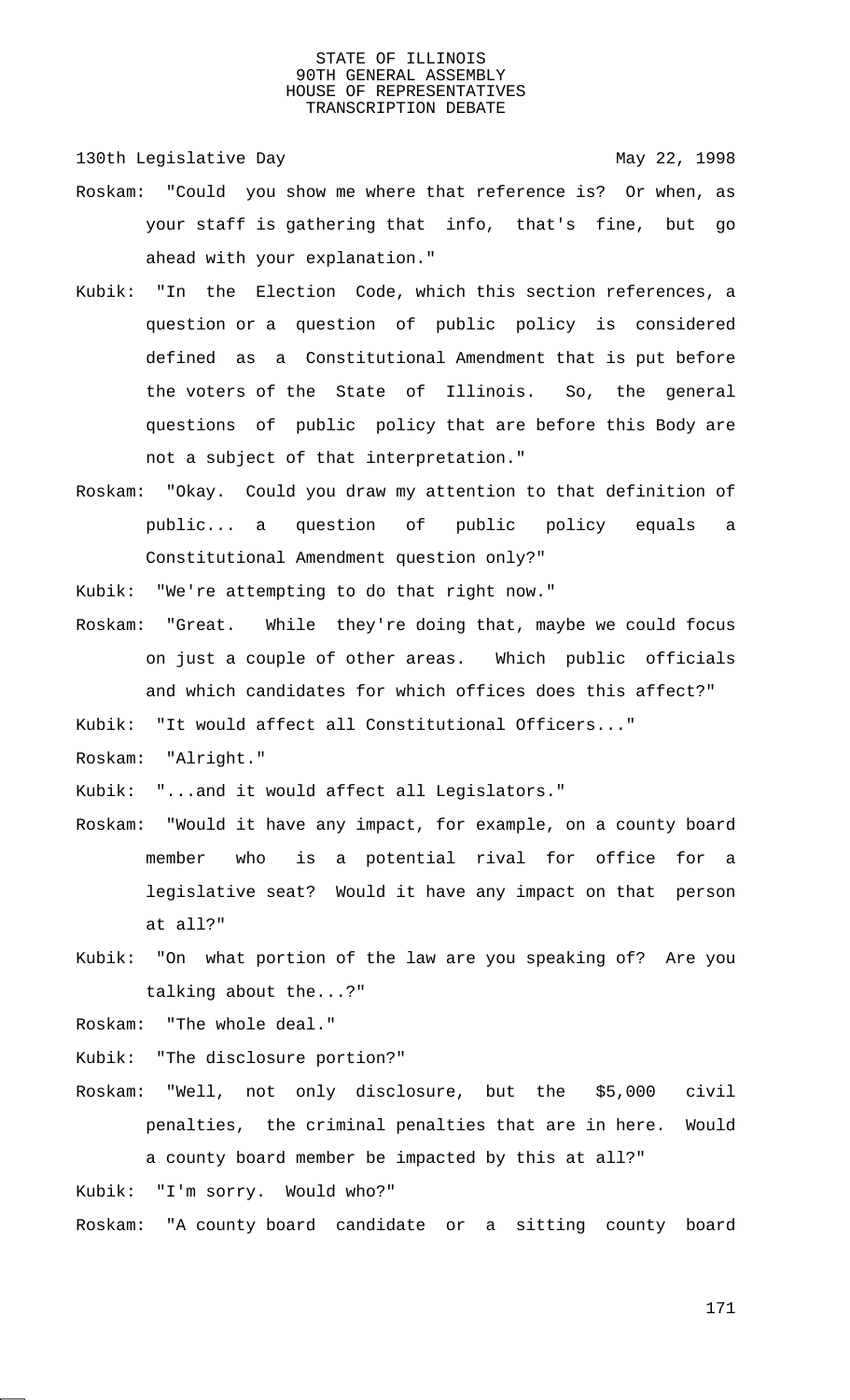130th Legislative Day 130th May 22, 1998

- Roskam: "Could you show me where that reference is? Or when, as your staff is gathering that info, that's fine, but go ahead with your explanation."
- Kubik: "In the Election Code, which this section references, a question or a question of public policy is considered defined as a Constitutional Amendment that is put before the voters of the State of Illinois. So, the general questions of public policy that are before this Body are not a subject of that interpretation."
- Roskam: "Okay. Could you draw my attention to that definition of public... a question of public policy equals a Constitutional Amendment question only?"
- Kubik: "We're attempting to do that right now."
- Roskam: "Great. While they're doing that, maybe we could focus on just a couple of other areas. Which public officials and which candidates for which offices does this affect?"

Kubik: "It would affect all Constitutional Officers..."

Roskam: "Alright."

Kubik: "...and it would affect all Legislators."

- Roskam: "Would it have any impact, for example, on a county board member who is a potential rival for office for a legislative seat? Would it have any impact on that person at all?"
- Kubik: "On what portion of the law are you speaking of? Are you talking about the...?"

Roskam: "The whole deal."

Kubik: "The disclosure portion?"

Roskam: "Well, not only disclosure, but the \$5,000 civil penalties, the criminal penalties that are in here. Would a county board member be impacted by this at all?"

Kubik: "I'm sorry. Would who?"

Roskam: "A county board candidate or a sitting county board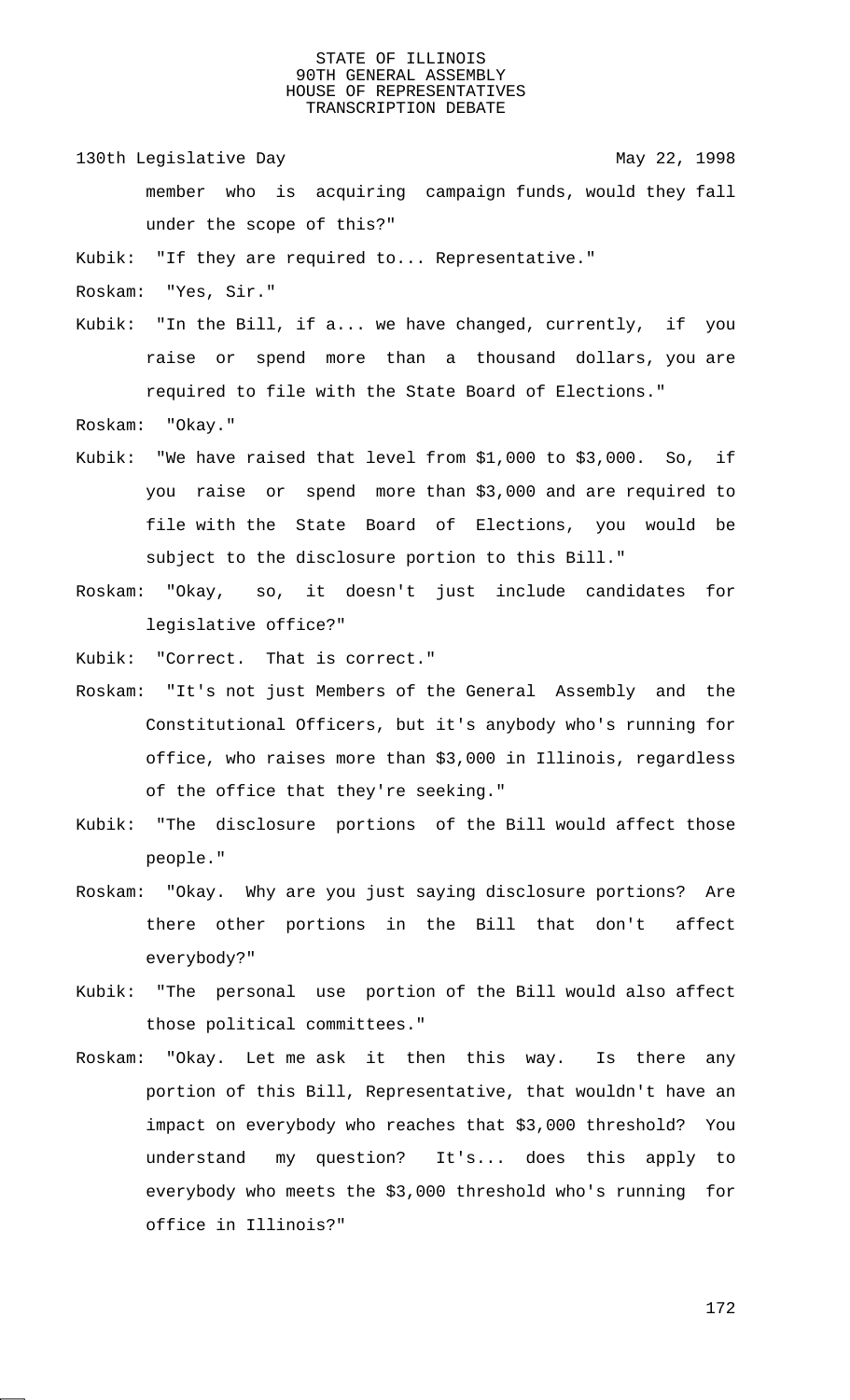130th Legislative Day 130th May 22, 1998

member who is acquiring campaign funds, would they fall under the scope of this?"

Kubik: "If they are required to... Representative."

Roskam: "Yes, Sir."

Kubik: "In the Bill, if a... we have changed, currently, if you raise or spend more than a thousand dollars, you are required to file with the State Board of Elections."

Roskam: "Okay."

- Kubik: "We have raised that level from \$1,000 to \$3,000. So, if you raise or spend more than \$3,000 and are required to file with the State Board of Elections, you would be subject to the disclosure portion to this Bill."
- Roskam: "Okay, so, it doesn't just include candidates for legislative office?"

Kubik: "Correct. That is correct."

- Roskam: "It's not just Members of the General Assembly and the Constitutional Officers, but it's anybody who's running for office, who raises more than \$3,000 in Illinois, regardless of the office that they're seeking."
- Kubik: "The disclosure portions of the Bill would affect those people."
- Roskam: "Okay. Why are you just saying disclosure portions? Are there other portions in the Bill that don't affect everybody?"
- Kubik: "The personal use portion of the Bill would also affect those political committees."
- Roskam: "Okay. Let me ask it then this way. Is there any portion of this Bill, Representative, that wouldn't have an impact on everybody who reaches that \$3,000 threshold? You understand my question? It's... does this apply to everybody who meets the \$3,000 threshold who's running for office in Illinois?"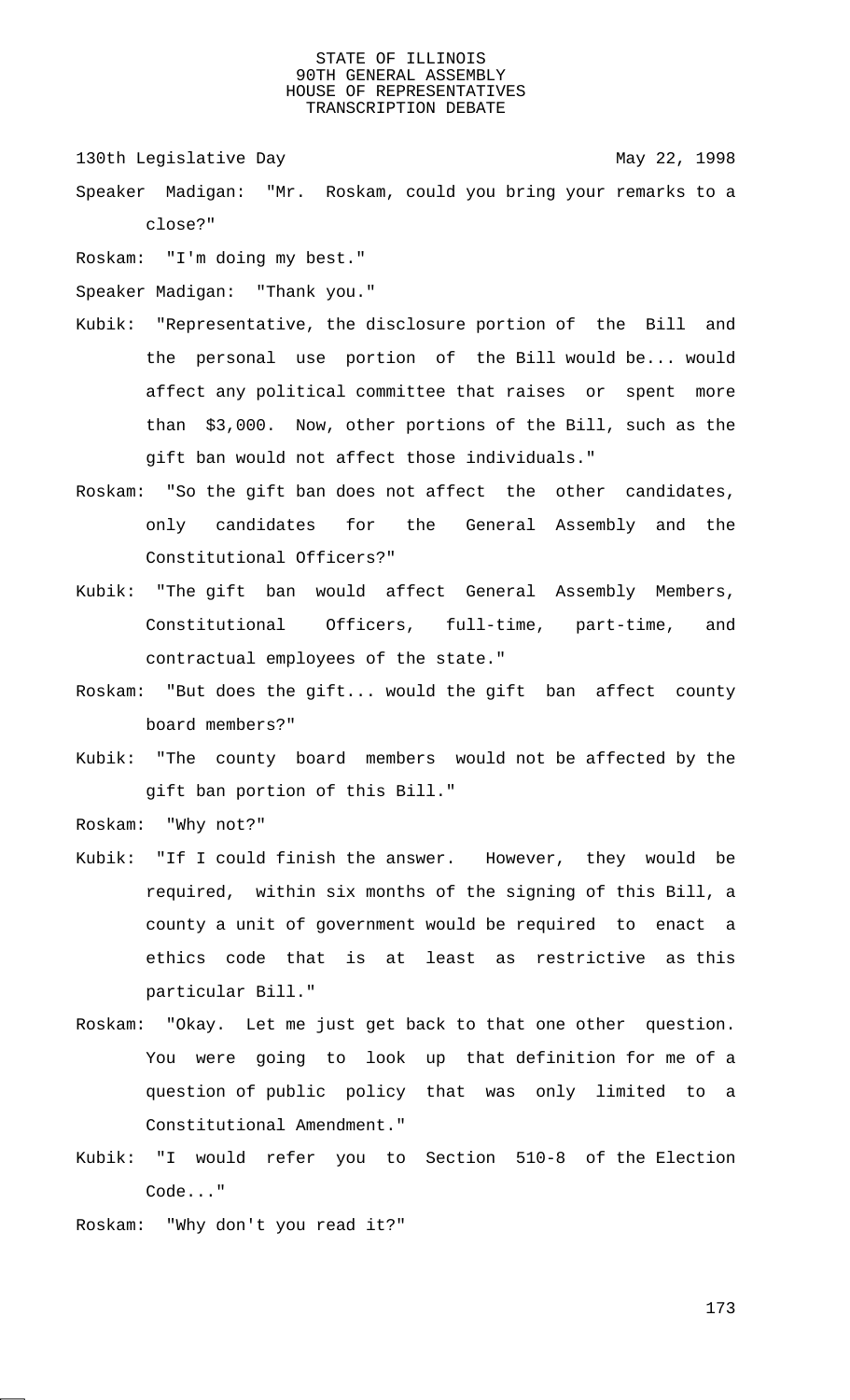130th Legislative Day 130th May 22, 1998

- Speaker Madigan: "Mr. Roskam, could you bring your remarks to a close?"
- Roskam: "I'm doing my best."
- Speaker Madigan: "Thank you."
- Kubik: "Representative, the disclosure portion of the Bill and the personal use portion of the Bill would be... would affect any political committee that raises or spent more than \$3,000. Now, other portions of the Bill, such as the gift ban would not affect those individuals."
- Roskam: "So the gift ban does not affect the other candidates, only candidates for the General Assembly and the Constitutional Officers?"
- Kubik: "The gift ban would affect General Assembly Members, Constitutional Officers, full-time, part-time, and contractual employees of the state."
- Roskam: "But does the gift... would the gift ban affect county board members?"
- Kubik: "The county board members would not be affected by the gift ban portion of this Bill."
- Roskam: "Why not?"
- Kubik: "If I could finish the answer. However, they would be required, within six months of the signing of this Bill, a county a unit of government would be required to enact a ethics code that is at least as restrictive as this particular Bill."
- Roskam: "Okay. Let me just get back to that one other question. You were going to look up that definition for me of a question of public policy that was only limited to a Constitutional Amendment."
- Kubik: "I would refer you to Section 510-8 of the Election Code..."
- Roskam: "Why don't you read it?"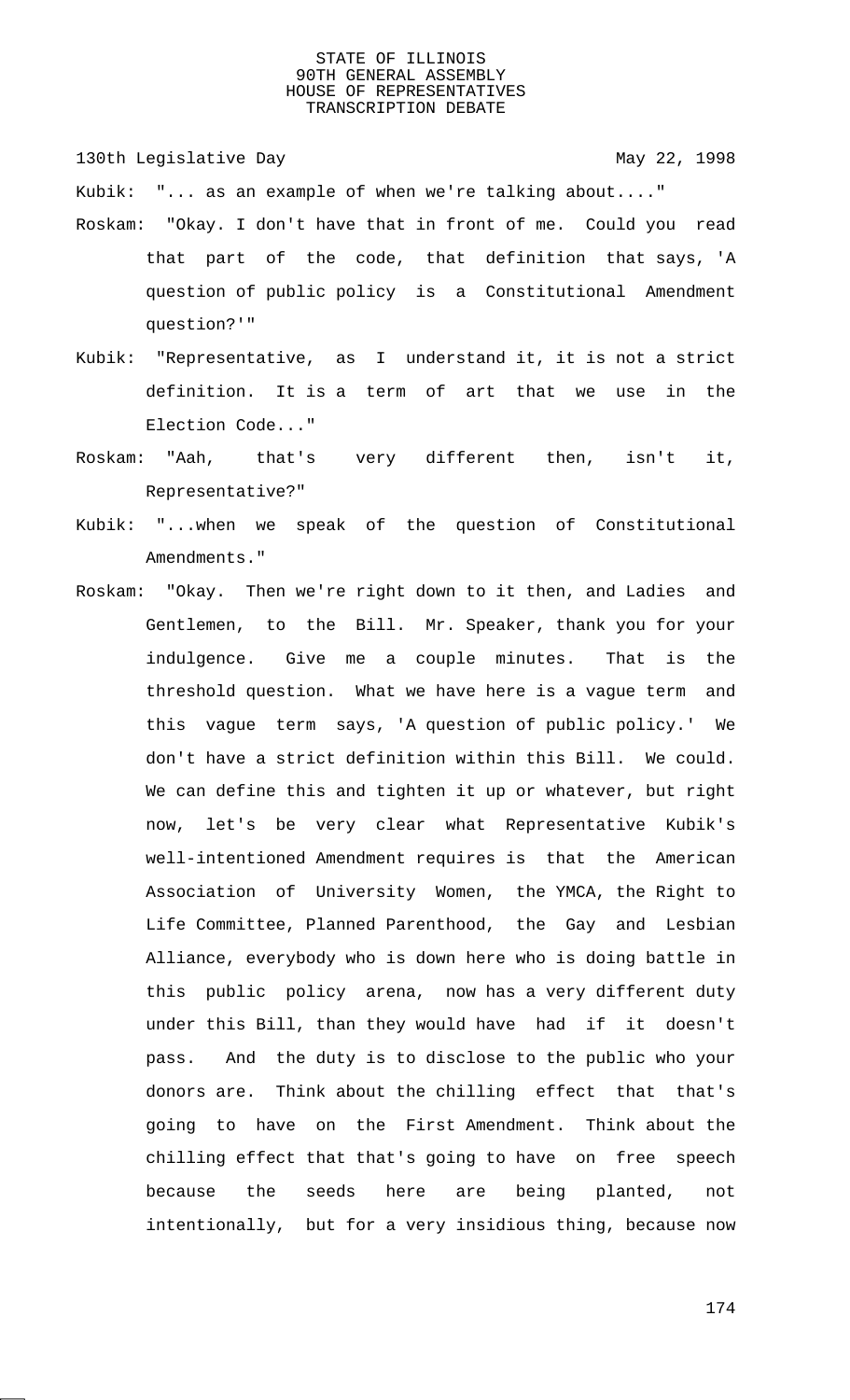130th Legislative Day 130th May 22, 1998

Kubik: "... as an example of when we're talking about...."

- Roskam: "Okay. I don't have that in front of me. Could you read that part of the code, that definition that says, 'A question of public policy is a Constitutional Amendment question?'"
- Kubik: "Representative, as I understand it, it is not a strict definition. It is a term of art that we use in the Election Code..."
- Roskam: "Aah, that's very different then, isn't it, Representative?"
- Kubik: "...when we speak of the question of Constitutional Amendments."
- Roskam: "Okay. Then we're right down to it then, and Ladies and Gentlemen, to the Bill. Mr. Speaker, thank you for your indulgence. Give me a couple minutes. That is the threshold question. What we have here is a vague term and this vague term says, 'A question of public policy.' We don't have a strict definition within this Bill. We could. We can define this and tighten it up or whatever, but right now, let's be very clear what Representative Kubik's well-intentioned Amendment requires is that the American Association of University Women, the YMCA, the Right to Life Committee, Planned Parenthood, the Gay and Lesbian Alliance, everybody who is down here who is doing battle in this public policy arena, now has a very different duty under this Bill, than they would have had if it doesn't pass. And the duty is to disclose to the public who your donors are. Think about the chilling effect that that's going to have on the First Amendment. Think about the chilling effect that that's going to have on free speech because the seeds here are being planted, not intentionally, but for a very insidious thing, because now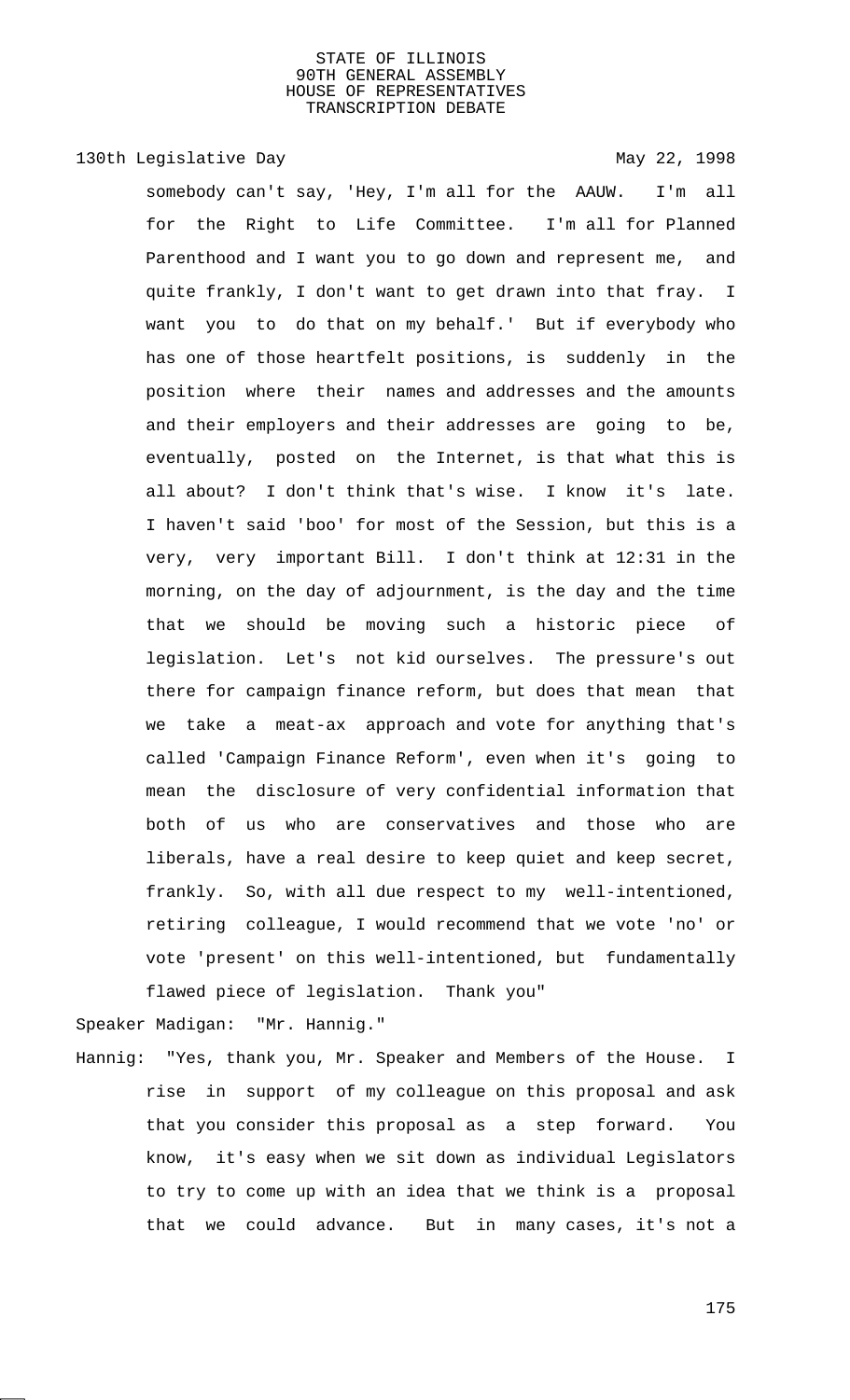# 130th Legislative Day 130th May 22, 1998

somebody can't say, 'Hey, I'm all for the AAUW. I'm all for the Right to Life Committee. I'm all for Planned Parenthood and I want you to go down and represent me, and quite frankly, I don't want to get drawn into that fray. I want you to do that on my behalf.' But if everybody who has one of those heartfelt positions, is suddenly in the position where their names and addresses and the amounts and their employers and their addresses are going to be, eventually, posted on the Internet, is that what this is all about? I don't think that's wise. I know it's late. I haven't said 'boo' for most of the Session, but this is a very, very important Bill. I don't think at 12:31 in the morning, on the day of adjournment, is the day and the time that we should be moving such a historic piece of legislation. Let's not kid ourselves. The pressure's out there for campaign finance reform, but does that mean that we take a meat-ax approach and vote for anything that's called 'Campaign Finance Reform', even when it's going to mean the disclosure of very confidential information that both of us who are conservatives and those who are liberals, have a real desire to keep quiet and keep secret, frankly. So, with all due respect to my well-intentioned, retiring colleague, I would recommend that we vote 'no' or vote 'present' on this well-intentioned, but fundamentally flawed piece of legislation. Thank you"

Speaker Madigan: "Mr. Hannig."

Hannig: "Yes, thank you, Mr. Speaker and Members of the House. I rise in support of my colleague on this proposal and ask that you consider this proposal as a step forward. You know, it's easy when we sit down as individual Legislators to try to come up with an idea that we think is a proposal that we could advance. But in many cases, it's not a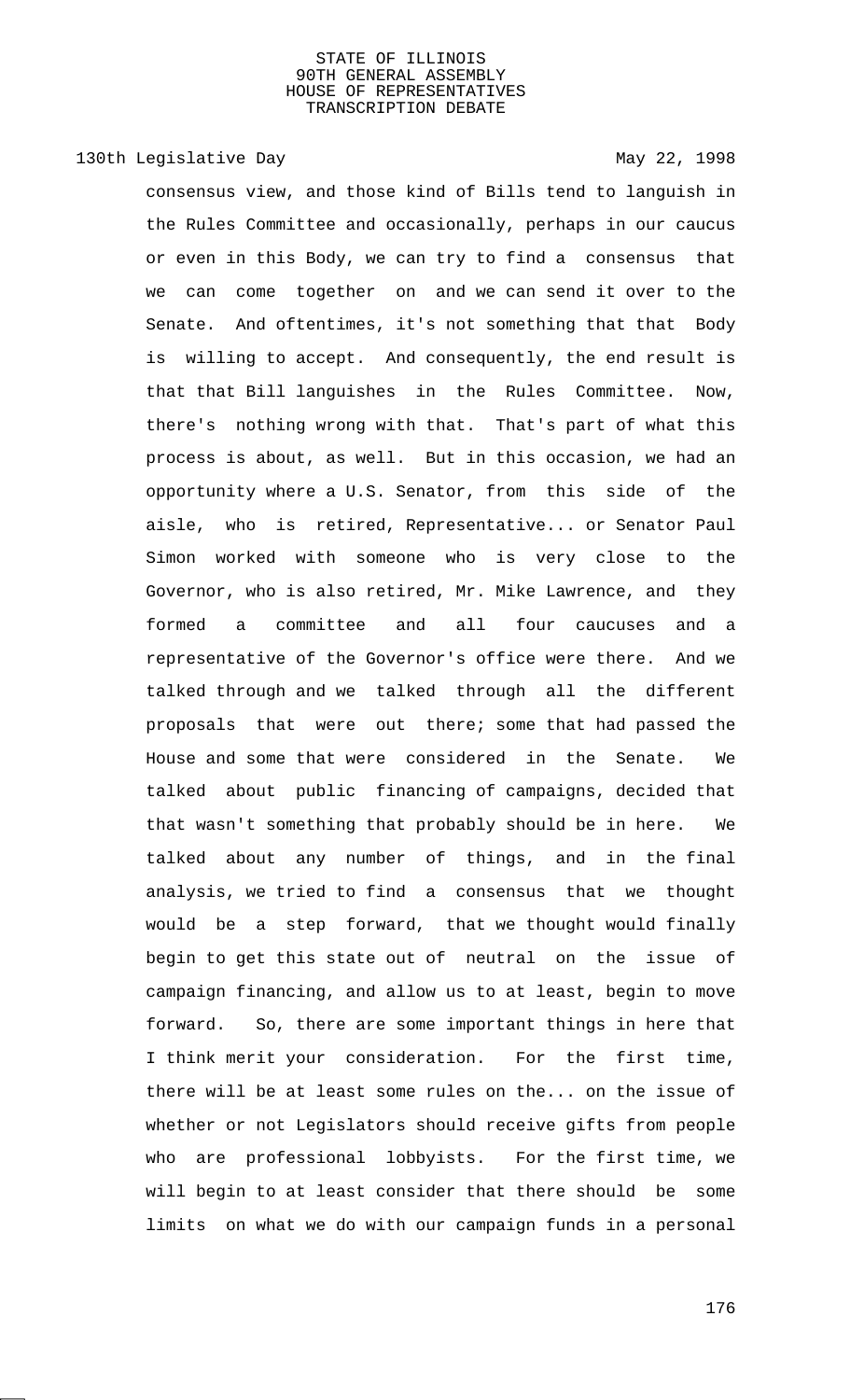# 130th Legislative Day 130th May 22, 1998

consensus view, and those kind of Bills tend to languish in the Rules Committee and occasionally, perhaps in our caucus or even in this Body, we can try to find a consensus that we can come together on and we can send it over to the Senate. And oftentimes, it's not something that that Body is willing to accept. And consequently, the end result is that that Bill languishes in the Rules Committee. Now, there's nothing wrong with that. That's part of what this process is about, as well. But in this occasion, we had an opportunity where a U.S. Senator, from this side of the aisle, who is retired, Representative... or Senator Paul Simon worked with someone who is very close to the Governor, who is also retired, Mr. Mike Lawrence, and they formed a committee and all four caucuses and a representative of the Governor's office were there. And we talked through and we talked through all the different proposals that were out there; some that had passed the House and some that were considered in the Senate. We talked about public financing of campaigns, decided that that wasn't something that probably should be in here. We talked about any number of things, and in the final analysis, we tried to find a consensus that we thought would be a step forward, that we thought would finally begin to get this state out of neutral on the issue of campaign financing, and allow us to at least, begin to move forward. So, there are some important things in here that I think merit your consideration. For the first time, there will be at least some rules on the... on the issue of whether or not Legislators should receive gifts from people who are professional lobbyists. For the first time, we will begin to at least consider that there should be some limits on what we do with our campaign funds in a personal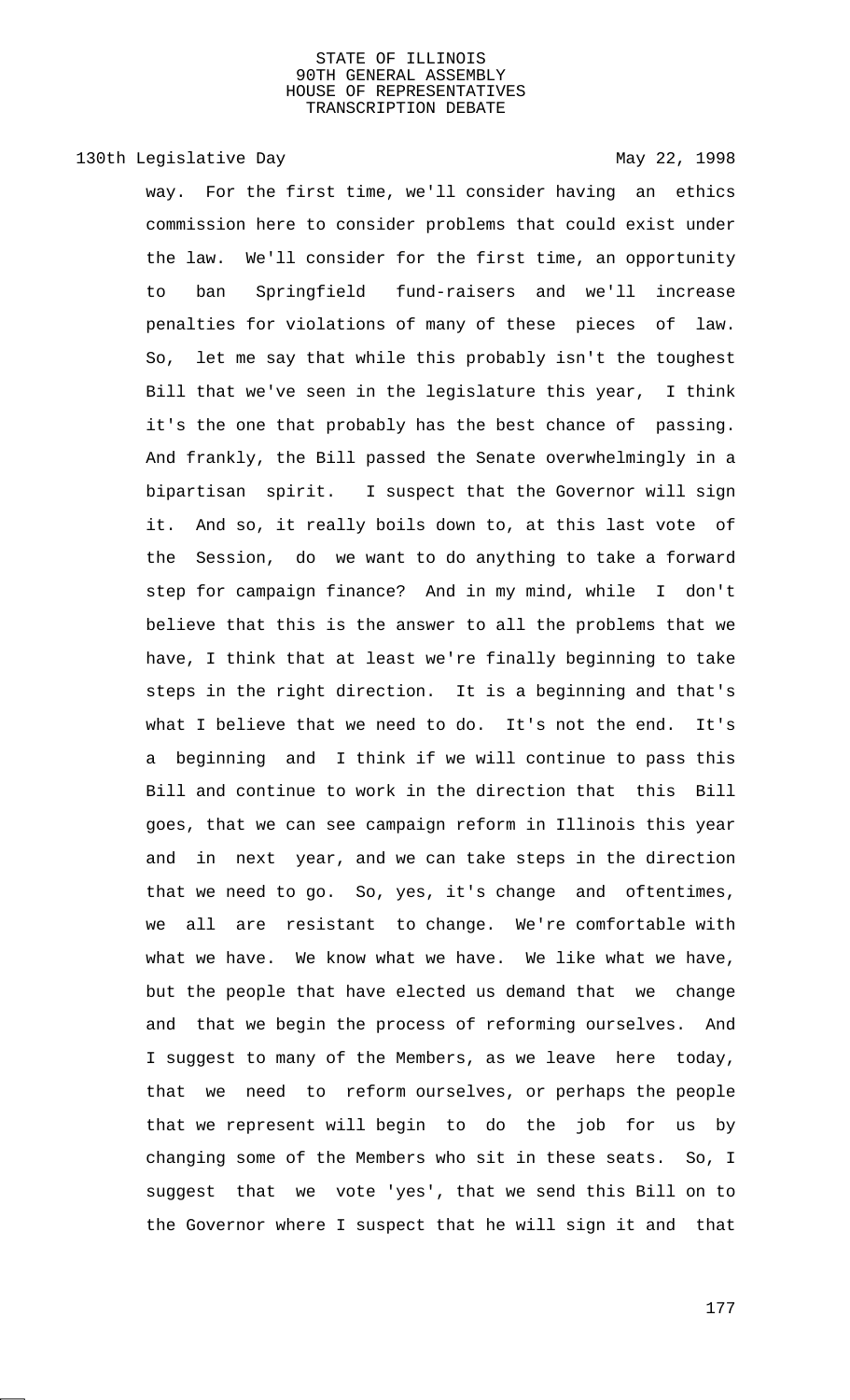# 130th Legislative Day 130th May 22, 1998

way. For the first time, we'll consider having an ethics commission here to consider problems that could exist under the law. We'll consider for the first time, an opportunity to ban Springfield fund-raisers and we'll increase penalties for violations of many of these pieces of law. So, let me say that while this probably isn't the toughest Bill that we've seen in the legislature this year, I think it's the one that probably has the best chance of passing. And frankly, the Bill passed the Senate overwhelmingly in a bipartisan spirit. I suspect that the Governor will sign it. And so, it really boils down to, at this last vote of the Session, do we want to do anything to take a forward step for campaign finance? And in my mind, while I don't believe that this is the answer to all the problems that we have, I think that at least we're finally beginning to take steps in the right direction. It is a beginning and that's what I believe that we need to do. It's not the end. It's a beginning and I think if we will continue to pass this Bill and continue to work in the direction that this Bill goes, that we can see campaign reform in Illinois this year and in next year, and we can take steps in the direction that we need to go. So, yes, it's change and oftentimes, we all are resistant to change. We're comfortable with what we have. We know what we have. We like what we have, but the people that have elected us demand that we change and that we begin the process of reforming ourselves. And I suggest to many of the Members, as we leave here today, that we need to reform ourselves, or perhaps the people that we represent will begin to do the job for us by changing some of the Members who sit in these seats. So, I suggest that we vote 'yes', that we send this Bill on to the Governor where I suspect that he will sign it and that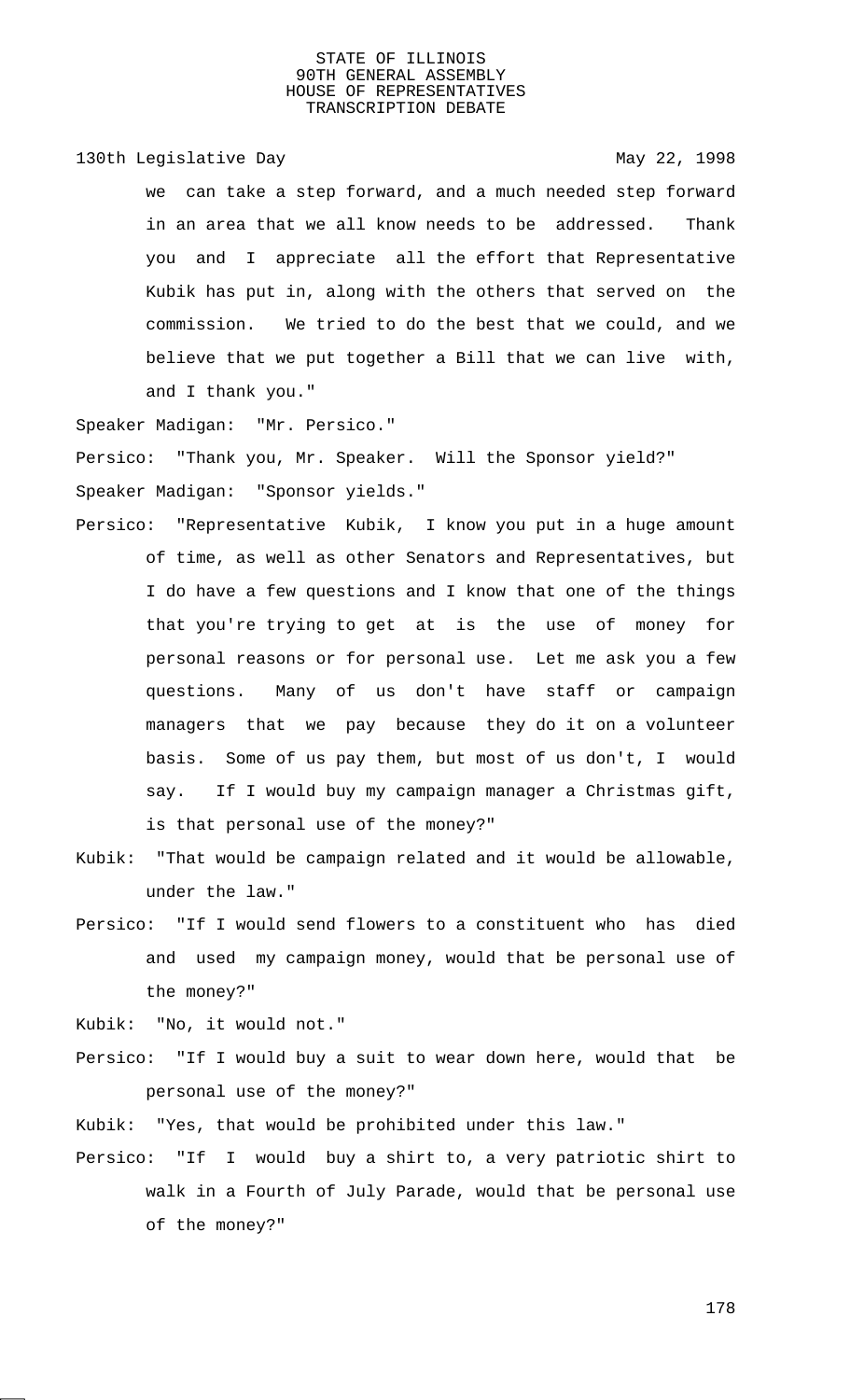130th Legislative Day 130th May 22, 1998

we can take a step forward, and a much needed step forward in an area that we all know needs to be addressed. Thank you and I appreciate all the effort that Representative Kubik has put in, along with the others that served on the commission. We tried to do the best that we could, and we believe that we put together a Bill that we can live with, and I thank you."

Speaker Madigan: "Mr. Persico."

Persico: "Thank you, Mr. Speaker. Will the Sponsor yield?" Speaker Madigan: "Sponsor yields."

- Persico: "Representative Kubik, I know you put in a huge amount of time, as well as other Senators and Representatives, but I do have a few questions and I know that one of the things that you're trying to get at is the use of money for personal reasons or for personal use. Let me ask you a few questions. Many of us don't have staff or campaign managers that we pay because they do it on a volunteer basis. Some of us pay them, but most of us don't, I would say. If I would buy my campaign manager a Christmas gift, is that personal use of the money?"
- Kubik: "That would be campaign related and it would be allowable, under the law."
- Persico: "If I would send flowers to a constituent who has died and used my campaign money, would that be personal use of the money?"

Kubik: "No, it would not."

Persico: "If I would buy a suit to wear down here, would that be personal use of the money?"

Kubik: "Yes, that would be prohibited under this law."

Persico: "If I would buy a shirt to, a very patriotic shirt to walk in a Fourth of July Parade, would that be personal use of the money?"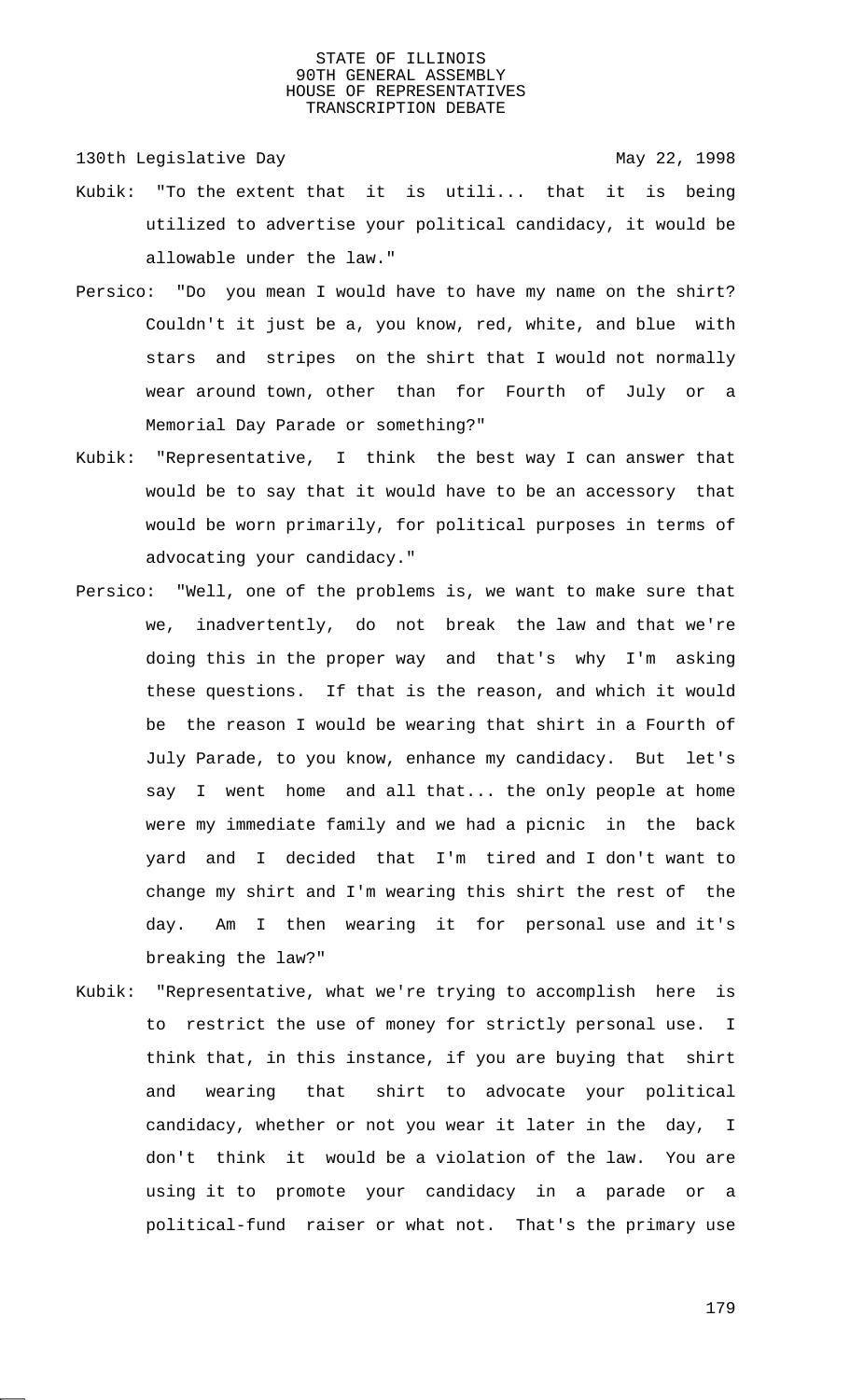130th Legislative Day 130th May 22, 1998

- Kubik: "To the extent that it is utili... that it is being utilized to advertise your political candidacy, it would be allowable under the law."
- Persico: "Do you mean I would have to have my name on the shirt? Couldn't it just be a, you know, red, white, and blue with stars and stripes on the shirt that I would not normally wear around town, other than for Fourth of July or a Memorial Day Parade or something?"
- Kubik: "Representative, I think the best way I can answer that would be to say that it would have to be an accessory that would be worn primarily, for political purposes in terms of advocating your candidacy."
- Persico: "Well, one of the problems is, we want to make sure that we, inadvertently, do not break the law and that we're doing this in the proper way and that's why I'm asking these questions. If that is the reason, and which it would be the reason I would be wearing that shirt in a Fourth of July Parade, to you know, enhance my candidacy. But let's say I went home and all that... the only people at home were my immediate family and we had a picnic in the back yard and I decided that I'm tired and I don't want to change my shirt and I'm wearing this shirt the rest of the day. Am I then wearing it for personal use and it's breaking the law?"
- Kubik: "Representative, what we're trying to accomplish here is to restrict the use of money for strictly personal use. I think that, in this instance, if you are buying that shirt and wearing that shirt to advocate your political candidacy, whether or not you wear it later in the day, I don't think it would be a violation of the law. You are using it to promote your candidacy in a parade or a political-fund raiser or what not. That's the primary use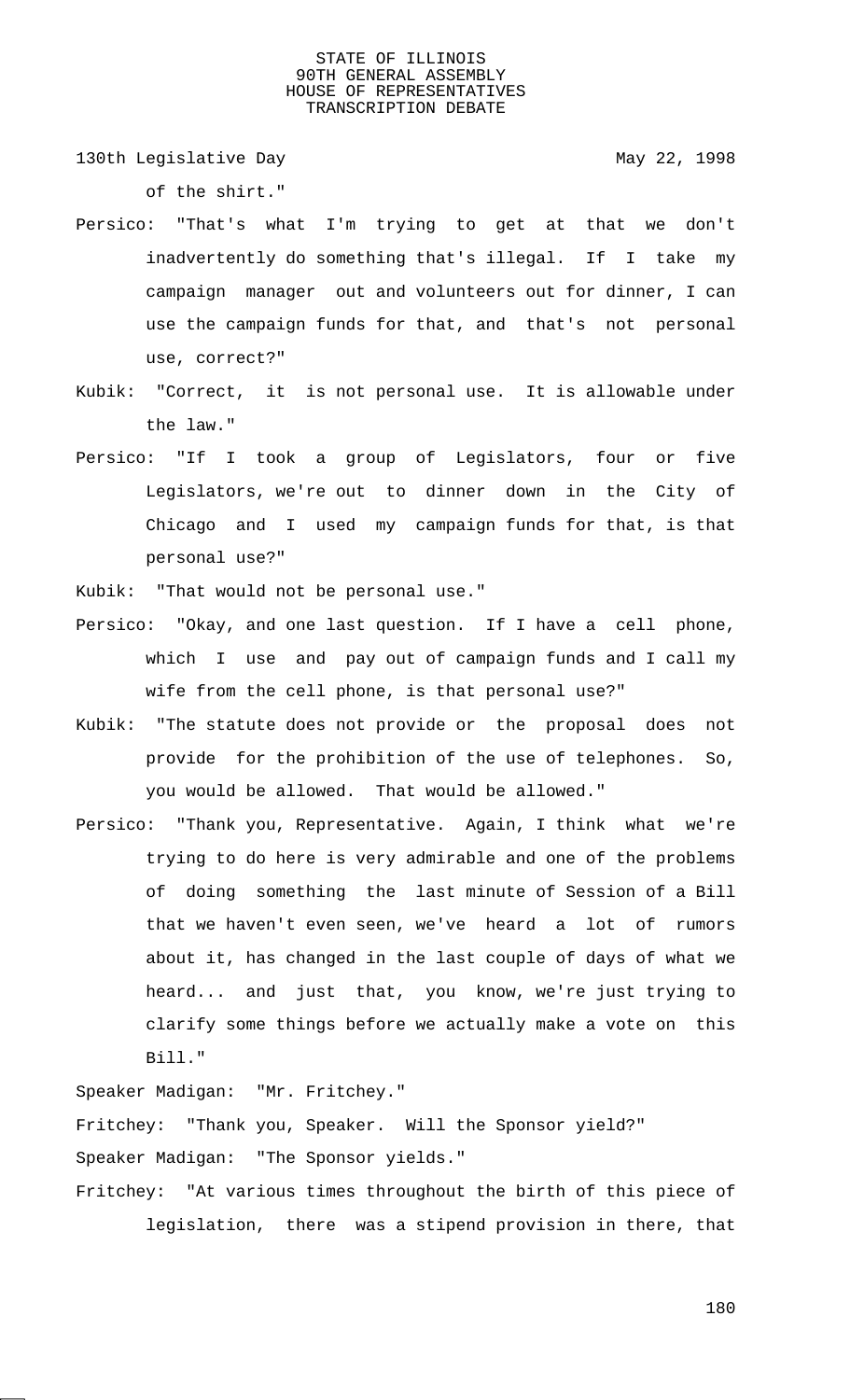130th Legislative Day 130th May 22, 1998

of the shirt."

- Persico: "That's what I'm trying to get at that we don't inadvertently do something that's illegal. If I take my campaign manager out and volunteers out for dinner, I can use the campaign funds for that, and that's not personal use, correct?"
- Kubik: "Correct, it is not personal use. It is allowable under the law."
- Persico: "If I took a group of Legislators, four or five Legislators, we're out to dinner down in the City of Chicago and I used my campaign funds for that, is that personal use?"

Kubik: "That would not be personal use."

- Persico: "Okay, and one last question. If I have a cell phone, which I use and pay out of campaign funds and I call my wife from the cell phone, is that personal use?"
- Kubik: "The statute does not provide or the proposal does not provide for the prohibition of the use of telephones. So, you would be allowed. That would be allowed."
- Persico: "Thank you, Representative. Again, I think what we're trying to do here is very admirable and one of the problems of doing something the last minute of Session of a Bill that we haven't even seen, we've heard a lot of rumors about it, has changed in the last couple of days of what we heard... and just that, you know, we're just trying to clarify some things before we actually make a vote on this Bill."

Speaker Madigan: "Mr. Fritchey." Fritchey: "Thank you, Speaker. Will the Sponsor yield?" Speaker Madigan: "The Sponsor yields." Fritchey: "At various times throughout the birth of this piece of legislation, there was a stipend provision in there, that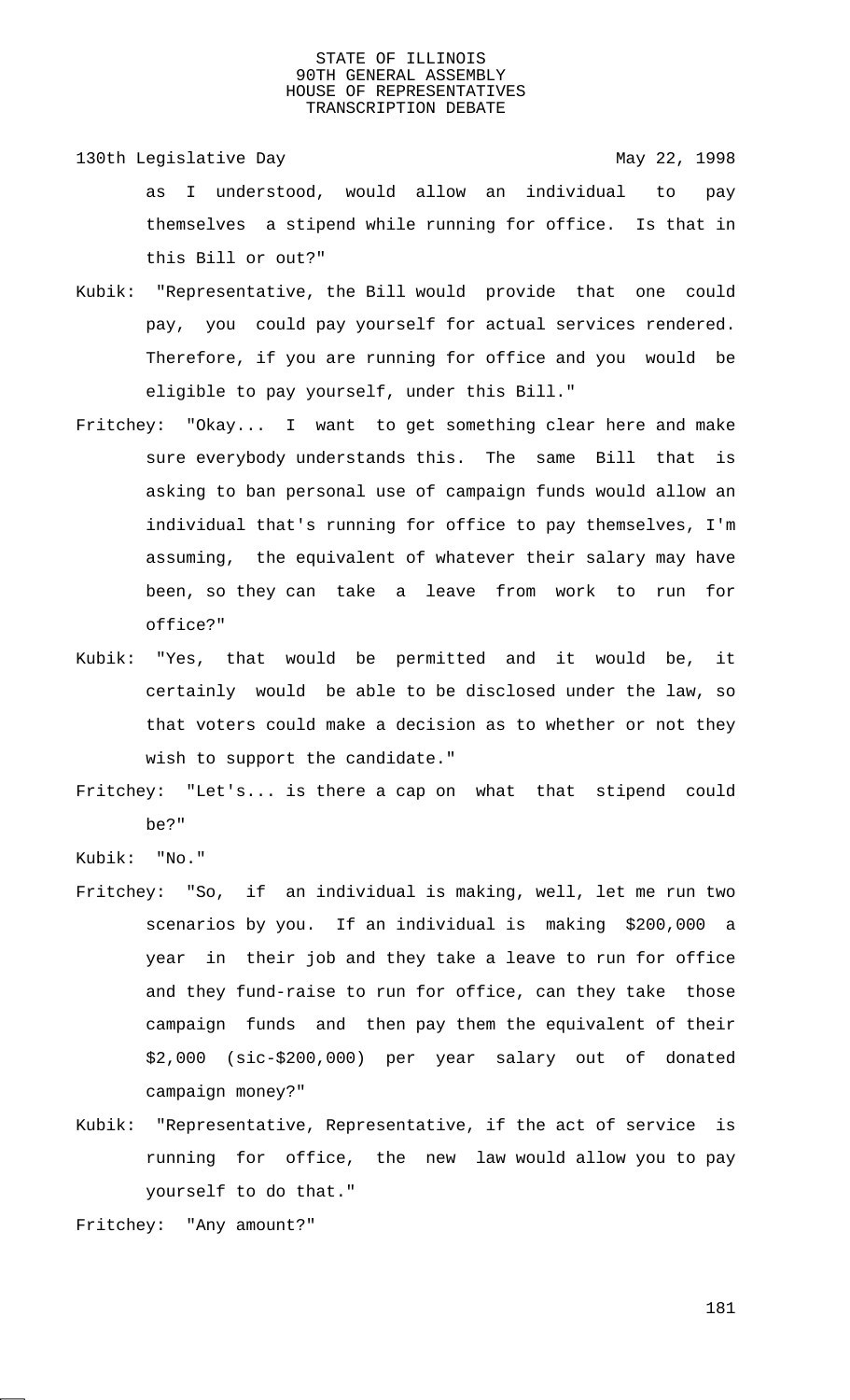- 130th Legislative Day 130th May 22, 1998 as I understood, would allow an individual to pay themselves a stipend while running for office. Is that in this Bill or out?"
- Kubik: "Representative, the Bill would provide that one could pay, you could pay yourself for actual services rendered. Therefore, if you are running for office and you would be eligible to pay yourself, under this Bill."
- Fritchey: "Okay... I want to get something clear here and make sure everybody understands this. The same Bill that is asking to ban personal use of campaign funds would allow an individual that's running for office to pay themselves, I'm assuming, the equivalent of whatever their salary may have been, so they can take a leave from work to run for office?"
- Kubik: "Yes, that would be permitted and it would be, it certainly would be able to be disclosed under the law, so that voters could make a decision as to whether or not they wish to support the candidate."
- Fritchey: "Let's... is there a cap on what that stipend could be?"
- Kubik: "No."
- Fritchey: "So, if an individual is making, well, let me run two scenarios by you. If an individual is making \$200,000 a year in their job and they take a leave to run for office and they fund-raise to run for office, can they take those campaign funds and then pay them the equivalent of their \$2,000 (sic-\$200,000) per year salary out of donated campaign money?"
- Kubik: "Representative, Representative, if the act of service is running for office, the new law would allow you to pay yourself to do that."

Fritchey: "Any amount?"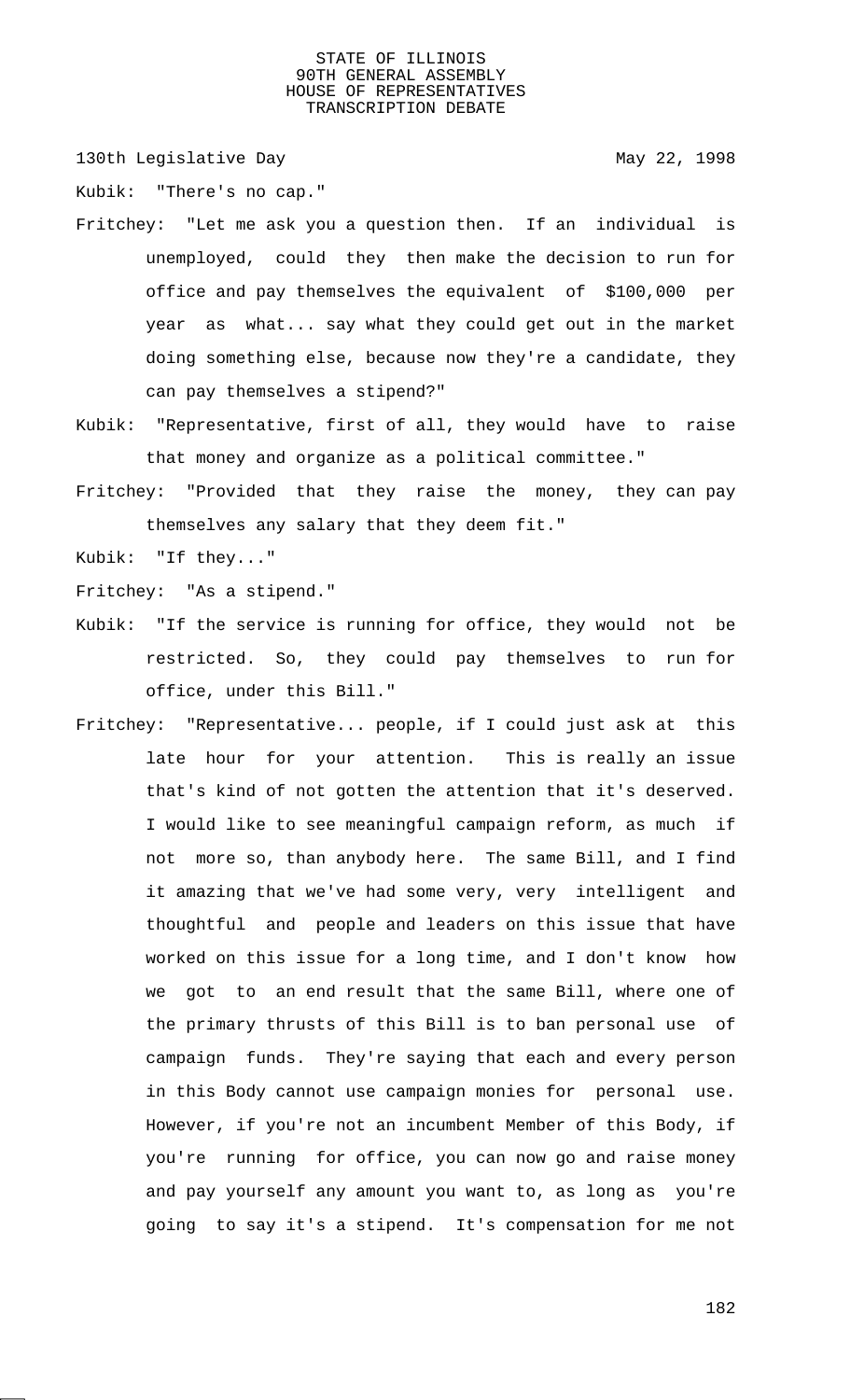130th Legislative Day 130th May 22, 1998

Kubik: "There's no cap."

- Fritchey: "Let me ask you a question then. If an individual is unemployed, could they then make the decision to run for office and pay themselves the equivalent of \$100,000 per year as what... say what they could get out in the market doing something else, because now they're a candidate, they can pay themselves a stipend?"
- Kubik: "Representative, first of all, they would have to raise that money and organize as a political committee."
- Fritchey: "Provided that they raise the money, they can pay themselves any salary that they deem fit."

Kubik: "If they..."

Fritchey: "As a stipend."

- Kubik: "If the service is running for office, they would not be restricted. So, they could pay themselves to run for office, under this Bill."
- Fritchey: "Representative... people, if I could just ask at this late hour for your attention. This is really an issue that's kind of not gotten the attention that it's deserved. I would like to see meaningful campaign reform, as much if not more so, than anybody here. The same Bill, and I find it amazing that we've had some very, very intelligent and thoughtful and people and leaders on this issue that have worked on this issue for a long time, and I don't know how we got to an end result that the same Bill, where one of the primary thrusts of this Bill is to ban personal use of campaign funds. They're saying that each and every person in this Body cannot use campaign monies for personal use. However, if you're not an incumbent Member of this Body, if you're running for office, you can now go and raise money and pay yourself any amount you want to, as long as you're going to say it's a stipend. It's compensation for me not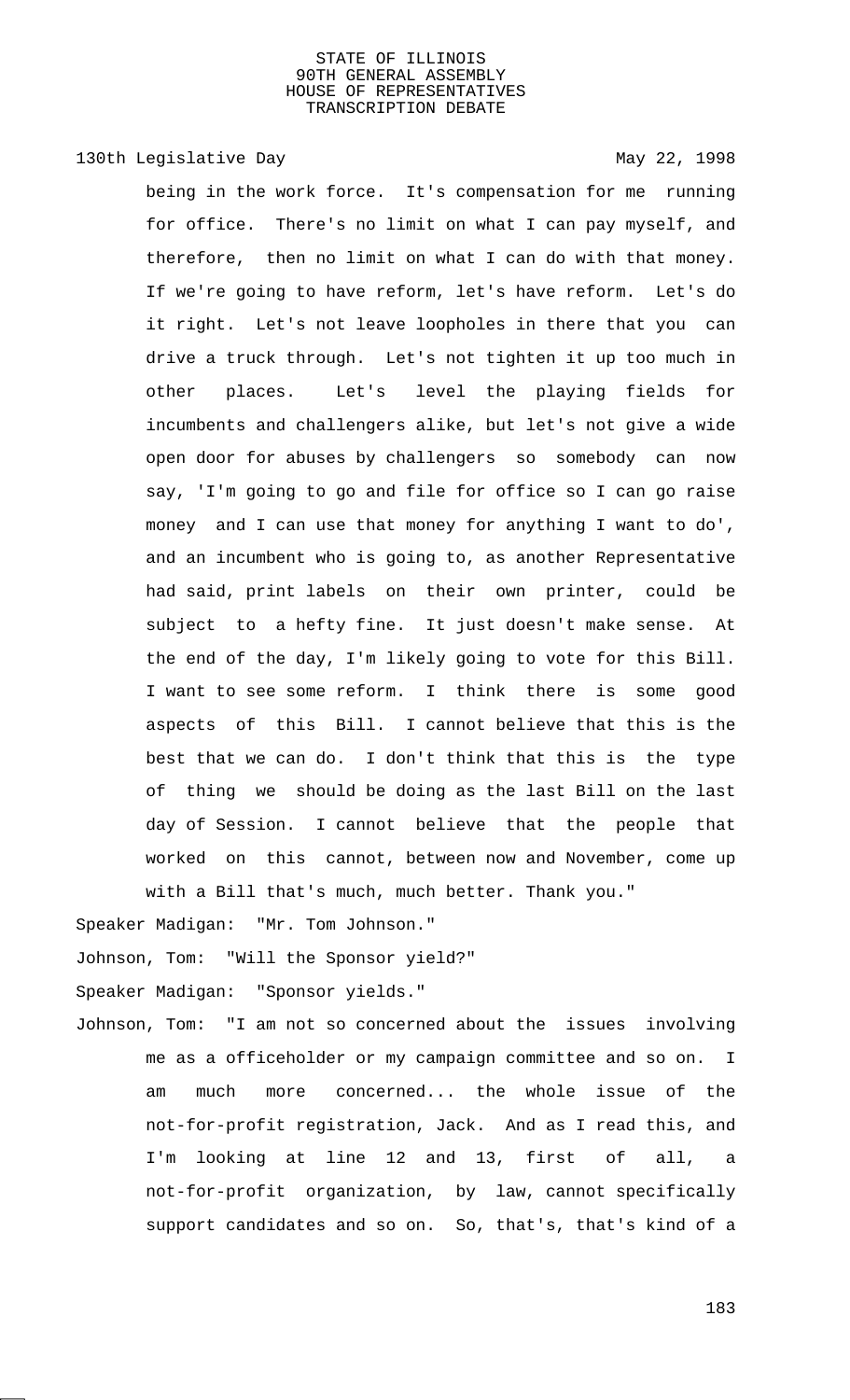# 130th Legislative Day 130th May 22, 1998

being in the work force. It's compensation for me running for office. There's no limit on what I can pay myself, and therefore, then no limit on what I can do with that money. If we're going to have reform, let's have reform. Let's do it right. Let's not leave loopholes in there that you can drive a truck through. Let's not tighten it up too much in other places. Let's level the playing fields for incumbents and challengers alike, but let's not give a wide open door for abuses by challengers so somebody can now say, 'I'm going to go and file for office so I can go raise money and I can use that money for anything I want to do', and an incumbent who is going to, as another Representative had said, print labels on their own printer, could be subject to a hefty fine. It just doesn't make sense. At the end of the day, I'm likely going to vote for this Bill. I want to see some reform. I think there is some good aspects of this Bill. I cannot believe that this is the best that we can do. I don't think that this is the type of thing we should be doing as the last Bill on the last day of Session. I cannot believe that the people that worked on this cannot, between now and November, come up with a Bill that's much, much better. Thank you."

Speaker Madigan: "Mr. Tom Johnson."

Johnson, Tom: "Will the Sponsor yield?"

Speaker Madigan: "Sponsor yields."

Johnson, Tom: "I am not so concerned about the issues involving me as a officeholder or my campaign committee and so on. I am much more concerned... the whole issue of the not-for-profit registration, Jack. And as I read this, and I'm looking at line 12 and 13, first of all, a not-for-profit organization, by law, cannot specifically support candidates and so on. So, that's, that's kind of a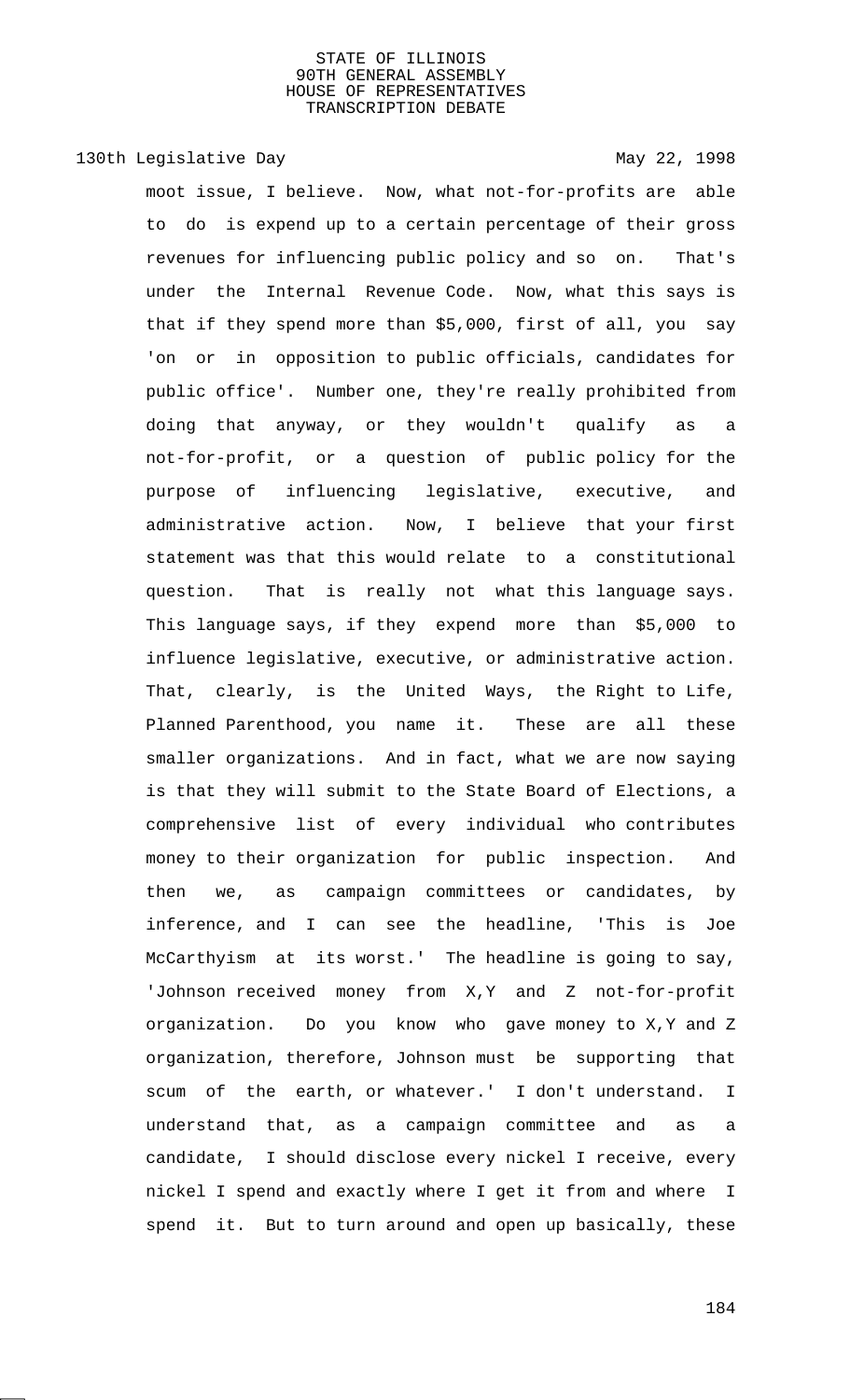130th Legislative Day 130th May 22, 1998

moot issue, I believe. Now, what not-for-profits are able to do is expend up to a certain percentage of their gross revenues for influencing public policy and so on. That's under the Internal Revenue Code. Now, what this says is that if they spend more than \$5,000, first of all, you say 'on or in opposition to public officials, candidates for public office'. Number one, they're really prohibited from doing that anyway, or they wouldn't qualify as a not-for-profit, or a question of public policy for the purpose of influencing legislative, executive, and administrative action. Now, I believe that your first statement was that this would relate to a constitutional question. That is really not what this language says. This language says, if they expend more than \$5,000 to influence legislative, executive, or administrative action. That, clearly, is the United Ways, the Right to Life, Planned Parenthood, you name it. These are all these smaller organizations. And in fact, what we are now saying is that they will submit to the State Board of Elections, a comprehensive list of every individual who contributes money to their organization for public inspection. And then we, as campaign committees or candidates, by inference, and I can see the headline, 'This is Joe McCarthyism at its worst.' The headline is going to say, 'Johnson received money from X,Y and Z not-for-profit organization. Do you know who gave money to X,Y and Z organization, therefore, Johnson must be supporting that scum of the earth, or whatever.' I don't understand. I understand that, as a campaign committee and as a candidate, I should disclose every nickel I receive, every nickel I spend and exactly where I get it from and where I spend it. But to turn around and open up basically, these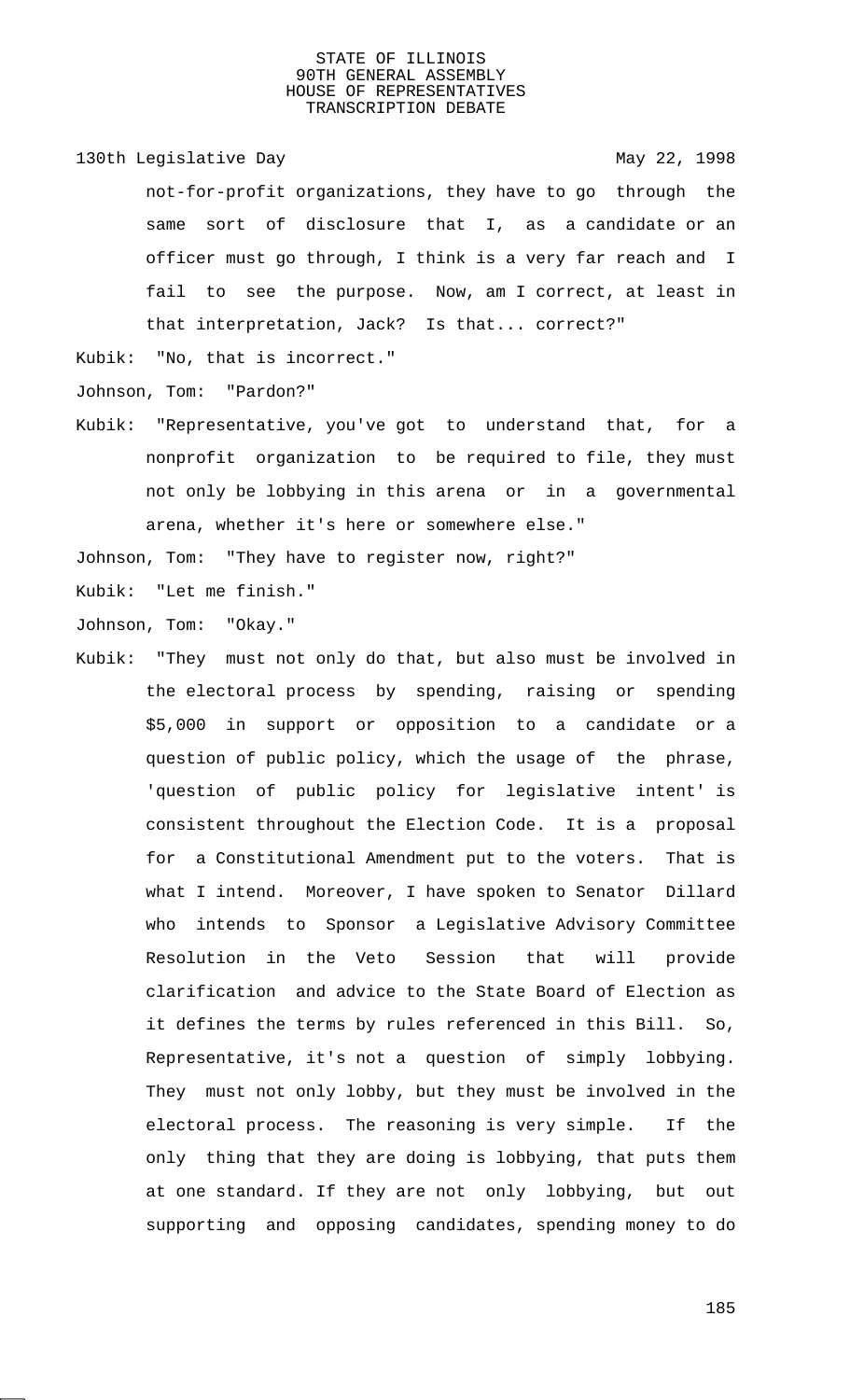130th Legislative Day 130th May 22, 1998

not-for-profit organizations, they have to go through the same sort of disclosure that I, as a candidate or an officer must go through, I think is a very far reach and I fail to see the purpose. Now, am I correct, at least in that interpretation, Jack? Is that... correct?"

Kubik: "No, that is incorrect."

Johnson, Tom: "Pardon?"

Kubik: "Representative, you've got to understand that, for a nonprofit organization to be required to file, they must not only be lobbying in this arena or in a governmental arena, whether it's here or somewhere else."

Johnson, Tom: "They have to register now, right?"

Kubik: "Let me finish."

Johnson, Tom: "Okay."

Kubik: "They must not only do that, but also must be involved in the electoral process by spending, raising or spending \$5,000 in support or opposition to a candidate or a question of public policy, which the usage of the phrase, 'question of public policy for legislative intent' is consistent throughout the Election Code. It is a proposal for a Constitutional Amendment put to the voters. That is what I intend. Moreover, I have spoken to Senator Dillard who intends to Sponsor a Legislative Advisory Committee Resolution in the Veto Session that will provide clarification and advice to the State Board of Election as it defines the terms by rules referenced in this Bill. So, Representative, it's not a question of simply lobbying. They must not only lobby, but they must be involved in the electoral process. The reasoning is very simple. If the only thing that they are doing is lobbying, that puts them at one standard. If they are not only lobbying, but out supporting and opposing candidates, spending money to do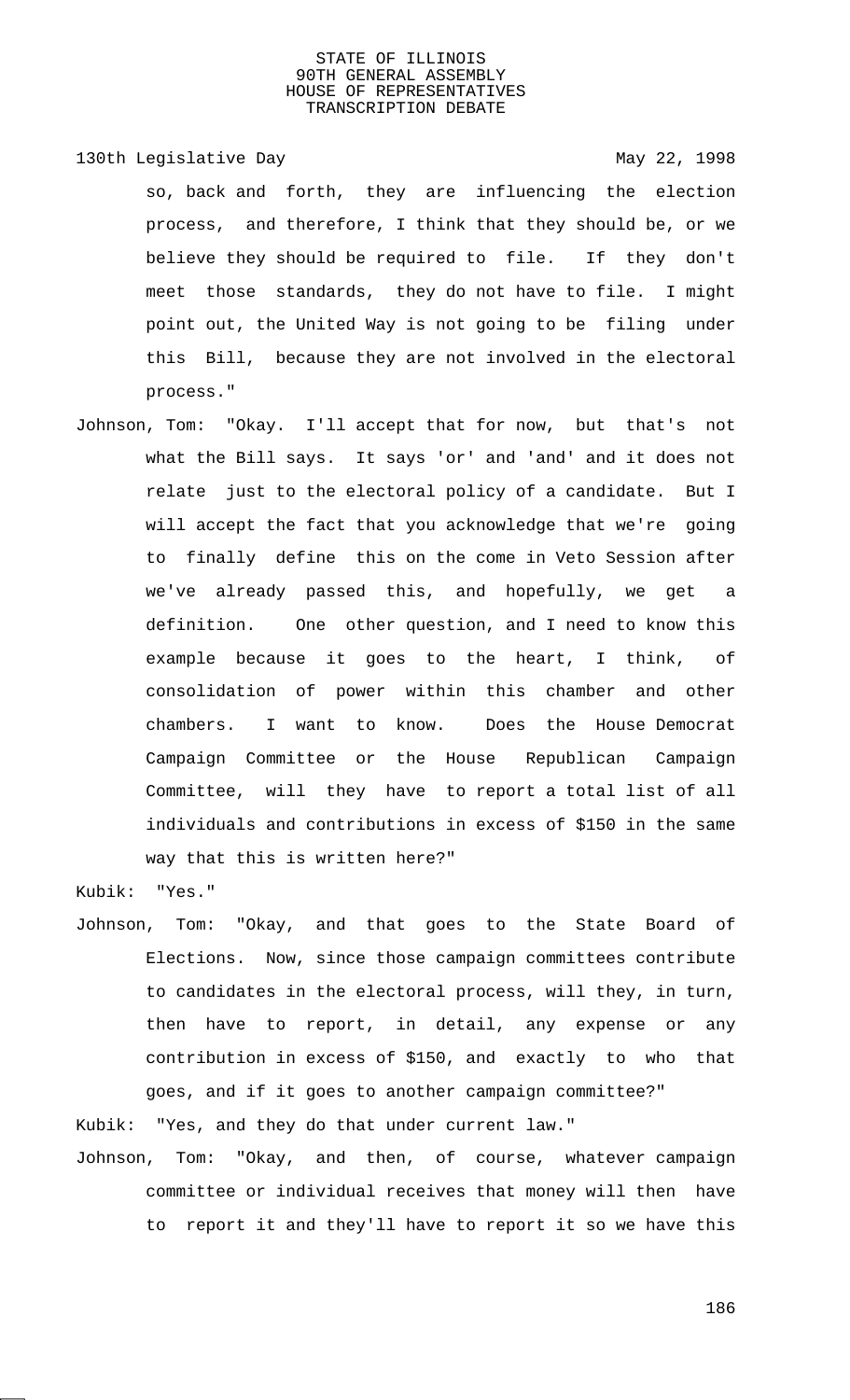130th Legislative Day 130th May 22, 1998 so, back and forth, they are influencing the election process, and therefore, I think that they should be, or we believe they should be required to file. If they don't meet those standards, they do not have to file. I might point out, the United Way is not going to be filing under this Bill, because they are not involved in the electoral process."

Johnson, Tom: "Okay. I'll accept that for now, but that's not what the Bill says. It says 'or' and 'and' and it does not relate just to the electoral policy of a candidate. But I will accept the fact that you acknowledge that we're going to finally define this on the come in Veto Session after we've already passed this, and hopefully, we get definition. One other question, and I need to know this example because it goes to the heart, I think, of consolidation of power within this chamber and other chambers. I want to know. Does the House Democrat Campaign Committee or the House Republican Campaign Committee, will they have to report a total list of all individuals and contributions in excess of \$150 in the same way that this is written here?"

Kubik: "Yes."

Johnson, Tom: "Okay, and that goes to the State Board of Elections. Now, since those campaign committees contribute to candidates in the electoral process, will they, in turn, then have to report, in detail, any expense or any contribution in excess of \$150, and exactly to who that goes, and if it goes to another campaign committee?"

Kubik: "Yes, and they do that under current law."

Johnson, Tom: "Okay, and then, of course, whatever campaign committee or individual receives that money will then have to report it and they'll have to report it so we have this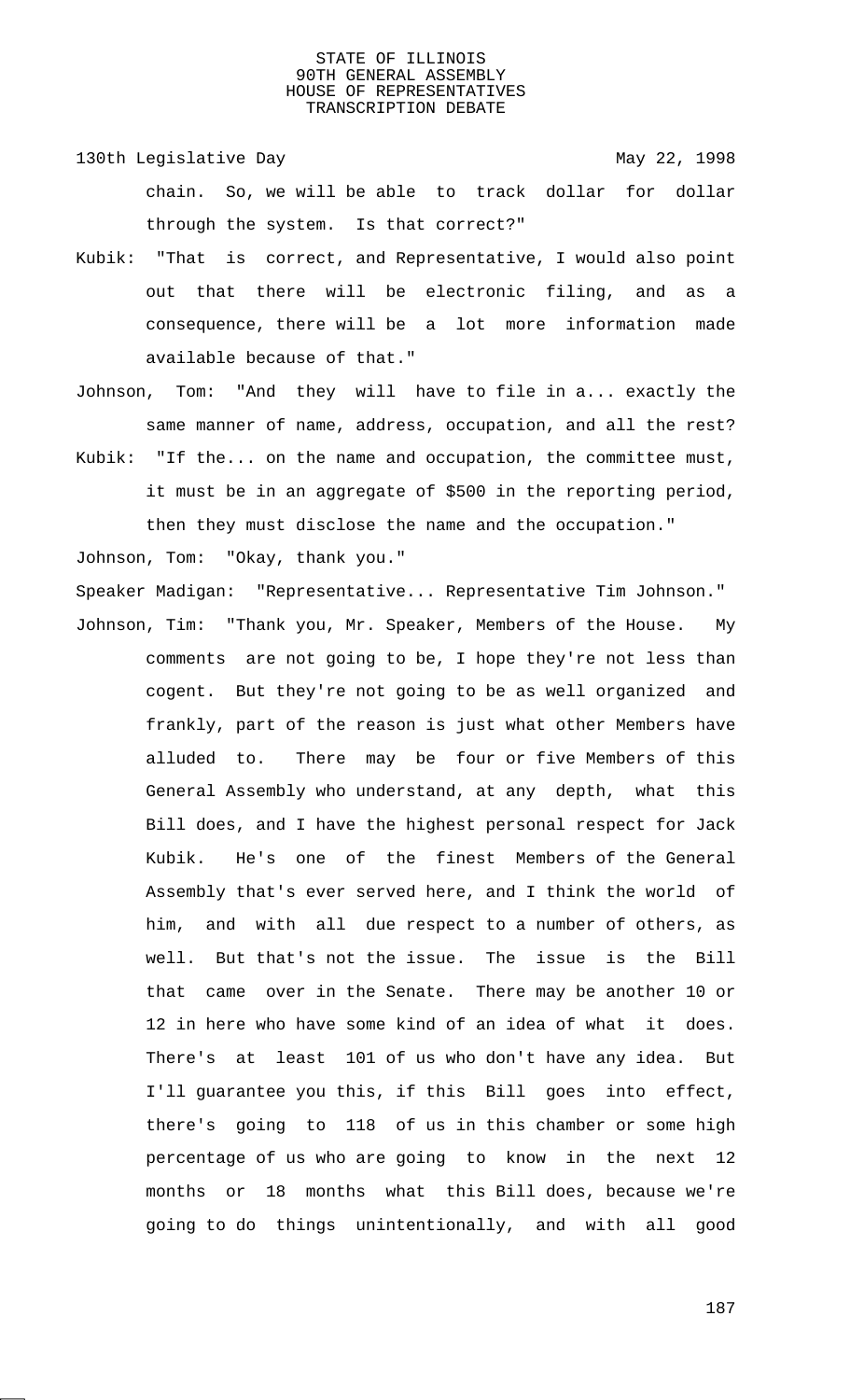130th Legislative Day 130th May 22, 1998 chain. So, we will be able to track dollar for dollar through the system. Is that correct?"

- Kubik: "That is correct, and Representative, I would also point out that there will be electronic filing, and as a consequence, there will be a lot more information made available because of that."
- Johnson, Tom: "And they will have to file in a... exactly the same manner of name, address, occupation, and all the rest?
- Kubik: "If the... on the name and occupation, the committee must, it must be in an aggregate of \$500 in the reporting period, then they must disclose the name and the occupation."

Johnson, Tom: "Okay, thank you." Speaker Madigan: "Representative... Representative Tim Johnson." Johnson, Tim: "Thank you, Mr. Speaker, Members of the House. My comments are not going to be, I hope they're not less than cogent. But they're not going to be as well organized and frankly, part of the reason is just what other Members have alluded to. There may be four or five Members of this General Assembly who understand, at any depth, what this Bill does, and I have the highest personal respect for Jack Kubik. He's one of the finest Members of the General Assembly that's ever served here, and I think the world of him, and with all due respect to a number of others, as well. But that's not the issue. The issue is the Bill that came over in the Senate. There may be another 10 or 12 in here who have some kind of an idea of what it does. There's at least 101 of us who don't have any idea. But I'll guarantee you this, if this Bill goes into effect, there's going to 118 of us in this chamber or some high percentage of us who are going to know in the next 12 months or 18 months what this Bill does, because we're going to do things unintentionally, and with all good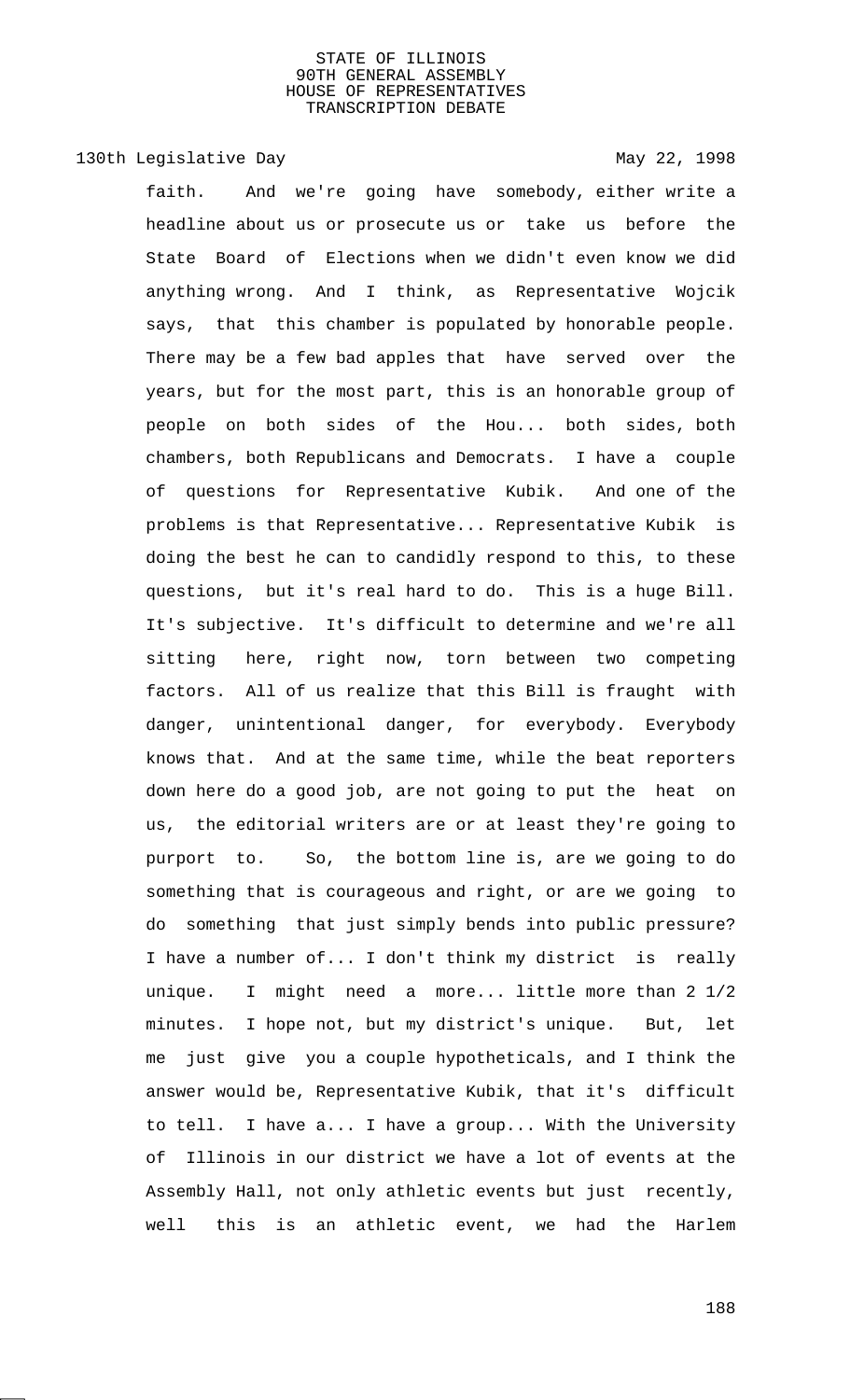# 130th Legislative Day 130th May 22, 1998

faith. And we're going have somebody, either write a headline about us or prosecute us or take us before the State Board of Elections when we didn't even know we did anything wrong. And I think, as Representative Wojcik says, that this chamber is populated by honorable people. There may be a few bad apples that have served over the years, but for the most part, this is an honorable group of people on both sides of the Hou... both sides, both chambers, both Republicans and Democrats. I have a couple of questions for Representative Kubik. And one of the problems is that Representative... Representative Kubik is doing the best he can to candidly respond to this, to these questions, but it's real hard to do. This is a huge Bill. It's subjective. It's difficult to determine and we're all sitting here, right now, torn between two competing factors. All of us realize that this Bill is fraught with danger, unintentional danger, for everybody. Everybody knows that. And at the same time, while the beat reporters down here do a good job, are not going to put the heat on us, the editorial writers are or at least they're going to purport to. So, the bottom line is, are we going to do something that is courageous and right, or are we going to do something that just simply bends into public pressure? I have a number of... I don't think my district is really unique. I might need a more... little more than 2 1/2 minutes. I hope not, but my district's unique. But, let me just give you a couple hypotheticals, and I think the answer would be, Representative Kubik, that it's difficult to tell. I have a... I have a group... With the University of Illinois in our district we have a lot of events at the Assembly Hall, not only athletic events but just recently, well this is an athletic event, we had the Harlem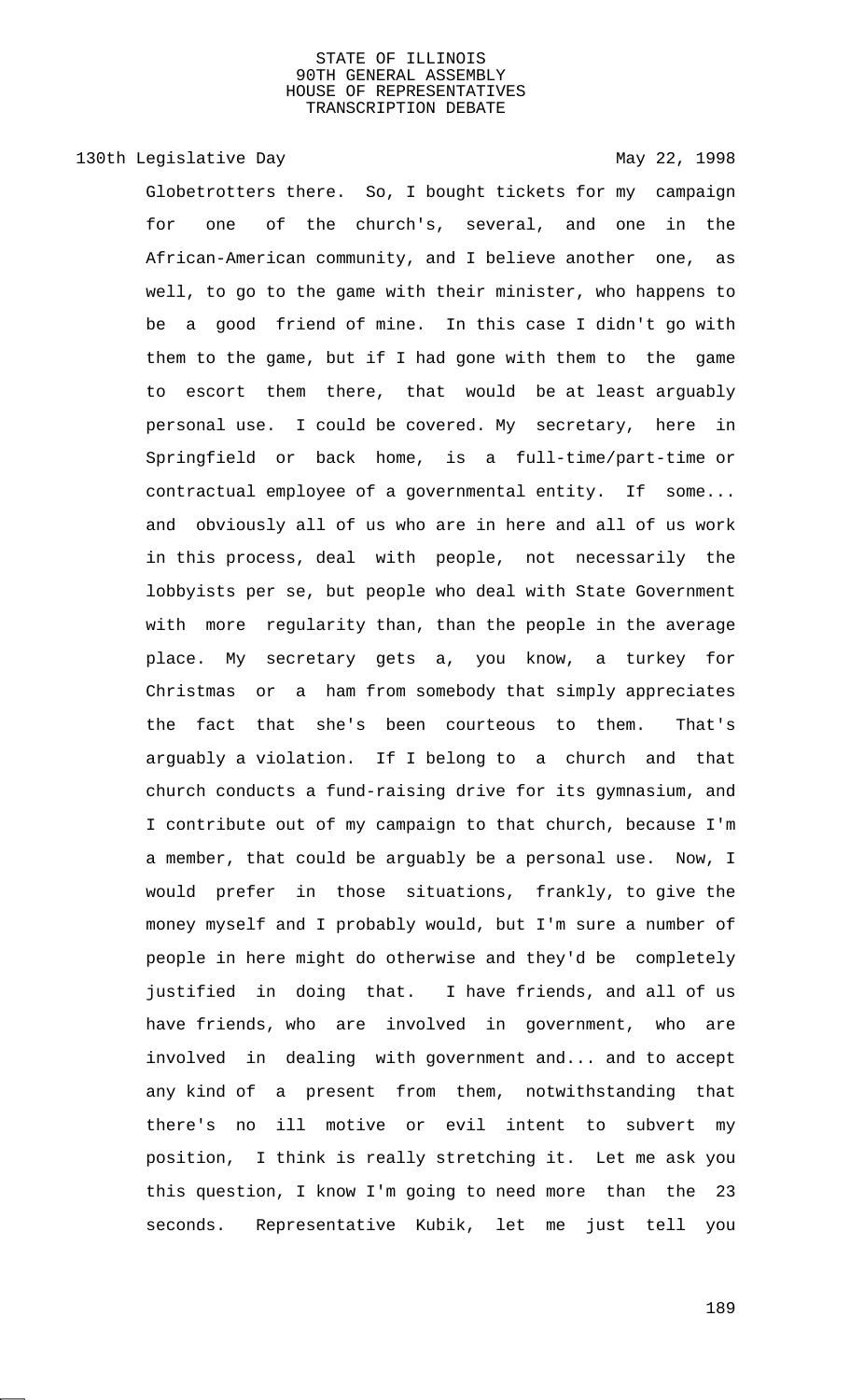# 130th Legislative Day 130th May 22, 1998

Globetrotters there. So, I bought tickets for my campaign for one of the church's, several, and one in the African-American community, and I believe another one, as well, to go to the game with their minister, who happens to be a good friend of mine. In this case I didn't go with them to the game, but if I had gone with them to the game to escort them there, that would be at least arguably personal use. I could be covered. My secretary, here in Springfield or back home, is a full-time/part-time or contractual employee of a governmental entity. If some... and obviously all of us who are in here and all of us work in this process, deal with people, not necessarily the lobbyists per se, but people who deal with State Government with more regularity than, than the people in the average place. My secretary gets a, you know, a turkey for Christmas or a ham from somebody that simply appreciates the fact that she's been courteous to them. That's arguably a violation. If I belong to a church and that church conducts a fund-raising drive for its gymnasium, and I contribute out of my campaign to that church, because I'm a member, that could be arguably be a personal use. Now, I would prefer in those situations, frankly, to give the money myself and I probably would, but I'm sure a number of people in here might do otherwise and they'd be completely justified in doing that. I have friends, and all of us have friends, who are involved in government, who are involved in dealing with government and... and to accept any kind of a present from them, notwithstanding that there's no ill motive or evil intent to subvert my position, I think is really stretching it. Let me ask you this question, I know I'm going to need more than the 23 seconds. Representative Kubik, let me just tell you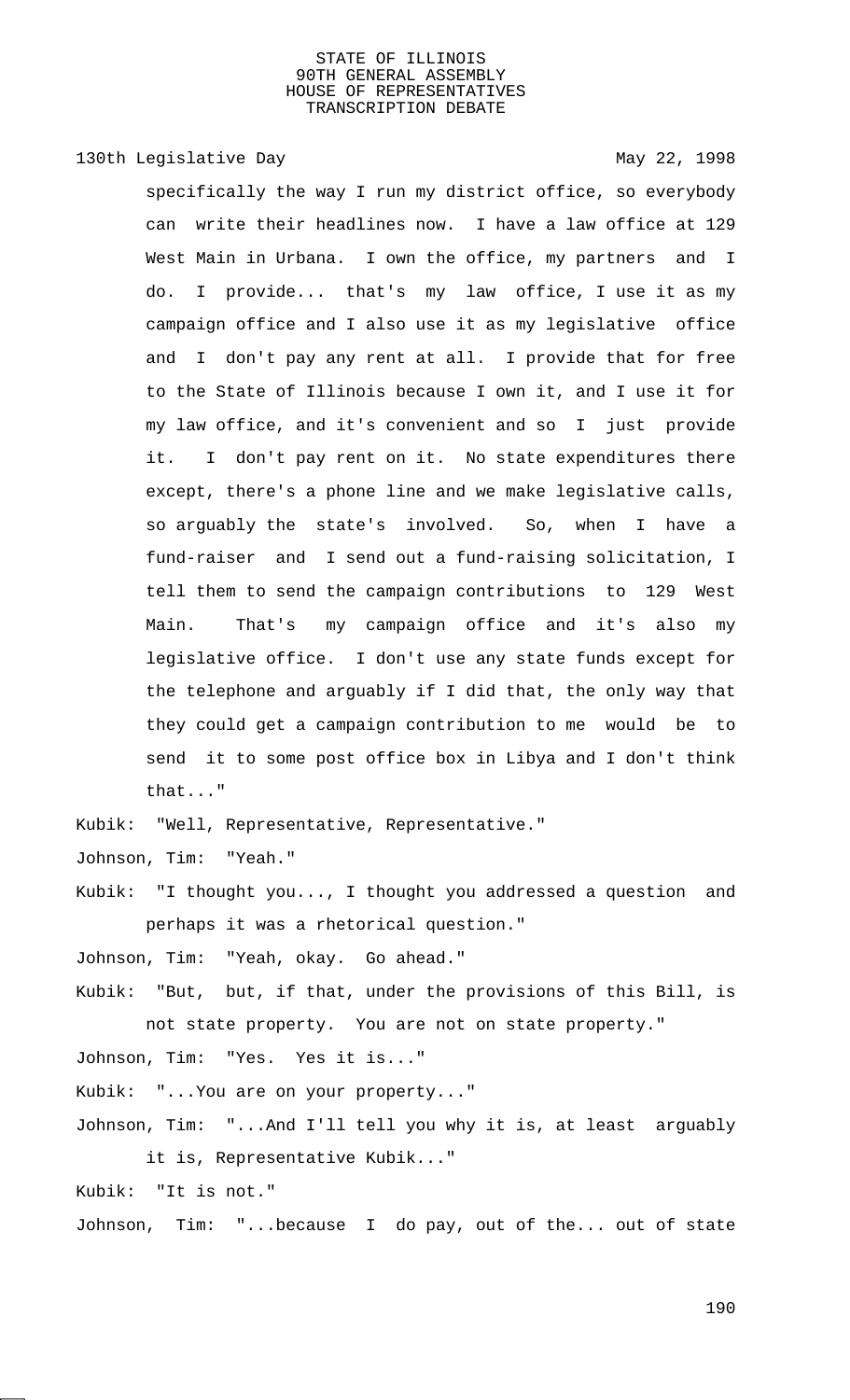# 130th Legislative Day 130th May 22, 1998

specifically the way I run my district office, so everybody can write their headlines now. I have a law office at 129 West Main in Urbana. I own the office, my partners and I do. I provide... that's my law office, I use it as my campaign office and I also use it as my legislative office and I don't pay any rent at all. I provide that for free to the State of Illinois because I own it, and I use it for my law office, and it's convenient and so I just provide it. I don't pay rent on it. No state expenditures there except, there's a phone line and we make legislative calls, so arguably the state's involved. So, when I have a fund-raiser and I send out a fund-raising solicitation, I tell them to send the campaign contributions to 129 West Main. That's my campaign office and it's also my legislative office. I don't use any state funds except for the telephone and arguably if I did that, the only way that they could get a campaign contribution to me would be to send it to some post office box in Libya and I don't think that..."

Kubik: "Well, Representative, Representative."

Johnson, Tim: "Yeah."

Kubik: "I thought you..., I thought you addressed a question and perhaps it was a rhetorical question."

Johnson, Tim: "Yeah, okay. Go ahead."

Kubik: "But, but, if that, under the provisions of this Bill, is not state property. You are not on state property."

Johnson, Tim: "Yes. Yes it is..."

Kubik: "...You are on your property..."

Johnson, Tim: "...And I'll tell you why it is, at least arguably it is, Representative Kubik..."

Kubik: "It is not."

Johnson, Tim: "...because I do pay, out of the... out of state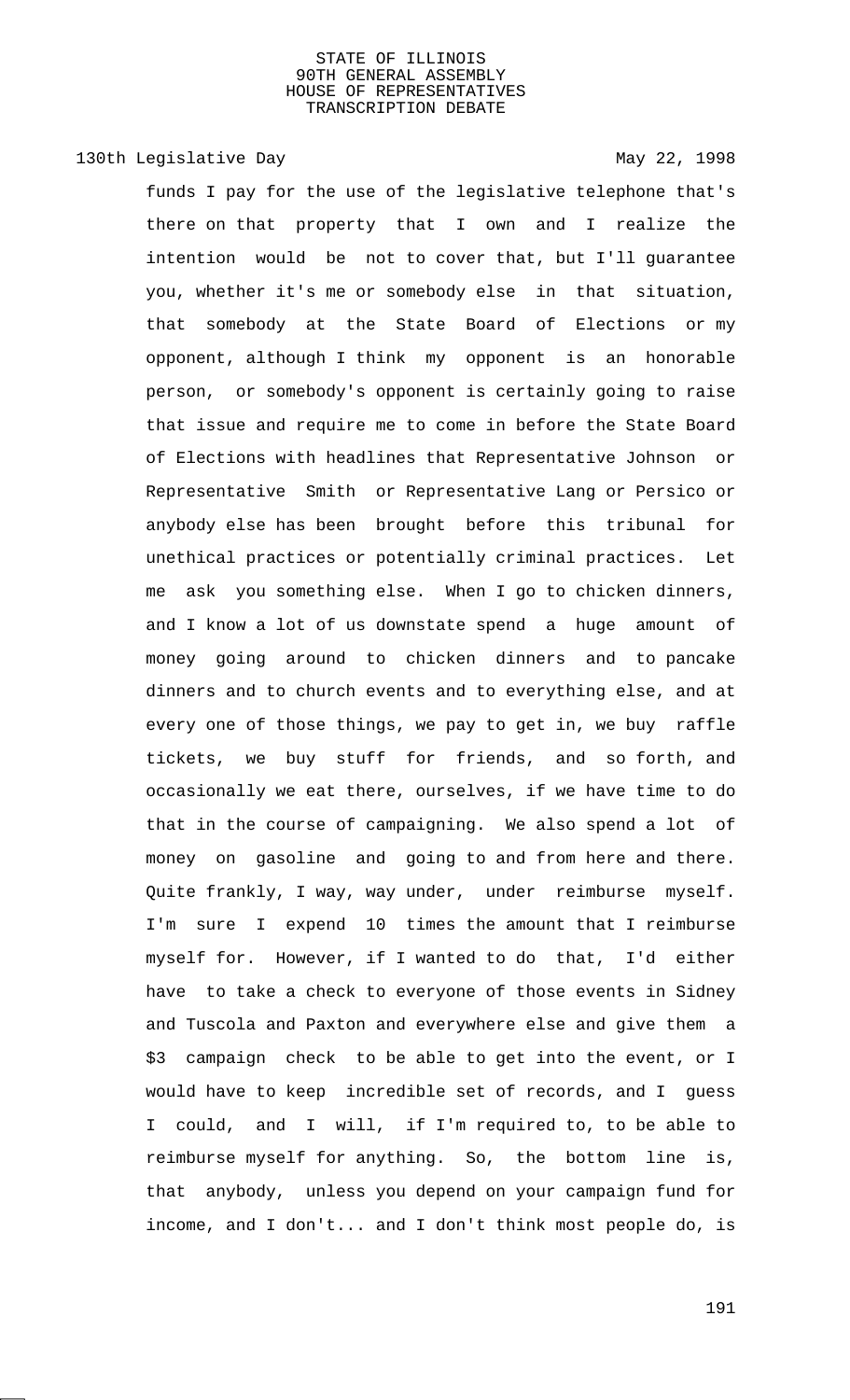# 130th Legislative Day 130th May 22, 1998

funds I pay for the use of the legislative telephone that's there on that property that I own and I realize the intention would be not to cover that, but I'll guarantee you, whether it's me or somebody else in that situation, that somebody at the State Board of Elections or my opponent, although I think my opponent is an honorable person, or somebody's opponent is certainly going to raise that issue and require me to come in before the State Board of Elections with headlines that Representative Johnson or Representative Smith or Representative Lang or Persico or anybody else has been brought before this tribunal for unethical practices or potentially criminal practices. Let me ask you something else. When I go to chicken dinners, and I know a lot of us downstate spend a huge amount of money going around to chicken dinners and to pancake dinners and to church events and to everything else, and at every one of those things, we pay to get in, we buy raffle tickets, we buy stuff for friends, and so forth, and occasionally we eat there, ourselves, if we have time to do that in the course of campaigning. We also spend a lot of money on gasoline and going to and from here and there. Quite frankly, I way, way under, under reimburse myself. I'm sure I expend 10 times the amount that I reimburse myself for. However, if I wanted to do that, I'd either have to take a check to everyone of those events in Sidney and Tuscola and Paxton and everywhere else and give them a \$3 campaign check to be able to get into the event, or I would have to keep incredible set of records, and I guess I could, and I will, if I'm required to, to be able to reimburse myself for anything. So, the bottom line is, that anybody, unless you depend on your campaign fund for income, and I don't... and I don't think most people do, is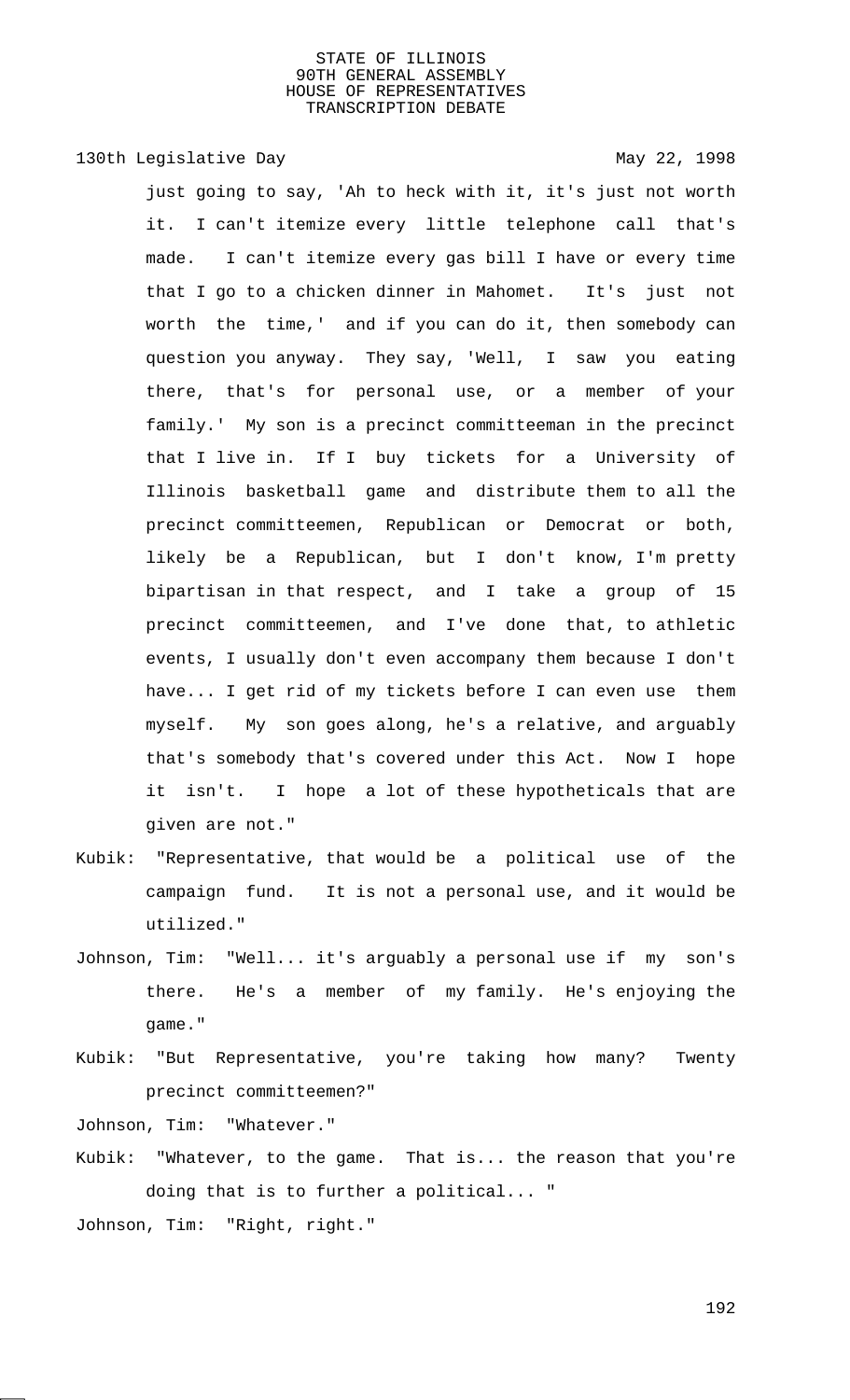# 130th Legislative Day 130th May 22, 1998

just going to say, 'Ah to heck with it, it's just not worth it. I can't itemize every little telephone call that's made. I can't itemize every gas bill I have or every time that I go to a chicken dinner in Mahomet. It's just not worth the time,' and if you can do it, then somebody can question you anyway. They say, 'Well, I saw you eating there, that's for personal use, or a member of your family.' My son is a precinct committeeman in the precinct that I live in. If I buy tickets for a University of Illinois basketball game and distribute them to all the precinct committeemen, Republican or Democrat or both, likely be a Republican, but I don't know, I'm pretty bipartisan in that respect, and I take a group of 15 precinct committeemen, and I've done that, to athletic events, I usually don't even accompany them because I don't have... I get rid of my tickets before I can even use them myself. My son goes along, he's a relative, and arguably that's somebody that's covered under this Act. Now I hope it isn't. I hope a lot of these hypotheticals that are given are not."

- Kubik: "Representative, that would be a political use of the campaign fund. It is not a personal use, and it would be utilized."
- Johnson, Tim: "Well... it's arguably a personal use if my son's there. He's a member of my family. He's enjoying the game."
- Kubik: "But Representative, you're taking how many? Twenty precinct committeemen?"

Johnson, Tim: "Whatever."

- Kubik: "Whatever, to the game. That is... the reason that you're doing that is to further a political... "
- Johnson, Tim: "Right, right."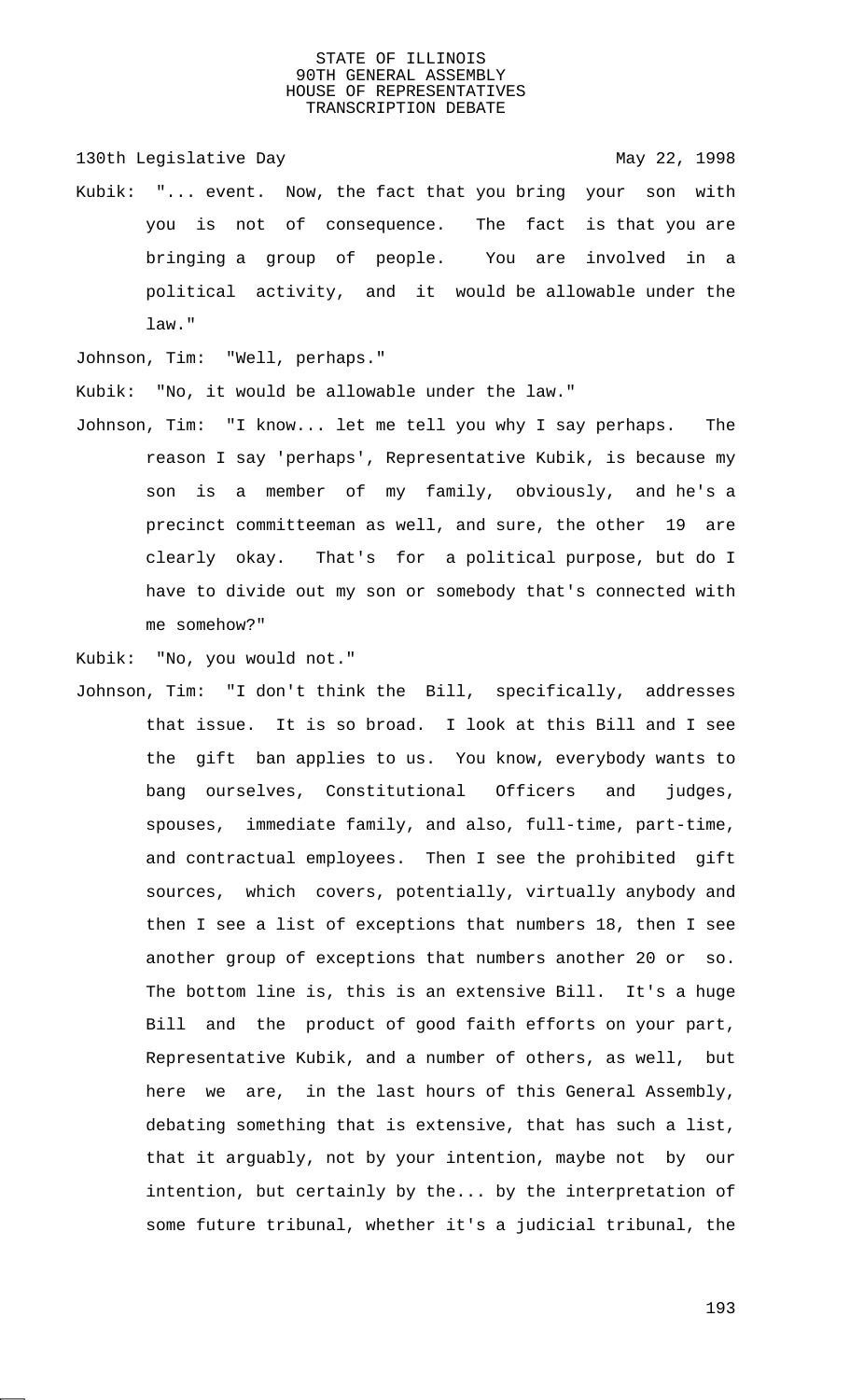130th Legislative Day 130th May 22, 1998

Kubik: "... event. Now, the fact that you bring your son with you is not of consequence. The fact is that you are bringing a group of people. You are involved in a political activity, and it would be allowable under the law."

Johnson, Tim: "Well, perhaps."

Kubik: "No, it would be allowable under the law."

Johnson, Tim: "I know... let me tell you why I say perhaps. The reason I say 'perhaps', Representative Kubik, is because my son is a member of my family, obviously, and he's a precinct committeeman as well, and sure, the other 19 are clearly okay. That's for a political purpose, but do I have to divide out my son or somebody that's connected with me somehow?"

Kubik: "No, you would not."

Johnson, Tim: "I don't think the Bill, specifically, addresses that issue. It is so broad. I look at this Bill and I see the gift ban applies to us. You know, everybody wants to bang ourselves, Constitutional Officers and judges, spouses, immediate family, and also, full-time, part-time, and contractual employees. Then I see the prohibited gift sources, which covers, potentially, virtually anybody and then I see a list of exceptions that numbers 18, then I see another group of exceptions that numbers another 20 or so. The bottom line is, this is an extensive Bill. It's a huge Bill and the product of good faith efforts on your part, Representative Kubik, and a number of others, as well, but here we are, in the last hours of this General Assembly, debating something that is extensive, that has such a list, that it arguably, not by your intention, maybe not by our intention, but certainly by the... by the interpretation of some future tribunal, whether it's a judicial tribunal, the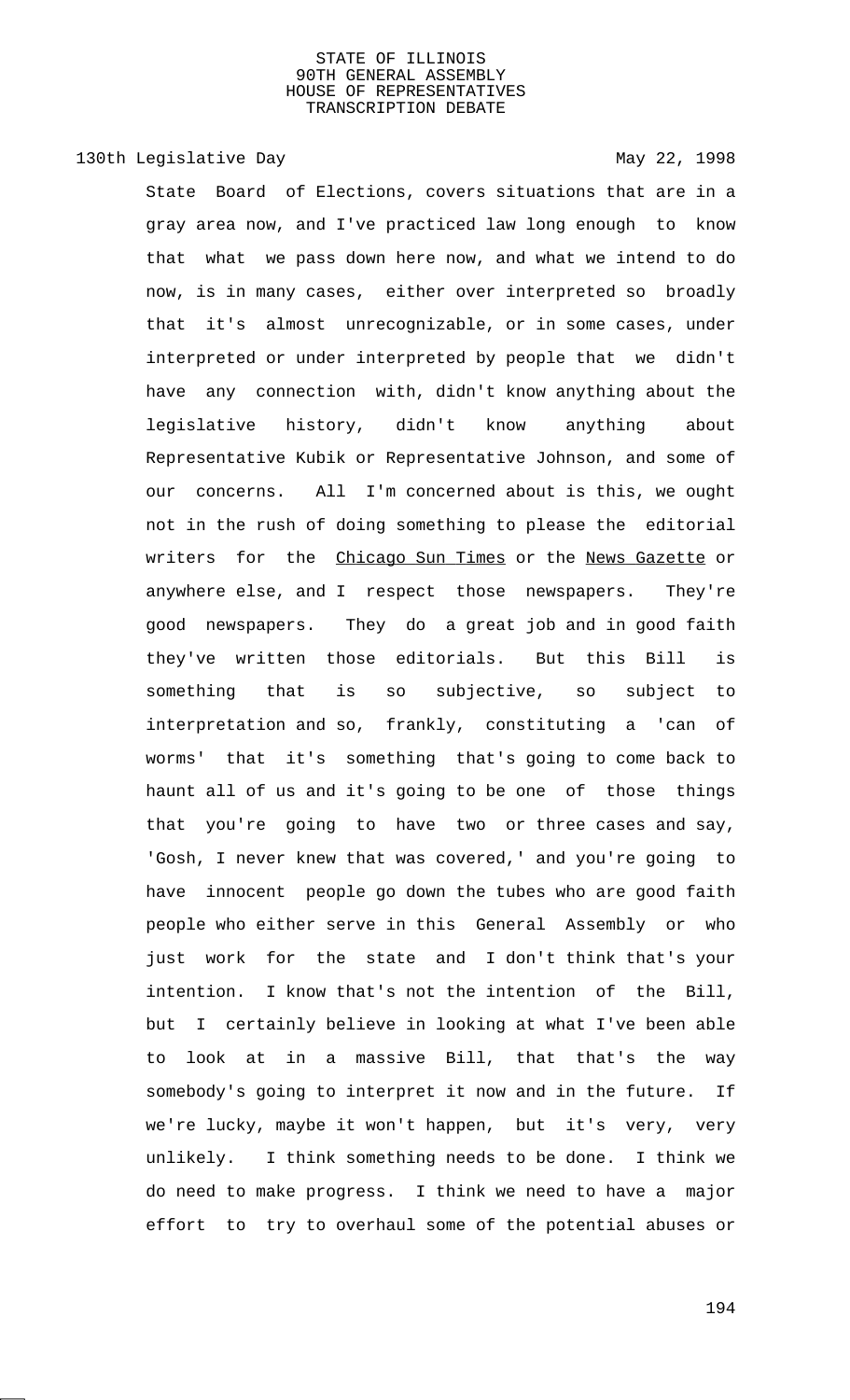# 130th Legislative Day 130th May 22, 1998

State Board of Elections, covers situations that are in a gray area now, and I've practiced law long enough to know that what we pass down here now, and what we intend to do now, is in many cases, either over interpreted so broadly that it's almost unrecognizable, or in some cases, under interpreted or under interpreted by people that we didn't have any connection with, didn't know anything about the legislative history, didn't know anything about Representative Kubik or Representative Johnson, and some of our concerns. All I'm concerned about is this, we ought not in the rush of doing something to please the editorial writers for the Chicago Sun Times or the News Gazette or anywhere else, and I respect those newspapers. They're good newspapers. They do a great job and in good faith they've written those editorials. But this Bill is something that is so subjective, so subject to interpretation and so, frankly, constituting a 'can of worms' that it's something that's going to come back to haunt all of us and it's going to be one of those things that you're going to have two or three cases and say, 'Gosh, I never knew that was covered,' and you're going to have innocent people go down the tubes who are good faith people who either serve in this General Assembly or who just work for the state and I don't think that's your intention. I know that's not the intention of the Bill, but I certainly believe in looking at what I've been able to look at in a massive Bill, that that's the way somebody's going to interpret it now and in the future. If we're lucky, maybe it won't happen, but it's very, very unlikely. I think something needs to be done. I think we do need to make progress. I think we need to have a major effort to try to overhaul some of the potential abuses or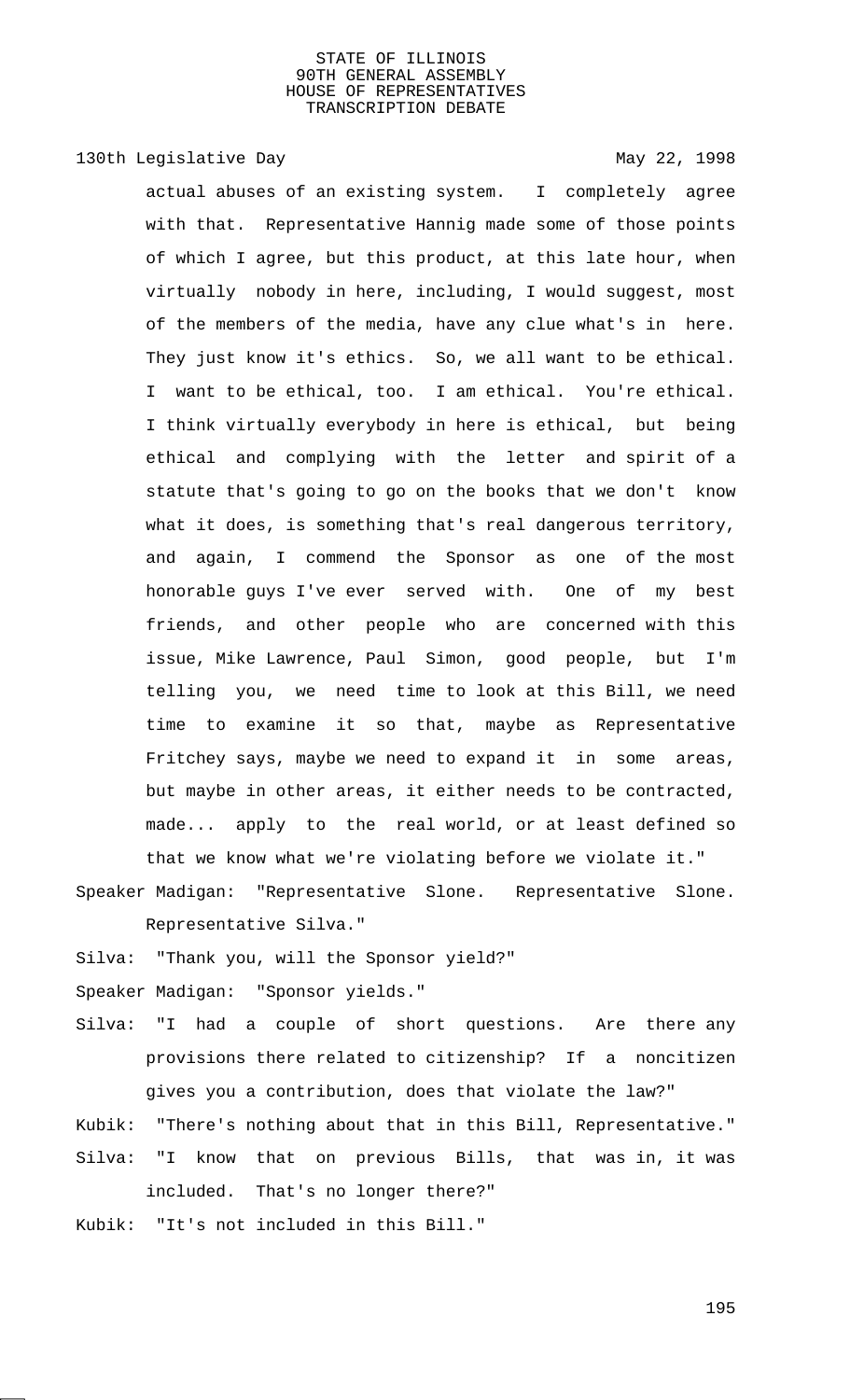# 130th Legislative Day 130th May 22, 1998

actual abuses of an existing system. I completely agree with that. Representative Hannig made some of those points of which I agree, but this product, at this late hour, when virtually nobody in here, including, I would suggest, most of the members of the media, have any clue what's in here. They just know it's ethics. So, we all want to be ethical. I want to be ethical, too. I am ethical. You're ethical. I think virtually everybody in here is ethical, but being ethical and complying with the letter and spirit of a statute that's going to go on the books that we don't know what it does, is something that's real dangerous territory, and again, I commend the Sponsor as one of the most honorable guys I've ever served with. One of my best friends, and other people who are concerned with this issue, Mike Lawrence, Paul Simon, good people, but I'm telling you, we need time to look at this Bill, we need time to examine it so that, maybe as Representative Fritchey says, maybe we need to expand it in some areas, but maybe in other areas, it either needs to be contracted, made... apply to the real world, or at least defined so that we know what we're violating before we violate it."

Speaker Madigan: "Representative Slone. Representative Slone. Representative Silva."

Silva: "Thank you, will the Sponsor yield?"

Speaker Madigan: "Sponsor yields."

- Silva: "I had a couple of short questions. Are there any provisions there related to citizenship? If a noncitizen gives you a contribution, does that violate the law?"
- Kubik: "There's nothing about that in this Bill, Representative." Silva: "I know that on previous Bills, that was in, it was included. That's no longer there?"
- Kubik: "It's not included in this Bill."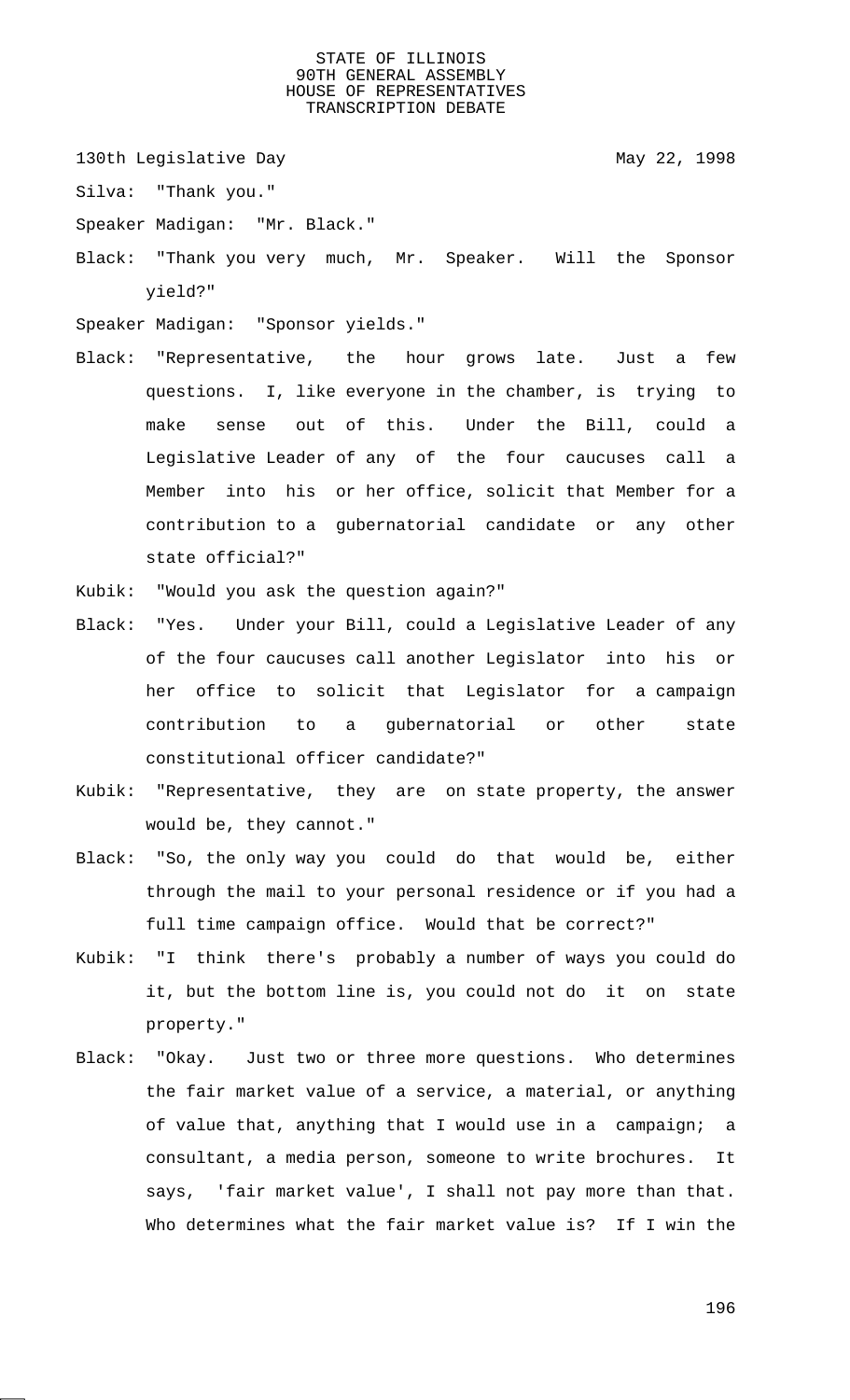130th Legislative Day 130th May 22, 1998

Silva: "Thank you."

Speaker Madigan: "Mr. Black."

Black: "Thank you very much, Mr. Speaker. Will the Sponsor yield?"

Speaker Madigan: "Sponsor yields."

Black: "Representative, the hour grows late. Just a few questions. I, like everyone in the chamber, is trying to make sense out of this. Under the Bill, could a Legislative Leader of any of the four caucuses call a Member into his or her office, solicit that Member for a contribution to a gubernatorial candidate or any other state official?"

Kubik: "Would you ask the question again?"

- Black: "Yes. Under your Bill, could a Legislative Leader of any of the four caucuses call another Legislator into his or her office to solicit that Legislator for a campaign contribution to a gubernatorial or other state constitutional officer candidate?"
- Kubik: "Representative, they are on state property, the answer would be, they cannot."
- Black: "So, the only way you could do that would be, either through the mail to your personal residence or if you had a full time campaign office. Would that be correct?"
- Kubik: "I think there's probably a number of ways you could do it, but the bottom line is, you could not do it on state property."
- Black: "Okay. Just two or three more questions. Who determines the fair market value of a service, a material, or anything of value that, anything that I would use in a campaign; a consultant, a media person, someone to write brochures. It says, 'fair market value', I shall not pay more than that. Who determines what the fair market value is? If I win the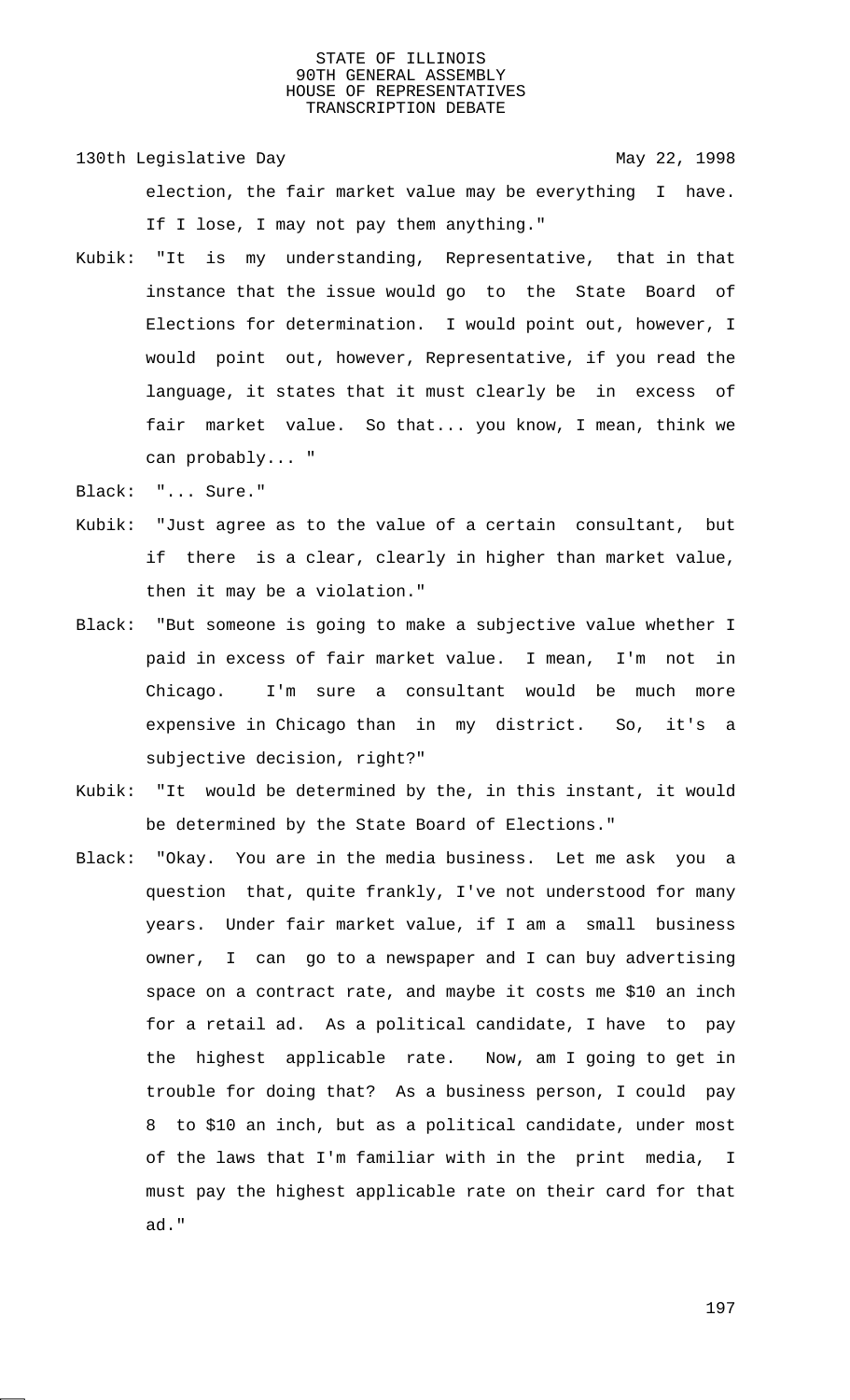130th Legislative Day 130th May 22, 1998 election, the fair market value may be everything I have. If I lose, I may not pay them anything."

- Kubik: "It is my understanding, Representative, that in that instance that the issue would go to the State Board of Elections for determination. I would point out, however, I would point out, however, Representative, if you read the language, it states that it must clearly be in excess of fair market value. So that... you know, I mean, think we can probably... "
- Black: "... Sure."
- Kubik: "Just agree as to the value of a certain consultant, but if there is a clear, clearly in higher than market value, then it may be a violation."
- Black: "But someone is going to make a subjective value whether I paid in excess of fair market value. I mean, I'm not in Chicago. I'm sure a consultant would be much more expensive in Chicago than in my district. So, it's a subjective decision, right?"
- Kubik: "It would be determined by the, in this instant, it would be determined by the State Board of Elections."
- Black: "Okay. You are in the media business. Let me ask you a question that, quite frankly, I've not understood for many years. Under fair market value, if I am a small business owner, I can go to a newspaper and I can buy advertising space on a contract rate, and maybe it costs me \$10 an inch for a retail ad. As a political candidate, I have to pay the highest applicable rate. Now, am I going to get in trouble for doing that? As a business person, I could pay 8 to \$10 an inch, but as a political candidate, under most of the laws that I'm familiar with in the print media, I must pay the highest applicable rate on their card for that ad."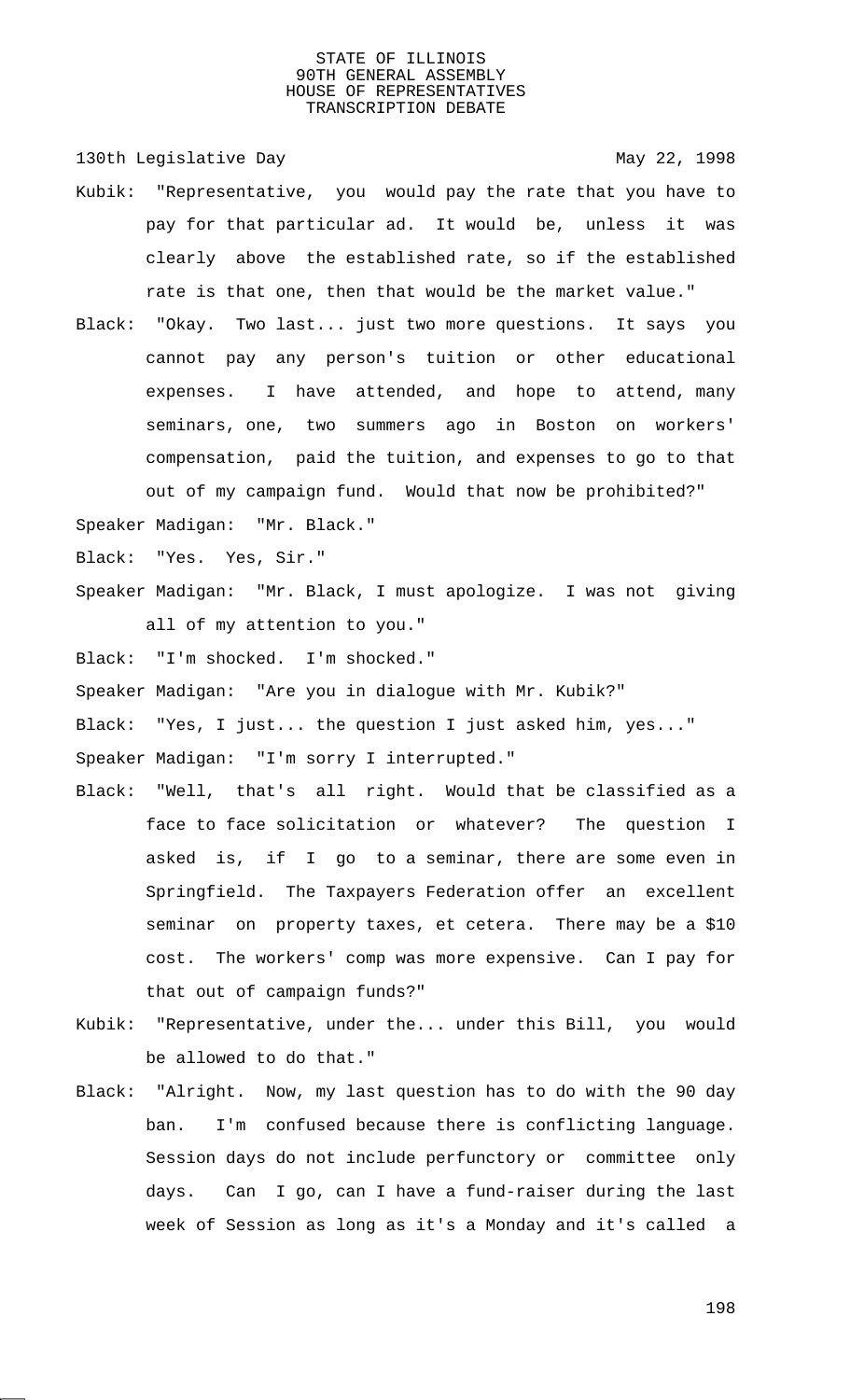130th Legislative Day 130th May 22, 1998

- Kubik: "Representative, you would pay the rate that you have to pay for that particular ad. It would be, unless it was clearly above the established rate, so if the established rate is that one, then that would be the market value."
- Black: "Okay. Two last... just two more questions. It says you cannot pay any person's tuition or other educational expenses. I have attended, and hope to attend, many seminars, one, two summers ago in Boston on workers' compensation, paid the tuition, and expenses to go to that out of my campaign fund. Would that now be prohibited?"

Speaker Madigan: "Mr. Black."

Black: "Yes. Yes, Sir."

Speaker Madigan: "Mr. Black, I must apologize. I was not giving all of my attention to you."

Black: "I'm shocked. I'm shocked."

Speaker Madigan: "Are you in dialogue with Mr. Kubik?"

Black: "Yes, I just... the question I just asked him, yes..." Speaker Madigan: "I'm sorry I interrupted."

- Black: "Well, that's all right. Would that be classified as a face to face solicitation or whatever? The question I asked is, if I go to a seminar, there are some even in Springfield. The Taxpayers Federation offer an excellent seminar on property taxes, et cetera. There may be a \$10 cost. The workers' comp was more expensive. Can I pay for that out of campaign funds?"
- Kubik: "Representative, under the... under this Bill, you would be allowed to do that."
- Black: "Alright. Now, my last question has to do with the 90 day ban. I'm confused because there is conflicting language. Session days do not include perfunctory or committee only days. Can I go, can I have a fund-raiser during the last week of Session as long as it's a Monday and it's called a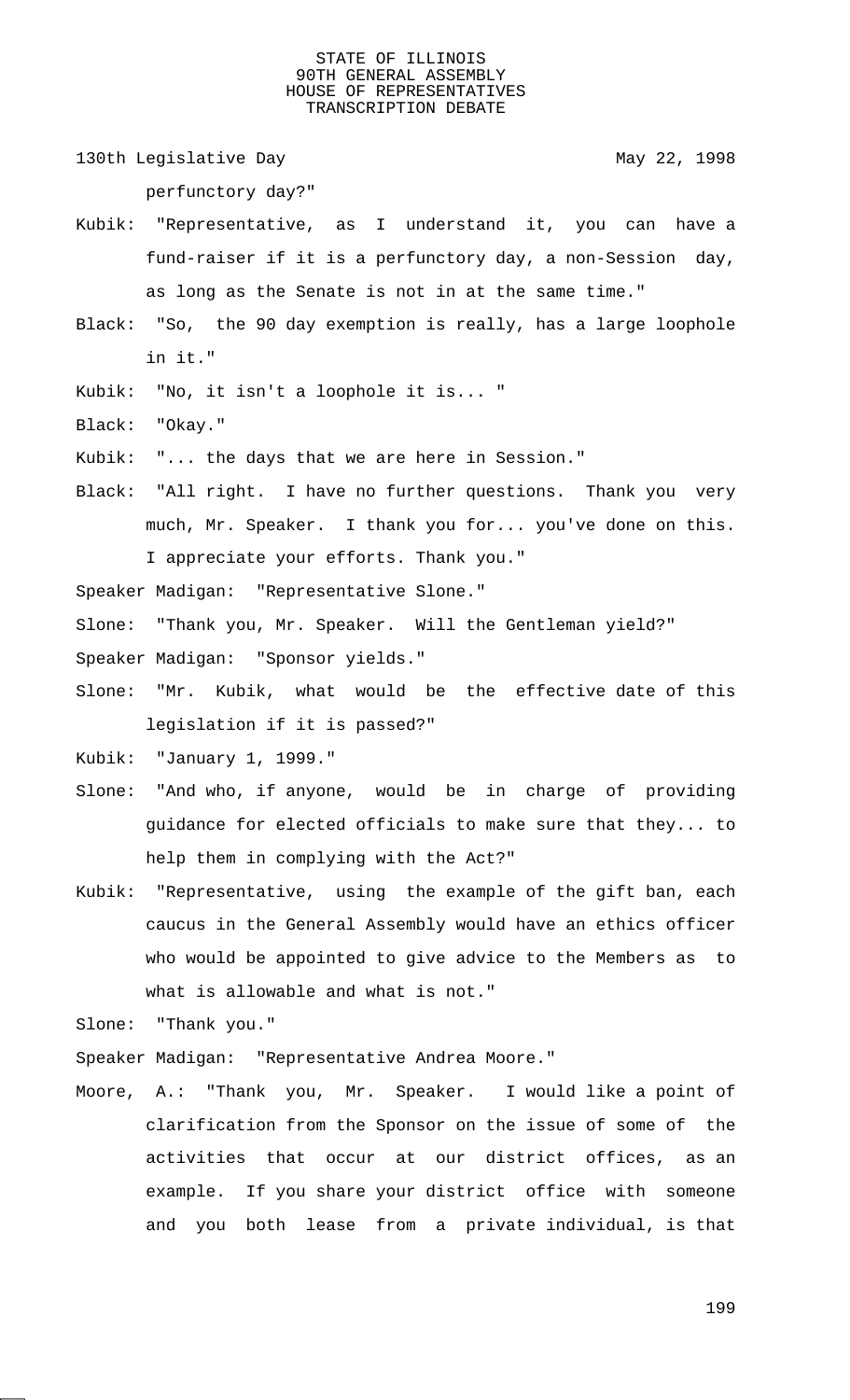130th Legislative Day 130th May 22, 1998

perfunctory day?"

- Kubik: "Representative, as I understand it, you can have a fund-raiser if it is a perfunctory day, a non-Session day, as long as the Senate is not in at the same time."
- Black: "So, the 90 day exemption is really, has a large loophole in it."
- Kubik: "No, it isn't a loophole it is... "
- Black: "Okay."
- Kubik: "... the days that we are here in Session."
- Black: "All right. I have no further questions. Thank you very much, Mr. Speaker. I thank you for... you've done on this. I appreciate your efforts. Thank you."
- Speaker Madigan: "Representative Slone."

Slone: "Thank you, Mr. Speaker. Will the Gentleman yield?"

- Speaker Madigan: "Sponsor yields."
- Slone: "Mr. Kubik, what would be the effective date of this legislation if it is passed?"
- Kubik: "January 1, 1999."
- Slone: "And who, if anyone, would be in charge of providing guidance for elected officials to make sure that they... to help them in complying with the Act?"
- Kubik: "Representative, using the example of the gift ban, each caucus in the General Assembly would have an ethics officer who would be appointed to give advice to the Members as to what is allowable and what is not."

Slone: "Thank you."

Speaker Madigan: "Representative Andrea Moore."

Moore, A.: "Thank you, Mr. Speaker. I would like a point of clarification from the Sponsor on the issue of some of the activities that occur at our district offices, as an example. If you share your district office with someone and you both lease from a private individual, is that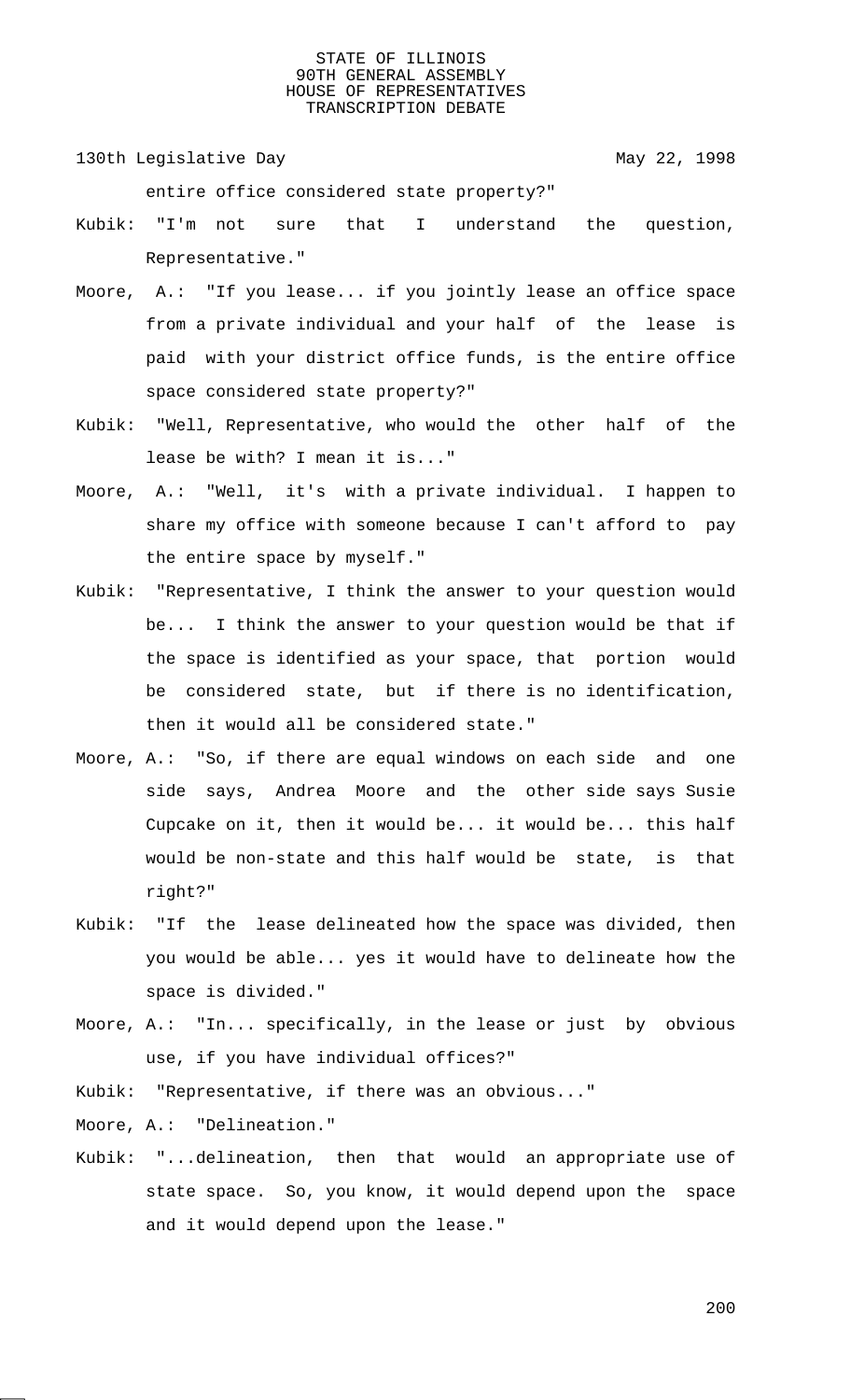130th Legislative Day 130th May 22, 1998

entire office considered state property?"

- Kubik: "I'm not sure that I understand the question, Representative."
- Moore, A.: "If you lease... if you jointly lease an office space from a private individual and your half of the lease is paid with your district office funds, is the entire office space considered state property?"
- Kubik: "Well, Representative, who would the other half of the lease be with? I mean it is..."
- Moore, A.: "Well, it's with a private individual. I happen to share my office with someone because I can't afford to pay the entire space by myself."
- Kubik: "Representative, I think the answer to your question would be... I think the answer to your question would be that if the space is identified as your space, that portion would be considered state, but if there is no identification, then it would all be considered state."
- Moore, A.: "So, if there are equal windows on each side and one side says, Andrea Moore and the other side says Susie Cupcake on it, then it would be... it would be... this half would be non-state and this half would be state, is that right?"
- Kubik: "If the lease delineated how the space was divided, then you would be able... yes it would have to delineate how the space is divided."
- Moore, A.: "In... specifically, in the lease or just by obvious use, if you have individual offices?"
- Kubik: "Representative, if there was an obvious..."

Moore, A.: "Delineation."

Kubik: "...delineation, then that would an appropriate use of state space. So, you know, it would depend upon the space and it would depend upon the lease."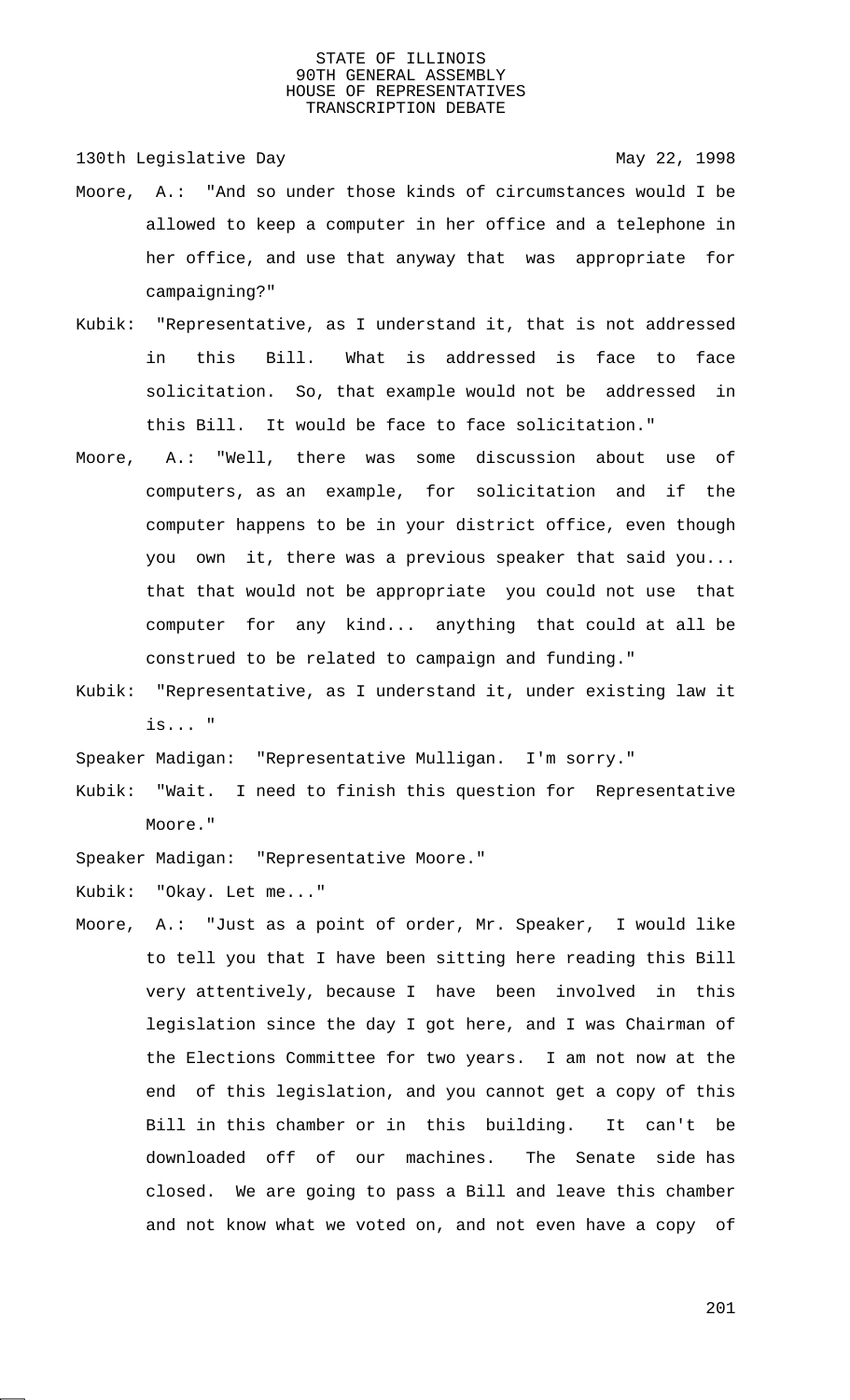130th Legislative Day 130th May 22, 1998

- Moore, A.: "And so under those kinds of circumstances would I be allowed to keep a computer in her office and a telephone in her office, and use that anyway that was appropriate for campaigning?"
- Kubik: "Representative, as I understand it, that is not addressed in this Bill. What is addressed is face to face solicitation. So, that example would not be addressed in this Bill. It would be face to face solicitation."
- Moore, A.: "Well, there was some discussion about use of computers, as an example, for solicitation and if the computer happens to be in your district office, even though you own it, there was a previous speaker that said you... that that would not be appropriate you could not use that computer for any kind... anything that could at all be construed to be related to campaign and funding."
- Kubik: "Representative, as I understand it, under existing law it is... "

Speaker Madigan: "Representative Mulligan. I'm sorry."

Kubik: "Wait. I need to finish this question for Representative Moore."

Speaker Madigan: "Representative Moore."

Kubik: "Okay. Let me..."

Moore, A.: "Just as a point of order, Mr. Speaker, I would like to tell you that I have been sitting here reading this Bill very attentively, because I have been involved in this legislation since the day I got here, and I was Chairman of the Elections Committee for two years. I am not now at the end of this legislation, and you cannot get a copy of this Bill in this chamber or in this building. It can't be downloaded off of our machines. The Senate side has closed. We are going to pass a Bill and leave this chamber and not know what we voted on, and not even have a copy of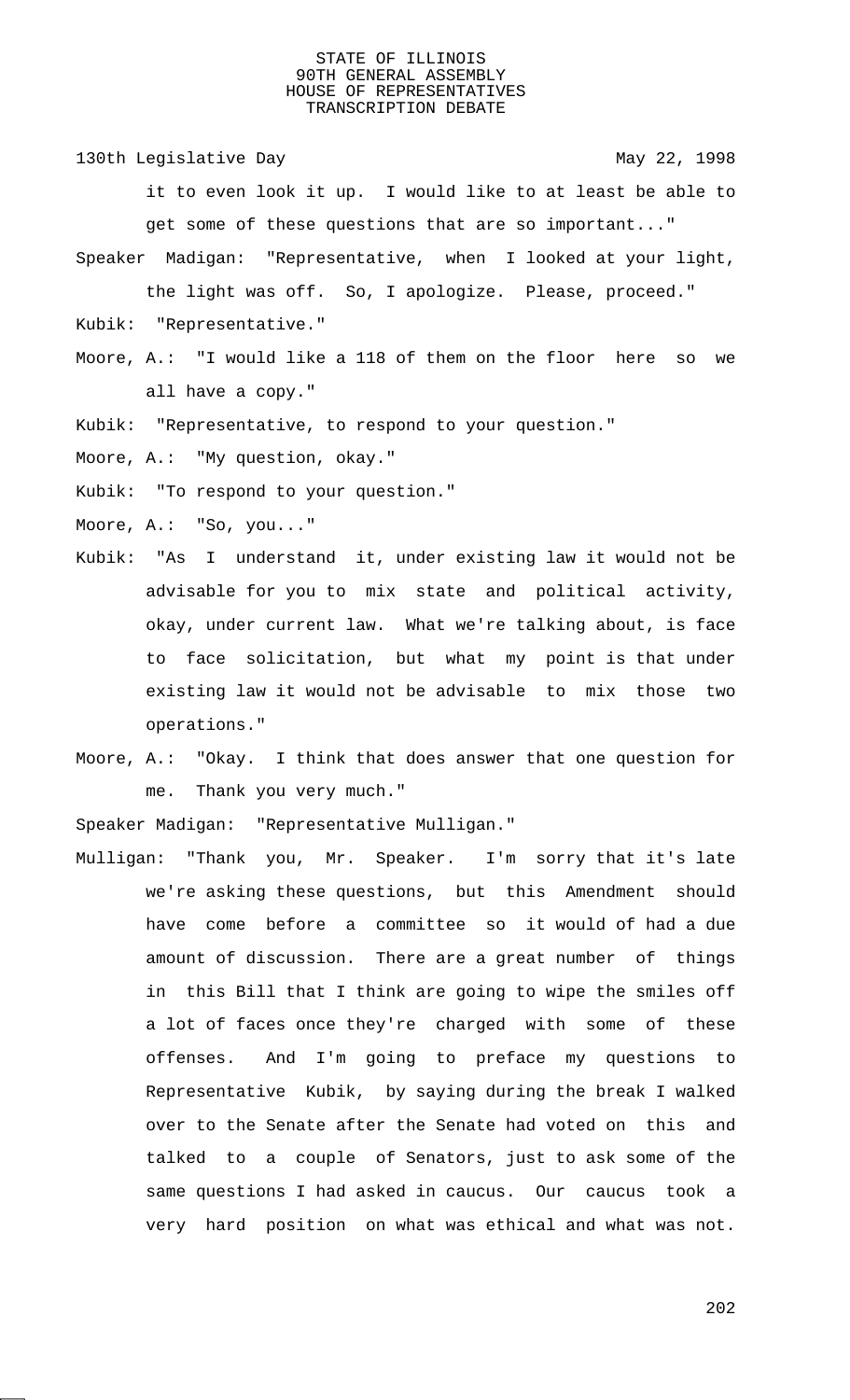130th Legislative Day 130th May 22, 1998

it to even look it up. I would like to at least be able to get some of these questions that are so important..."

- Speaker Madigan: "Representative, when I looked at your light, the light was off. So, I apologize. Please, proceed."
- Kubik: "Representative."
- Moore, A.: "I would like a 118 of them on the floor here so we all have a copy."
- Kubik: "Representative, to respond to your question."

Moore, A.: "My question, okay."

- Kubik: "To respond to your question."
- Moore, A.: "So, you..."
- Kubik: "As I understand it, under existing law it would not be advisable for you to mix state and political activity, okay, under current law. What we're talking about, is face to face solicitation, but what my point is that under existing law it would not be advisable to mix those two operations."
- Moore, A.: "Okay. I think that does answer that one question for me. Thank you very much."

Speaker Madigan: "Representative Mulligan."

Mulligan: "Thank you, Mr. Speaker. I'm sorry that it's late we're asking these questions, but this Amendment should have come before a committee so it would of had a due amount of discussion. There are a great number of things in this Bill that I think are going to wipe the smiles off a lot of faces once they're charged with some of these offenses. And I'm going to preface my questions to Representative Kubik, by saying during the break I walked over to the Senate after the Senate had voted on this and talked to a couple of Senators, just to ask some of the same questions I had asked in caucus. Our caucus took a very hard position on what was ethical and what was not.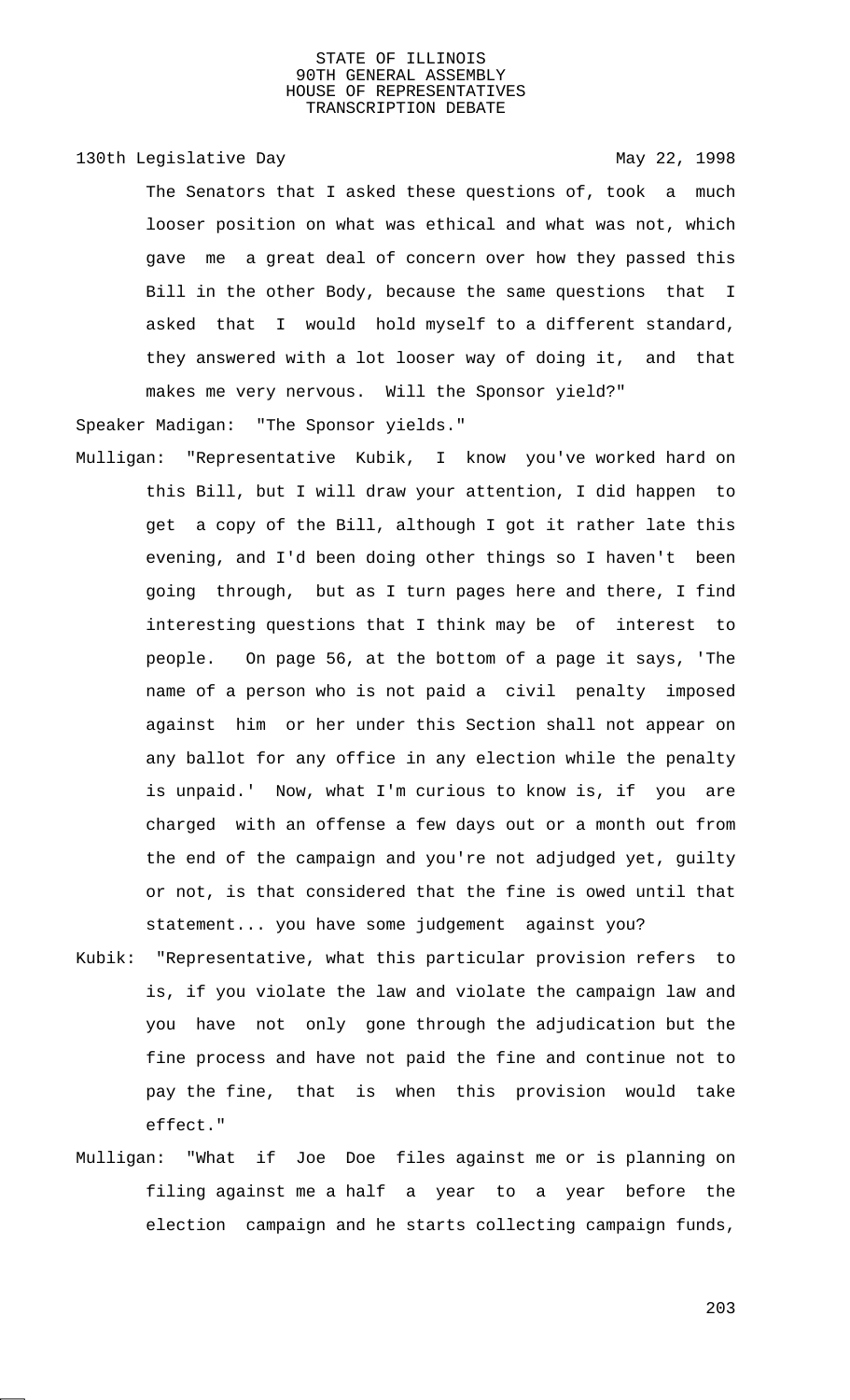# 130th Legislative Day 130th May 22, 1998

The Senators that I asked these questions of, took a much looser position on what was ethical and what was not, which gave me a great deal of concern over how they passed this Bill in the other Body, because the same questions that I asked that I would hold myself to a different standard, they answered with a lot looser way of doing it, and that makes me very nervous. Will the Sponsor yield?"

Speaker Madigan: "The Sponsor yields."

- Mulligan: "Representative Kubik, I know you've worked hard on this Bill, but I will draw your attention, I did happen to get a copy of the Bill, although I got it rather late this evening, and I'd been doing other things so I haven't been going through, but as I turn pages here and there, I find interesting questions that I think may be of interest to people. On page 56, at the bottom of a page it says, 'The name of a person who is not paid a civil penalty imposed against him or her under this Section shall not appear on any ballot for any office in any election while the penalty is unpaid.' Now, what I'm curious to know is, if you are charged with an offense a few days out or a month out from the end of the campaign and you're not adjudged yet, guilty or not, is that considered that the fine is owed until that statement... you have some judgement against you?
- Kubik: "Representative, what this particular provision refers to is, if you violate the law and violate the campaign law and you have not only gone through the adjudication but the fine process and have not paid the fine and continue not to pay the fine, that is when this provision would take effect."
- Mulligan: "What if Joe Doe files against me or is planning on filing against me a half a year to a year before the election campaign and he starts collecting campaign funds,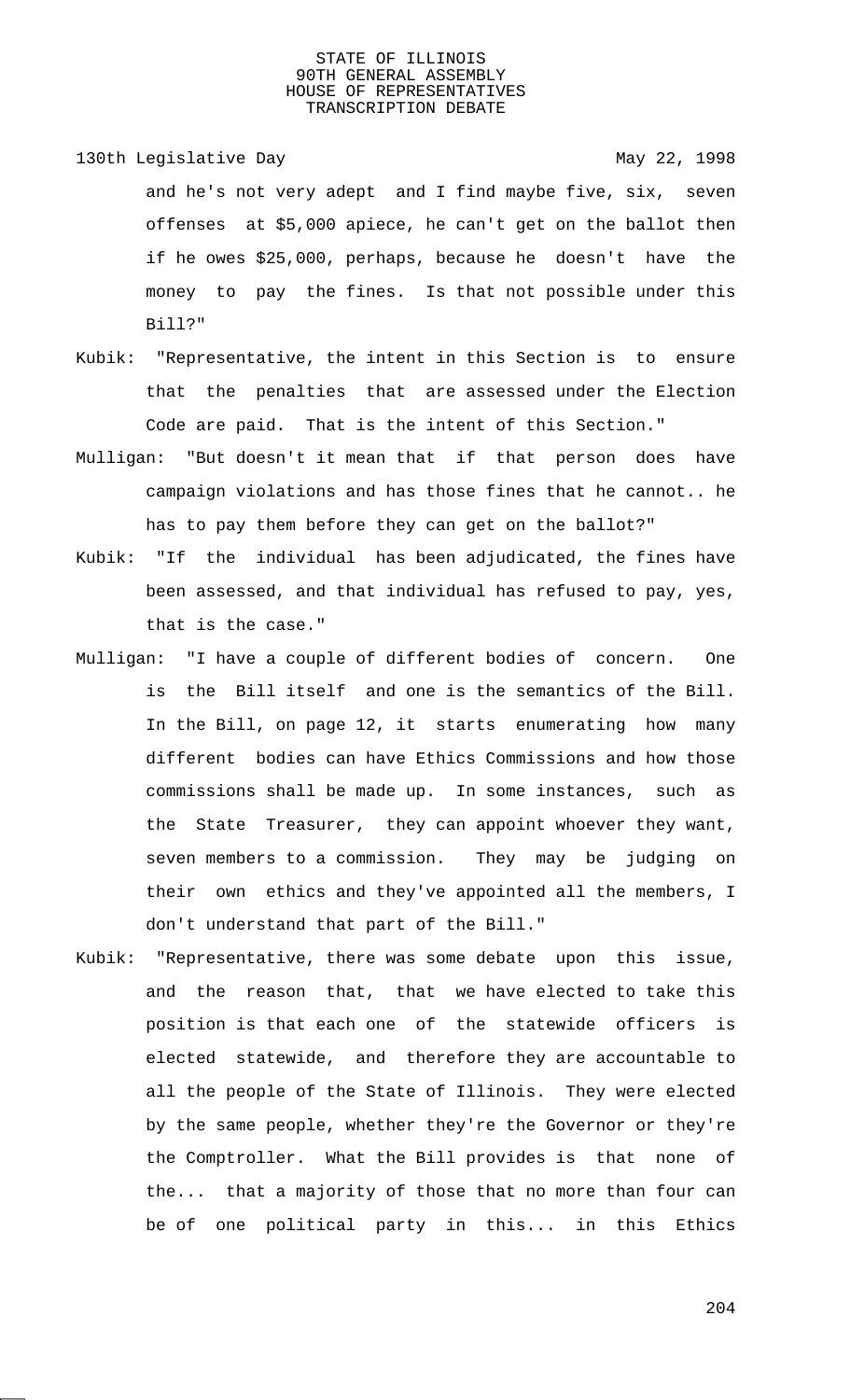130th Legislative Day 130th May 22, 1998 and he's not very adept and I find maybe five, six, seven offenses at \$5,000 apiece, he can't get on the ballot then if he owes \$25,000, perhaps, because he doesn't have the money to pay the fines. Is that not possible under this Bill?"

- Kubik: "Representative, the intent in this Section is to ensure that the penalties that are assessed under the Election Code are paid. That is the intent of this Section."
- Mulligan: "But doesn't it mean that if that person does have campaign violations and has those fines that he cannot.. he has to pay them before they can get on the ballot?"
- Kubik: "If the individual has been adjudicated, the fines have been assessed, and that individual has refused to pay, yes, that is the case."
- Mulligan: "I have a couple of different bodies of concern. One is the Bill itself and one is the semantics of the Bill. In the Bill, on page 12, it starts enumerating how many different bodies can have Ethics Commissions and how those commissions shall be made up. In some instances, such as the State Treasurer, they can appoint whoever they want, seven members to a commission. They may be judging on their own ethics and they've appointed all the members, I don't understand that part of the Bill."
- Kubik: "Representative, there was some debate upon this issue, and the reason that, that we have elected to take this position is that each one of the statewide officers is elected statewide, and therefore they are accountable to all the people of the State of Illinois. They were elected by the same people, whether they're the Governor or they're the Comptroller. What the Bill provides is that none of the... that a majority of those that no more than four can be of one political party in this... in this Ethics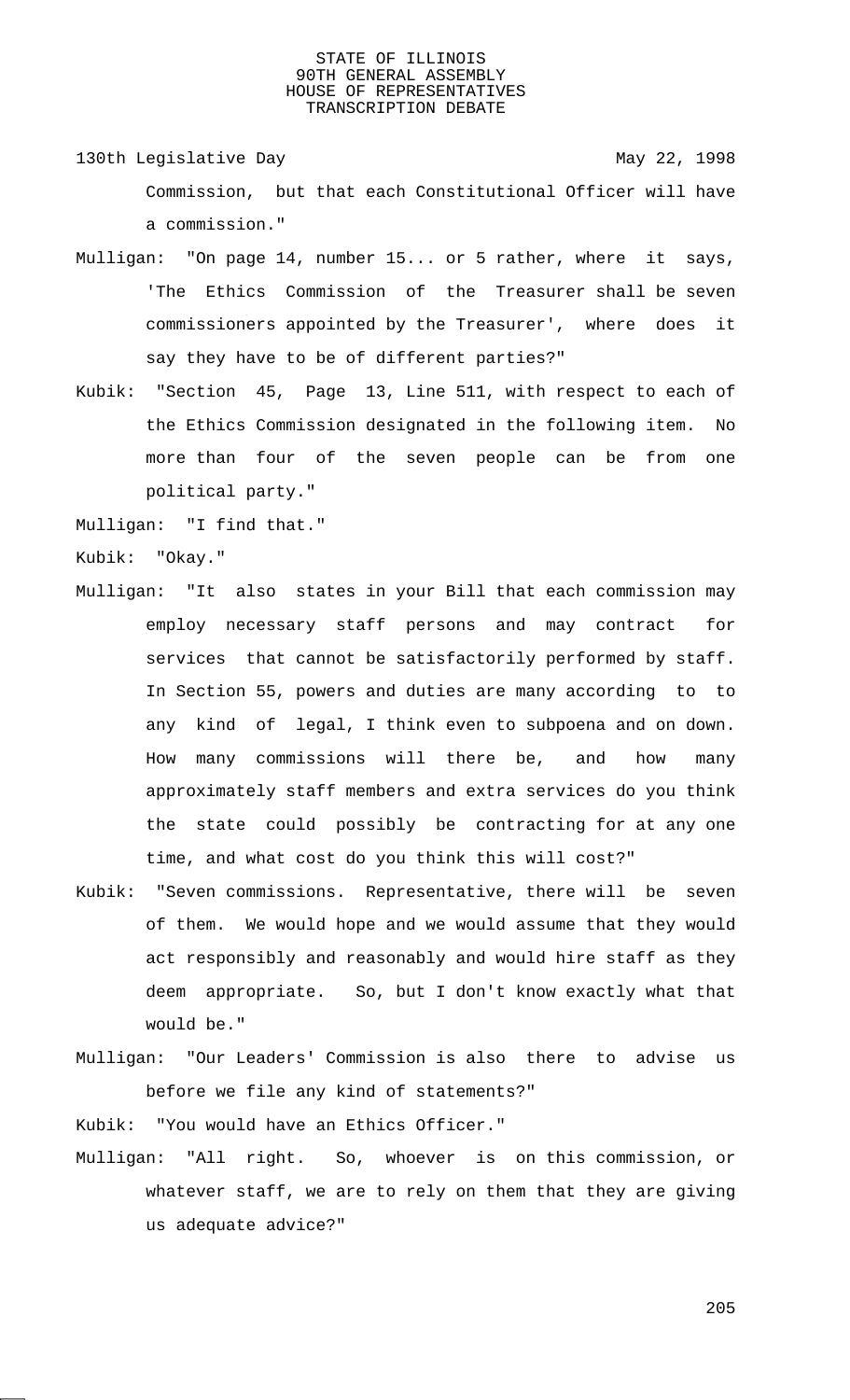130th Legislative Day 130th May 22, 1998 Commission, but that each Constitutional Officer will have a commission."

- Mulligan: "On page 14, number 15... or 5 rather, where it says, 'The Ethics Commission of the Treasurer shall be seven commissioners appointed by the Treasurer', where does it say they have to be of different parties?"
- Kubik: "Section 45, Page 13, Line 511, with respect to each of the Ethics Commission designated in the following item. No more than four of the seven people can be from one political party."

Mulligan: "I find that."

Kubik: "Okay."

- Mulligan: "It also states in your Bill that each commission may employ necessary staff persons and may contract for services that cannot be satisfactorily performed by staff. In Section 55, powers and duties are many according to to any kind of legal, I think even to subpoena and on down. How many commissions will there be, and how many approximately staff members and extra services do you think the state could possibly be contracting for at any one time, and what cost do you think this will cost?"
- Kubik: "Seven commissions. Representative, there will be seven of them. We would hope and we would assume that they would act responsibly and reasonably and would hire staff as they deem appropriate. So, but I don't know exactly what that would be."
- Mulligan: "Our Leaders' Commission is also there to advise us before we file any kind of statements?"

Kubik: "You would have an Ethics Officer."

Mulligan: "All right. So, whoever is on this commission, or whatever staff, we are to rely on them that they are giving us adequate advice?"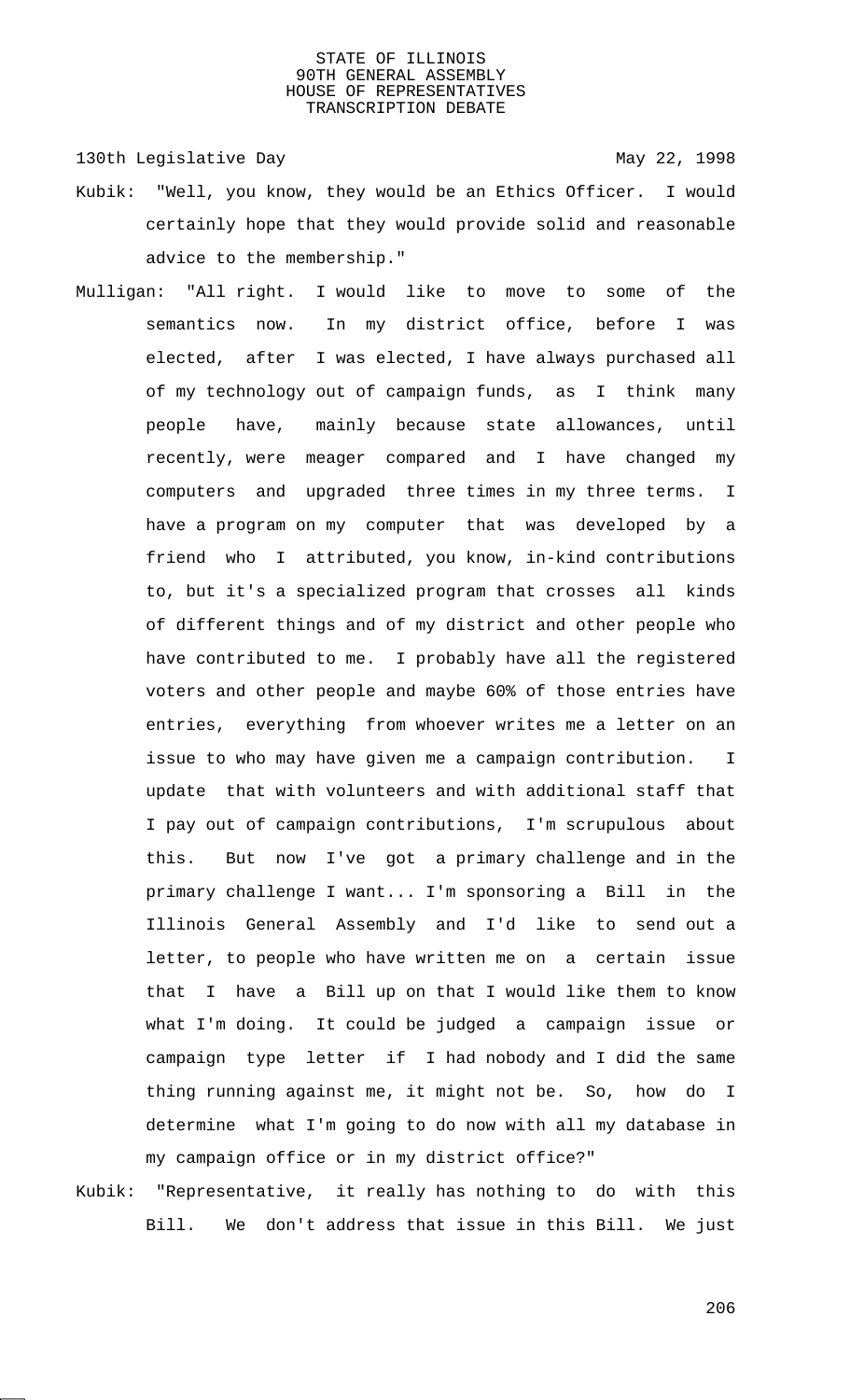130th Legislative Day 130th May 22, 1998

- Kubik: "Well, you know, they would be an Ethics Officer. I would certainly hope that they would provide solid and reasonable advice to the membership."
- Mulligan: "All right. I would like to move to some of the semantics now. In my district office, before I was elected, after I was elected, I have always purchased all of my technology out of campaign funds, as I think many people have, mainly because state allowances, until recently, were meager compared and I have changed my computers and upgraded three times in my three terms. I have a program on my computer that was developed by a friend who I attributed, you know, in-kind contributions to, but it's a specialized program that crosses all kinds of different things and of my district and other people who have contributed to me. I probably have all the registered voters and other people and maybe 60% of those entries have entries, everything from whoever writes me a letter on an issue to who may have given me a campaign contribution. I update that with volunteers and with additional staff that I pay out of campaign contributions, I'm scrupulous about this. But now I've got a primary challenge and in the primary challenge I want... I'm sponsoring a Bill in the Illinois General Assembly and I'd like to send out a letter, to people who have written me on a certain issue that I have a Bill up on that I would like them to know what I'm doing. It could be judged a campaign issue or campaign type letter if I had nobody and I did the same thing running against me, it might not be. So, how do I determine what I'm going to do now with all my database in my campaign office or in my district office?"
- Kubik: "Representative, it really has nothing to do with this Bill. We don't address that issue in this Bill. We just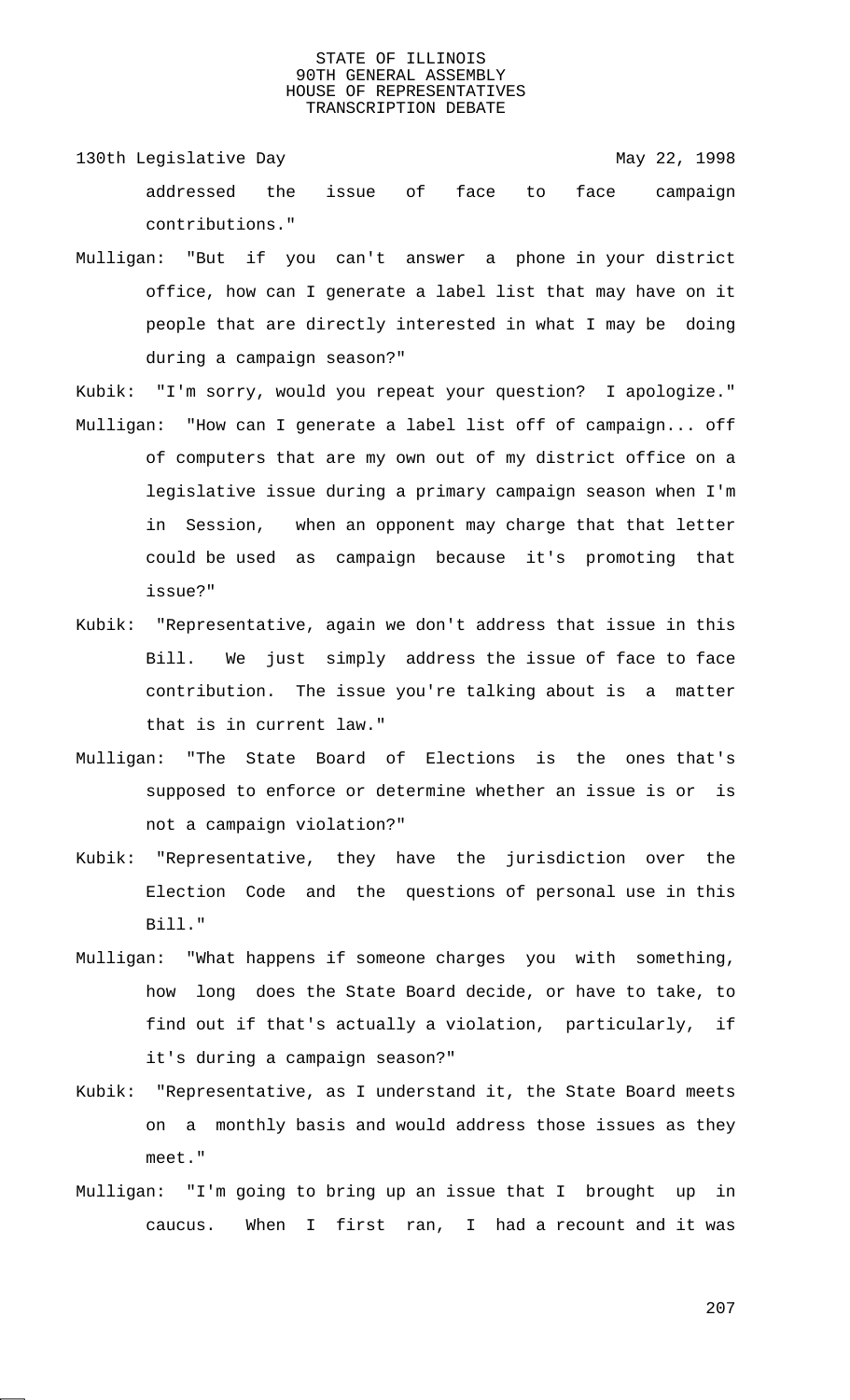- 130th Legislative Day 130th May 22, 1998 addressed the issue of face to face campaign contributions."
- Mulligan: "But if you can't answer a phone in your district office, how can I generate a label list that may have on it people that are directly interested in what I may be doing during a campaign season?"
- Kubik: "I'm sorry, would you repeat your question? I apologize." Mulligan: "How can I generate a label list off of campaign... off of computers that are my own out of my district office on a legislative issue during a primary campaign season when I'm in Session, when an opponent may charge that that letter could be used as campaign because it's promoting that issue?"
- Kubik: "Representative, again we don't address that issue in this Bill. We just simply address the issue of face to face contribution. The issue you're talking about is a matter that is in current law."
- Mulligan: "The State Board of Elections is the ones that's supposed to enforce or determine whether an issue is or is not a campaign violation?"
- Kubik: "Representative, they have the jurisdiction over the Election Code and the questions of personal use in this Bill."
- Mulligan: "What happens if someone charges you with something, how long does the State Board decide, or have to take, to find out if that's actually a violation, particularly, if it's during a campaign season?"
- Kubik: "Representative, as I understand it, the State Board meets on a monthly basis and would address those issues as they meet."
- Mulligan: "I'm going to bring up an issue that I brought up in caucus. When I first ran, I had a recount and it was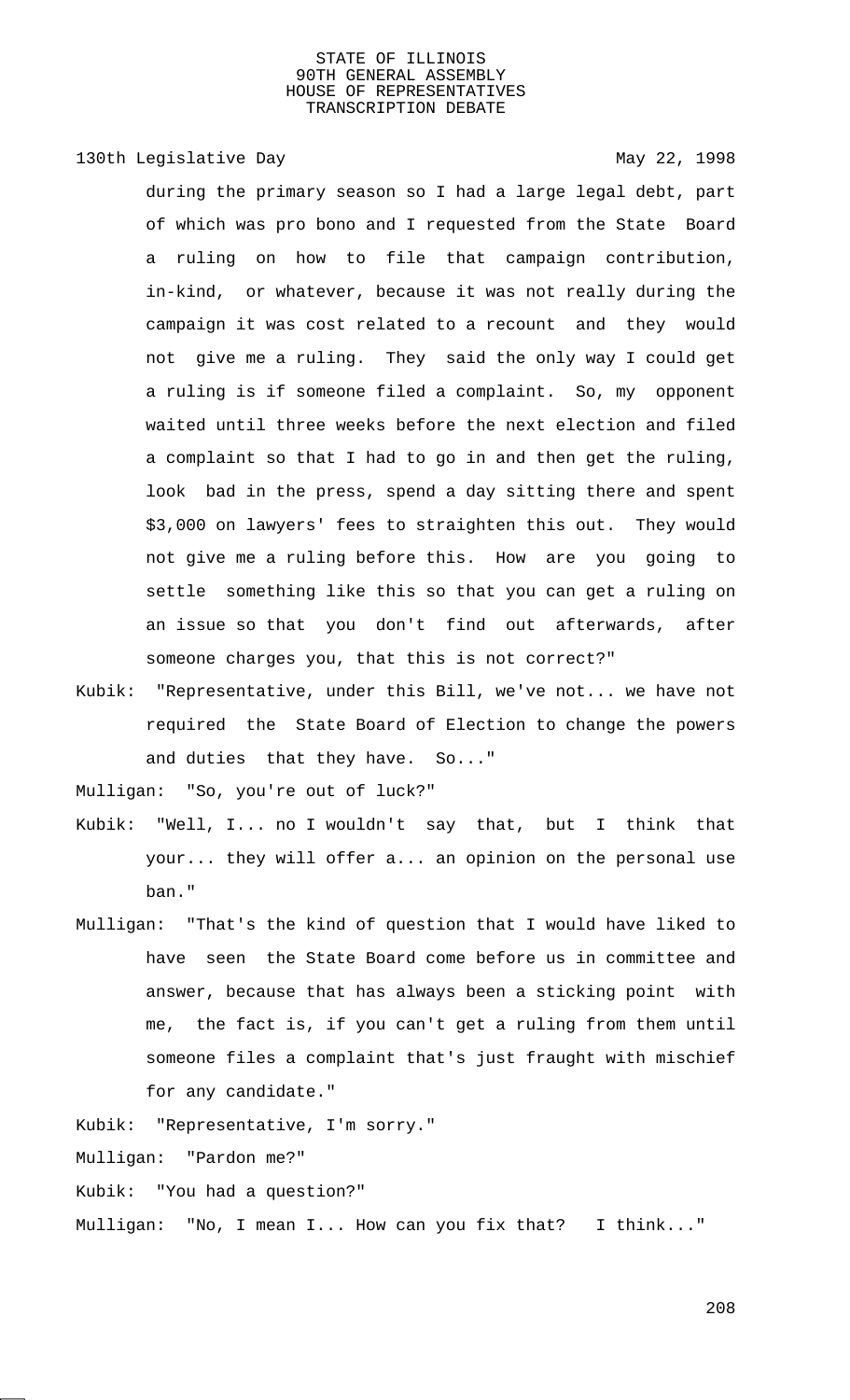# 130th Legislative Day 130th May 22, 1998

during the primary season so I had a large legal debt, part of which was pro bono and I requested from the State Board a ruling on how to file that campaign contribution, in-kind, or whatever, because it was not really during the campaign it was cost related to a recount and they would not give me a ruling. They said the only way I could get a ruling is if someone filed a complaint. So, my opponent waited until three weeks before the next election and filed a complaint so that I had to go in and then get the ruling, look bad in the press, spend a day sitting there and spent \$3,000 on lawyers' fees to straighten this out. They would not give me a ruling before this. How are you going to settle something like this so that you can get a ruling on an issue so that you don't find out afterwards, after someone charges you, that this is not correct?"

Kubik: "Representative, under this Bill, we've not... we have not required the State Board of Election to change the powers and duties that they have. So..."

Mulligan: "So, you're out of luck?"

- Kubik: "Well, I... no I wouldn't say that, but I think that your... they will offer a... an opinion on the personal use ban."
- Mulligan: "That's the kind of question that I would have liked to have seen the State Board come before us in committee and answer, because that has always been a sticking point with me, the fact is, if you can't get a ruling from them until someone files a complaint that's just fraught with mischief for any candidate."

Kubik: "Representative, I'm sorry."

Mulligan: "Pardon me?"

Kubik: "You had a question?"

Mulligan: "No, I mean I... How can you fix that? I think..."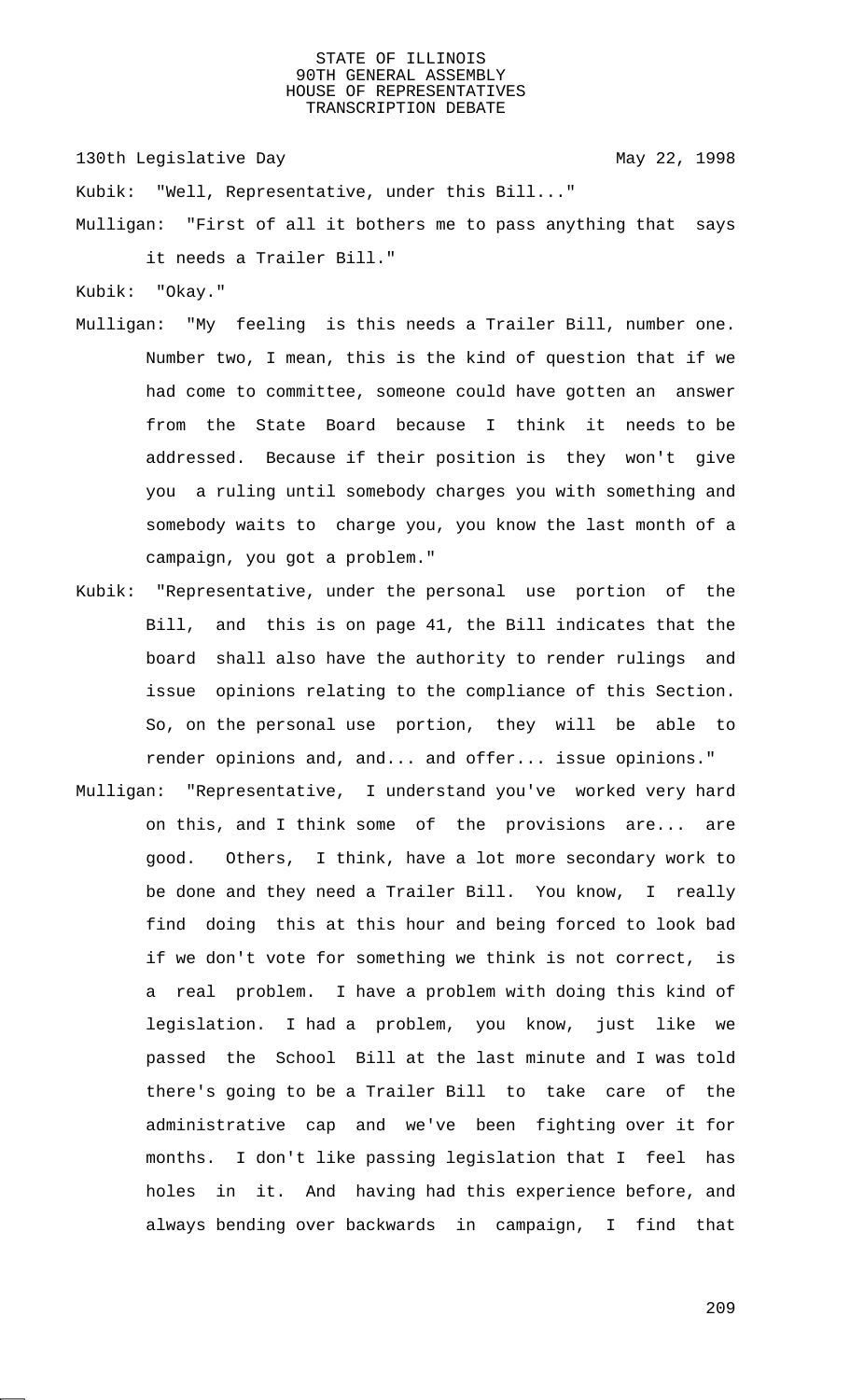130th Legislative Day 130th May 22, 1998

Kubik: "Well, Representative, under this Bill..."

Mulligan: "First of all it bothers me to pass anything that says it needs a Trailer Bill."

Kubik: "Okay."

- Mulligan: "My feeling is this needs a Trailer Bill, number one. Number two, I mean, this is the kind of question that if we had come to committee, someone could have gotten an answer from the State Board because I think it needs to be addressed. Because if their position is they won't give you a ruling until somebody charges you with something and somebody waits to charge you, you know the last month of a campaign, you got a problem."
- Kubik: "Representative, under the personal use portion of the Bill, and this is on page 41, the Bill indicates that the board shall also have the authority to render rulings and issue opinions relating to the compliance of this Section. So, on the personal use portion, they will be able to render opinions and, and... and offer... issue opinions."
- Mulligan: "Representative, I understand you've worked very hard on this, and I think some of the provisions are... are good. Others, I think, have a lot more secondary work to be done and they need a Trailer Bill. You know, I really find doing this at this hour and being forced to look bad if we don't vote for something we think is not correct, is a real problem. I have a problem with doing this kind of legislation. I had a problem, you know, just like we passed the School Bill at the last minute and I was told there's going to be a Trailer Bill to take care of the administrative cap and we've been fighting over it for months. I don't like passing legislation that I feel has holes in it. And having had this experience before, and always bending over backwards in campaign, I find that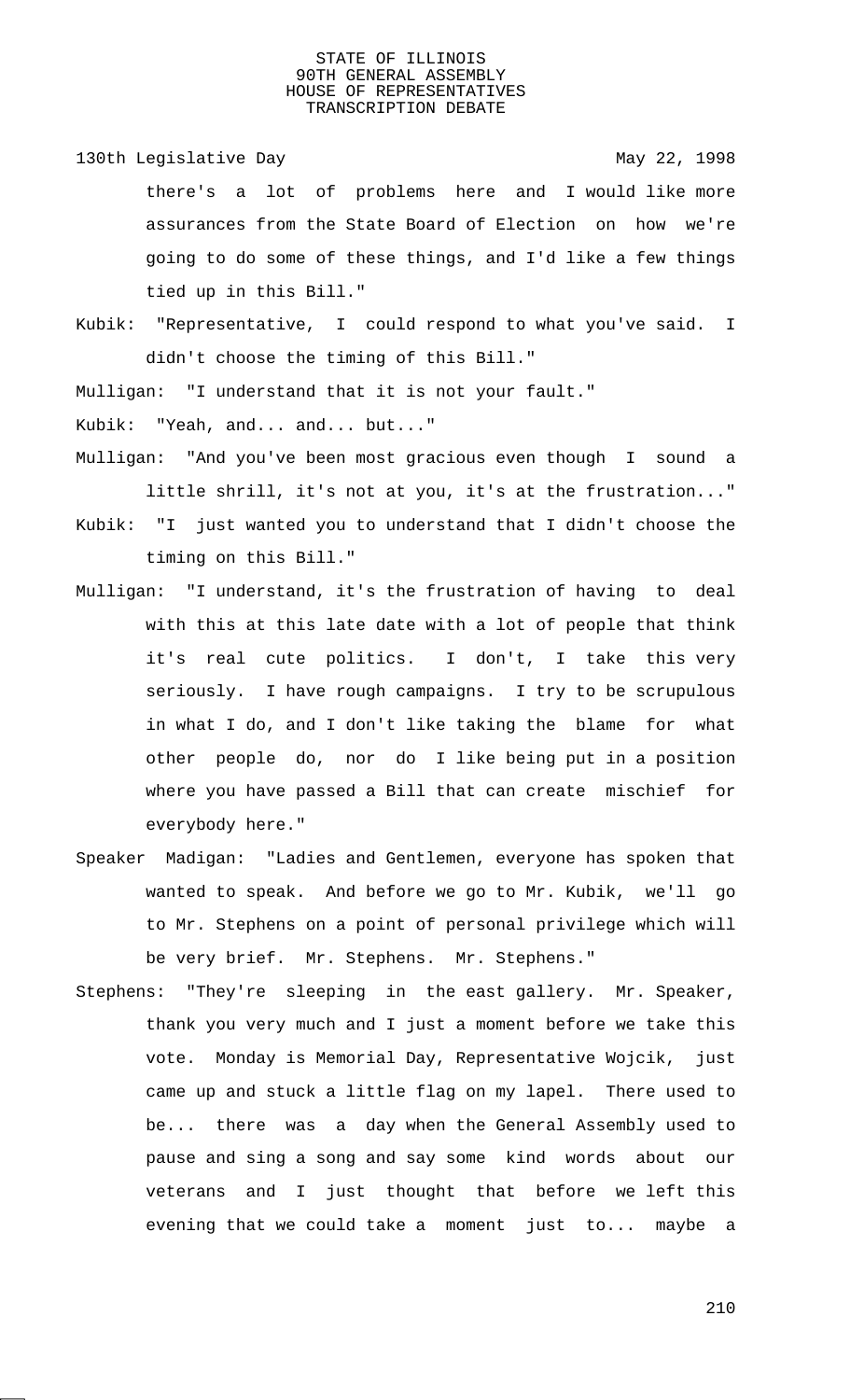130th Legislative Day 130th May 22, 1998

there's a lot of problems here and I would like more assurances from the State Board of Election on how we're going to do some of these things, and I'd like a few things tied up in this Bill."

Kubik: "Representative, I could respond to what you've said. I didn't choose the timing of this Bill."

Mulligan: "I understand that it is not your fault."

Kubik: "Yeah, and... and... but..."

Mulligan: "And you've been most gracious even though I sound a little shrill, it's not at you, it's at the frustration..."

Kubik: "I just wanted you to understand that I didn't choose the timing on this Bill."

- Mulligan: "I understand, it's the frustration of having to deal with this at this late date with a lot of people that think it's real cute politics. I don't, I take this very seriously. I have rough campaigns. I try to be scrupulous in what I do, and I don't like taking the blame for what other people do, nor do I like being put in a position where you have passed a Bill that can create mischief for everybody here."
- Speaker Madigan: "Ladies and Gentlemen, everyone has spoken that wanted to speak. And before we go to Mr. Kubik, we'll go to Mr. Stephens on a point of personal privilege which will be very brief. Mr. Stephens. Mr. Stephens."
- Stephens: "They're sleeping in the east gallery. Mr. Speaker, thank you very much and I just a moment before we take this vote. Monday is Memorial Day, Representative Wojcik, just came up and stuck a little flag on my lapel. There used to be... there was a day when the General Assembly used to pause and sing a song and say some kind words about our veterans and I just thought that before we left this evening that we could take a moment just to... maybe a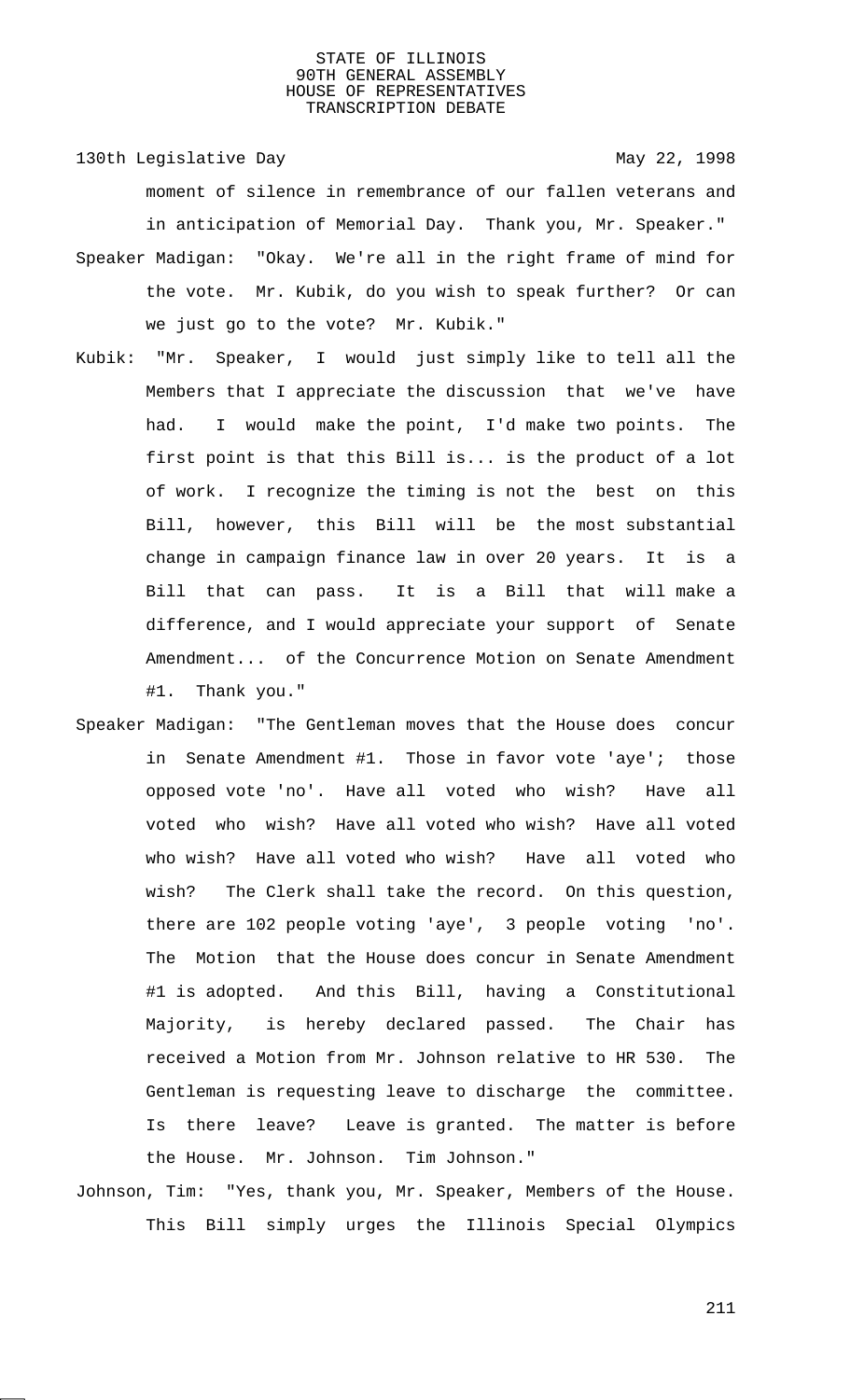130th Legislative Day 130th May 22, 1998 moment of silence in remembrance of our fallen veterans and in anticipation of Memorial Day. Thank you, Mr. Speaker." Speaker Madigan: "Okay. We're all in the right frame of mind for the vote. Mr. Kubik, do you wish to speak further? Or can we just go to the vote? Mr. Kubik."

- Kubik: "Mr. Speaker, I would just simply like to tell all the Members that I appreciate the discussion that we've have had. I would make the point, I'd make two points. The first point is that this Bill is... is the product of a lot of work. I recognize the timing is not the best on this Bill, however, this Bill will be the most substantial change in campaign finance law in over 20 years. It is a Bill that can pass. It is a Bill that will make a difference, and I would appreciate your support of Senate Amendment... of the Concurrence Motion on Senate Amendment #1. Thank you."
- Speaker Madigan: "The Gentleman moves that the House does concur in Senate Amendment #1. Those in favor vote 'aye'; those opposed vote 'no'. Have all voted who wish? Have all voted who wish? Have all voted who wish? Have all voted who wish? Have all voted who wish? Have all voted who wish? The Clerk shall take the record. On this question, there are 102 people voting 'aye', 3 people voting 'no'. The Motion that the House does concur in Senate Amendment #1 is adopted. And this Bill, having a Constitutional Majority, is hereby declared passed. The Chair has received a Motion from Mr. Johnson relative to HR 530. The Gentleman is requesting leave to discharge the committee. Is there leave? Leave is granted. The matter is before the House. Mr. Johnson. Tim Johnson."
- Johnson, Tim: "Yes, thank you, Mr. Speaker, Members of the House. This Bill simply urges the Illinois Special Olympics